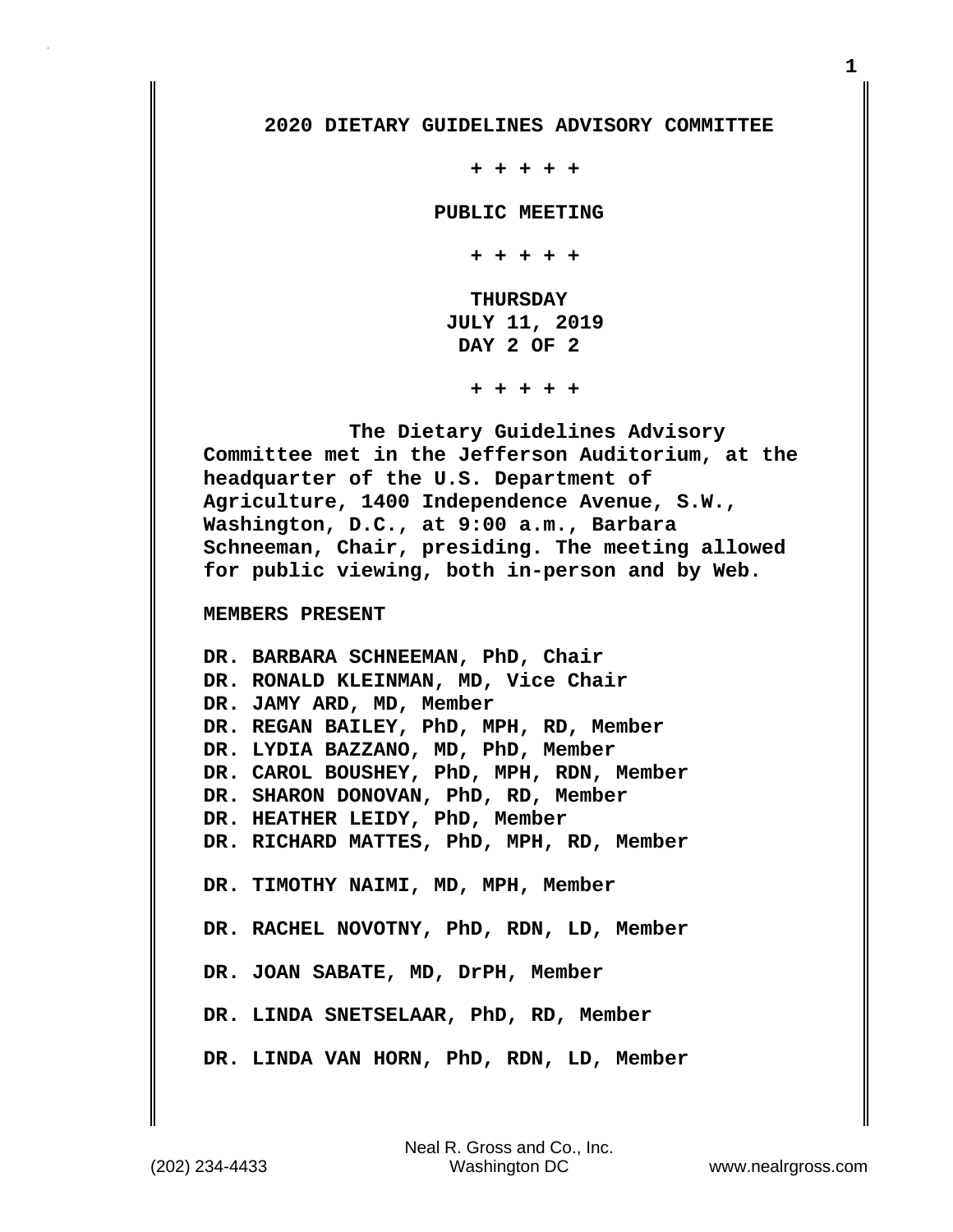## **2020 DIETARY GUIDELINES ADVISORY COMMITTEE**

 **+ + + + +**

 **PUBLIC MEETING**

 **+ + + + +**

 **THURSDAY JULY 11, 2019 DAY 2 OF 2**

 **+ + + + +**

 **The Dietary Guidelines Advisory Committee met in the Jefferson Auditorium, at the headquarter of the U.S. Department of Agriculture, 1400 Independence Avenue, S.W., Washington, D.C., at 9:00 a.m., Barbara Schneeman, Chair, presiding. The meeting allowed for public viewing, both in-person and by Web.**

## **MEMBERS PRESENT**

**DR. BARBARA SCHNEEMAN, PhD, Chair DR. RONALD KLEINMAN, MD, Vice Chair DR. JAMY ARD, MD, Member DR. REGAN BAILEY, PhD, MPH, RD, Member DR. LYDIA BAZZANO, MD, PhD, Member DR. CAROL BOUSHEY, PhD, MPH, RDN, Member DR. SHARON DONOVAN, PhD, RD, Member DR. HEATHER LEIDY, PhD, Member DR. RICHARD MATTES, PhD, MPH, RD, Member DR. TIMOTHY NAIMI, MD, MPH, Member DR. RACHEL NOVOTNY, PhD, RDN, LD, Member DR. JOAN SABATE, MD, DrPH, Member DR. LINDA SNETSELAAR, PhD, RD, Member DR. LINDA VAN HORN, PhD, RDN, LD, Member**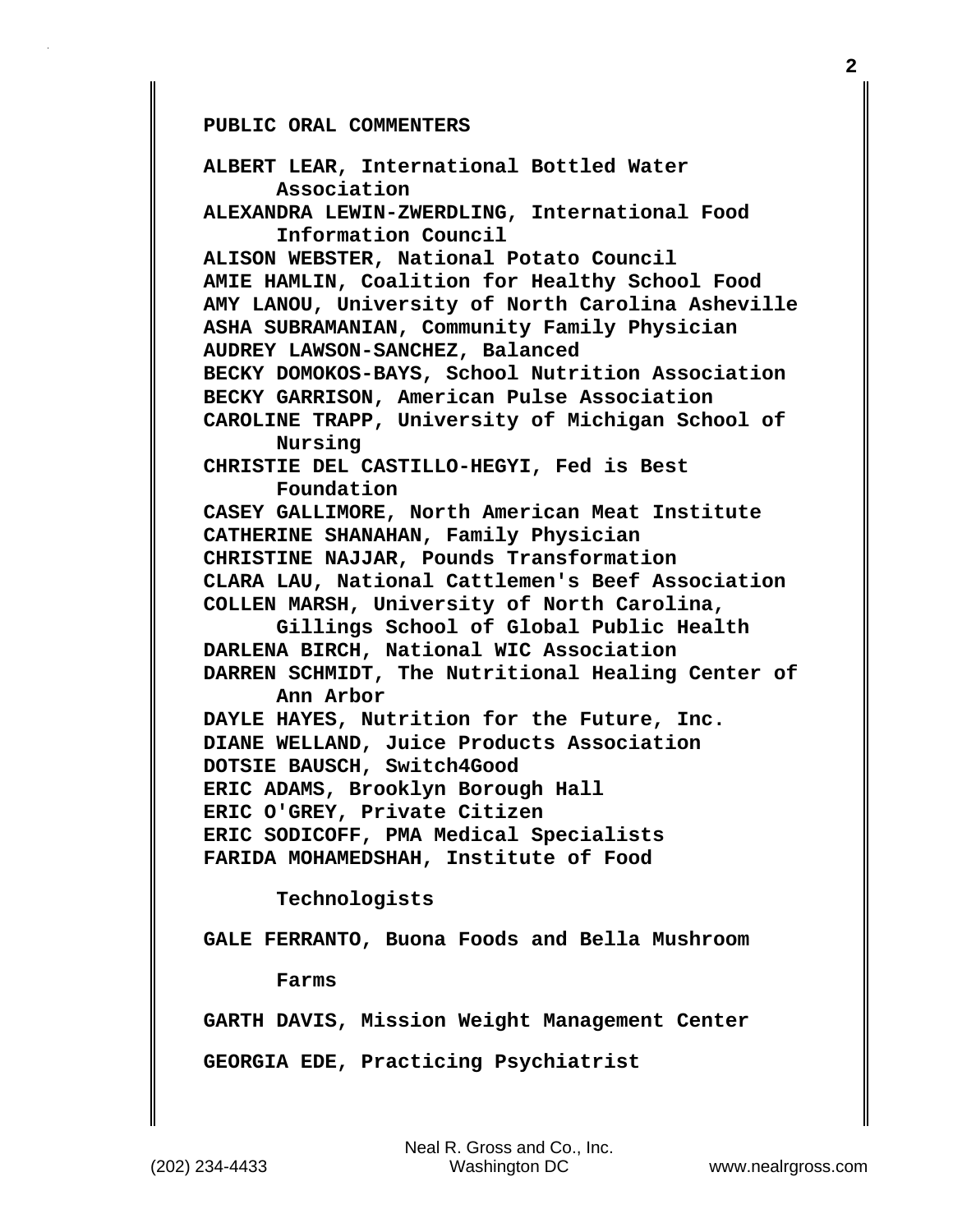**PUBLIC ORAL COMMENTERS**

**ALBERT LEAR, International Bottled Water Association ALEXANDRA LEWIN-ZWERDLING, International Food Information Council ALISON WEBSTER, National Potato Council AMIE HAMLIN, Coalition for Healthy School Food AMY LANOU, University of North Carolina Asheville ASHA SUBRAMANIAN, Community Family Physician AUDREY LAWSON-SANCHEZ, Balanced BECKY DOMOKOS-BAYS, School Nutrition Association BECKY GARRISON, American Pulse Association CAROLINE TRAPP, University of Michigan School of Nursing CHRISTIE DEL CASTILLO-HEGYI, Fed is Best Foundation CASEY GALLIMORE, North American Meat Institute CATHERINE SHANAHAN, Family Physician CHRISTINE NAJJAR, Pounds Transformation CLARA LAU, National Cattlemen's Beef Association COLLEN MARSH, University of North Carolina, Gillings School of Global Public Health DARLENA BIRCH, National WIC Association DARREN SCHMIDT, The Nutritional Healing Center of Ann Arbor DAYLE HAYES, Nutrition for the Future, Inc. DIANE WELLAND, Juice Products Association DOTSIE BAUSCH, Switch4Good ERIC ADAMS, Brooklyn Borough Hall ERIC O'GREY, Private Citizen ERIC SODICOFF, PMA Medical Specialists FARIDA MOHAMEDSHAH, Institute of Food Technologists GALE FERRANTO, Buona Foods and Bella Mushroom Farms GARTH DAVIS, Mission Weight Management Center GEORGIA EDE, Practicing Psychiatrist**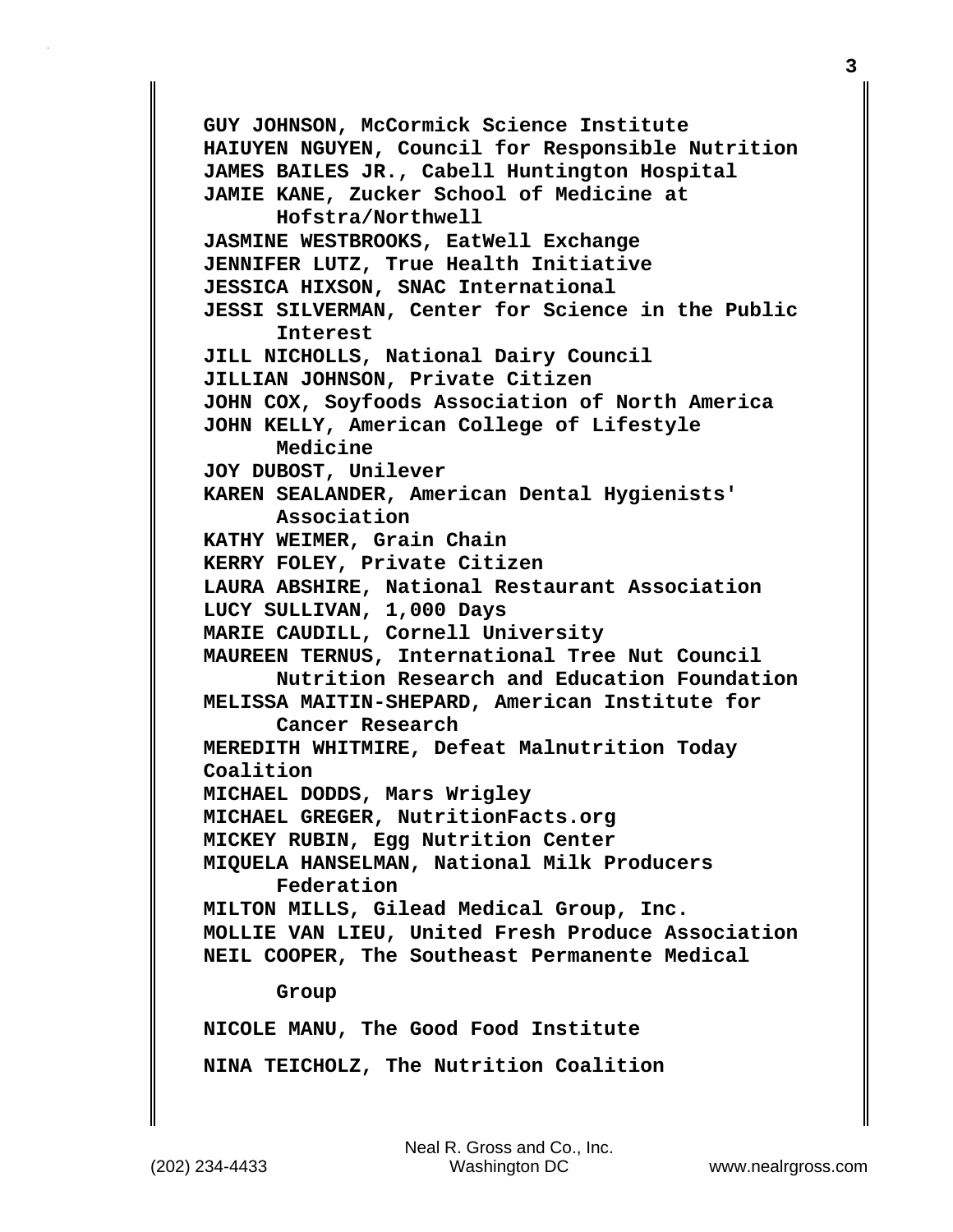**GUY JOHNSON, McCormick Science Institute HAIUYEN NGUYEN, Council for Responsible Nutrition JAMES BAILES JR., Cabell Huntington Hospital JAMIE KANE, Zucker School of Medicine at Hofstra/Northwell JASMINE WESTBROOKS, EatWell Exchange JENNIFER LUTZ, True Health Initiative JESSICA HIXSON, SNAC International JESSI SILVERMAN, Center for Science in the Public Interest JILL NICHOLLS, National Dairy Council JILLIAN JOHNSON, Private Citizen JOHN COX, Soyfoods Association of North America JOHN KELLY, American College of Lifestyle Medicine JOY DUBOST, Unilever KAREN SEALANDER, American Dental Hygienists' Association KATHY WEIMER, Grain Chain KERRY FOLEY, Private Citizen LAURA ABSHIRE, National Restaurant Association LUCY SULLIVAN, 1,000 Days MARIE CAUDILL, Cornell University MAUREEN TERNUS, International Tree Nut Council Nutrition Research and Education Foundation MELISSA MAITIN-SHEPARD, American Institute for Cancer Research MEREDITH WHITMIRE, Defeat Malnutrition Today Coalition MICHAEL DODDS, Mars Wrigley MICHAEL GREGER, NutritionFacts.org MICKEY RUBIN, Egg Nutrition Center MIQUELA HANSELMAN, National Milk Producers Federation MILTON MILLS, Gilead Medical Group, Inc. MOLLIE VAN LIEU, United Fresh Produce Association NEIL COOPER, The Southeast Permanente Medical Group NICOLE MANU, The Good Food Institute**

**NINA TEICHOLZ, The Nutrition Coalition**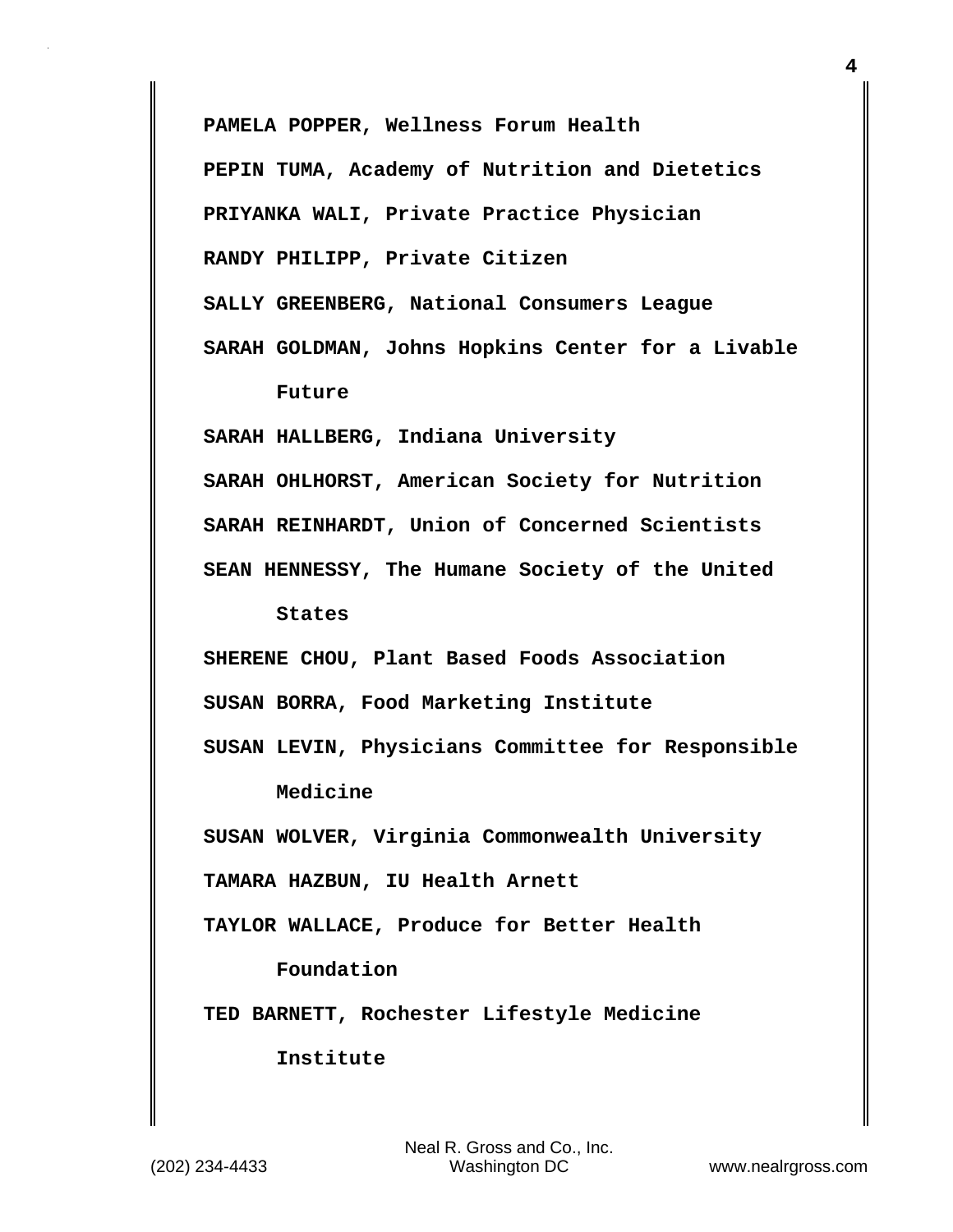**PAMELA POPPER, Wellness Forum Health**

**PEPIN TUMA, Academy of Nutrition and Dietetics**

**PRIYANKA WALI, Private Practice Physician**

**RANDY PHILIPP, Private Citizen**

**SALLY GREENBERG, National Consumers League**

**SARAH GOLDMAN, Johns Hopkins Center for a Livable Future**

**SARAH HALLBERG, Indiana University SARAH OHLHORST, American Society for Nutrition SARAH REINHARDT, Union of Concerned Scientists SEAN HENNESSY, The Humane Society of the United**

 **States**

**SHERENE CHOU, Plant Based Foods Association**

**SUSAN BORRA, Food Marketing Institute**

**SUSAN LEVIN, Physicians Committee for Responsible Medicine**

**SUSAN WOLVER, Virginia Commonwealth University**

**TAMARA HAZBUN, IU Health Arnett**

**TAYLOR WALLACE, Produce for Better Health**

 **Foundation**

**TED BARNETT, Rochester Lifestyle Medicine**

 **Institute**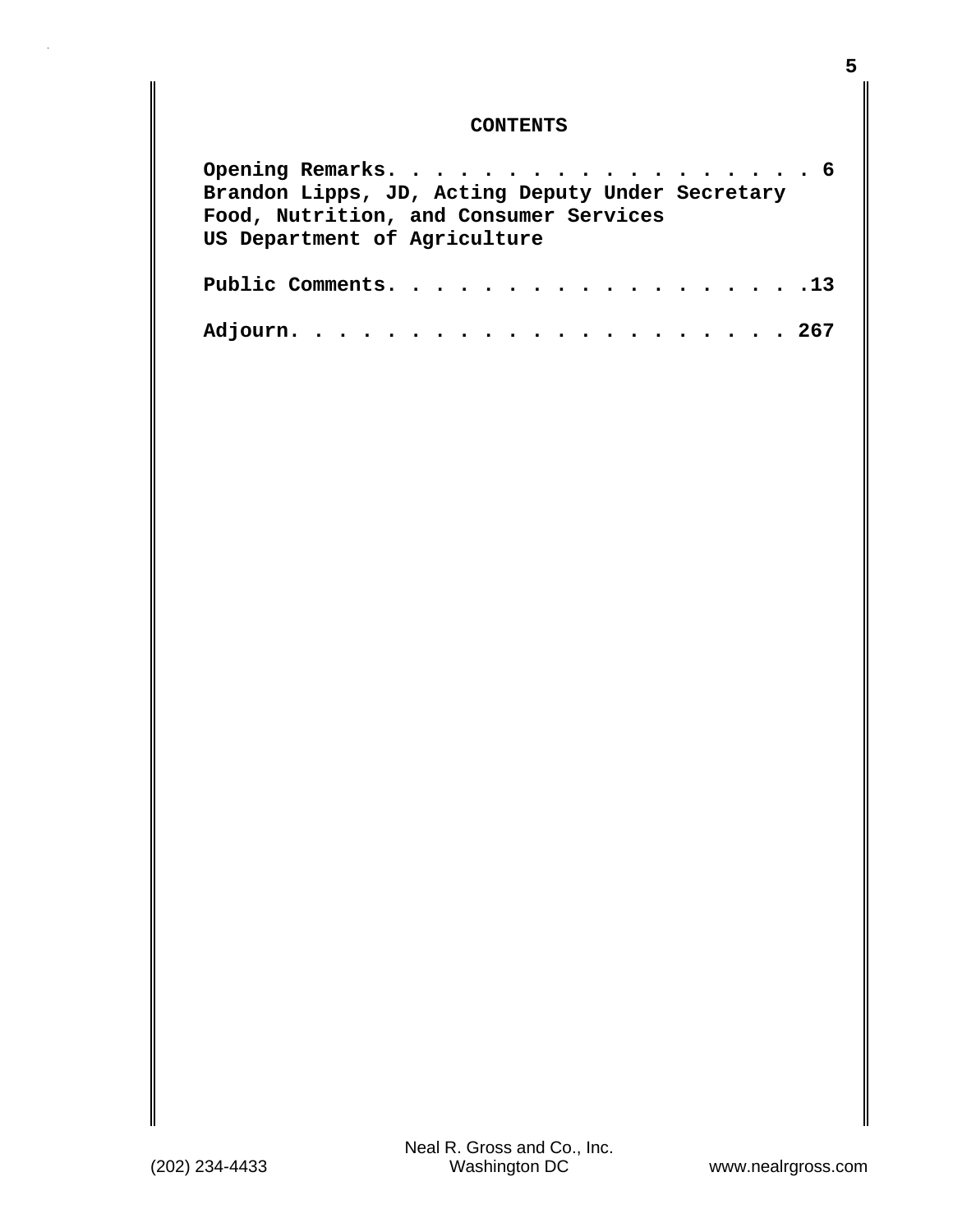## **CONTENTS**

| Opening Remarks. 6                               |  |
|--------------------------------------------------|--|
| Brandon Lipps, JD, Acting Deputy Under Secretary |  |
| Food, Nutrition, and Consumer Services           |  |
| US Department of Agriculture                     |  |
|                                                  |  |
| Public Comments. 13 $\,$                         |  |
|                                                  |  |
|                                                  |  |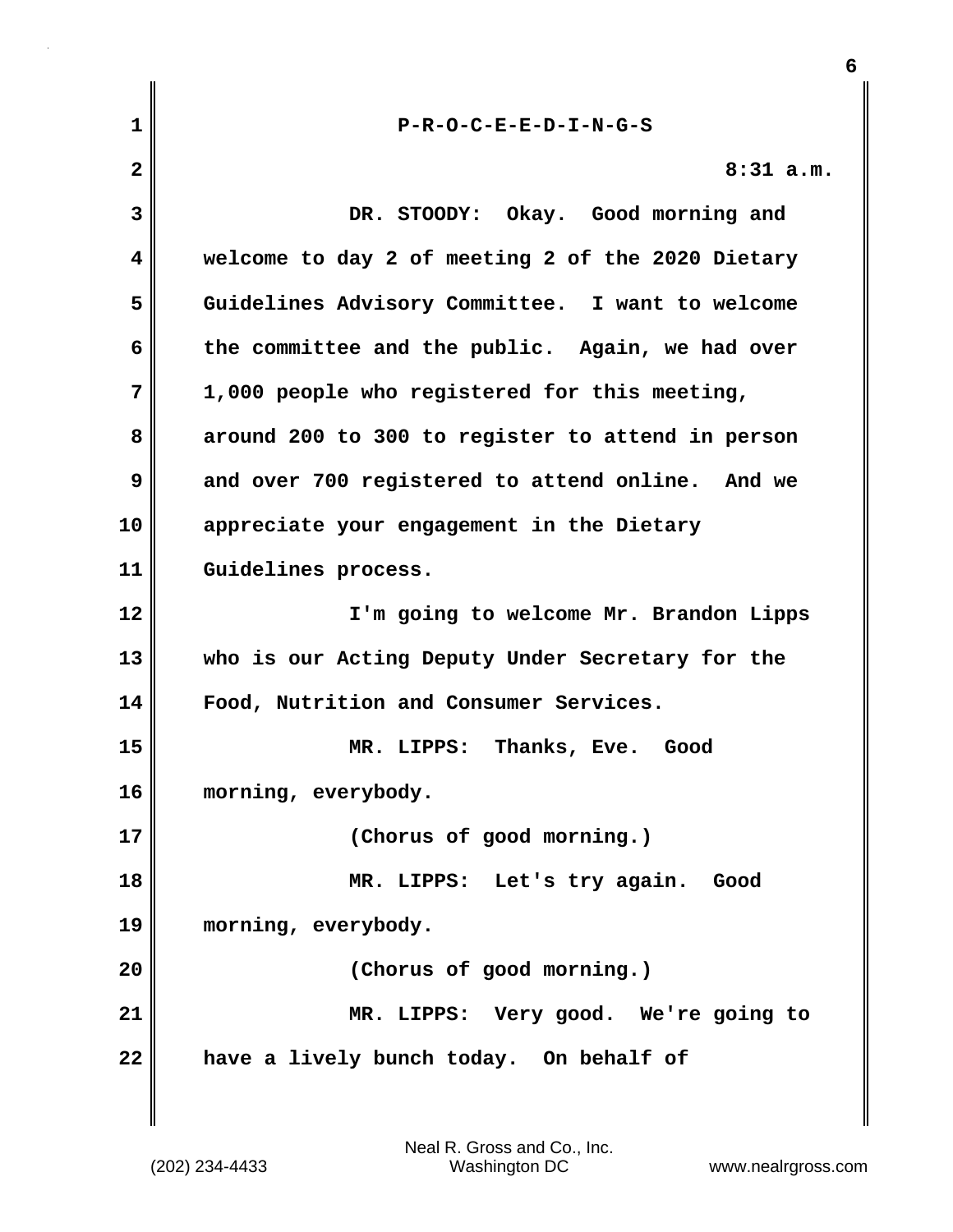| 1  | $P-R-O-C-E-E-D-I-N-G-S$                           |
|----|---------------------------------------------------|
| 2  | $8:31$ a.m.                                       |
| 3  | DR. STOODY: Okay. Good morning and                |
| 4  | welcome to day 2 of meeting 2 of the 2020 Dietary |
| 5  | Guidelines Advisory Committee. I want to welcome  |
| 6  | the committee and the public. Again, we had over  |
| 7  | 1,000 people who registered for this meeting,     |
| 8  | around 200 to 300 to register to attend in person |
| 9  | and over 700 registered to attend online. And we  |
| 10 | appreciate your engagement in the Dietary         |
| 11 | Guidelines process.                               |
| 12 | I'm going to welcome Mr. Brandon Lipps            |
| 13 | who is our Acting Deputy Under Secretary for the  |
| 14 | Food, Nutrition and Consumer Services.            |
| 15 | MR. LIPPS: Thanks, Eve. Good                      |
| 16 | morning, everybody.                               |
| 17 | (Chorus of good morning.)                         |
| 18 | MR. LIPPS: Let's try again.<br>Good               |
| 19 | morning, everybody.                               |
| 20 | (Chorus of good morning.)                         |
| 21 | MR. LIPPS: Very good. We're going to              |
| 22 | have a lively bunch today. On behalf of           |
|    |                                                   |

**6**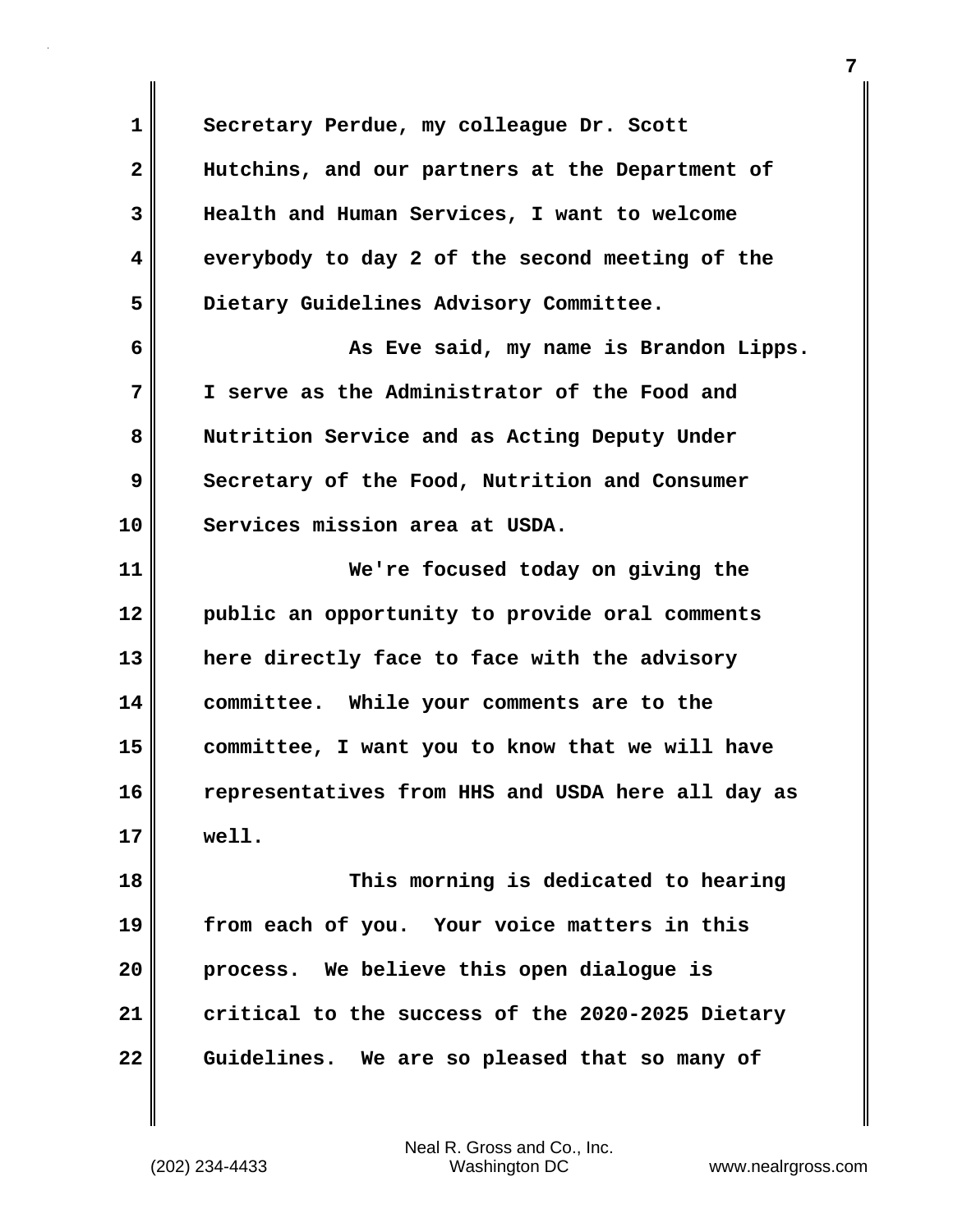**1 Secretary Perdue, my colleague Dr. Scott 2 Hutchins, and our partners at the Department of 3 Health and Human Services, I want to welcome 4 everybody to day 2 of the second meeting of the 5 Dietary Guidelines Advisory Committee. 6 As Eve said, my name is Brandon Lipps. 7 I serve as the Administrator of the Food and 8 Nutrition Service and as Acting Deputy Under 9 Secretary of the Food, Nutrition and Consumer 10 Services mission area at USDA. 11 We're focused today on giving the 12 public an opportunity to provide oral comments 13 here directly face to face with the advisory 14 committee. While your comments are to the 15 committee, I want you to know that we will have 16 representatives from HHS and USDA here all day as 17 well. 18 This morning is dedicated to hearing 19 from each of you. Your voice matters in this 20 process. We believe this open dialogue is 21 critical to the success of the 2020-2025 Dietary 22 Guidelines. We are so pleased that so many of**

(202) 234-4433 Washington DC www.nealrgross.com Neal R. Gross and Co., Inc.

**7**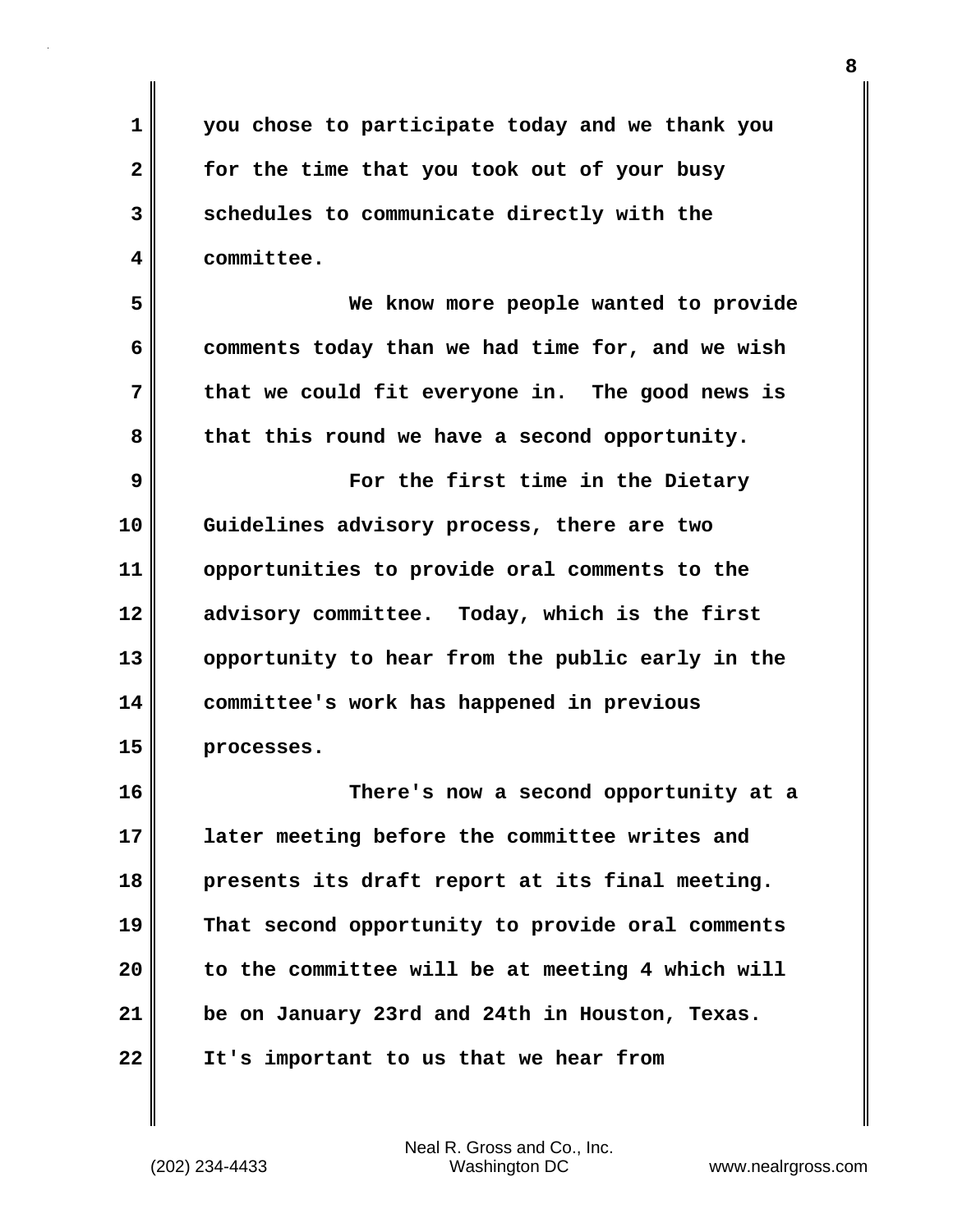**1 you chose to participate today and we thank you 2 for the time that you took out of your busy 3 schedules to communicate directly with the 4 committee.**

**5 We know more people wanted to provide 6 comments today than we had time for, and we wish 7 that we could fit everyone in. The good news is 8 that this round we have a second opportunity.**

**9 For the first time in the Dietary 10 Guidelines advisory process, there are two 11 opportunities to provide oral comments to the 12 advisory committee. Today, which is the first 13 opportunity to hear from the public early in the 14 committee's work has happened in previous 15 processes.**

**16 There's now a second opportunity at a 17 later meeting before the committee writes and 18 presents its draft report at its final meeting. 19 That second opportunity to provide oral comments 20 to the committee will be at meeting 4 which will 21 be on January 23rd and 24th in Houston, Texas. 22 It's important to us that we hear from**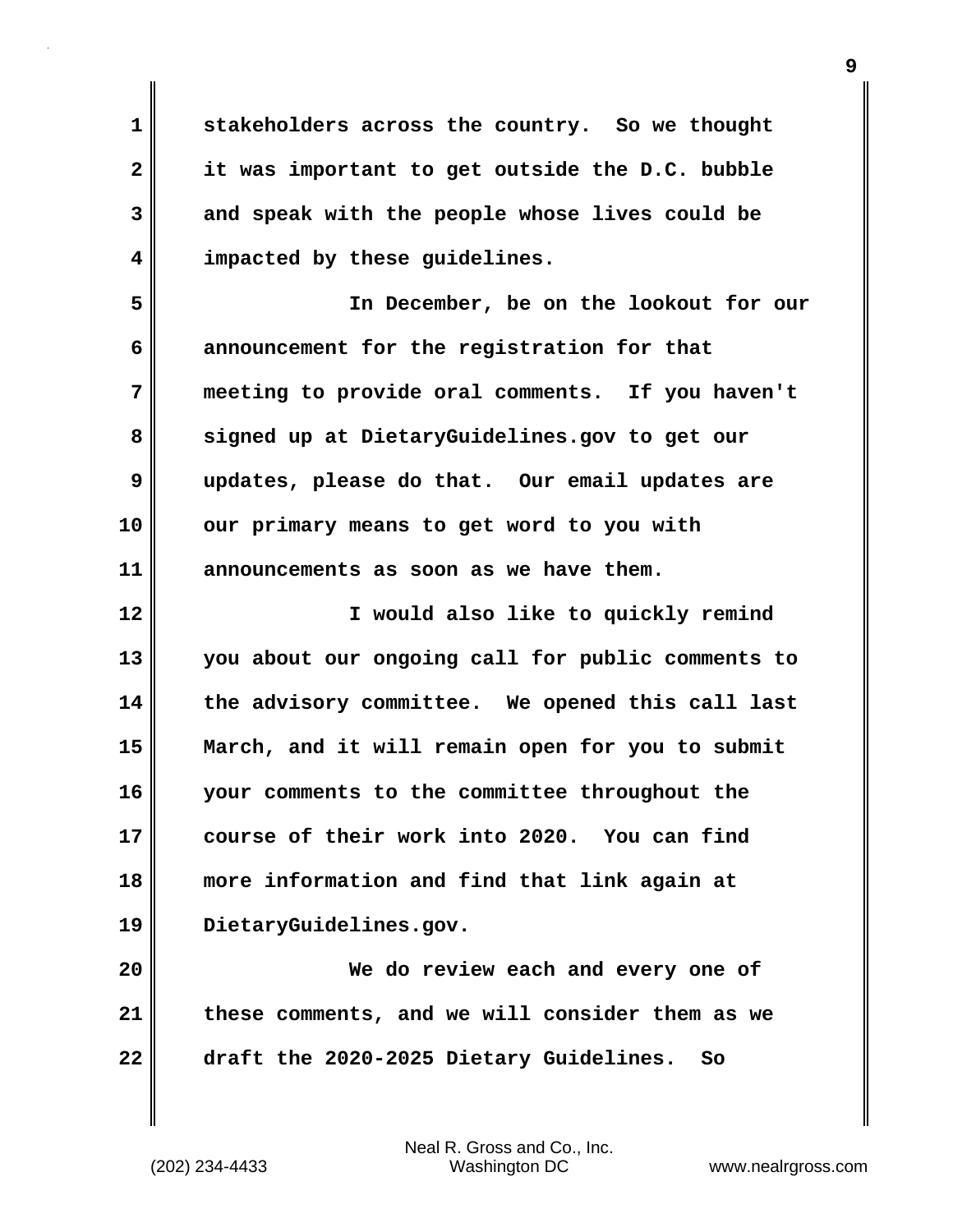**1 stakeholders across the country. So we thought 2 it was important to get outside the D.C. bubble 3 and speak with the people whose lives could be 4 impacted by these guidelines.**

**5 In December, be on the lookout for our 6 announcement for the registration for that 7 meeting to provide oral comments. If you haven't 8 signed up at DietaryGuidelines.gov to get our 9 updates, please do that. Our email updates are 10 our primary means to get word to you with 11 announcements as soon as we have them.**

**12 I would also like to quickly remind 13 you about our ongoing call for public comments to 14 the advisory committee. We opened this call last 15 March, and it will remain open for you to submit 16 your comments to the committee throughout the 17 course of their work into 2020. You can find 18 more information and find that link again at 19 DietaryGuidelines.gov.**

**20 We do review each and every one of 21 these comments, and we will consider them as we 22 draft the 2020-2025 Dietary Guidelines. So**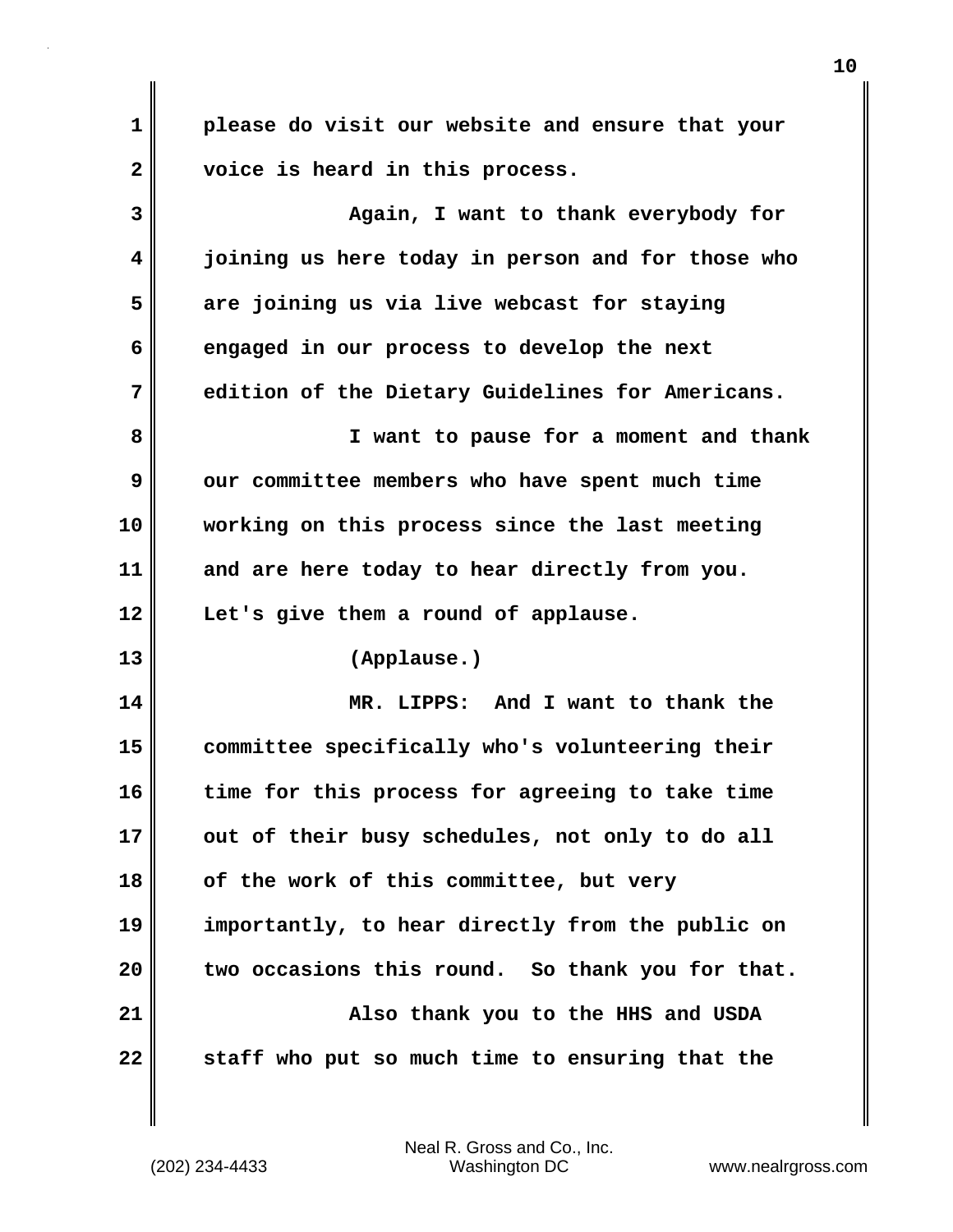**1 please do visit our website and ensure that your 2 voice is heard in this process.**

**3 Again, I want to thank everybody for 4 joining us here today in person and for those who 5 are joining us via live webcast for staying 6 engaged in our process to develop the next 7 edition of the Dietary Guidelines for Americans. 8 I want to pause for a moment and thank 9** our committee members who have spent much time **10 working on this process since the last meeting 11 and are here today to hear directly from you. 12 Let's give them a round of applause. 13 (Applause.) 14 MR. LIPPS: And I want to thank the 15 committee specifically who's volunteering their 16 time for this process for agreeing to take time 17 out of their busy schedules, not only to do all 18 of the work of this committee, but very 19 importantly, to hear directly from the public on 20 two occasions this round. So thank you for that. 21 Also thank you to the HHS and USDA 22 staff who put so much time to ensuring that the**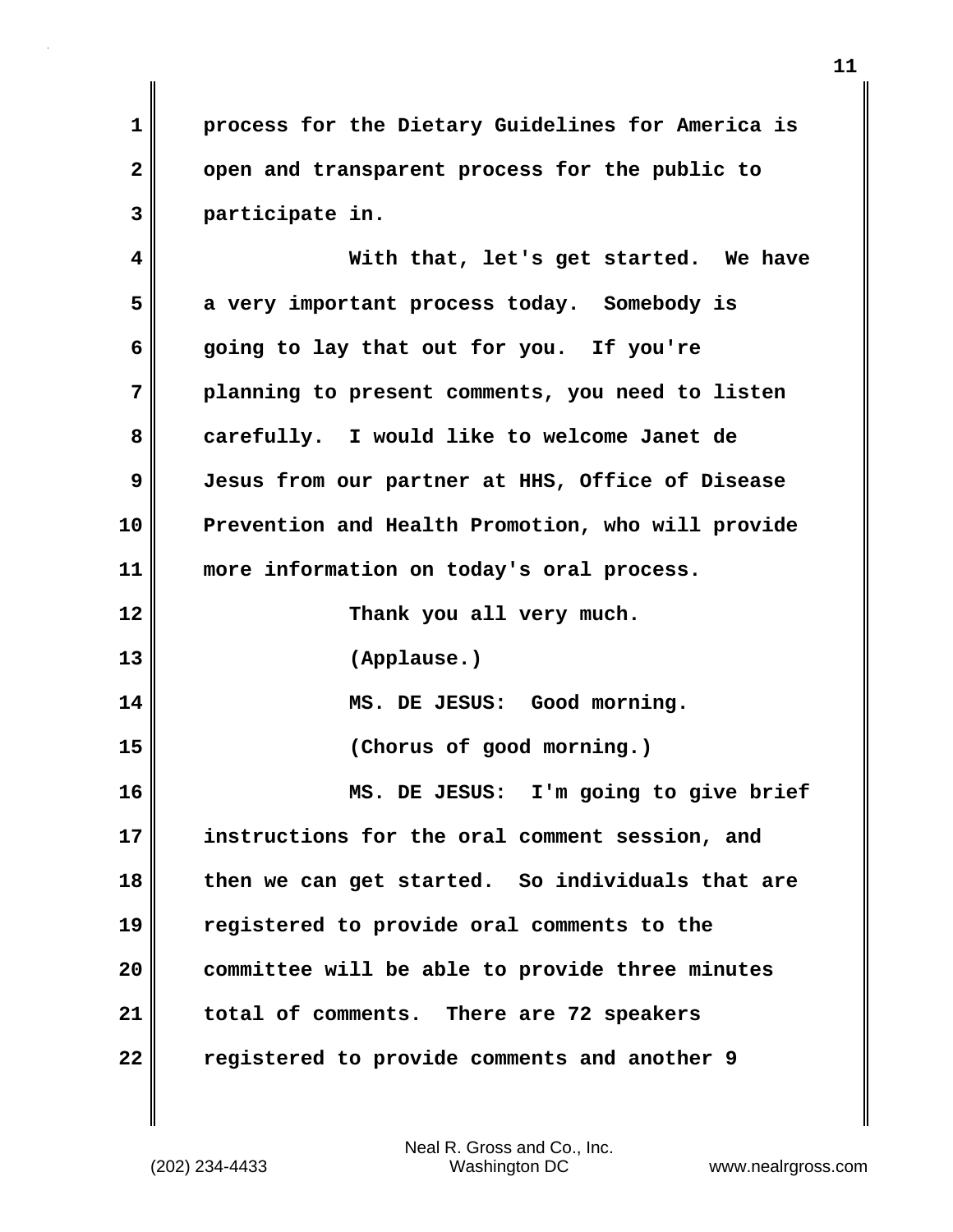**1 process for the Dietary Guidelines for America is 2 open and transparent process for the public to 3 participate in.**

**4 With that, let's get started. We have 5 a very important process today. Somebody is 6 going to lay that out for you. If you're 7 planning to present comments, you need to listen 8 carefully. I would like to welcome Janet de 9 Jesus from our partner at HHS, Office of Disease 10 Prevention and Health Promotion, who will provide 11 more information on today's oral process. 12 Thank you all very much. 13 (Applause.) 14 MS. DE JESUS: Good morning. 15 (Chorus of good morning.) 16 MS. DE JESUS: I'm going to give brief 17 instructions for the oral comment session, and 18 then we can get started. So individuals that are 19 registered to provide oral comments to the 20 committee will be able to provide three minutes 21 total of comments. There are 72 speakers 22 registered to provide comments and another 9**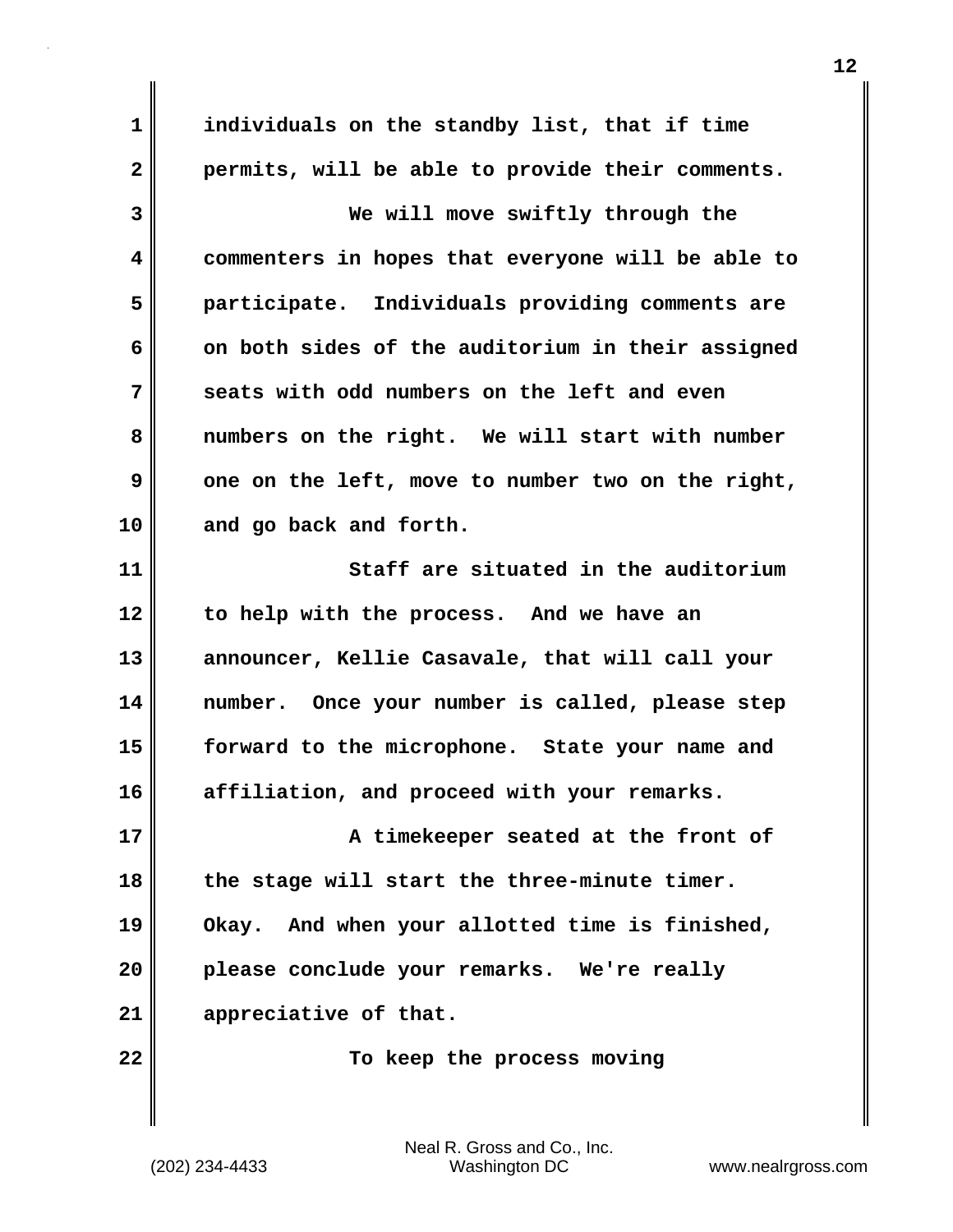**1 individuals on the standby list, that if time 2 permits, will be able to provide their comments. 3 We will move swiftly through the 4 commenters in hopes that everyone will be able to 5 participate. Individuals providing comments are 6 on both sides of the auditorium in their assigned 7 seats with odd numbers on the left and even 8 numbers on the right. We will start with number 9** one on the left, move to number two on the right, **10 and go back and forth. 11 Staff are situated in the auditorium 12 to help with the process. And we have an 13 announcer, Kellie Casavale, that will call your 14 number. Once your number is called, please step 15 forward to the microphone. State your name and 16 affiliation, and proceed with your remarks. 17 A timekeeper seated at the front of 18 the stage will start the three-minute timer. 19 Okay. And when your allotted time is finished, 20 please conclude your remarks. We're really 21 appreciative of that. 22 To keep the process moving**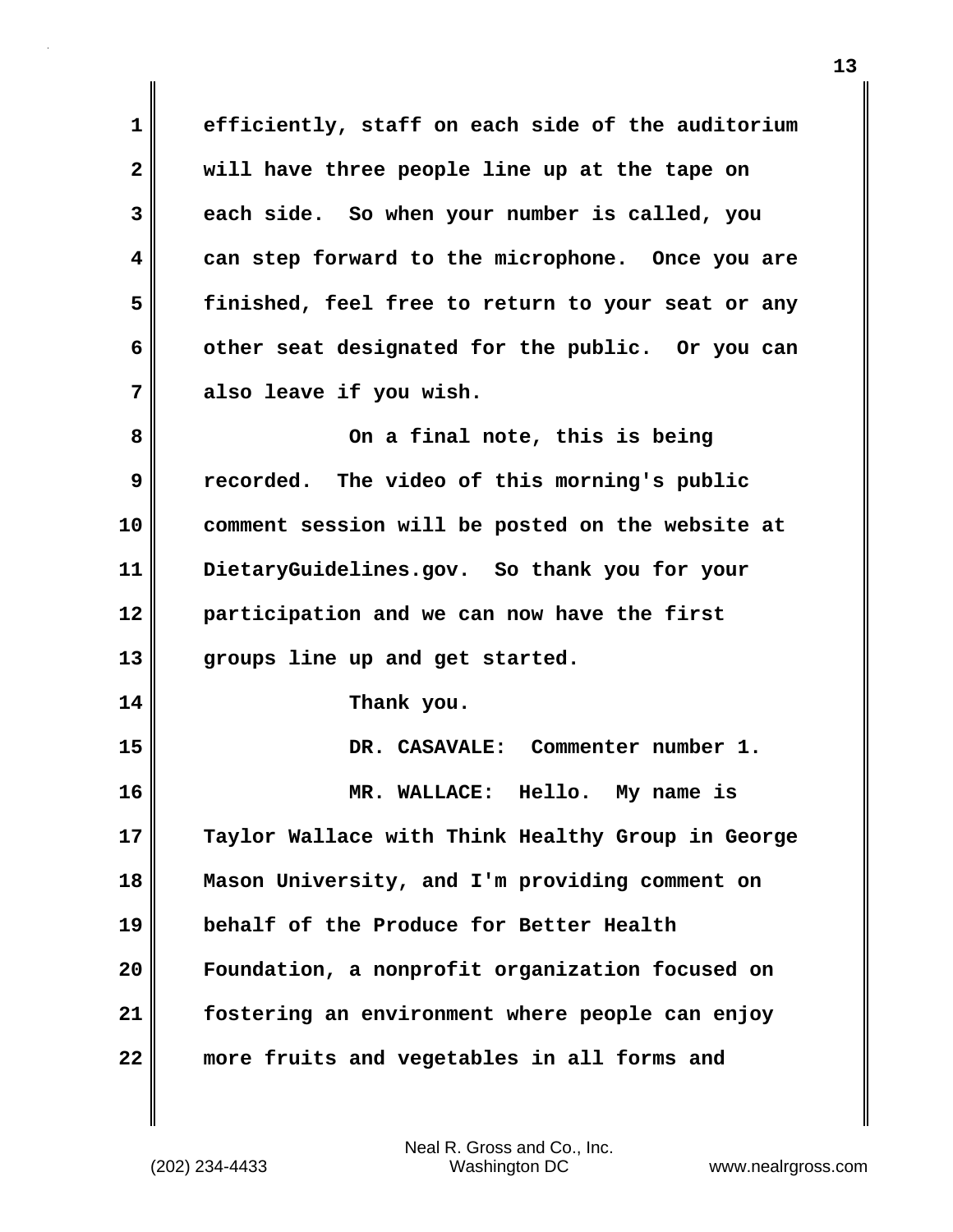**1 efficiently, staff on each side of the auditorium 2 will have three people line up at the tape on 3 each side. So when your number is called, you 4 can step forward to the microphone. Once you are 5 finished, feel free to return to your seat or any 6 other seat designated for the public. Or you can 7 also leave if you wish. 8 On a final note, this is being 9 recorded. The video of this morning's public 10 comment session will be posted on the website at 11 DietaryGuidelines.gov. So thank you for your 12 participation and we can now have the first 13 groups line up and get started. 14 Thank you. 15 DR. CASAVALE: Commenter number 1. 16 MR. WALLACE: Hello. My name is 17 Taylor Wallace with Think Healthy Group in George 18 Mason University, and I'm providing comment on 19 behalf of the Produce for Better Health 20 Foundation, a nonprofit organization focused on 21 fostering an environment where people can enjoy 22 more fruits and vegetables in all forms and**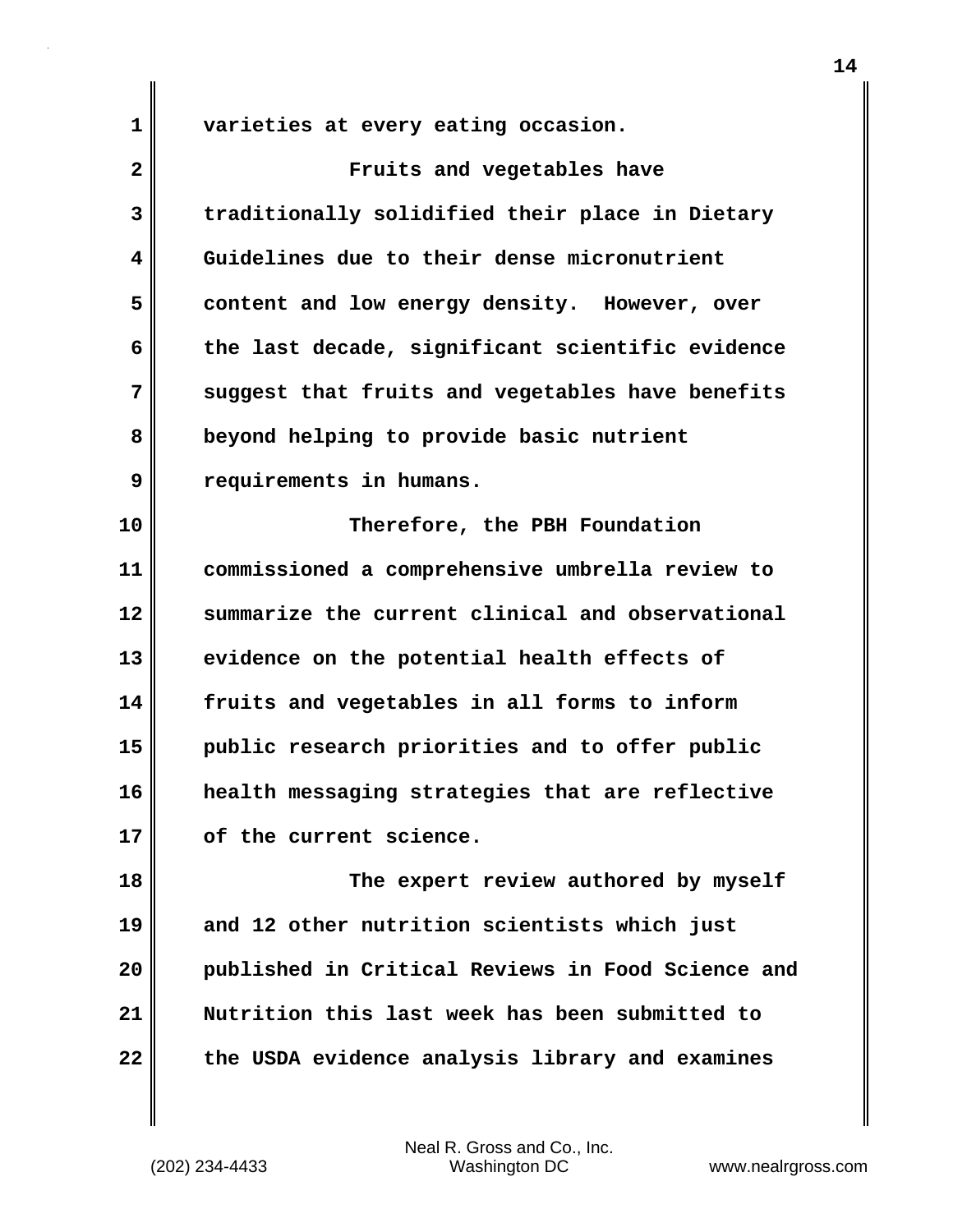**1 varieties at every eating occasion.**

| $\overline{\mathbf{2}}$ | Fruits and vegetables have                        |
|-------------------------|---------------------------------------------------|
| 3                       | traditionally solidified their place in Dietary   |
| 4                       | Guidelines due to their dense micronutrient       |
| 5                       | content and low energy density. However, over     |
| 6                       | the last decade, significant scientific evidence  |
| 7                       | suggest that fruits and vegetables have benefits  |
| 8                       | beyond helping to provide basic nutrient          |
| 9                       | requirements in humans.                           |
| 10                      | Therefore, the PBH Foundation                     |
| 11                      | commissioned a comprehensive umbrella review to   |
| 12                      | summarize the current clinical and observational  |
| 13                      | evidence on the potential health effects of       |
| 14                      | fruits and vegetables in all forms to inform      |
| 15                      | public research priorities and to offer public    |
| 16                      | health messaging strategies that are reflective   |
| 17                      | of the current science.                           |
| 18                      | The expert review authored by myself              |
| 19                      | and 12 other nutrition scientists which just      |
| 20                      | published in Critical Reviews in Food Science and |
| 21                      | Nutrition this last week has been submitted to    |
| 22                      | the USDA evidence analysis library and examines   |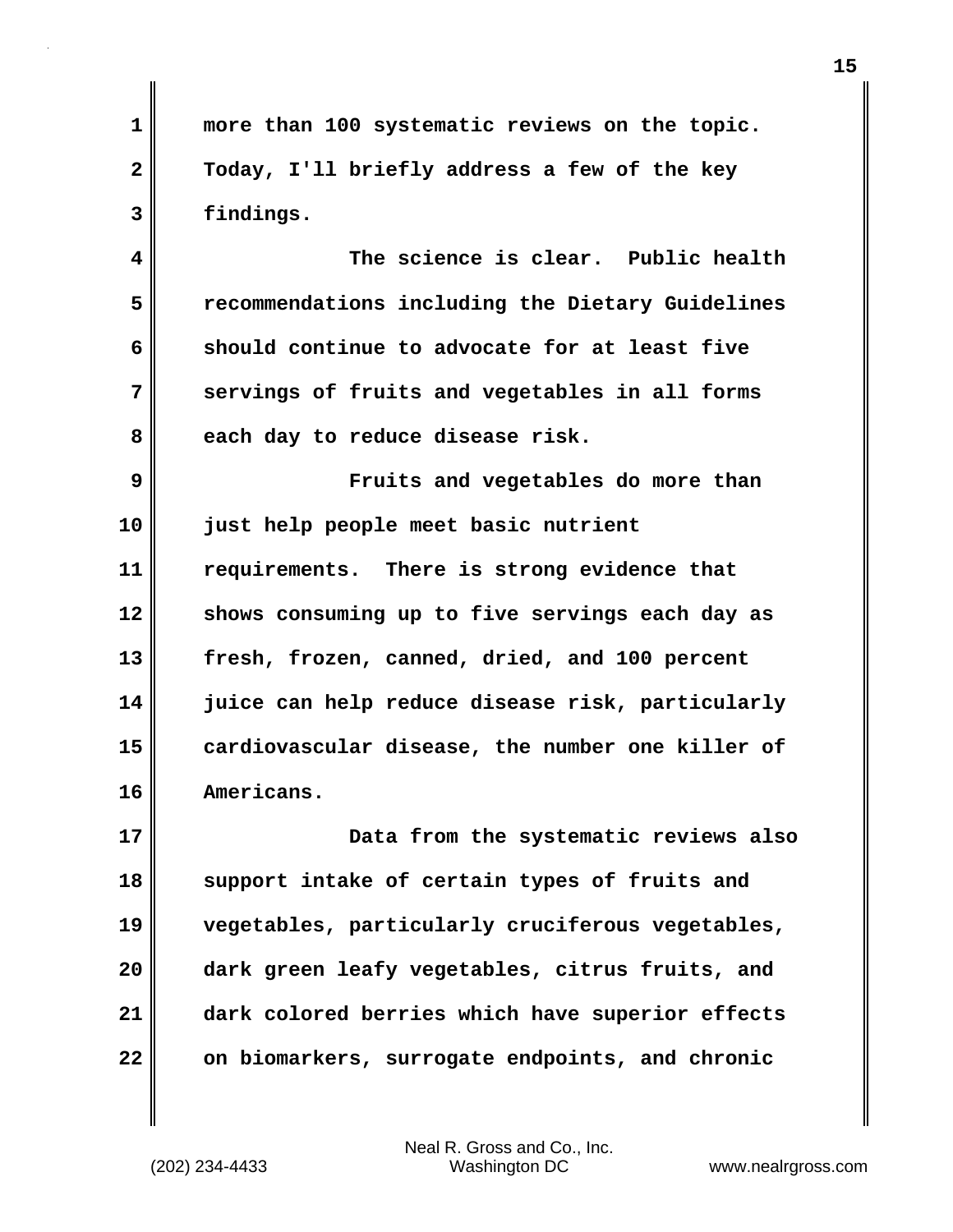**1 more than 100 systematic reviews on the topic. 2 Today, I'll briefly address a few of the key 3 findings.**

**4 The science is clear. Public health 5 recommendations including the Dietary Guidelines 6 should continue to advocate for at least five 7 servings of fruits and vegetables in all forms** 8 each day to reduce disease risk.

**9 Fruits and vegetables do more than 10 just help people meet basic nutrient 11 requirements. There is strong evidence that 12 shows consuming up to five servings each day as 13 fresh, frozen, canned, dried, and 100 percent 14 juice can help reduce disease risk, particularly 15 cardiovascular disease, the number one killer of 16 Americans.**

**17 Data from the systematic reviews also 18 support intake of certain types of fruits and 19 vegetables, particularly cruciferous vegetables, 20 dark green leafy vegetables, citrus fruits, and 21 dark colored berries which have superior effects 22 on biomarkers, surrogate endpoints, and chronic**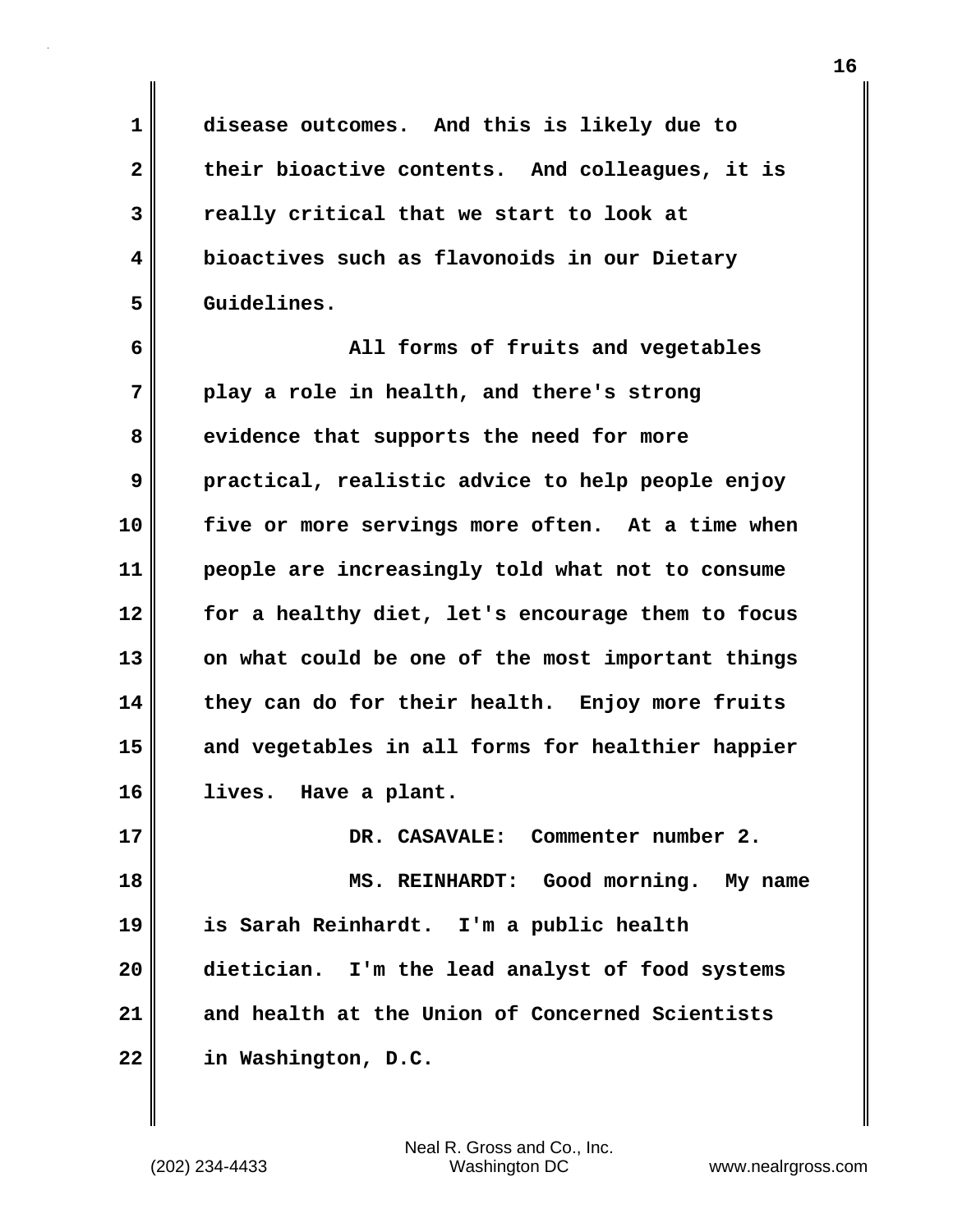**1 disease outcomes. And this is likely due to 2 their bioactive contents. And colleagues, it is 3 really critical that we start to look at 4 bioactives such as flavonoids in our Dietary 5 Guidelines.**

**6 All forms of fruits and vegetables 7 play a role in health, and there's strong 8 evidence that supports the need for more 9 practical, realistic advice to help people enjoy 10 five or more servings more often. At a time when 11 people are increasingly told what not to consume 12 for a healthy diet, let's encourage them to focus 13 on what could be one of the most important things 14 they can do for their health. Enjoy more fruits 15 and vegetables in all forms for healthier happier 16 lives. Have a plant.**

**17 DR. CASAVALE: Commenter number 2. 18 MS. REINHARDT: Good morning. My name 19 is Sarah Reinhardt. I'm a public health 20 dietician. I'm the lead analyst of food systems 21 and health at the Union of Concerned Scientists 22 in Washington, D.C.**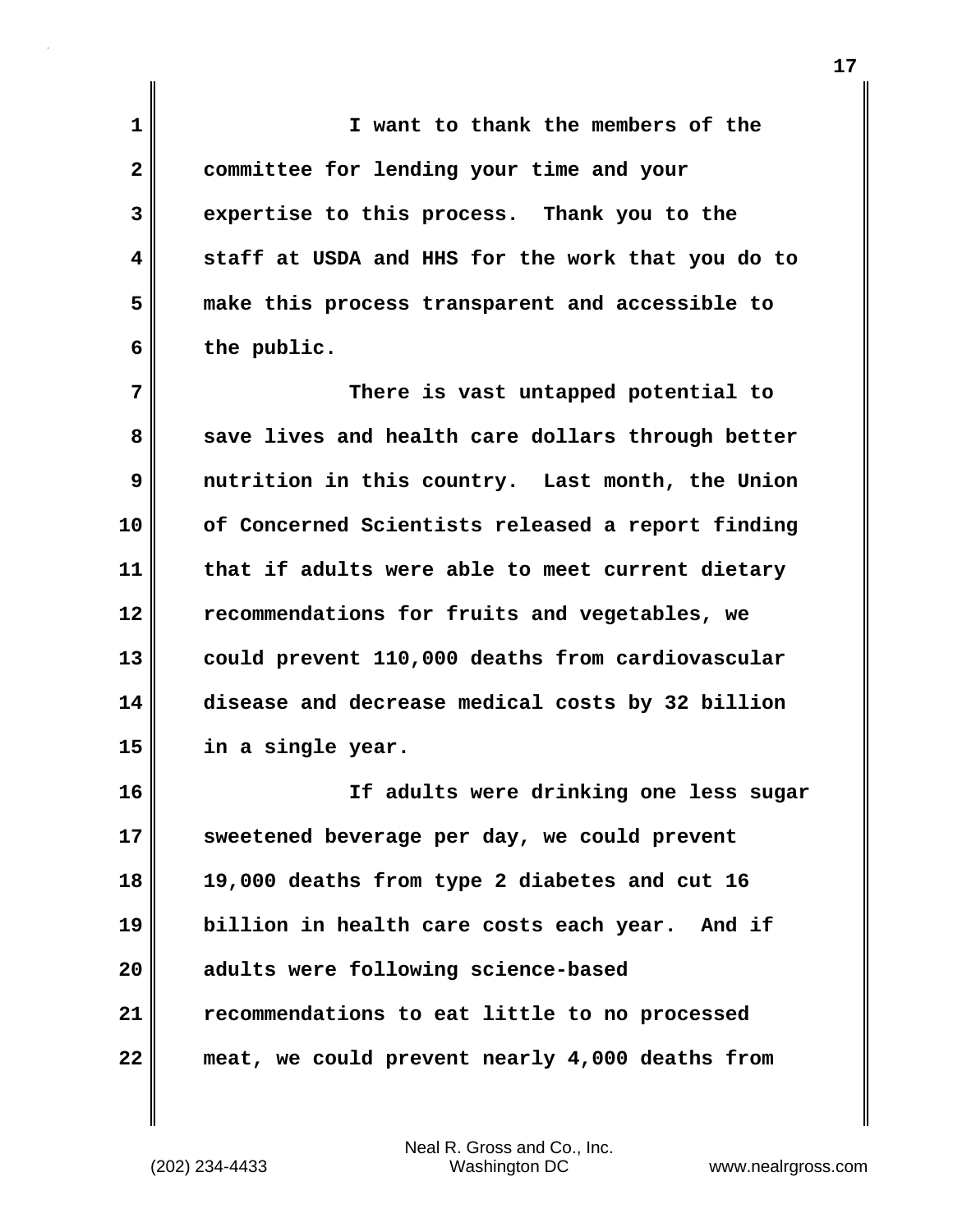**1 I want to thank the members of the 2 committee for lending your time and your 3 expertise to this process. Thank you to the 4 staff at USDA and HHS for the work that you do to 5 make this process transparent and accessible to 6 the public. 7 There is vast untapped potential to** 8 save lives and health care dollars through better **9 nutrition in this country. Last month, the Union 10 of Concerned Scientists released a report finding 11 that if adults were able to meet current dietary 12 recommendations for fruits and vegetables, we 13 could prevent 110,000 deaths from cardiovascular**

**14 disease and decrease medical costs by 32 billion 15 in a single year.**

**16 If adults were drinking one less sugar 17 sweetened beverage per day, we could prevent 18 19,000 deaths from type 2 diabetes and cut 16 19 billion in health care costs each year. And if 20 adults were following science-based 21 recommendations to eat little to no processed 22 meat, we could prevent nearly 4,000 deaths from**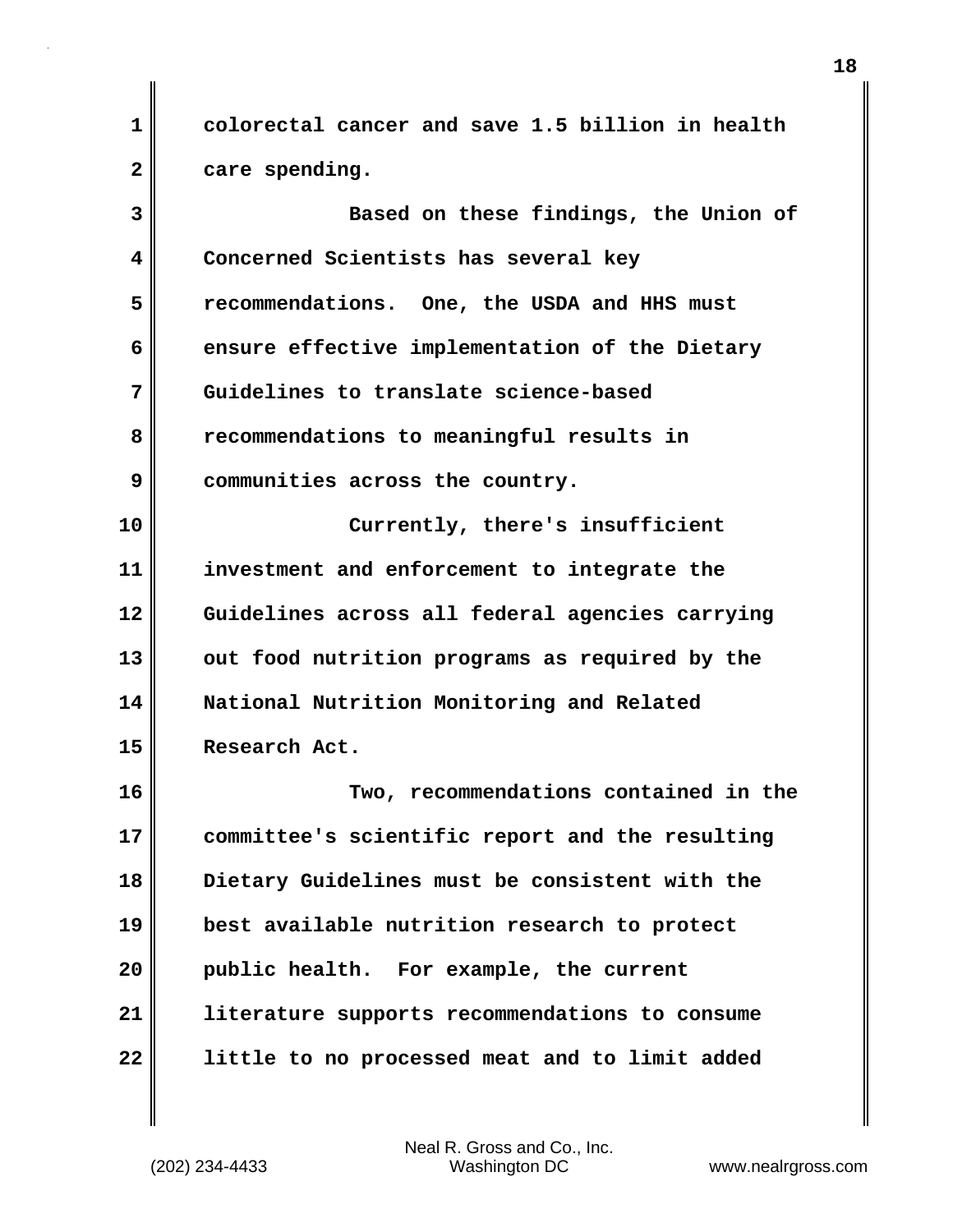**1 colorectal cancer and save 1.5 billion in health 2 care spending.**

**3 Based on these findings, the Union of 4 Concerned Scientists has several key 5 recommendations. One, the USDA and HHS must 6 ensure effective implementation of the Dietary 7 Guidelines to translate science-based 8 recommendations to meaningful results in 9 communities across the country. 10 Currently, there's insufficient 11 investment and enforcement to integrate the 12 Guidelines across all federal agencies carrying** 13 out food nutrition programs as required by the **14 National Nutrition Monitoring and Related 15 Research Act. 16 Two, recommendations contained in the 17 committee's scientific report and the resulting 18 Dietary Guidelines must be consistent with the 19 best available nutrition research to protect**

**21 literature supports recommendations to consume 22 little to no processed meat and to limit added**

**20 public health. For example, the current**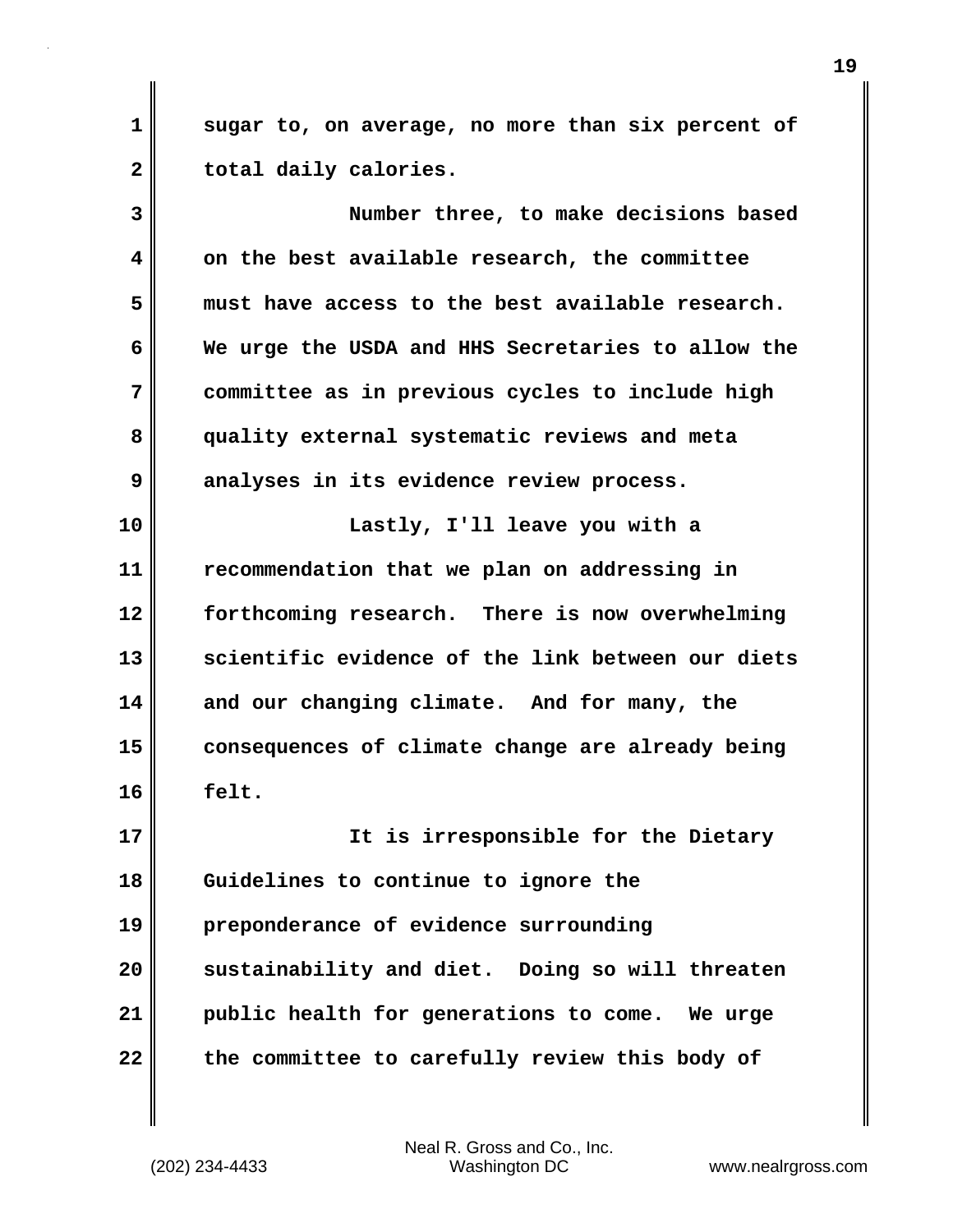**1 sugar to, on average, no more than six percent of** 2 total daily calories.

**3 Number three, to make decisions based 4 on the best available research, the committee 5 must have access to the best available research. 6 We urge the USDA and HHS Secretaries to allow the 7 committee as in previous cycles to include high 8 quality external systematic reviews and meta 9 analyses in its evidence review process. 10 Lastly, I'll leave you with a 11 recommendation that we plan on addressing in 12 forthcoming research. There is now overwhelming 13 scientific evidence of the link between our diets 14 and our changing climate. And for many, the 15 consequences of climate change are already being 16 felt. 17 It is irresponsible for the Dietary 18 Guidelines to continue to ignore the 19 preponderance of evidence surrounding 20 sustainability and diet. Doing so will threaten 21 public health for generations to come. We urge**

**22 the committee to carefully review this body of**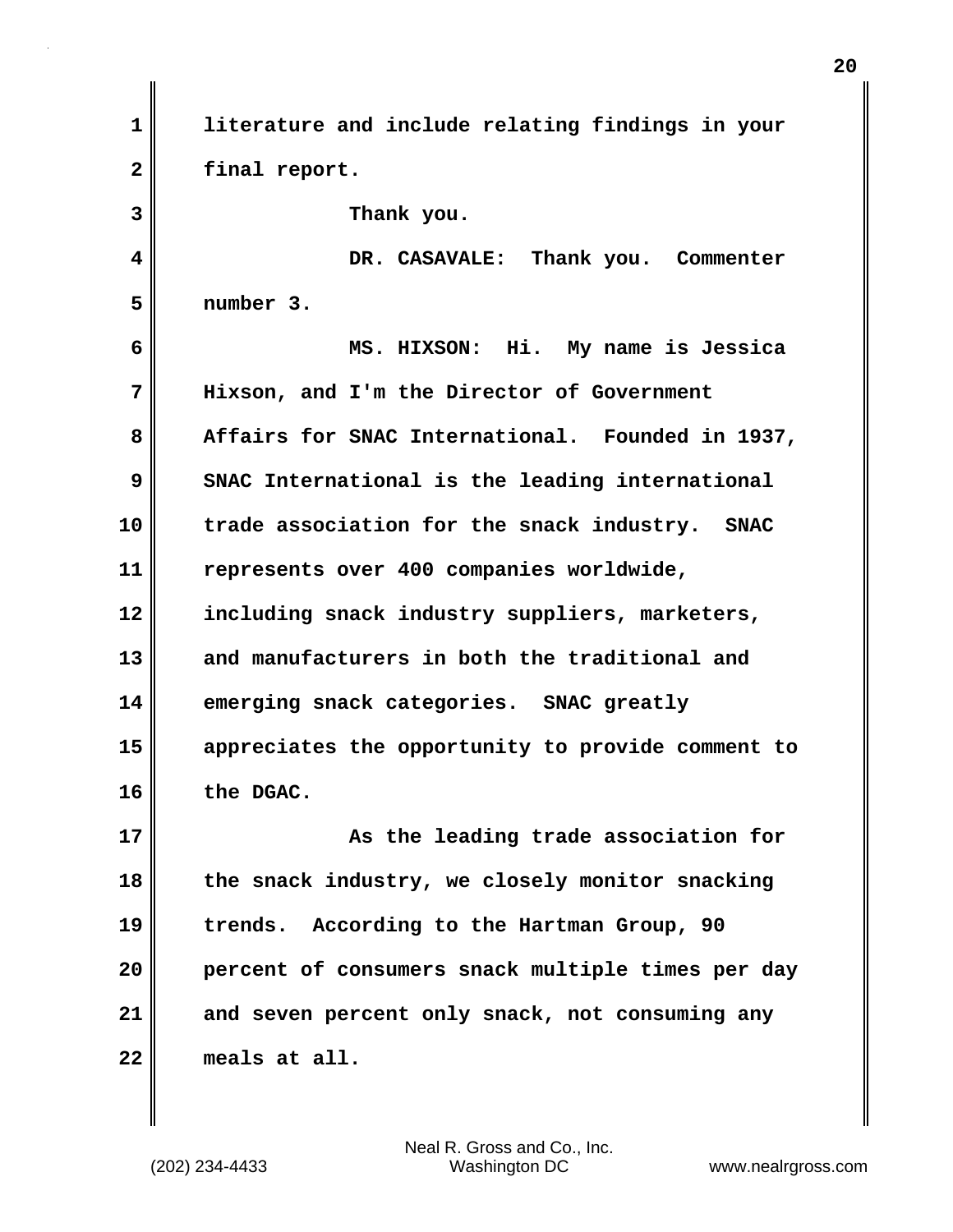**1 literature and include relating findings in your 2 final report. 3 Thank you. 4 DR. CASAVALE: Thank you. Commenter 5 number 3. 6 MS. HIXSON: Hi. My name is Jessica 7 Hixson, and I'm the Director of Government 8 Affairs for SNAC International. Founded in 1937, 9** SNAC International is the leading international

**10 trade association for the snack industry. SNAC 11 represents over 400 companies worldwide, 12 including snack industry suppliers, marketers, 13 and manufacturers in both the traditional and 14 emerging snack categories. SNAC greatly 15 appreciates the opportunity to provide comment to 16 the DGAC.**

**17 As the leading trade association for 18 the snack industry, we closely monitor snacking 19 trends. According to the Hartman Group, 90 20 percent of consumers snack multiple times per day 21 and seven percent only snack, not consuming any 22 meals at all.**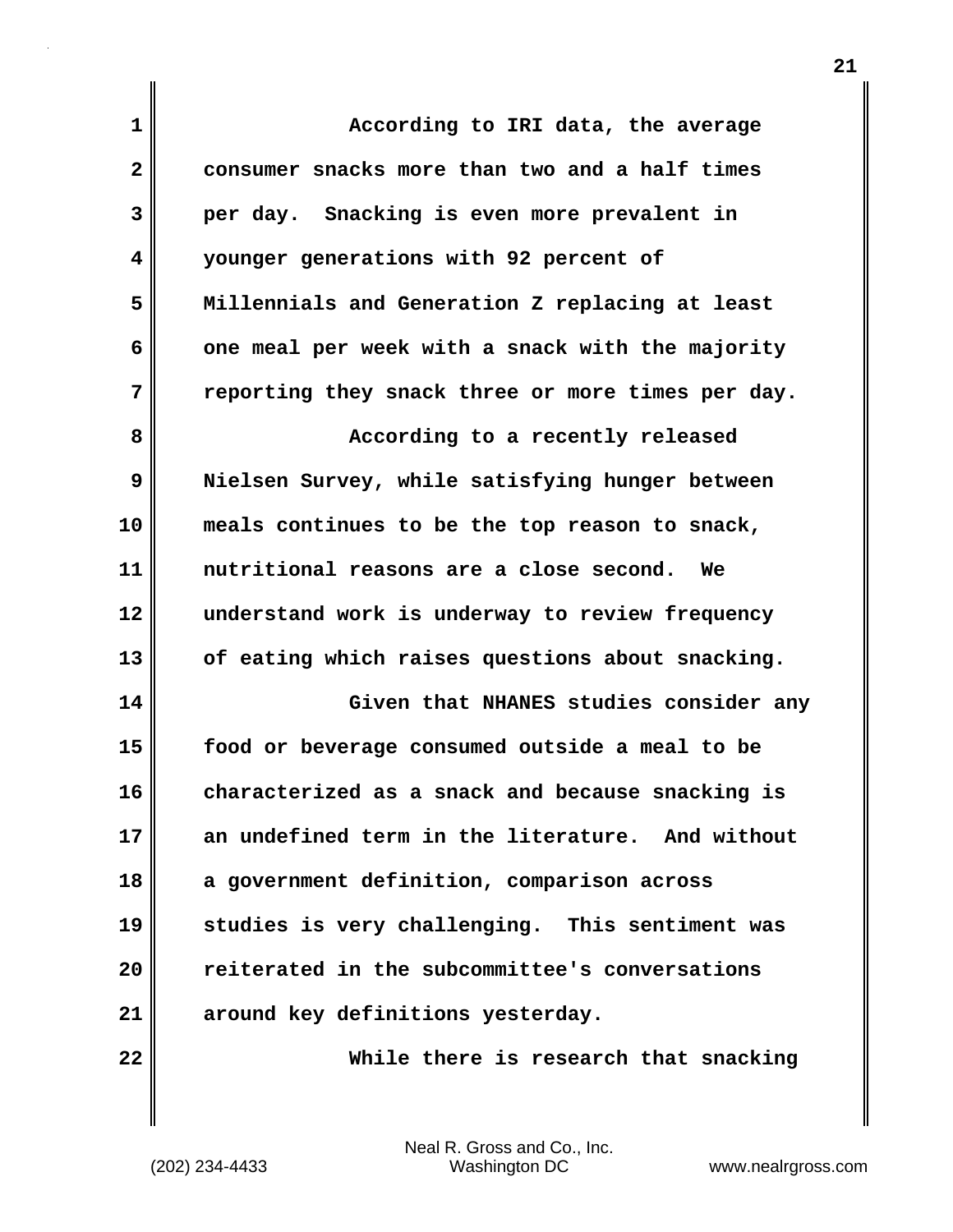| 1  | According to IRI data, the average                   |
|----|------------------------------------------------------|
| 2  | consumer snacks more than two and a half times       |
| 3  | per day. Snacking is even more prevalent in          |
| 4  | younger generations with 92 percent of               |
| 5  | Millennials and Generation Z replacing at least      |
| 6  | one meal per week with a snack with the majority     |
| 7  | reporting they snack three or more times per day.    |
| 8  | According to a recently released                     |
| 9  | Nielsen Survey, while satisfying hunger between      |
| 10 | meals continues to be the top reason to snack,       |
| 11 | nutritional reasons are a close second.<br><b>We</b> |
| 12 | understand work is underway to review frequency      |
| 13 | of eating which raises questions about snacking.     |
| 14 | Given that NHANES studies consider any               |
| 15 | food or beverage consumed outside a meal to be       |
| 16 | characterized as a snack and because snacking is     |
| 17 | an undefined term in the literature. And without     |
| 18 | a government definition, comparison across           |
| 19 | studies is very challenging. This sentiment was      |
| 20 | reiterated in the subcommittee's conversations       |
| 21 | around key definitions yesterday.                    |
| 22 | While there is research that snacking                |

(202) 234-4433 Washington DC www.nealrgross.com Neal R. Gross and Co., Inc.

 $\mathbf{I}$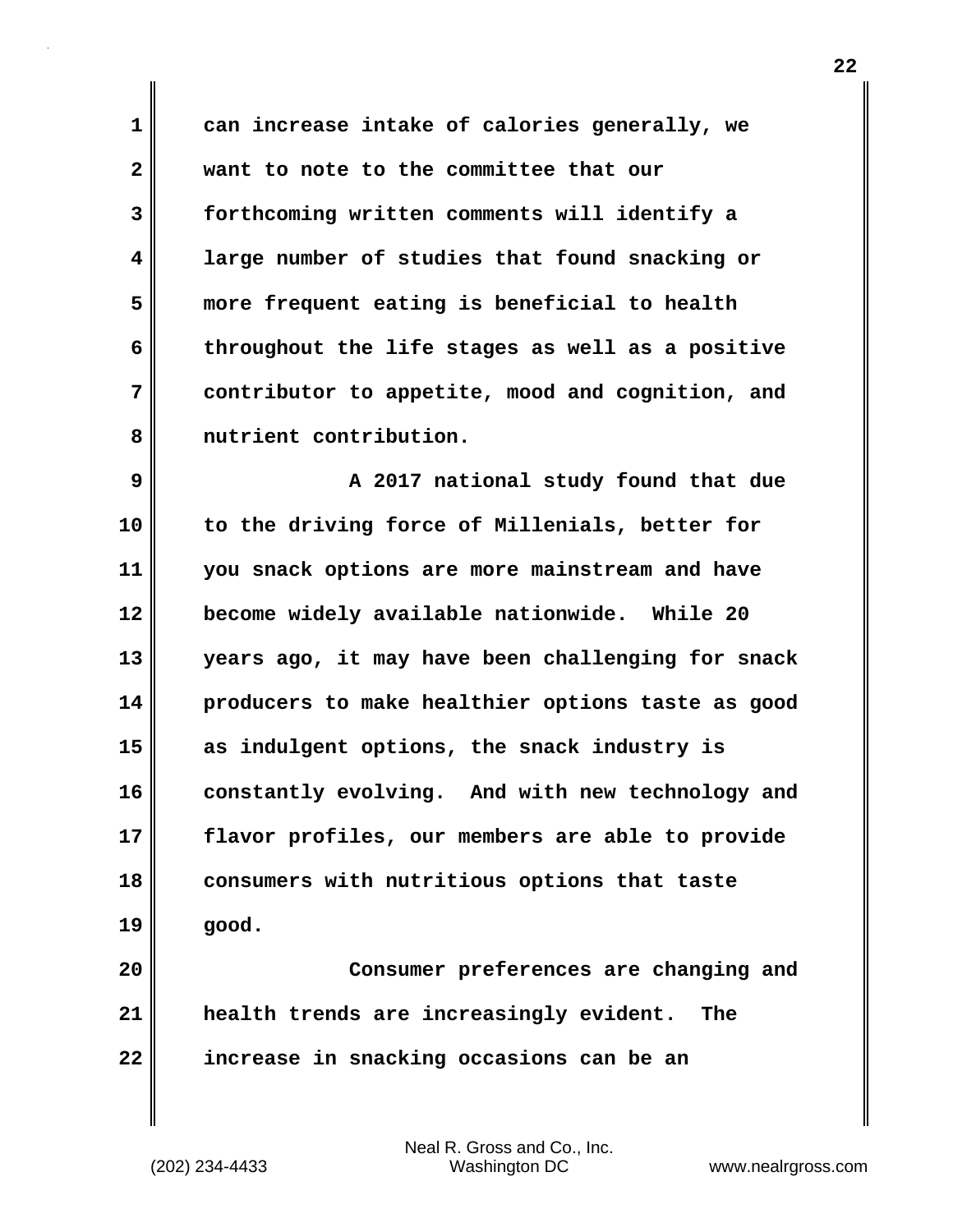**1 can increase intake of calories generally, we 2 want to note to the committee that our 3 forthcoming written comments will identify a 4 large number of studies that found snacking or 5 more frequent eating is beneficial to health 6 throughout the life stages as well as a positive 7 contributor to appetite, mood and cognition, and 8 nutrient contribution.**

**9 A 2017 national study found that due 10 to the driving force of Millenials, better for 11 you snack options are more mainstream and have 12 become widely available nationwide. While 20 13 years ago, it may have been challenging for snack 14 producers to make healthier options taste as good 15 as indulgent options, the snack industry is** 16 constantly evolving. And with new technology and **17 flavor profiles, our members are able to provide 18 consumers with nutritious options that taste 19 good.**

**20 Consumer preferences are changing and 21 health trends are increasingly evident. The 22 increase in snacking occasions can be an**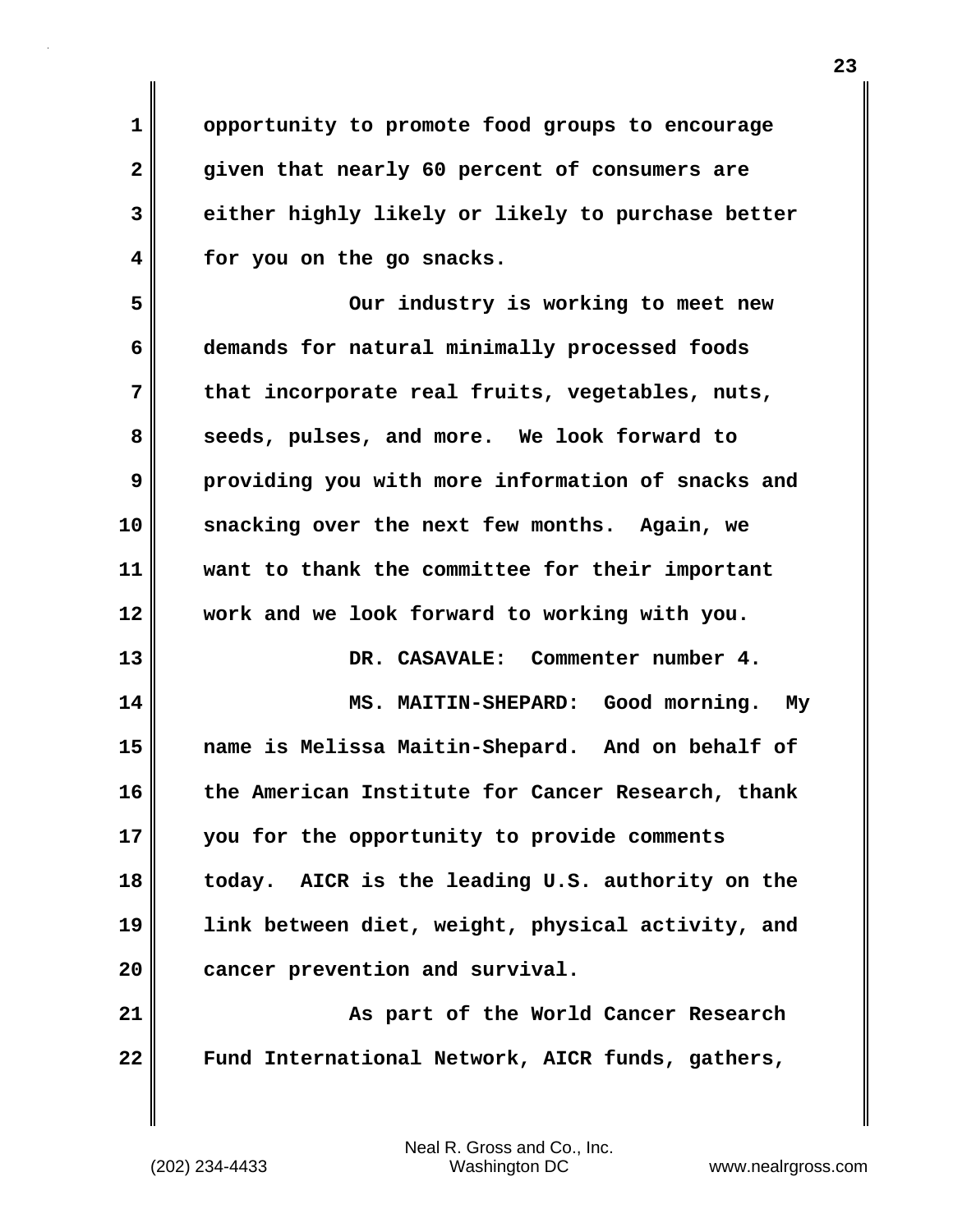**1 opportunity to promote food groups to encourage 2 given that nearly 60 percent of consumers are 3 either highly likely or likely to purchase better 4 for you on the go snacks.**

**5 Our industry is working to meet new 6 demands for natural minimally processed foods 7 that incorporate real fruits, vegetables, nuts, 8 seeds, pulses, and more. We look forward to 9 providing you with more information of snacks and 10 snacking over the next few months. Again, we 11 want to thank the committee for their important 12 work and we look forward to working with you. 13 DR. CASAVALE: Commenter number 4.**

**14 MS. MAITIN-SHEPARD: Good morning. My 15 name is Melissa Maitin-Shepard. And on behalf of 16 the American Institute for Cancer Research, thank 17 you for the opportunity to provide comments 18 today. AICR is the leading U.S. authority on the 19 link between diet, weight, physical activity, and 20 cancer prevention and survival.**

**21 As part of the World Cancer Research 22 Fund International Network, AICR funds, gathers,**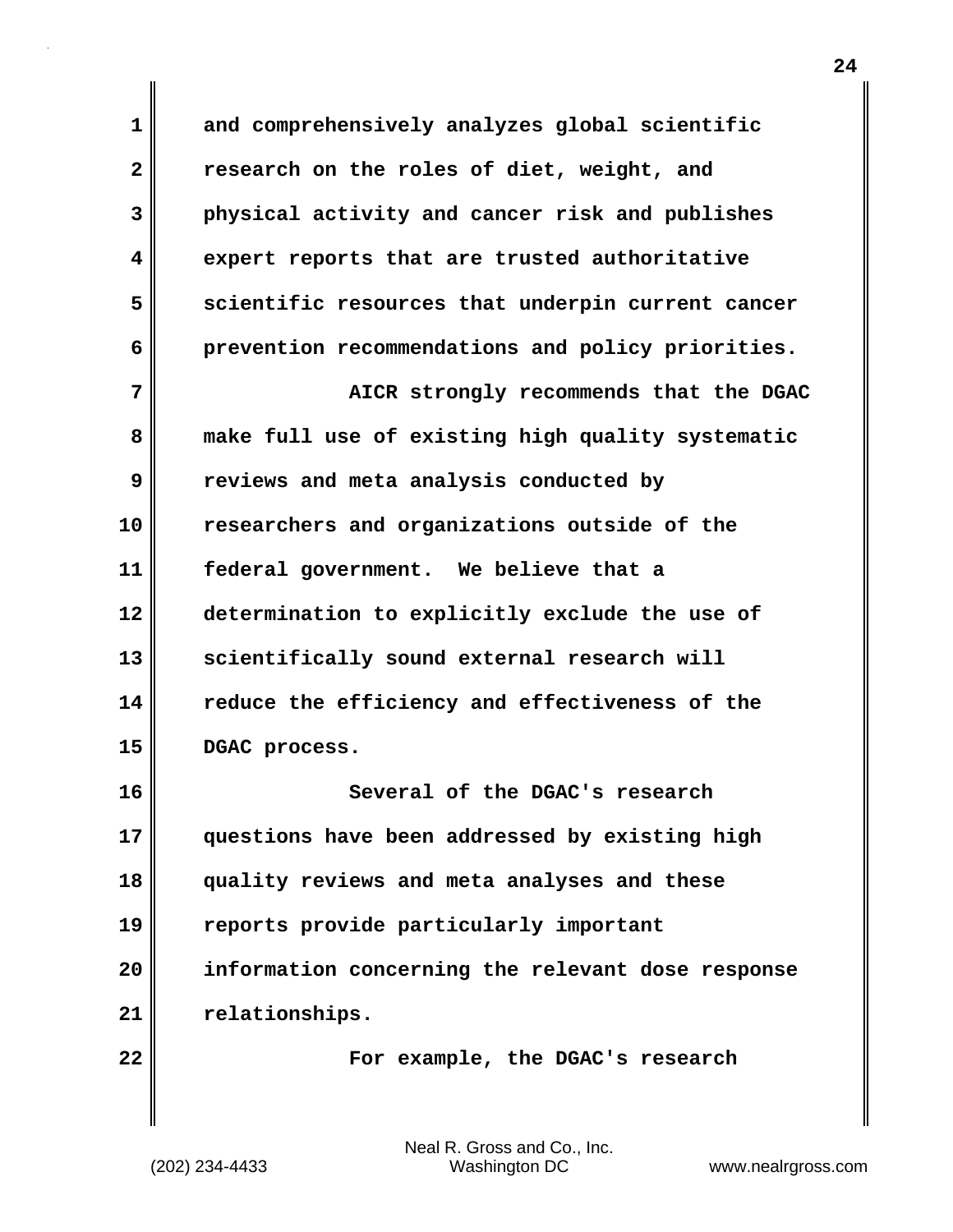**1 and comprehensively analyzes global scientific 2 research on the roles of diet, weight, and 3 physical activity and cancer risk and publishes 4 expert reports that are trusted authoritative 5 scientific resources that underpin current cancer 6 prevention recommendations and policy priorities. 7 AICR** strongly recommends that the DGAC **8 make full use of existing high quality systematic 9 reviews and meta analysis conducted by 10 researchers and organizations outside of the 11 federal government. We believe that a 12 determination to explicitly exclude the use of** 13 scientifically sound external research will **14 reduce the efficiency and effectiveness of the 15 DGAC process. 16 Several of the DGAC's research 17 questions have been addressed by existing high 18 quality reviews and meta analyses and these 19 reports provide particularly important 20 information concerning the relevant dose response 21 relationships. 22 For example, the DGAC's research**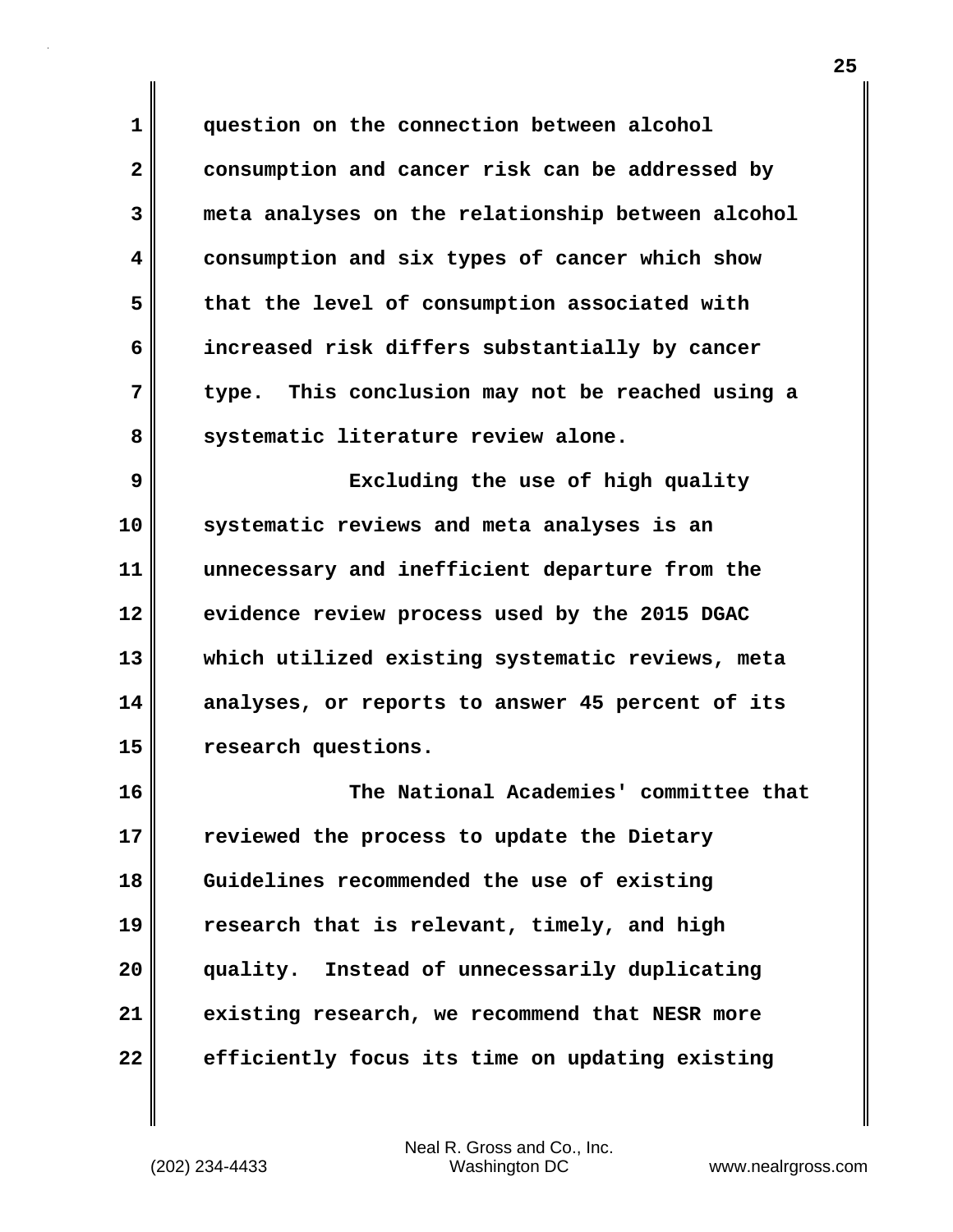**1 question on the connection between alcohol 2 consumption and cancer risk can be addressed by 3 meta analyses on the relationship between alcohol 4 consumption and six types of cancer which show 5 that the level of consumption associated with 6 increased risk differs substantially by cancer 7 type. This conclusion may not be reached using a** 8 systematic literature review alone.

**9 Excluding the use of high quality 10 systematic reviews and meta analyses is an 11 unnecessary and inefficient departure from the 12 evidence review process used by the 2015 DGAC 13 which utilized existing systematic reviews, meta 14 analyses, or reports to answer 45 percent of its 15 research questions.**

**16 The National Academies' committee that 17 reviewed the process to update the Dietary 18 Guidelines recommended the use of existing 19 research that is relevant, timely, and high 20 quality. Instead of unnecessarily duplicating 21 existing research, we recommend that NESR more 22 efficiently focus its time on updating existing**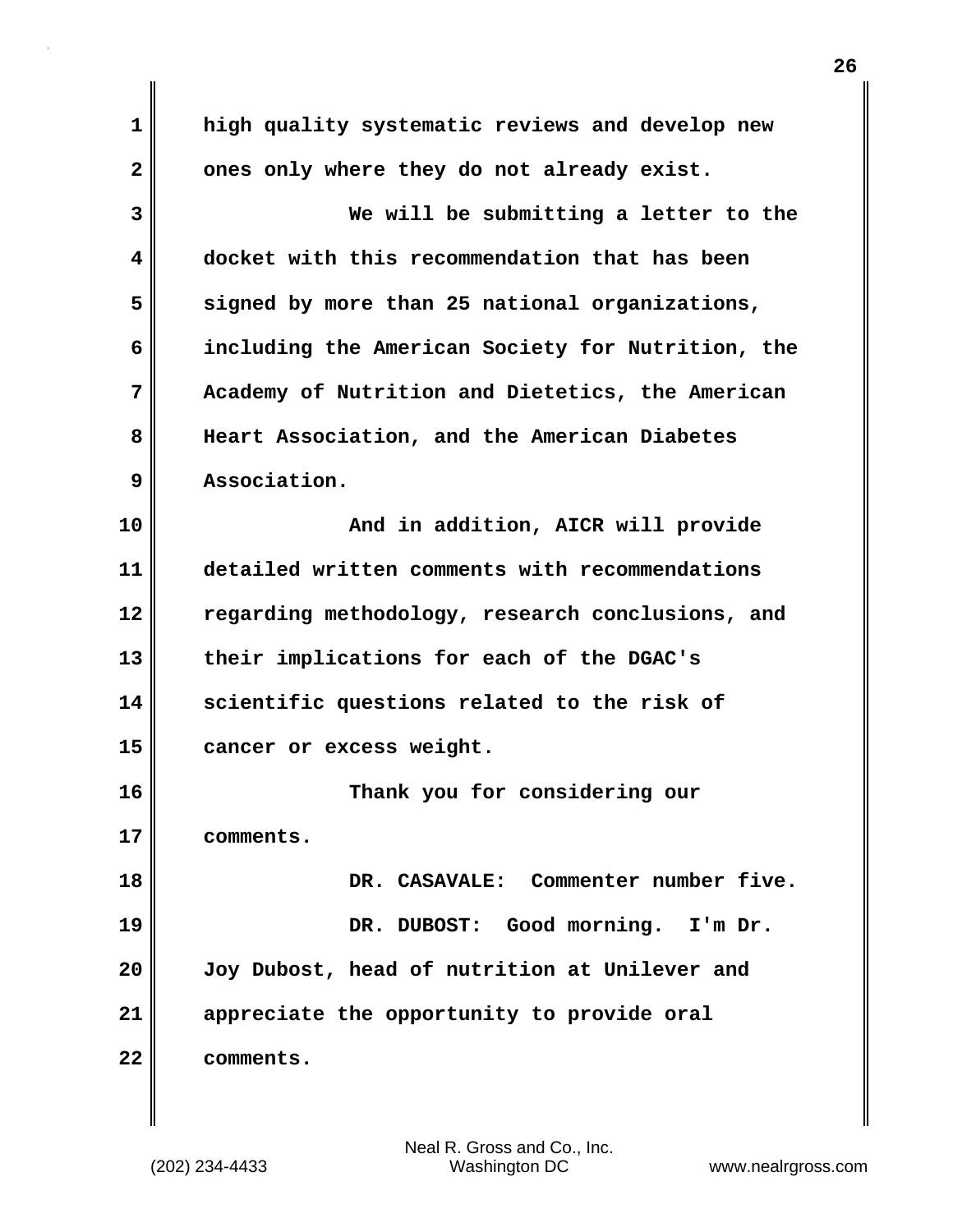**1 high quality systematic reviews and develop new** 2 ones only where they do not already exist. **3 We will be submitting a letter to the 4 docket with this recommendation that has been 5 signed by more than 25 national organizations, 6 including the American Society for Nutrition, the 7 Academy of Nutrition and Dietetics, the American 8 Heart Association, and the American Diabetes 9 Association. 10 And in addition, AICR will provide 11 detailed written comments with recommendations 12 regarding methodology, research conclusions, and 13 their implications for each of the DGAC's 14 scientific questions related to the risk of 15 cancer or excess weight. 16 Thank you for considering our 17 comments. 18 DR. CASAVALE: Commenter number five. 19 DR. DUBOST: Good morning. I'm Dr. 20 Joy Dubost, head of nutrition at Unilever and 21 appreciate the opportunity to provide oral 22 comments.**

**26**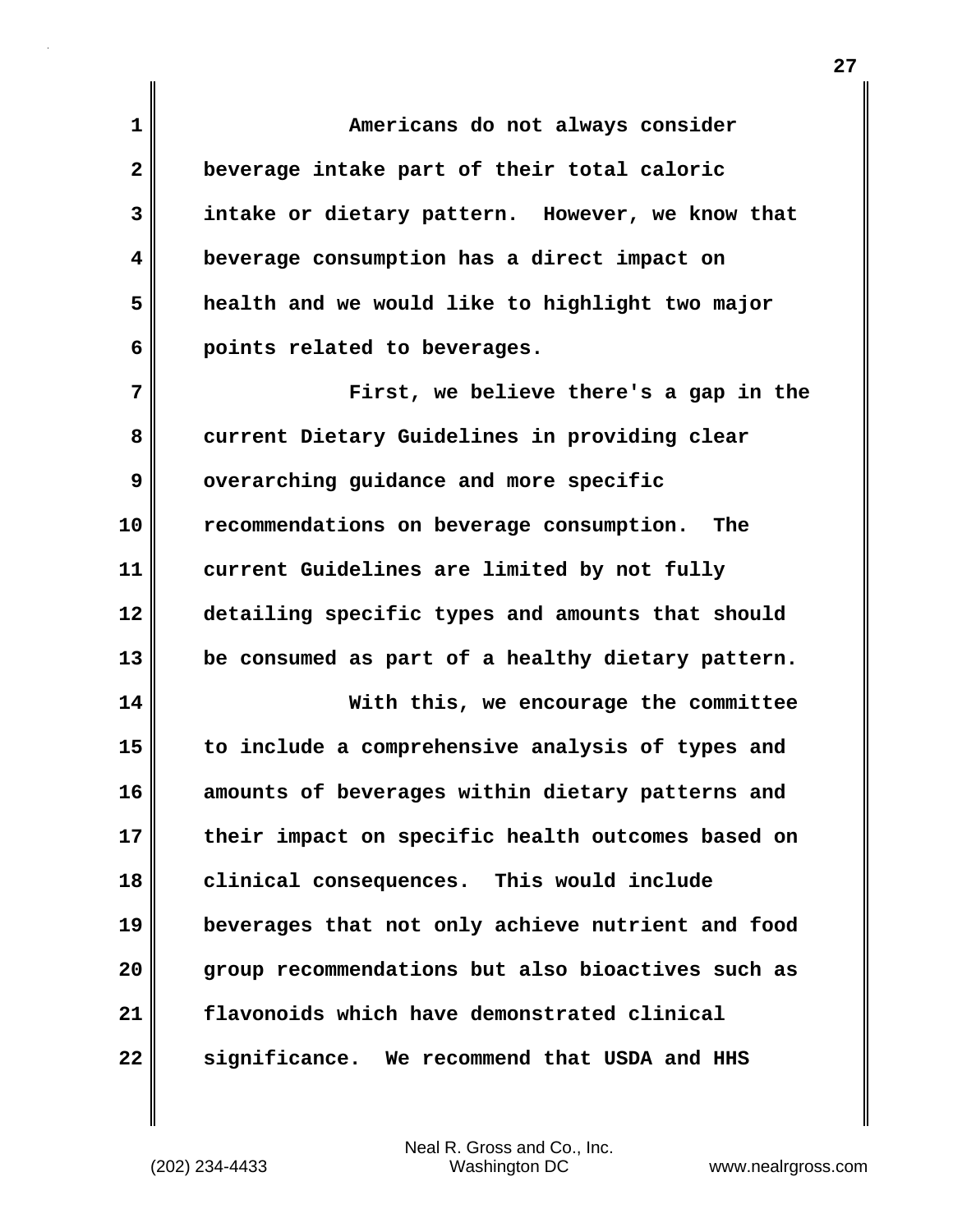**1 Americans do not always consider 2 beverage intake part of their total caloric 3 intake or dietary pattern. However, we know that 4 beverage consumption has a direct impact on 5 health and we would like to highlight two major 6 points related to beverages. 7 First, we believe there's a gap in the**

**8 current Dietary Guidelines in providing clear 9 overarching guidance and more specific 10 recommendations on beverage consumption. The 11 current Guidelines are limited by not fully 12 detailing specific types and amounts that should 13 be consumed as part of a healthy dietary pattern.**

**14 With this, we encourage the committee 15 to include a comprehensive analysis of types and 16 amounts of beverages within dietary patterns and 17 their impact on specific health outcomes based on 18 clinical consequences. This would include 19 beverages that not only achieve nutrient and food 20 group recommendations but also bioactives such as 21 flavonoids which have demonstrated clinical 22 significance. We recommend that USDA and HHS**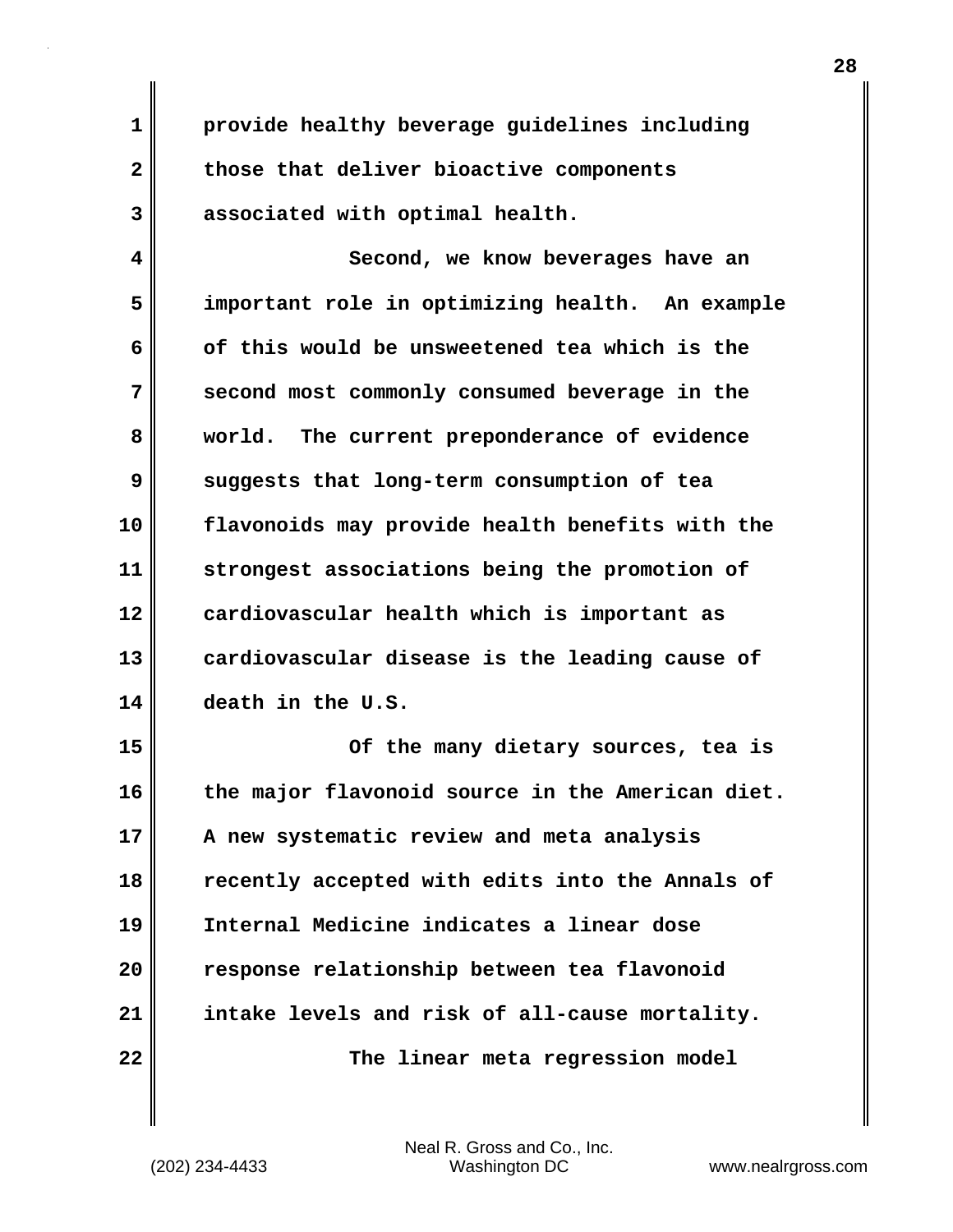**1 provide healthy beverage guidelines including 2 those that deliver bioactive components 3 associated with optimal health.**

**4 Second, we know beverages have an 5 important role in optimizing health. An example 6 of this would be unsweetened tea which is the 7 second most commonly consumed beverage in the 8 world. The current preponderance of evidence 9 suggests that long-term consumption of tea 10 flavonoids may provide health benefits with the 11 strongest associations being the promotion of 12 cardiovascular health which is important as 13 cardiovascular disease is the leading cause of 14 death in the U.S.**

**15 Of the many dietary sources, tea is 16 the major flavonoid source in the American diet. 17 A new systematic review and meta analysis 18 recently accepted with edits into the Annals of 19 Internal Medicine indicates a linear dose 20 response relationship between tea flavonoid 21 intake levels and risk of all-cause mortality. 22 The linear meta regression model**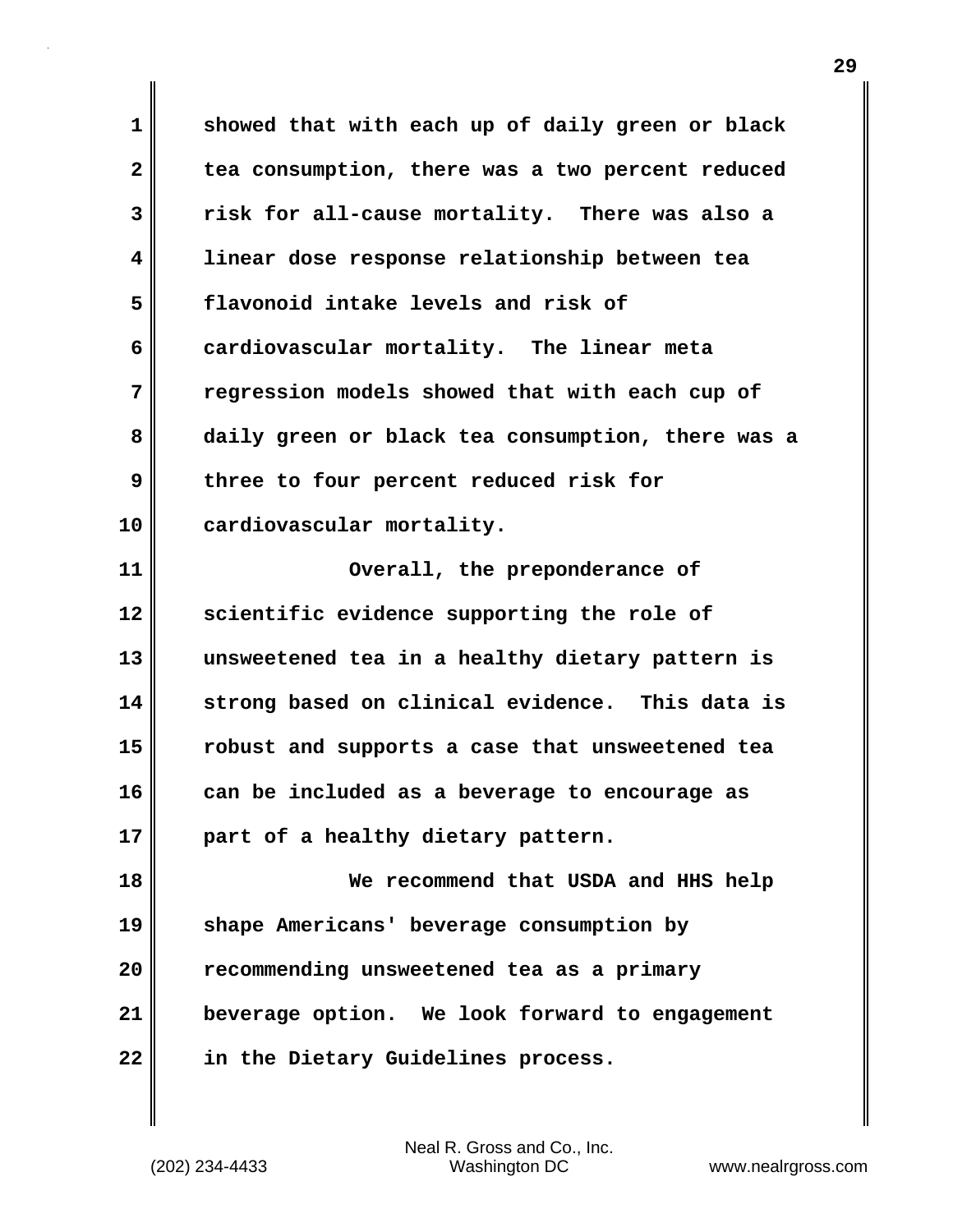**1 showed that with each up of daily green or black 2 tea consumption, there was a two percent reduced 3 risk for all-cause mortality. There was also a 4 linear dose response relationship between tea 5 flavonoid intake levels and risk of 6 cardiovascular mortality. The linear meta 7 regression models showed that with each cup of 8 daily green or black tea consumption, there was a 9** three to four percent reduced risk for **10 cardiovascular mortality. 11 Overall, the preponderance of 12 scientific evidence supporting the role of 13 unsweetened tea in a healthy dietary pattern is 14 strong based on clinical evidence. This data is 15 robust and supports a case that unsweetened tea 16 can be included as a beverage to encourage as 17 part of a healthy dietary pattern. 18 We recommend that USDA and HHS help 19 shape Americans' beverage consumption by 20 recommending unsweetened tea as a primary 21 beverage option. We look forward to engagement 22 in the Dietary Guidelines process.**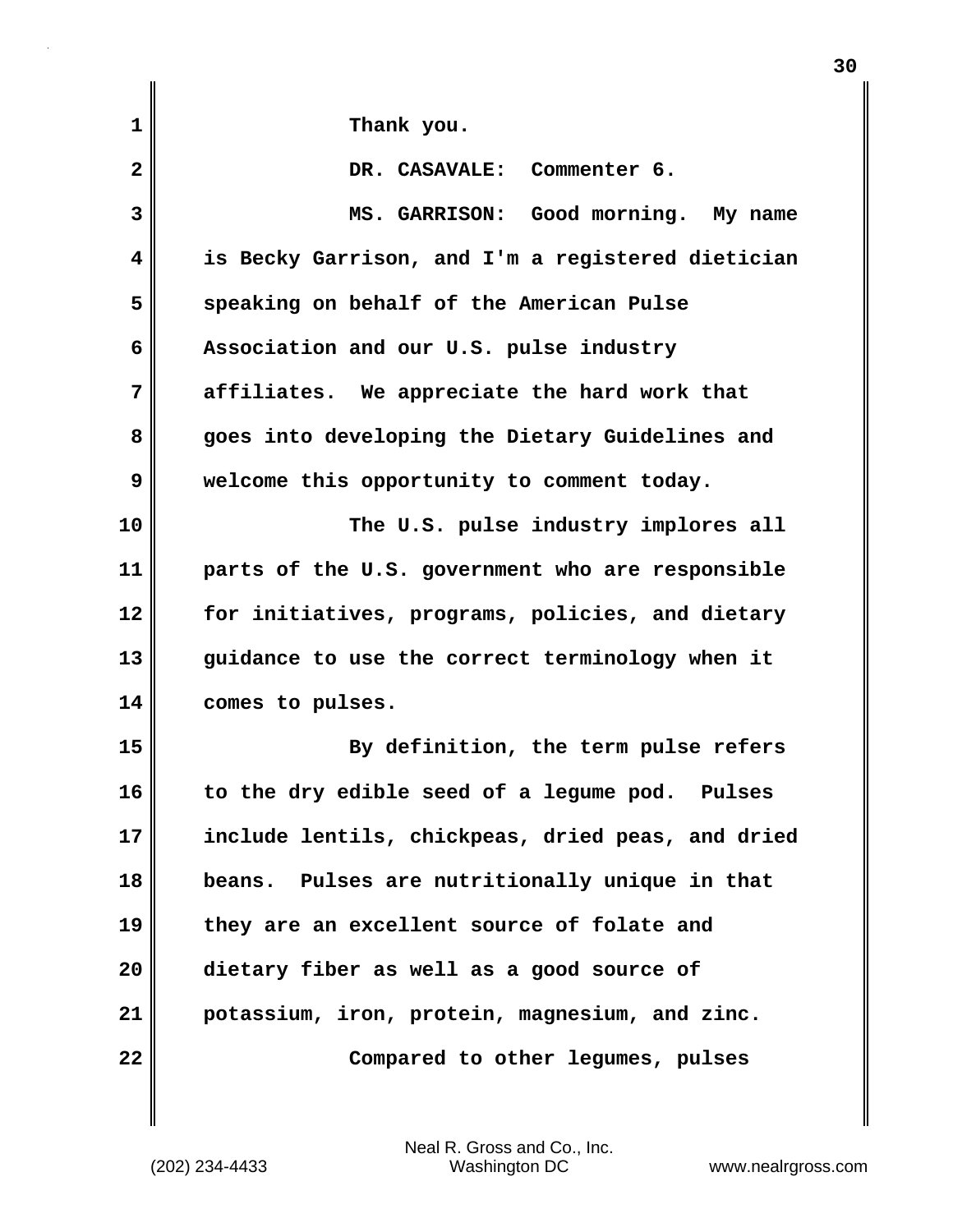| $\mathbf{1}$ | Thank you.                                        |
|--------------|---------------------------------------------------|
| $\mathbf{2}$ | DR. CASAVALE: Commenter 6.                        |
| 3            | MS. GARRISON: Good morning. My name               |
| 4            | is Becky Garrison, and I'm a registered dietician |
| 5            | speaking on behalf of the American Pulse          |
| 6            | Association and our U.S. pulse industry           |
| 7            | affiliates. We appreciate the hard work that      |
| 8            | goes into developing the Dietary Guidelines and   |
| 9            | welcome this opportunity to comment today.        |
| 10           | The U.S. pulse industry implores all              |
| 11           | parts of the U.S. government who are responsible  |
| 12           | for initiatives, programs, policies, and dietary  |
| 13           | guidance to use the correct terminology when it   |
| 14           | comes to pulses.                                  |
| 15           | By definition, the term pulse refers              |
| 16           | to the dry edible seed of a legume pod. Pulses    |
| 17           | include lentils, chickpeas, dried peas, and dried |
| 18           | Pulses are nutritionally unique in that<br>beans. |
| 19           | they are an excellent source of folate and        |
| 20           | dietary fiber as well as a good source of         |
| 21           | potassium, iron, protein, magnesium, and zinc.    |
| 22           | Compared to other legumes, pulses                 |

**30**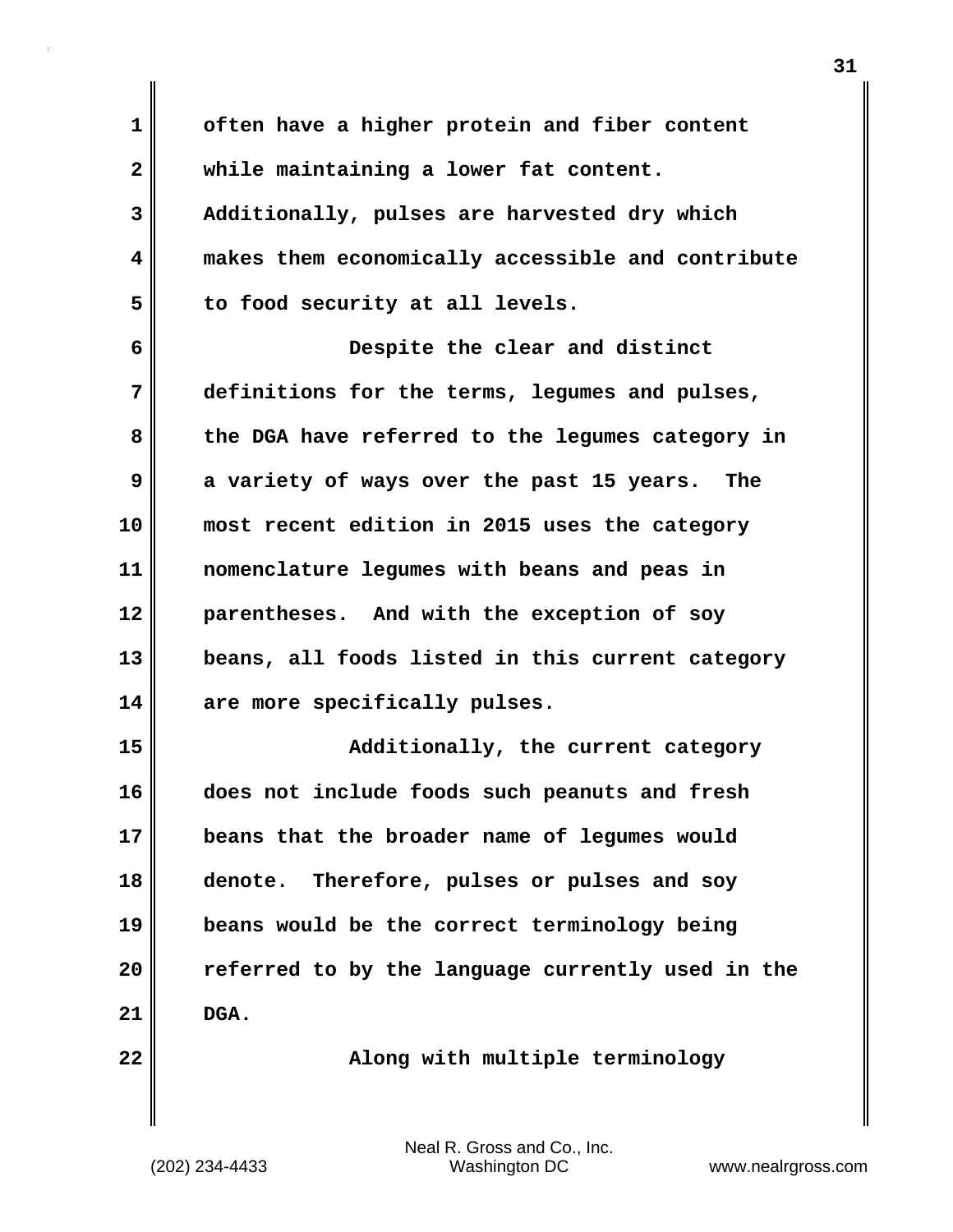| 1            | often have a higher protein and fiber content     |
|--------------|---------------------------------------------------|
| $\mathbf{2}$ | while maintaining a lower fat content.            |
| 3            | Additionally, pulses are harvested dry which      |
| 4            | makes them economically accessible and contribute |
| 5            | to food security at all levels.                   |
| 6            | Despite the clear and distinct                    |
| 7            | definitions for the terms, legumes and pulses,    |
| 8            | the DGA have referred to the legumes category in  |
| 9            | a variety of ways over the past 15 years. The     |
| 10           | most recent edition in 2015 uses the category     |
| 11           | nomenclature legumes with beans and peas in       |
| 12           | parentheses. And with the exception of soy        |
| 13           | beans, all foods listed in this current category  |
| 14           | are more specifically pulses.                     |
| 15           | Additionally, the current category                |
| 16           | does not include foods such peanuts and fresh     |
| 17           | beans that the broader name of legumes would      |
| 18           | denote. Therefore, pulses or pulses and soy       |
| 19           | beans would be the correct terminology being      |
| 20           | referred to by the language currently used in the |
| 21           | DGA.                                              |
| 22           | Along with multiple terminology                   |
|              |                                                   |

(202) 234-4433 Washington DC www.nealrgross.com Neal R. Gross and Co., Inc.

 $\mathbf{I}$ 

**31**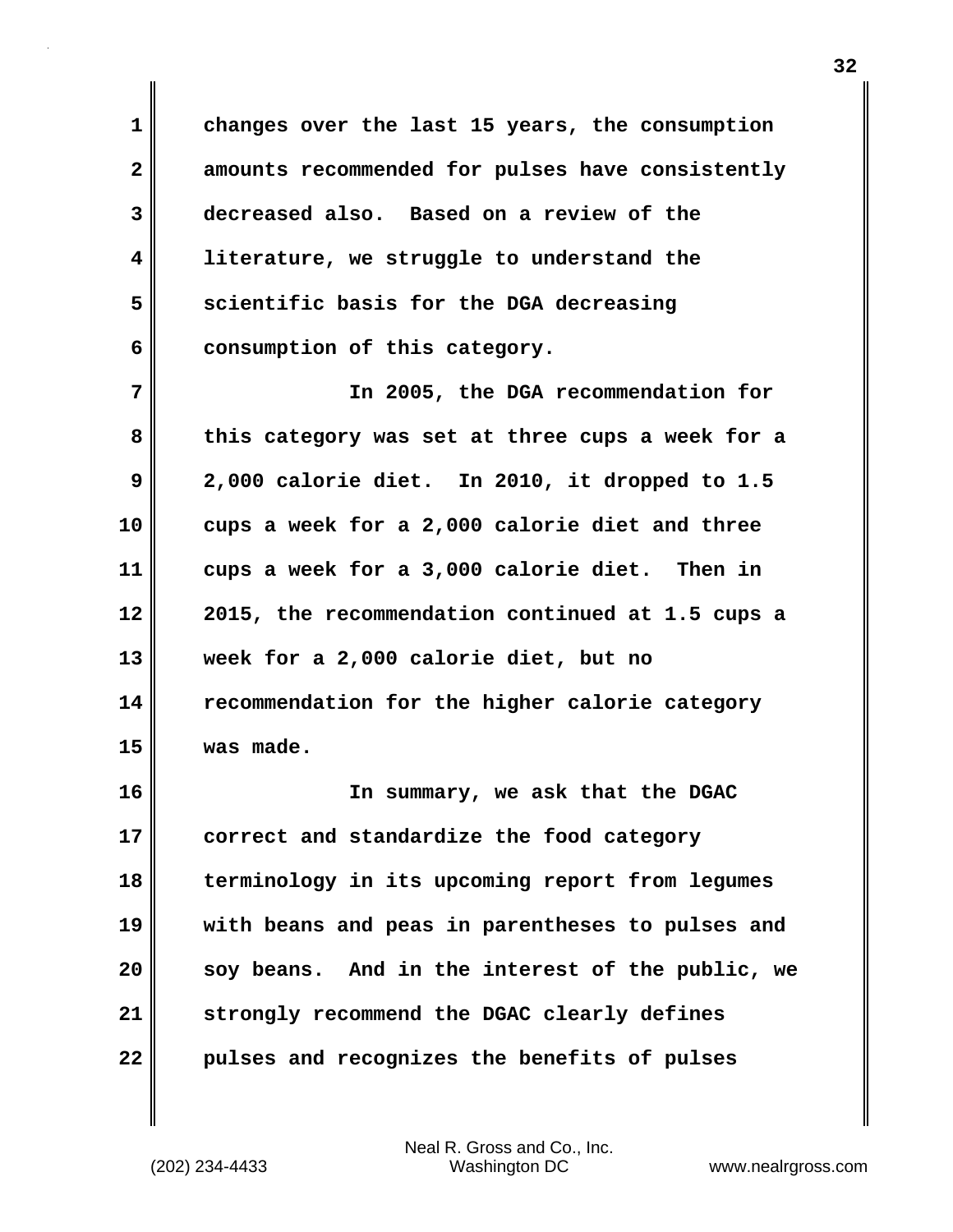**1 changes over the last 15 years, the consumption 2 amounts recommended for pulses have consistently 3 decreased also. Based on a review of the 4 literature, we struggle to understand the 5 scientific basis for the DGA decreasing 6 consumption of this category.**

**7 In 2005, the DGA recommendation for 8 this category was set at three cups a week for a 9 2,000 calorie diet. In 2010, it dropped to 1.5 10 cups a week for a 2,000 calorie diet and three 11 cups a week for a 3,000 calorie diet. Then in 12 2015, the recommendation continued at 1.5 cups a 13 week for a 2,000 calorie diet, but no 14 recommendation for the higher calorie category 15 was made.**

**16 In summary, we ask that the DGAC 17 correct and standardize the food category 18 terminology in its upcoming report from legumes 19 with beans and peas in parentheses to pulses and 20 soy beans. And in the interest of the public, we 21 strongly recommend the DGAC clearly defines 22 pulses and recognizes the benefits of pulses**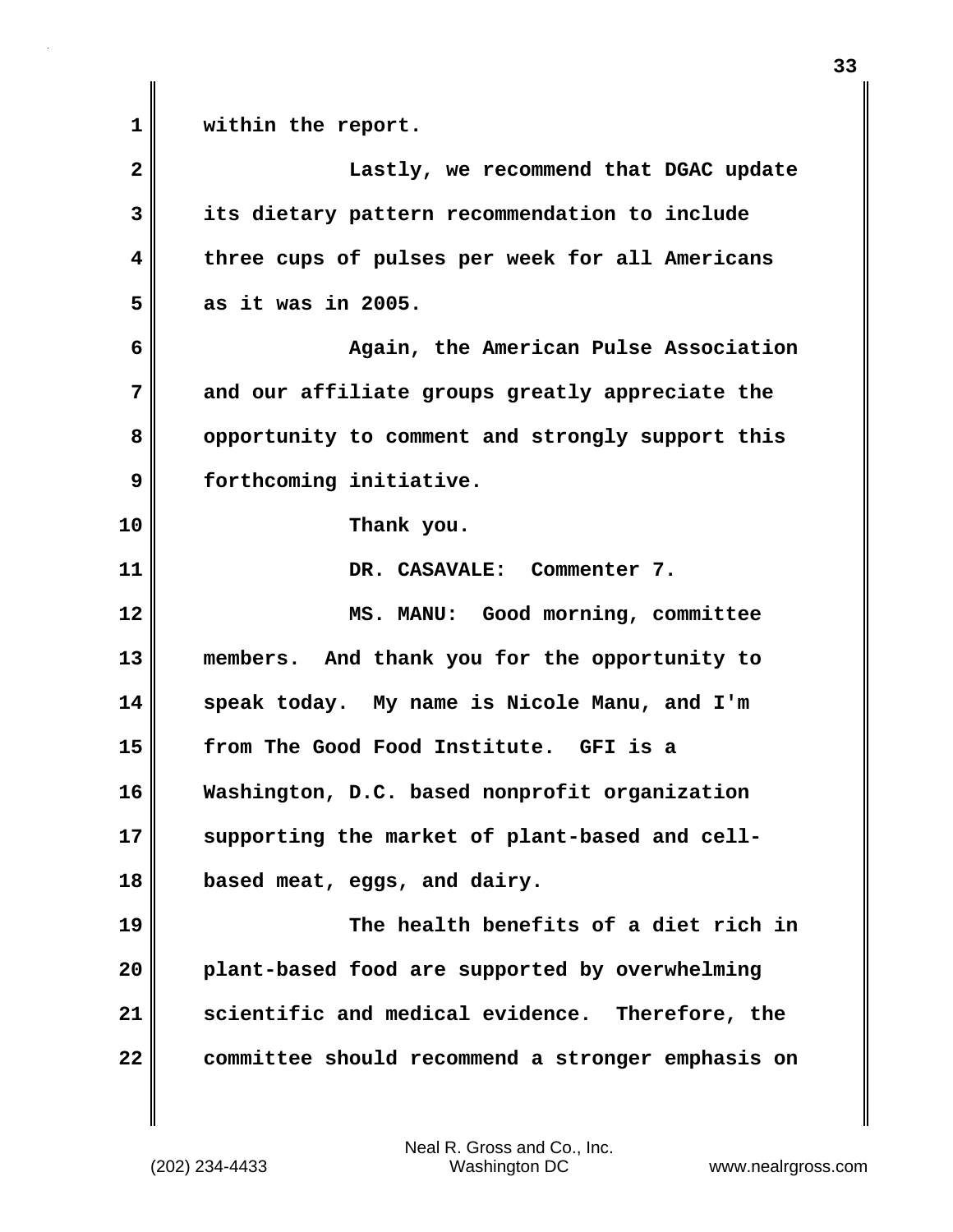**1 within the report. 2 Lastly, we recommend that DGAC update 3 its dietary pattern recommendation to include 4 three cups of pulses per week for all Americans 5 as it was in 2005. 6 Again, the American Pulse Association 7 and our affiliate groups greatly appreciate the 8 opportunity to comment and strongly support this 9 forthcoming initiative. 10 Thank you. 11 DR. CASAVALE: Commenter 7. 12 MS. MANU: Good morning, committee 13 members. And thank you for the opportunity to 14 speak today. My name is Nicole Manu, and I'm 15 from The Good Food Institute. GFI is a 16 Washington, D.C. based nonprofit organization 17 supporting the market of plant-based and cell-18 based meat, eggs, and dairy. 19 The health benefits of a diet rich in 20 plant-based food are supported by overwhelming 21 scientific and medical evidence. Therefore, the 22 committee should recommend a stronger emphasis on**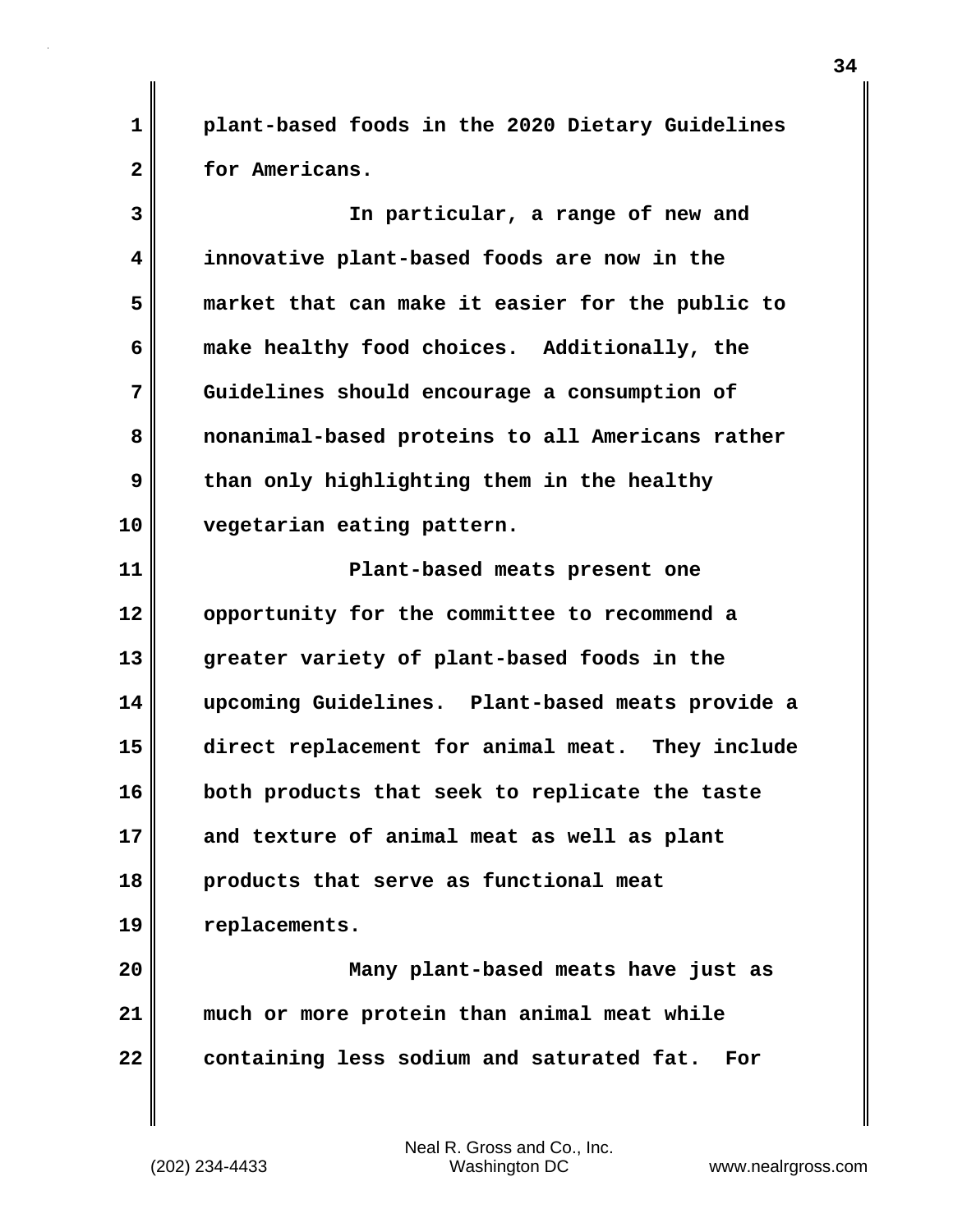**1 plant-based foods in the 2020 Dietary Guidelines 2 for Americans.**

**3 In particular, a range of new and 4 innovative plant-based foods are now in the 5 market that can make it easier for the public to 6 make healthy food choices. Additionally, the 7 Guidelines should encourage a consumption of 8 nonanimal-based proteins to all Americans rather 9 than only highlighting them in the healthy 10 vegetarian eating pattern. 11 Plant-based meats present one 12 opportunity for the committee to recommend a 13 greater variety of plant-based foods in the 14 upcoming Guidelines. Plant-based meats provide a 15 direct replacement for animal meat. They include**

**16 both products that seek to replicate the taste 17 and texture of animal meat as well as plant 18 products that serve as functional meat 19 replacements.**

**20 Many plant-based meats have just as 21 much or more protein than animal meat while 22 containing less sodium and saturated fat. For**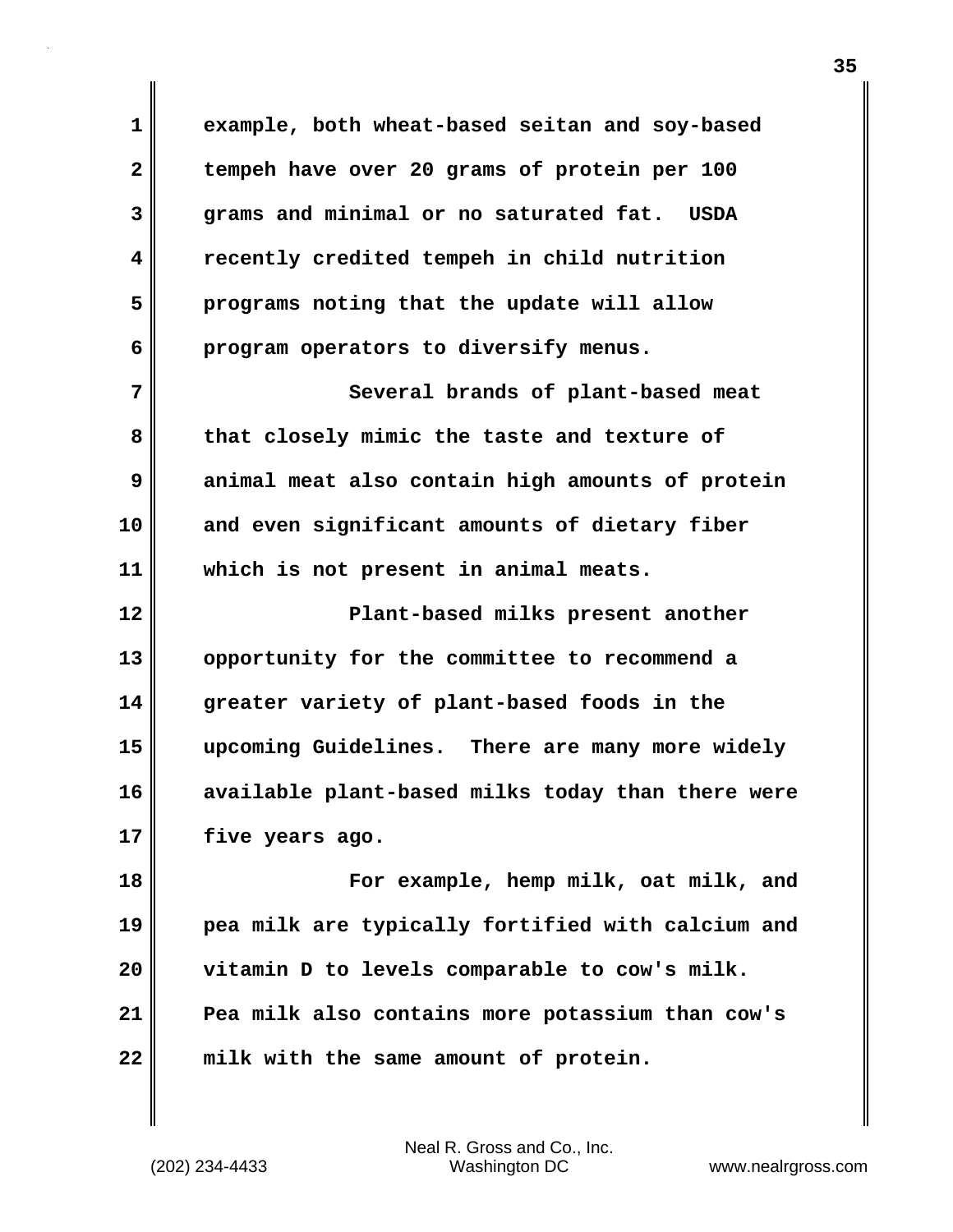**1 example, both wheat-based seitan and soy-based 2 tempeh have over 20 grams of protein per 100 3 grams and minimal or no saturated fat. USDA 4 recently credited tempeh in child nutrition 5 programs noting that the update will allow 6 program operators to diversify menus. 7** Several brands of plant-based meat **8 that closely mimic the taste and texture of 9 animal meat also contain high amounts of protein 10 and even significant amounts of dietary fiber 11 which is not present in animal meats. 12 Plant-based milks present another 13 opportunity for the committee to recommend a 14 greater variety of plant-based foods in the 15 upcoming Guidelines. There are many more widely 16 available plant-based milks today than there were 17 five years ago. 18 For example, hemp milk, oat milk, and 19 pea milk are typically fortified with calcium and 20 vitamin D to levels comparable to cow's milk. 21 Pea milk also contains more potassium than cow's 22 milk with the same amount of protein.**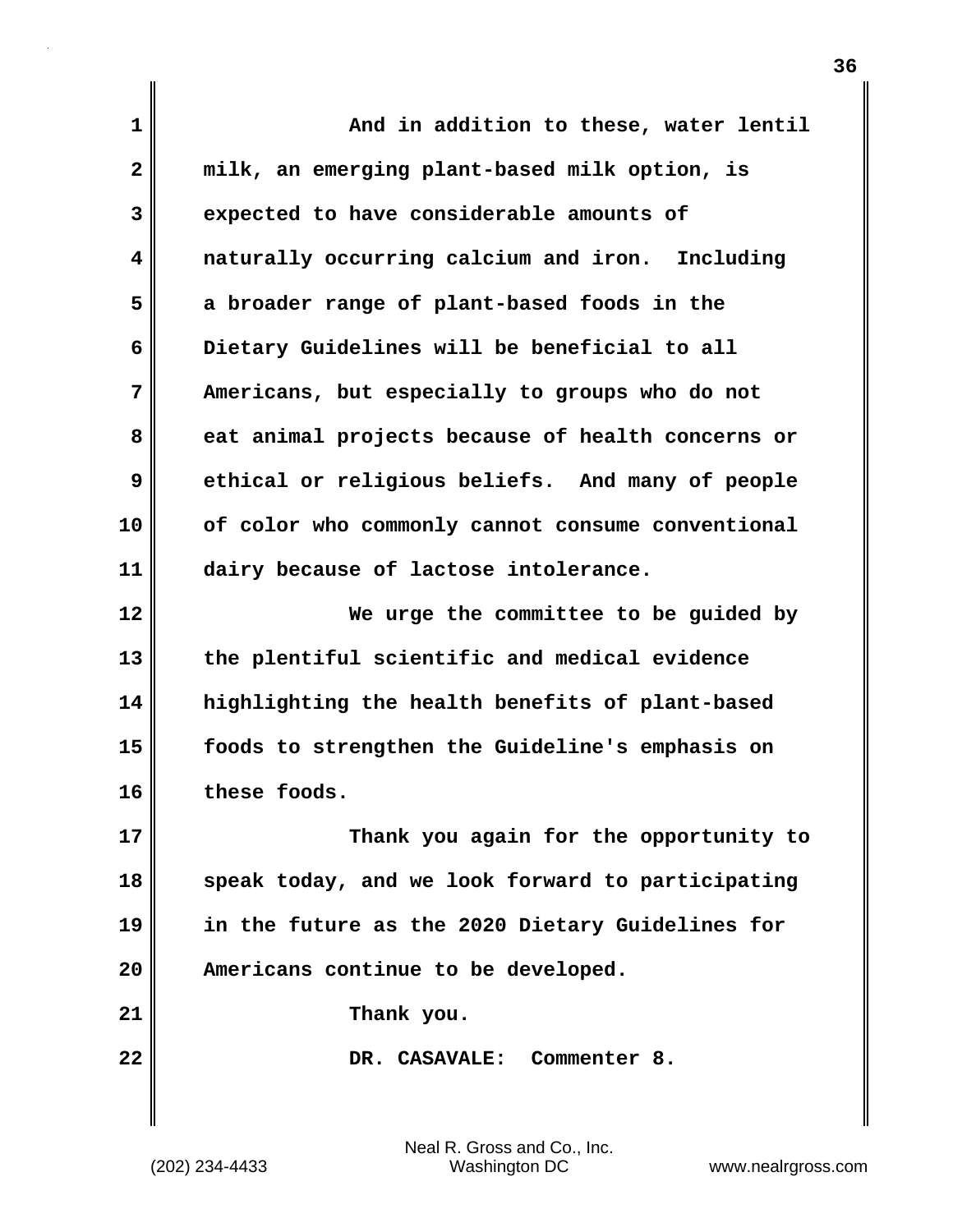| 1  | And in addition to these, water lentil            |
|----|---------------------------------------------------|
| 2  | milk, an emerging plant-based milk option, is     |
| 3  | expected to have considerable amounts of          |
| 4  | naturally occurring calcium and iron. Including   |
| 5  | a broader range of plant-based foods in the       |
| 6  | Dietary Guidelines will be beneficial to all      |
| 7  | Americans, but especially to groups who do not    |
| 8  | eat animal projects because of health concerns or |
| 9  | ethical or religious beliefs. And many of people  |
| 10 | of color who commonly cannot consume conventional |
| 11 | dairy because of lactose intolerance.             |
| 12 | We urge the committee to be guided by             |
| 13 | the plentiful scientific and medical evidence     |
| 14 | highlighting the health benefits of plant-based   |
| 15 | foods to strengthen the Guideline's emphasis on   |
| 16 | these foods.                                      |
| 17 | Thank you again for the opportunity to            |
| 18 | speak today, and we look forward to participating |
| 19 | in the future as the 2020 Dietary Guidelines for  |
| 20 | Americans continue to be developed.               |
| 21 | Thank you.                                        |
| 22 | DR. CASAVALE: Commenter 8.                        |
|    |                                                   |

 $\mathbf{I}$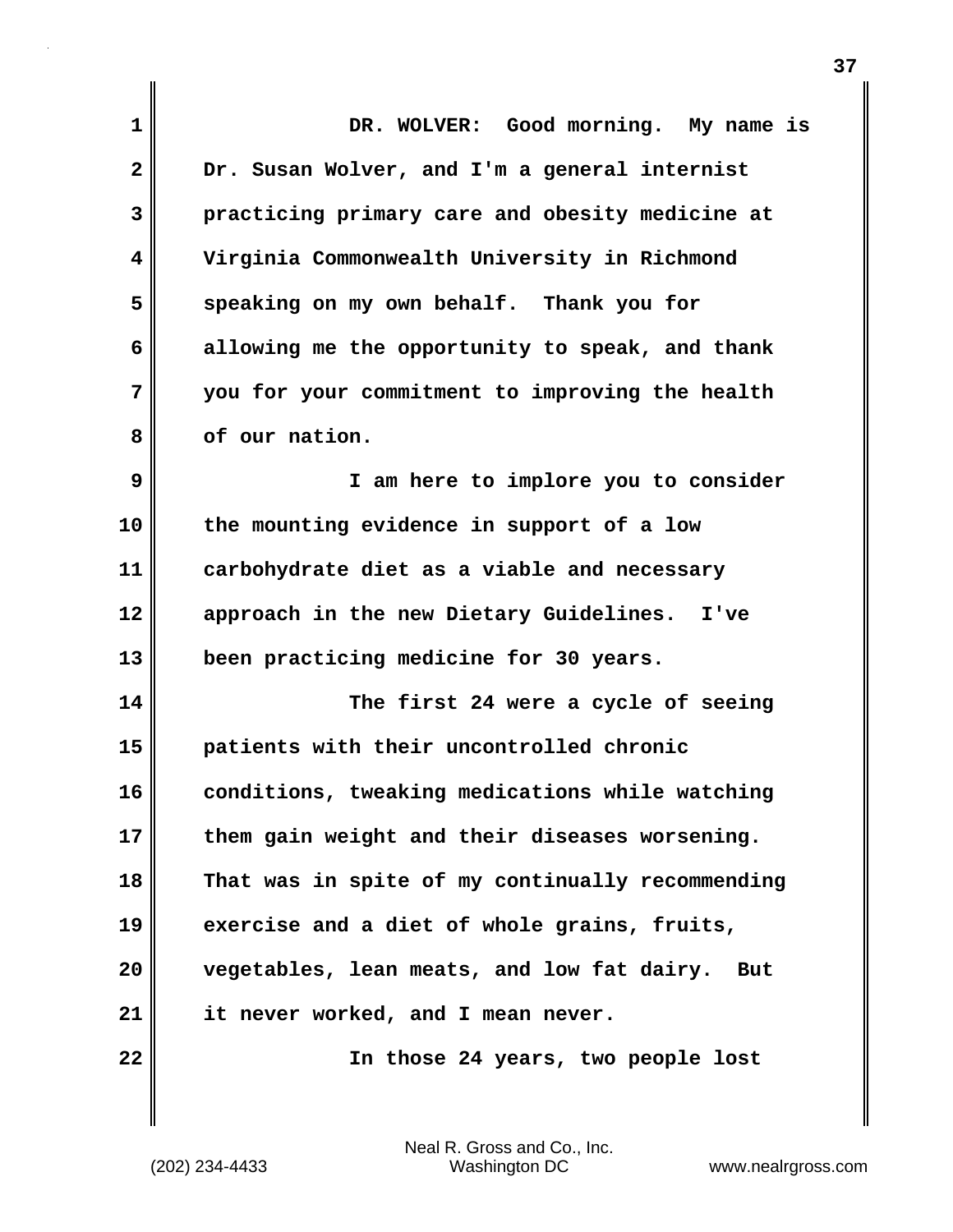| 1            | DR. WOLVER: Good morning. My name is              |
|--------------|---------------------------------------------------|
| $\mathbf{2}$ | Dr. Susan Wolver, and I'm a general internist     |
| 3            | practicing primary care and obesity medicine at   |
| 4            | Virginia Commonwealth University in Richmond      |
| 5            | speaking on my own behalf. Thank you for          |
| 6            | allowing me the opportunity to speak, and thank   |
| 7            | you for your commitment to improving the health   |
| 8            | of our nation.                                    |
| 9            | I am here to implore you to consider              |
| 10           | the mounting evidence in support of a low         |
| 11           | carbohydrate diet as a viable and necessary       |
| 12           | approach in the new Dietary Guidelines.<br>I've   |
| 13           | been practicing medicine for 30 years.            |
| 14           | The first 24 were a cycle of seeing               |
| 15           | patients with their uncontrolled chronic          |
| 16           | conditions, tweaking medications while watching   |
| 17           | them gain weight and their diseases worsening.    |
| 18           | That was in spite of my continually recommending  |
| 19           | exercise and a diet of whole grains, fruits,      |
| 20           | vegetables, lean meats, and low fat dairy.<br>But |
| 21           | it never worked, and I mean never.                |
| 22           | In those 24 years, two people lost                |

(202) 234-4433 Washington DC www.nealrgross.com Neal R. Gross and Co., Inc.

 $\mathbf{I}$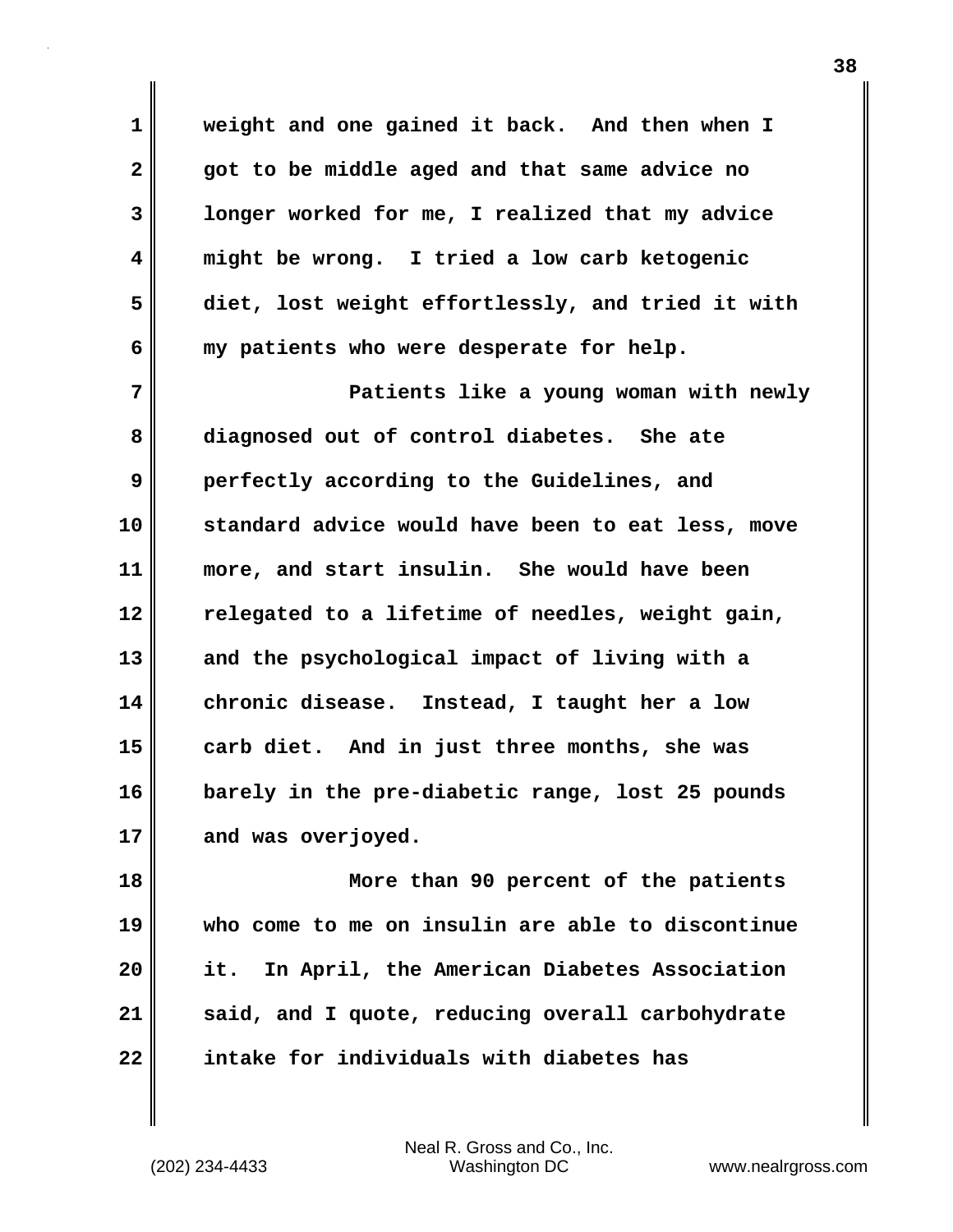**1 weight and one gained it back. And then when I 2 got to be middle aged and that same advice no 3 longer worked for me, I realized that my advice 4 might be wrong. I tried a low carb ketogenic 5 diet, lost weight effortlessly, and tried it with 6 my patients who were desperate for help.**

**7 Patients like a young woman with newly 8 diagnosed out of control diabetes. She ate 9 perfectly according to the Guidelines, and 10 standard advice would have been to eat less, move 11 more, and start insulin. She would have been 12 relegated to a lifetime of needles, weight gain, 13 and the psychological impact of living with a 14 chronic disease. Instead, I taught her a low 15 carb diet. And in just three months, she was 16 barely in the pre-diabetic range, lost 25 pounds** 17 and was overjoyed.

**18 More than 90 percent of the patients 19 who come to me on insulin are able to discontinue 20 it. In April, the American Diabetes Association 21 said, and I quote, reducing overall carbohydrate 22 intake for individuals with diabetes has**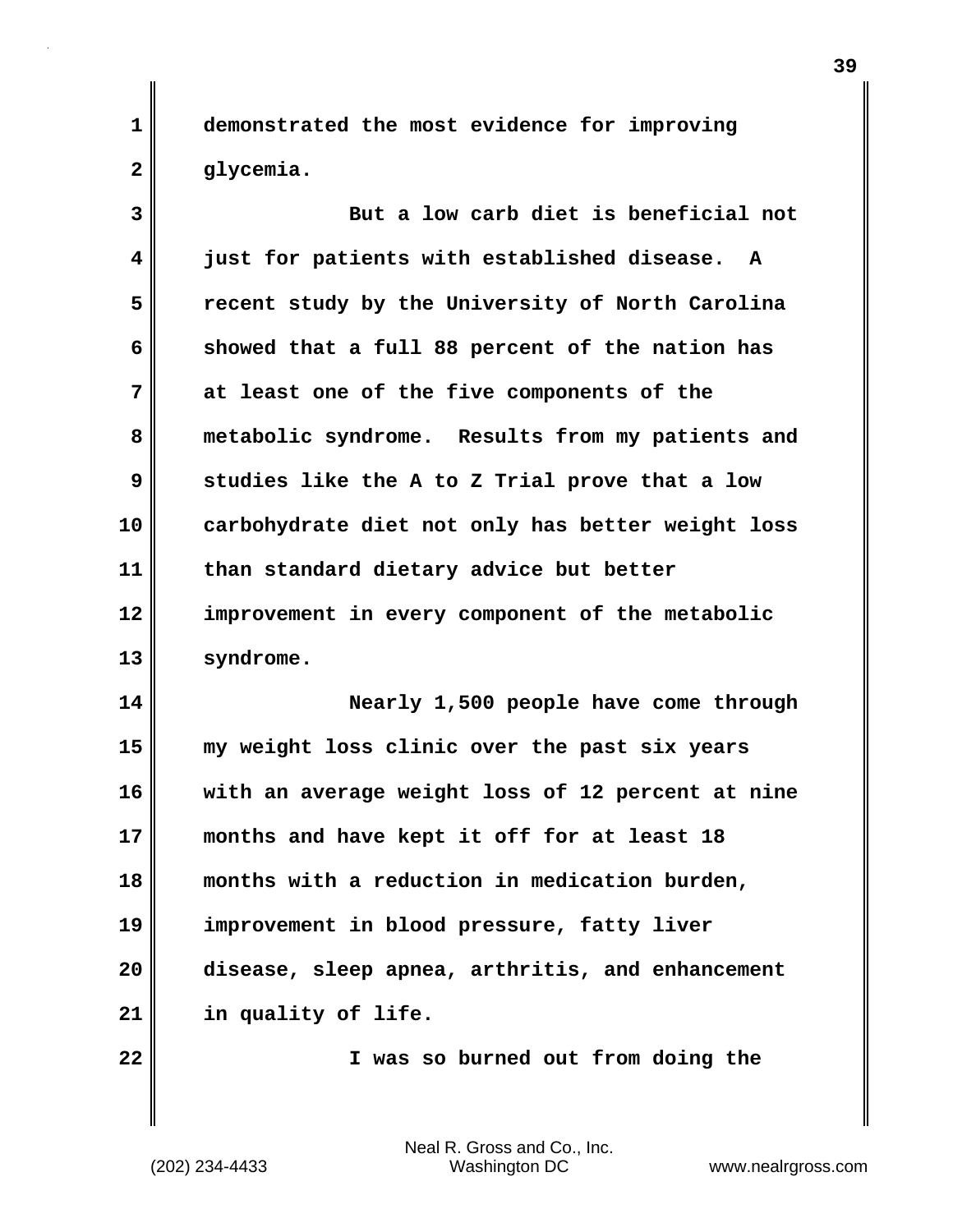**1 demonstrated the most evidence for improving 2 glycemia.**

**3 But a low carb diet is beneficial not 4 just for patients with established disease. A 5 recent study by the University of North Carolina 6 showed that a full 88 percent of the nation has 7 at least one of the five components of the 8 metabolic syndrome. Results from my patients and 9 studies like the A to Z Trial prove that a low 10 carbohydrate diet not only has better weight loss 11 than standard dietary advice but better 12 improvement in every component of the metabolic 13 syndrome. 14 Nearly 1,500 people have come through 15 my weight loss clinic over the past six years 16 with an average weight loss of 12 percent at nine 17 months and have kept it off for at least 18 18 months with a reduction in medication burden, 19 improvement in blood pressure, fatty liver 20 disease, sleep apnea, arthritis, and enhancement**

**21 in quality of life.**

**22 I was so burned out from doing the**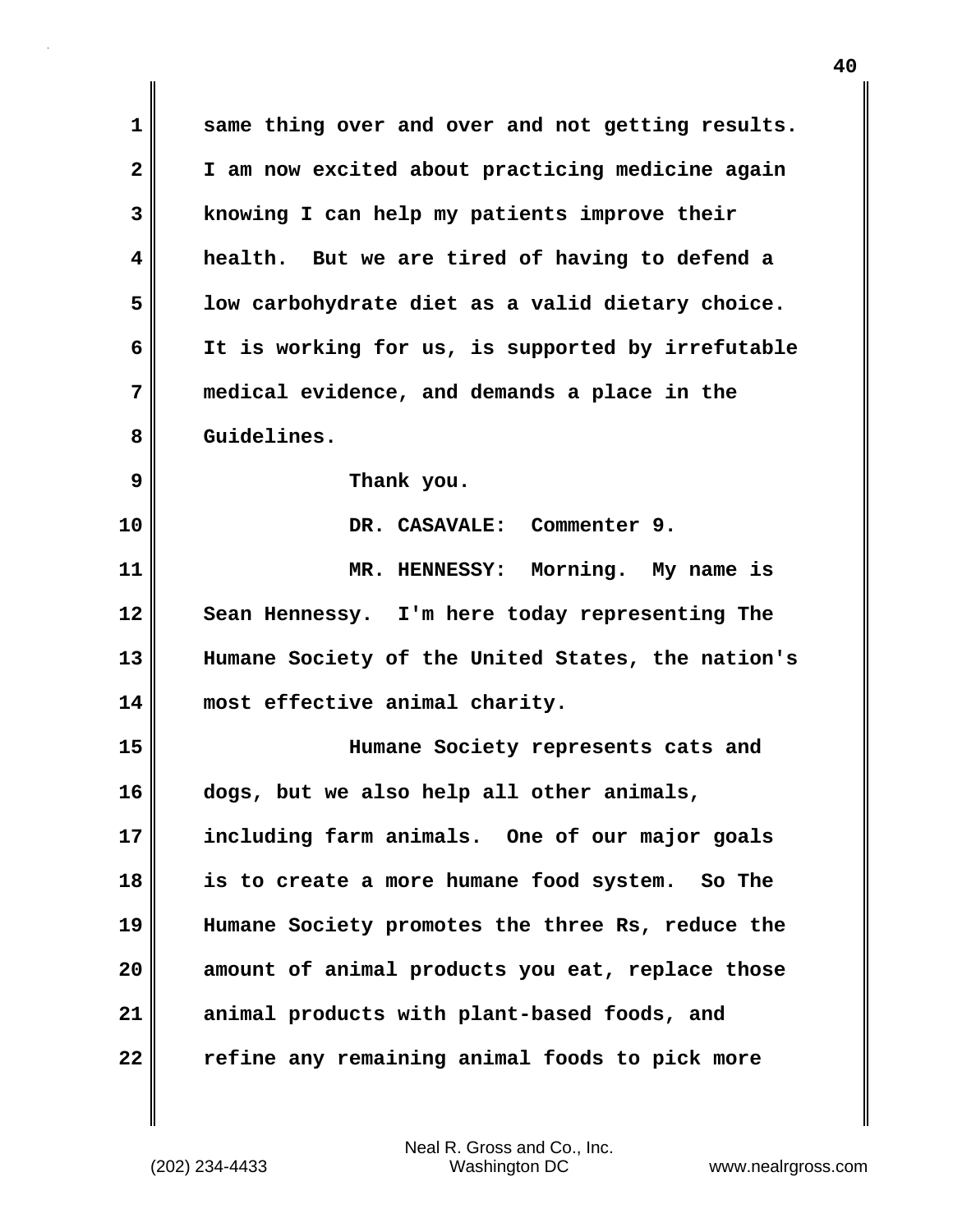**1 same thing over and over and not getting results. 2 I am now excited about practicing medicine again 3 knowing I can help my patients improve their 4 health. But we are tired of having to defend a 5 low carbohydrate diet as a valid dietary choice. 6 It is working for us, is supported by irrefutable 7 medical evidence, and demands a place in the 8 Guidelines. 9 Thank you. 10 DR. CASAVALE: Commenter 9. 11 MR. HENNESSY: Morning. My name is 12 Sean Hennessy. I'm here today representing The 13 Humane Society of the United States, the nation's 14 most effective animal charity. 15 Humane Society represents cats and 16 dogs, but we also help all other animals, 17 including farm animals. One of our major goals 18 is to create a more humane food system. So The 19 Humane Society promotes the three Rs, reduce the 20 amount of animal products you eat, replace those 21 animal products with plant-based foods, and 22 refine any remaining animal foods to pick more**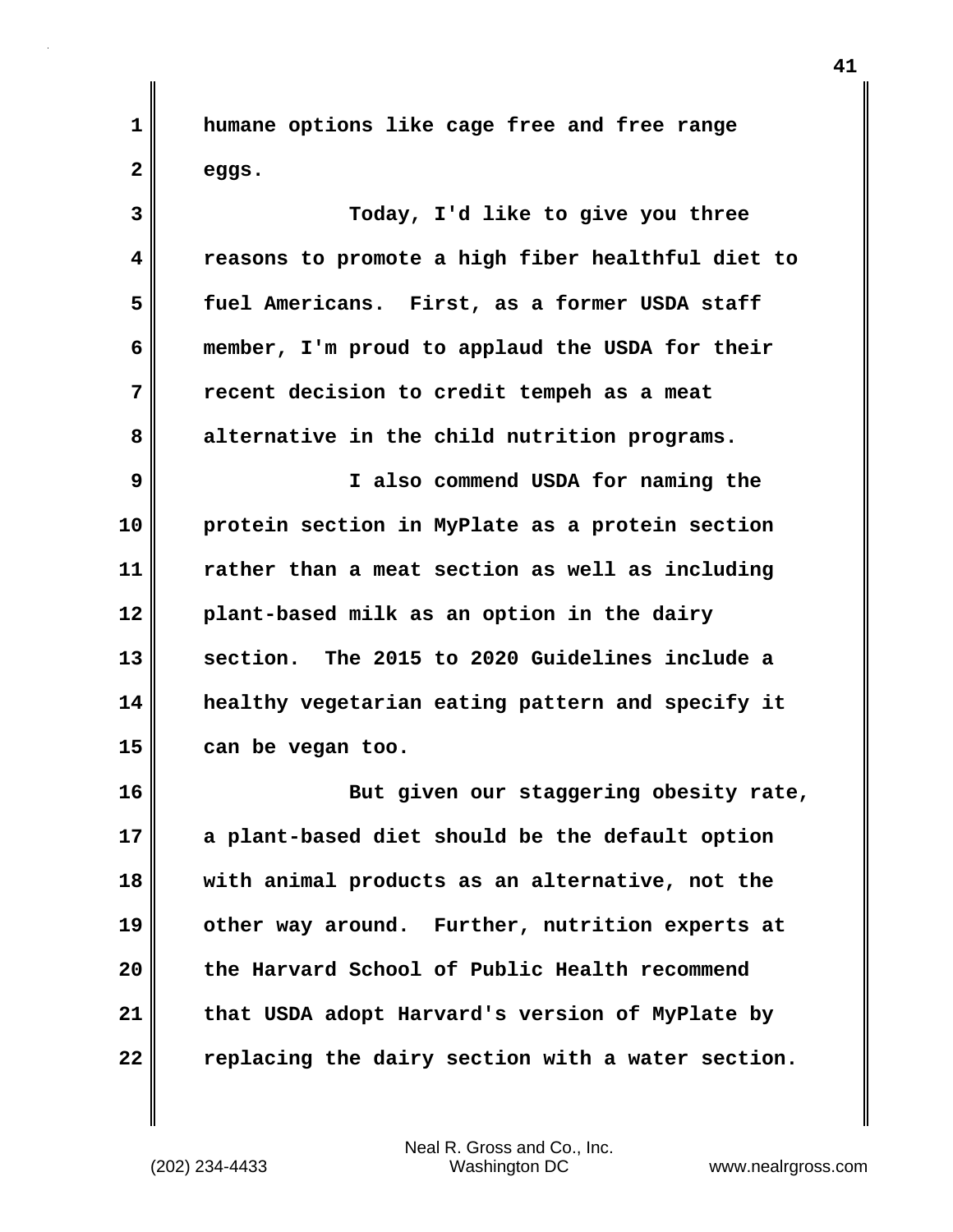**1 humane options like cage free and free range**  $2 \parallel$  eggs.

**3 Today, I'd like to give you three 4 reasons to promote a high fiber healthful diet to 5 fuel Americans. First, as a former USDA staff 6 member, I'm proud to applaud the USDA for their 7 recent decision to credit tempeh as a meat 8 alternative in the child nutrition programs.**

**9 I also commend USDA for naming the 10 protein section in MyPlate as a protein section 11 rather than a meat section as well as including 12 plant-based milk as an option in the dairy 13 section. The 2015 to 2020 Guidelines include a 14 healthy vegetarian eating pattern and specify it 15 can be vegan too.**

**16 But given our staggering obesity rate, 17 a plant-based diet should be the default option 18 with animal products as an alternative, not the 19 other way around. Further, nutrition experts at 20 the Harvard School of Public Health recommend 21 that USDA adopt Harvard's version of MyPlate by 22 replacing the dairy section with a water section.**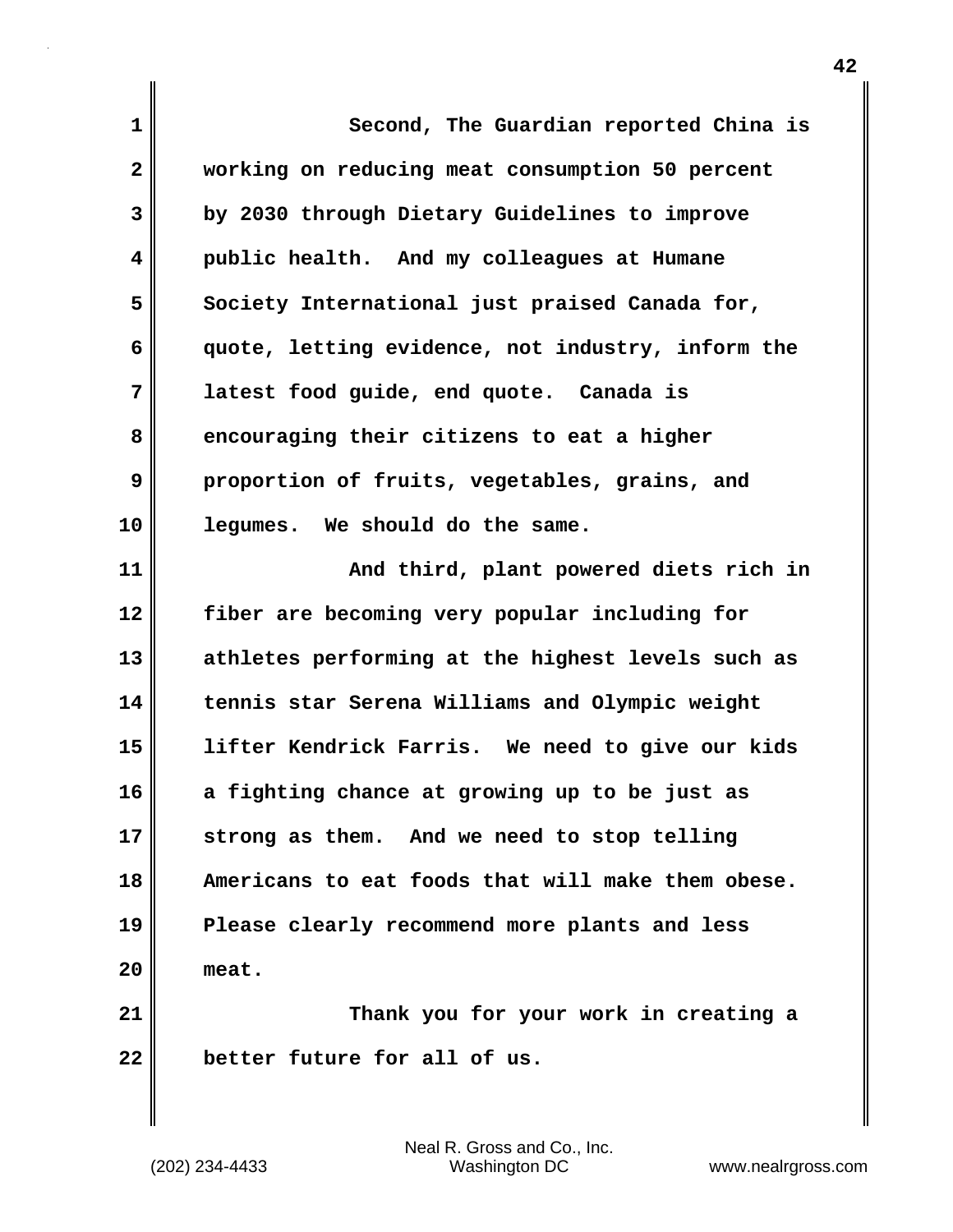| $\mathbf{1}$ | Second, The Guardian reported China is            |
|--------------|---------------------------------------------------|
| $\mathbf{2}$ | working on reducing meat consumption 50 percent   |
| 3            | by 2030 through Dietary Guidelines to improve     |
| 4            | public health. And my colleagues at Humane        |
| 5            | Society International just praised Canada for,    |
| 6            | quote, letting evidence, not industry, inform the |
| 7            | latest food guide, end quote. Canada is           |
| 8            | encouraging their citizens to eat a higher        |
| 9            | proportion of fruits, vegetables, grains, and     |
| 10           | legumes. We should do the same.                   |
| 11           | And third, plant powered diets rich in            |
| 12           | fiber are becoming very popular including for     |
| 13           | athletes performing at the highest levels such as |
| 14           | tennis star Serena Williams and Olympic weight    |
| 15           | lifter Kendrick Farris. We need to give our kids  |
| 16           | a fighting chance at growing up to be just as     |
| 17           | strong as them. And we need to stop telling       |
| 18           | Americans to eat foods that will make them obese. |
| 19           | Please clearly recommend more plants and less     |
| 20           | meat.                                             |
| 21           | Thank you for your work in creating a             |
| 22           | better future for all of us.                      |

 $\mathbf{I}$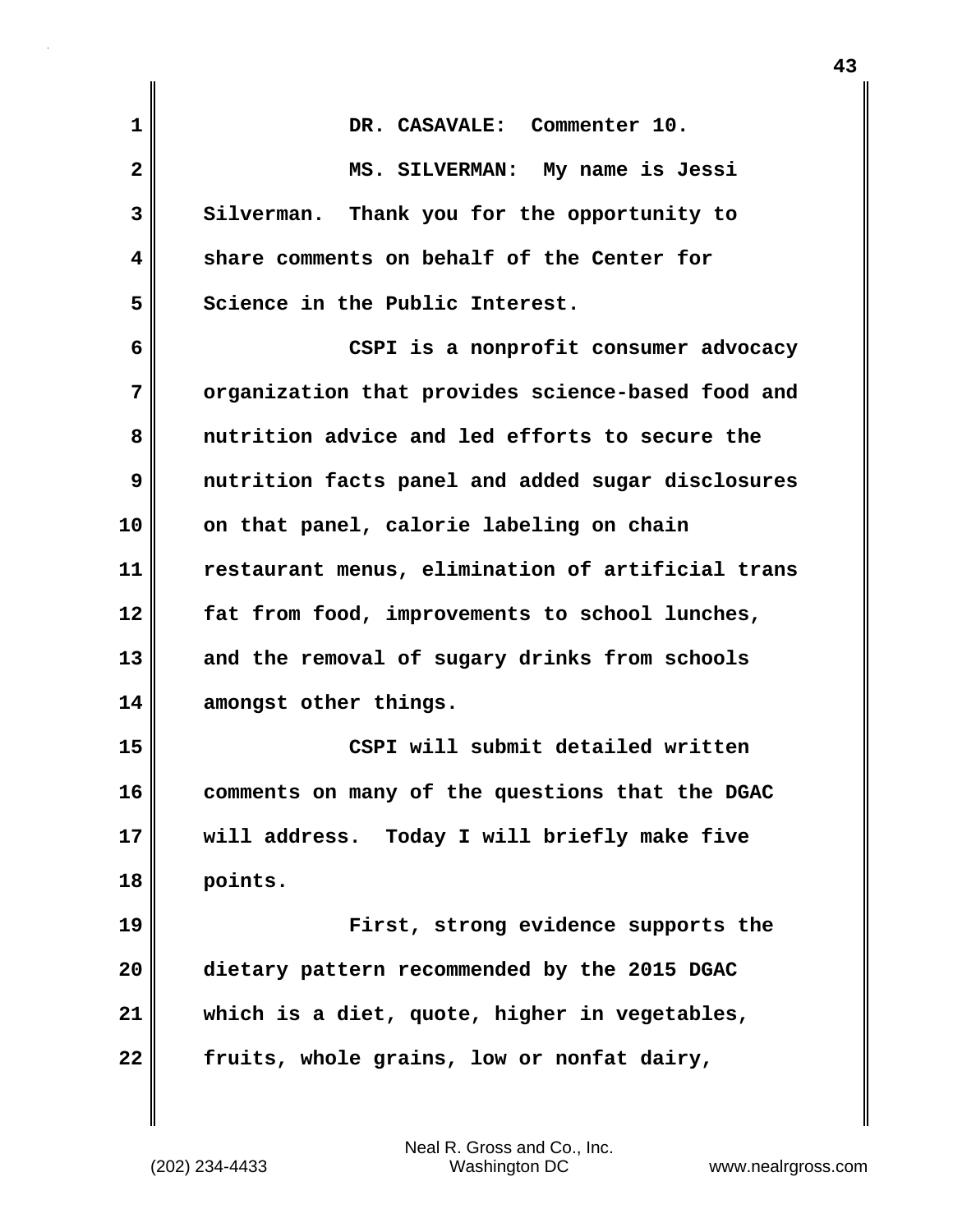| 1  | DR. CASAVALE: Commenter 10.                       |
|----|---------------------------------------------------|
| 2  | MS. SILVERMAN: My name is Jessi                   |
| 3  | Silverman. Thank you for the opportunity to       |
| 4  | share comments on behalf of the Center for        |
| 5  | Science in the Public Interest.                   |
| 6  | CSPI is a nonprofit consumer advocacy             |
| 7  | organization that provides science-based food and |
| 8  | nutrition advice and led efforts to secure the    |
| 9  | nutrition facts panel and added sugar disclosures |
| 10 | on that panel, calorie labeling on chain          |
| 11 | restaurant menus, elimination of artificial trans |
| 12 | fat from food, improvements to school lunches,    |
| 13 | and the removal of sugary drinks from schools     |
| 14 | amongst other things.                             |
| 15 | CSPI will submit detailed written                 |
| 16 | comments on many of the questions that the DGAC   |
| 17 | will address. Today I will briefly make five      |
| 18 | points.                                           |
| 19 | First, strong evidence supports the               |
| 20 | dietary pattern recommended by the 2015 DGAC      |
| 21 | which is a diet, quote, higher in vegetables,     |
| 22 | fruits, whole grains, low or nonfat dairy,        |
|    |                                                   |

 $\mathsf I$ 

**43**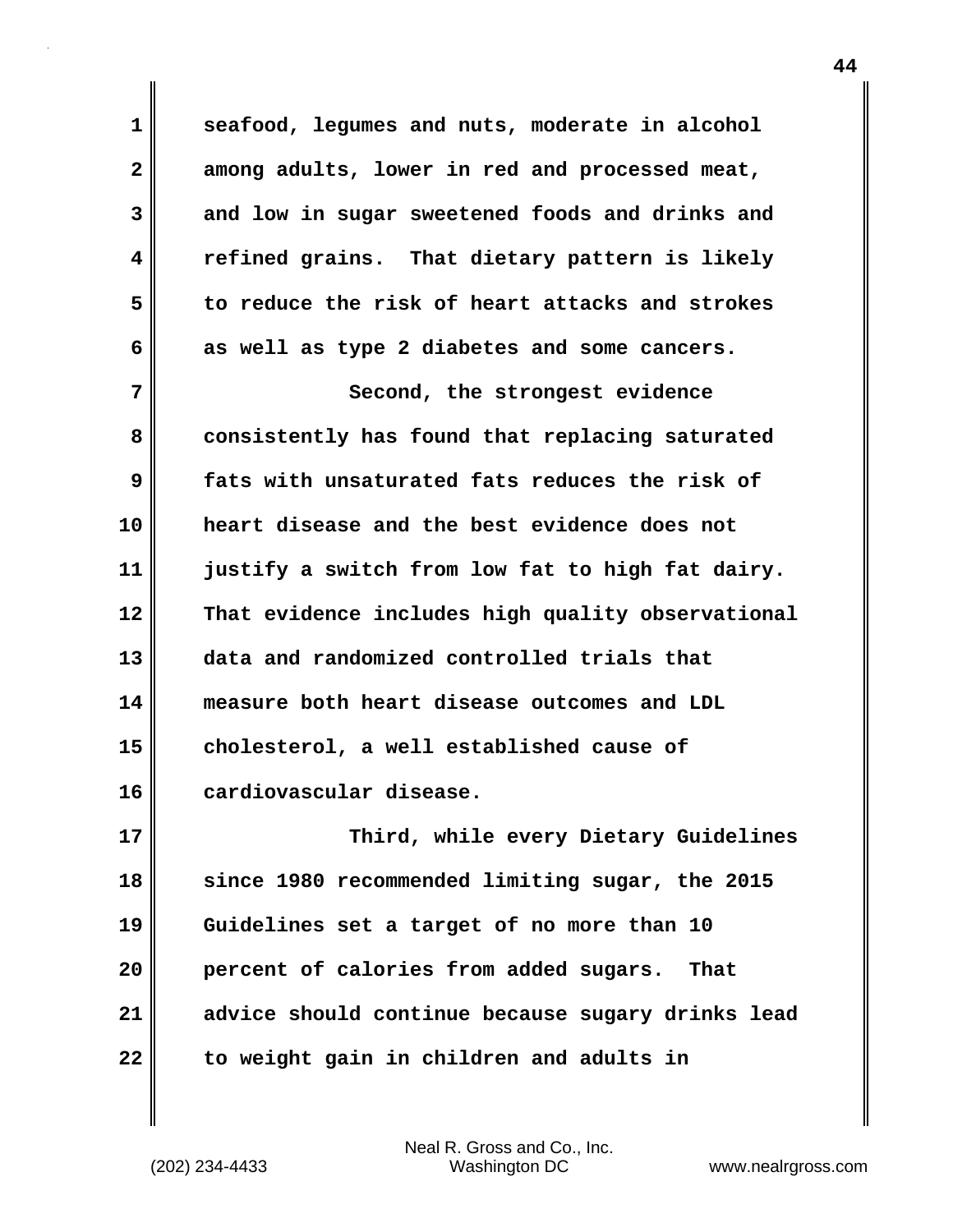**1 seafood, legumes and nuts, moderate in alcohol 2 among adults, lower in red and processed meat, 3 and low in sugar sweetened foods and drinks and 4 refined grains. That dietary pattern is likely 5 to reduce the risk of heart attacks and strokes 6 as well as type 2 diabetes and some cancers. 7** Second, the strongest evidence **8 consistently has found that replacing saturated 9 fats with unsaturated fats reduces the risk of 10 heart disease and the best evidence does not 11 justify a switch from low fat to high fat dairy. 12 That evidence includes high quality observational 13 data and randomized controlled trials that 14 measure both heart disease outcomes and LDL 15 cholesterol, a well established cause of 16 cardiovascular disease. 17 Third, while every Dietary Guidelines 18 since 1980 recommended limiting sugar, the 2015 19 Guidelines set a target of no more than 10 20 percent of calories from added sugars. That**

**22 to weight gain in children and adults in**

(202) 234-4433 Washington DC www.nealrgross.com Neal R. Gross and Co., Inc.

**21 advice should continue because sugary drinks lead**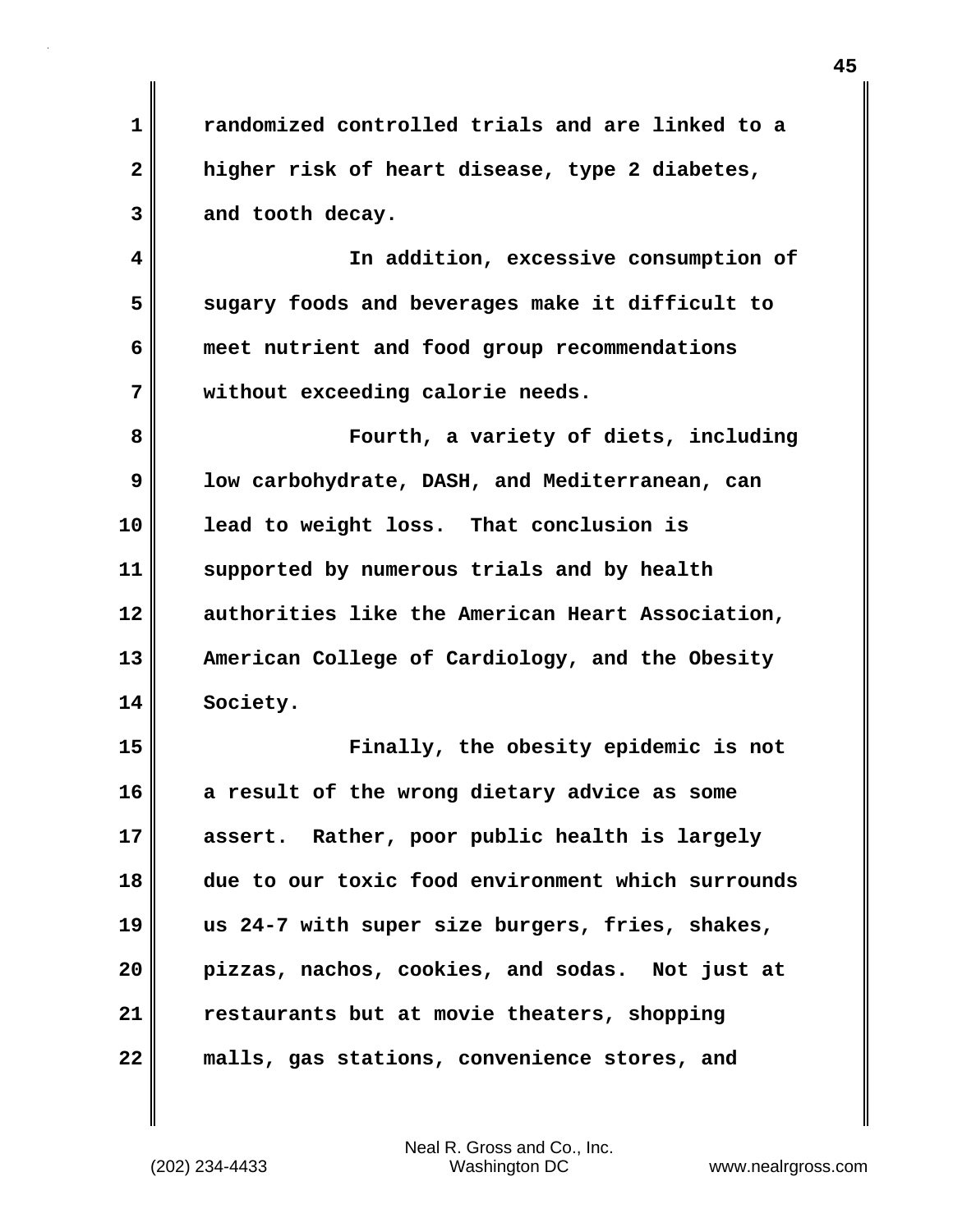**1 randomized controlled trials and are linked to a 2 higher risk of heart disease, type 2 diabetes, 3 and tooth decay.**

**4 In addition, excessive consumption of 5 sugary foods and beverages make it difficult to 6 meet nutrient and food group recommendations 7 without exceeding calorie needs.**

**8 Fourth, a variety of diets, including 9 low carbohydrate, DASH, and Mediterranean, can 10 lead to weight loss. That conclusion is 11 supported by numerous trials and by health 12 authorities like the American Heart Association, 13 American College of Cardiology, and the Obesity 14 Society.**

**15 Finally, the obesity epidemic is not 16 a result of the wrong dietary advice as some 17 assert. Rather, poor public health is largely 18 due to our toxic food environment which surrounds 19 us 24-7 with super size burgers, fries, shakes, 20 pizzas, nachos, cookies, and sodas. Not just at 21 restaurants but at movie theaters, shopping 22 malls, gas stations, convenience stores, and**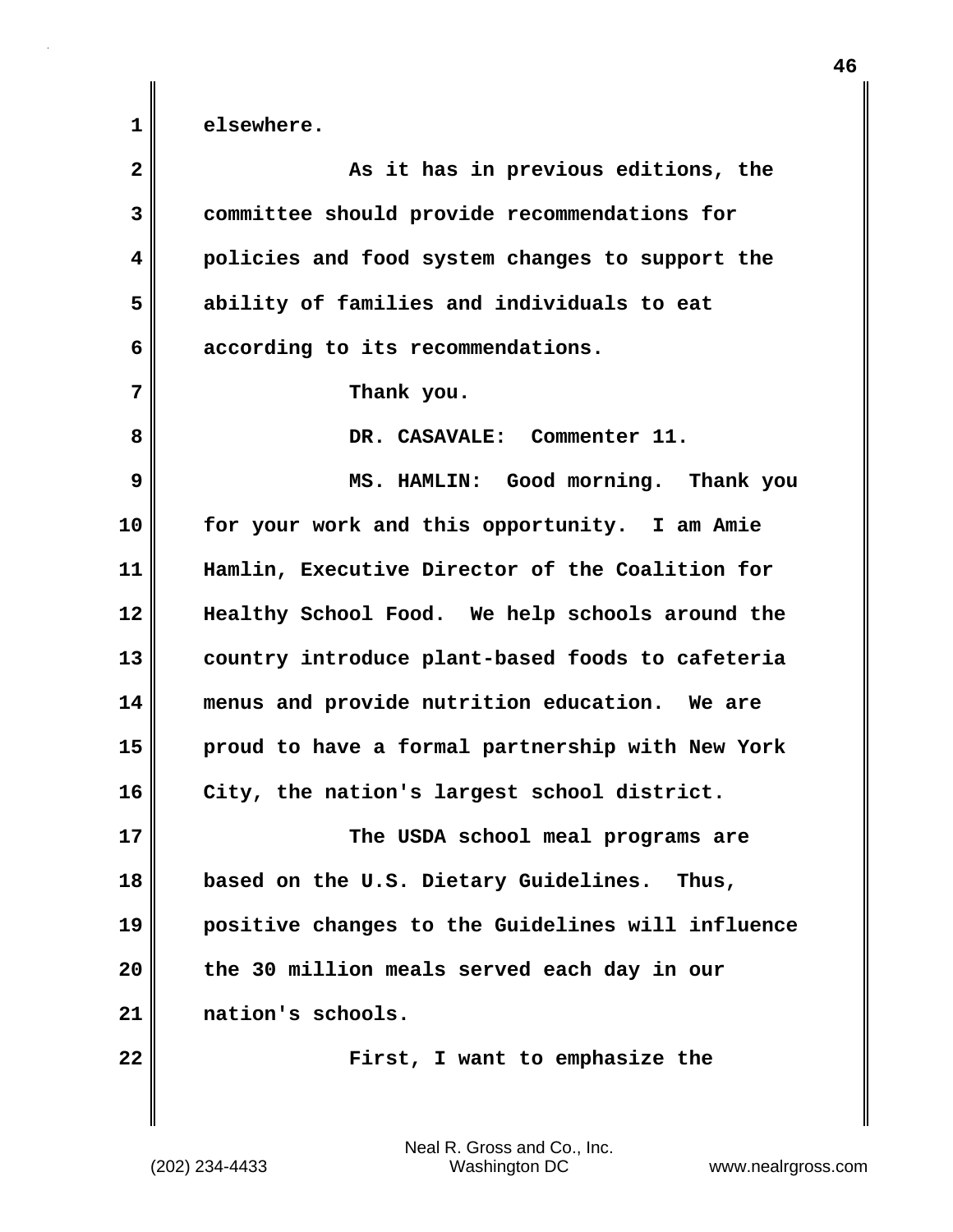| $\mathbf{2}$ | As it has in previous editions, the               |
|--------------|---------------------------------------------------|
| 3            | committee should provide recommendations for      |
| 4            | policies and food system changes to support the   |
| 5            | ability of families and individuals to eat        |
| 6            | according to its recommendations.                 |
| 7            | Thank you.                                        |
| 8            | DR. CASAVALE: Commenter 11.                       |
| 9            | MS. HAMLIN: Good morning. Thank you               |
| 10           | for your work and this opportunity. I am Amie     |
| 11           | Hamlin, Executive Director of the Coalition for   |
| 12           | Healthy School Food. We help schools around the   |
| 13           | country introduce plant-based foods to cafeteria  |
| 14           | menus and provide nutrition education. We are     |
| 15           | proud to have a formal partnership with New York  |
| 16           | City, the nation's largest school district.       |
| 17           | The USDA school meal programs are                 |
| 18           | based on the U.S. Dietary Guidelines. Thus,       |
| 19           | positive changes to the Guidelines will influence |
| 20           | the 30 million meals served each day in our       |
| 21           | nation's schools.                                 |
| 22           | First, I want to emphasize the                    |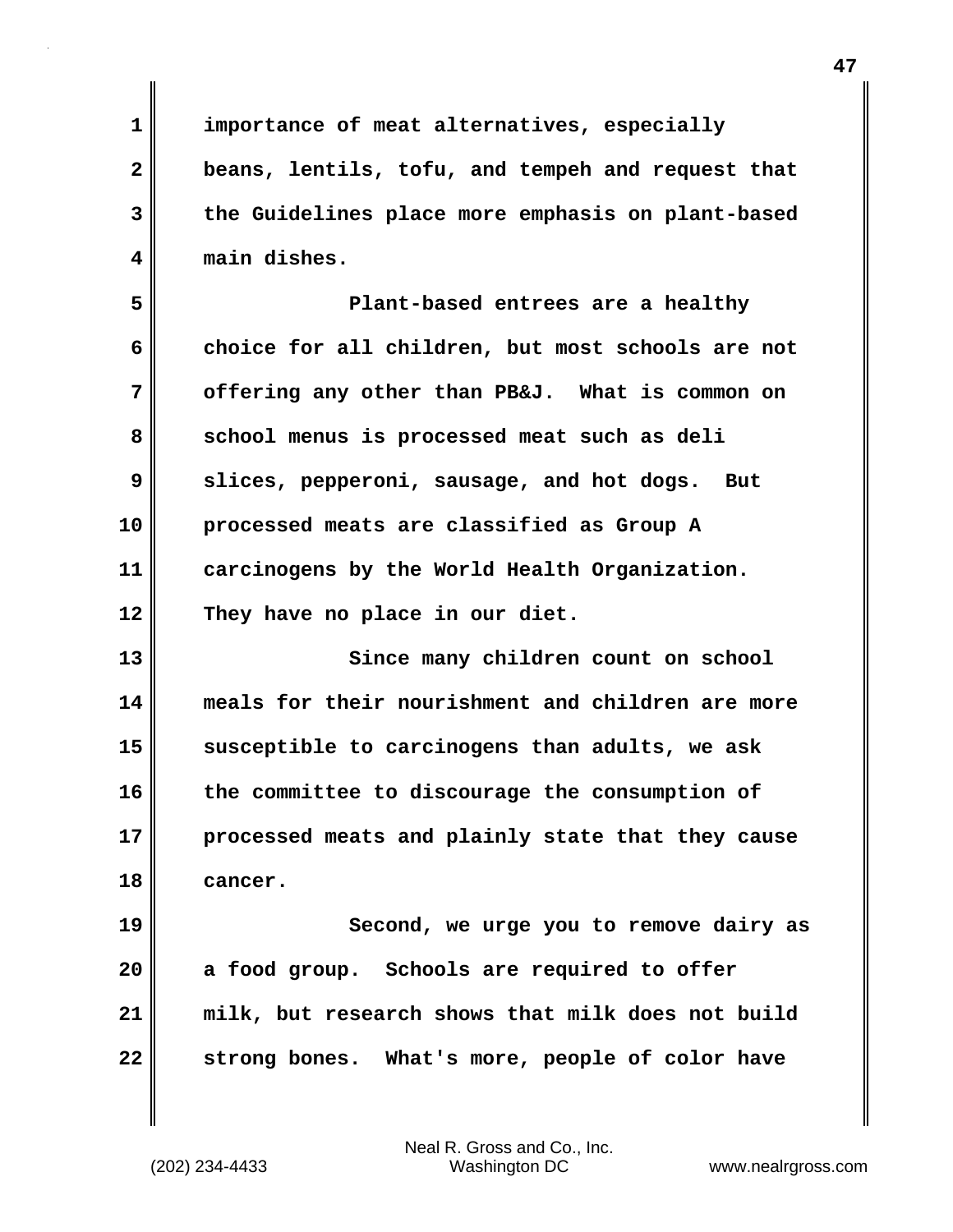**1 importance of meat alternatives, especially 2 beans, lentils, tofu, and tempeh and request that 3 the Guidelines place more emphasis on plant-based 4 main dishes. 5 Plant-based entrees are a healthy 6 choice for all children, but most schools are not 7 offering any other than PB&J. What is common on** 8 school menus is processed meat such as deli **9 slices, pepperoni, sausage, and hot dogs. But 10 processed meats are classified as Group A 11 carcinogens by the World Health Organization. 12 They have no place in our diet. 13** Since many children count on school **14 meals for their nourishment and children are more 15 susceptible to carcinogens than adults, we ask 16 the committee to discourage the consumption of 17 processed meats and plainly state that they cause 18 cancer. 19 Second, we urge you to remove dairy as 20 a food group. Schools are required to offer 21 milk, but research shows that milk does not build 22 strong bones. What's more, people of color have**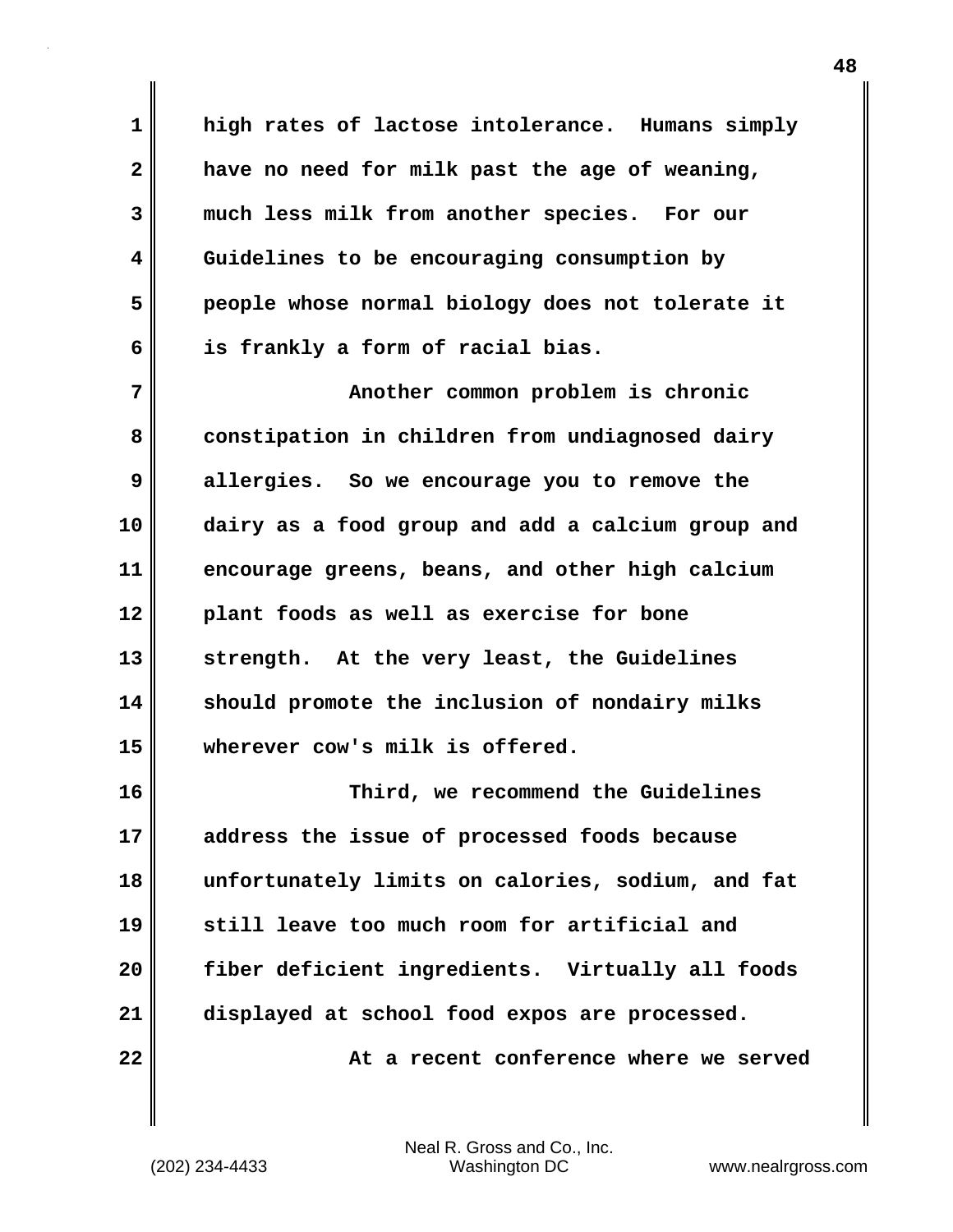**1 high rates of lactose intolerance. Humans simply 2 have no need for milk past the age of weaning, 3 much less milk from another species. For our 4 Guidelines to be encouraging consumption by 5 people whose normal biology does not tolerate it 6 is frankly a form of racial bias.**

**7 Another common problem is chronic** 8 constipation in children from undiagnosed dairy **9 allergies. So we encourage you to remove the 10 dairy as a food group and add a calcium group and 11 encourage greens, beans, and other high calcium 12 plant foods as well as exercise for bone 13 strength. At the very least, the Guidelines 14 should promote the inclusion of nondairy milks 15 wherever cow's milk is offered.**

**16 Third, we recommend the Guidelines 17 address the issue of processed foods because 18 unfortunately limits on calories, sodium, and fat 19 still leave too much room for artificial and 20 fiber deficient ingredients. Virtually all foods 21 displayed at school food expos are processed. 22 At a recent conference where we served**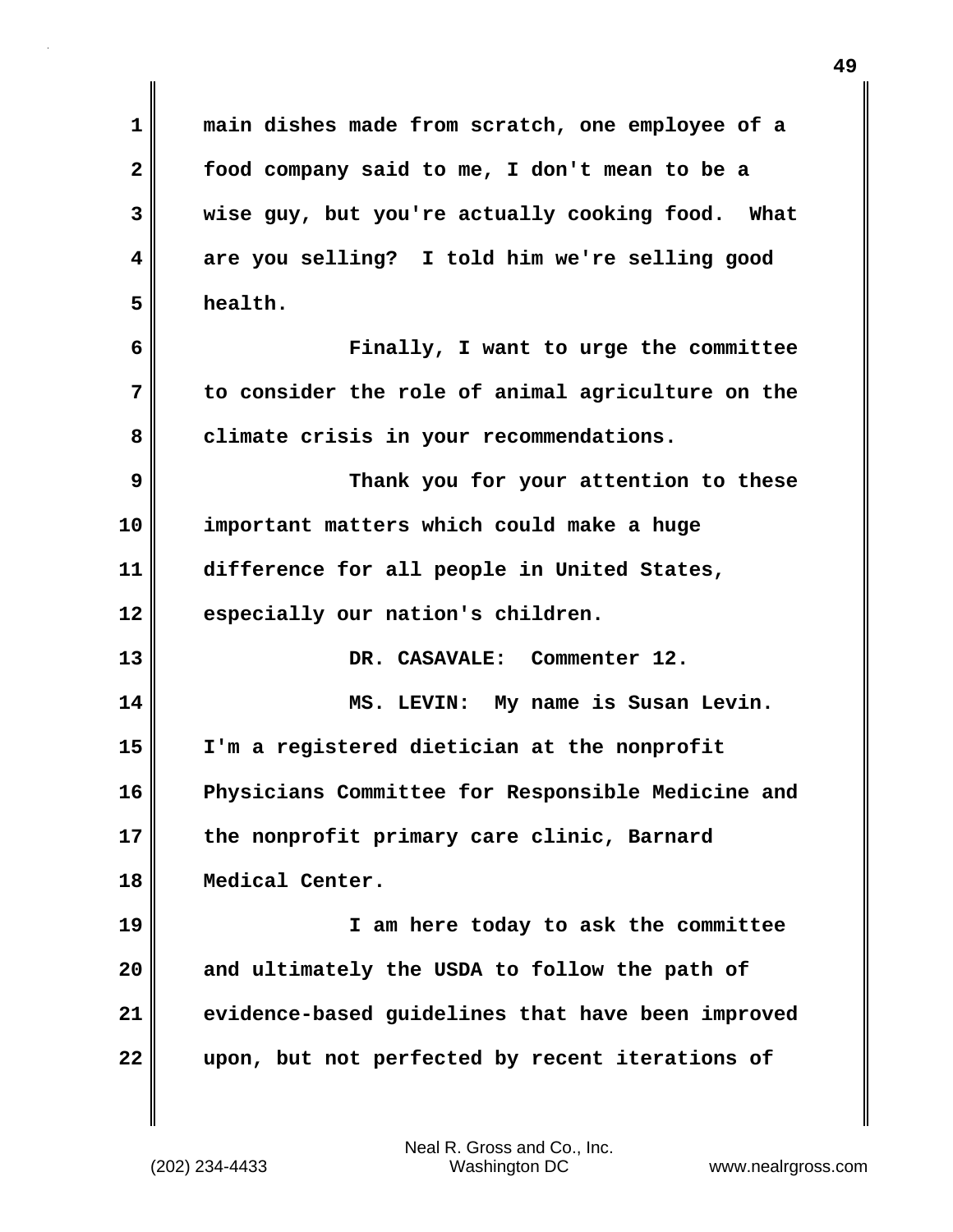**1 main dishes made from scratch, one employee of a 2 food company said to me, I don't mean to be a 3 wise guy, but you're actually cooking food. What 4 are you selling? I told him we're selling good 5 health. 6 Finally, I want to urge the committee 7 to consider the role of animal agriculture on the 8 climate crisis in your recommendations. 9 Thank you for your attention to these 10 important matters which could make a huge 11 difference for all people in United States, 12 especially our nation's children. 13 DR. CASAVALE: Commenter 12. 14 MS. LEVIN: My name is Susan Levin. 15 I'm a registered dietician at the nonprofit 16 Physicians Committee for Responsible Medicine and 17 the nonprofit primary care clinic, Barnard 18 Medical Center. 19 I am here today to ask the committee 20 and ultimately the USDA to follow the path of 21 evidence-based guidelines that have been improved 22 upon, but not perfected by recent iterations of**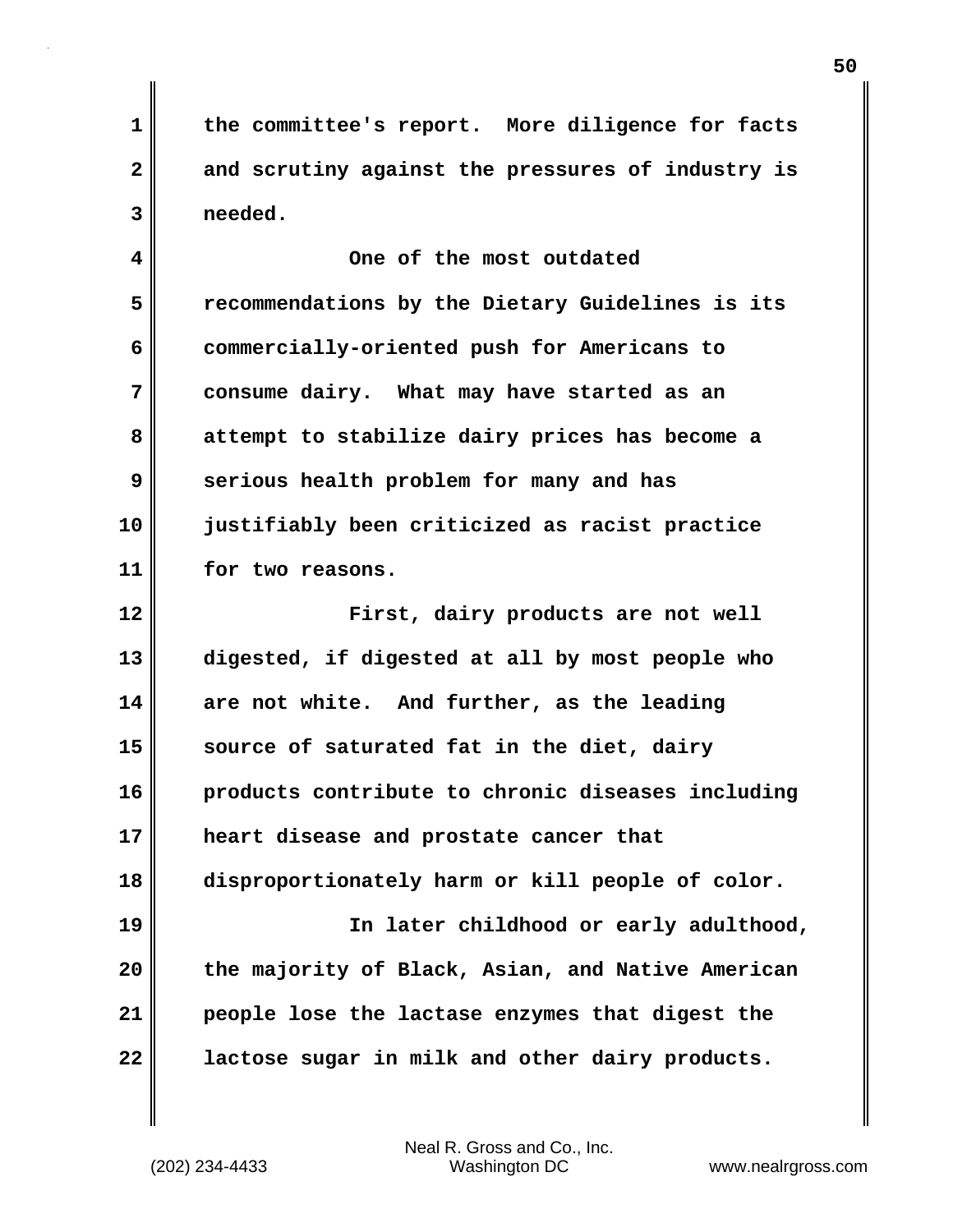**1 the committee's report. More diligence for facts 2 and scrutiny against the pressures of industry is 3 needed.**

**4 One of the most outdated 5 recommendations by the Dietary Guidelines is its 6 commercially-oriented push for Americans to 7 consume dairy. What may have started as an 8 attempt to stabilize dairy prices has become a 9 serious health problem for many and has 10 justifiably been criticized as racist practice 11 for two reasons.**

**12 First, dairy products are not well 13 digested, if digested at all by most people who 14 are not white. And further, as the leading 15 source of saturated fat in the diet, dairy 16 products contribute to chronic diseases including 17 heart disease and prostate cancer that 18 disproportionately harm or kill people of color. 19 In later childhood or early adulthood, 20 the majority of Black, Asian, and Native American 21 people lose the lactase enzymes that digest the 22 lactose sugar in milk and other dairy products.**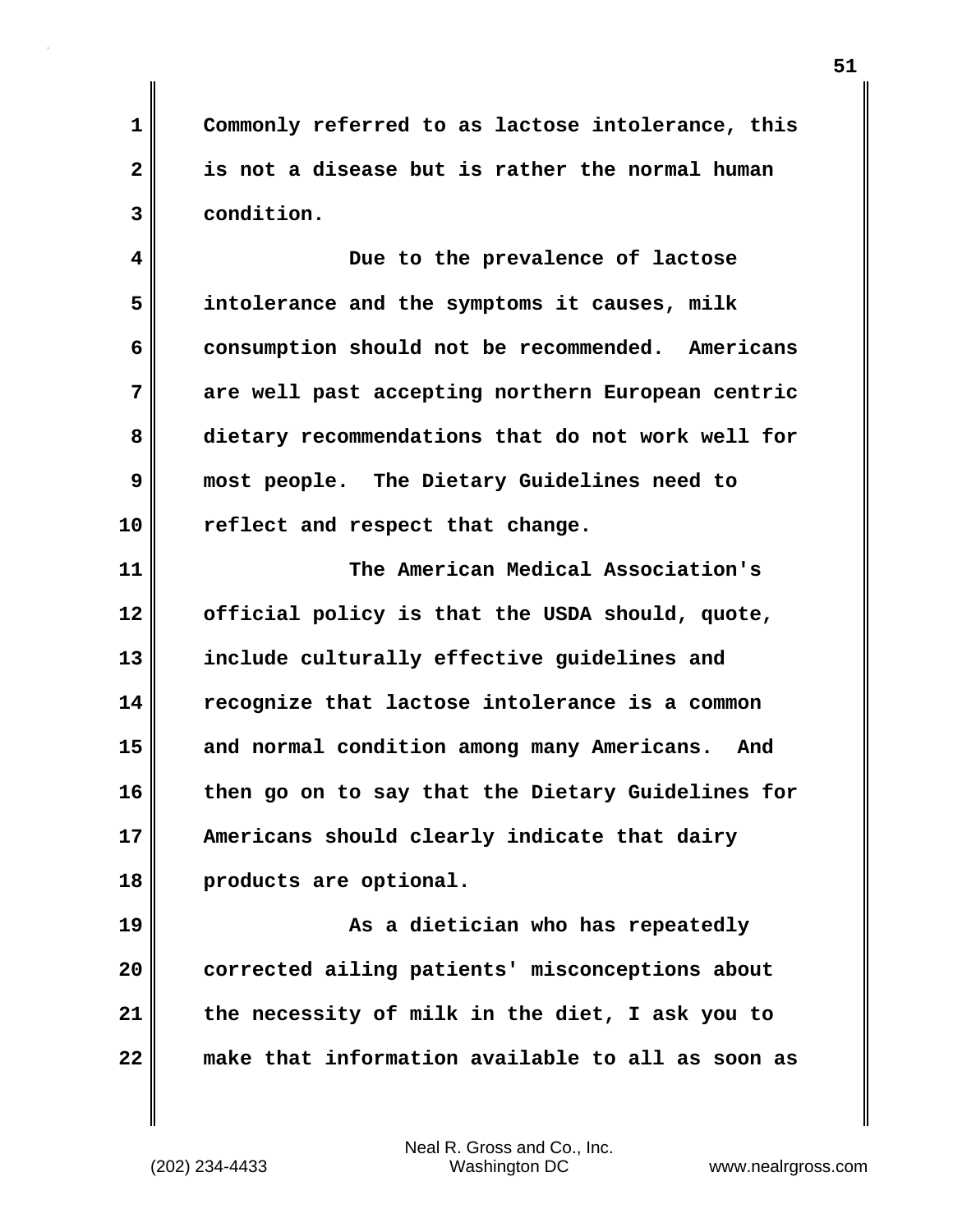**1 Commonly referred to as lactose intolerance, this 2 is not a disease but is rather the normal human 3 condition.**

**4 Due to the prevalence of lactose 5 intolerance and the symptoms it causes, milk** 6 consumption should not be recommended. Americans **7 are well past accepting northern European centric 8 dietary recommendations that do not work well for 9 most people. The Dietary Guidelines need to 10 reflect and respect that change.**

**11 The American Medical Association's 12 official policy is that the USDA should, quote, 13 include culturally effective guidelines and 14 recognize that lactose intolerance is a common 15 and normal condition among many Americans. And 16 then go on to say that the Dietary Guidelines for 17 Americans should clearly indicate that dairy 18 products are optional.**

**19 As a dietician who has repeatedly 20 corrected ailing patients' misconceptions about 21 the necessity of milk in the diet, I ask you to 22 make that information available to all as soon as**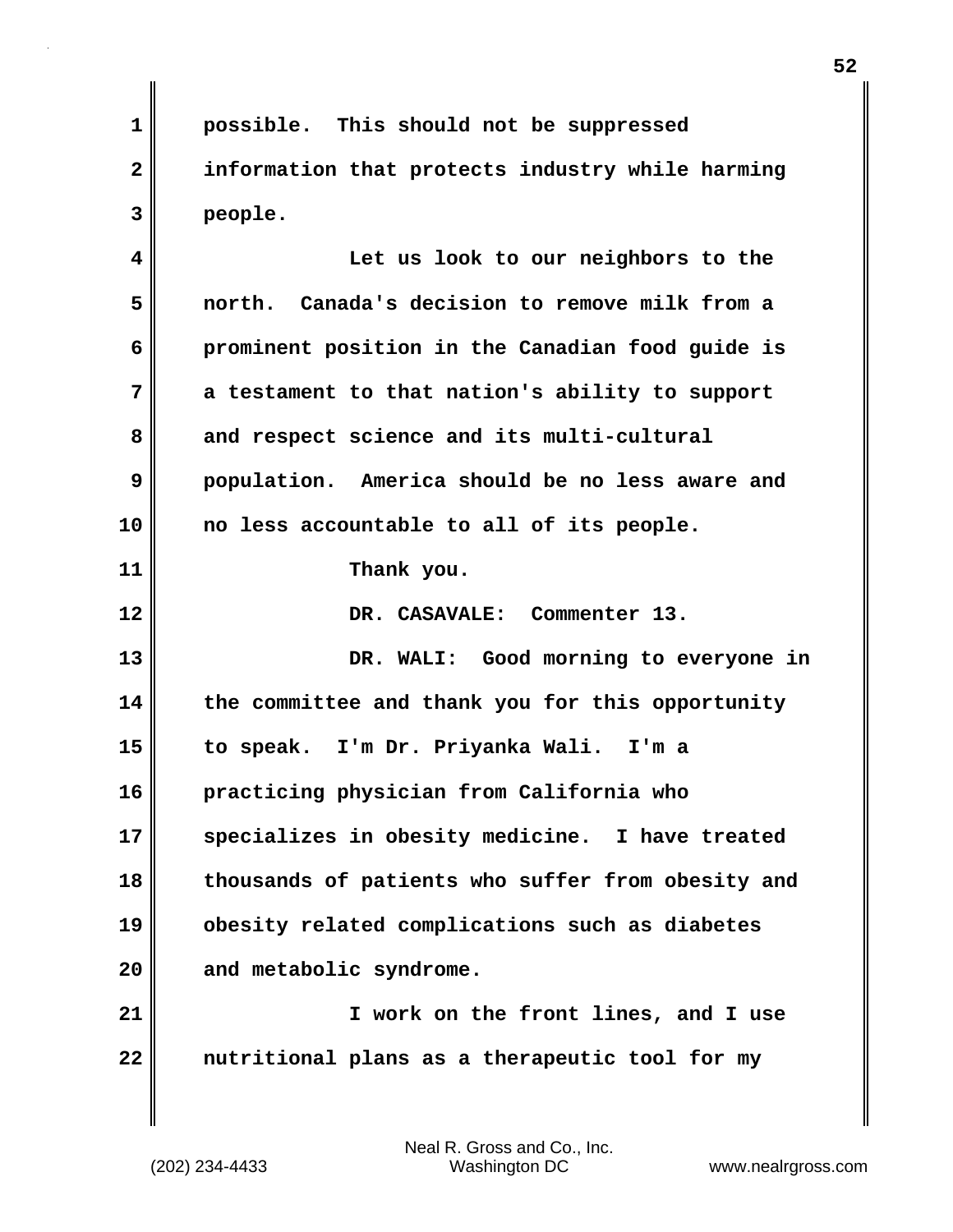**1 possible. This should not be suppressed 2 information that protects industry while harming 3 people. 4 Let us look to our neighbors to the 5 north. Canada's decision to remove milk from a 6 prominent position in the Canadian food guide is 7 a testament to that nation's ability to support 8 and respect science and its multi-cultural 9 population. America should be no less aware and 10 no less accountable to all of its people. 11 Thank you. 12 DR. CASAVALE: Commenter 13. 13 DR. WALI: Good morning to everyone in 14 the committee and thank you for this opportunity 15 to speak. I'm Dr. Priyanka Wali. I'm a 16 practicing physician from California who 17 specializes in obesity medicine. I have treated 18 thousands of patients who suffer from obesity and 19 obesity related complications such as diabetes 20 and metabolic syndrome. 21 I work on the front lines, and I use 22 nutritional plans as a therapeutic tool for my**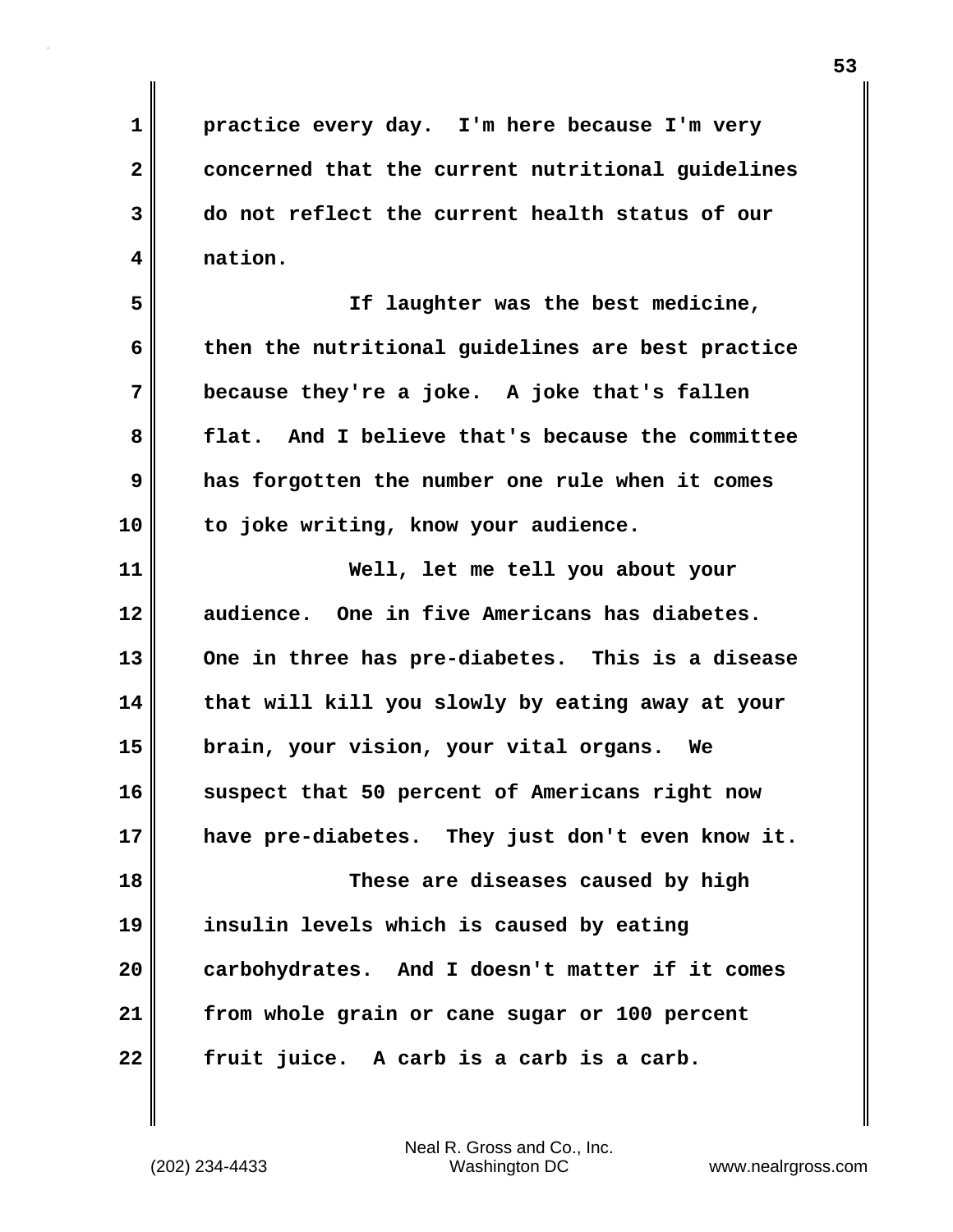**1 practice every day. I'm here because I'm very 2 concerned that the current nutritional guidelines 3 do not reflect the current health status of our 4 nation.**

**5 If laughter was the best medicine, 6 then the nutritional guidelines are best practice 7 because they're a joke. A joke that's fallen 8 flat. And I believe that's because the committee 9 has forgotten the number one rule when it comes 10 to joke writing, know your audience.**

**11 Well, let me tell you about your 12 audience. One in five Americans has diabetes. 13 One in three has pre-diabetes. This is a disease 14 that will kill you slowly by eating away at your 15 brain, your vision, your vital organs. We 16 suspect that 50 percent of Americans right now 17 have pre-diabetes. They just don't even know it. 18 These are diseases caused by high 19 insulin levels which is caused by eating 20 carbohydrates. And I doesn't matter if it comes**

**22 fruit juice. A carb is a carb is a carb.**

**21 from whole grain or cane sugar or 100 percent**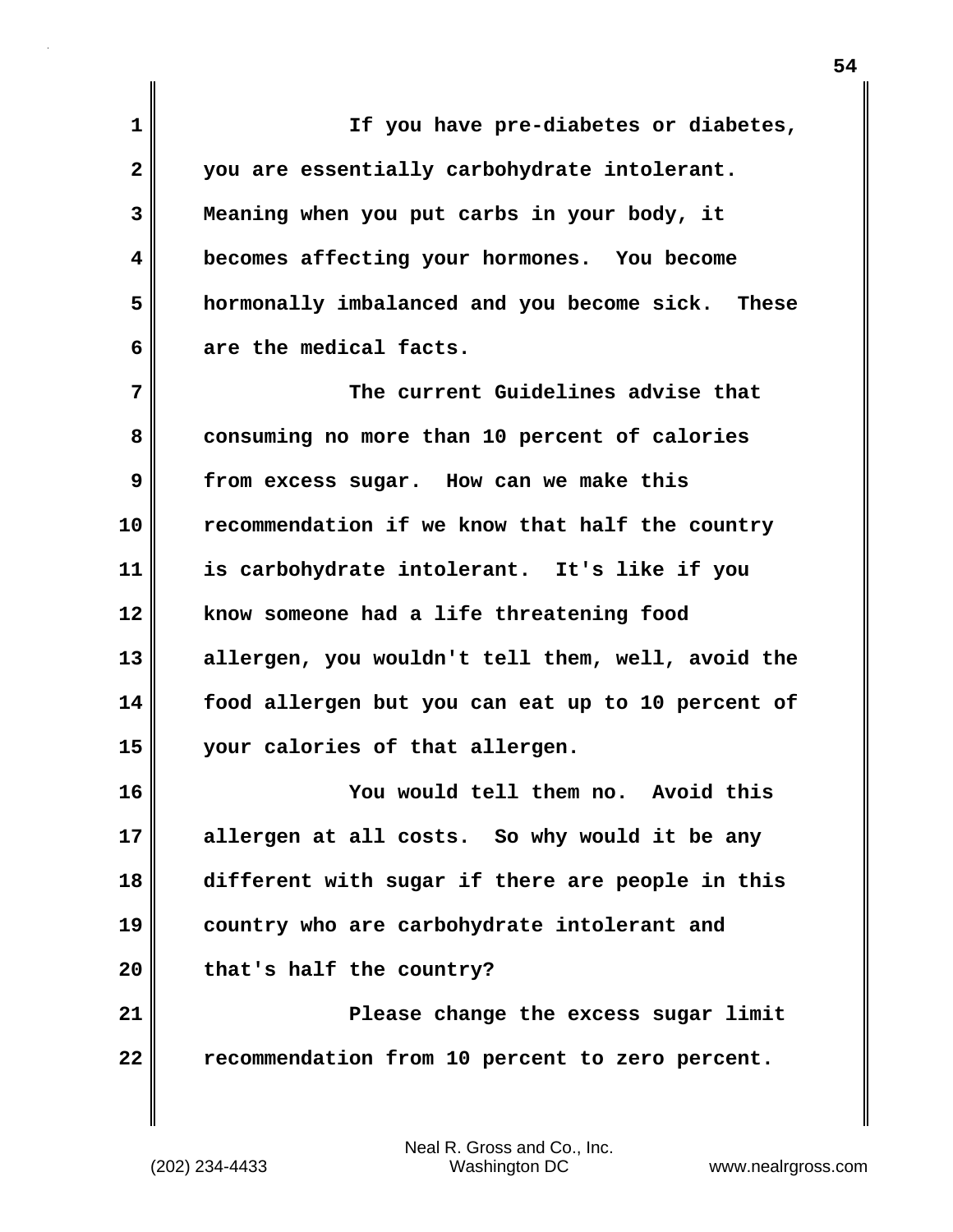**1 If you have pre-diabetes or diabetes, 2 you are essentially carbohydrate intolerant. 3 Meaning when you put carbs in your body, it 4 becomes affecting your hormones. You become 5 hormonally imbalanced and you become sick. These 6 are the medical facts. 7 The current Guidelines advise that 8 consuming no more than 10 percent of calories 9 from excess sugar. How can we make this 10 recommendation if we know that half the country 11 is carbohydrate intolerant. It's like if you 12 know someone had a life threatening food 13 allergen, you wouldn't tell them, well, avoid the 14 food allergen but you can eat up to 10 percent of 15 your calories of that allergen. 16 You would tell them no. Avoid this 17 allergen at all costs. So why would it be any 18 different with sugar if there are people in this 19 country who are carbohydrate intolerant and**

**20 that's half the country?**

**21 Please change the excess sugar limit 22 recommendation from 10 percent to zero percent.**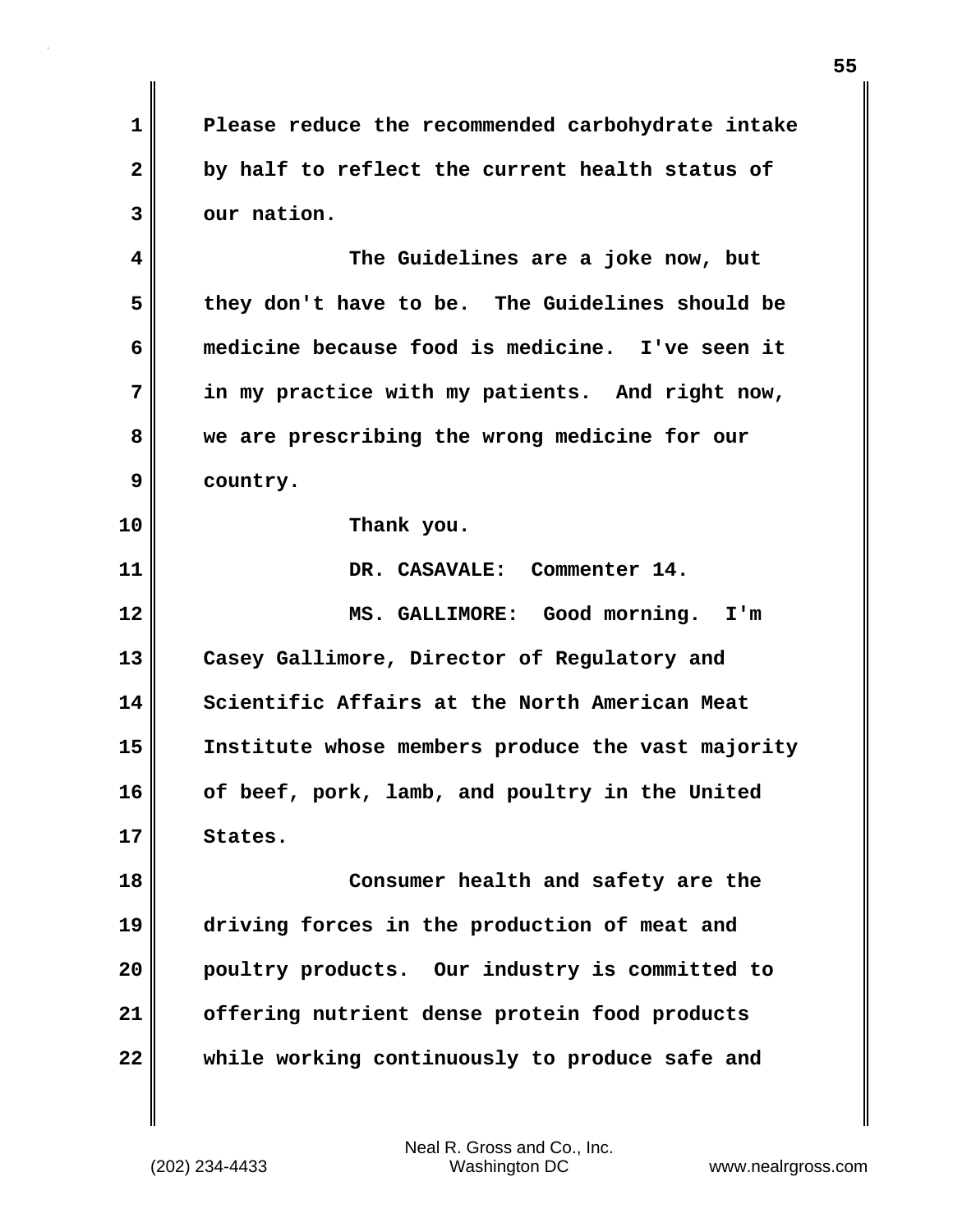**1 Please reduce the recommended carbohydrate intake 2 by half to reflect the current health status of 3 our nation.**

**4 The Guidelines are a joke now, but 5 they don't have to be. The Guidelines should be 6 medicine because food is medicine. I've seen it 7 in my practice with my patients. And right now, 8 we are prescribing the wrong medicine for our 9 country.**

**10 Thank you.**

**11 DR. CASAVALE: Commenter 14. 12 MS. GALLIMORE: Good morning. I'm 13 Casey Gallimore, Director of Regulatory and 14 Scientific Affairs at the North American Meat 15 Institute whose members produce the vast majority 16 of beef, pork, lamb, and poultry in the United 17 States. 18 Consumer health and safety are the 19 driving forces in the production of meat and 20 poultry products. Our industry is committed to 21 offering nutrient dense protein food products**

**22 while working continuously to produce safe and**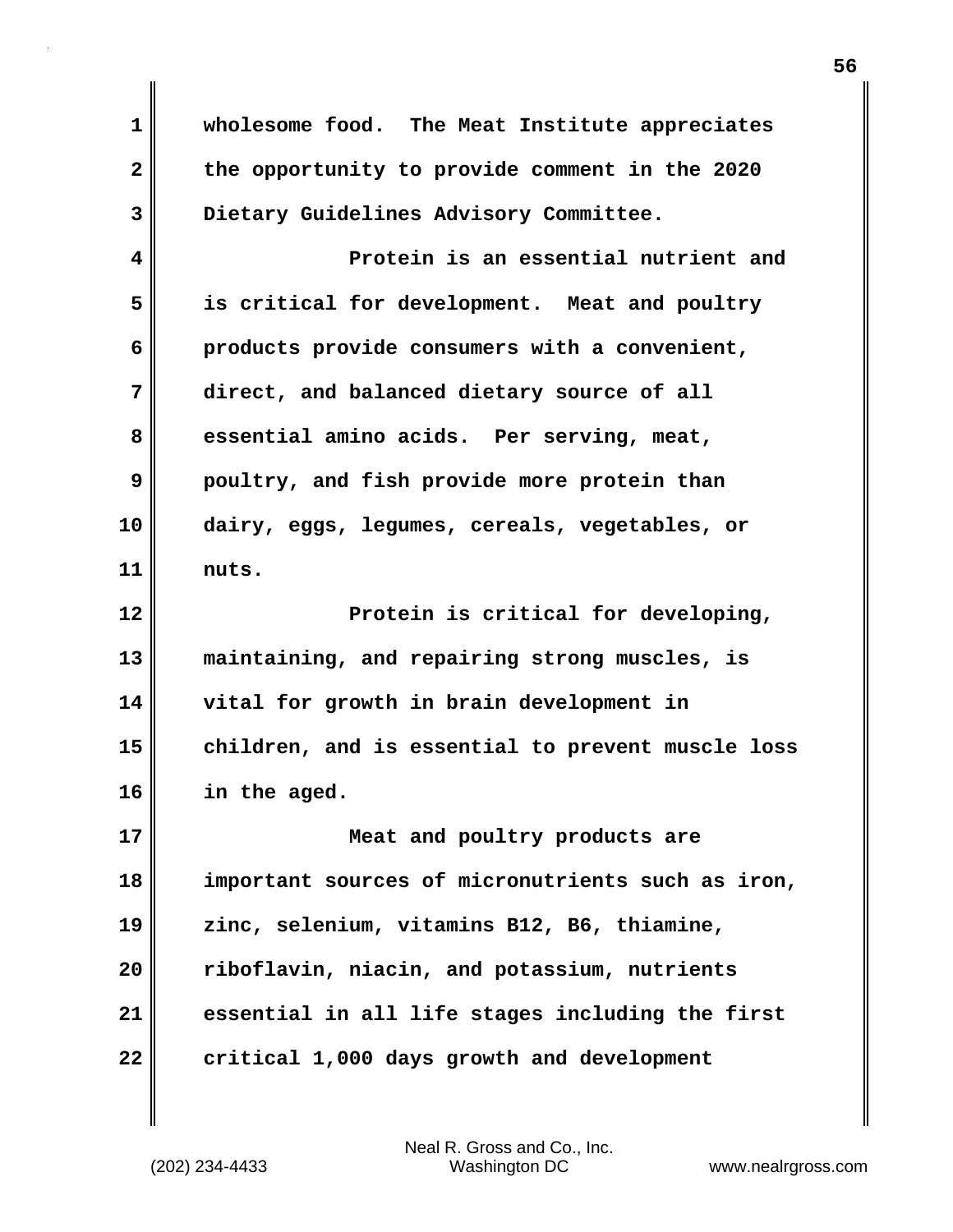**1 wholesome food. The Meat Institute appreciates 2 the opportunity to provide comment in the 2020 3 Dietary Guidelines Advisory Committee. 4 Protein is an essential nutrient and 5 is critical for development. Meat and poultry 6 products provide consumers with a convenient, 7 direct, and balanced dietary source of all 8 essential amino acids. Per serving, meat, 9 poultry, and fish provide more protein than 10 dairy, eggs, legumes, cereals, vegetables, or 11 nuts. 12 Protein is critical for developing, 13 maintaining, and repairing strong muscles, is 14 vital for growth in brain development in 15 children, and is essential to prevent muscle loss 16 in the aged. 17 Meat and poultry products are 18 important sources of micronutrients such as iron, 19 zinc, selenium, vitamins B12, B6, thiamine, 20 riboflavin, niacin, and potassium, nutrients 21 essential in all life stages including the first 22 critical 1,000 days growth and development**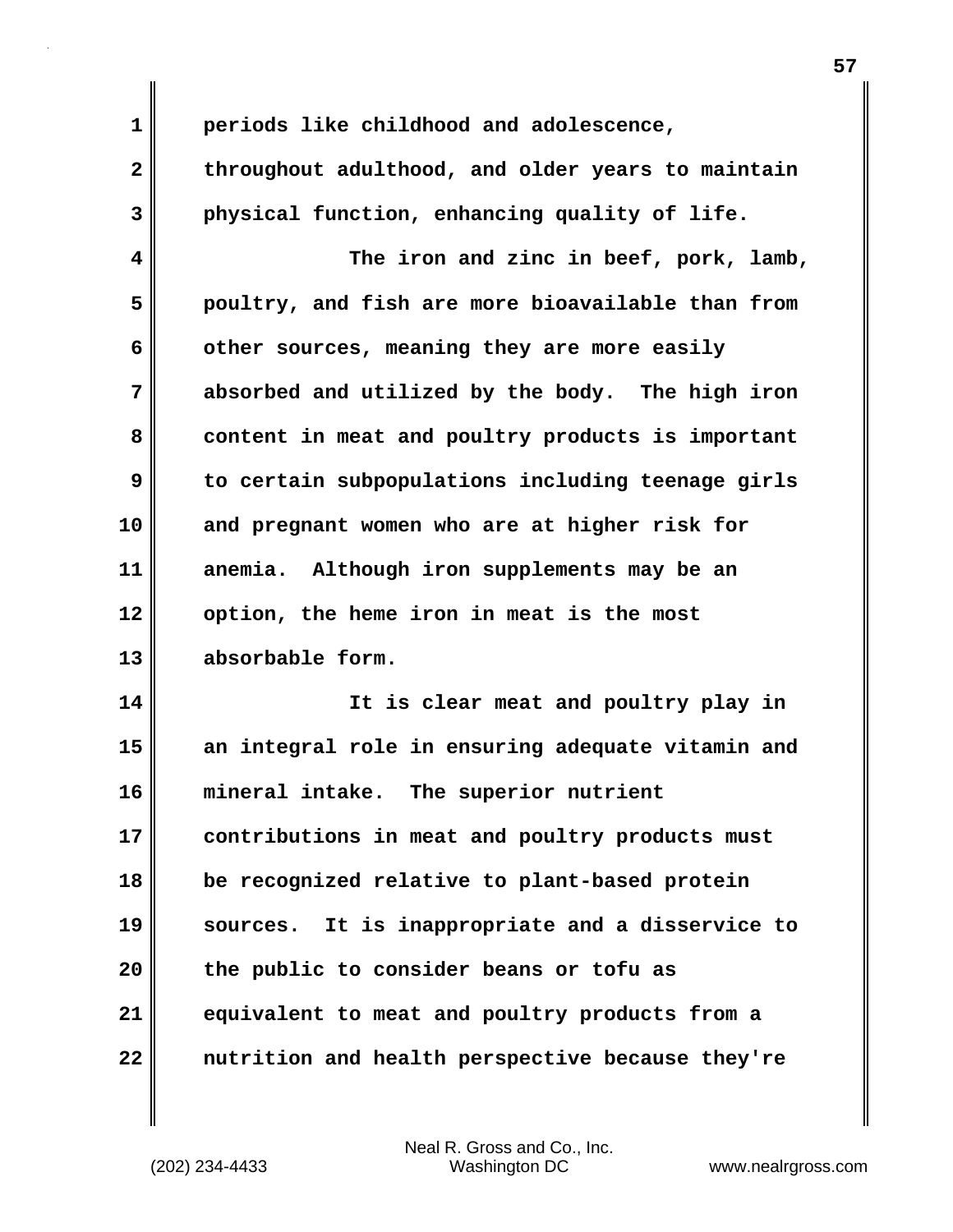| $\mathbf 1$  | periods like childhood and adolescence,           |
|--------------|---------------------------------------------------|
| $\mathbf{2}$ | throughout adulthood, and older years to maintain |
| 3            | physical function, enhancing quality of life.     |
| 4            | The iron and zinc in beef, pork, lamb,            |
| 5            | poultry, and fish are more bioavailable than from |
| 6            | other sources, meaning they are more easily       |
| 7            | absorbed and utilized by the body. The high iron  |
| 8            | content in meat and poultry products is important |
| 9            | to certain subpopulations including teenage girls |
| 10           | and pregnant women who are at higher risk for     |
| 11           | anemia. Although iron supplements may be an       |
| 12           | option, the heme iron in meat is the most         |
| 13           | absorbable form.                                  |
| 14           | It is clear meat and poultry play in              |
| 15           | an integral role in ensuring adequate vitamin and |
| 16           | mineral intake.<br>The superior nutrient          |
| 17           | contributions in meat and poultry products must   |
| 18           | be recognized relative to plant-based protein     |
| 19           | sources. It is inappropriate and a disservice to  |
| 20           | the public to consider beans or tofu as           |
| 21           | equivalent to meat and poultry products from a    |
| 22           | nutrition and health perspective because they're  |

 $\mathbf{I}$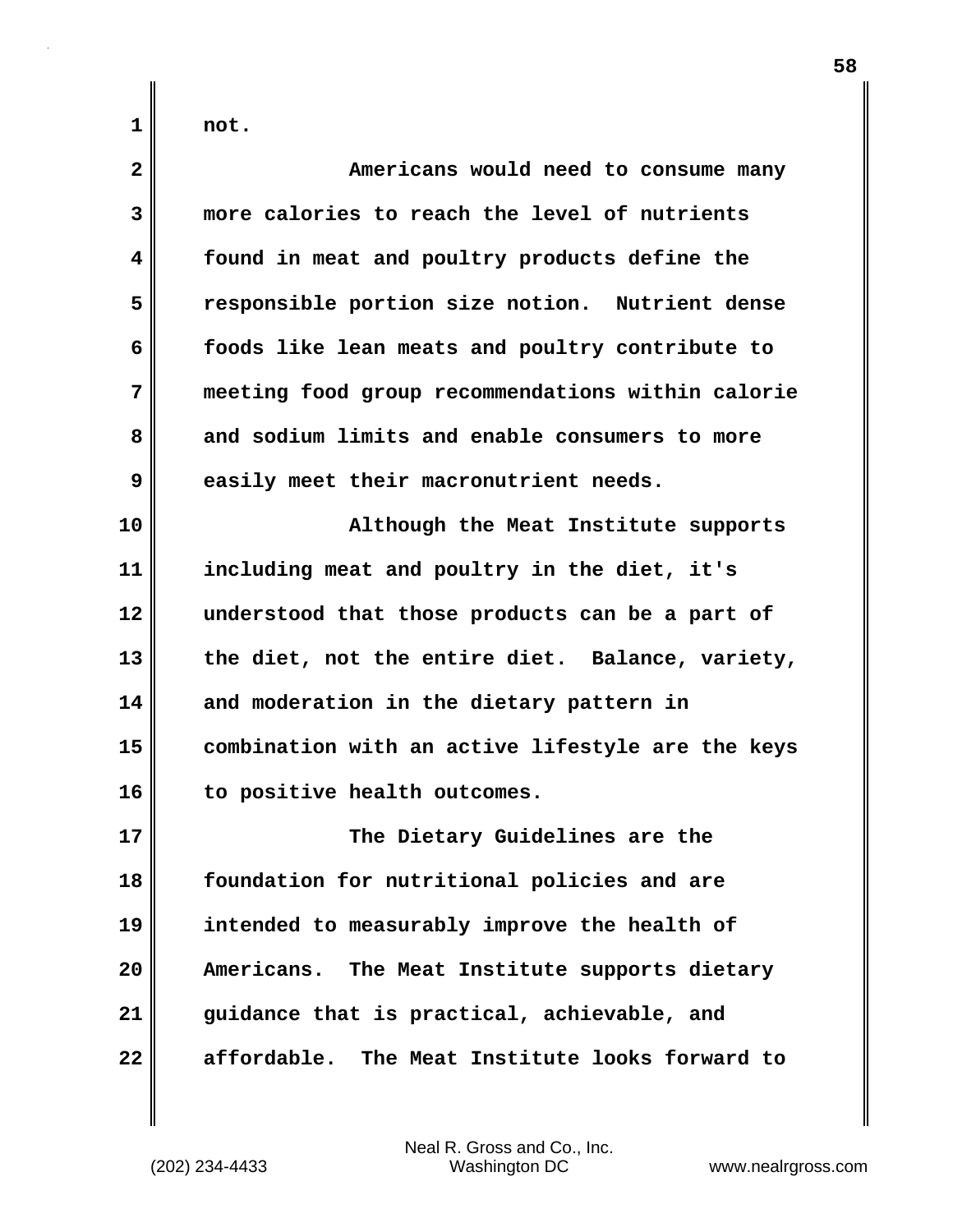**1 not.**

| $\mathbf{2}$ | Americans would need to consume many              |
|--------------|---------------------------------------------------|
| 3            | more calories to reach the level of nutrients     |
| 4            | found in meat and poultry products define the     |
| 5            | responsible portion size notion. Nutrient dense   |
| 6            | foods like lean meats and poultry contribute to   |
| 7            | meeting food group recommendations within calorie |
| 8            | and sodium limits and enable consumers to more    |
| 9            | easily meet their macronutrient needs.            |
| 10           | Although the Meat Institute supports              |
| 11           | including meat and poultry in the diet, it's      |
| 12           | understood that those products can be a part of   |
| 13           | the diet, not the entire diet. Balance, variety,  |
| 14           | and moderation in the dietary pattern in          |
| 15           | combination with an active lifestyle are the keys |
| 16           | to positive health outcomes.                      |
| 17           | The Dietary Guidelines are the                    |
| 18           | foundation for nutritional policies and are       |
| 19           | intended to measurably improve the health of      |
| 20           | Americans. The Meat Institute supports dietary    |
| 21           | guidance that is practical, achievable, and       |
| 22           | affordable. The Meat Institute looks forward to   |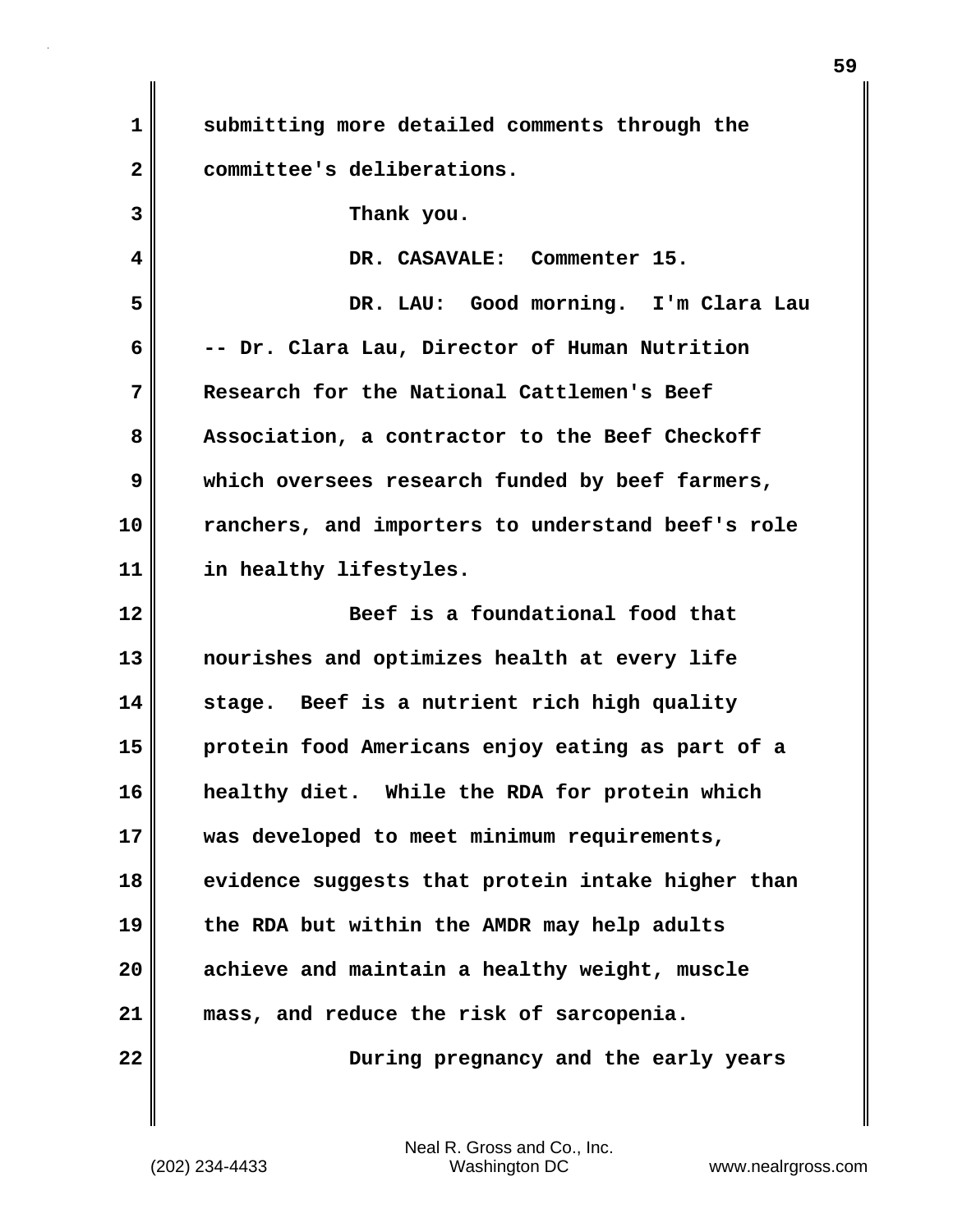| $\mathbf 1$  | submitting more detailed comments through the     |
|--------------|---------------------------------------------------|
| $\mathbf{2}$ | committee's deliberations.                        |
| 3            | Thank you.                                        |
| 4            | DR. CASAVALE: Commenter 15.                       |
| 5            | DR. LAU: Good morning. I'm Clara Lau              |
| 6            | -- Dr. Clara Lau, Director of Human Nutrition     |
| 7            | Research for the National Cattlemen's Beef        |
| 8            | Association, a contractor to the Beef Checkoff    |
| 9            | which oversees research funded by beef farmers,   |
| 10           | ranchers, and importers to understand beef's role |
| 11           | in healthy lifestyles.                            |
|              |                                                   |
| 12           | Beef is a foundational food that                  |
| 13           | nourishes and optimizes health at every life      |
| 14           | stage. Beef is a nutrient rich high quality       |
| 15           | protein food Americans enjoy eating as part of a  |
| 16           | While the RDA for protein which<br>healthy diet.  |
| 17           | was developed to meet minimum requirements,       |
| 18           | evidence suggests that protein intake higher than |
| 19           | the RDA but within the AMDR may help adults       |
| 20           | achieve and maintain a healthy weight, muscle     |
| 21           | mass, and reduce the risk of sarcopenia.          |

(202) 234-4433 Washington DC www.nealrgross.com Neal R. Gross and Co., Inc.

 $\mathbf{I}$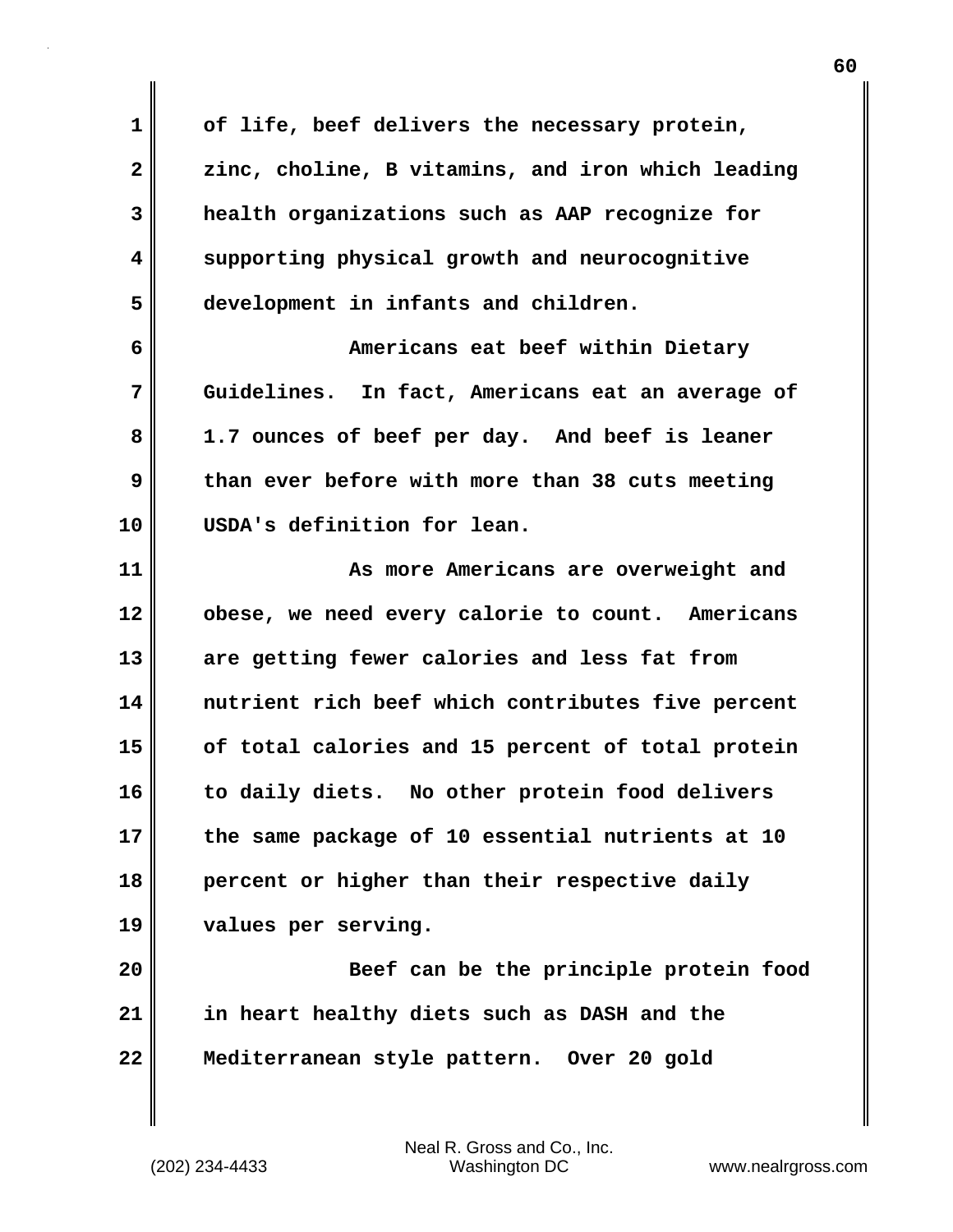**1 of life, beef delivers the necessary protein, 2 zinc, choline, B vitamins, and iron which leading 3 health organizations such as AAP recognize for 4 supporting physical growth and neurocognitive 5 development in infants and children. 6 Americans eat beef within Dietary 7 Guidelines. In fact, Americans eat an average of 8 1.7 ounces of beef per day. And beef is leaner 9 than ever before with more than 38 cuts meeting 10 USDA's definition for lean. 11 As more Americans are overweight and 12 obese, we need every calorie to count. Americans 13 are getting fewer calories and less fat from 14 nutrient rich beef which contributes five percent 15 of total calories and 15 percent of total protein 16 to daily diets. No other protein food delivers 17 the same package of 10 essential nutrients at 10 18 percent or higher than their respective daily 19 values per serving. 20 Beef can be the principle protein food 21 in heart healthy diets such as DASH and the 22 Mediterranean style pattern. Over 20 gold**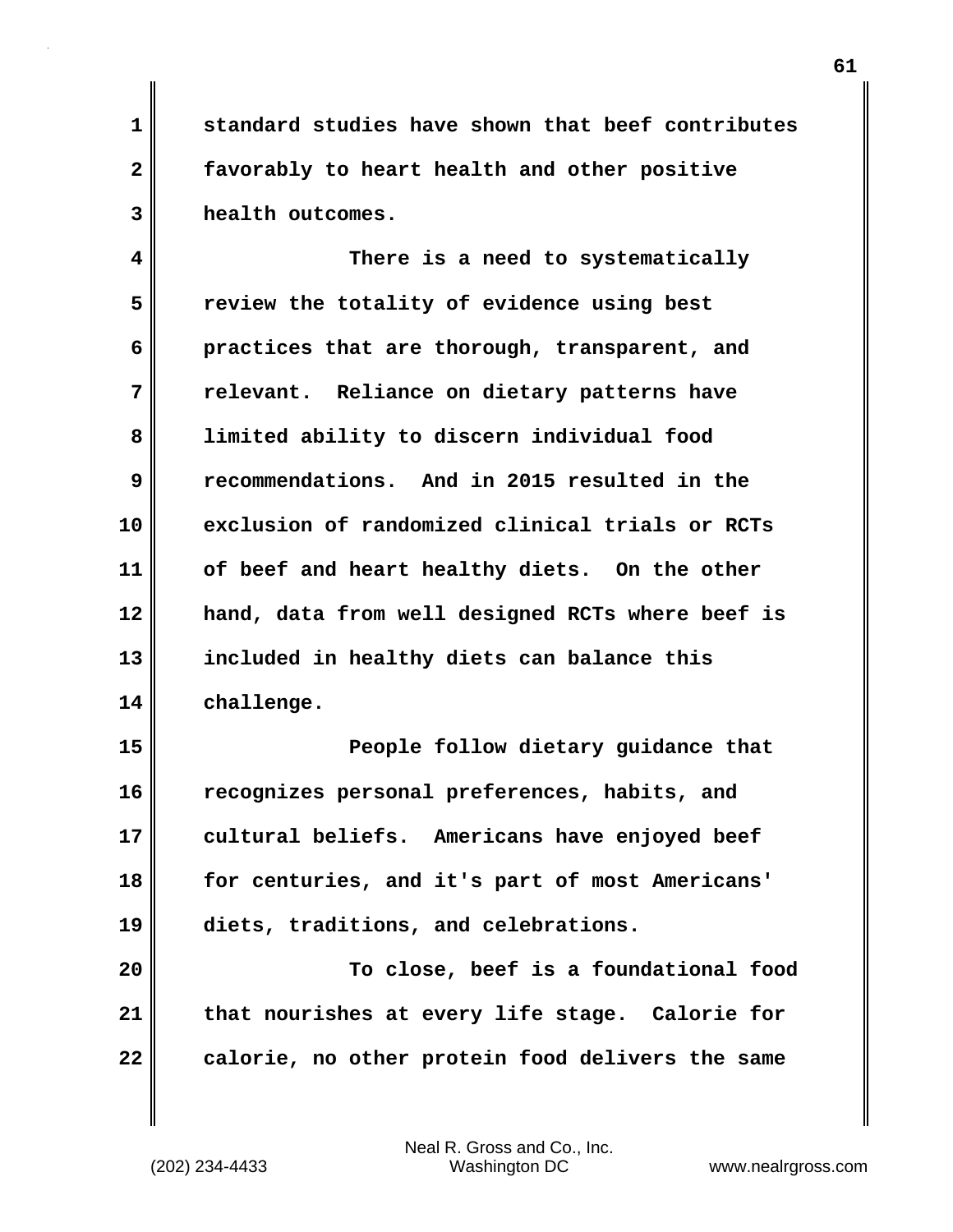**1 standard studies have shown that beef contributes 2 favorably to heart health and other positive 3 health outcomes.**

**4 There is a need to systematically 5 review the totality of evidence using best 6 practices that are thorough, transparent, and 7 relevant. Reliance on dietary patterns have 8 limited ability to discern individual food 9 recommendations. And in 2015 resulted in the 10 exclusion of randomized clinical trials or RCTs 11 of beef and heart healthy diets. On the other 12 hand, data from well designed RCTs where beef is 13 included in healthy diets can balance this 14 challenge.**

**15 People follow dietary guidance that 16 recognizes personal preferences, habits, and 17 cultural beliefs. Americans have enjoyed beef 18 for centuries, and it's part of most Americans' 19 diets, traditions, and celebrations.**

**20 To close, beef is a foundational food 21 that nourishes at every life stage. Calorie for 22 calorie, no other protein food delivers the same**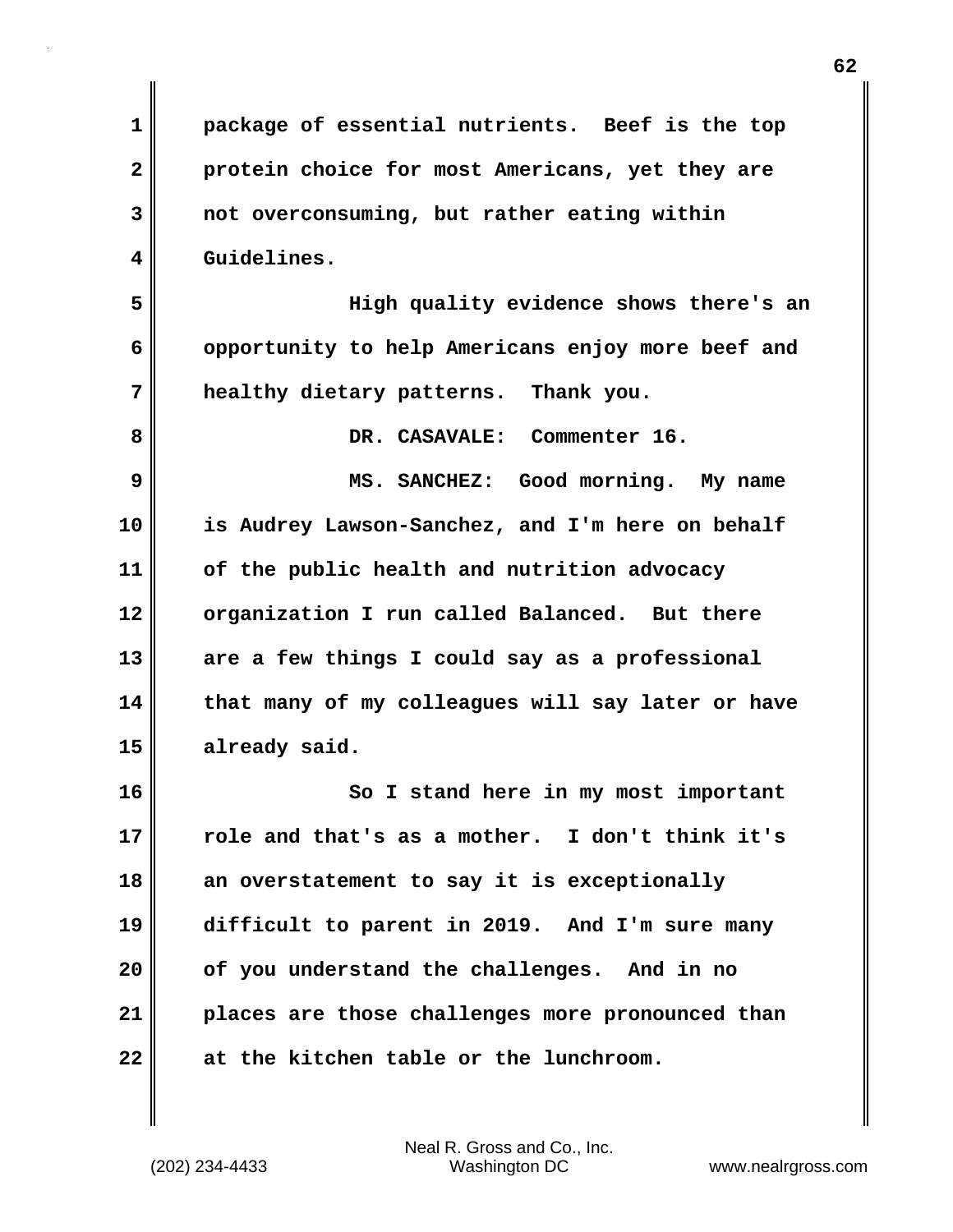**1 package of essential nutrients. Beef is the top 2 protein choice for most Americans, yet they are 3 not overconsuming, but rather eating within 4 Guidelines. 5 High quality evidence shows there's an 6 opportunity to help Americans enjoy more beef and 7 healthy dietary patterns. Thank you. 8 DR. CASAVALE: Commenter 16. 9 MS. SANCHEZ: Good morning. My name 10 is Audrey Lawson-Sanchez, and I'm here on behalf 11 of the public health and nutrition advocacy 12 organization I run called Balanced. But there 13 are a few things I could say as a professional 14 that many of my colleagues will say later or have 15 already said. 16 So I stand here in my most important 17 role and that's as a mother. I don't think it's 18 an overstatement to say it is exceptionally 19 difficult to parent in 2019. And I'm sure many 20 of you understand the challenges. And in no 21 places are those challenges more pronounced than 22 at the kitchen table or the lunchroom.**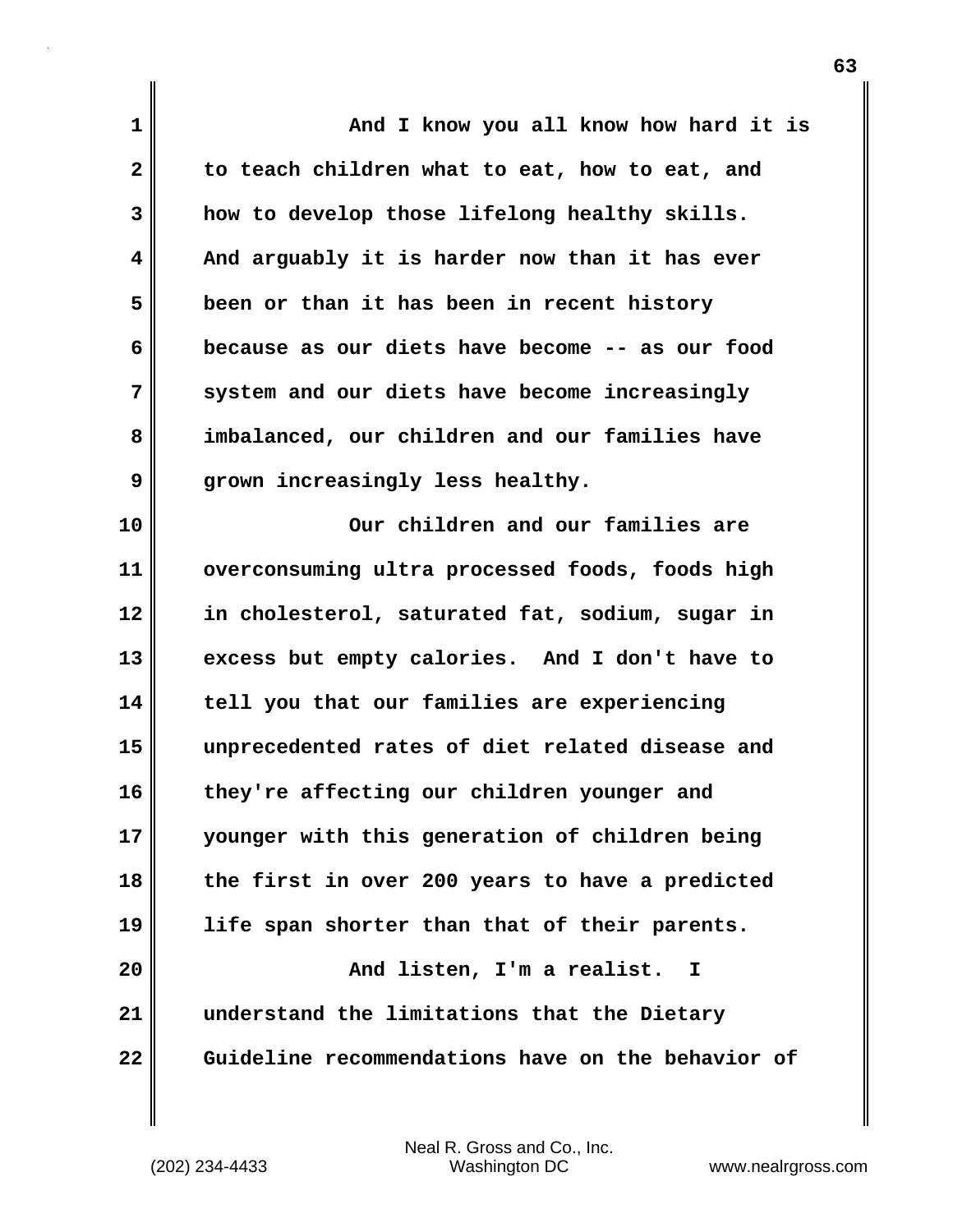| 1            | And I know you all know how hard it is            |
|--------------|---------------------------------------------------|
| $\mathbf{2}$ | to teach children what to eat, how to eat, and    |
| 3            | how to develop those lifelong healthy skills.     |
| 4            | And arguably it is harder now than it has ever    |
| 5            | been or than it has been in recent history        |
| 6            | because as our diets have become -- as our food   |
| 7            | system and our diets have become increasingly     |
| 8            | imbalanced, our children and our families have    |
| 9            | grown increasingly less healthy.                  |
| 10           | Our children and our families are                 |
| 11           | overconsuming ultra processed foods, foods high   |
| 12           | in cholesterol, saturated fat, sodium, sugar in   |
| 13           | excess but empty calories. And I don't have to    |
| 14           | tell you that our families are experiencing       |
| 15           | unprecedented rates of diet related disease and   |
| 16           | they're affecting our children younger and        |
| 17           | younger with this generation of children being    |
| 18           | the first in over 200 years to have a predicted   |
| 19           | life span shorter than that of their parents.     |
| 20           | And listen, I'm a realist.<br>I                   |
| 21           | understand the limitations that the Dietary       |
| 22           | Guideline recommendations have on the behavior of |

 $\mathbf{I}$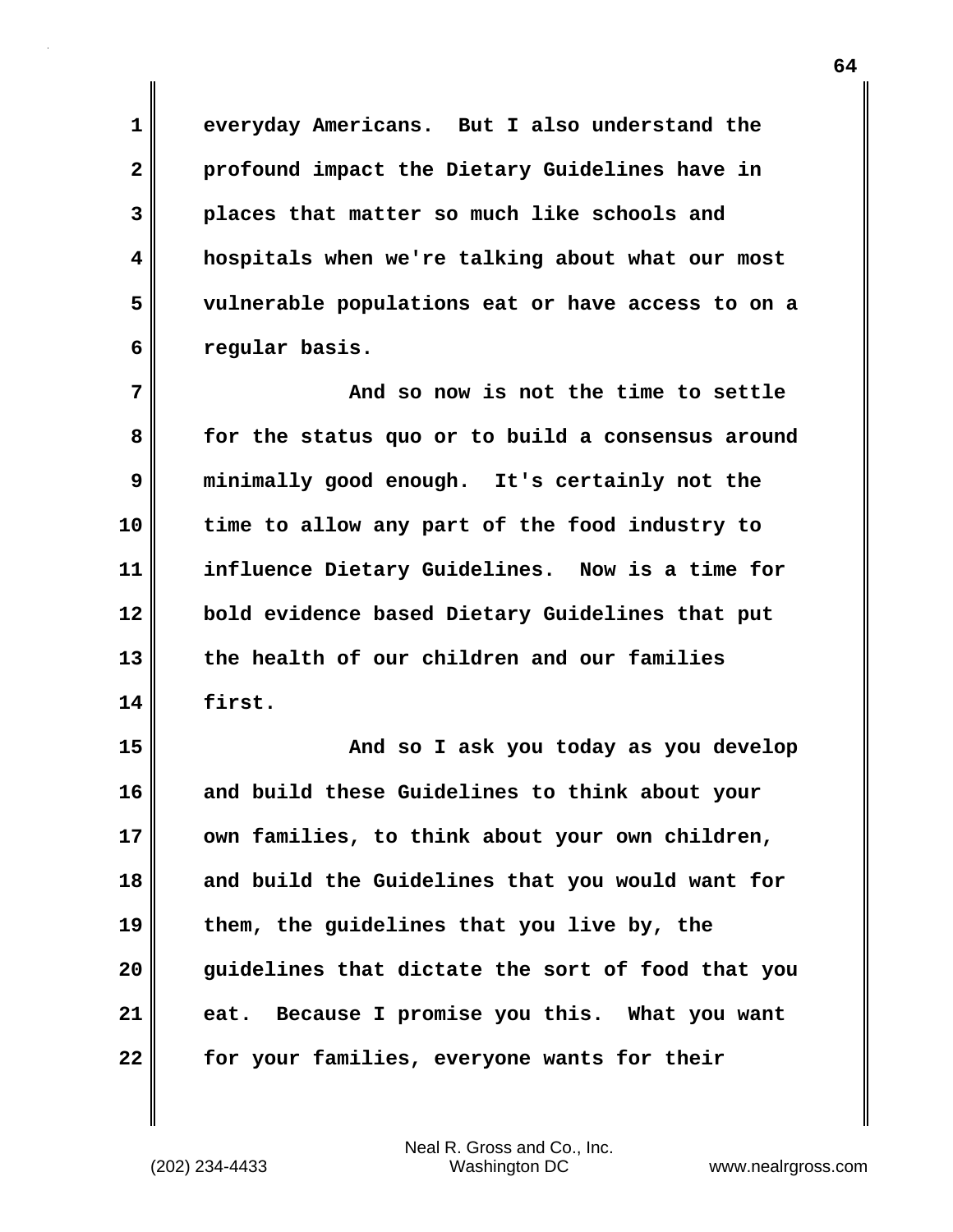**1 everyday Americans. But I also understand the 2 profound impact the Dietary Guidelines have in 3 places that matter so much like schools and 4 hospitals when we're talking about what our most 5 vulnerable populations eat or have access to on a 6 regular basis.**

**7 And so now is not the time to settle 8 for the status quo or to build a consensus around 9 minimally good enough. It's certainly not the 10 time to allow any part of the food industry to 11 influence Dietary Guidelines. Now is a time for 12 bold evidence based Dietary Guidelines that put 13 the health of our children and our families 14 first.**

**15 And so I ask you today as you develop 16 and build these Guidelines to think about your 17 own families, to think about your own children, 18 and build the Guidelines that you would want for 19 them, the guidelines that you live by, the 20 guidelines that dictate the sort of food that you 21 eat. Because I promise you this. What you want 22 for your families, everyone wants for their**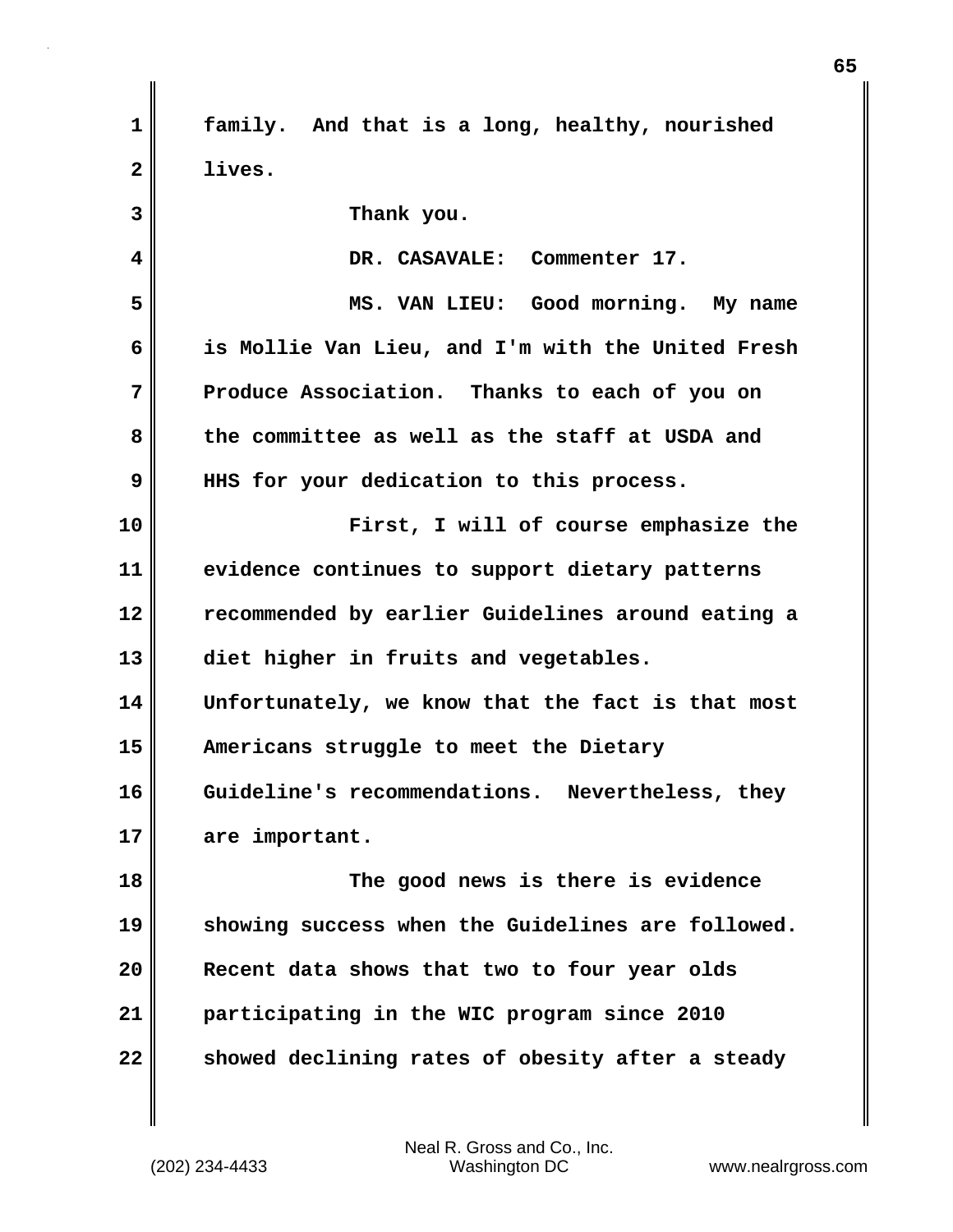| $\mathbf 1$  | family. And that is a long, healthy, nourished    |
|--------------|---------------------------------------------------|
| $\mathbf{2}$ | lives.                                            |
| 3            | Thank you.                                        |
| 4            | DR. CASAVALE: Commenter 17.                       |
| 5            | MS. VAN LIEU: Good morning. My name               |
| 6            | is Mollie Van Lieu, and I'm with the United Fresh |
| 7            | Produce Association. Thanks to each of you on     |
| 8            | the committee as well as the staff at USDA and    |
| 9            | HHS for your dedication to this process.          |
| 10           | First, I will of course emphasize the             |
| 11           | evidence continues to support dietary patterns    |
| 12           | recommended by earlier Guidelines around eating a |
| 13           | diet higher in fruits and vegetables.             |
| 14           | Unfortunately, we know that the fact is that most |
| 15           | Americans struggle to meet the Dietary            |
| 16           | Guideline's recommendations. Nevertheless, they   |
| 17           | are important.                                    |
| 18           | The good news is there is evidence                |
| 19           | showing success when the Guidelines are followed. |
| 20           | Recent data shows that two to four year olds      |
| 21           | participating in the WIC program since 2010       |
| 22           | showed declining rates of obesity after a steady  |

 $\mathbf{l}$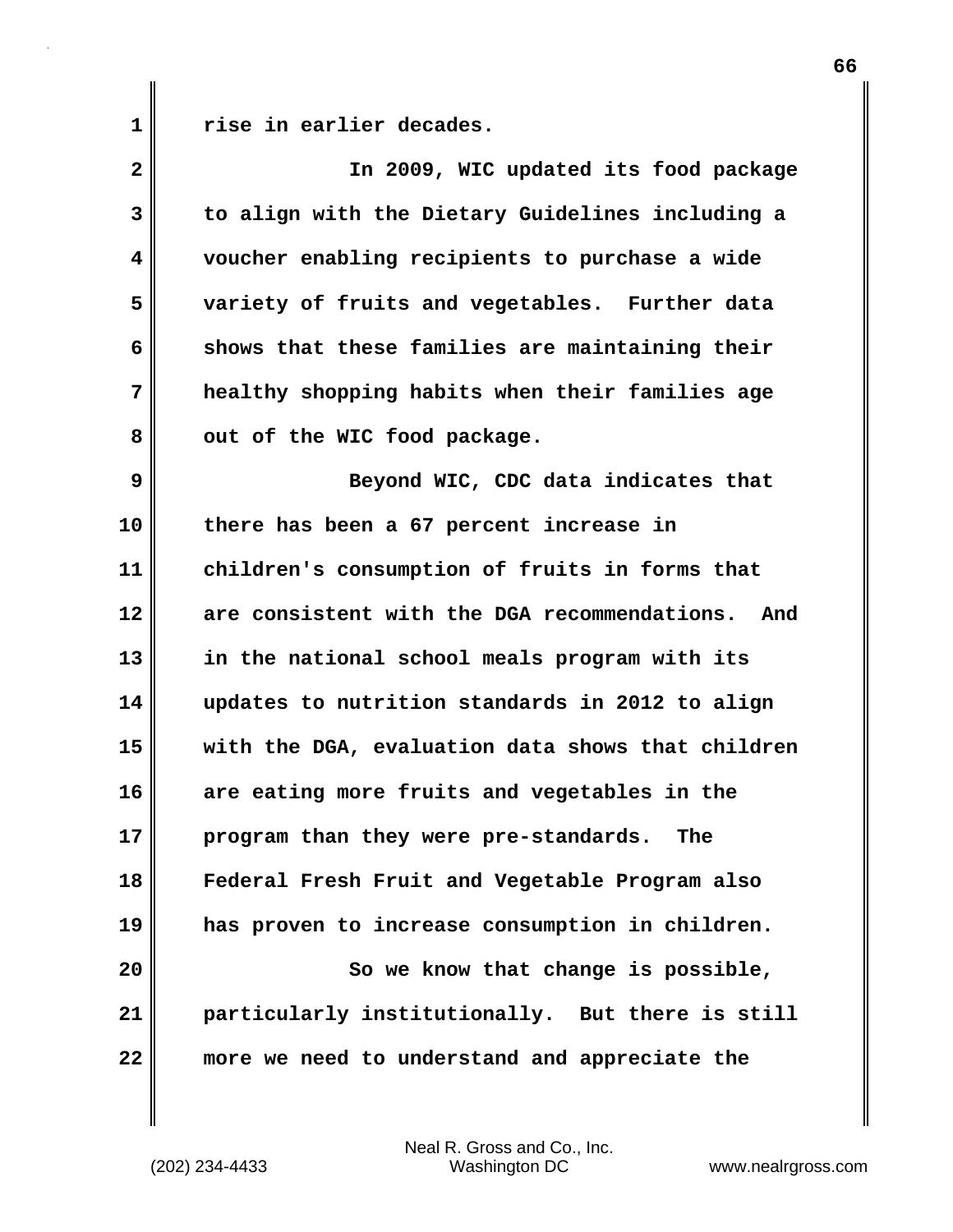**1 rise in earlier decades.**

| $\mathbf{2}$ | In 2009, WIC updated its food package             |
|--------------|---------------------------------------------------|
| 3            | to align with the Dietary Guidelines including a  |
| 4            | voucher enabling recipients to purchase a wide    |
| 5            | variety of fruits and vegetables. Further data    |
| 6            | shows that these families are maintaining their   |
| 7            | healthy shopping habits when their families age   |
| 8            | out of the WIC food package.                      |
| 9            | Beyond WIC, CDC data indicates that               |
| 10           | there has been a 67 percent increase in           |
| 11           | children's consumption of fruits in forms that    |
| 12           | are consistent with the DGA recommendations. And  |
| 13           | in the national school meals program with its     |
| 14           | updates to nutrition standards in 2012 to align   |
| 15           | with the DGA, evaluation data shows that children |
| 16           | are eating more fruits and vegetables in the      |
| 17           | program than they were pre-standards.<br>The      |
| 18           | Federal Fresh Fruit and Vegetable Program also    |
| 19           | has proven to increase consumption in children.   |
| 20           | So we know that change is possible,               |
| 21           | particularly institutionally. But there is still  |
| 22           | more we need to understand and appreciate the     |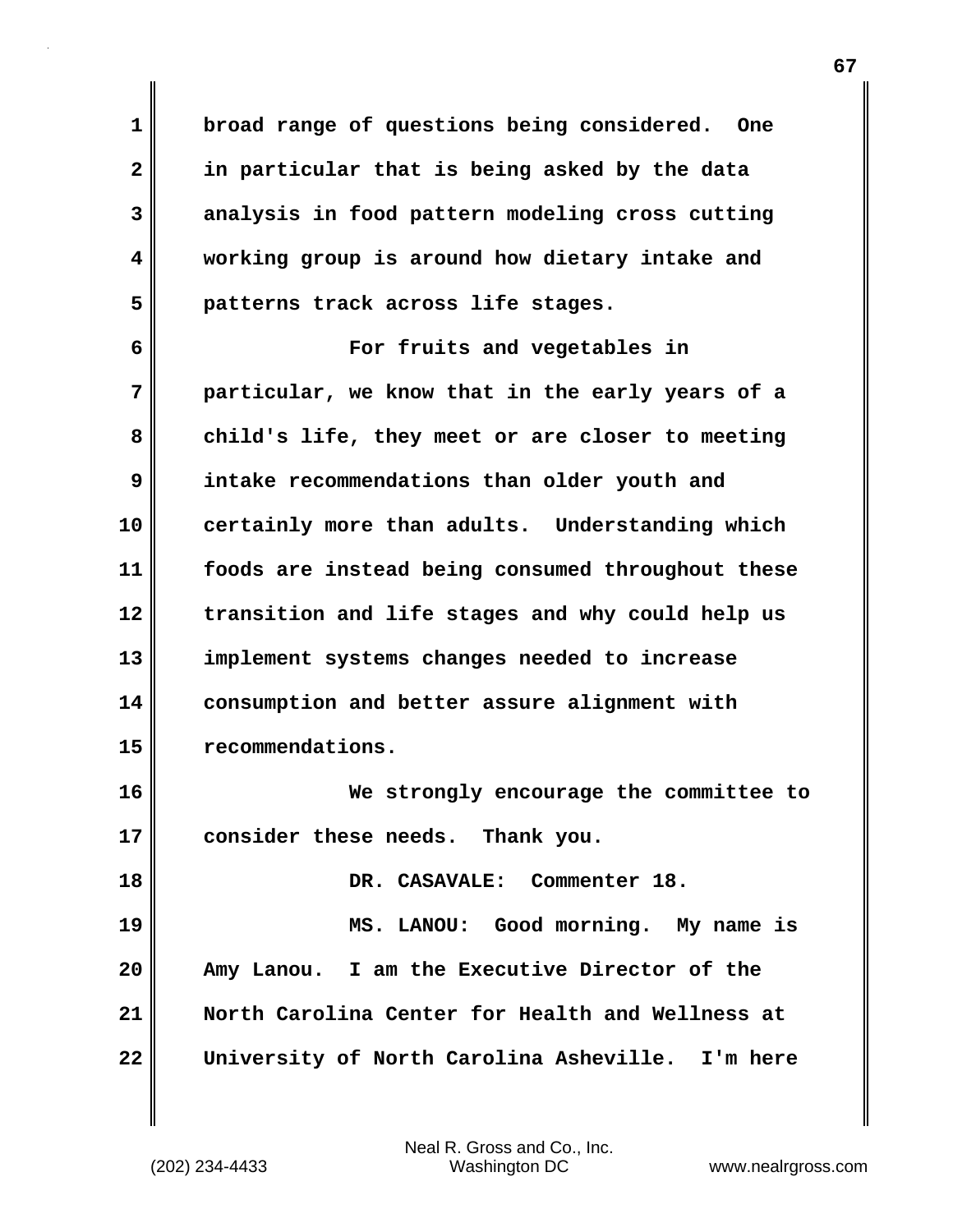**1 broad range of questions being considered. One 2 in particular that is being asked by the data 3 analysis in food pattern modeling cross cutting 4 working group is around how dietary intake and 5 patterns track across life stages.**

**6 For fruits and vegetables in 7 particular, we know that in the early years of a 8 child's life, they meet or are closer to meeting 9 intake recommendations than older youth and 10 certainly more than adults. Understanding which 11 foods are instead being consumed throughout these 12 transition and life stages and why could help us 13 implement systems changes needed to increase 14 consumption and better assure alignment with 15 recommendations.**

**16 We strongly encourage the committee to 17 consider these needs. Thank you.**

**18 DR. CASAVALE: Commenter 18. 19 MS. LANOU: Good morning. My name is 20 Amy Lanou. I am the Executive Director of the 21 North Carolina Center for Health and Wellness at 22 University of North Carolina Asheville. I'm here**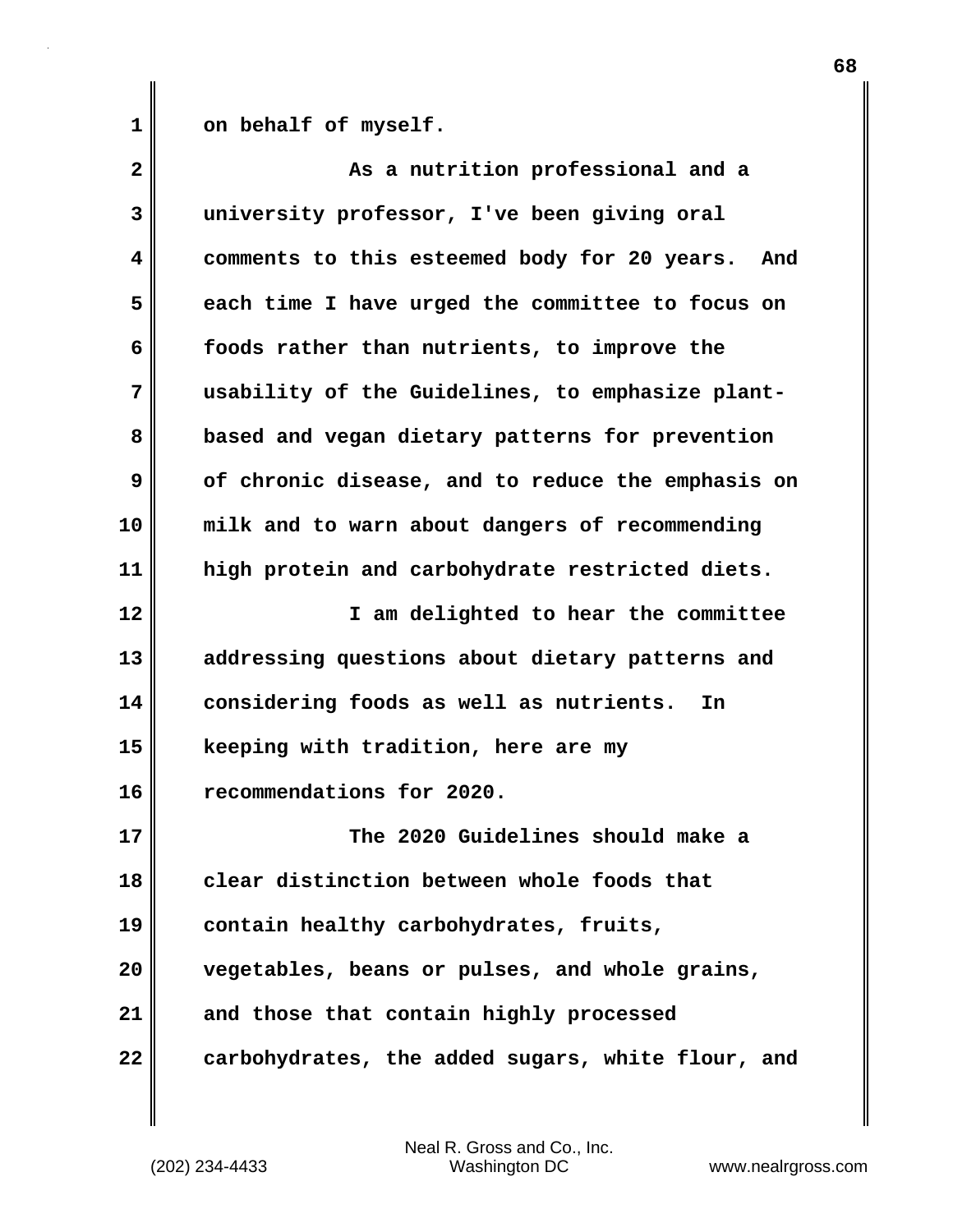1 on behalf of myself.

| 2  | As a nutrition professional and a                   |
|----|-----------------------------------------------------|
| 3  | university professor, I've been giving oral         |
| 4  | comments to this esteemed body for 20 years.<br>And |
| 5  | each time I have urged the committee to focus on    |
| 6  | foods rather than nutrients, to improve the         |
| 7  | usability of the Guidelines, to emphasize plant-    |
| 8  | based and vegan dietary patterns for prevention     |
| 9  | of chronic disease, and to reduce the emphasis on   |
| 10 | milk and to warn about dangers of recommending      |
| 11 | high protein and carbohydrate restricted diets.     |
| 12 | I am delighted to hear the committee                |
| 13 | addressing questions about dietary patterns and     |
| 14 | considering foods as well as nutrients.<br>In       |
| 15 | keeping with tradition, here are my                 |
| 16 | recommendations for 2020.                           |
| 17 | The 2020 Guidelines should make a                   |
| 18 | clear distinction between whole foods that          |
| 19 | contain healthy carbohydrates, fruits,              |
| 20 | vegetables, beans or pulses, and whole grains,      |
| 21 | and those that contain highly processed             |
| 22 | carbohydrates, the added sugars, white flour, and   |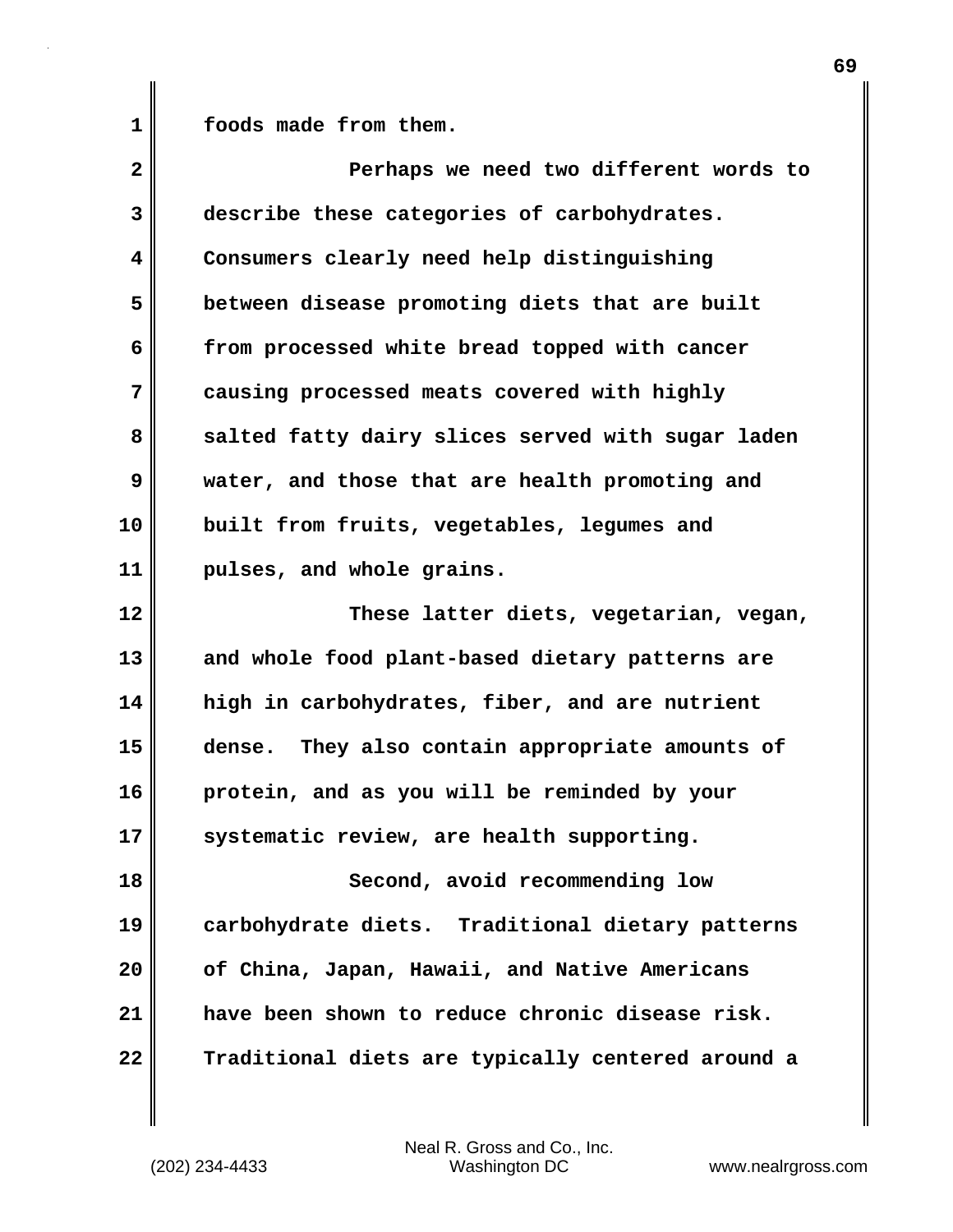1 **foods** made from them.

| $\overline{\mathbf{2}}$ | Perhaps we need two different words to             |
|-------------------------|----------------------------------------------------|
| 3                       | describe these categories of carbohydrates.        |
| 4                       | Consumers clearly need help distinguishing         |
| 5                       | between disease promoting diets that are built     |
| 6                       | from processed white bread topped with cancer      |
| 7                       | causing processed meats covered with highly        |
| 8                       | salted fatty dairy slices served with sugar laden  |
| 9                       | water, and those that are health promoting and     |
| 10                      | built from fruits, vegetables, legumes and         |
| 11                      | pulses, and whole grains.                          |
| 12                      | These latter diets, vegetarian, vegan,             |
| 13                      | and whole food plant-based dietary patterns are    |
| 14                      | high in carbohydrates, fiber, and are nutrient     |
| 15                      | They also contain appropriate amounts of<br>dense. |
| 16                      | protein, and as you will be reminded by your       |
| 17                      | systematic review, are health supporting.          |
| 18                      | Second, avoid recommending low                     |
| 19                      | carbohydrate diets. Traditional dietary patterns   |
| 20                      | of China, Japan, Hawaii, and Native Americans      |
| 21                      | have been shown to reduce chronic disease risk.    |
| 22                      | Traditional diets are typically centered around a  |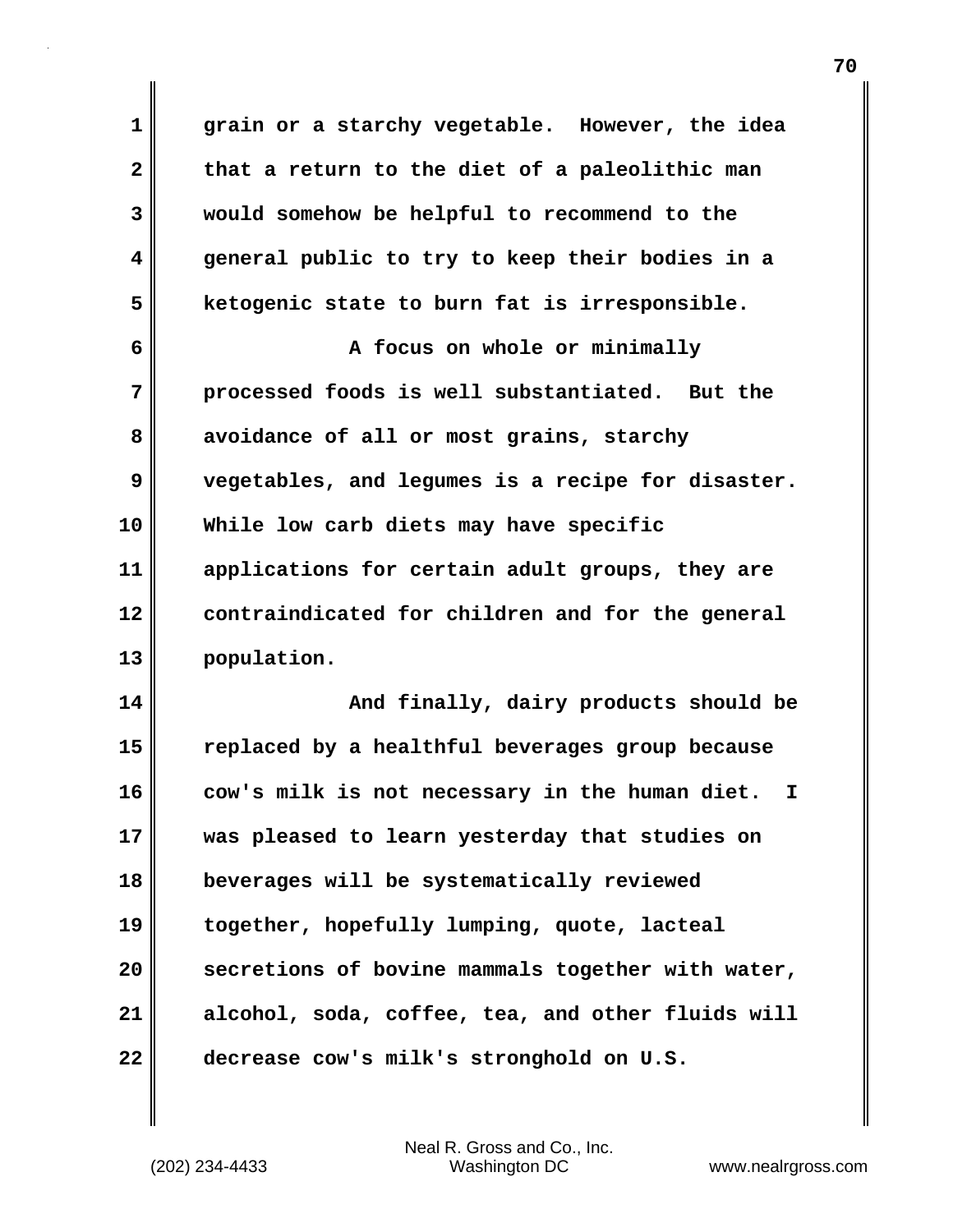**1 grain or a starchy vegetable. However, the idea 2 that a return to the diet of a paleolithic man 3 would somehow be helpful to recommend to the 4 general public to try to keep their bodies in a 5 ketogenic state to burn fat is irresponsible. 6 A focus on whole or minimally 7 processed foods is well substantiated. But the 8 avoidance of all or most grains, starchy 9 vegetables, and legumes is a recipe for disaster. 10 While low carb diets may have specific 11 applications for certain adult groups, they are 12 contraindicated for children and for the general 13 population. 14 And finally, dairy products should be 15 replaced by a healthful beverages group because 16 cow's milk is not necessary in the human diet. I 17 was pleased to learn yesterday that studies on 18 beverages will be systematically reviewed 19 together, hopefully lumping, quote, lacteal 20 secretions of bovine mammals together with water, 21 alcohol, soda, coffee, tea, and other fluids will 22 decrease cow's milk's stronghold on U.S.**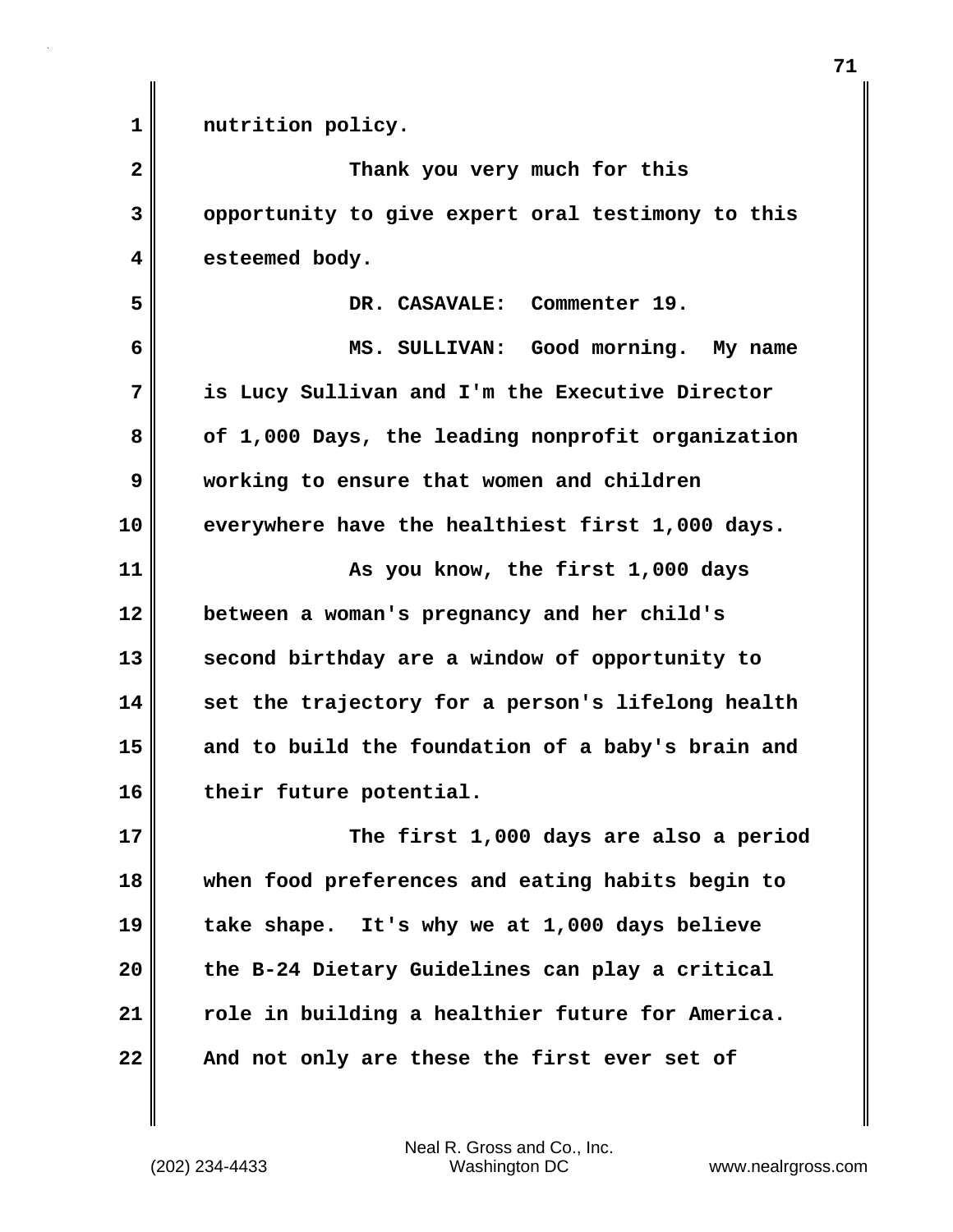| $\mathbf 1$  | nutrition policy.                                 |
|--------------|---------------------------------------------------|
| $\mathbf{2}$ | Thank you very much for this                      |
| 3            | opportunity to give expert oral testimony to this |
| 4            | esteemed body.                                    |
| 5            | DR. CASAVALE: Commenter 19.                       |
| 6            | MS. SULLIVAN: Good morning. My name               |
| 7            | is Lucy Sullivan and I'm the Executive Director   |
| 8            | of 1,000 Days, the leading nonprofit organization |
| 9            | working to ensure that women and children         |
| 10           | everywhere have the healthiest first 1,000 days.  |
| 11           | As you know, the first 1,000 days                 |
| 12           | between a woman's pregnancy and her child's       |
| 13           | second birthday are a window of opportunity to    |
| 14           | set the trajectory for a person's lifelong health |
| 15           | and to build the foundation of a baby's brain and |
| 16           | their future potential.                           |
| 17           | The first 1,000 days are also a period            |
| 18           | when food preferences and eating habits begin to  |
| 19           | take shape. It's why we at 1,000 days believe     |
| 20           | the B-24 Dietary Guidelines can play a critical   |
| 21           | role in building a healthier future for America.  |
| 22           | And not only are these the first ever set of      |

(202) 234-4433 Washington DC www.nealrgross.com Neal R. Gross and Co., Inc.

 $\mathbf{I}$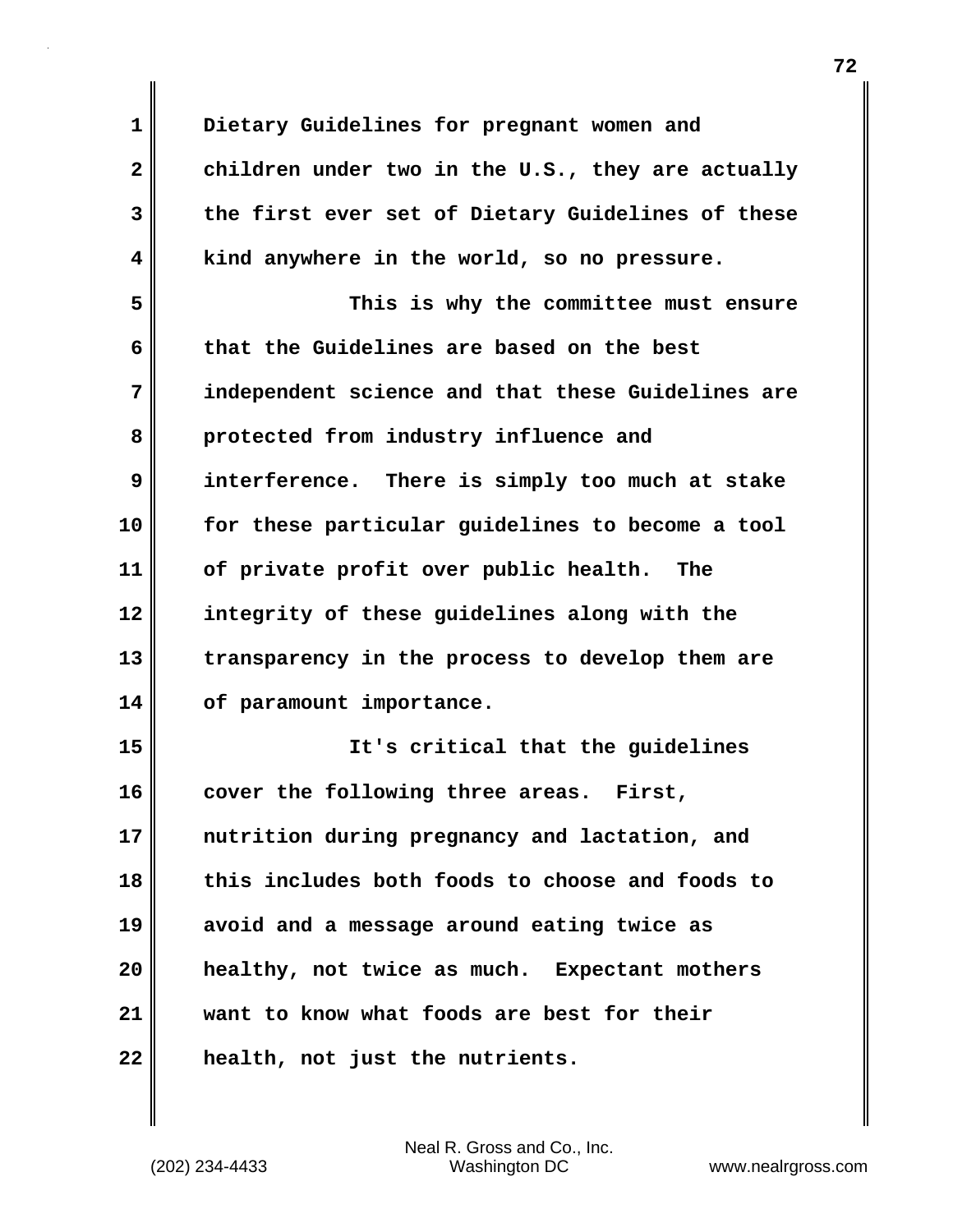| $\mathbf{1}$ | Dietary Guidelines for pregnant women and         |
|--------------|---------------------------------------------------|
| $\mathbf{2}$ | children under two in the U.S., they are actually |
| 3            | the first ever set of Dietary Guidelines of these |
| 4            | kind anywhere in the world, so no pressure.       |
| 5            | This is why the committee must ensure             |
| 6            | that the Guidelines are based on the best         |
| 7            | independent science and that these Guidelines are |
| 8            | protected from industry influence and             |
| 9            | interference. There is simply too much at stake   |
| 10           | for these particular guidelines to become a tool  |
| 11           | of private profit over public health.<br>The      |
| 12           | integrity of these guidelines along with the      |
| 13           | transparency in the process to develop them are   |
| 14           | of paramount importance.                          |
| 15           | It's critical that the guidelines                 |
| 16           | cover the following three areas.<br>First,        |
| 17           | nutrition during pregnancy and lactation, and     |
| 18           | this includes both foods to choose and foods to   |
| 19           | avoid and a message around eating twice as        |
| 20           | healthy, not twice as much. Expectant mothers     |
| 21           | want to know what foods are best for their        |
| 22           | health, not just the nutrients.                   |

 $\mathbf{l}$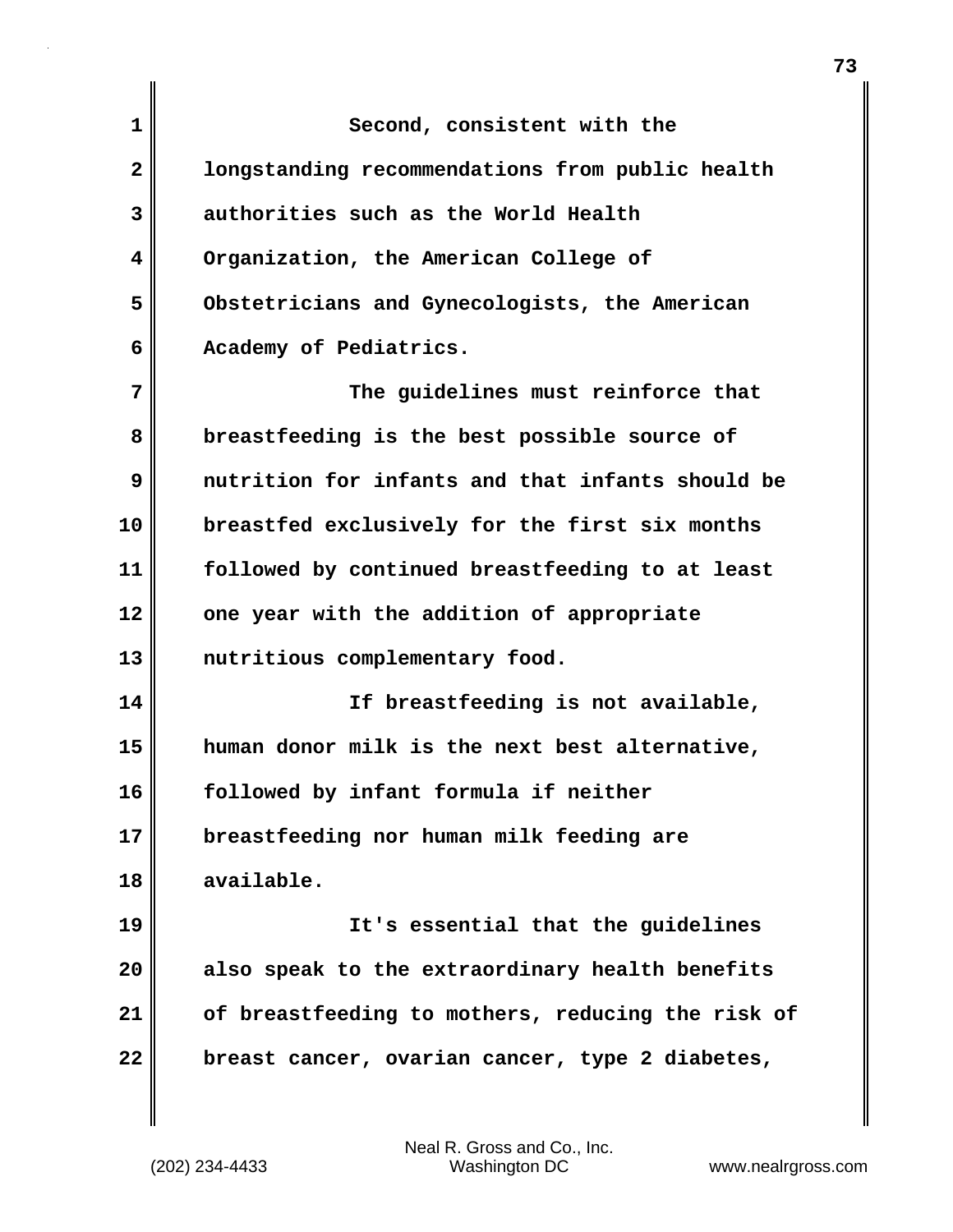**1** Second, consistent with the **2 longstanding recommendations from public health 3 authorities such as the World Health 4 Organization, the American College of 5 Obstetricians and Gynecologists, the American 6 Academy of Pediatrics. 7 The guidelines must reinforce that 8 breastfeeding is the best possible source of 9 nutrition for infants and that infants should be 10 breastfed exclusively for the first six months 11 followed by continued breastfeeding to at least 12 one year with the addition of appropriate 13 nutritious complementary food. 14 If breastfeeding is not available, 15 human donor milk is the next best alternative, 16 followed by infant formula if neither 17 breastfeeding nor human milk feeding are 18 available. 19 It's essential that the guidelines 20 also speak to the extraordinary health benefits 21 of breastfeeding to mothers, reducing the risk of 22 breast cancer, ovarian cancer, type 2 diabetes,**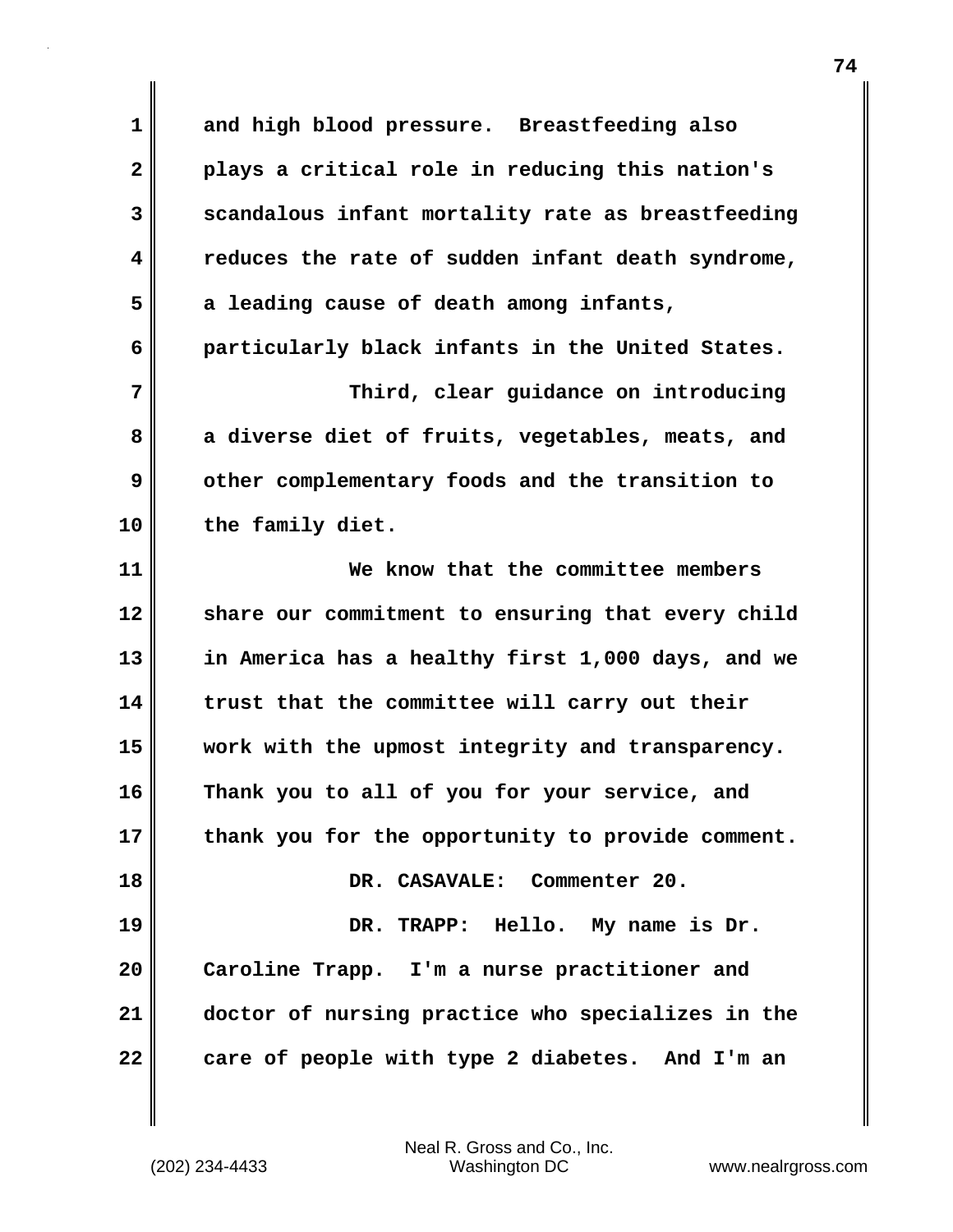**1 and high blood pressure. Breastfeeding also 2 plays a critical role in reducing this nation's 3 scandalous infant mortality rate as breastfeeding 4 reduces the rate of sudden infant death syndrome, 5 a leading cause of death among infants, 6 particularly black infants in the United States. 7 Third, clear guidance on introducing 8 a diverse diet of fruits, vegetables, meats, and 9 other complementary foods and the transition to 10 the family diet. 11 We know that the committee members 12 share our commitment to ensuring that every child 13 in America has a healthy first 1,000 days, and we 14 trust that the committee will carry out their 15 work with the upmost integrity and transparency. 16 Thank you to all of you for your service, and 17 thank you for the opportunity to provide comment. 18 DR. CASAVALE: Commenter 20. 19 DR. TRAPP: Hello. My name is Dr. 20 Caroline Trapp. I'm a nurse practitioner and 21 doctor of nursing practice who specializes in the 22 care of people with type 2 diabetes. And I'm an**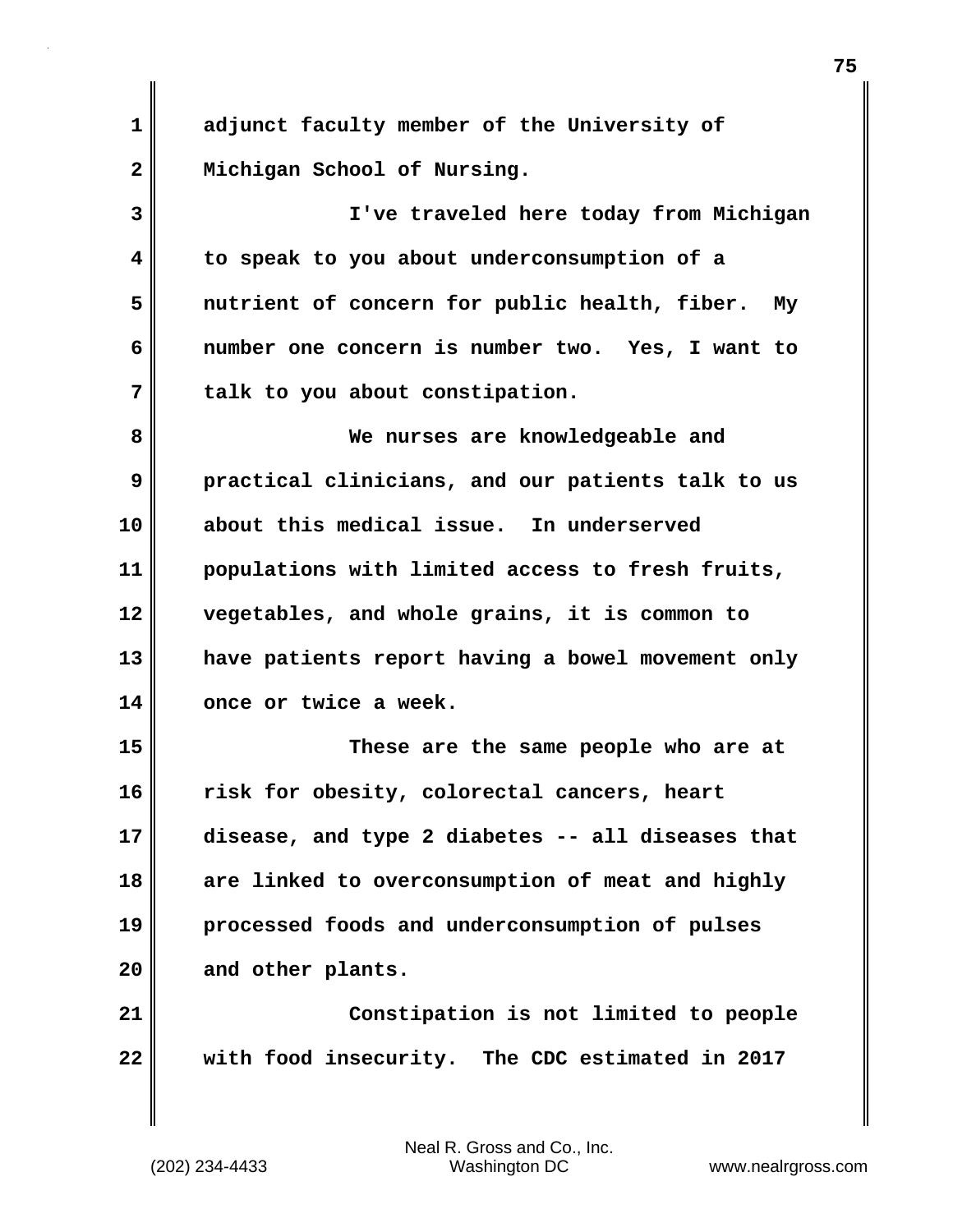**1 adjunct faculty member of the University of 2 Michigan School of Nursing.**

**3 I've traveled here today from Michigan 4 to speak to you about underconsumption of a 5 nutrient of concern for public health, fiber. My 6 number one concern is number two. Yes, I want to 7 talk to you about constipation.**

**8 We nurses are knowledgeable and 9 practical clinicians, and our patients talk to us 10 about this medical issue. In underserved 11 populations with limited access to fresh fruits, 12 vegetables, and whole grains, it is common to 13 have patients report having a bowel movement only 14 once or twice a week.**

**15 These are the same people who are at 16 risk for obesity, colorectal cancers, heart 17 disease, and type 2 diabetes -- all diseases that 18 are linked to overconsumption of meat and highly 19 processed foods and underconsumption of pulses 20 and other plants.**

**21 Constipation is not limited to people 22 with food insecurity. The CDC estimated in 2017**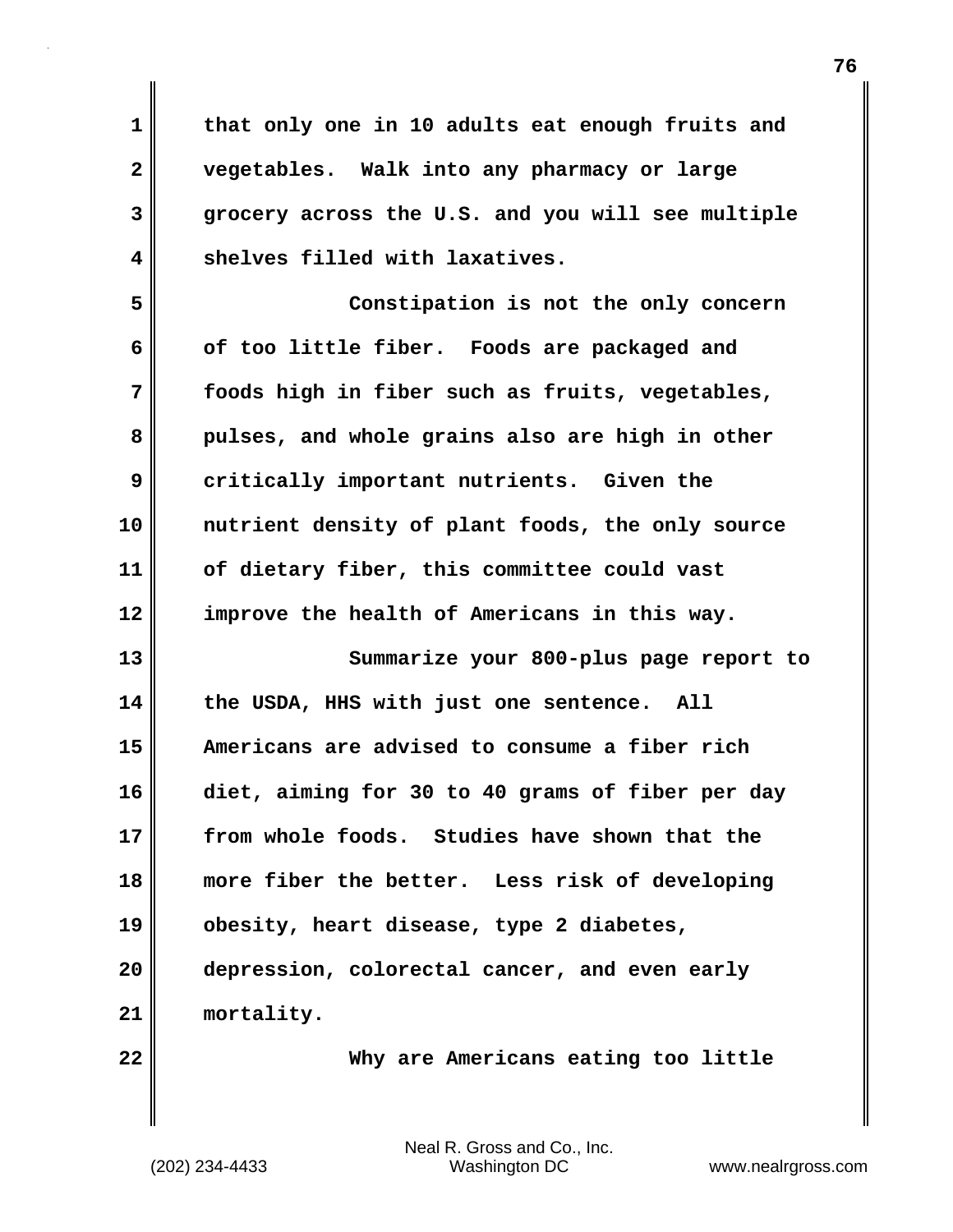**1 that only one in 10 adults eat enough fruits and 2 vegetables. Walk into any pharmacy or large 3 grocery across the U.S. and you will see multiple 4 shelves filled with laxatives.**

**5 Constipation is not the only concern** 6 of too little fiber. Foods are packaged and **7 foods high in fiber such as fruits, vegetables, 8 pulses, and whole grains also are high in other 9 critically important nutrients. Given the 10 nutrient density of plant foods, the only source 11 of dietary fiber, this committee could vast 12 improve the health of Americans in this way.**

**13 Summarize your 800-plus page report to 14 the USDA, HHS with just one sentence. All 15 Americans are advised to consume a fiber rich 16 diet, aiming for 30 to 40 grams of fiber per day 17 from whole foods. Studies have shown that the 18 more fiber the better. Less risk of developing 19 obesity, heart disease, type 2 diabetes, 20 depression, colorectal cancer, and even early 21 mortality.**

**22 Why are Americans eating too little**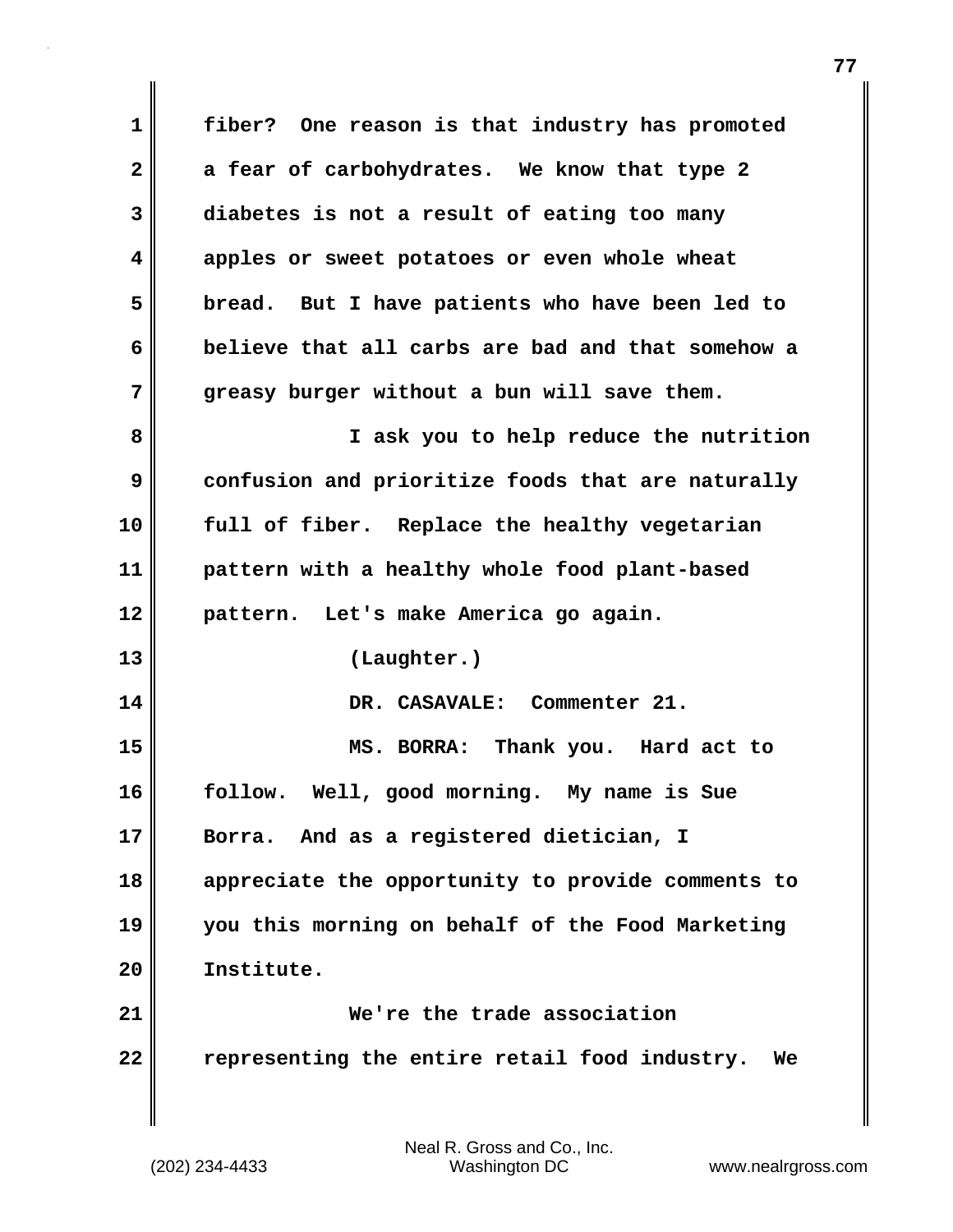**1 fiber? One reason is that industry has promoted 2 a fear of carbohydrates. We know that type 2 3 diabetes is not a result of eating too many 4 apples or sweet potatoes or even whole wheat 5 bread. But I have patients who have been led to 6 believe that all carbs are bad and that somehow a 7 greasy burger without a bun will save them. 8 I ask you to help reduce the nutrition 9 confusion and prioritize foods that are naturally 10 full of fiber. Replace the healthy vegetarian 11 pattern with a healthy whole food plant-based 12 pattern. Let's make America go again. 13 (Laughter.) 14 DR. CASAVALE: Commenter 21. 15 MS. BORRA: Thank you. Hard act to 16 follow. Well, good morning. My name is Sue 17 Borra. And as a registered dietician, I 18 appreciate the opportunity to provide comments to 19 you this morning on behalf of the Food Marketing 20 Institute. 21 We're the trade association 22 representing the entire retail food industry. We**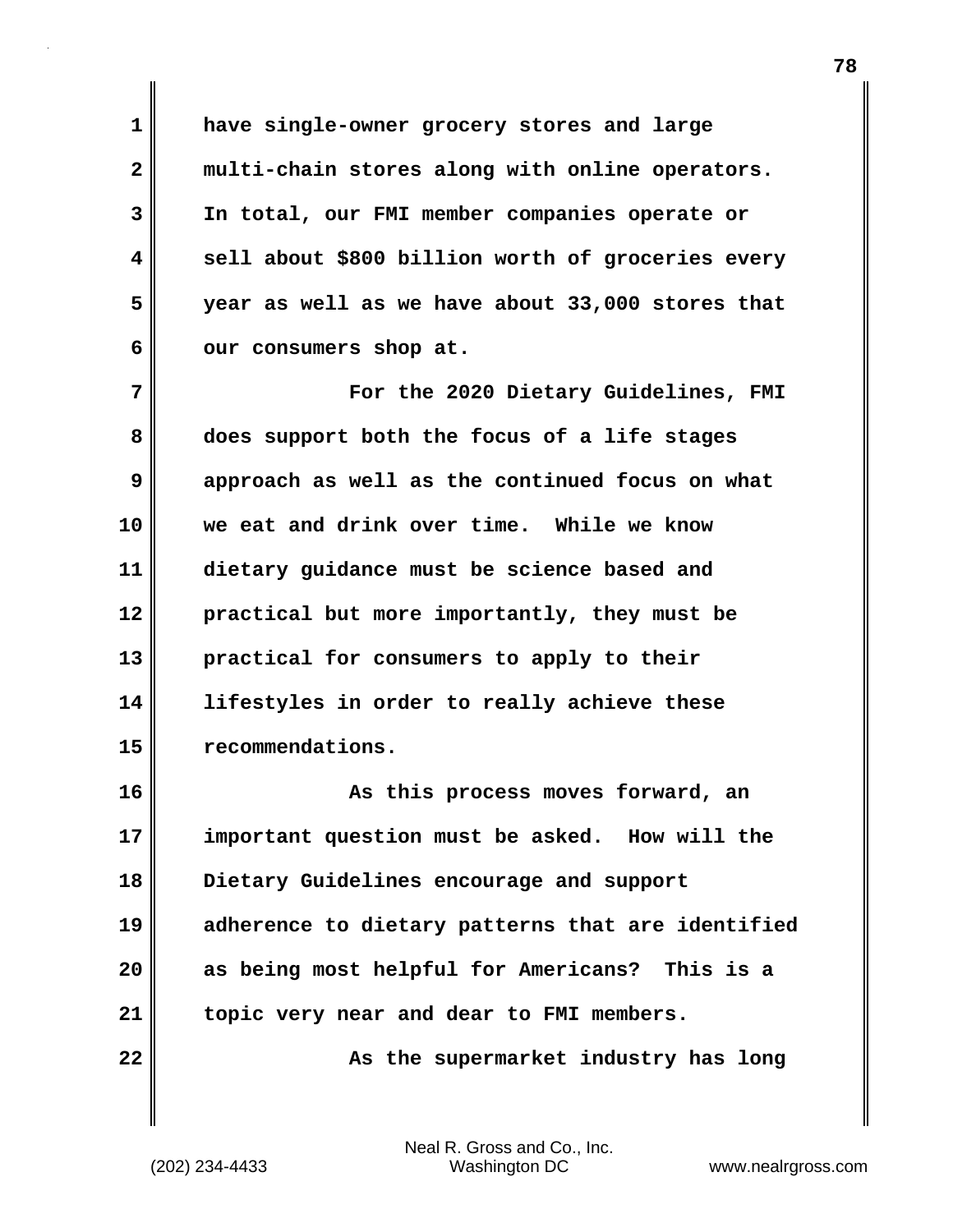**1 have single-owner grocery stores and large 2 multi-chain stores along with online operators. 3 In total, our FMI member companies operate or 4 sell about \$800 billion worth of groceries every 5 year as well as we have about 33,000 stores that** 6 **our consumers shop at.** 

**7 For the 2020 Dietary Guidelines, FMI 8 does support both the focus of a life stages 9 approach as well as the continued focus on what 10 we eat and drink over time. While we know 11 dietary guidance must be science based and 12 practical but more importantly, they must be 13 practical for consumers to apply to their 14 lifestyles in order to really achieve these 15 recommendations.**

**16 As this process moves forward, an 17 important question must be asked. How will the 18 Dietary Guidelines encourage and support 19 adherence to dietary patterns that are identified 20 as being most helpful for Americans? This is a 21 topic very near and dear to FMI members.**

**22**  $\parallel$  **22** As the supermarket industry has long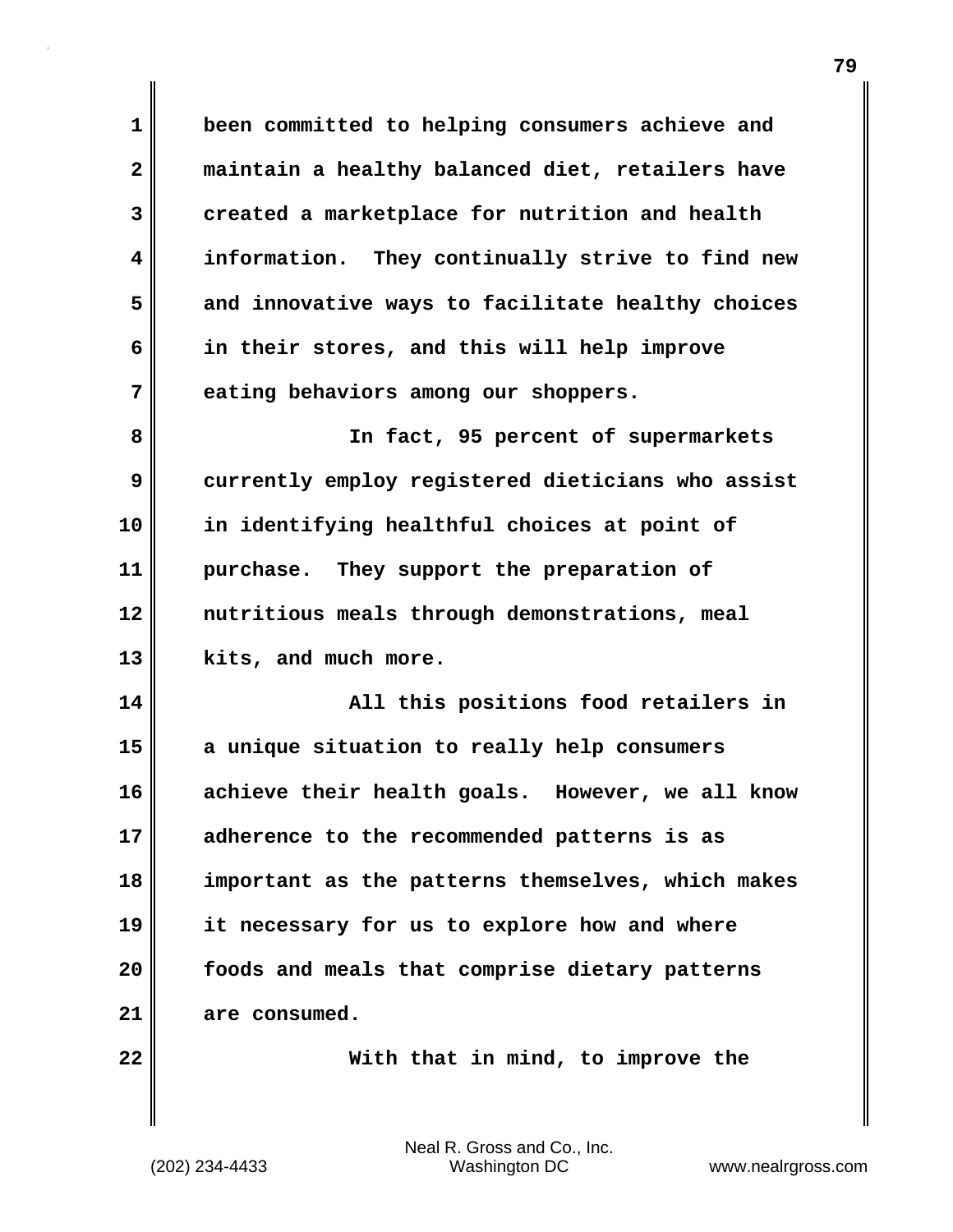**1 been committed to helping consumers achieve and 2 maintain a healthy balanced diet, retailers have 3 created a marketplace for nutrition and health 4 information. They continually strive to find new 5 and innovative ways to facilitate healthy choices 6 in their stores, and this will help improve 7 eating behaviors among our shoppers. 8 In fact, 95 percent of supermarkets 9 currently employ registered dieticians who assist 10 in identifying healthful choices at point of 11 purchase. They support the preparation of 12 nutritious meals through demonstrations, meal 13 kits, and much more. 14 All this positions food retailers in 15 a unique situation to really help consumers 16 achieve their health goals. However, we all know 17 adherence to the recommended patterns is as 18 important as the patterns themselves, which makes 19 it necessary for us to explore how and where 20 foods and meals that comprise dietary patterns 21 are consumed. 22 With that in mind, to improve the**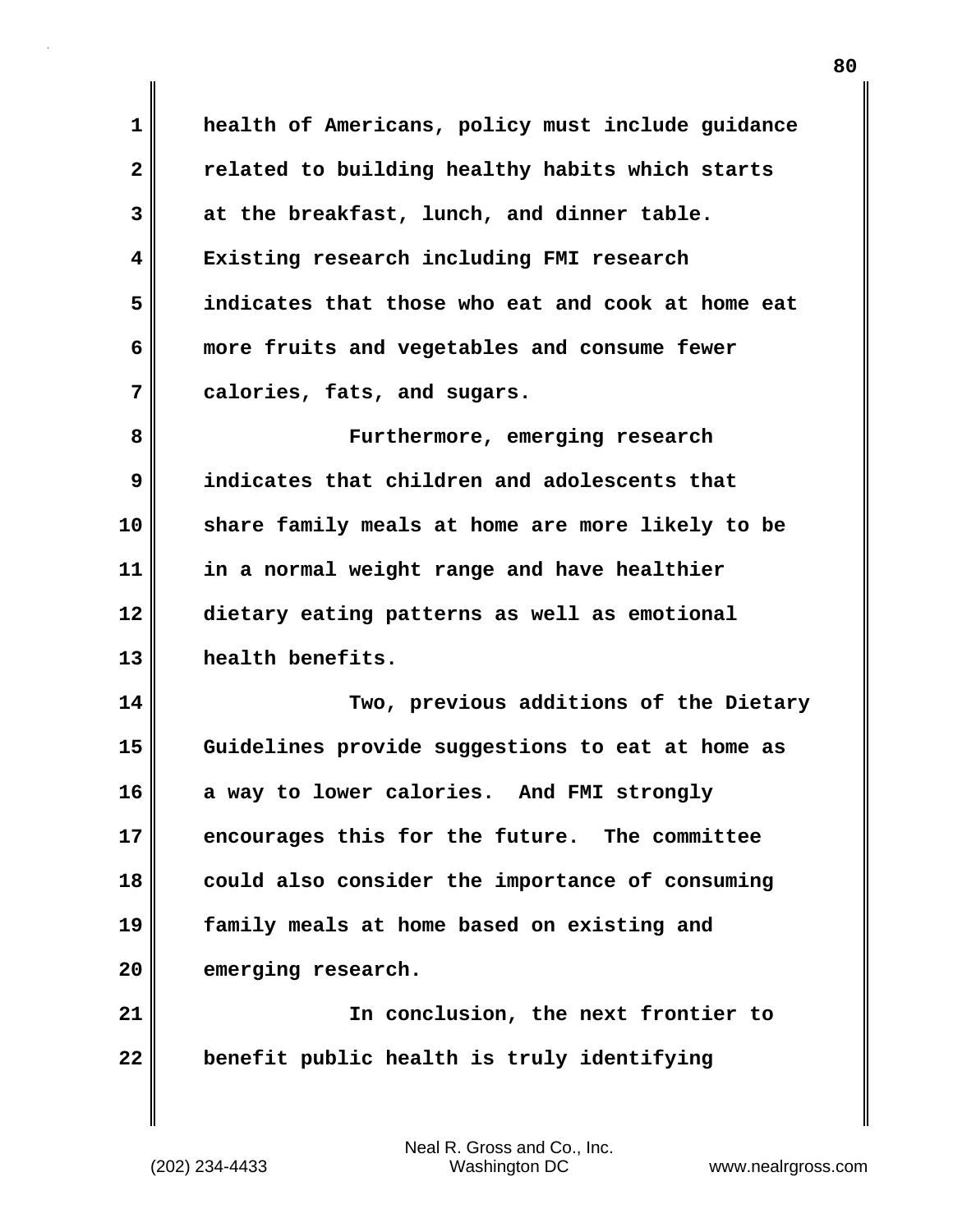**1 health of Americans, policy must include guidance 2 related to building healthy habits which starts 3 at the breakfast, lunch, and dinner table. 4 Existing research including FMI research 5 indicates that those who eat and cook at home eat 6 more fruits and vegetables and consume fewer 7 calories, fats, and sugars. 8 Furthermore, emerging research 9 indicates that children and adolescents that 10 share family meals at home are more likely to be 11 in a normal weight range and have healthier 12 dietary eating patterns as well as emotional 13 health benefits. 14 Two, previous additions of the Dietary 15 Guidelines provide suggestions to eat at home as 16 a way to lower calories. And FMI strongly 17 encourages this for the future. The committee 18 could also consider the importance of consuming 19 family meals at home based on existing and** 20 emerging research. **21 In conclusion, the next frontier to 22 benefit public health is truly identifying**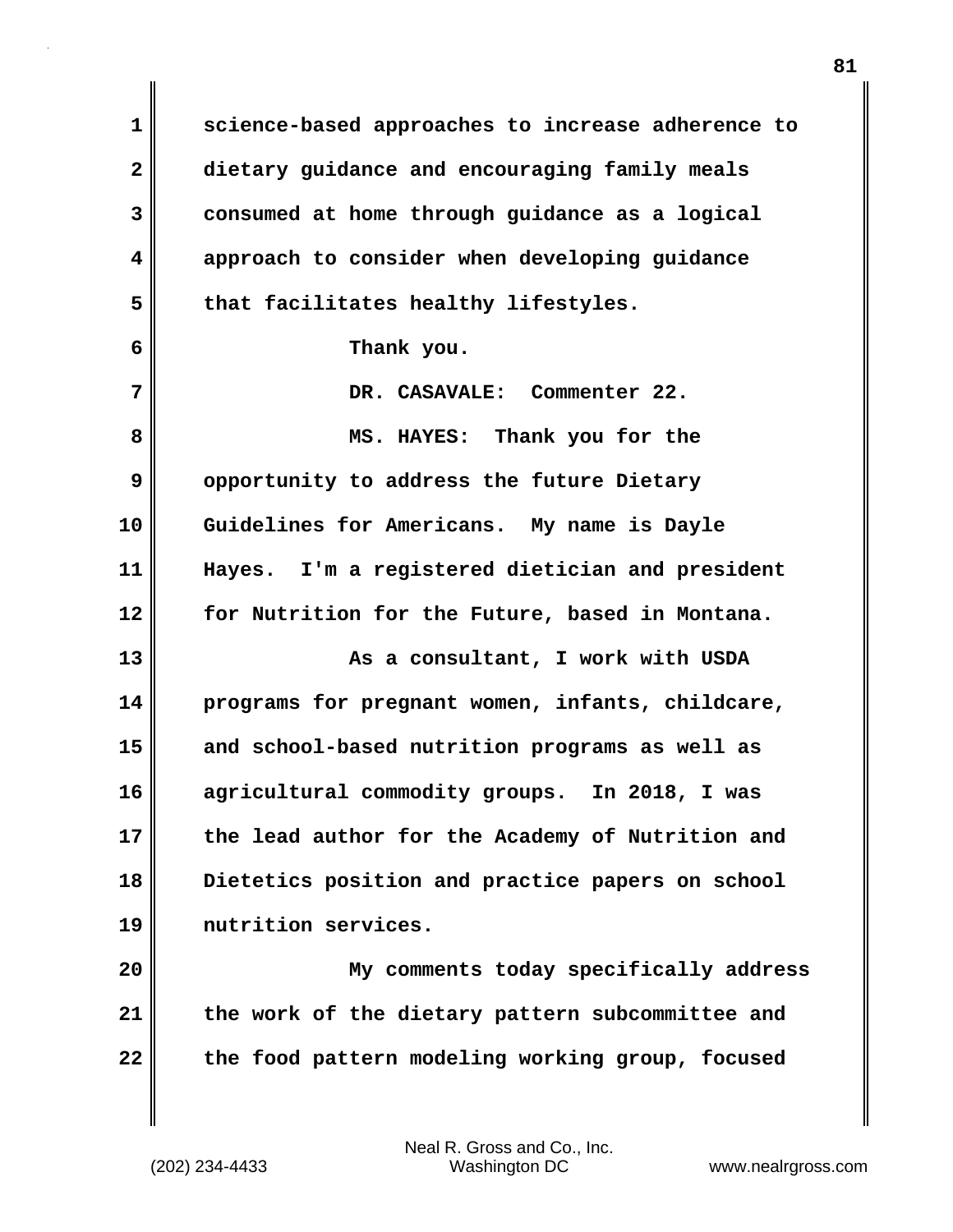**1 science-based approaches to increase adherence to 2 dietary guidance and encouraging family meals 3 consumed at home through guidance as a logical 4 approach to consider when developing guidance 5 that facilitates healthy lifestyles. 6 Thank you. 7 DR. CASAVALE: Commenter 22. 8 MS. HAYES: Thank you for the 9** opportunity to address the future Dietary **10 Guidelines for Americans. My name is Dayle 11 Hayes. I'm a registered dietician and president 12 for Nutrition for the Future, based in Montana. 13** As a consultant, I work with USDA **14 programs for pregnant women, infants, childcare, 15 and school-based nutrition programs as well as 16 agricultural commodity groups. In 2018, I was 17 the lead author for the Academy of Nutrition and 18 Dietetics position and practice papers on school 19 nutrition services. 20 My comments today specifically address 21 the work of the dietary pattern subcommittee and 22 the food pattern modeling working group, focused**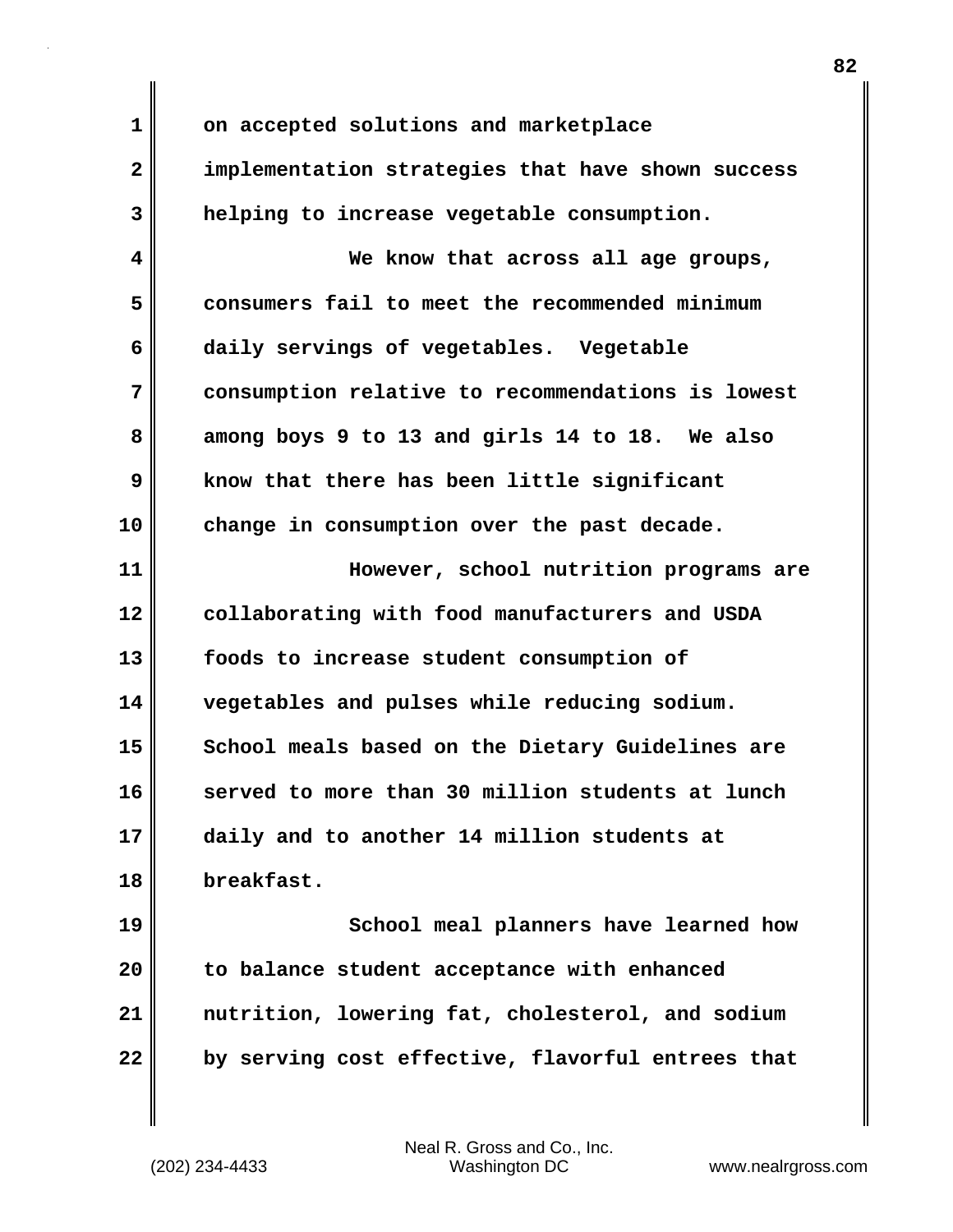**1 on accepted solutions and marketplace 2 implementation strategies that have shown success 3 helping to increase vegetable consumption. 4 We know that across all age groups, 5 consumers fail to meet the recommended minimum 6 daily servings of vegetables. Vegetable 7 consumption relative to recommendations is lowest 8 among boys 9 to 13 and girls 14 to 18. We also 9 know that there has been little significant 10 change in consumption over the past decade. 11 However, school nutrition programs are 12 collaborating with food manufacturers and USDA 13 foods to increase student consumption of 14 vegetables and pulses while reducing sodium.**  15 School meals based on the Dietary Guidelines are **16 served to more than 30 million students at lunch 17 daily and to another 14 million students at**

**18 breakfast.**

**19 School meal planners have learned how 20 to balance student acceptance with enhanced 21 nutrition, lowering fat, cholesterol, and sodium 22 by serving cost effective, flavorful entrees that**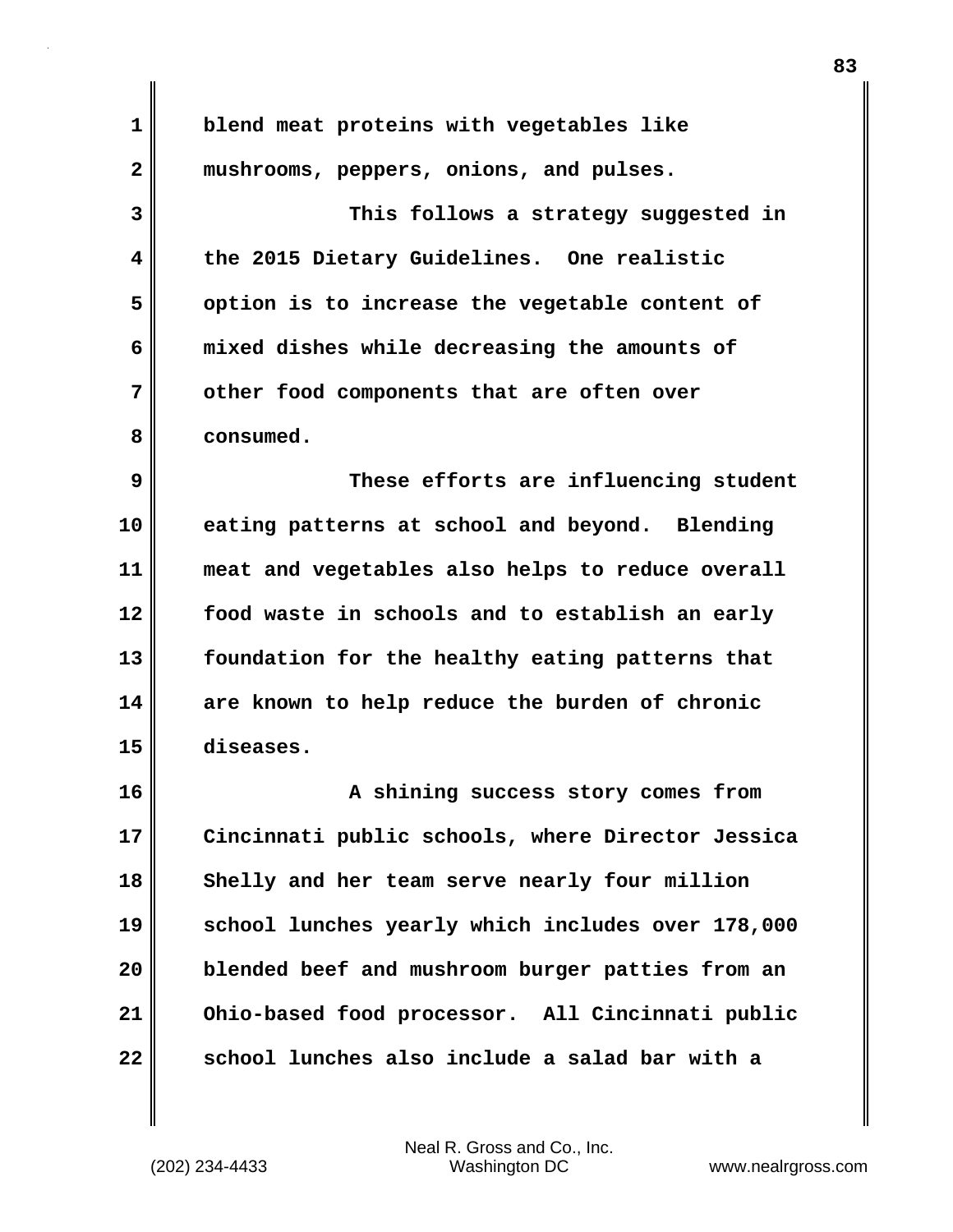**1 blend meat proteins with vegetables like 2 mushrooms, peppers, onions, and pulses. 3 This follows a strategy suggested in 4 the 2015 Dietary Guidelines. One realistic 5 option is to increase the vegetable content of 6 mixed dishes while decreasing the amounts of 7 other food components that are often over 8 consumed. 9 These efforts are influencing student 10 eating patterns at school and beyond. Blending 11 meat and vegetables also helps to reduce overall 12 food waste in schools and to establish an early 13 foundation for the healthy eating patterns that 14 are known to help reduce the burden of chronic 15 diseases. 16 A shining success story comes from 17 Cincinnati public schools, where Director Jessica 18 Shelly and her team serve nearly four million 19 school lunches yearly which includes over 178,000 20 blended beef and mushroom burger patties from an 21 Ohio-based food processor. All Cincinnati public 22 school lunches also include a salad bar with a**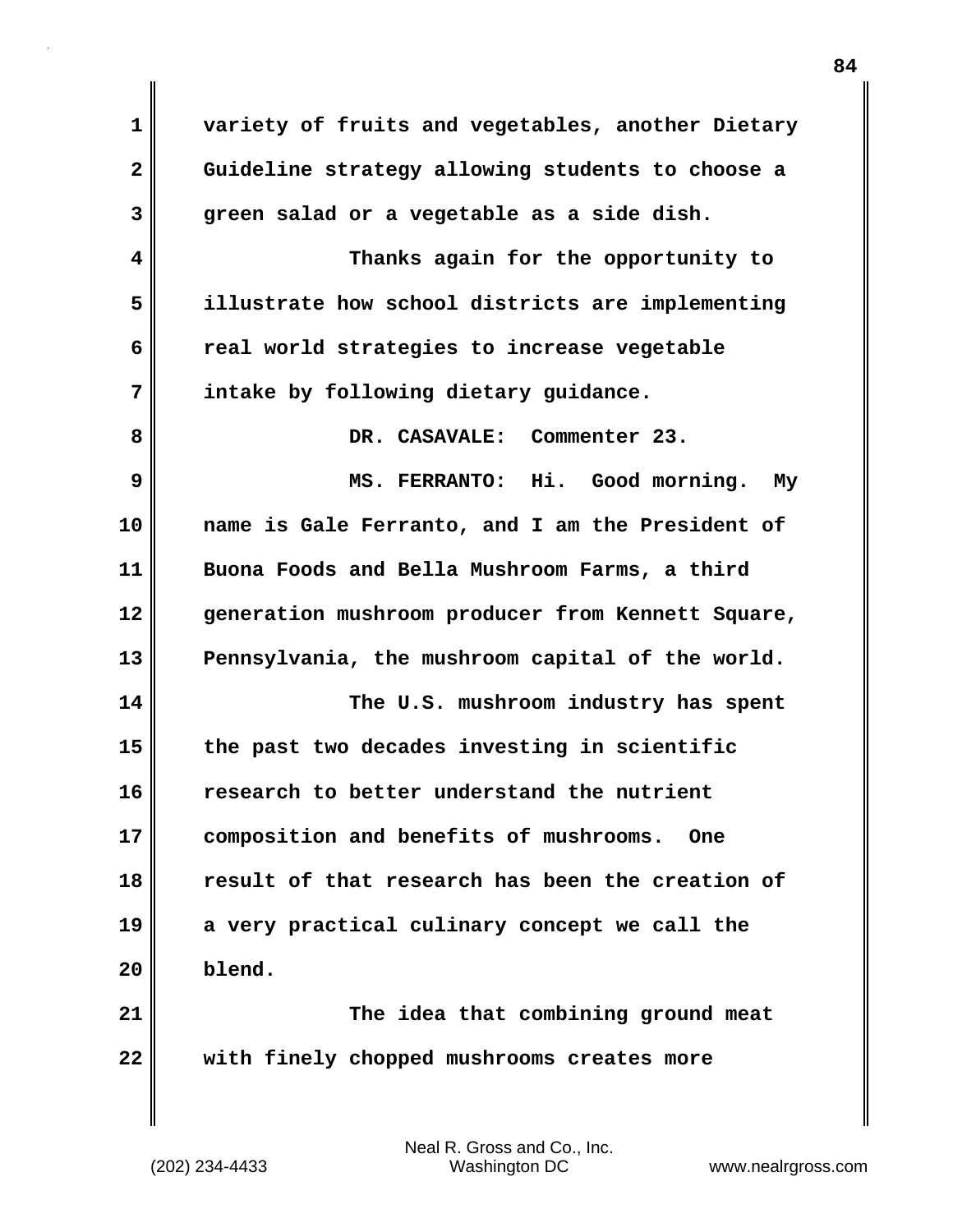**1 variety of fruits and vegetables, another Dietary 2 Guideline strategy allowing students to choose a 3 green salad or a vegetable as a side dish. 4 Thanks again for the opportunity to 5 illustrate how school districts are implementing 6 real world strategies to increase vegetable 7 intake by following dietary guidance. 8 DR. CASAVALE: Commenter 23. 9 MS. FERRANTO: Hi. Good morning. My 10 name is Gale Ferranto, and I am the President of 11 Buona Foods and Bella Mushroom Farms, a third 12 generation mushroom producer from Kennett Square, 13 Pennsylvania, the mushroom capital of the world. 14 The U.S. mushroom industry has spent 15 the past two decades investing in scientific 16 research to better understand the nutrient 17 composition and benefits of mushrooms. One 18 result of that research has been the creation of 19 a very practical culinary concept we call the 20 blend. 21 The idea that combining ground meat 22 with finely chopped mushrooms creates more**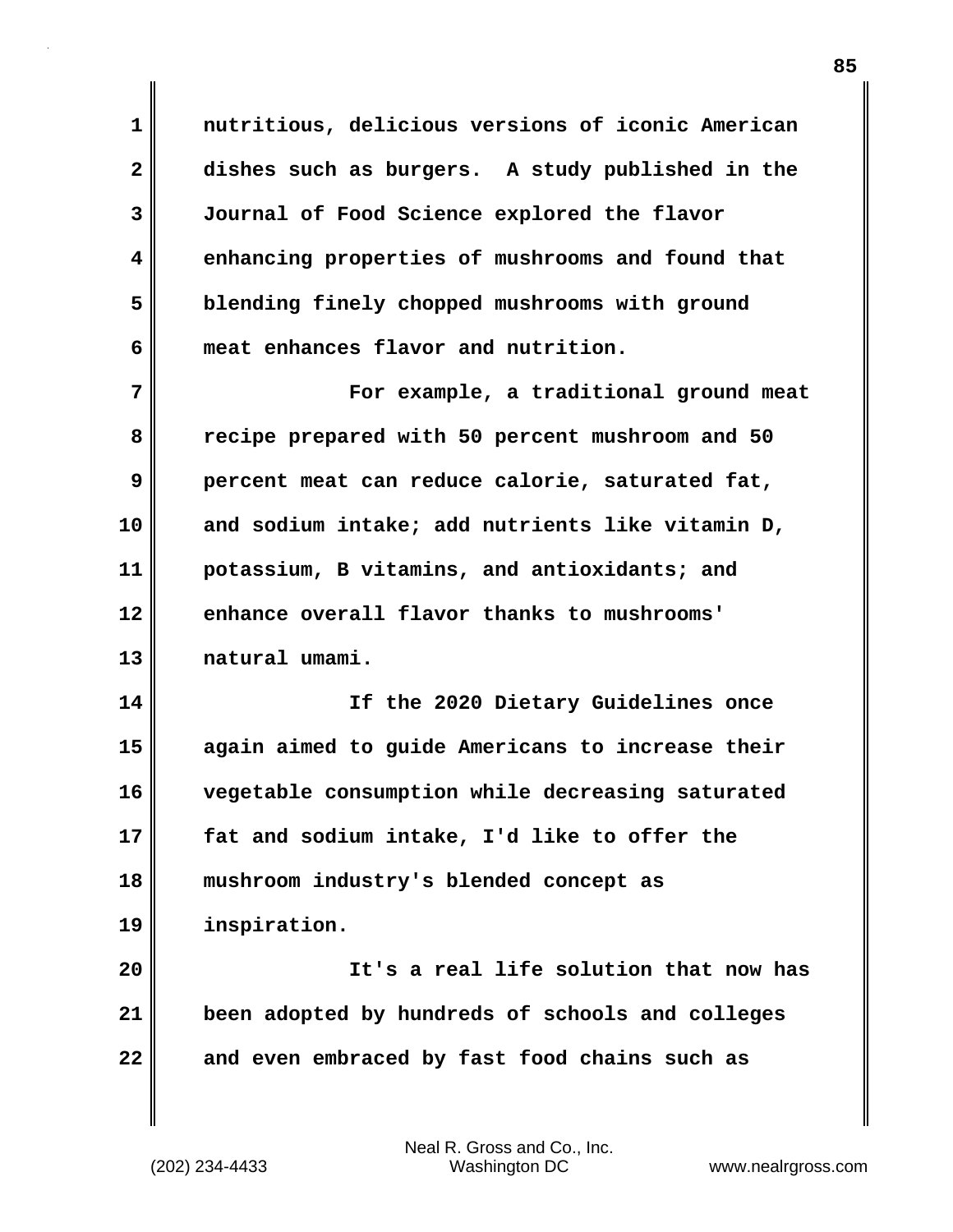**1 nutritious, delicious versions of iconic American 2 dishes such as burgers. A study published in the 3 Journal of Food Science explored the flavor 4 enhancing properties of mushrooms and found that 5 blending finely chopped mushrooms with ground 6 meat enhances flavor and nutrition.**

**7 For example, a traditional ground meat 8 recipe prepared with 50 percent mushroom and 50 9 percent meat can reduce calorie, saturated fat, 10 and sodium intake; add nutrients like vitamin D, 11 potassium, B vitamins, and antioxidants; and 12 enhance overall flavor thanks to mushrooms' 13 natural umami.**

**14 If the 2020 Dietary Guidelines once 15 again aimed to guide Americans to increase their 16 vegetable consumption while decreasing saturated 17 fat and sodium intake, I'd like to offer the 18 mushroom industry's blended concept as 19 inspiration.**

**20 It's a real life solution that now has 21 been adopted by hundreds of schools and colleges 22 and even embraced by fast food chains such as**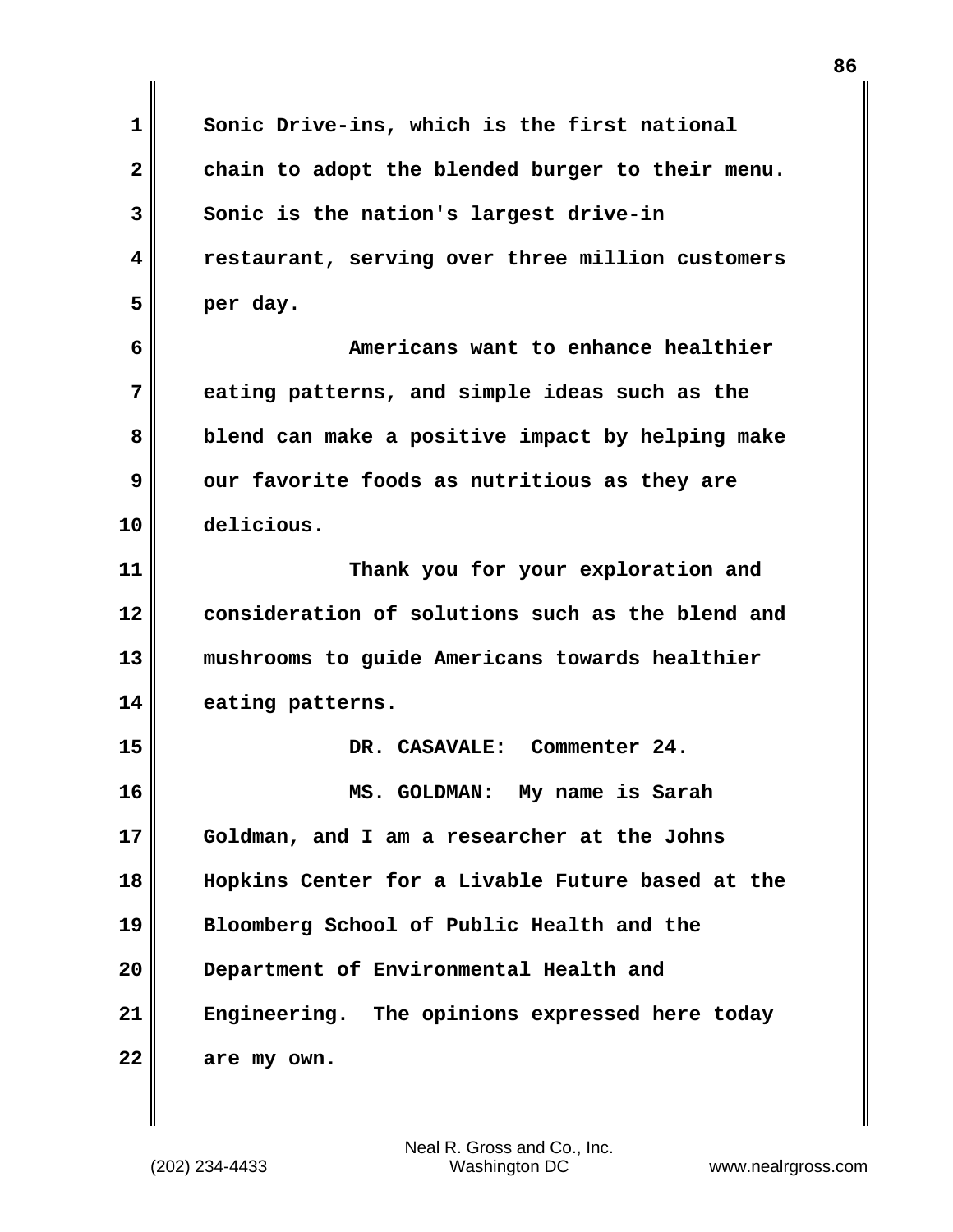**1 Sonic Drive-ins, which is the first national** 2 chain to adopt the blended burger to their menu. **3 Sonic is the nation's largest drive-in 4 restaurant, serving over three million customers 5 per day. 6 Americans want to enhance healthier 7 eating patterns, and simple ideas such as the 8 blend can make a positive impact by helping make 9 our favorite foods as nutritious as they are 10 delicious. 11 Thank you for your exploration and 12 consideration of solutions such as the blend and 13 mushrooms to guide Americans towards healthier 14 eating patterns. 15 DR. CASAVALE: Commenter 24. 16 MS. GOLDMAN: My name is Sarah 17 Goldman, and I am a researcher at the Johns 18 Hopkins Center for a Livable Future based at the 19 Bloomberg School of Public Health and the 20 Department of Environmental Health and 21 Engineering. The opinions expressed here today 22 are my own.**

**86**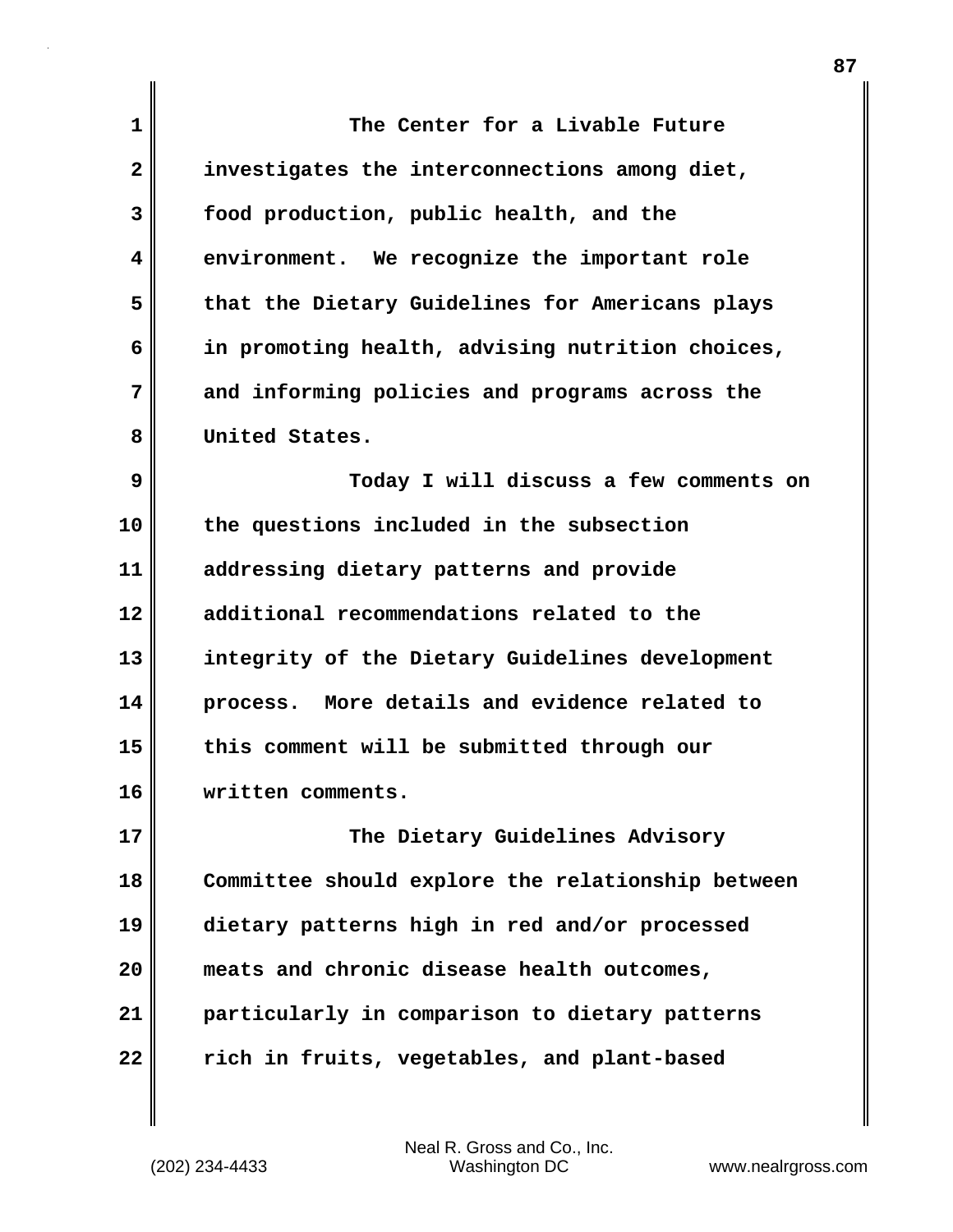**1 The Center for a Livable Future 2 investigates the interconnections among diet, 3 food production, public health, and the 4 environment. We recognize the important role 5 that the Dietary Guidelines for Americans plays 6 in promoting health, advising nutrition choices, 7 and informing policies and programs across the 8 United States. 9 Today I will discuss a few comments on 10 the questions included in the subsection 11 addressing dietary patterns and provide 12 additional recommendations related to the 13 integrity of the Dietary Guidelines development 14 process. More details and evidence related to 15 this comment will be submitted through our 16 written comments. 17 The Dietary Guidelines Advisory 18 Committee should explore the relationship between 19 dietary patterns high in red and/or processed 20 meats and chronic disease health outcomes, 21 particularly in comparison to dietary patterns 22 rich in fruits, vegetables, and plant-based**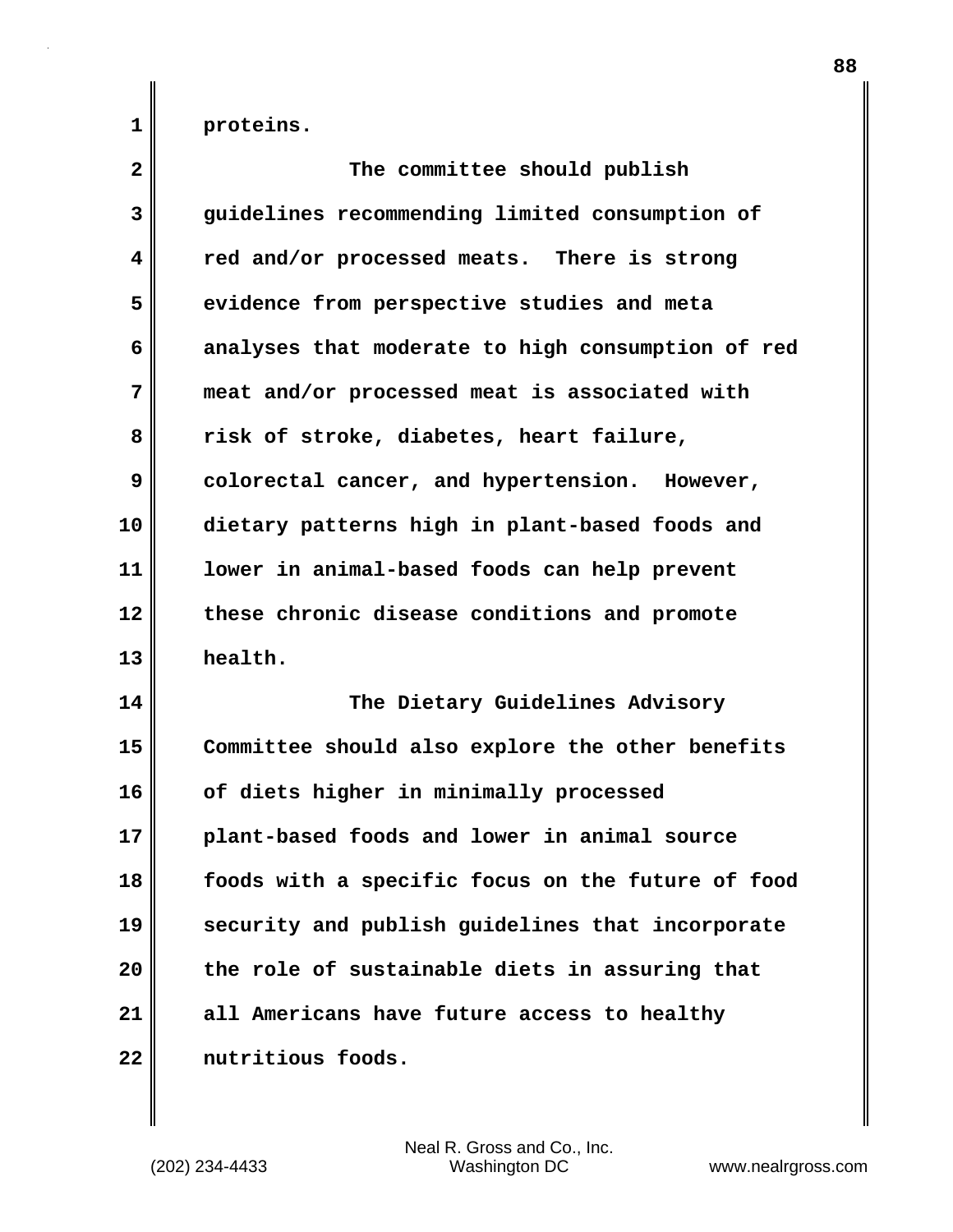**1 proteins.**

| $\overline{\mathbf{2}}$ | The committee should publish                      |
|-------------------------|---------------------------------------------------|
| 3                       | guidelines recommending limited consumption of    |
| 4                       | red and/or processed meats. There is strong       |
| 5                       | evidence from perspective studies and meta        |
| 6                       | analyses that moderate to high consumption of red |
| 7                       | meat and/or processed meat is associated with     |
| 8                       | risk of stroke, diabetes, heart failure,          |
| 9                       | colorectal cancer, and hypertension. However,     |
| 10                      | dietary patterns high in plant-based foods and    |
| 11                      | lower in animal-based foods can help prevent      |
| 12                      | these chronic disease conditions and promote      |
| 13                      | health.                                           |
| 14                      | The Dietary Guidelines Advisory                   |
| 15                      | Committee should also explore the other benefits  |
| 16                      | of diets higher in minimally processed            |
| 17                      | plant-based foods and lower in animal source      |
| 18                      | foods with a specific focus on the future of food |
| 19                      | security and publish guidelines that incorporate  |
| 20                      | the role of sustainable diets in assuring that    |
| 21                      | all Americans have future access to healthy       |
| 22                      | nutritious foods.                                 |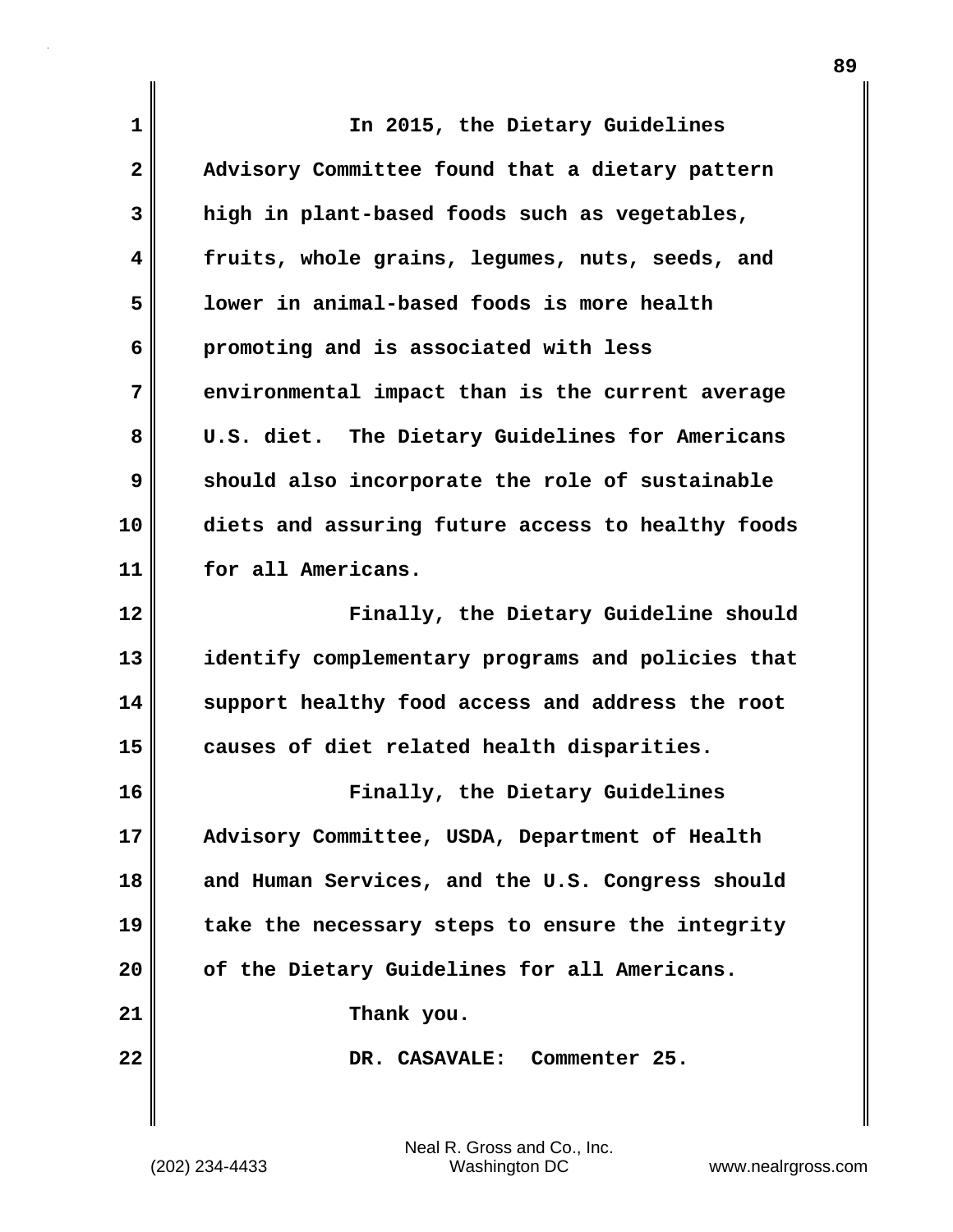| 1            | In 2015, the Dietary Guidelines                   |
|--------------|---------------------------------------------------|
| $\mathbf{2}$ | Advisory Committee found that a dietary pattern   |
| 3            | high in plant-based foods such as vegetables,     |
| 4            | fruits, whole grains, legumes, nuts, seeds, and   |
| 5            | lower in animal-based foods is more health        |
| 6            | promoting and is associated with less             |
| 7            | environmental impact than is the current average  |
| 8            | U.S. diet. The Dietary Guidelines for Americans   |
| 9            | should also incorporate the role of sustainable   |
| 10           | diets and assuring future access to healthy foods |
| 11           | for all Americans.                                |
| 12           | Finally, the Dietary Guideline should             |
| 13           | identify complementary programs and policies that |
| 14           | support healthy food access and address the root  |
| 15           | causes of diet related health disparities.        |
| 16           | Finally, the Dietary Guidelines                   |
| 17           | Advisory Committee, USDA, Department of Health    |
| 18           | and Human Services, and the U.S. Congress should  |
| 19           | take the necessary steps to ensure the integrity  |
| 20           | of the Dietary Guidelines for all Americans.      |
| 21           | Thank you.                                        |
| 22           | DR. CASAVALE:<br>Commenter 25.                    |
|              |                                                   |

(202) 234-4433 Washington DC www.nealrgross.com Neal R. Gross and Co., Inc.

 $\mathbf{I}$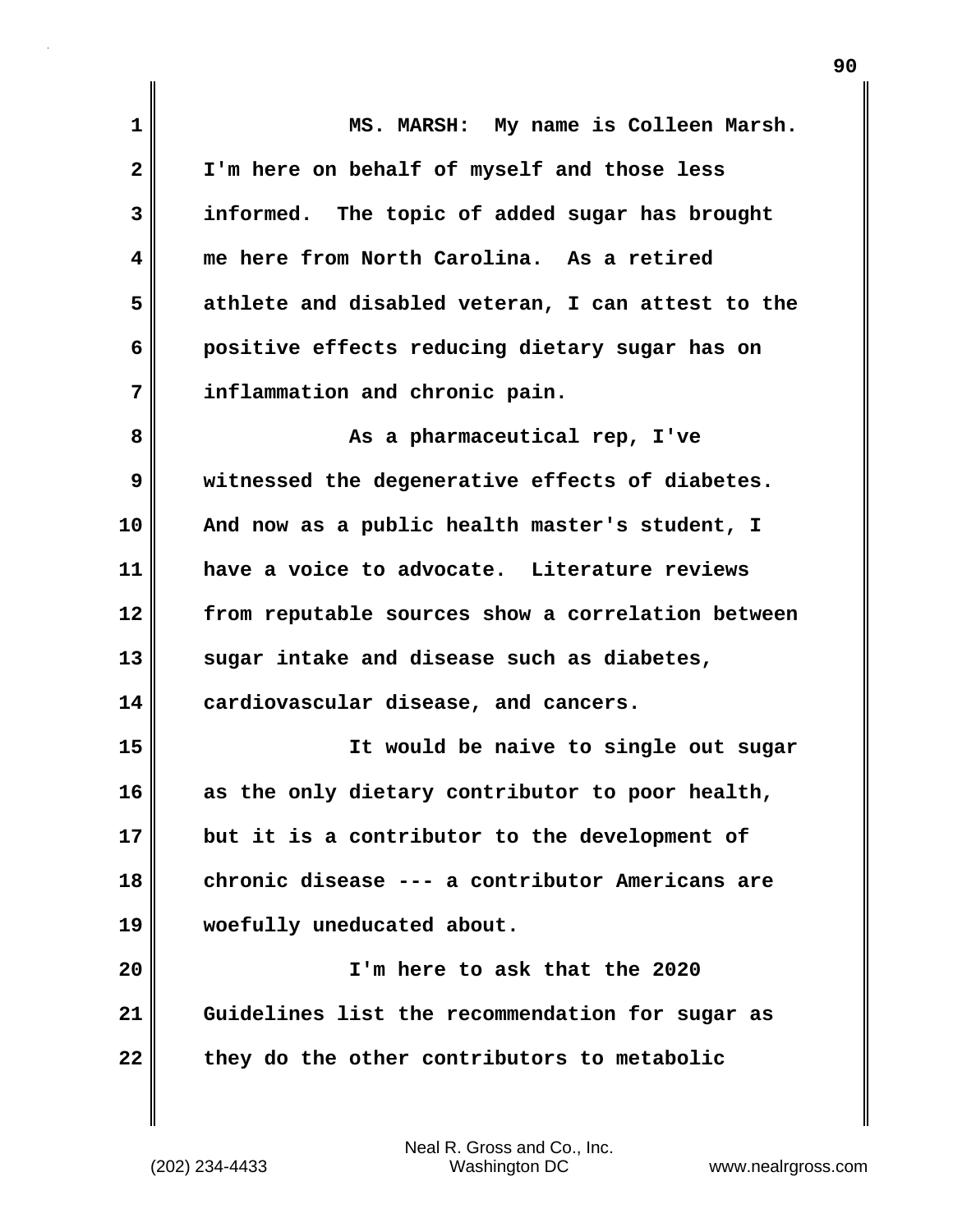| $\mathbf 1$ | MS. MARSH: My name is Colleen Marsh.              |
|-------------|---------------------------------------------------|
| 2           | I'm here on behalf of myself and those less       |
| 3           | informed. The topic of added sugar has brought    |
| 4           | me here from North Carolina. As a retired         |
| 5           | athlete and disabled veteran, I can attest to the |
| 6           | positive effects reducing dietary sugar has on    |
| 7           | inflammation and chronic pain.                    |
| 8           | As a pharmaceutical rep, I've                     |
| 9           | witnessed the degenerative effects of diabetes.   |
| 10          | And now as a public health master's student, I    |
| 11          | have a voice to advocate. Literature reviews      |
| 12          | from reputable sources show a correlation between |
| 13          | sugar intake and disease such as diabetes,        |
| 14          | cardiovascular disease, and cancers.              |
| 15          | It would be naive to single out sugar             |
| 16          | as the only dietary contributor to poor health,   |
| 17          | but it is a contributor to the development of     |
| 18          | chronic disease --- a contributor Americans are   |
| 19          | woefully uneducated about.                        |
| 20          | I'm here to ask that the 2020                     |
| 21          | Guidelines list the recommendation for sugar as   |
| 22          | they do the other contributors to metabolic       |

 $\mathbf{I}$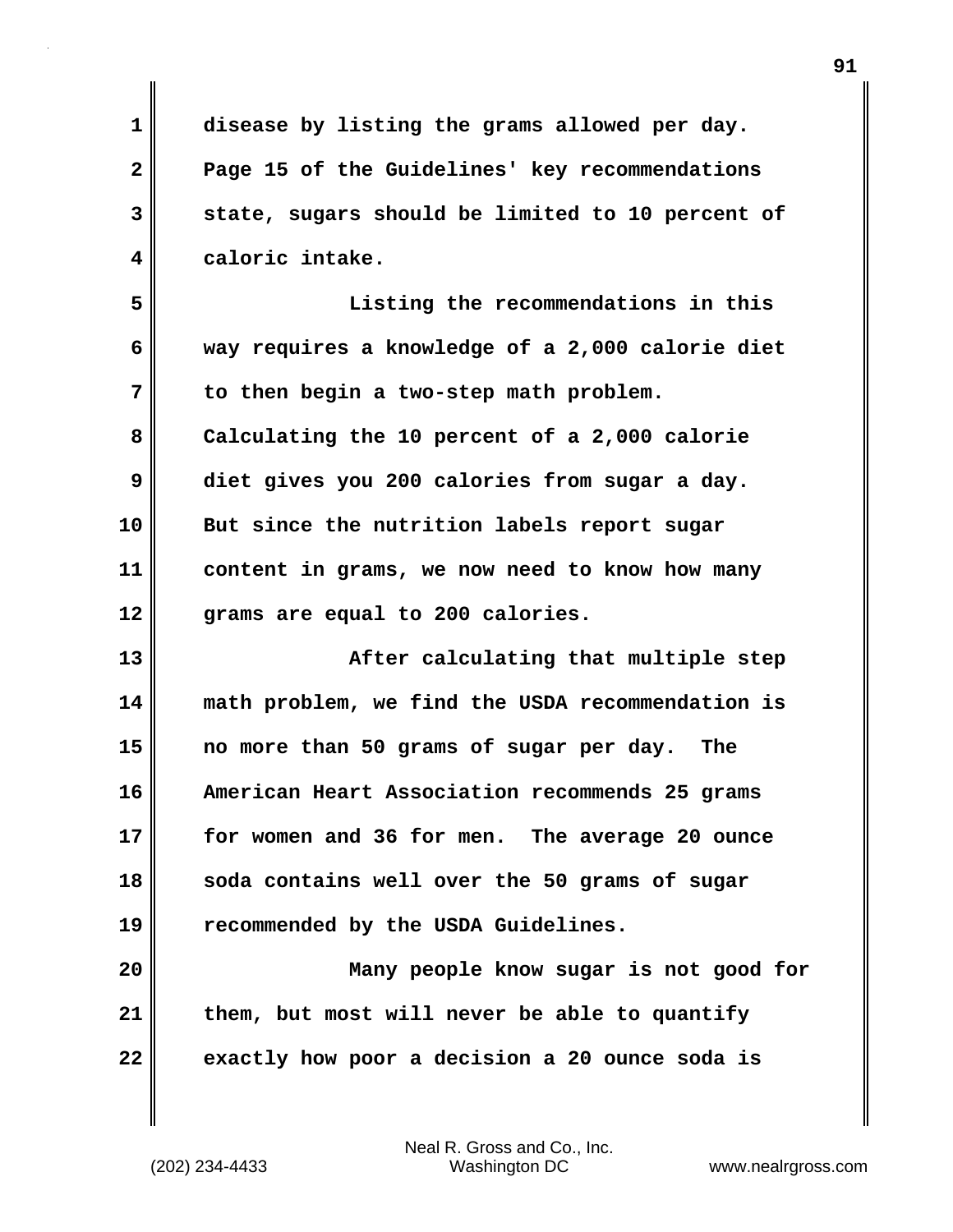**1 disease by listing the grams allowed per day. 2 Page 15 of the Guidelines' key recommendations 3 state, sugars should be limited to 10 percent of 4 caloric intake. 5 Listing the recommendations in this 6 way requires a knowledge of a 2,000 calorie diet 7 to then begin a two-step math problem. 8 Calculating the 10 percent of a 2,000 calorie 9 diet gives you 200 calories from sugar a day. 10 But since the nutrition labels report sugar 11 content in grams, we now need to know how many 12 grams are equal to 200 calories. 13 After calculating that multiple step 14 math problem, we find the USDA recommendation is 15 no more than 50 grams of sugar per day. The 16 American Heart Association recommends 25 grams 17 for women and 36 for men. The average 20 ounce 18 soda contains well over the 50 grams of sugar 19 recommended by the USDA Guidelines. 20 Many people know sugar is not good for 21 them, but most will never be able to quantify 22 exactly how poor a decision a 20 ounce soda is**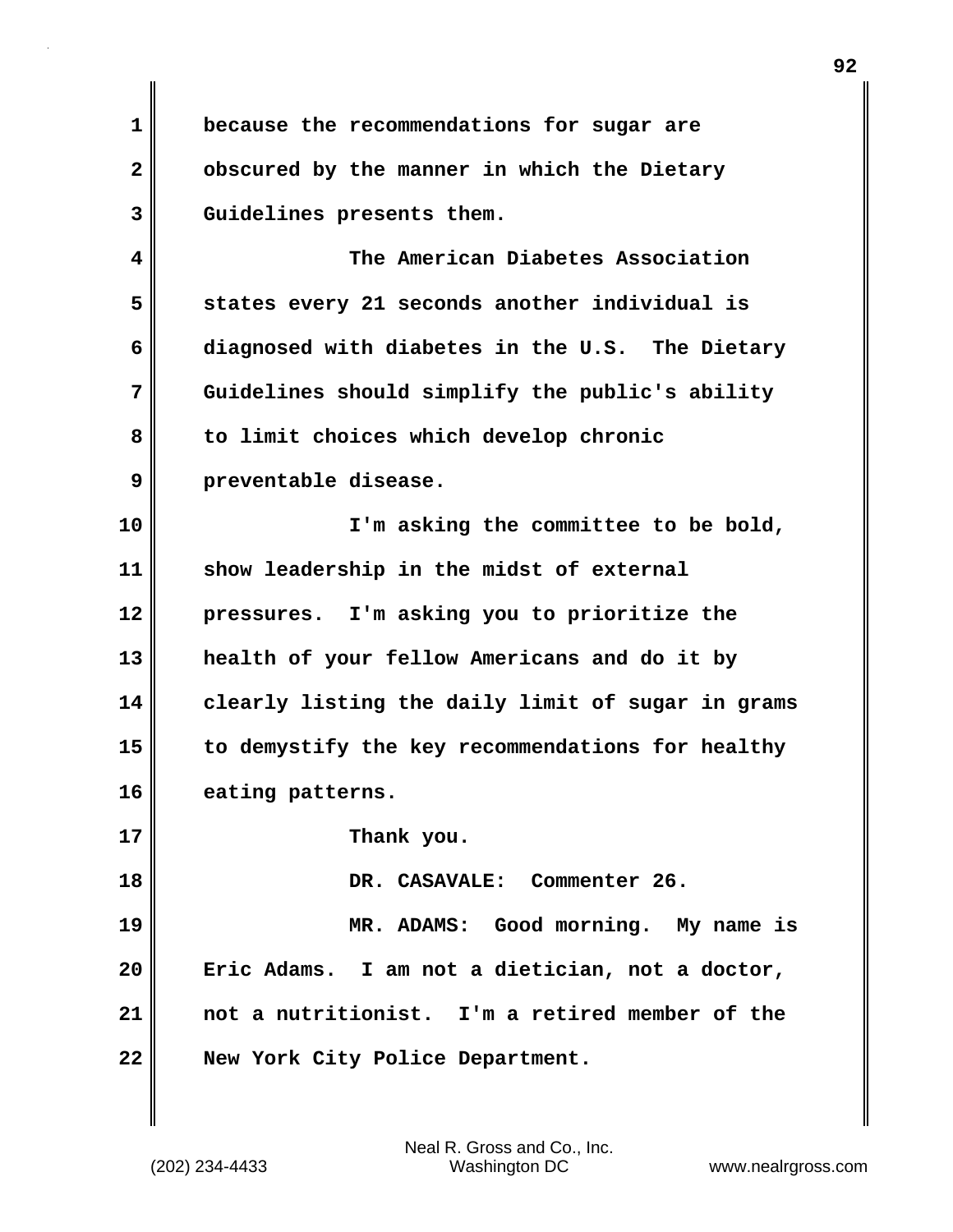**1 because the recommendations for sugar are 2 obscured by the manner in which the Dietary 3 Guidelines presents them.**

**4 The American Diabetes Association 5 states every 21 seconds another individual is 6 diagnosed with diabetes in the U.S. The Dietary 7 Guidelines should simplify the public's ability 8 to limit choices which develop chronic 9 preventable disease.**

**10 I'm asking the committee to be bold, 11 show leadership in the midst of external 12 pressures. I'm asking you to prioritize the 13 health of your fellow Americans and do it by 14 clearly listing the daily limit of sugar in grams 15 to demystify the key recommendations for healthy 16 eating patterns.**

**17 Thank you.**

**18 DR. CASAVALE: Commenter 26.**

**19 MR. ADAMS: Good morning. My name is 20 Eric Adams. I am not a dietician, not a doctor, 21 not a nutritionist. I'm a retired member of the 22 New York City Police Department.**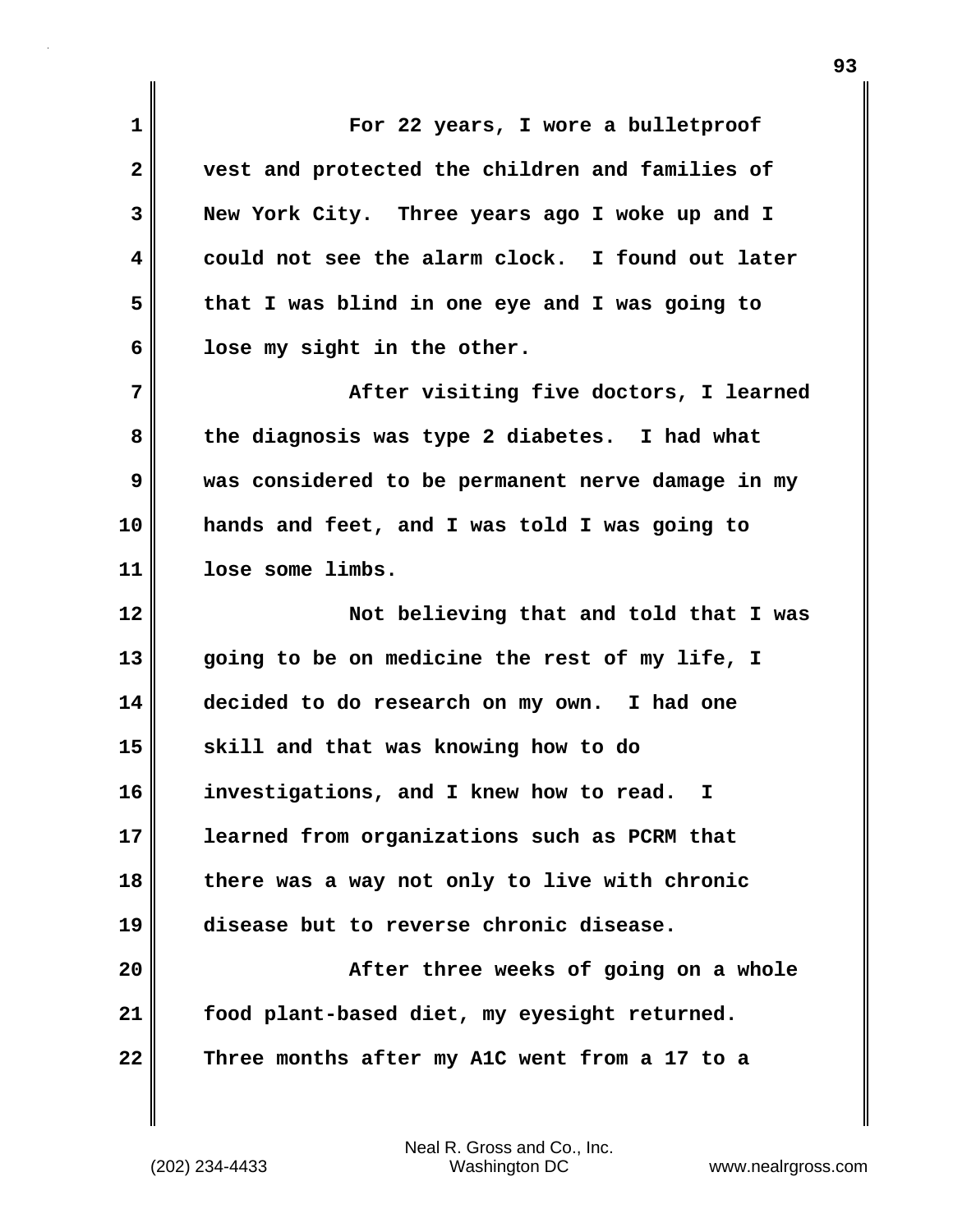| $\mathbf 1$  | For 22 years, I wore a bulletproof                |
|--------------|---------------------------------------------------|
| $\mathbf{2}$ | vest and protected the children and families of   |
| 3            | New York City. Three years ago I woke up and I    |
| 4            | could not see the alarm clock. I found out later  |
| 5            | that I was blind in one eye and I was going to    |
| 6            | lose my sight in the other.                       |
| 7            | After visiting five doctors, I learned            |
| 8            | the diagnosis was type 2 diabetes. I had what     |
| 9            | was considered to be permanent nerve damage in my |
| 10           | hands and feet, and I was told I was going to     |
| 11           | lose some limbs.                                  |
|              |                                                   |
|              | Not believing that and told that I was            |
| 12<br>13     | going to be on medicine the rest of my life, I    |
| 14           | decided to do research on my own. I had one       |
| 15           | skill and that was knowing how to do              |
| 16           | investigations, and I knew how to read. I         |
| 17           | learned from organizations such as PCRM that      |
| 18           | there was a way not only to live with chronic     |
| 19           | disease but to reverse chronic disease.           |
|              | After three weeks of going on a whole             |
| 20<br>21     | food plant-based diet, my eyesight returned.      |

(202) 234-4433 Washington DC www.nealrgross.com Neal R. Gross and Co., Inc.

 $\mathbf{I}$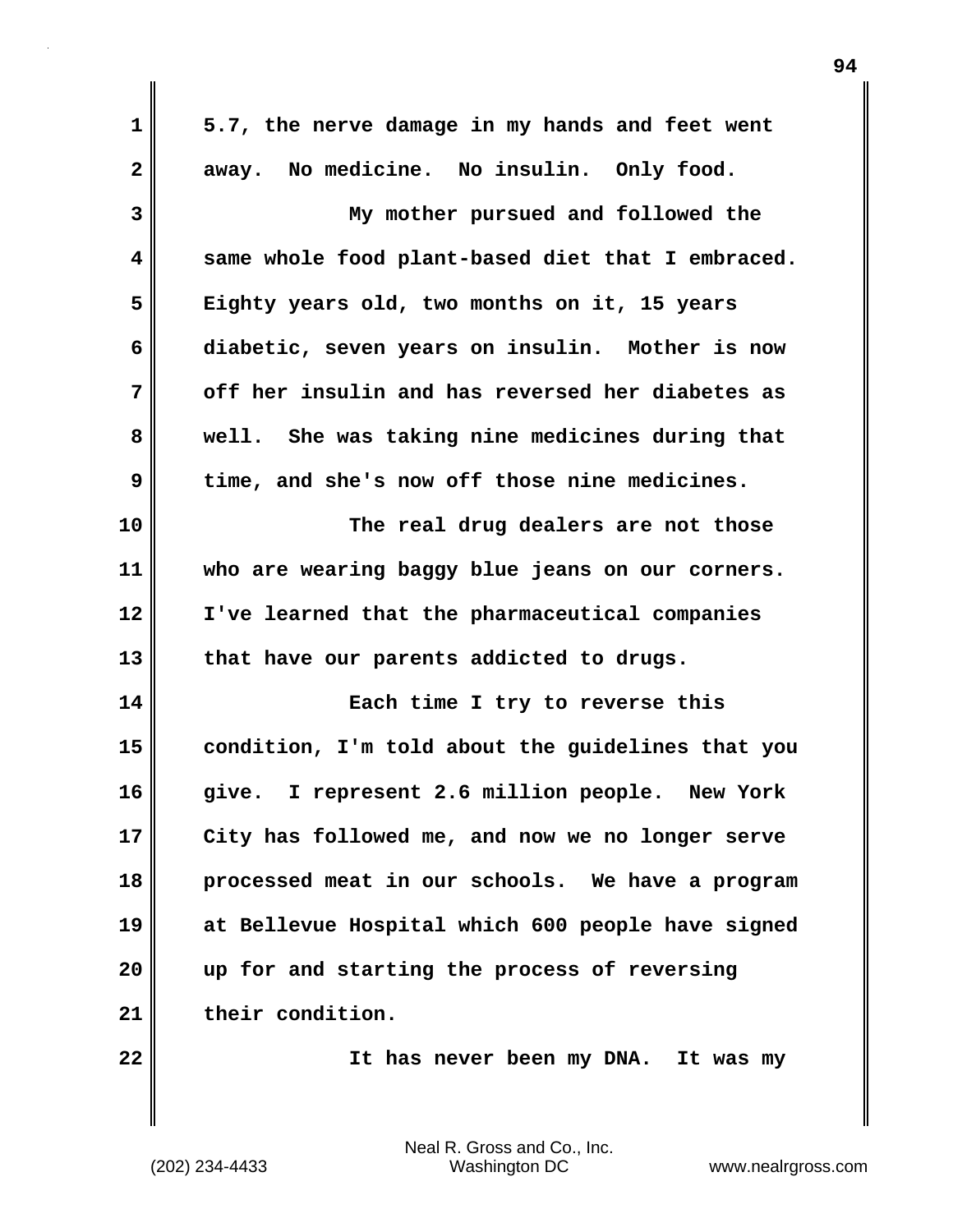| $\mathbf 1$    | 5.7, the nerve damage in my hands and feet went   |
|----------------|---------------------------------------------------|
| $\overline{2}$ | away. No medicine. No insulin. Only food.         |
| 3              | My mother pursued and followed the                |
| 4              | same whole food plant-based diet that I embraced. |
| 5              | Eighty years old, two months on it, 15 years      |
| 6              | diabetic, seven years on insulin. Mother is now   |
| 7              | off her insulin and has reversed her diabetes as  |
| 8              | well. She was taking nine medicines during that   |
| 9              | time, and she's now off those nine medicines.     |
| 10             | The real drug dealers are not those               |
| 11             | who are wearing baggy blue jeans on our corners.  |
| 12             | I've learned that the pharmaceutical companies    |
| 13             | that have our parents addicted to drugs.          |
| 14             | Each time I try to reverse this                   |
| 15             | condition, I'm told about the guidelines that you |
| 16             | give. I represent 2.6 million people. New York    |
| 17             | City has followed me, and now we no longer serve  |
| 18             | processed meat in our schools. We have a program  |
| 19             | at Bellevue Hospital which 600 people have signed |
| 20             | up for and starting the process of reversing      |
| 21             | their condition.                                  |
| 22             | It has never been my DNA. It was my               |
|                |                                                   |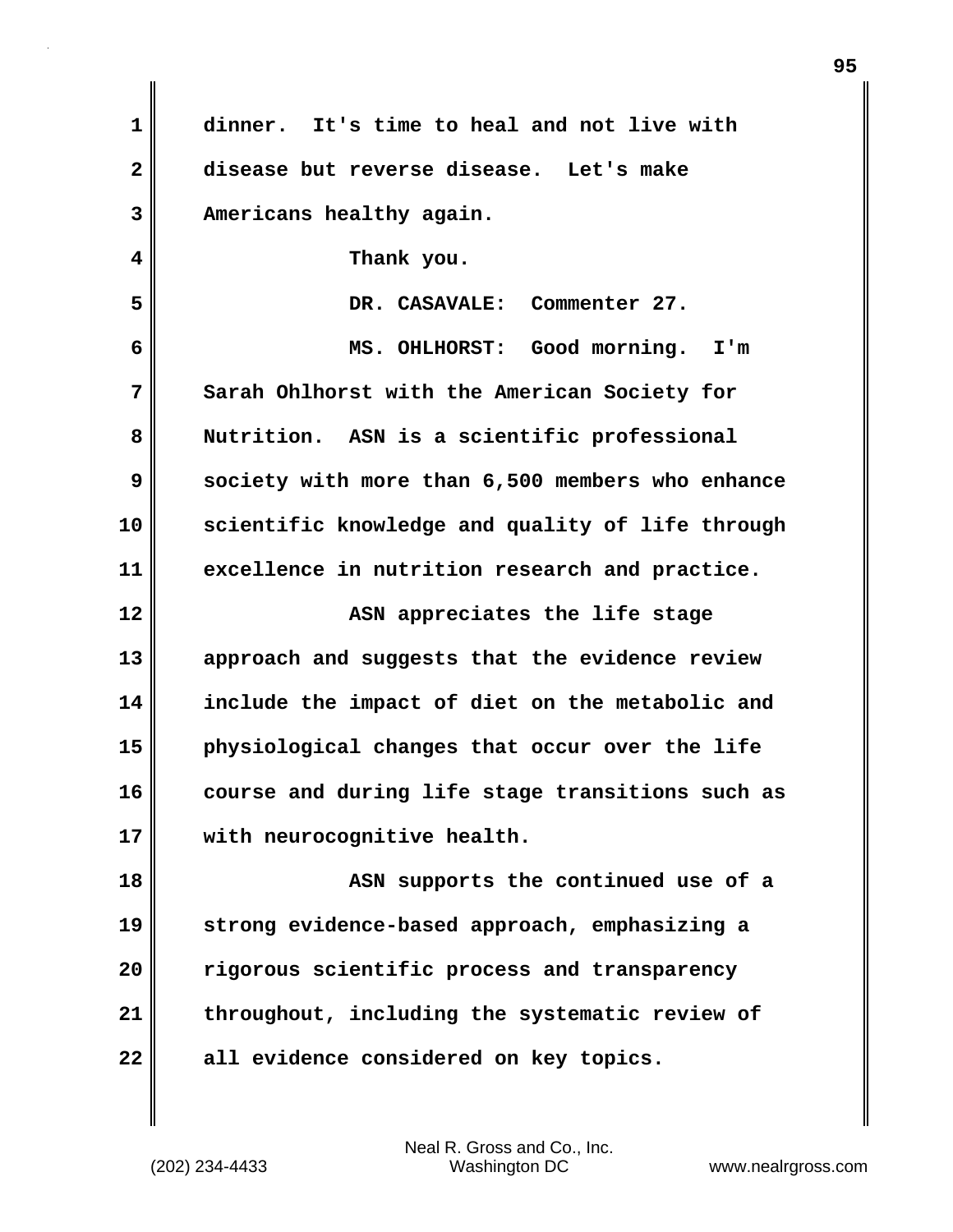| 1            | dinner. It's time to heal and not live with      |
|--------------|--------------------------------------------------|
| $\mathbf{2}$ | disease but reverse disease. Let's make          |
| 3            | Americans healthy again.                         |
| 4            | Thank you.                                       |
| 5            | DR. CASAVALE: Commenter 27.                      |
| 6            | MS. OHLHORST: Good morning. I'm                  |
| 7            | Sarah Ohlhorst with the American Society for     |
| 8            | Nutrition. ASN is a scientific professional      |
| 9            | society with more than 6,500 members who enhance |
| 10           | scientific knowledge and quality of life through |
| 11           | excellence in nutrition research and practice.   |
| 12           | ASN appreciates the life stage                   |
|              |                                                  |
| 13           | approach and suggests that the evidence review   |
| 14           | include the impact of diet on the metabolic and  |
| 15           | physiological changes that occur over the life   |
| 16           | course and during life stage transitions such as |
| 17           | with neurocognitive health.                      |
| 18           | ASN supports the continued use of a              |
| 19           | strong evidence-based approach, emphasizing a    |
| 20           | rigorous scientific process and transparency     |
| 21           | throughout, including the systematic review of   |
| 22           | all evidence considered on key topics.           |

 $\mathbf{I}$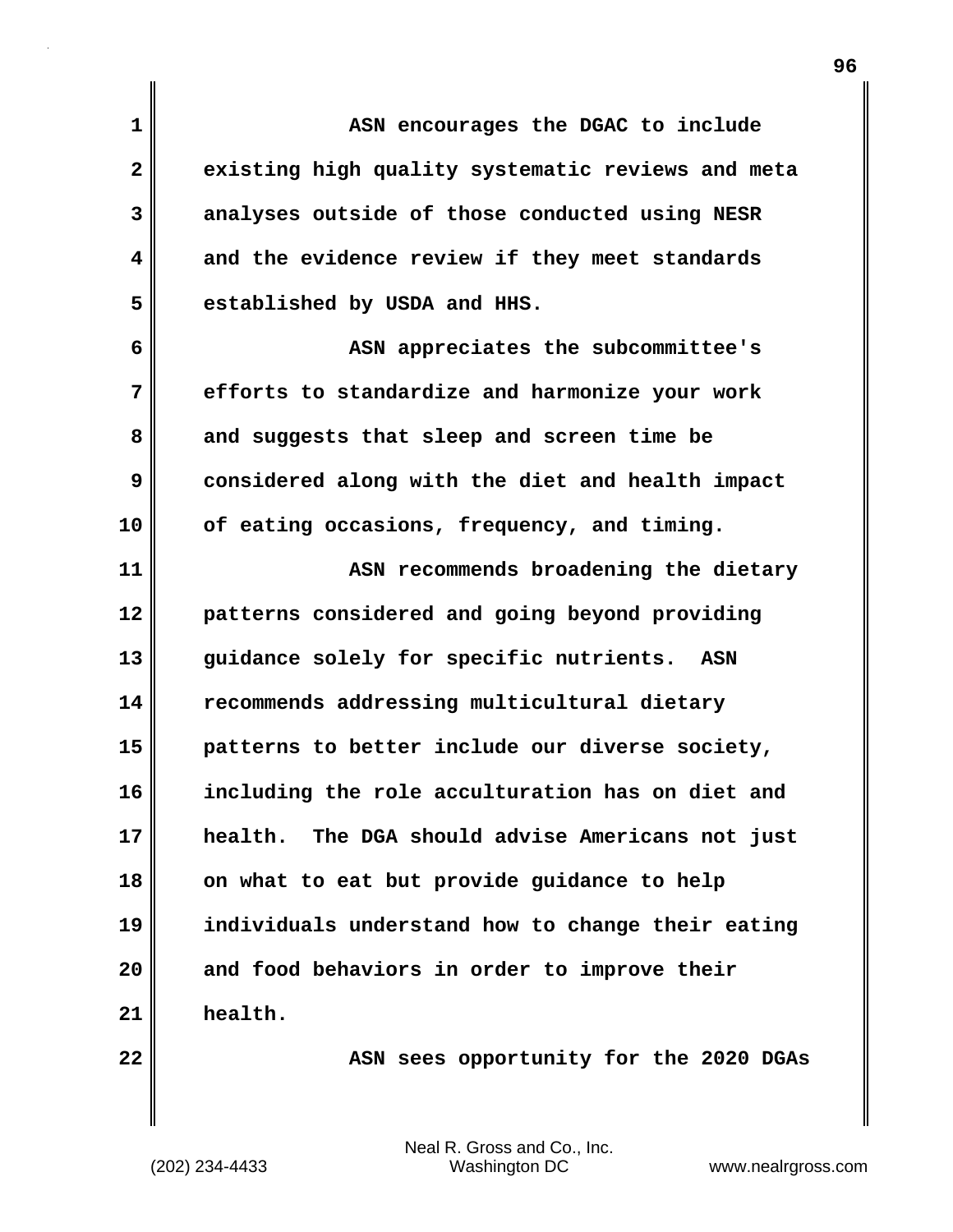**1 ASN encourages the DGAC to include 2 existing high quality systematic reviews and meta 3 analyses outside of those conducted using NESR 4 and the evidence review if they meet standards 5 established by USDA and HHS. 6 ASN appreciates the subcommittee's 7 efforts to standardize and harmonize your work 8 and suggests that sleep and screen time be 9 considered along with the diet and health impact**

**10 of eating occasions, frequency, and timing.**

**11 ASN recommends broadening the dietary 12 patterns considered and going beyond providing 13 guidance solely for specific nutrients. ASN 14 recommends addressing multicultural dietary 15 patterns to better include our diverse society, 16 including the role acculturation has on diet and 17 health. The DGA should advise Americans not just 18 on what to eat but provide guidance to help 19 individuals understand how to change their eating 20 and food behaviors in order to improve their 21 health.**

**22 ASN sees opportunity for the 2020 DGAs**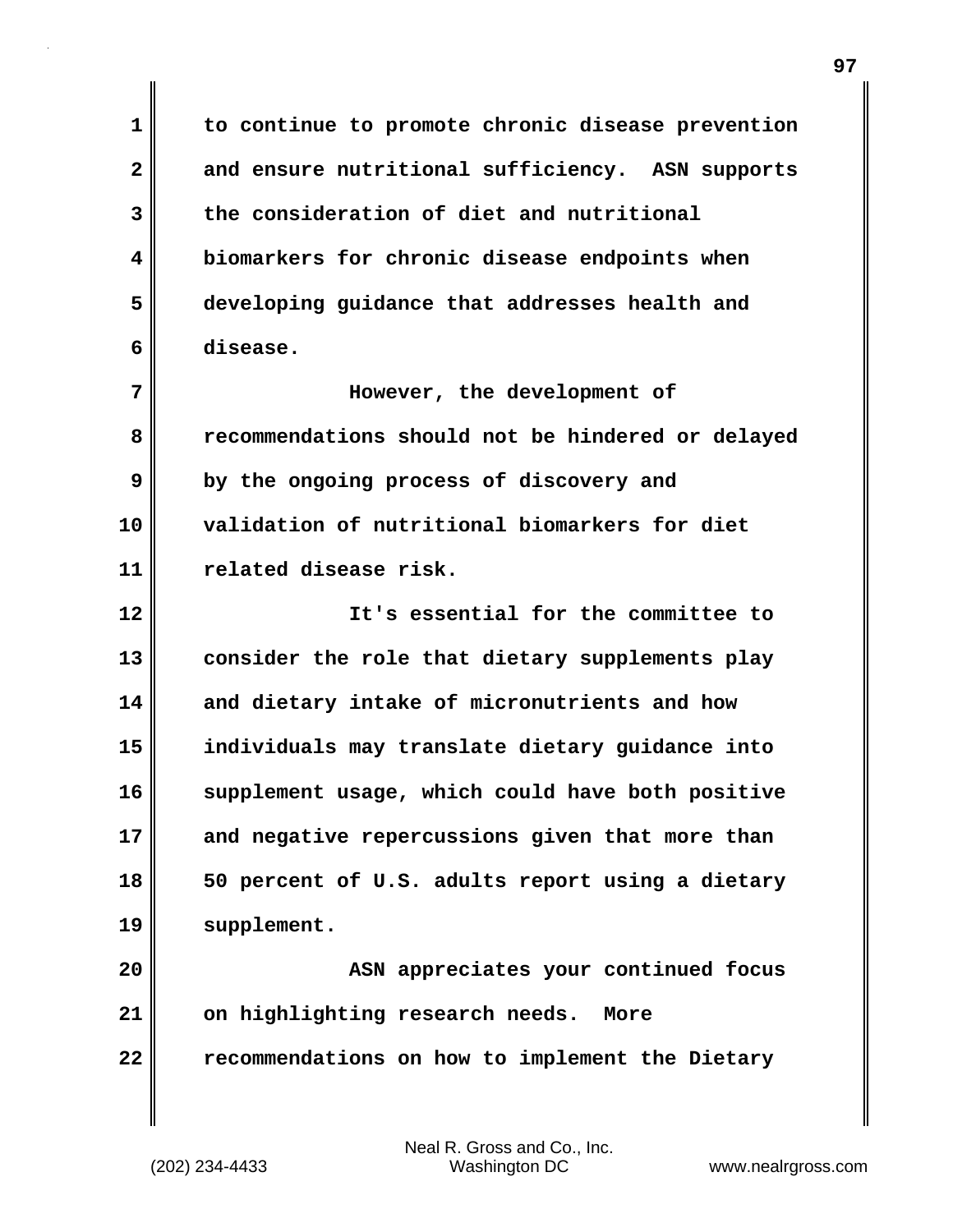**1 to continue to promote chronic disease prevention 2 and ensure nutritional sufficiency. ASN supports 3 the consideration of diet and nutritional 4 biomarkers for chronic disease endpoints when 5 developing guidance that addresses health and 6 disease.**

**7 However, the development of 8 recommendations should not be hindered or delayed 9 by the ongoing process of discovery and 10 validation of nutritional biomarkers for diet 11 related disease risk.**

**12 It's essential for the committee to 13 consider the role that dietary supplements play 14 and dietary intake of micronutrients and how 15 individuals may translate dietary guidance into 16 supplement usage, which could have both positive 17 and negative repercussions given that more than 18 50 percent of U.S. adults report using a dietary 19 supplement.**

**20 ASN appreciates your continued focus 21 on highlighting research needs. More 22 recommendations on how to implement the Dietary**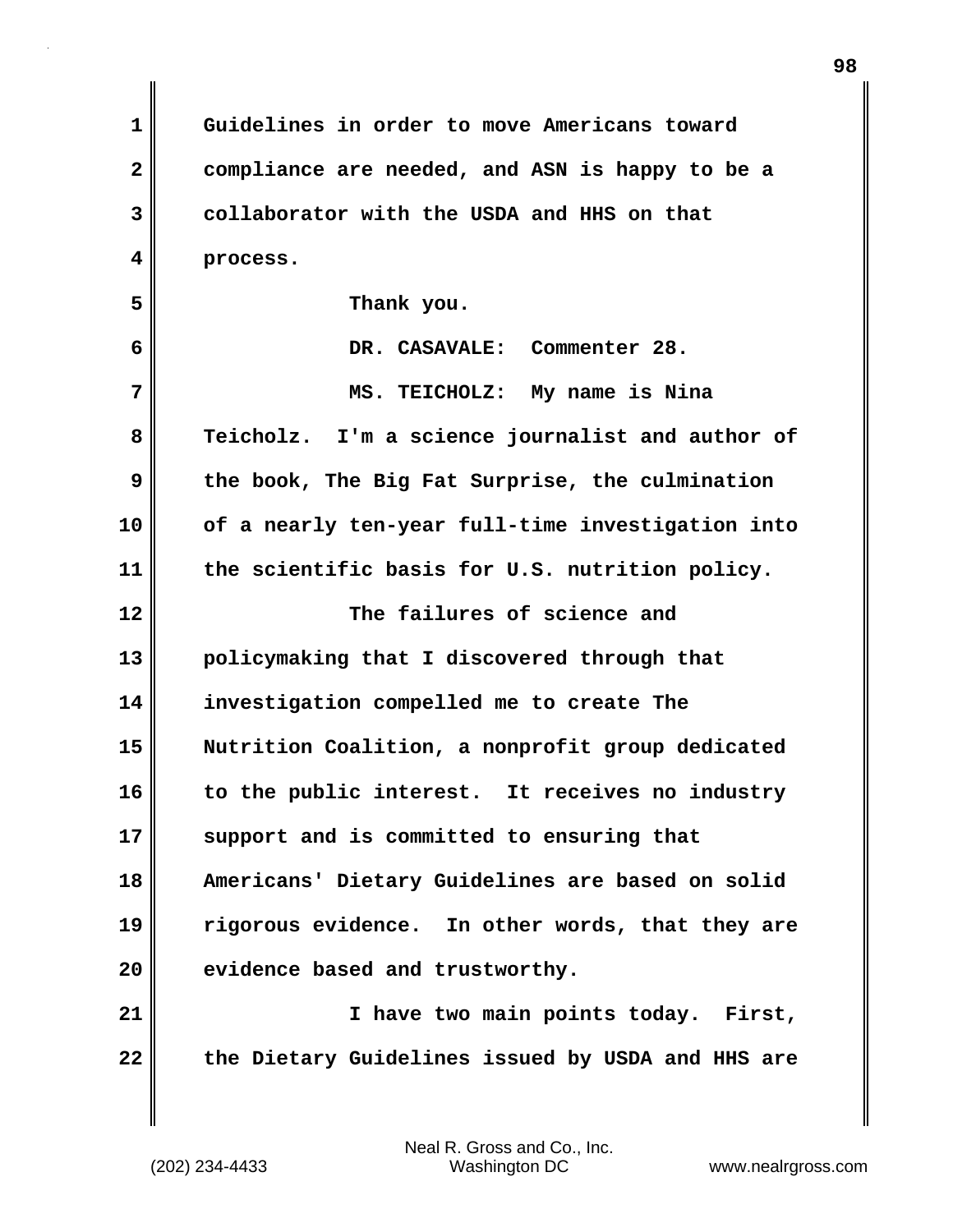**1 Guidelines in order to move Americans toward 2 compliance are needed, and ASN is happy to be a 3 collaborator with the USDA and HHS on that 4 process. 5 Thank you. 6 DR. CASAVALE: Commenter 28. 7 MS. TEICHOLZ: My name is Nina 8 Teicholz. I'm a science journalist and author of 9 the book, The Big Fat Surprise, the culmination 10 of a nearly ten-year full-time investigation into 11 the scientific basis for U.S. nutrition policy. 12 The failures of science and 13 policymaking that I discovered through that 14 investigation compelled me to create The 15 Nutrition Coalition, a nonprofit group dedicated 16 to the public interest. It receives no industry 17 support and is committed to ensuring that 18 Americans' Dietary Guidelines are based on solid 19 rigorous evidence. In other words, that they are 20 evidence based and trustworthy. 21 I have two main points today. First, 22 the Dietary Guidelines issued by USDA and HHS are**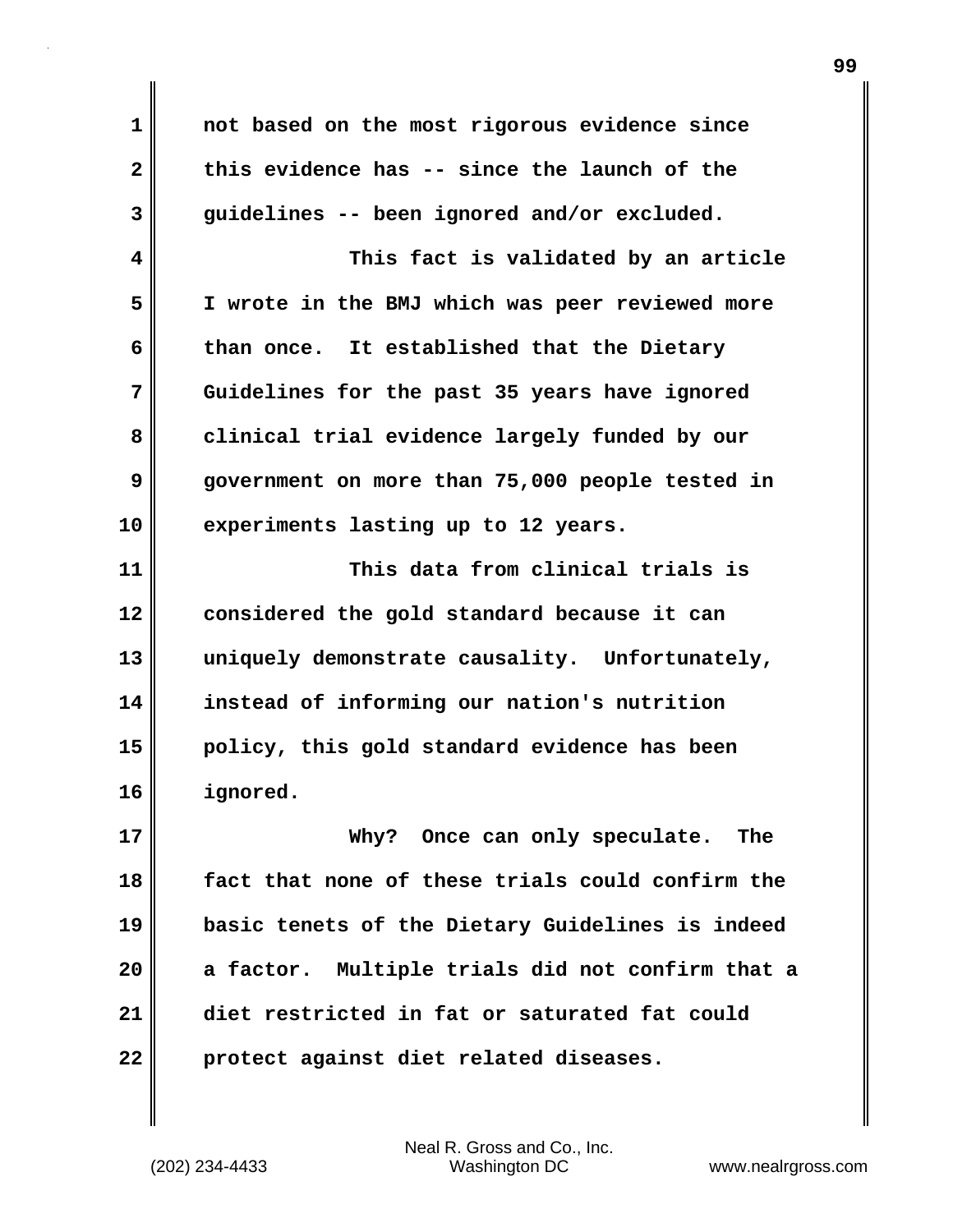**1 not based on the most rigorous evidence since 2 this evidence has -- since the launch of the 3 guidelines -- been ignored and/or excluded. 4 This fact is validated by an article 5 I wrote in the BMJ which was peer reviewed more 6 than once. It established that the Dietary 7 Guidelines for the past 35 years have ignored** 8 clinical trial evidence largely funded by our **9 government on more than 75,000 people tested in 10 experiments lasting up to 12 years. 11 This data from clinical trials is 12 considered the gold standard because it can 13 uniquely demonstrate causality. Unfortunately, 14 instead of informing our nation's nutrition 15 policy, this gold standard evidence has been 16 ignored. 17 Why? Once can only speculate. The 18 fact that none of these trials could confirm the 19 basic tenets of the Dietary Guidelines is indeed 20 a factor. Multiple trials did not confirm that a 21 diet restricted in fat or saturated fat could 22 protect against diet related diseases.**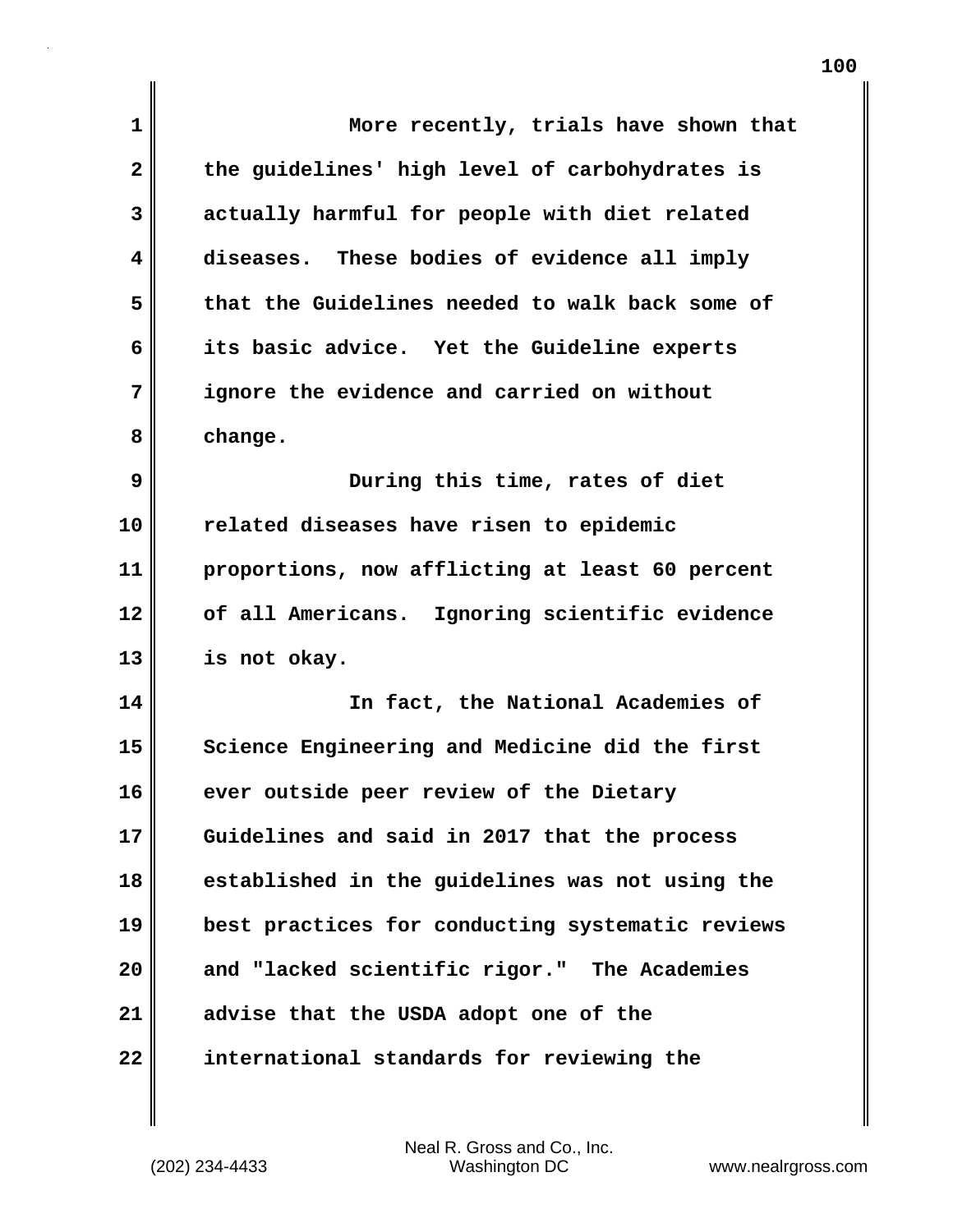| 1  | More recently, trials have shown that            |
|----|--------------------------------------------------|
| 2  | the guidelines' high level of carbohydrates is   |
| 3  | actually harmful for people with diet related    |
| 4  | diseases. These bodies of evidence all imply     |
| 5  | that the Guidelines needed to walk back some of  |
| 6  | its basic advice. Yet the Guideline experts      |
| 7  | ignore the evidence and carried on without       |
| 8  | change.                                          |
| 9  | During this time, rates of diet                  |
| 10 | related diseases have risen to epidemic          |
| 11 | proportions, now afflicting at least 60 percent  |
| 12 | of all Americans. Ignoring scientific evidence   |
| 13 | is not okay.                                     |
| 14 | In fact, the National Academies of               |
| 15 | Science Engineering and Medicine did the first   |
| 16 | ever outside peer review of the Dietary          |
| 17 | Guidelines and said in 2017 that the process     |
| 18 | established in the guidelines was not using the  |
| 19 | best practices for conducting systematic reviews |
| 20 | and "lacked scientific rigor." The Academies     |
| 21 | advise that the USDA adopt one of the            |
| 22 | international standards for reviewing the        |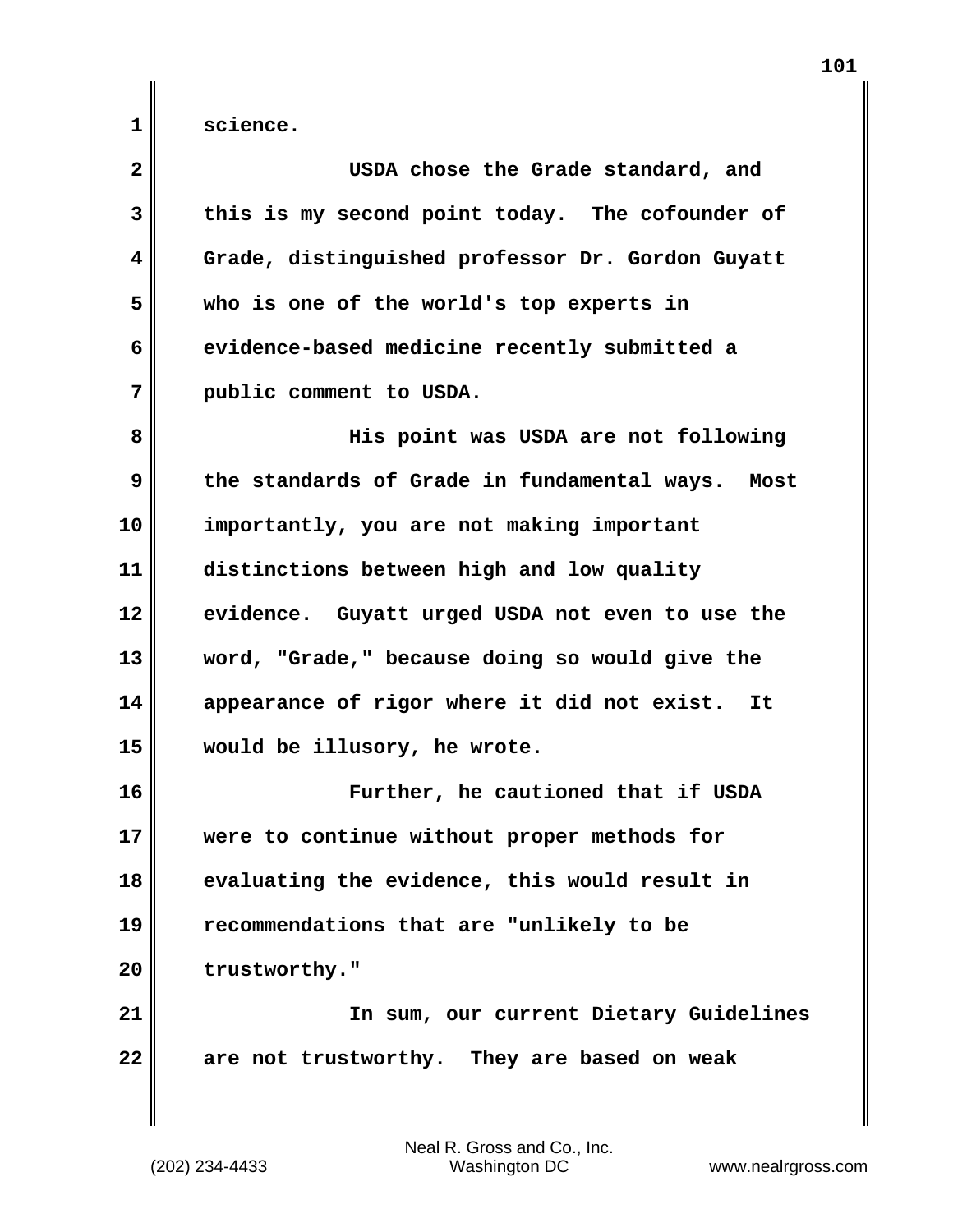**1 science.**

| $\mathbf{2}$ | USDA chose the Grade standard, and                |
|--------------|---------------------------------------------------|
| 3            | this is my second point today. The cofounder of   |
| 4            | Grade, distinguished professor Dr. Gordon Guyatt  |
| 5            | who is one of the world's top experts in          |
| 6            | evidence-based medicine recently submitted a      |
| 7            | public comment to USDA.                           |
| 8            | His point was USDA are not following              |
| 9            | the standards of Grade in fundamental ways. Most  |
| 10           | importantly, you are not making important         |
| 11           | distinctions between high and low quality         |
| 12           | evidence. Guyatt urged USDA not even to use the   |
| 13           | word, "Grade," because doing so would give the    |
| 14           | appearance of rigor where it did not exist.<br>It |
| 15           | would be illusory, he wrote.                      |
| 16           | Further, he cautioned that if USDA                |
| 17           | were to continue without proper methods for       |
| 18           | evaluating the evidence, this would result in     |
| 19           | recommendations that are "unlikely to be          |
| 20           | trustworthy."                                     |
| 21           | In sum, our current Dietary Guidelines            |
| 22           | are not trustworthy. They are based on weak       |
|              |                                                   |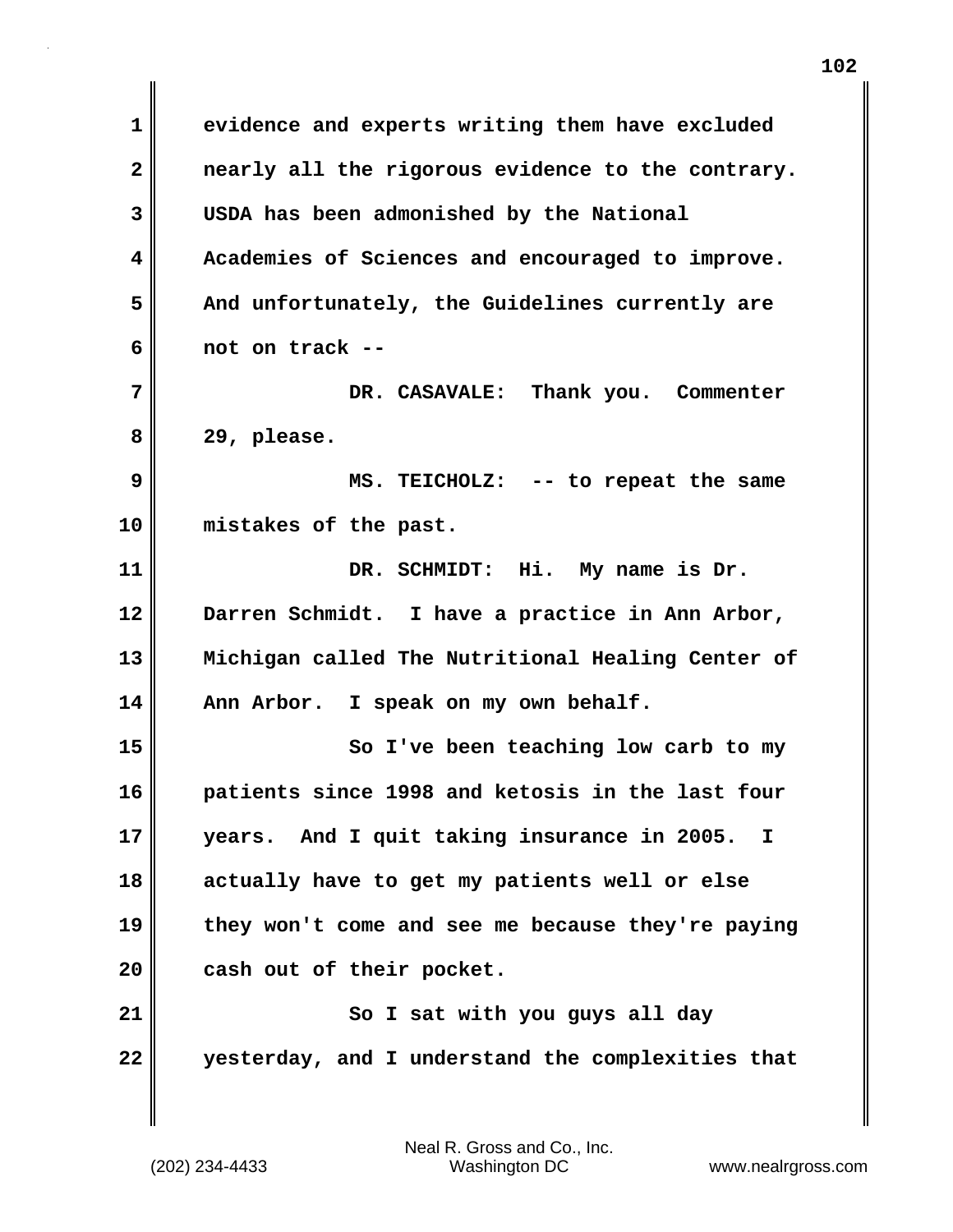**1 evidence and experts writing them have excluded 2 nearly all the rigorous evidence to the contrary. 3 USDA has been admonished by the National 4 Academies of Sciences and encouraged to improve. 5 And unfortunately, the Guidelines currently are 6 not on track -- 7 DR. CASAVALE: Thank you. Commenter 8 29, please. 9 MS. TEICHOLZ: -- to repeat the same 10 mistakes of the past. 11 DR. SCHMIDT: Hi. My name is Dr. 12 Darren Schmidt. I have a practice in Ann Arbor, 13 Michigan called The Nutritional Healing Center of 14 Ann Arbor. I speak on my own behalf. 15 So I've been teaching low carb to my 16 patients since 1998 and ketosis in the last four 17 years. And I quit taking insurance in 2005. I 18 actually have to get my patients well or else 19 they won't come and see me because they're paying 20 cash out of their pocket. 21** So I sat with you guys all day **22 yesterday, and I understand the complexities that**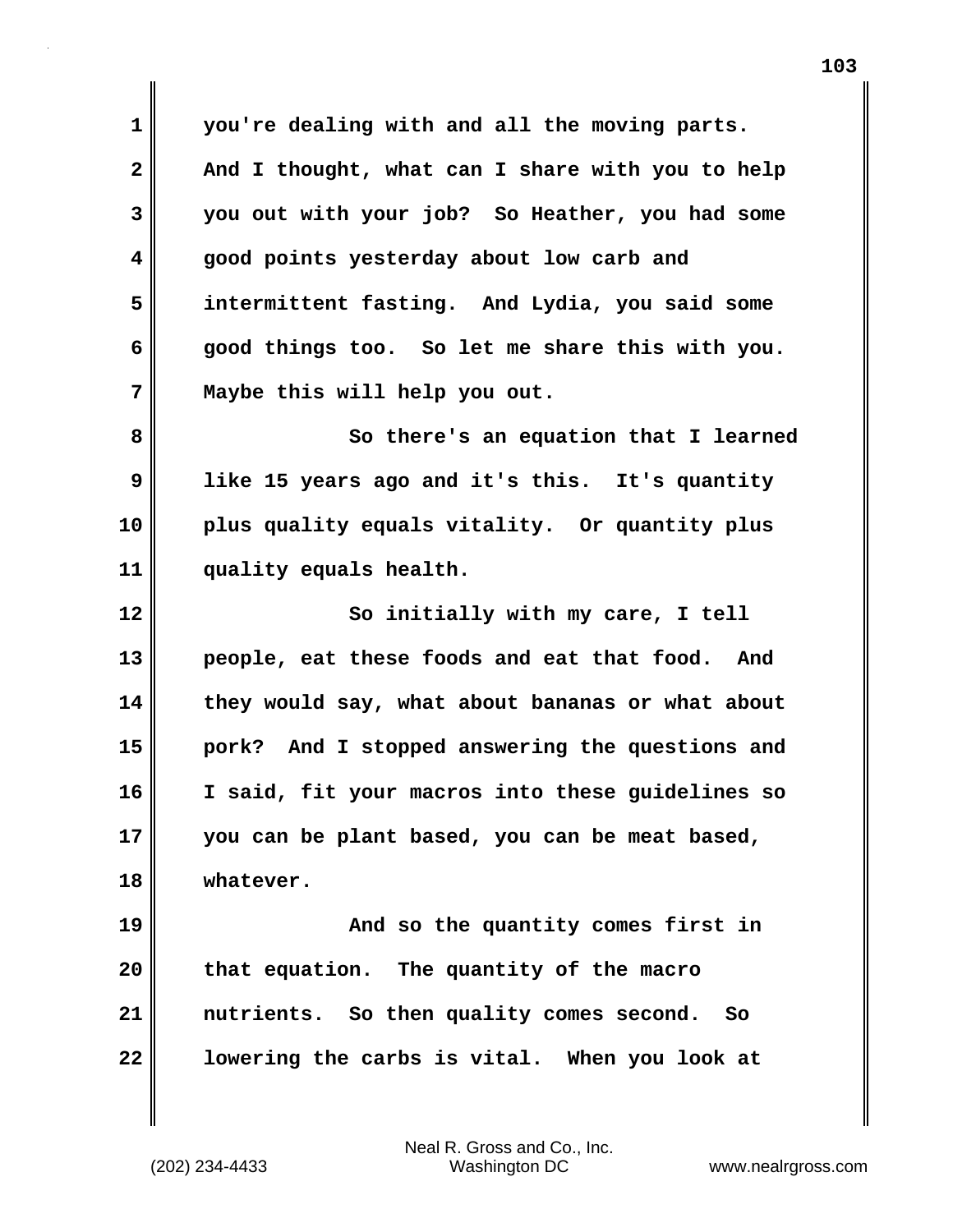**1 you're dealing with and all the moving parts. 2 And I thought, what can I share with you to help 3 you out with your job? So Heather, you had some 4 good points yesterday about low carb and 5 intermittent fasting. And Lydia, you said some 6 good things too. So let me share this with you. 7 Maybe this will help you out.**

**8** So there's an equation that I learned **9 like 15 years ago and it's this. It's quantity 10 plus quality equals vitality. Or quantity plus 11 quality equals health.**

**12** So initially with my care, I tell **13 people, eat these foods and eat that food. And 14 they would say, what about bananas or what about 15 pork? And I stopped answering the questions and 16 I said, fit your macros into these guidelines so 17 you can be plant based, you can be meat based, 18 whatever.**

**19 And so the quantity comes first in 20 that equation. The quantity of the macro 21 nutrients. So then quality comes second. So 22 lowering the carbs is vital. When you look at**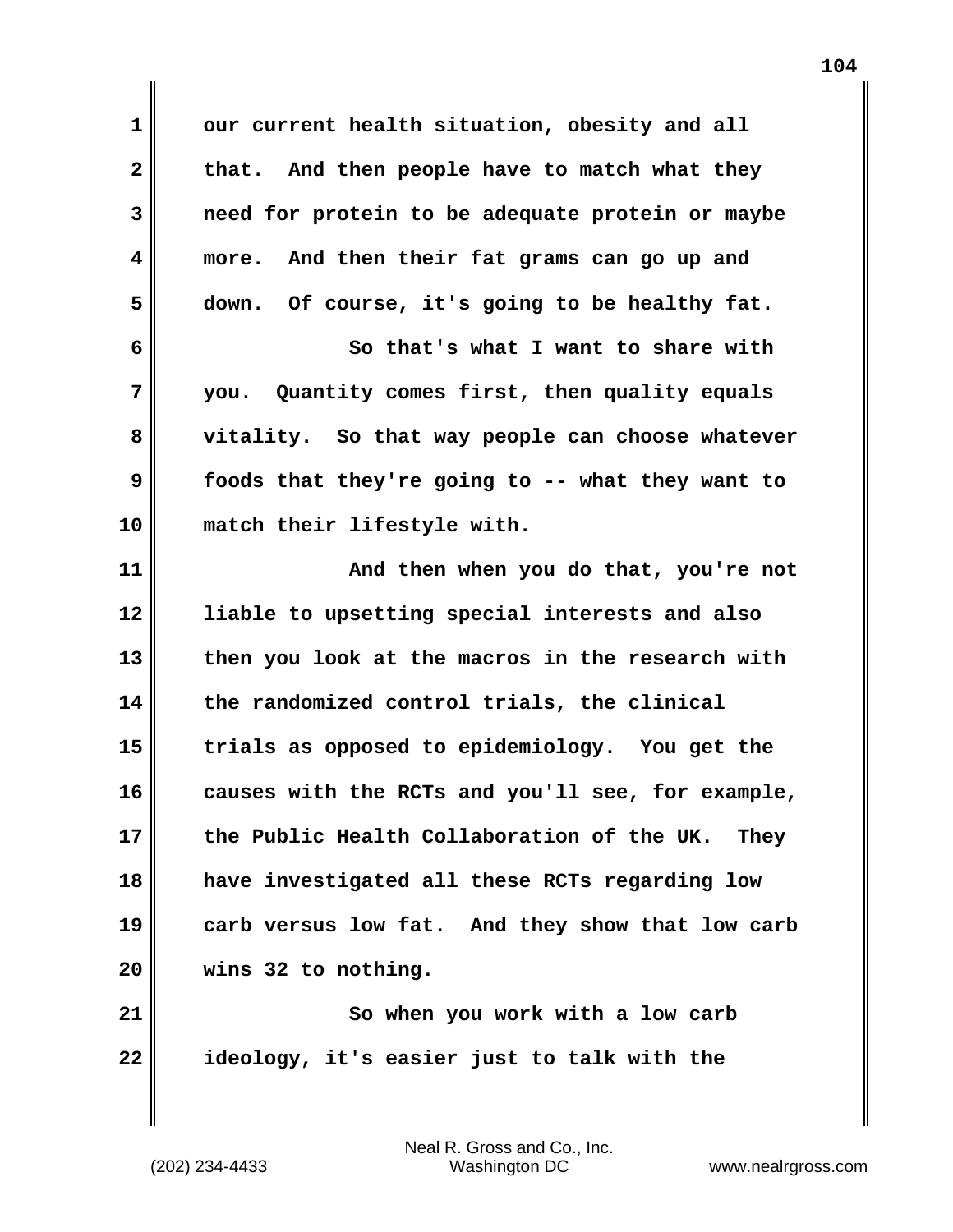**1 our current health situation, obesity and all** 2 that. And then people have to match what they **3 need for protein to be adequate protein or maybe 4 more. And then their fat grams can go up and 5 down. Of course, it's going to be healthy fat. 6 So that's what I want to share with 7 you. Quantity comes first, then quality equals 8 vitality. So that way people can choose whatever 9 foods that they're going to -- what they want to 10 match their lifestyle with. 11 And then when you do that, you're not 12 liable to upsetting special interests and also 13 then you look at the macros in the research with 14 the randomized control trials, the clinical 15 trials as opposed to epidemiology. You get the 16 causes with the RCTs and you'll see, for example, 17 the Public Health Collaboration of the UK. They 18 have investigated all these RCTs regarding low 19 carb versus low fat. And they show that low carb 20 wins 32 to nothing. 21** So when you work with a low carb **22 ideology, it's easier just to talk with the**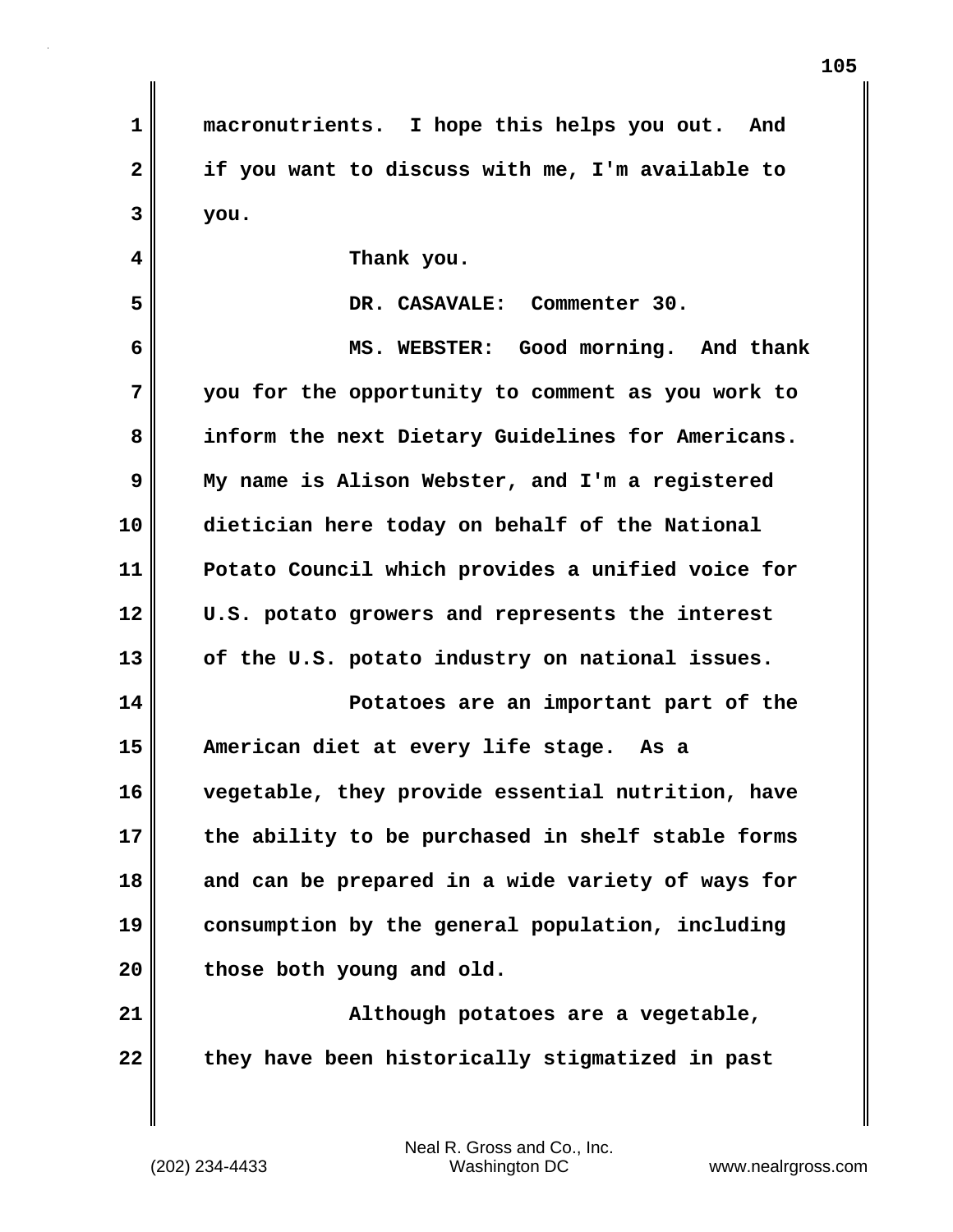**1 macronutrients. I hope this helps you out. And 2 if you want to discuss with me, I'm available to 3 you. 4 Thank you. 5 DR. CASAVALE: Commenter 30. 6 MS. WEBSTER: Good morning. And thank 7 you for the opportunity to comment as you work to 8 inform the next Dietary Guidelines for Americans. 9 My name is Alison Webster, and I'm a registered 10 dietician here today on behalf of the National 11 Potato Council which provides a unified voice for 12 U.S. potato growers and represents the interest 13 of the U.S. potato industry on national issues. 14 Potatoes are an important part of the 15 American diet at every life stage. As a 16 vegetable, they provide essential nutrition, have 17 the ability to be purchased in shelf stable forms 18 and can be prepared in a wide variety of ways for 19 consumption by the general population, including 20 those both young and old. 21 Although potatoes are a vegetable, 22 they have been historically stigmatized in past**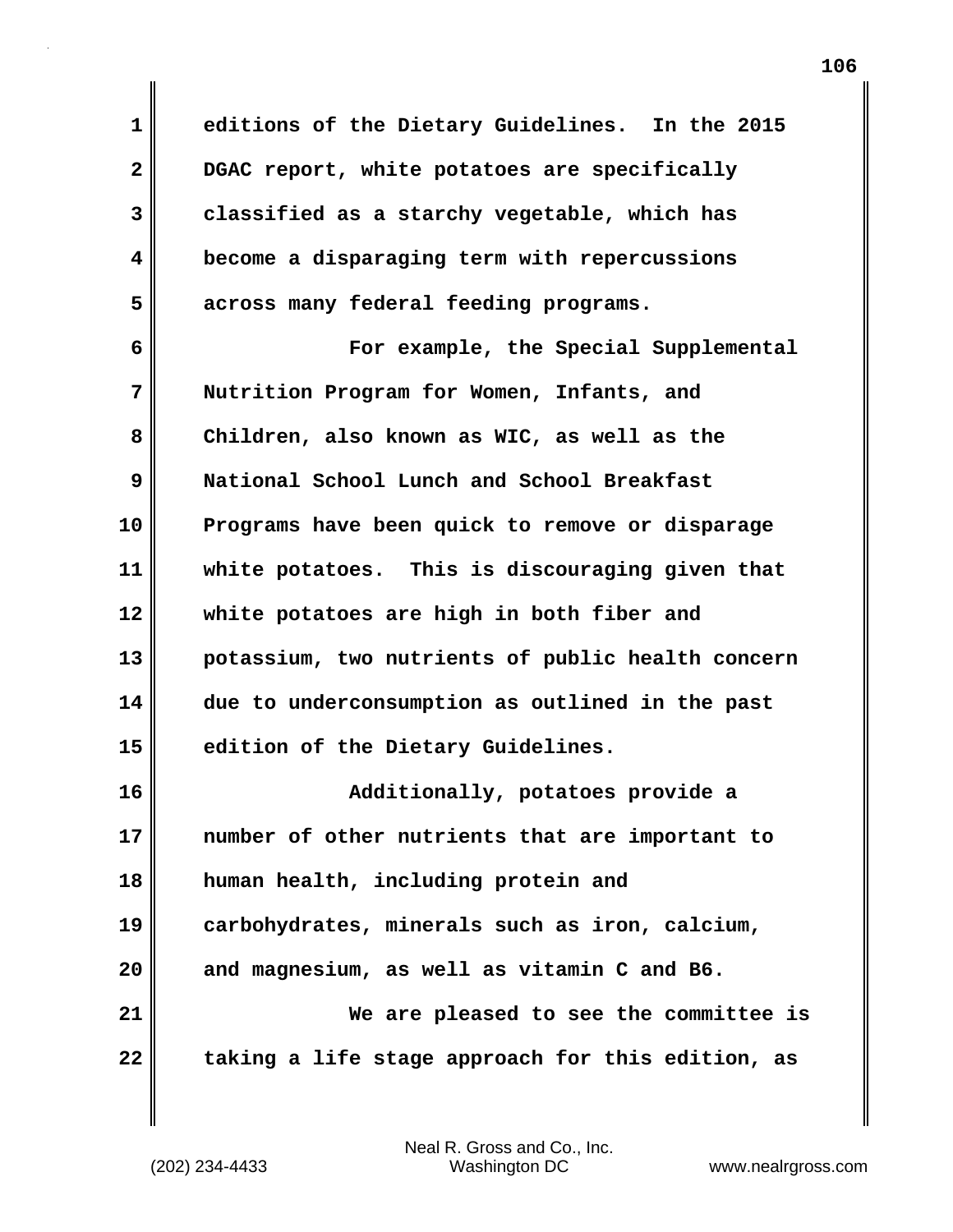**1 editions of the Dietary Guidelines. In the 2015 2 DGAC report, white potatoes are specifically 3 classified as a starchy vegetable, which has 4 become a disparaging term with repercussions 5 across many federal feeding programs. 6 For example, the Special Supplemental 7 Nutrition Program for Women, Infants, and 8 Children, also known as WIC, as well as the 9 National School Lunch and School Breakfast 10 Programs have been quick to remove or disparage 11 white potatoes. This is discouraging given that 12 white potatoes are high in both fiber and 13 potassium, two nutrients of public health concern 14 due to underconsumption as outlined in the past 15 edition of the Dietary Guidelines. 16 Additionally, potatoes provide a 17 number of other nutrients that are important to 18 human health, including protein and 19 carbohydrates, minerals such as iron, calcium, 20 and magnesium, as well as vitamin C and B6. 21 We are pleased to see the committee is 22 taking a life stage approach for this edition, as**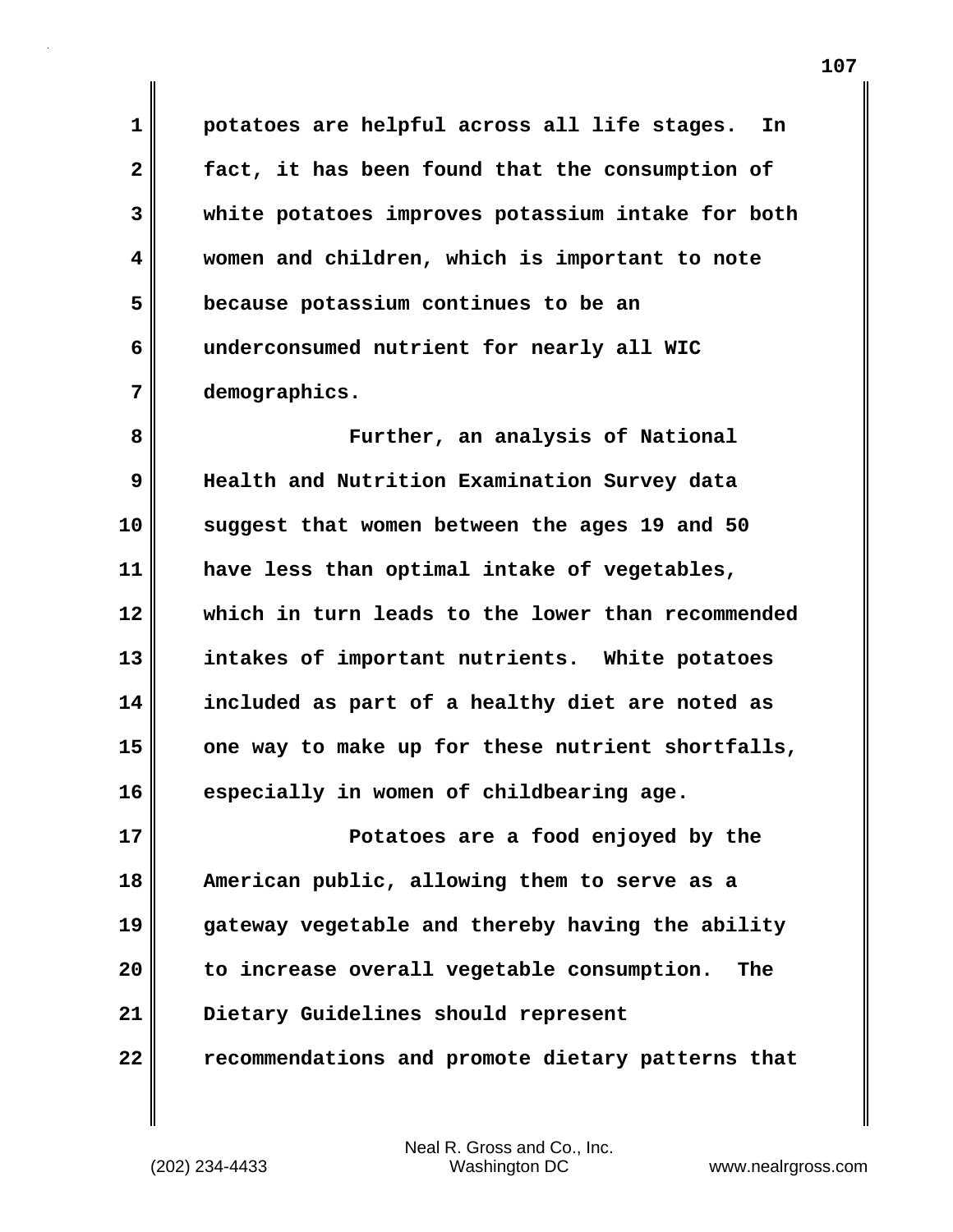**1 potatoes are helpful across all life stages. In 2 fact, it has been found that the consumption of 3 white potatoes improves potassium intake for both 4 women and children, which is important to note 5 because potassium continues to be an 6 underconsumed nutrient for nearly all WIC 7 demographics.**

**8 Further, an analysis of National 9 Health and Nutrition Examination Survey data 10 suggest that women between the ages 19 and 50 11 have less than optimal intake of vegetables, 12 which in turn leads to the lower than recommended 13 intakes of important nutrients. White potatoes 14 included as part of a healthy diet are noted as 15 one way to make up for these nutrient shortfalls, 16 especially in women of childbearing age.**

**17 Potatoes are a food enjoyed by the 18 American public, allowing them to serve as a 19 gateway vegetable and thereby having the ability 20 to increase overall vegetable consumption. The 21 Dietary Guidelines should represent 22 recommendations and promote dietary patterns that**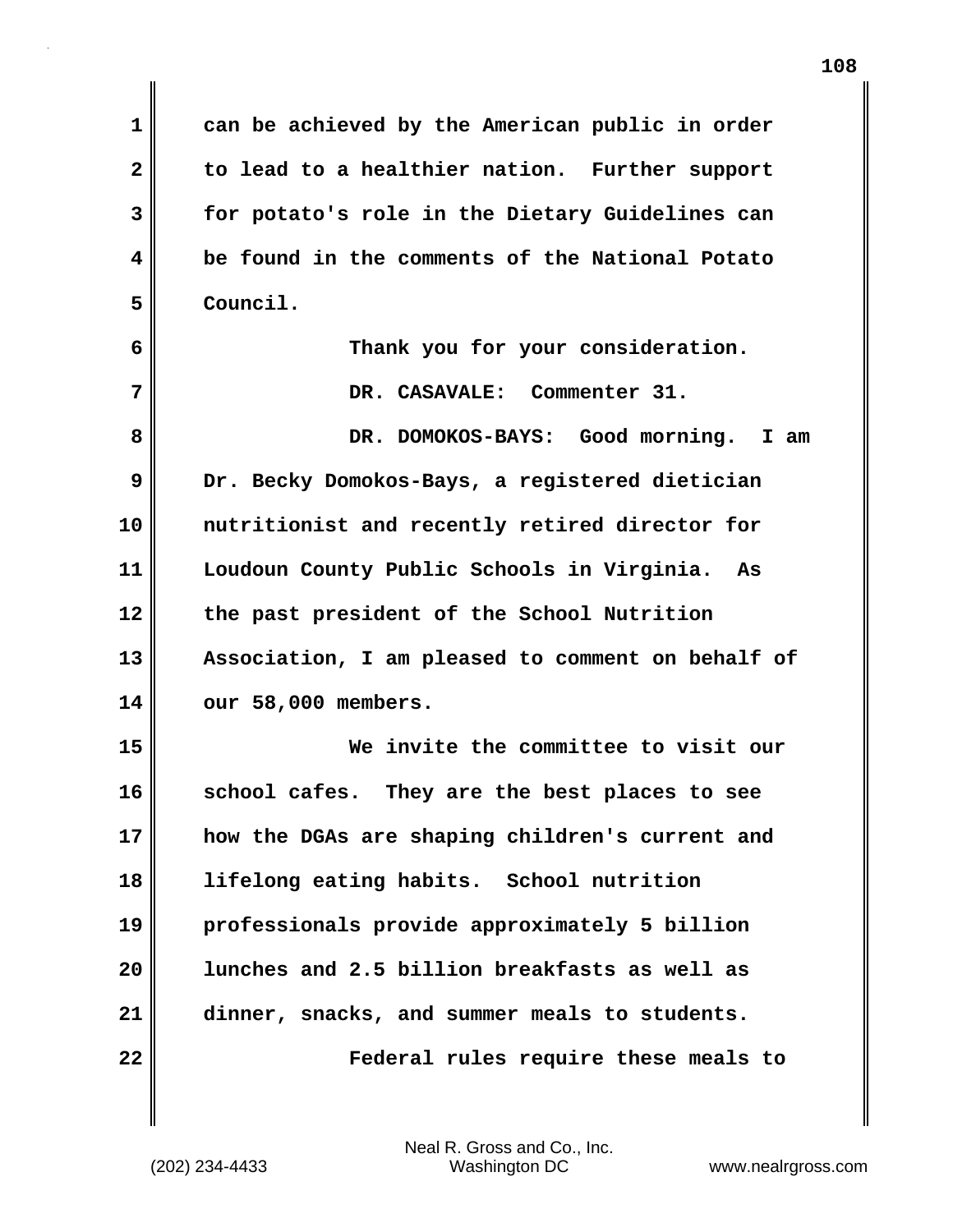**1 can be achieved by the American public in order 2 to lead to a healthier nation. Further support 3 for potato's role in the Dietary Guidelines can 4 be found in the comments of the National Potato 5 Council. 6 Thank you for your consideration. 7 DR. CASAVALE: Commenter 31. 8 DR. DOMOKOS-BAYS: Good morning. I am 9 Dr. Becky Domokos-Bays, a registered dietician 10 nutritionist and recently retired director for 11 Loudoun County Public Schools in Virginia. As 12 the past president of the School Nutrition 13 Association, I am pleased to comment on behalf of 14 our 58,000 members. 15 We invite the committee to visit our 16 school cafes. They are the best places to see 17 how the DGAs are shaping children's current and 18 lifelong eating habits. School nutrition 19 professionals provide approximately 5 billion 20 lunches and 2.5 billion breakfasts as well as 21 dinner, snacks, and summer meals to students. 22 Federal rules require these meals to**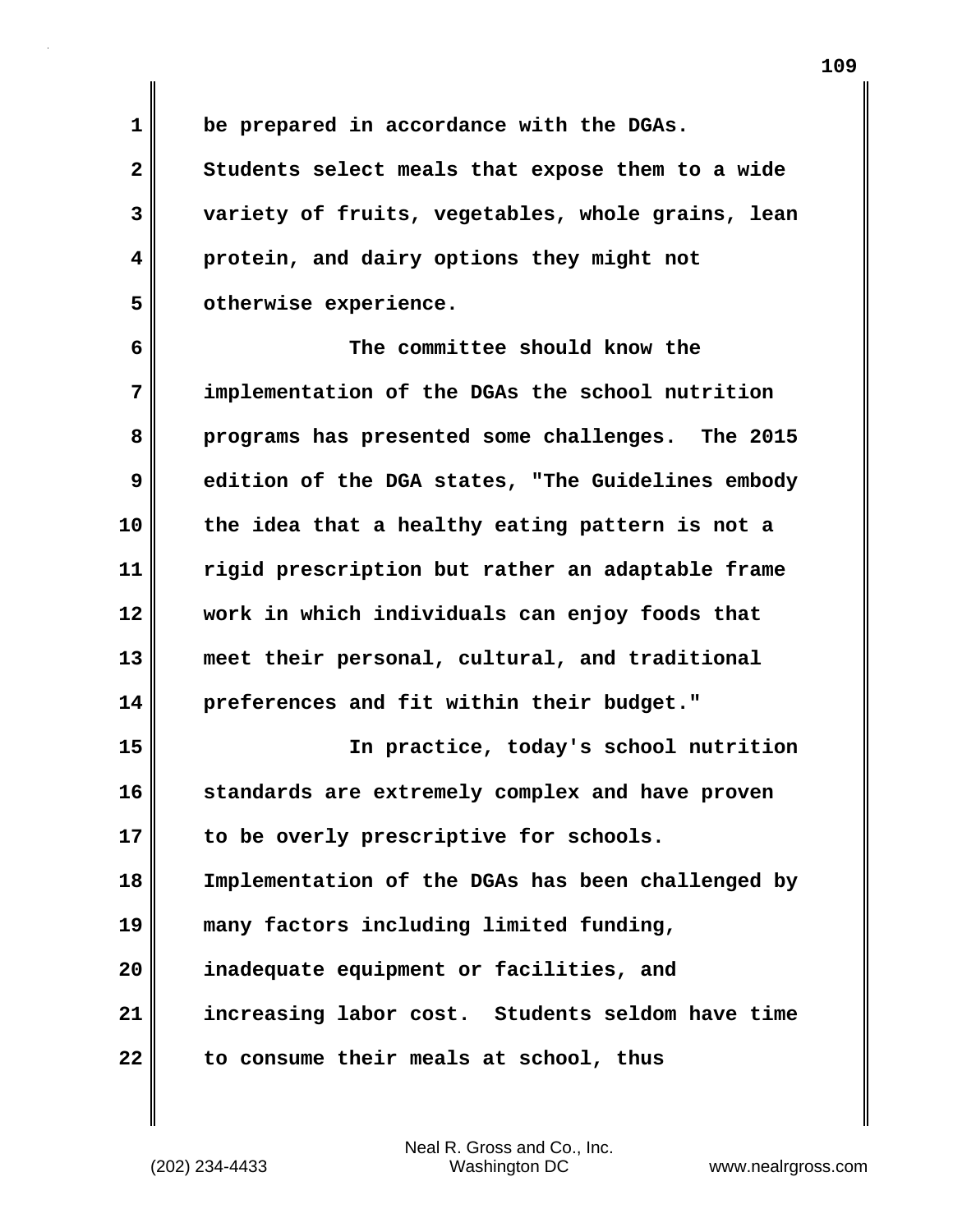**1 be prepared in accordance with the DGAs.** 

**2 Students select meals that expose them to a wide 3 variety of fruits, vegetables, whole grains, lean 4 protein, and dairy options they might not 5 otherwise experience.**

**6 The committee should know the 7 implementation of the DGAs the school nutrition 8 programs has presented some challenges. The 2015 9 edition of the DGA states, "The Guidelines embody 10 the idea that a healthy eating pattern is not a 11 rigid prescription but rather an adaptable frame 12 work in which individuals can enjoy foods that 13 meet their personal, cultural, and traditional 14 preferences and fit within their budget." 15 In practice, today's school nutrition 16 standards are extremely complex and have proven**

**17 to be overly prescriptive for schools. 18 Implementation of the DGAs has been challenged by**

**19 many factors including limited funding,**

**20 inadequate equipment or facilities, and 21 increasing labor cost. Students seldom have time 22 to consume their meals at school, thus**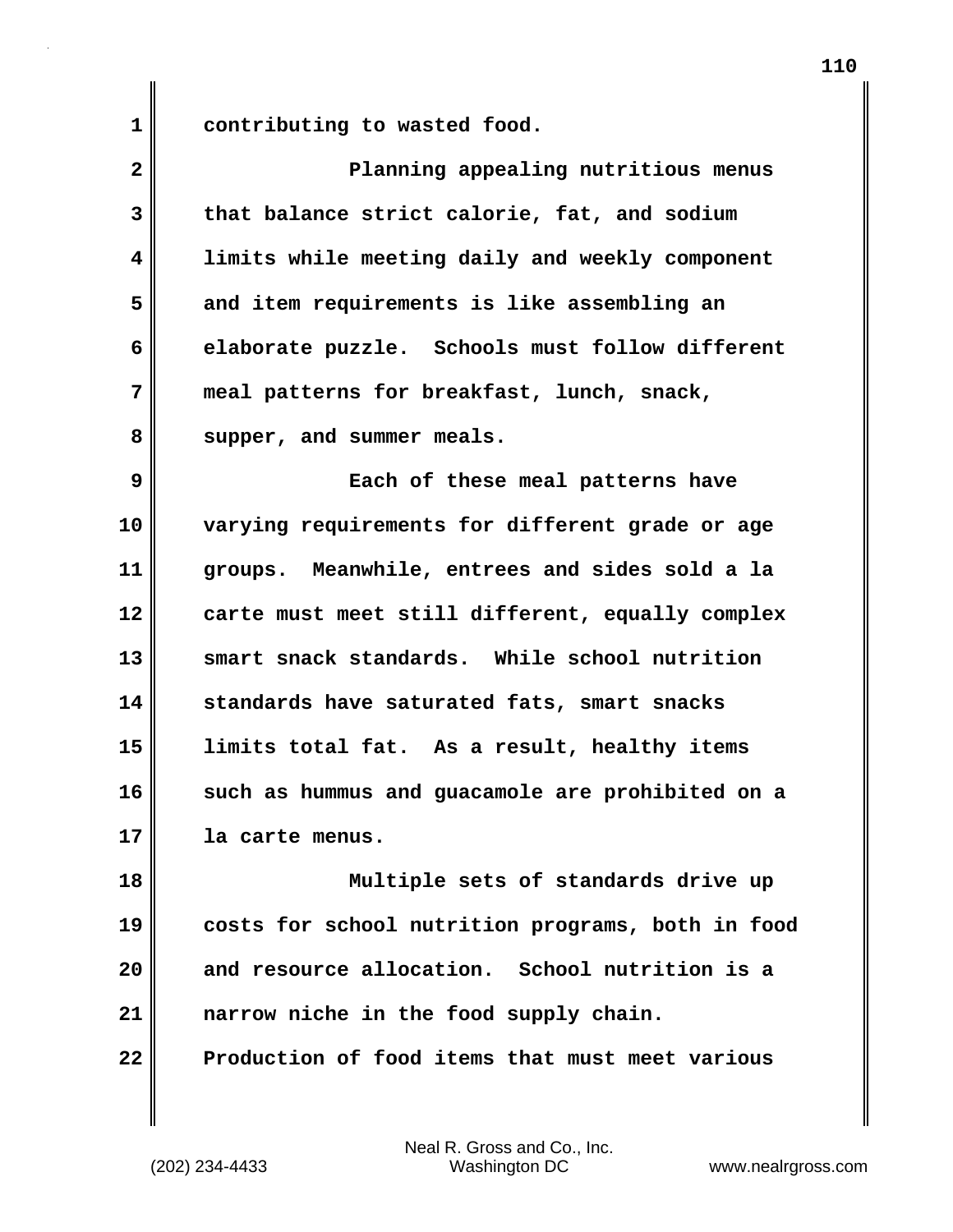1 contributing to wasted food.

| $\overline{\mathbf{2}}$ | Planning appealing nutritious menus               |
|-------------------------|---------------------------------------------------|
| 3                       | that balance strict calorie, fat, and sodium      |
| 4                       | limits while meeting daily and weekly component   |
| 5                       | and item requirements is like assembling an       |
| 6                       | elaborate puzzle. Schools must follow different   |
| 7                       | meal patterns for breakfast, lunch, snack,        |
| 8                       | supper, and summer meals.                         |
| 9                       | Each of these meal patterns have                  |
| 10                      | varying requirements for different grade or age   |
| 11                      | groups. Meanwhile, entrees and sides sold a la    |
| 12                      | carte must meet still different, equally complex  |
| 13                      | smart snack standards. While school nutrition     |
| 14                      | standards have saturated fats, smart snacks       |
| 15                      | limits total fat. As a result, healthy items      |
| 16                      | such as hummus and guacamole are prohibited on a  |
| 17                      | la carte menus.                                   |
| 18                      | Multiple sets of standards drive up               |
| 19                      | costs for school nutrition programs, both in food |
| 20                      | and resource allocation. School nutrition is a    |
| 21                      | narrow niche in the food supply chain.            |
| 22                      | Production of food items that must meet various   |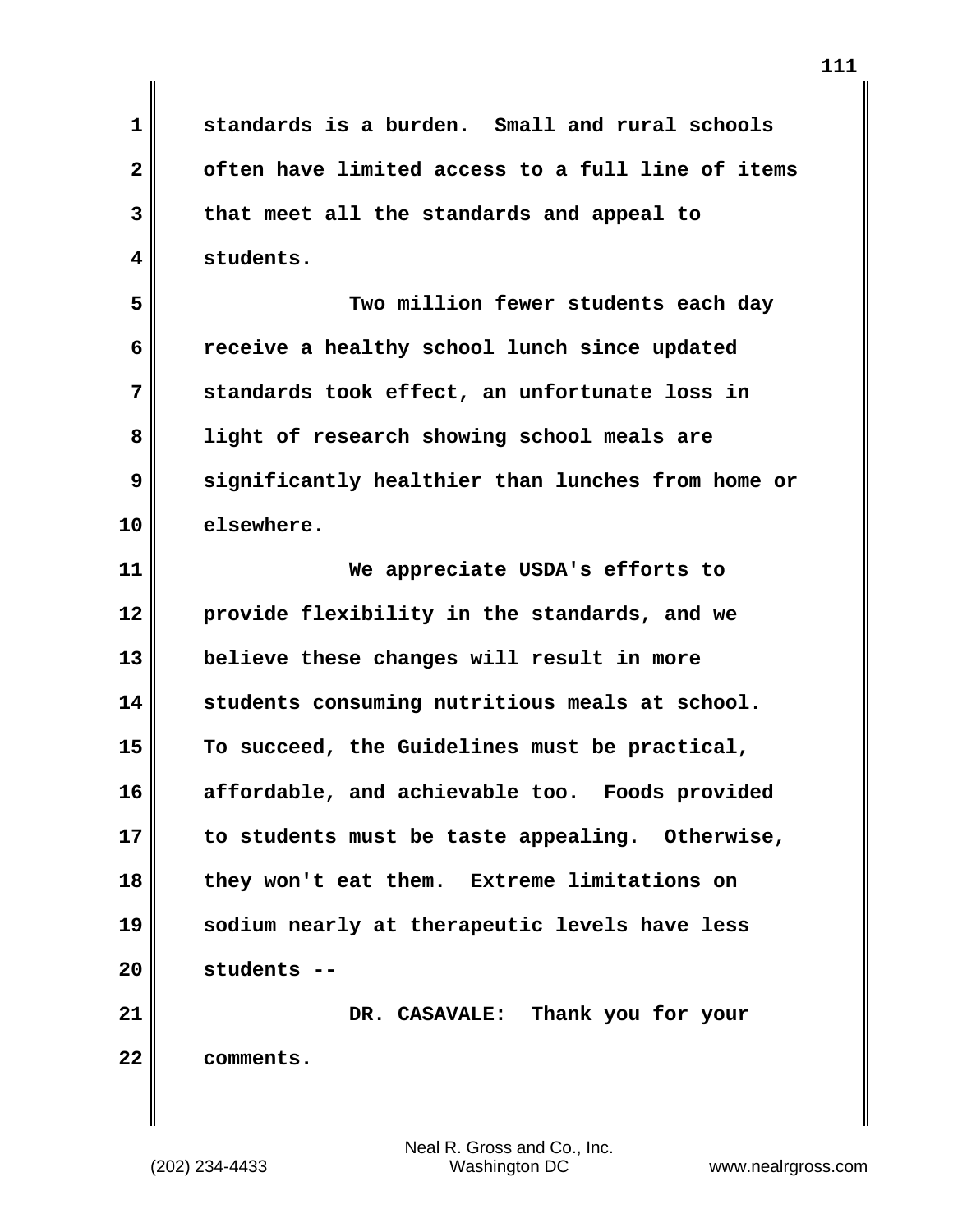**1 standards is a burden. Small and rural schools 2 often have limited access to a full line of items 3 that meet all the standards and appeal to 4 students.**

**5 Two million fewer students each day 6 receive a healthy school lunch since updated 7 standards took effect, an unfortunate loss in 8 light of research showing school meals are 9 significantly healthier than lunches from home or 10 elsewhere.**

**11 We appreciate USDA's efforts to 12 provide flexibility in the standards, and we 13 believe these changes will result in more 14 students consuming nutritious meals at school. 15 To succeed, the Guidelines must be practical, 16 affordable, and achievable too. Foods provided 17 to students must be taste appealing. Otherwise, 18 they won't eat them. Extreme limitations on 19 sodium nearly at therapeutic levels have less 20 students --**

**21 DR. CASAVALE: Thank you for your 22 comments.**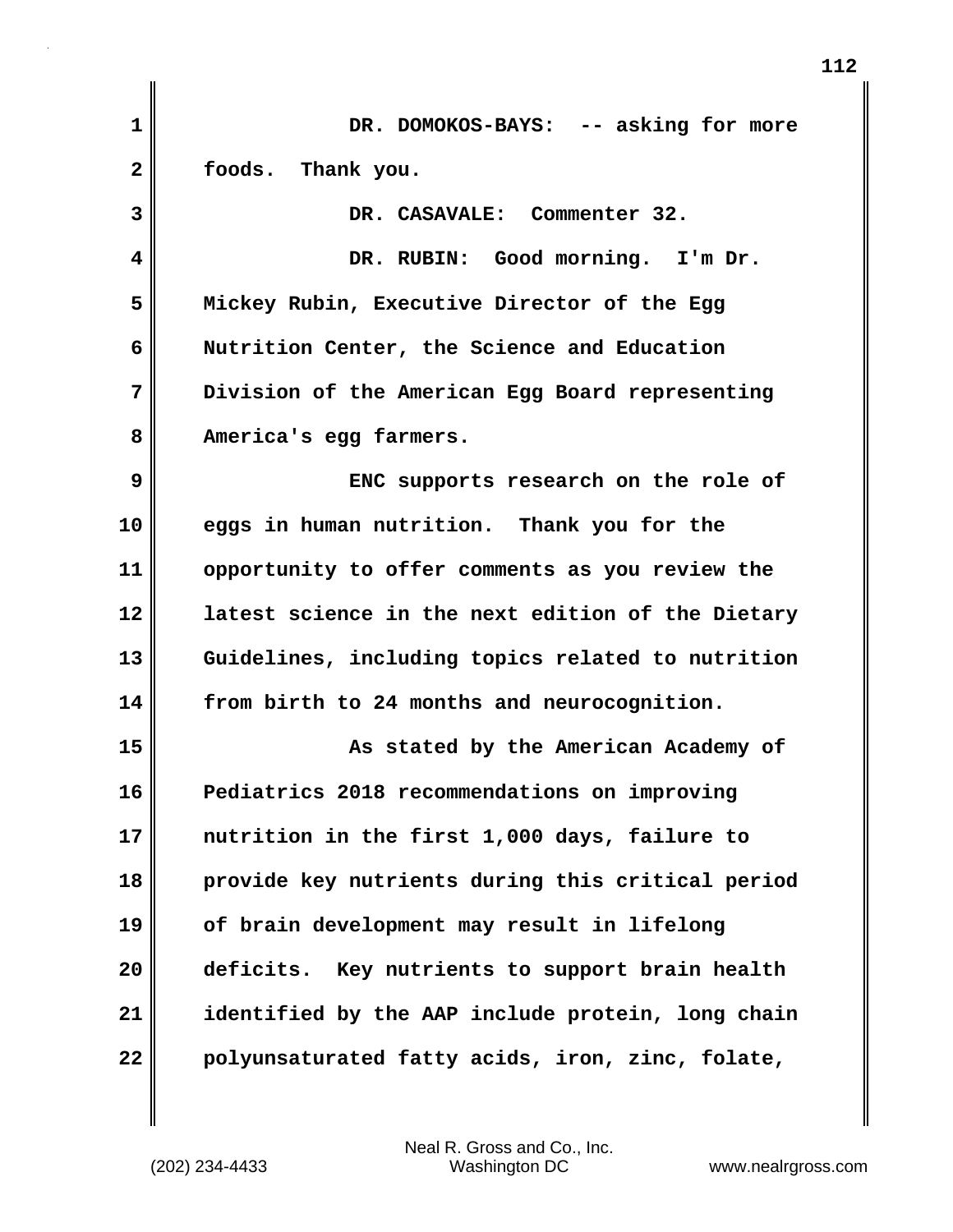| 1  | DR. DOMOKOS-BAYS: -- asking for more               |
|----|----------------------------------------------------|
| 2  | foods. Thank you.                                  |
| 3  | DR. CASAVALE: Commenter 32.                        |
| 4  | DR. RUBIN: Good morning. I'm Dr.                   |
| 5  | Mickey Rubin, Executive Director of the Egg        |
| 6  | Nutrition Center, the Science and Education        |
| 7  | Division of the American Egg Board representing    |
| 8  | America's egg farmers.                             |
| 9  | ENC supports research on the role of               |
| 10 | eggs in human nutrition. Thank you for the         |
| 11 | opportunity to offer comments as you review the    |
| 12 | latest science in the next edition of the Dietary  |
| 13 | Guidelines, including topics related to nutrition  |
| 14 | from birth to 24 months and neurocognition.        |
| 15 | As stated by the American Academy of               |
| 16 | Pediatrics 2018 recommendations on improving       |
| 17 | nutrition in the first 1,000 days, failure to      |
| 18 | provide key nutrients during this critical period  |
| 19 | of brain development may result in lifelong        |
| 20 | deficits.<br>Key nutrients to support brain health |
| 21 | identified by the AAP include protein, long chain  |
| 22 | polyunsaturated fatty acids, iron, zinc, folate,   |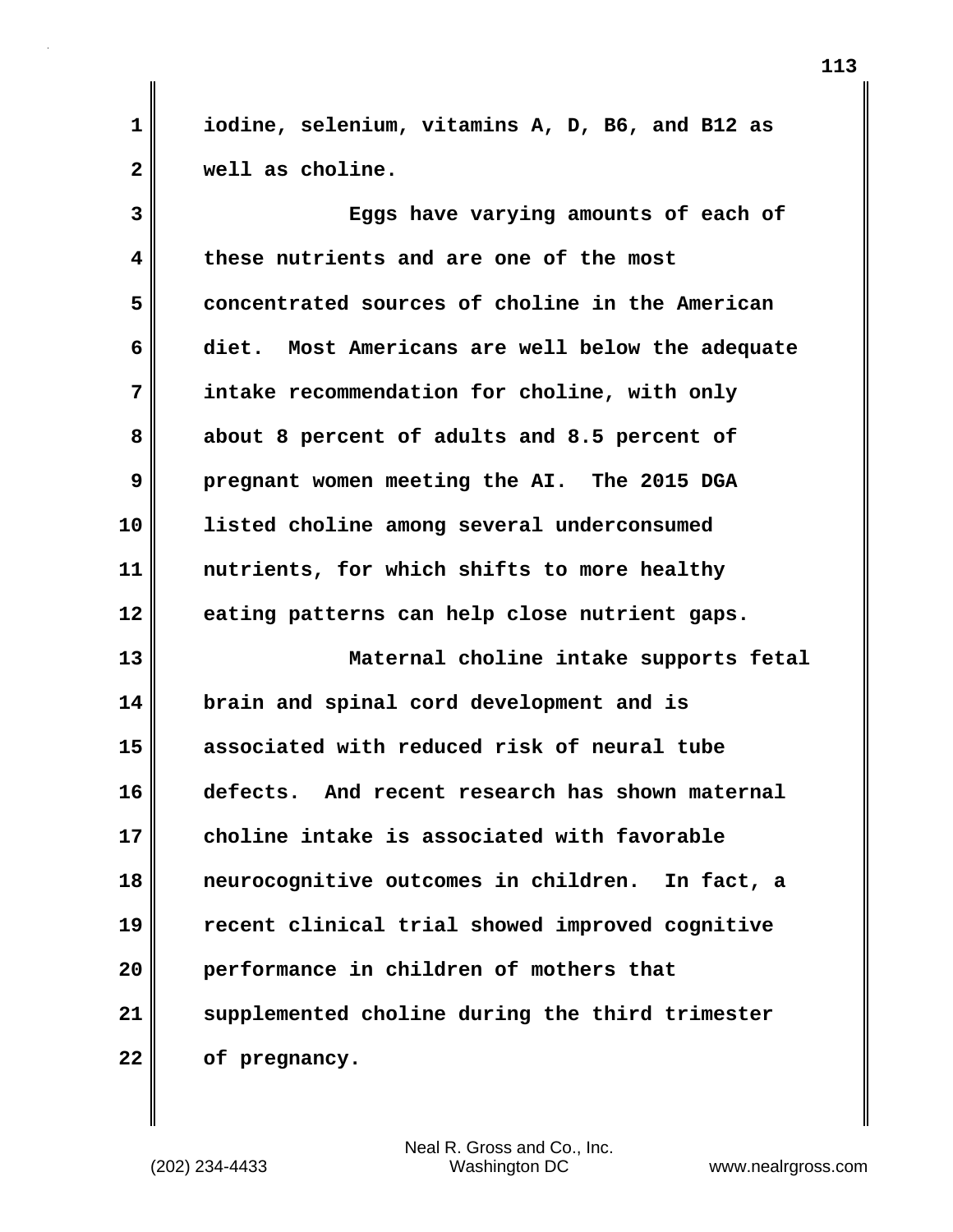**1 iodine, selenium, vitamins A, D, B6, and B12 as 2 well as choline.**

**3 Eggs have varying amounts of each of 4 these nutrients and are one of the most 5 concentrated sources of choline in the American 6 diet. Most Americans are well below the adequate 7 intake recommendation for choline, with only 8 about 8 percent of adults and 8.5 percent of 9 pregnant women meeting the AI. The 2015 DGA 10 listed choline among several underconsumed 11 nutrients, for which shifts to more healthy 12 eating patterns can help close nutrient gaps. 13 Maternal choline intake supports fetal 14 brain and spinal cord development and is 15 associated with reduced risk of neural tube 16 defects. And recent research has shown maternal 17 choline intake is associated with favorable 18 neurocognitive outcomes in children. In fact, a 19 recent clinical trial showed improved cognitive 20 performance in children of mothers that 21 supplemented choline during the third trimester 22 of pregnancy.**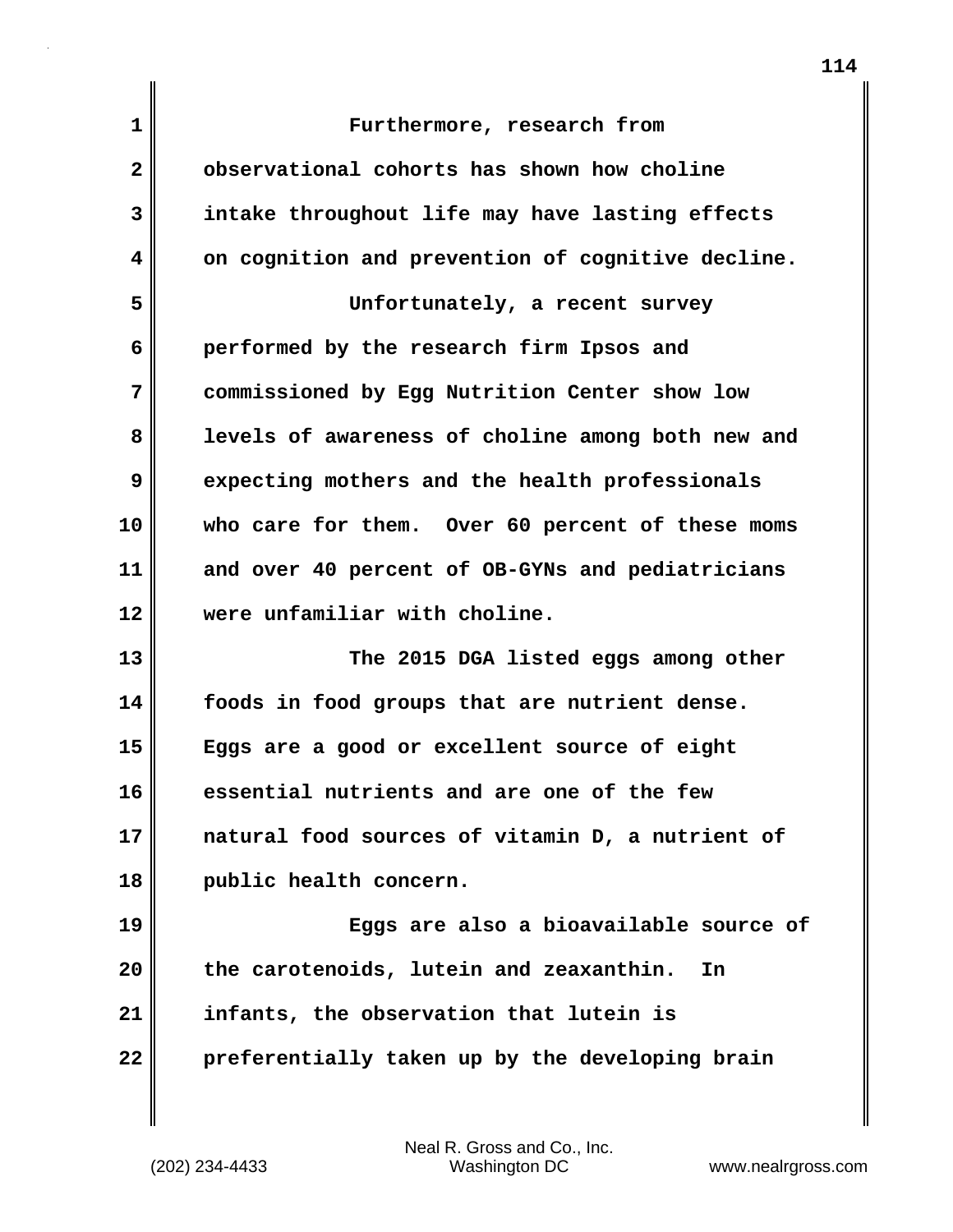| $\mathbf{1}$ | Furthermore, research from                        |
|--------------|---------------------------------------------------|
| $\mathbf{2}$ | observational cohorts has shown how choline       |
| 3            | intake throughout life may have lasting effects   |
| 4            | on cognition and prevention of cognitive decline. |
| 5            | Unfortunately, a recent survey                    |
| 6            | performed by the research firm Ipsos and          |
| 7            | commissioned by Egg Nutrition Center show low     |
| 8            | levels of awareness of choline among both new and |
| 9            | expecting mothers and the health professionals    |
| 10           | who care for them. Over 60 percent of these moms  |
| 11           | and over 40 percent of OB-GYNs and pediatricians  |
| 12           | were unfamiliar with choline.                     |
| 13           | The 2015 DGA listed eggs among other              |
| 14           | foods in food groups that are nutrient dense.     |
| 15           | Eggs are a good or excellent source of eight      |
| 16           | essential nutrients and are one of the few        |
| 17           | natural food sources of vitamin D, a nutrient of  |
| 18           | public health concern.                            |
| 19           | Eggs are also a bioavailable source of            |
| 20           | the carotenoids, lutein and zeaxanthin.<br>In     |
| 21           | infants, the observation that lutein is           |
| 22           | preferentially taken up by the developing brain   |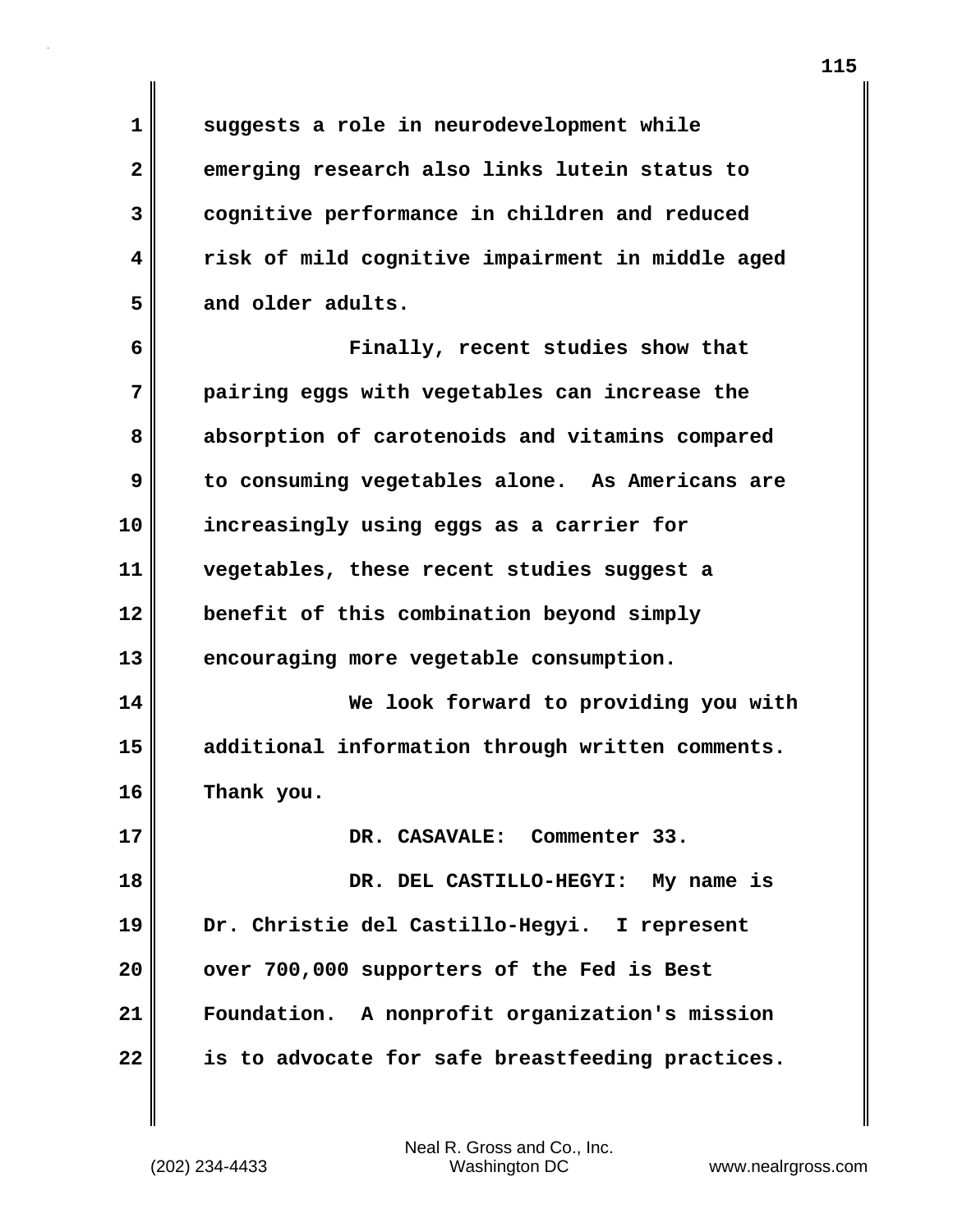**1 suggests a role in neurodevelopment while 2 emerging research also links lutein status to 3 cognitive performance in children and reduced 4 risk of mild cognitive impairment in middle aged 5 and older adults.**

**6 Finally, recent studies show that 7 pairing eggs with vegetables can increase the 8 absorption of carotenoids and vitamins compared 9 to consuming vegetables alone. As Americans are 10 increasingly using eggs as a carrier for 11 vegetables, these recent studies suggest a 12 benefit of this combination beyond simply 13 encouraging more vegetable consumption. 14 We look forward to providing you with 15 additional information through written comments. 16 Thank you. 17 DR. CASAVALE: Commenter 33. 18 DR. DEL CASTILLO-HEGYI: My name is 19 Dr. Christie del Castillo-Hegyi. I represent 20 over 700,000 supporters of the Fed is Best 21 Foundation. A nonprofit organization's mission 22 is to advocate for safe breastfeeding practices.**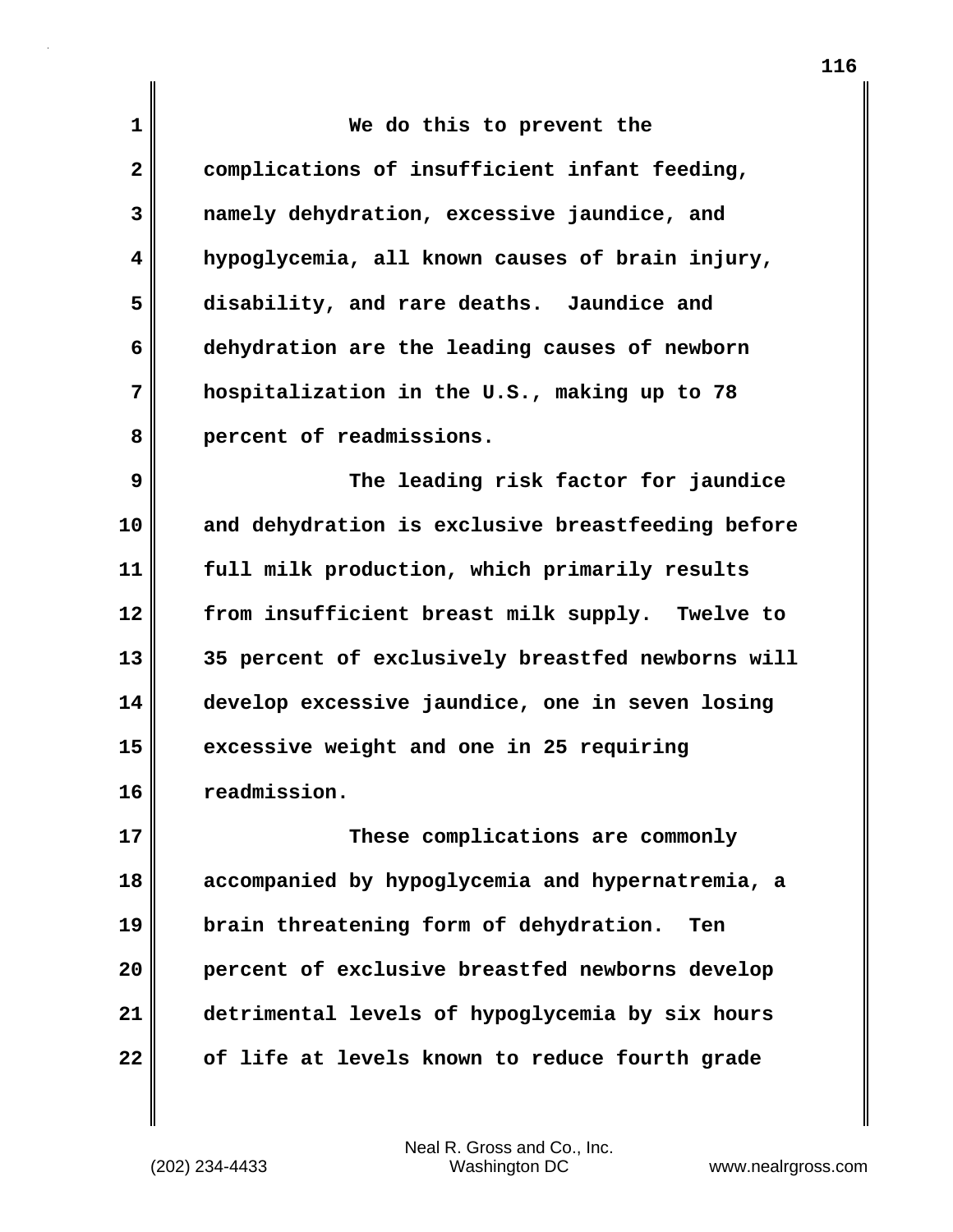| 1            | We do this to prevent the                         |
|--------------|---------------------------------------------------|
| $\mathbf{2}$ | complications of insufficient infant feeding,     |
| 3            | namely dehydration, excessive jaundice, and       |
| 4            | hypoglycemia, all known causes of brain injury,   |
| 5            | disability, and rare deaths. Jaundice and         |
| 6            | dehydration are the leading causes of newborn     |
| 7            | hospitalization in the U.S., making up to 78      |
| 8            | percent of readmissions.                          |
| 9            | The leading risk factor for jaundice              |
| 10           | and dehydration is exclusive breastfeeding before |
| 11           | full milk production, which primarily results     |
| 12           | from insufficient breast milk supply. Twelve to   |
| 13           | 35 percent of exclusively breastfed newborns will |
| 14           | develop excessive jaundice, one in seven losing   |
| 15           | excessive weight and one in 25 requiring          |
| 16           | readmission                                       |
| 17           | These complications are commonly                  |
| 18           | accompanied by hypoglycemia and hypernatremia, a  |
| 19           | brain threatening form of dehydration.<br>Ten     |
| 20           | percent of exclusive breastfed newborns develop   |
| 21           | detrimental levels of hypoglycemia by six hours   |

**22 of life at levels known to reduce fourth grade**

 $\mathbf l$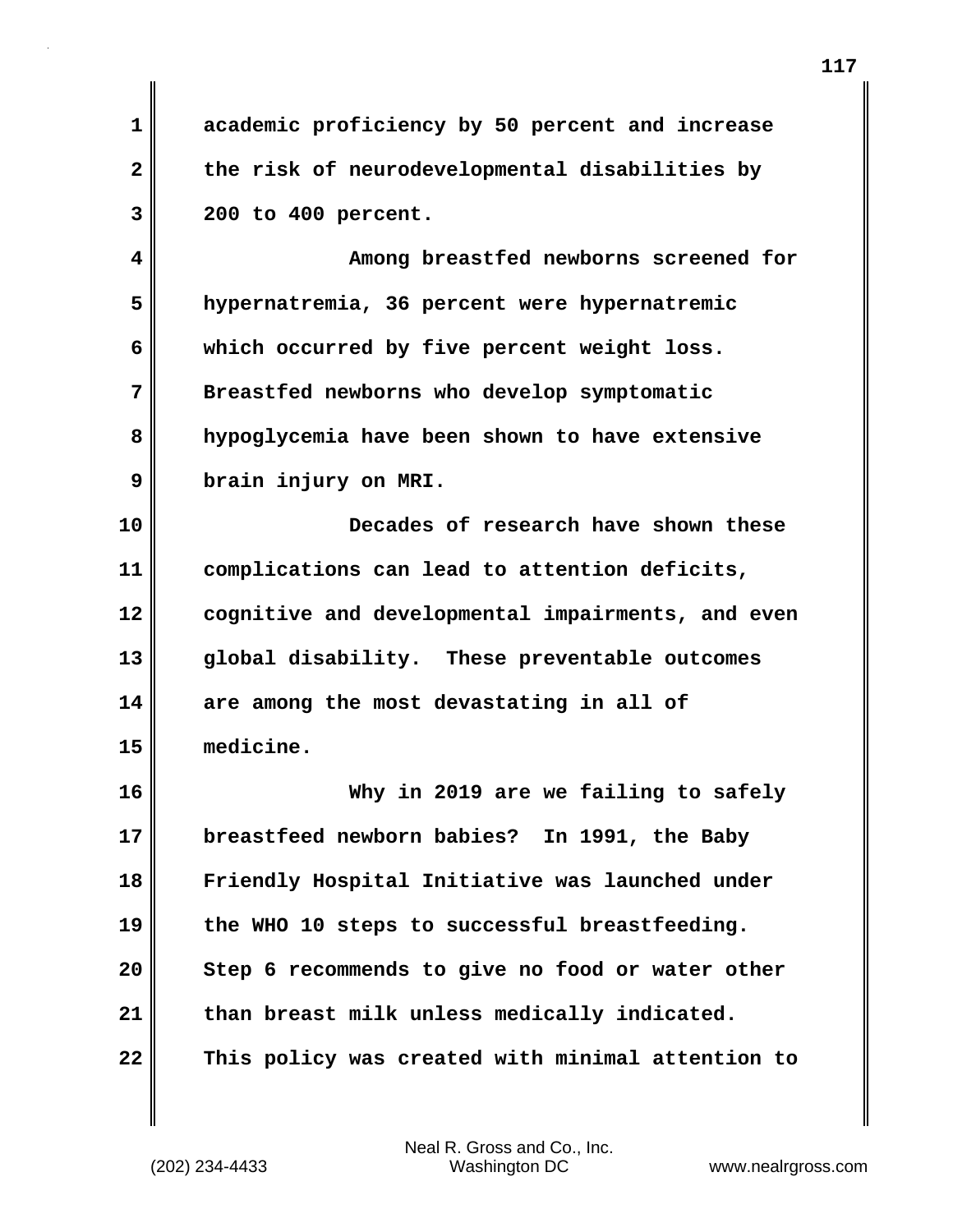**1 academic proficiency by 50 percent and increase 2 the risk of neurodevelopmental disabilities by 3 200 to 400 percent.**

**4 Among breastfed newborns screened for 5 hypernatremia, 36 percent were hypernatremic 6 which occurred by five percent weight loss. 7 Breastfed newborns who develop symptomatic 8 hypoglycemia have been shown to have extensive 9 brain injury on MRI.**

**10 Decades of research have shown these 11 complications can lead to attention deficits, 12 cognitive and developmental impairments, and even 13 global disability. These preventable outcomes 14 are among the most devastating in all of 15 medicine.**

**16 Why in 2019 are we failing to safely 17 breastfeed newborn babies? In 1991, the Baby 18 Friendly Hospital Initiative was launched under 19 the WHO 10 steps to successful breastfeeding. 20 Step 6 recommends to give no food or water other 21 than breast milk unless medically indicated. 22 This policy was created with minimal attention to**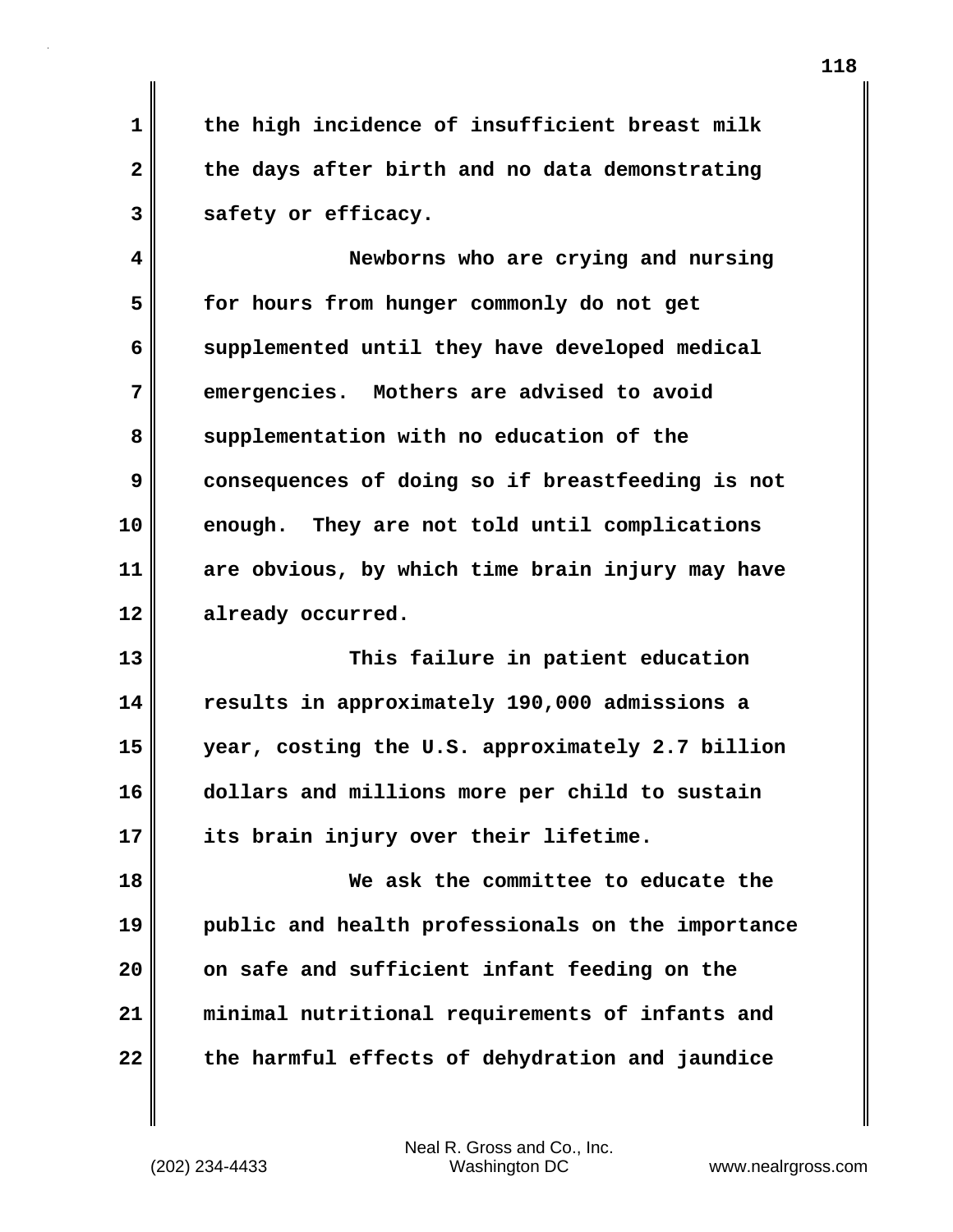**1 the high incidence of insufficient breast milk 2 the days after birth and no data demonstrating 3 safety or efficacy.**

**4 Newborns who are crying and nursing 5 for hours from hunger commonly do not get 6 supplemented until they have developed medical 7 emergencies. Mothers are advised to avoid** 8 supplementation with no education of the **9 consequences of doing so if breastfeeding is not 10 enough. They are not told until complications 11 are obvious, by which time brain injury may have 12 already occurred.**

**13 This failure in patient education 14 results in approximately 190,000 admissions a 15 year, costing the U.S. approximately 2.7 billion 16 dollars and millions more per child to sustain 17 its brain injury over their lifetime.**

**18 We ask the committee to educate the 19 public and health professionals on the importance 20 on safe and sufficient infant feeding on the 21 minimal nutritional requirements of infants and 22 the harmful effects of dehydration and jaundice**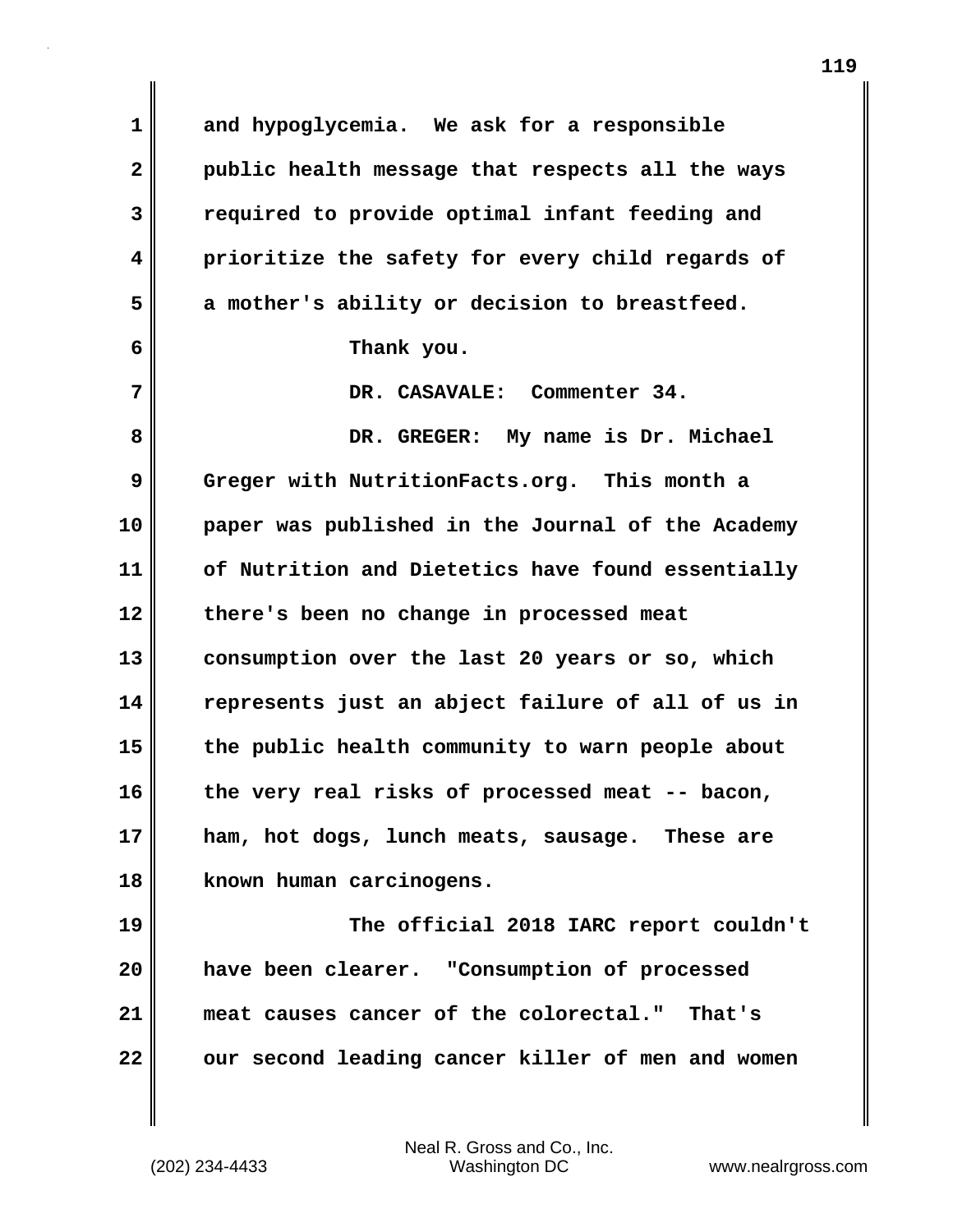**1 and hypoglycemia. We ask for a responsible 2 public health message that respects all the ways 3 required to provide optimal infant feeding and 4 prioritize the safety for every child regards of 5 a mother's ability or decision to breastfeed. 6 Thank you. 7 DR. CASAVALE: Commenter 34. 8 DR. GREGER: My name is Dr. Michael 9 Greger with NutritionFacts.org. This month a 10 paper was published in the Journal of the Academy 11 of Nutrition and Dietetics have found essentially 12 there's been no change in processed meat 13 consumption over the last 20 years or so, which 14 represents just an abject failure of all of us in 15 the public health community to warn people about 16 the very real risks of processed meat -- bacon, 17 ham, hot dogs, lunch meats, sausage. These are 18 known human carcinogens. 19 The official 2018 IARC report couldn't 20 have been clearer. "Consumption of processed 21 meat causes cancer of the colorectal." That's 22** our second leading cancer killer of men and women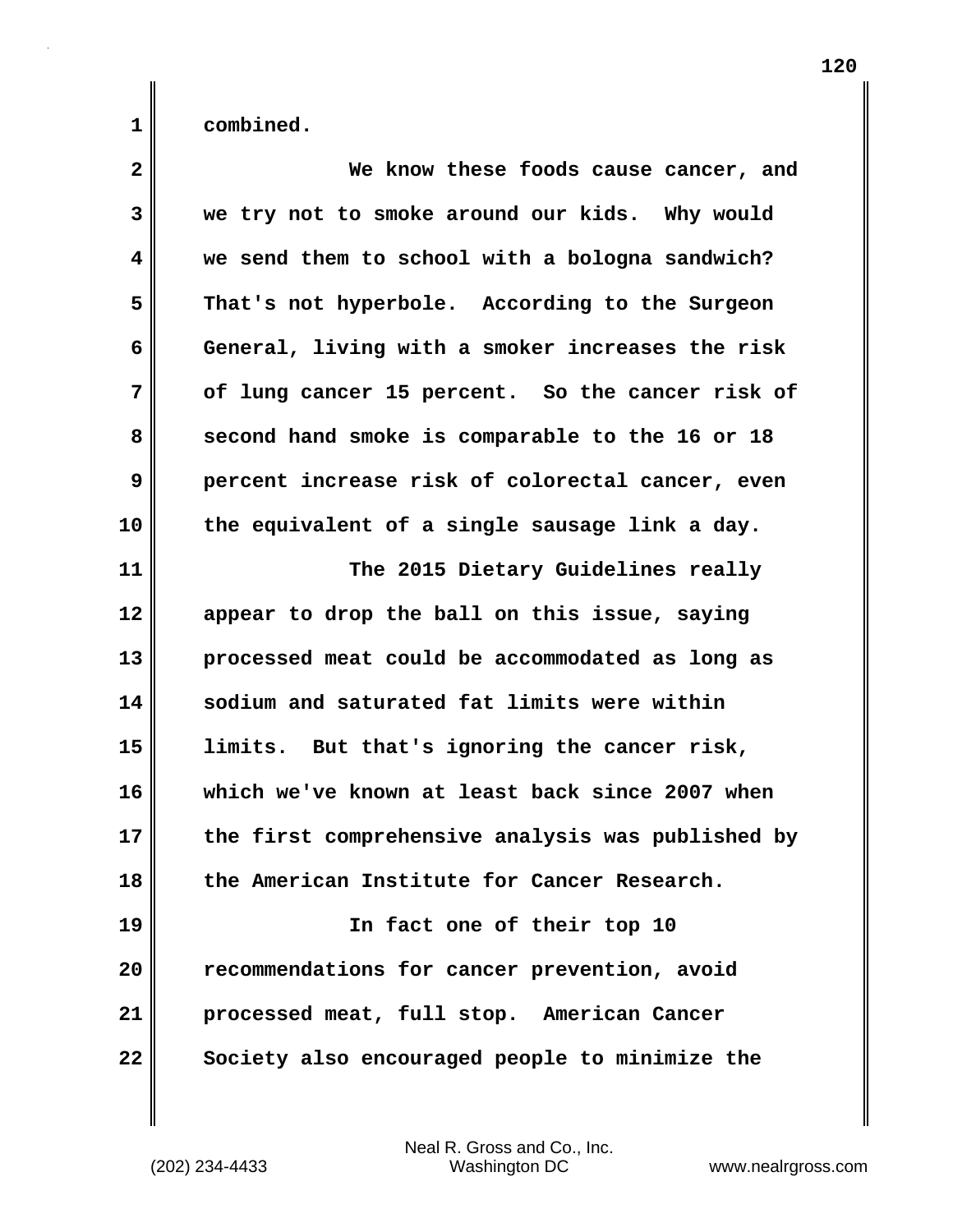| $\mathbf{2}$ | We know these foods cause cancer, and             |
|--------------|---------------------------------------------------|
| 3            | we try not to smoke around our kids. Why would    |
| 4            | we send them to school with a bologna sandwich?   |
| 5            | That's not hyperbole. According to the Surgeon    |
| 6            | General, living with a smoker increases the risk  |
| 7            | of lung cancer 15 percent. So the cancer risk of  |
| 8            | second hand smoke is comparable to the 16 or 18   |
| 9            | percent increase risk of colorectal cancer, even  |
| 10           | the equivalent of a single sausage link a day.    |
| 11           | The 2015 Dietary Guidelines really                |
| 12           | appear to drop the ball on this issue, saying     |
| 13           | processed meat could be accommodated as long as   |
| 14           | sodium and saturated fat limits were within       |
| 15           | limits. But that's ignoring the cancer risk,      |
| 16           | which we've known at least back since 2007 when   |
| 17           | the first comprehensive analysis was published by |
| 18           | the American Institute for Cancer Research.       |
| 19           | In fact one of their top 10                       |
| 20           | recommendations for cancer prevention, avoid      |
| 21           | processed meat, full stop. American Cancer        |
| 22           | Society also encouraged people to minimize the    |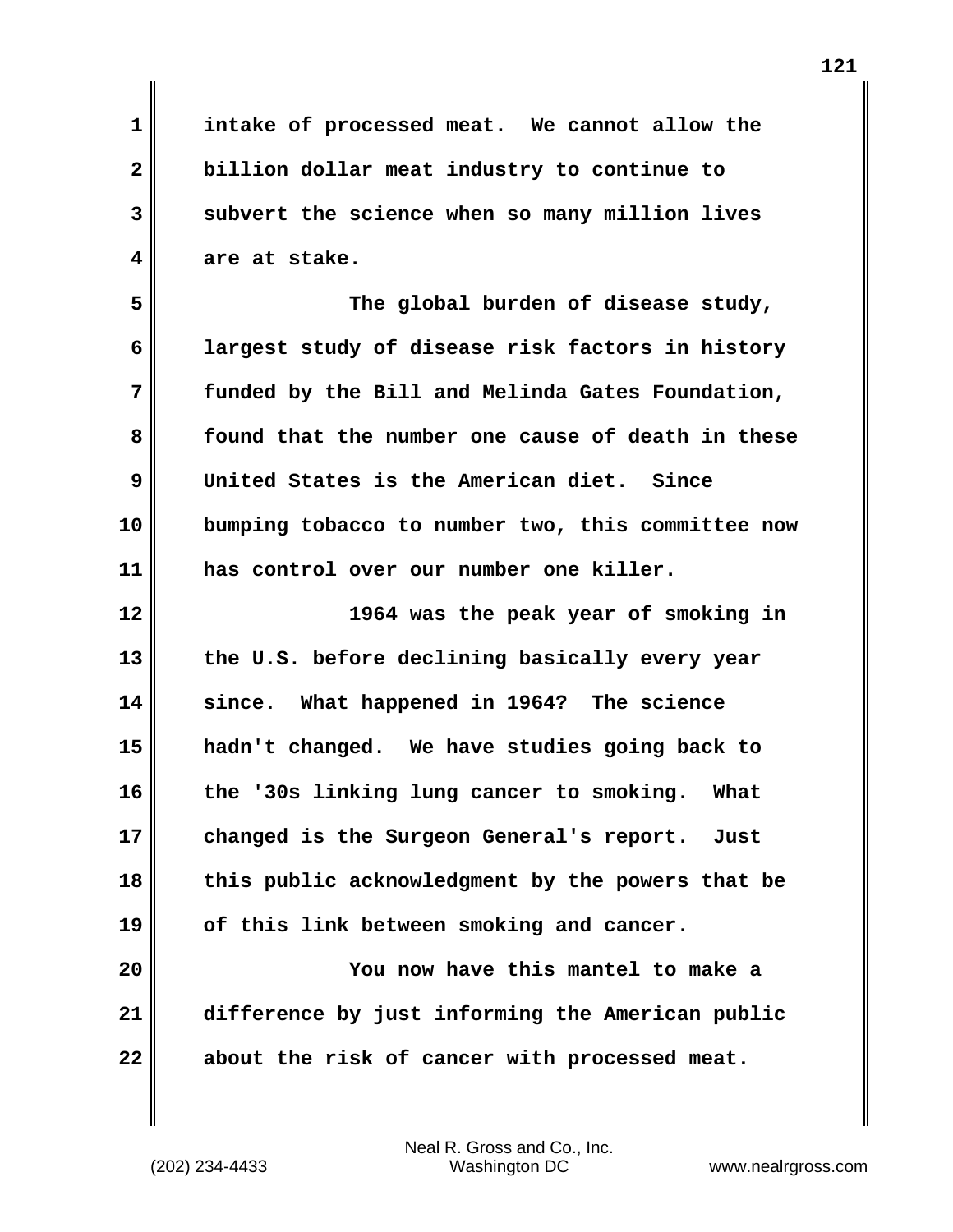**1 intake of processed meat. We cannot allow the 2 billion dollar meat industry to continue to 3 subvert the science when so many million lives 4 are at stake. 5 The global burden of disease study, 6 largest study of disease risk factors in history 7 funded by the Bill and Melinda Gates Foundation, 8 found that the number one cause of death in these 9 United States is the American diet. Since 10 bumping tobacco to number two, this committee now 11 has control over our number one killer. 12 1964 was the peak year of smoking in 13 the U.S. before declining basically every year 14 since. What happened in 1964? The science 15 hadn't changed. We have studies going back to 16 the '30s linking lung cancer to smoking. What 17 changed is the Surgeon General's report. Just 18 this public acknowledgment by the powers that be 19 of this link between smoking and cancer. 20 You now have this mantel to make a 21 difference by just informing the American public 22 about the risk of cancer with processed meat.**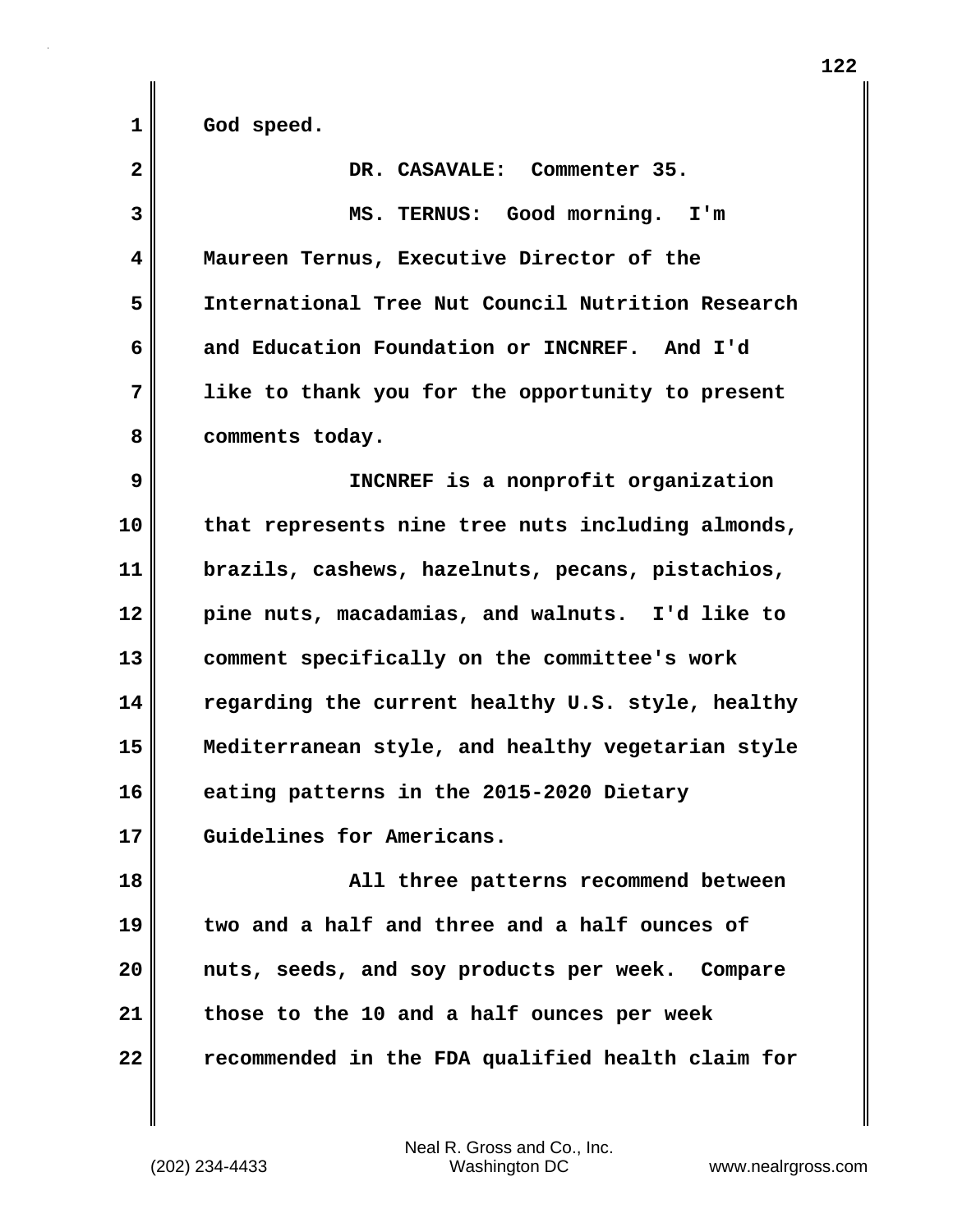**1 God speed.**

| $\overline{\mathbf{2}}$ | DR. CASAVALE: Commenter 35.                       |
|-------------------------|---------------------------------------------------|
| 3                       | MS. TERNUS: Good morning. I'm                     |
| 4                       | Maureen Ternus, Executive Director of the         |
| 5                       | International Tree Nut Council Nutrition Research |
| 6                       | and Education Foundation or INCNREF. And I'd      |
| 7                       | like to thank you for the opportunity to present  |
| 8                       | comments today.                                   |
| 9                       | INCNREF is a nonprofit organization               |
| 10                      | that represents nine tree nuts including almonds, |
| 11                      | brazils, cashews, hazelnuts, pecans, pistachios,  |
| 12                      | pine nuts, macadamias, and walnuts. I'd like to   |
| 13                      | comment specifically on the committee's work      |
| 14                      | regarding the current healthy U.S. style, healthy |
| 15                      | Mediterranean style, and healthy vegetarian style |
| 16                      | eating patterns in the 2015-2020 Dietary          |
| 17                      | Guidelines for Americans.                         |
| 18                      | All three patterns recommend between              |
| 19                      | two and a half and three and a half ounces of     |
| 20                      | nuts, seeds, and soy products per week. Compare   |
| 21                      | those to the 10 and a half ounces per week        |
| 22                      | recommended in the FDA qualified health claim for |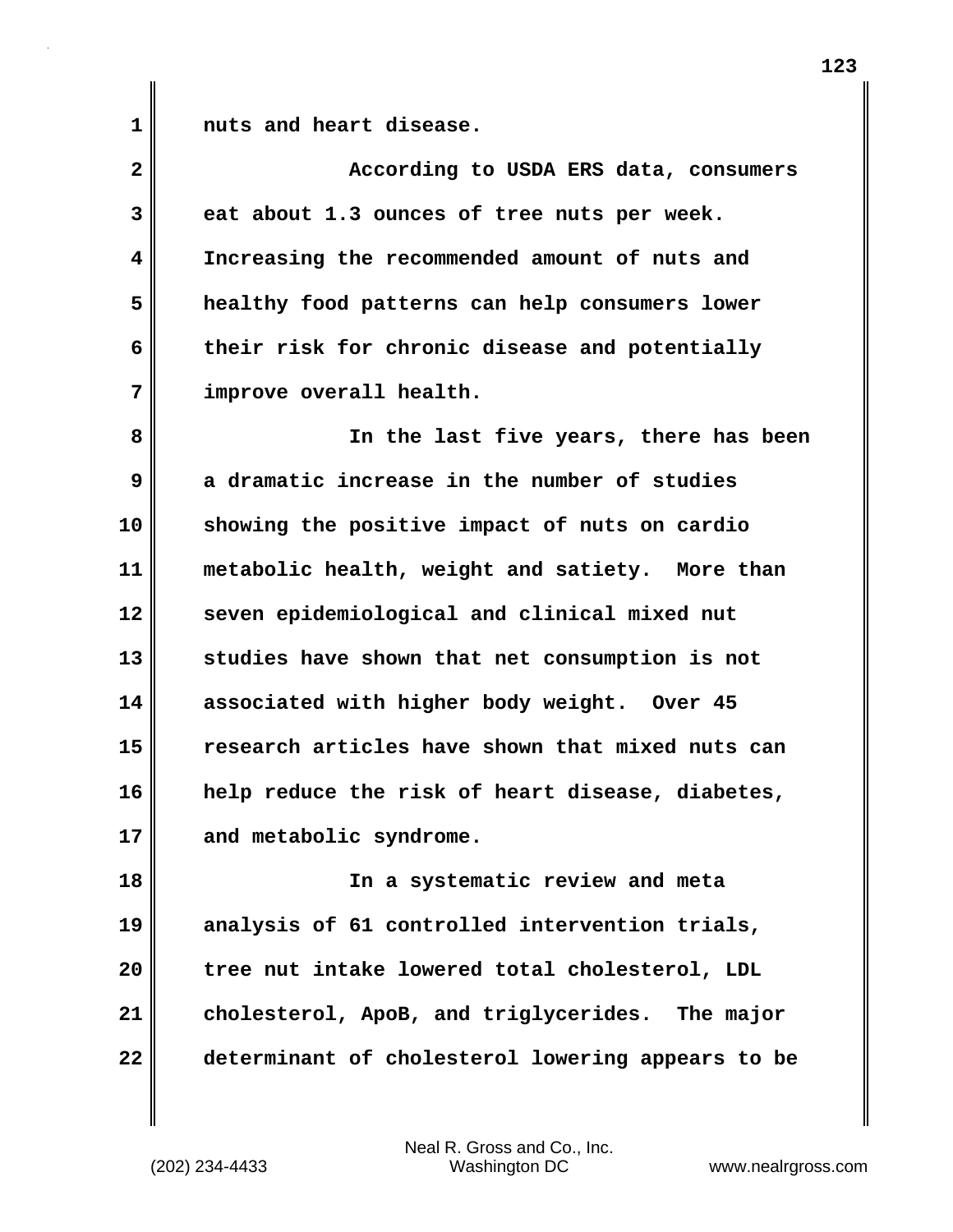1 **nuts** and heart disease.

| $\overline{\mathbf{2}}$ | According to USDA ERS data, consumers             |
|-------------------------|---------------------------------------------------|
| 3                       | eat about 1.3 ounces of tree nuts per week.       |
| 4                       | Increasing the recommended amount of nuts and     |
| 5                       | healthy food patterns can help consumers lower    |
| 6                       | their risk for chronic disease and potentially    |
| 7                       | improve overall health.                           |
| 8                       | In the last five years, there has been            |
| 9                       | a dramatic increase in the number of studies      |
| 10                      | showing the positive impact of nuts on cardio     |
| 11                      | metabolic health, weight and satiety. More than   |
| 12                      | seven epidemiological and clinical mixed nut      |
| 13                      | studies have shown that net consumption is not    |
| 14                      | associated with higher body weight. Over 45       |
| 15                      | research articles have shown that mixed nuts can  |
| 16                      | help reduce the risk of heart disease, diabetes,  |
| 17                      | and metabolic syndrome.                           |
| 18                      | In a systematic review and meta                   |
| 19                      | analysis of 61 controlled intervention trials,    |
| 20                      | tree nut intake lowered total cholesterol, LDL    |
| 21                      | cholesterol, ApoB, and triglycerides. The major   |
| 22                      | determinant of cholesterol lowering appears to be |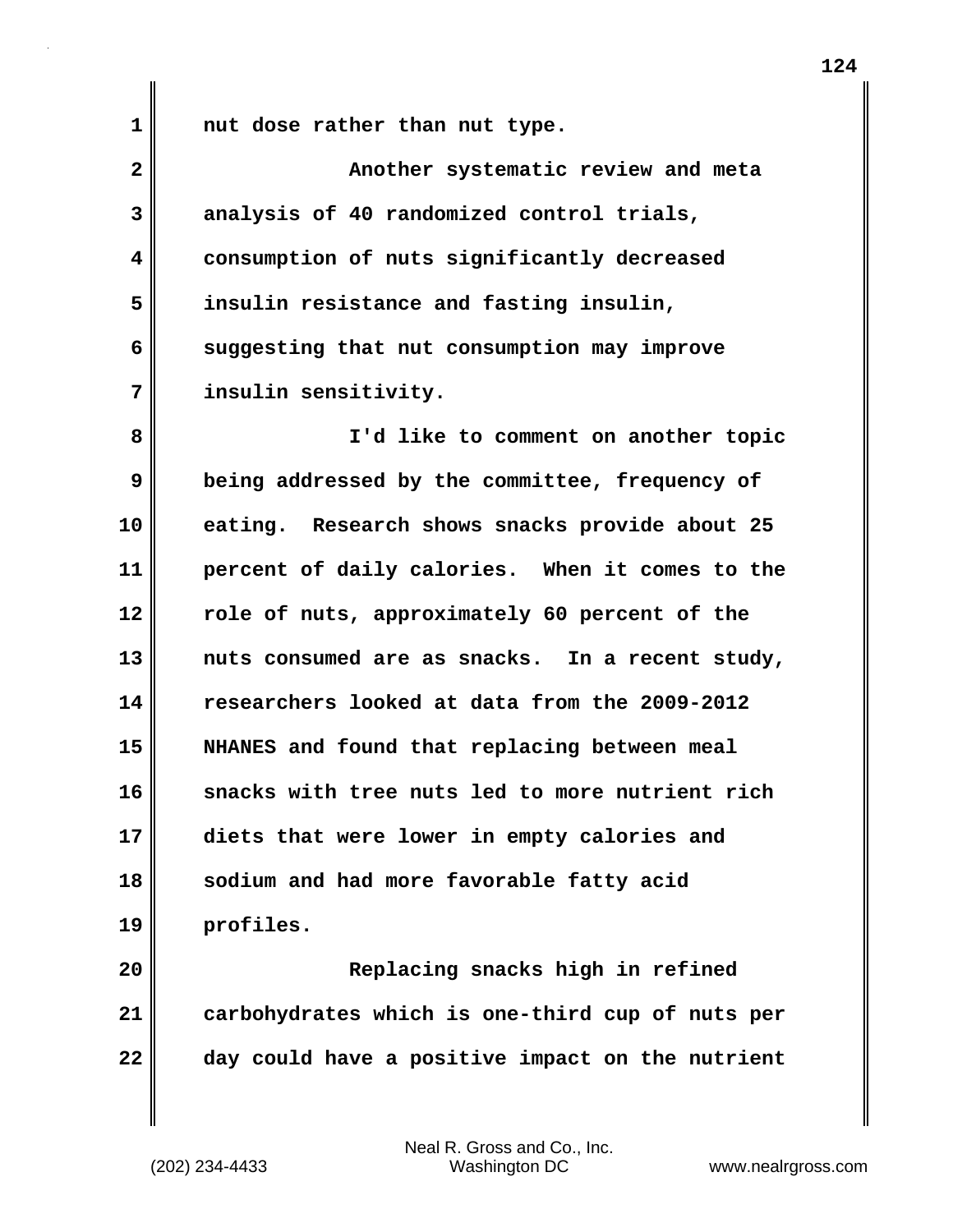**1 nut dose rather than nut type.**

**2** Another systematic review and meta **3 analysis of 40 randomized control trials, 4 consumption of nuts significantly decreased 5 insulin resistance and fasting insulin, 6 suggesting that nut consumption may improve 7 insulin sensitivity. 8 I'd like to comment on another topic 9 being addressed by the committee, frequency of 10 eating. Research shows snacks provide about 25 11 percent of daily calories. When it comes to the 12 role of nuts, approximately 60 percent of the 13 nuts consumed are as snacks. In a recent study, 14 researchers looked at data from the 2009-2012 15 NHANES and found that replacing between meal 16 snacks with tree nuts led to more nutrient rich 17 diets that were lower in empty calories and 18 sodium and had more favorable fatty acid 19 profiles. 20 Replacing snacks high in refined 21 carbohydrates which is one-third cup of nuts per 22 day could have a positive impact on the nutrient**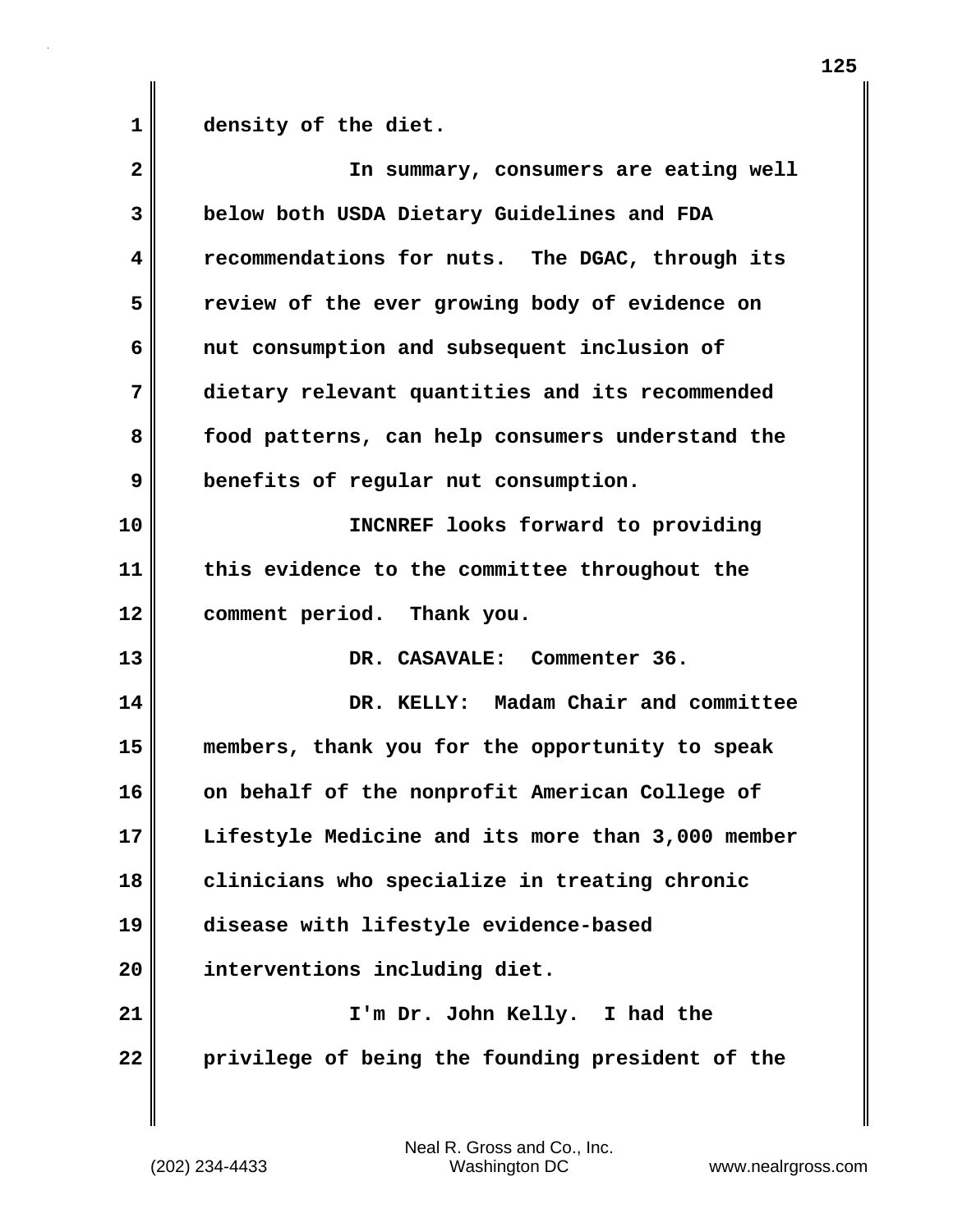**1 density of the diet.**

| $\overline{\mathbf{2}}$ | In summary, consumers are eating well             |
|-------------------------|---------------------------------------------------|
| 3                       | below both USDA Dietary Guidelines and FDA        |
| $\overline{\mathbf{4}}$ | recommendations for nuts. The DGAC, through its   |
| 5                       | review of the ever growing body of evidence on    |
| 6                       | nut consumption and subsequent inclusion of       |
| 7                       | dietary relevant quantities and its recommended   |
| 8                       | food patterns, can help consumers understand the  |
| 9                       | benefits of regular nut consumption.              |
| 10                      | INCNREF looks forward to providing                |
| 11                      | this evidence to the committee throughout the     |
| 12                      | comment period. Thank you.                        |
| 13                      | DR. CASAVALE: Commenter 36.                       |
| 14                      | DR. KELLY: Madam Chair and committee              |
| 15                      | members, thank you for the opportunity to speak   |
| 16                      | on behalf of the nonprofit American College of    |
| 17                      | Lifestyle Medicine and its more than 3,000 member |
| 18                      | clinicians who specialize in treating chronic     |
| 19                      | disease with lifestyle evidence-based             |
| 20                      | interventions including diet.                     |
| 21                      | I'm Dr. John Kelly. I had the                     |
| 22                      | privilege of being the founding president of the  |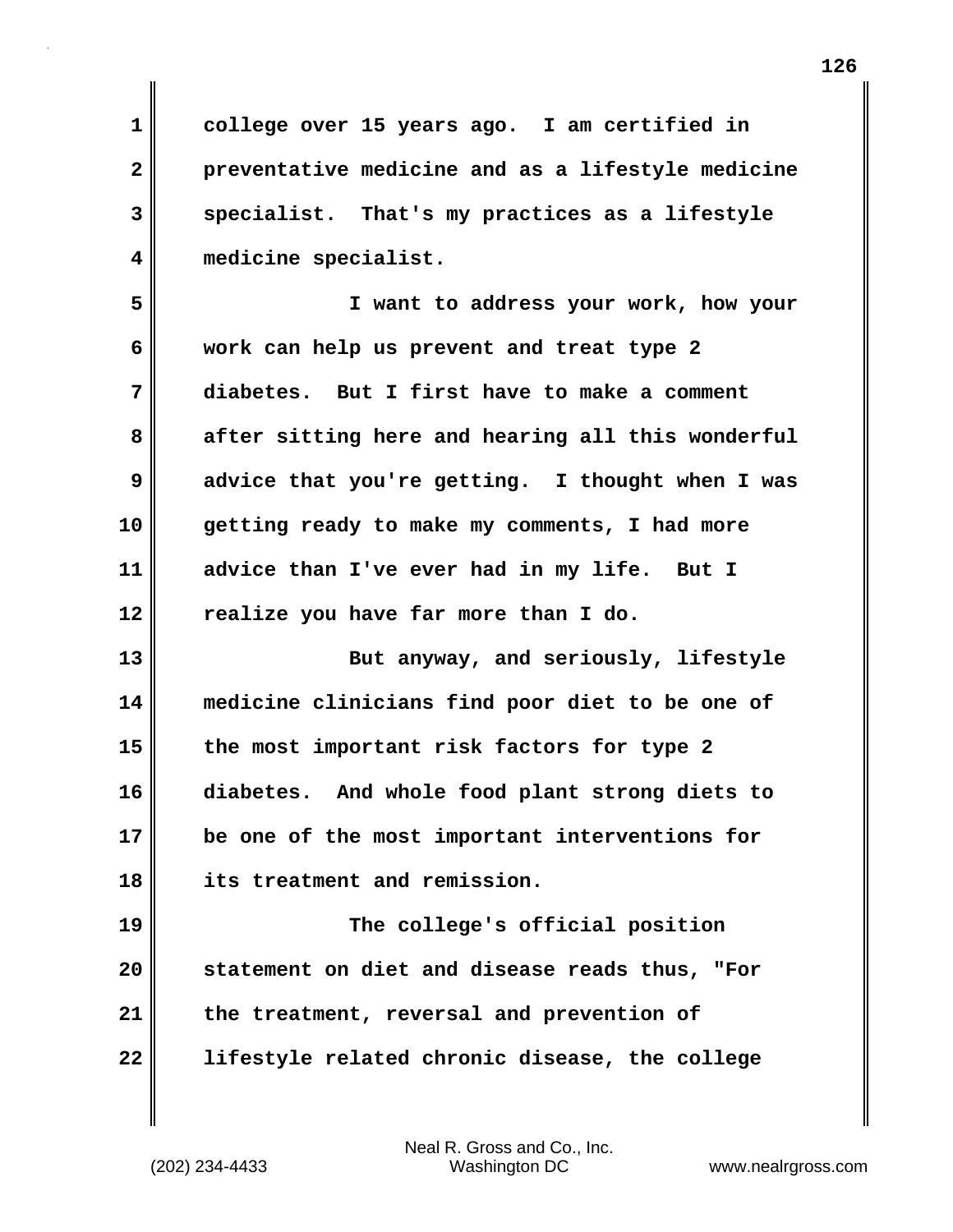**1 college over 15 years ago. I am certified in 2 preventative medicine and as a lifestyle medicine 3 specialist. That's my practices as a lifestyle 4 medicine specialist.**

**5 I want to address your work, how your 6 work can help us prevent and treat type 2 7 diabetes. But I first have to make a comment 8 after sitting here and hearing all this wonderful 9 advice that you're getting. I thought when I was 10 getting ready to make my comments, I had more 11 advice than I've ever had in my life. But I 12 realize you have far more than I do.**

**13 But anyway, and seriously, lifestyle 14 medicine clinicians find poor diet to be one of 15 the most important risk factors for type 2 16 diabetes. And whole food plant strong diets to 17 be one of the most important interventions for 18 its treatment and remission.**

**19 The college's official position 20 statement on diet and disease reads thus, "For 21 the treatment, reversal and prevention of 22 lifestyle related chronic disease, the college**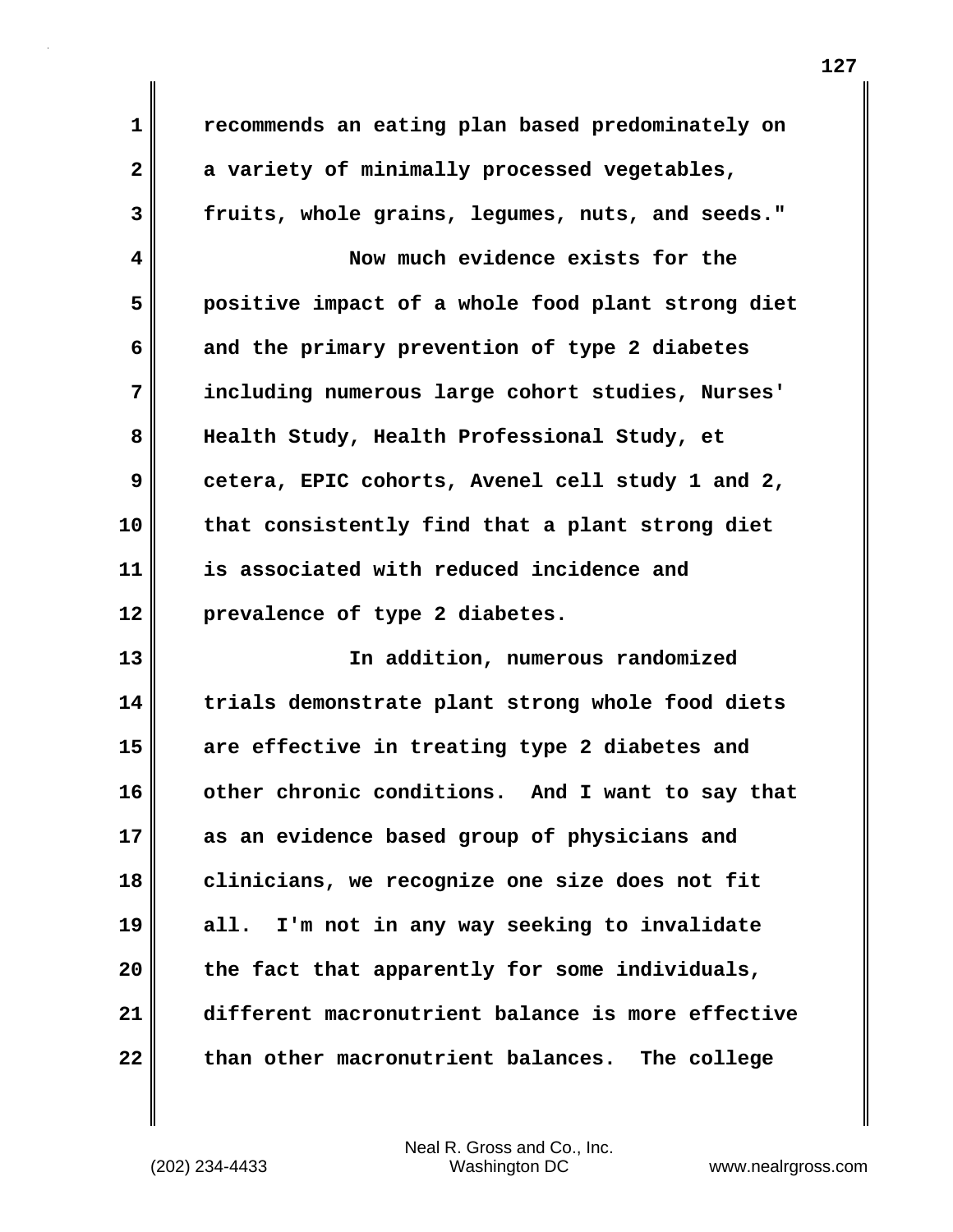**1 recommends an eating plan based predominately on 2 a variety of minimally processed vegetables, 3 fruits, whole grains, legumes, nuts, and seeds." 4 Now much evidence exists for the 5 positive impact of a whole food plant strong diet 6 and the primary prevention of type 2 diabetes 7 including numerous large cohort studies, Nurses' 8 Health Study, Health Professional Study, et 9 cetera, EPIC cohorts, Avenel cell study 1 and 2, 10 that consistently find that a plant strong diet 11 is associated with reduced incidence and 12 prevalence of type 2 diabetes. 13 In addition, numerous randomized 14 trials demonstrate plant strong whole food diets 15 are effective in treating type 2 diabetes and 16 other chronic conditions. And I want to say that 17 as an evidence based group of physicians and 18 clinicians, we recognize one size does not fit 19 all. I'm not in any way seeking to invalidate 20 the fact that apparently for some individuals, 21 different macronutrient balance is more effective 22 than other macronutrient balances. The college**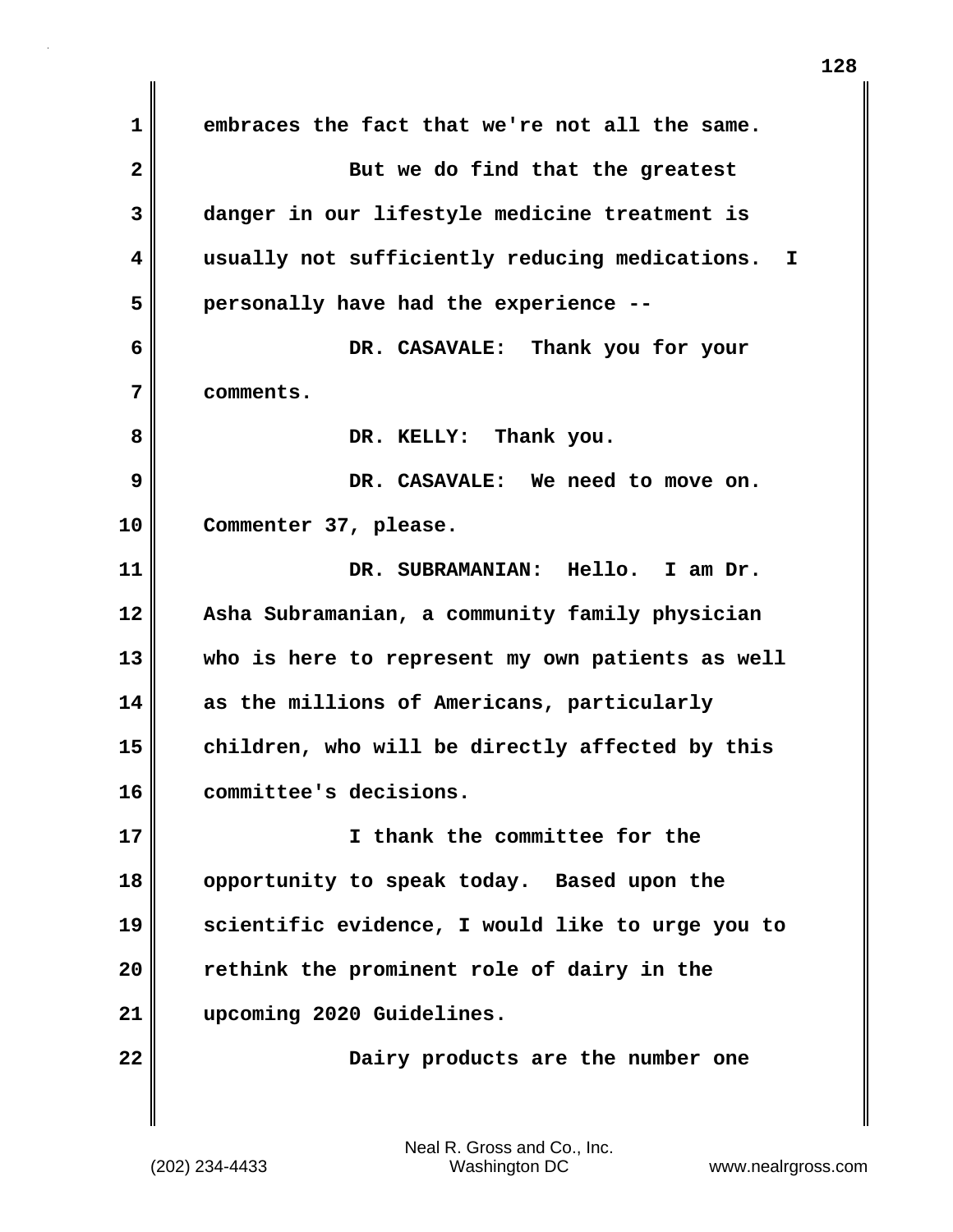**1 embraces the fact that we're not all the same. 2** But we do find that the greatest **3 danger in our lifestyle medicine treatment is 4 usually not sufficiently reducing medications. I 5 personally have had the experience -- 6 DR. CASAVALE: Thank you for your 7 comments.** 8 **DR. KELLY:** Thank you. **9 DR. CASAVALE: We need to move on. 10 Commenter 37, please. 11 DR. SUBRAMANIAN: Hello. I am Dr. 12 Asha Subramanian, a community family physician 13 who is here to represent my own patients as well 14 as the millions of Americans, particularly 15 children, who will be directly affected by this 16 committee's decisions. 17 I thank the committee for the 18 opportunity to speak today. Based upon the 19 scientific evidence, I would like to urge you to 20 rethink the prominent role of dairy in the 21 upcoming 2020 Guidelines. 22** Dairy products are the number one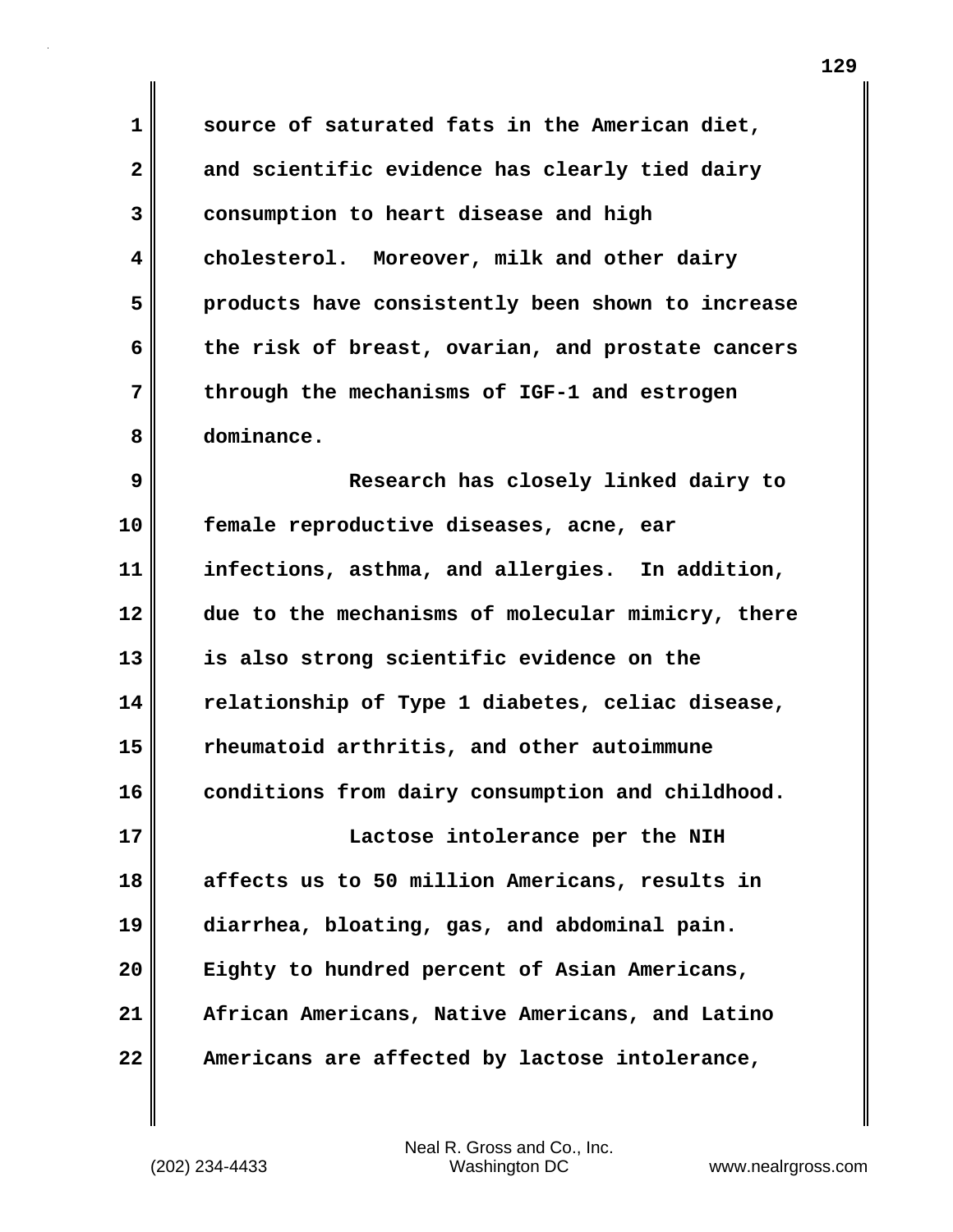**1 source of saturated fats in the American diet, 2 and scientific evidence has clearly tied dairy 3 consumption to heart disease and high 4 cholesterol. Moreover, milk and other dairy 5 products have consistently been shown to increase 6 the risk of breast, ovarian, and prostate cancers 7 through the mechanisms of IGF-1 and estrogen 8 dominance.**

**9 Research has closely linked dairy to 10 female reproductive diseases, acne, ear 11 infections, asthma, and allergies. In addition, 12 due to the mechanisms of molecular mimicry, there 13 is also strong scientific evidence on the 14 relationship of Type 1 diabetes, celiac disease, 15 rheumatoid arthritis, and other autoimmune 16 conditions from dairy consumption and childhood. 17 Lactose intolerance per the NIH 18 affects us to 50 million Americans, results in 19 diarrhea, bloating, gas, and abdominal pain. 20 Eighty to hundred percent of Asian Americans, 21 African Americans, Native Americans, and Latino**

**22 Americans are affected by lactose intolerance,**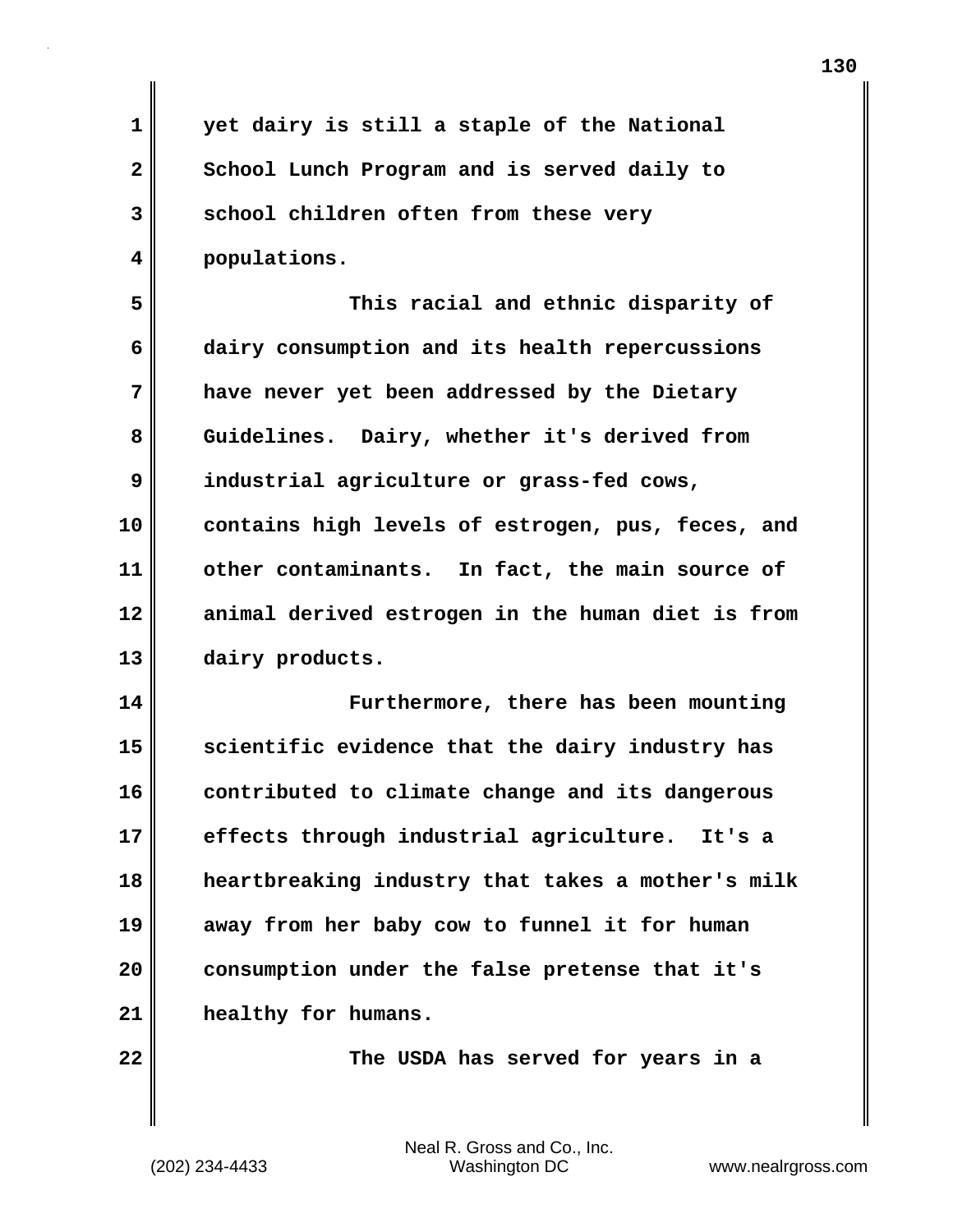| $\mathbf 1$  | yet dairy is still a staple of the National       |
|--------------|---------------------------------------------------|
| $\mathbf{2}$ | School Lunch Program and is served daily to       |
| 3            | school children often from these very             |
| 4            | populations.                                      |
| 5            | This racial and ethnic disparity of               |
| 6            | dairy consumption and its health repercussions    |
| 7            | have never yet been addressed by the Dietary      |
| 8            | Guidelines. Dairy, whether it's derived from      |
| 9            | industrial agriculture or grass-fed cows,         |
| 10           | contains high levels of estrogen, pus, feces, and |
| 11           | other contaminants. In fact, the main source of   |
| 12           | animal derived estrogen in the human diet is from |
| 13           | dairy products.                                   |
| 14           | Furthermore, there has been mounting              |
| 15           | scientific evidence that the dairy industry has   |
| 16           | contributed to climate change and its dangerous   |
| 17           | effects through industrial agriculture.<br>It's a |
| 18           | heartbreaking industry that takes a mother's milk |
| 19           | away from her baby cow to funnel it for human     |
| 20           | consumption under the false pretense that it's    |
| 21           | healthy for humans.                               |
| 22           | The USDA has served for years in a                |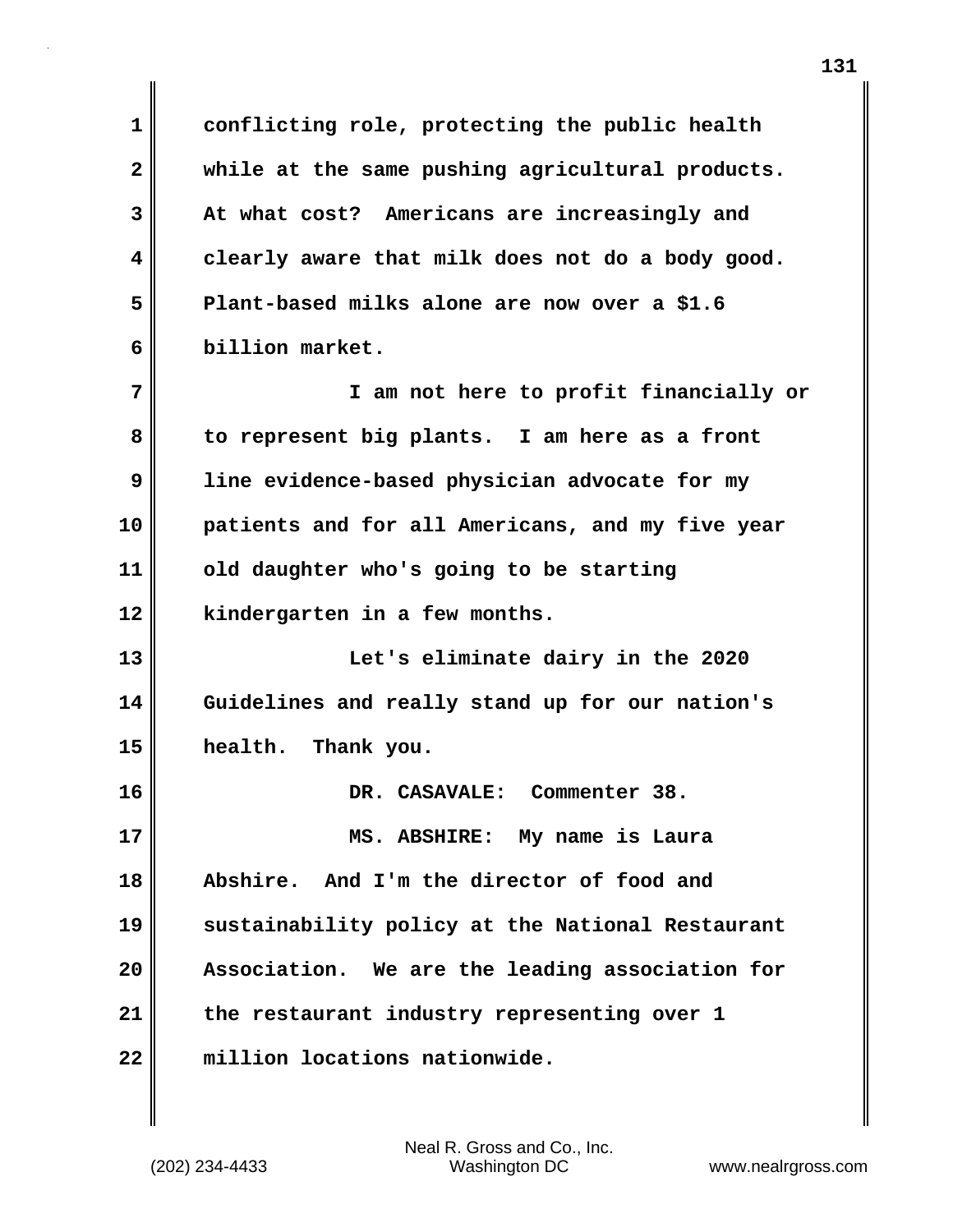**1 conflicting role, protecting the public health 2 while at the same pushing agricultural products. 3 At what cost? Americans are increasingly and 4 clearly aware that milk does not do a body good. 5 Plant-based milks alone are now over a \$1.6 6 billion market. 7 I am not here to profit financially or 8 to represent big plants. I am here as a front 9 line evidence-based physician advocate for my 10 patients and for all Americans, and my five year 11 old daughter who's going to be starting 12 kindergarten in a few months. 13 Let's eliminate dairy in the 2020 14 Guidelines and really stand up for our nation's 15 health. Thank you. 16 DR. CASAVALE: Commenter 38. 17 MS. ABSHIRE: My name is Laura 18 Abshire. And I'm the director of food and 19 sustainability policy at the National Restaurant 20 Association. We are the leading association for 21 the restaurant industry representing over 1 22 million locations nationwide.**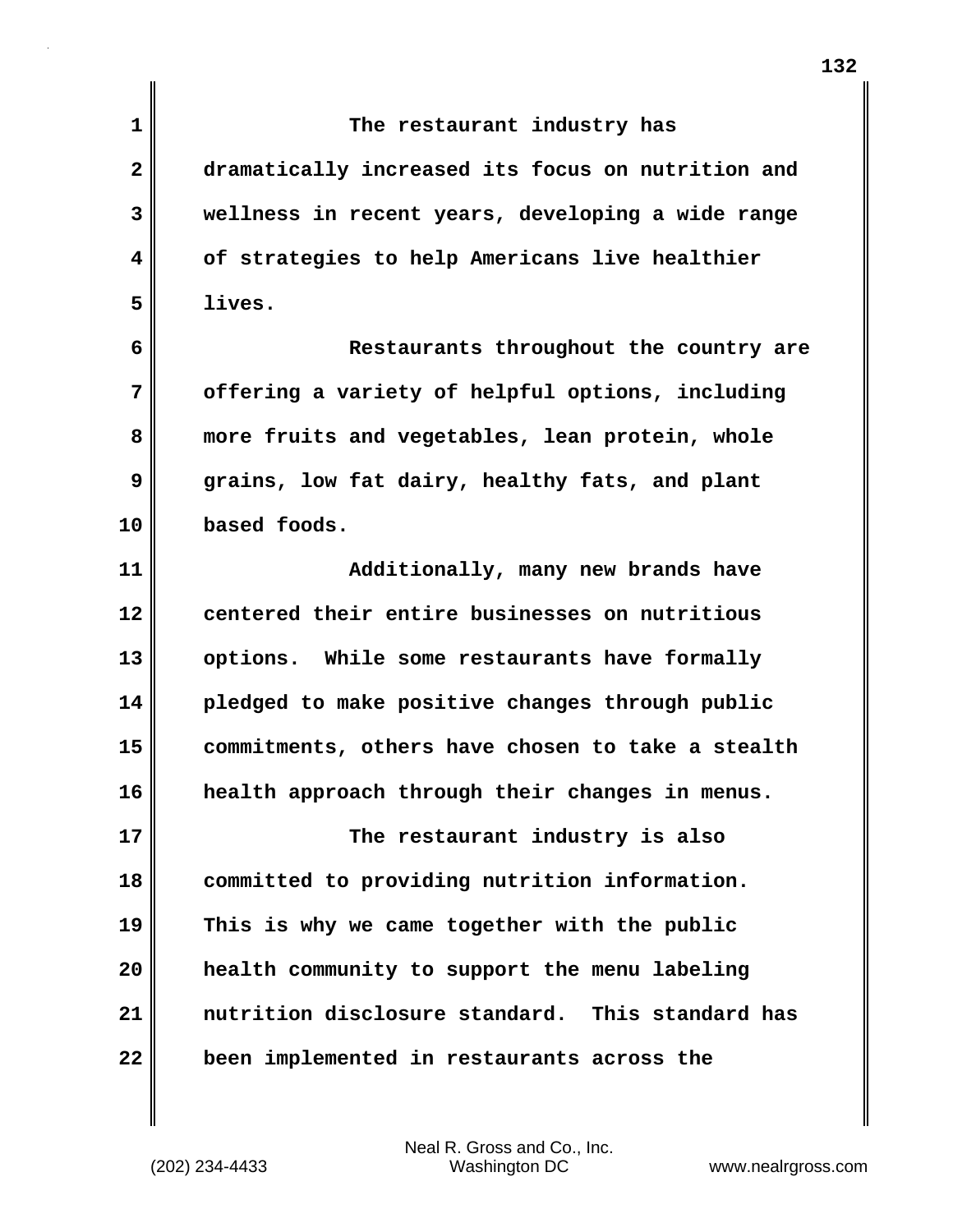| 1            | The restaurant industry has                       |
|--------------|---------------------------------------------------|
| $\mathbf{2}$ | dramatically increased its focus on nutrition and |
| 3            | wellness in recent years, developing a wide range |
| 4            | of strategies to help Americans live healthier    |
| 5            | lives.                                            |
| 6            | Restaurants throughout the country are            |
| 7            | offering a variety of helpful options, including  |
| 8            | more fruits and vegetables, lean protein, whole   |
| 9            | grains, low fat dairy, healthy fats, and plant    |
| 10           | based foods.                                      |
| 11           | Additionally, many new brands have                |
| 12           | centered their entire businesses on nutritious    |
| 13           | options. While some restaurants have formally     |
| 14           | pledged to make positive changes through public   |
| 15           | commitments, others have chosen to take a stealth |
| 16           | health approach through their changes in menus.   |
| 17           | The restaurant industry is also                   |
| 18           | committed to providing nutrition information.     |
| 19           | This is why we came together with the public      |
| 20           | health community to support the menu labeling     |
| 21           | nutrition disclosure standard. This standard has  |
| 22           | been implemented in restaurants across the        |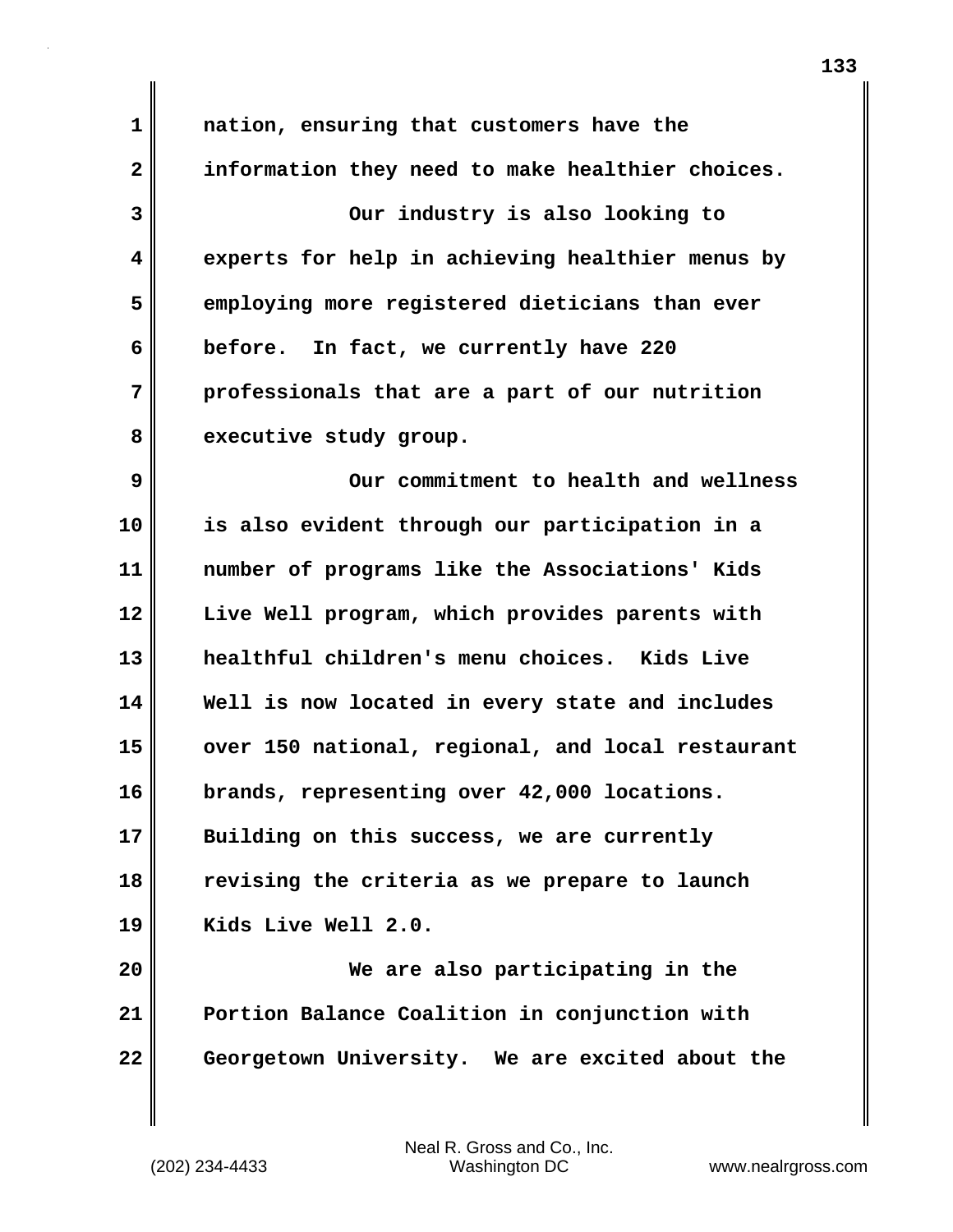**1 nation, ensuring that customers have the 2 information they need to make healthier choices. 3 Our industry is also looking to 4 experts for help in achieving healthier menus by 5 employing more registered dieticians than ever 6 before. In fact, we currently have 220 7 professionals that are a part of our nutrition** 8 executive study group. **9 Our commitment to health and wellness 10 is also evident through our participation in a 11 number of programs like the Associations' Kids 12 Live Well program, which provides parents with 13 healthful children's menu choices. Kids Live 14 Well is now located in every state and includes 15 over 150 national, regional, and local restaurant 16 brands, representing over 42,000 locations. 17 Building on this success, we are currently 18 revising the criteria as we prepare to launch 19 Kids Live Well 2.0. 20 We are also participating in the 21 Portion Balance Coalition in conjunction with 22 Georgetown University. We are excited about the**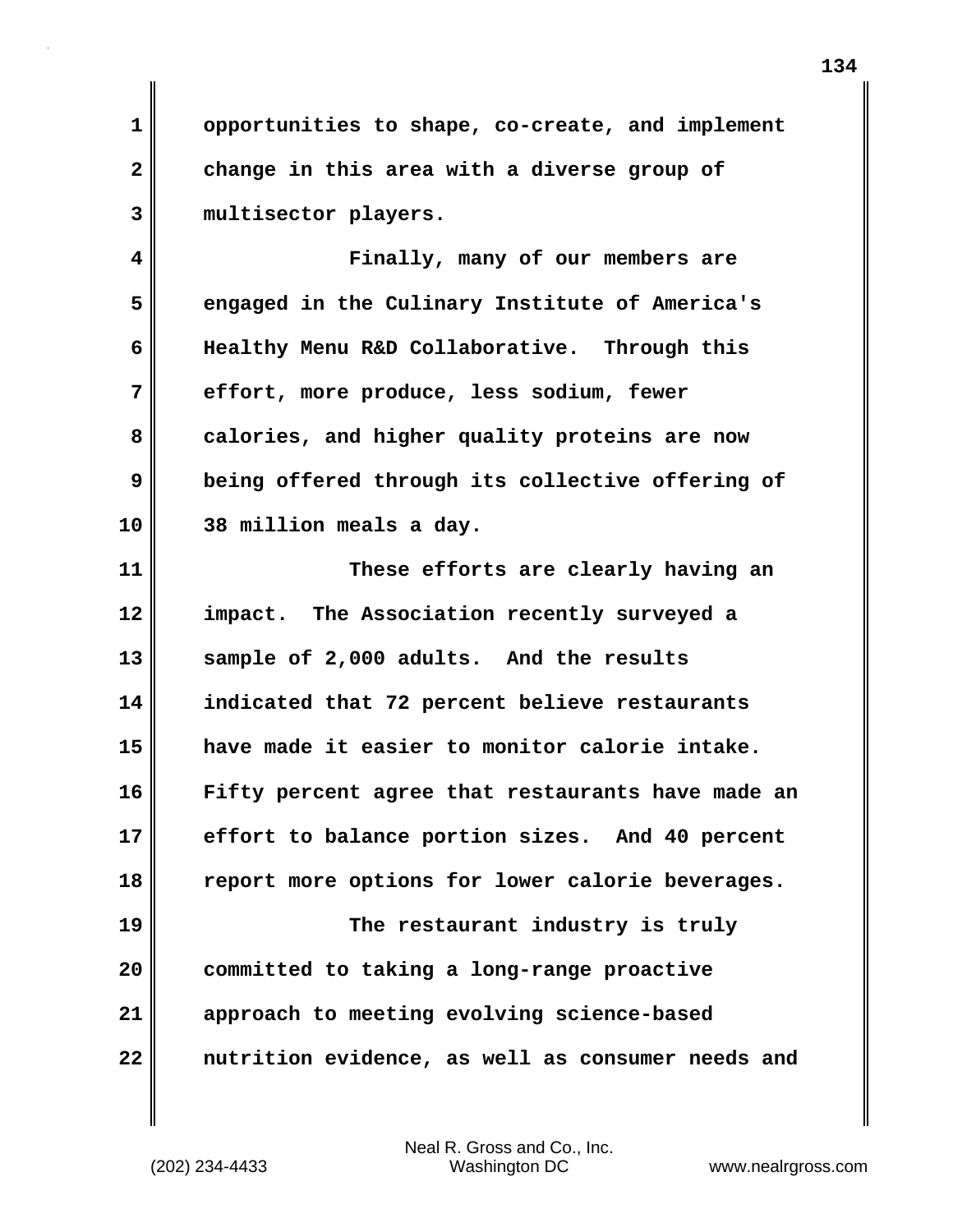**1 opportunities to shape, co-create, and implement 2 change in this area with a diverse group of 3 multisector players.**

**4 Finally, many of our members are 5 engaged in the Culinary Institute of America's 6 Healthy Menu R&D Collaborative. Through this 7 effort, more produce, less sodium, fewer 8 calories, and higher quality proteins are now 9 being offered through its collective offering of 10 38 million meals a day.**

**11 These efforts are clearly having an 12 impact. The Association recently surveyed a 13 sample of 2,000 adults. And the results 14 indicated that 72 percent believe restaurants 15 have made it easier to monitor calorie intake. 16 Fifty percent agree that restaurants have made an 17 effort to balance portion sizes. And 40 percent 18 report more options for lower calorie beverages. 19 The restaurant industry is truly 20 committed to taking a long-range proactive 21 approach to meeting evolving science-based 22 nutrition evidence, as well as consumer needs and**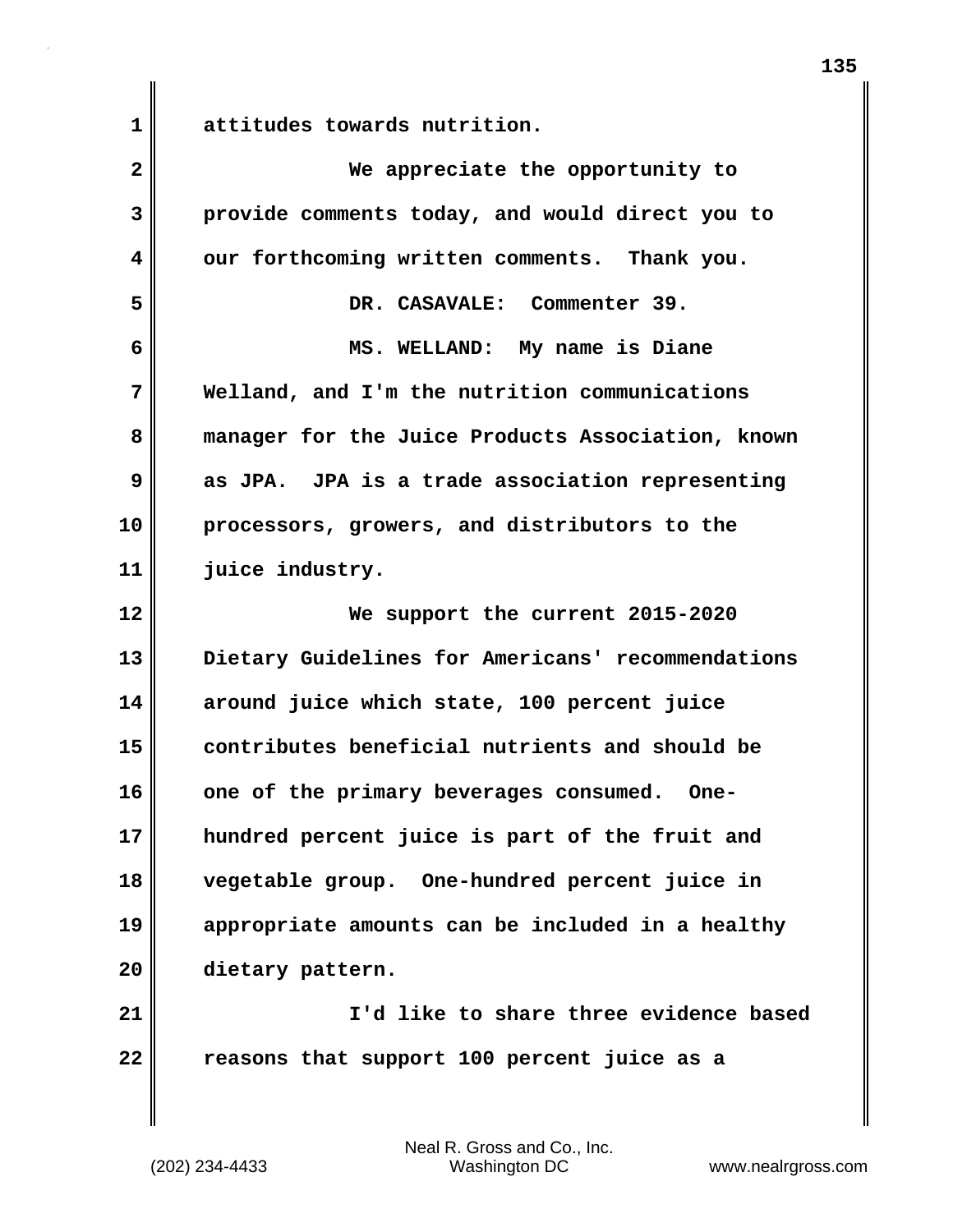**1 attitudes towards nutrition.**

| $\overline{2}$ | We appreciate the opportunity to                  |
|----------------|---------------------------------------------------|
| 3              | provide comments today, and would direct you to   |
| 4              | our forthcoming written comments. Thank you.      |
| 5              | DR. CASAVALE: Commenter 39.                       |
| 6              | MS. WELLAND: My name is Diane                     |
| 7              | Welland, and I'm the nutrition communications     |
| 8              | manager for the Juice Products Association, known |
| 9              | as JPA. JPA is a trade association representing   |
| 10             | processors, growers, and distributors to the      |
| 11             | juice industry.                                   |
| 12             | We support the current 2015-2020                  |
| 13             | Dietary Guidelines for Americans' recommendations |
| 14             | around juice which state, 100 percent juice       |
| 15             | contributes beneficial nutrients and should be    |
| 16             | one of the primary beverages consumed. One-       |
| 17             | hundred percent juice is part of the fruit and    |
| 18             | vegetable group. One-hundred percent juice in     |
| 19             | appropriate amounts can be included in a healthy  |
| 20             | dietary pattern.                                  |
| 21             | I'd like to share three evidence based            |
| 22             | reasons that support 100 percent juice as a       |
|                |                                                   |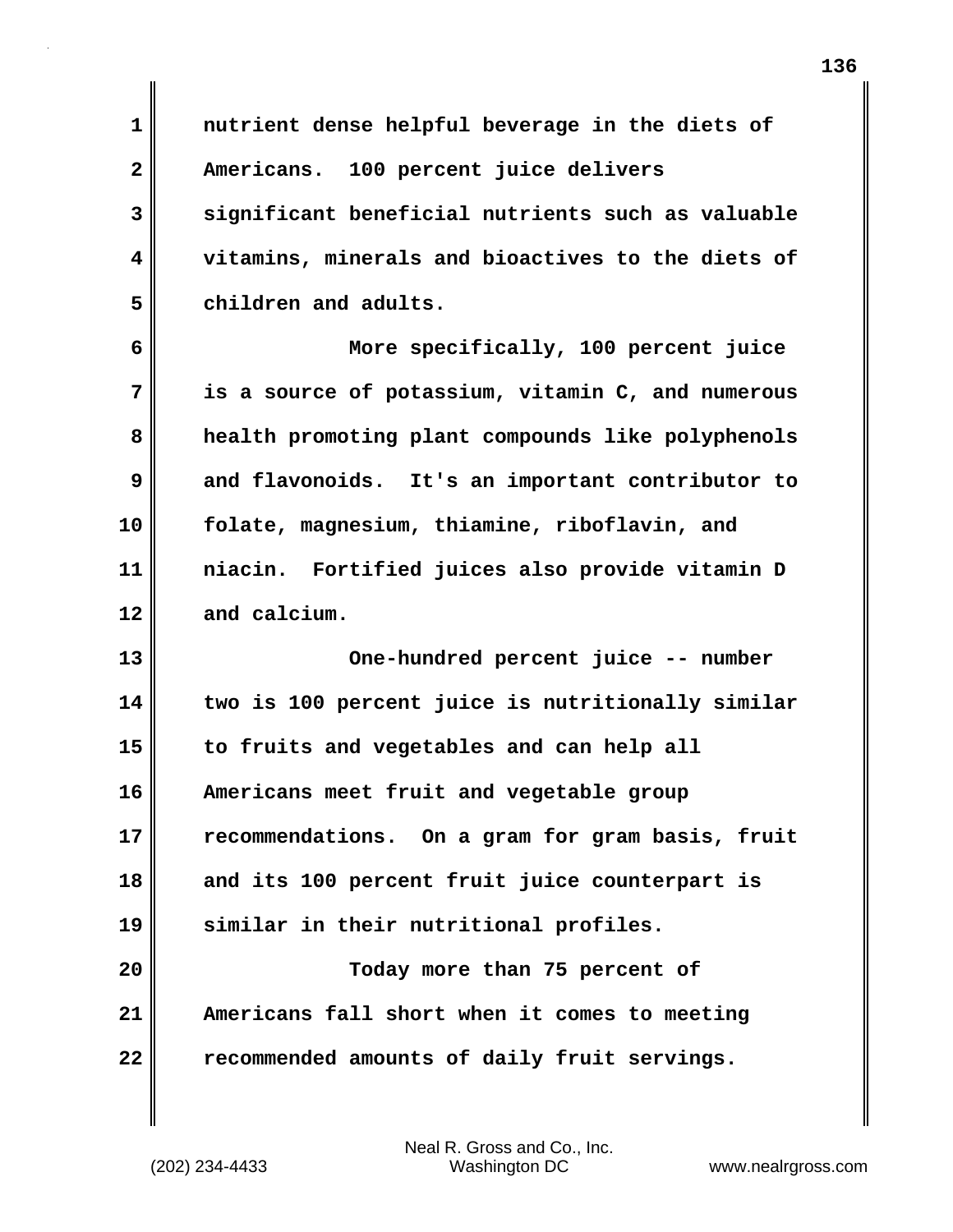**1 nutrient dense helpful beverage in the diets of 2 Americans. 100 percent juice delivers 3 significant beneficial nutrients such as valuable 4 vitamins, minerals and bioactives to the diets of 5 children and adults.**

**6 More specifically, 100 percent juice 7 is a source of potassium, vitamin C, and numerous 8 health promoting plant compounds like polyphenols 9 and flavonoids. It's an important contributor to 10 folate, magnesium, thiamine, riboflavin, and 11 niacin. Fortified juices also provide vitamin D 12 and calcium.**

**13 One-hundred percent juice -- number 14 two is 100 percent juice is nutritionally similar 15 to fruits and vegetables and can help all 16 Americans meet fruit and vegetable group 17 recommendations. On a gram for gram basis, fruit 18 and its 100 percent fruit juice counterpart is 19 similar in their nutritional profiles. 20 Today more than 75 percent of 21 Americans fall short when it comes to meeting**

**22 recommended amounts of daily fruit servings.**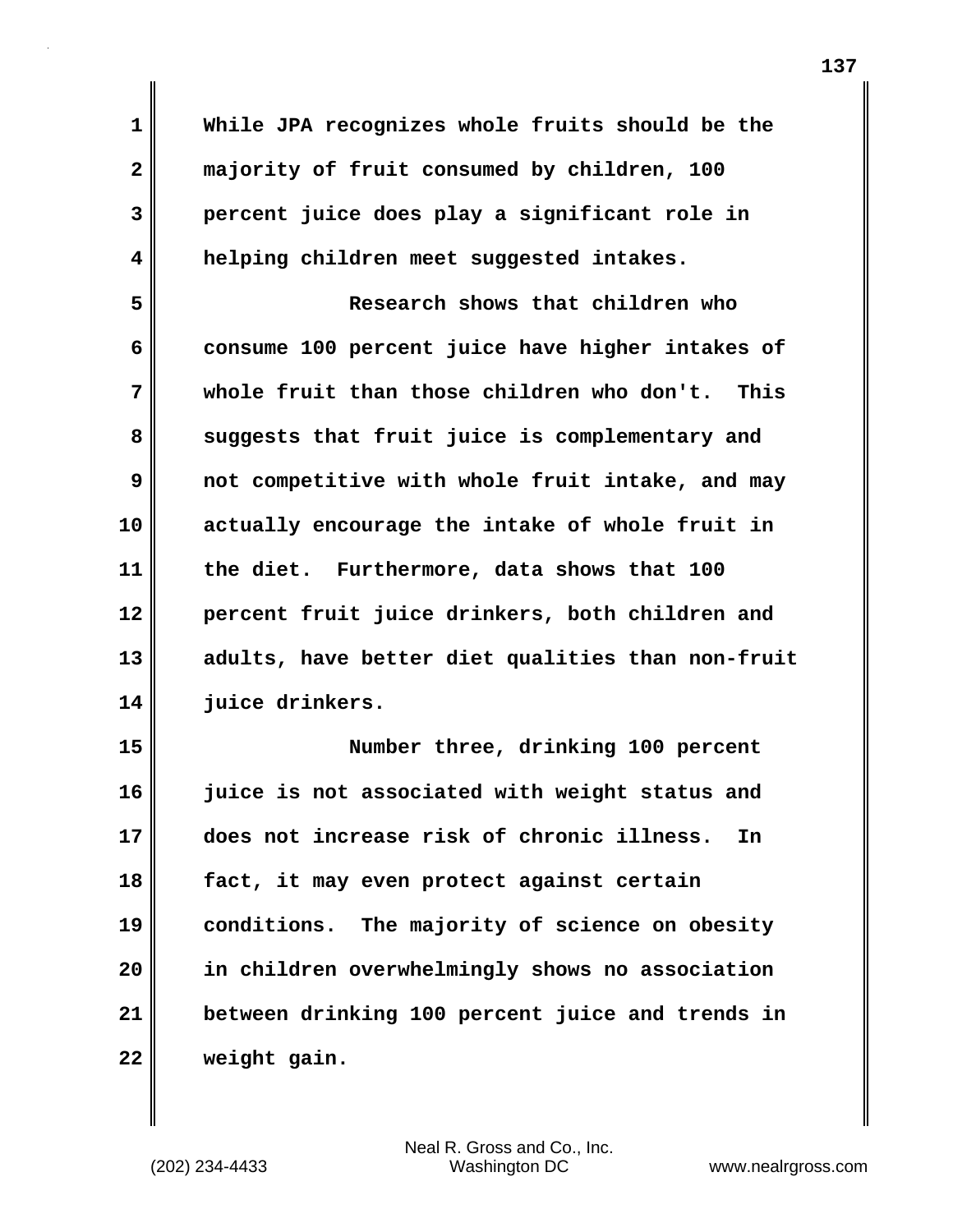**1 While JPA recognizes whole fruits should be the 2 majority of fruit consumed by children, 100 3 percent juice does play a significant role in 4 helping children meet suggested intakes. 5 Research shows that children who 6 consume 100 percent juice have higher intakes of 7 whole fruit than those children who don't. This** 8 suggests that fruit juice is complementary and **9 not competitive with whole fruit intake, and may 10 actually encourage the intake of whole fruit in 11 the diet. Furthermore, data shows that 100 12 percent fruit juice drinkers, both children and 13 adults, have better diet qualities than non-fruit 14 juice drinkers. 15 Number three, drinking 100 percent 16 juice is not associated with weight status and 17 does not increase risk of chronic illness. In 18 fact, it may even protect against certain 19 conditions. The majority of science on obesity 20 in children overwhelmingly shows no association 21 between drinking 100 percent juice and trends in**

**22 weight gain.**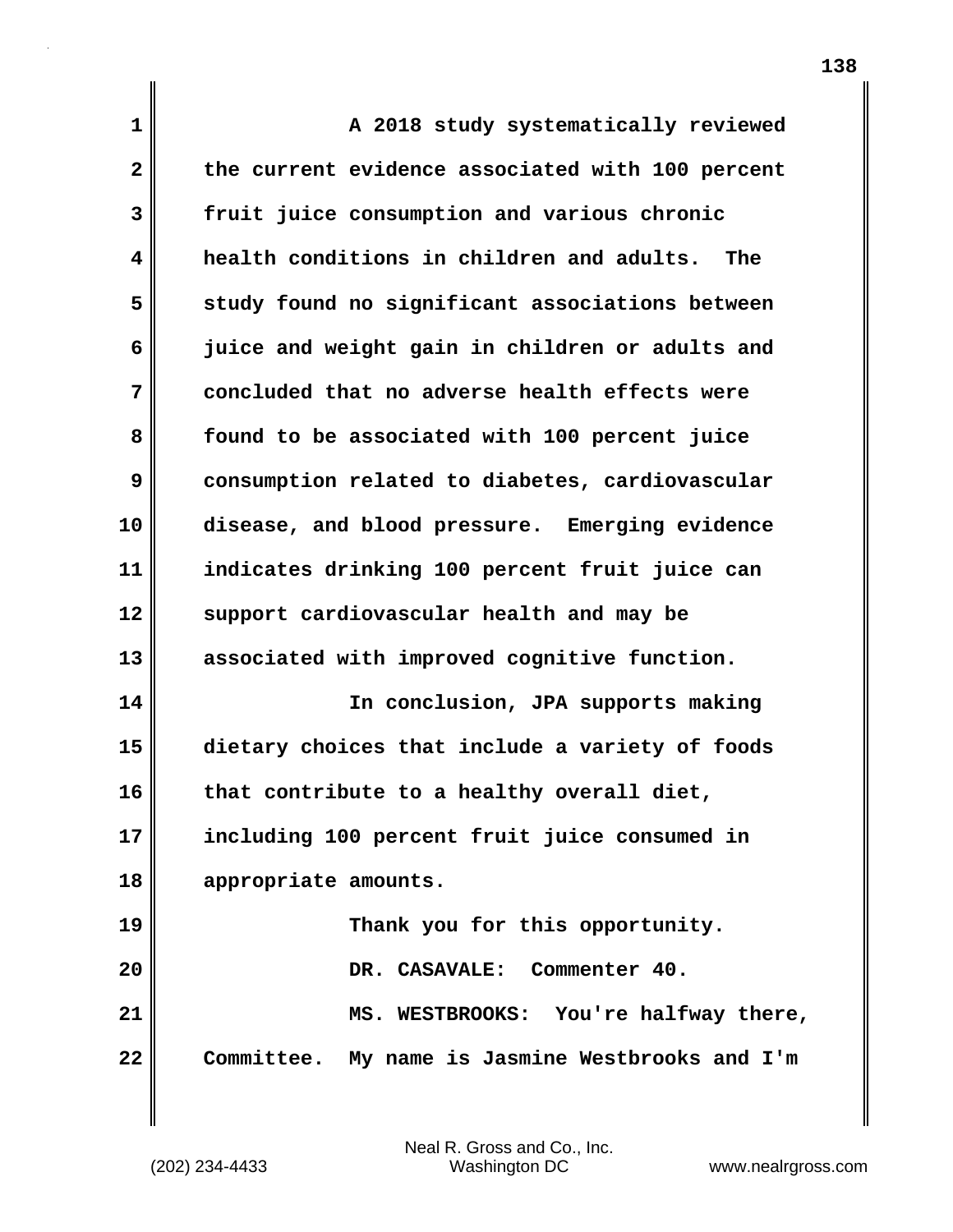| 1            | A 2018 study systematically reviewed             |
|--------------|--------------------------------------------------|
| $\mathbf{2}$ | the current evidence associated with 100 percent |
| 3            | fruit juice consumption and various chronic      |
| 4            | health conditions in children and adults. The    |
| 5            | study found no significant associations between  |
| 6            | juice and weight gain in children or adults and  |
| 7            | concluded that no adverse health effects were    |
| 8            | found to be associated with 100 percent juice    |
| 9            | consumption related to diabetes, cardiovascular  |
| 10           | disease, and blood pressure. Emerging evidence   |
| 11           | indicates drinking 100 percent fruit juice can   |
| 12           | support cardiovascular health and may be         |
| 13           | associated with improved cognitive function.     |
| 14           | In conclusion, JPA supports making               |
| 15           | dietary choices that include a variety of foods  |
| 16           | that contribute to a healthy overall diet,       |
| 17           | including 100 percent fruit juice consumed in    |
| 18           | appropriate amounts.                             |
| 19           | Thank you for this opportunity.                  |
| 20           | DR. CASAVALE: Commenter 40.                      |
| 21           | MS. WESTBROOKS: You're halfway there,            |
| 22           | Committee. My name is Jasmine Westbrooks and I'm |

 $\mathbf l$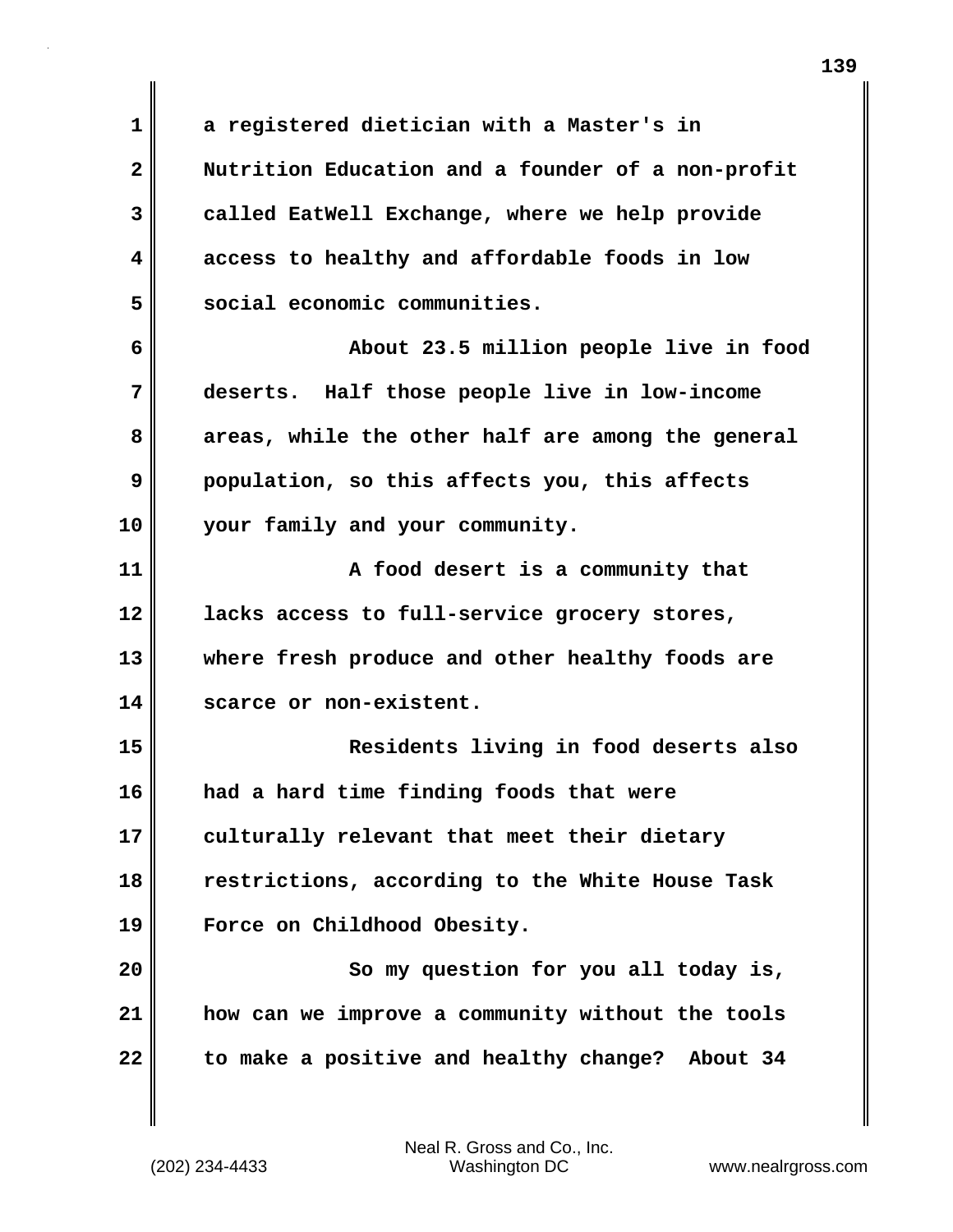**1 a registered dietician with a Master's in 2 Nutrition Education and a founder of a non-profit 3 called EatWell Exchange, where we help provide 4 access to healthy and affordable foods in low 5 social economic communities. 6 About 23.5 million people live in food 7 deserts. Half those people live in low-income 8 areas, while the other half are among the general 9 population, so this affects you, this affects 10 your family and your community. 11 A food desert is a community that 12 lacks access to full-service grocery stores, 13 where fresh produce and other healthy foods are 14 scarce or non-existent. 15 Residents living in food deserts also 16 had a hard time finding foods that were 17 culturally relevant that meet their dietary 18 restrictions, according to the White House Task 19 Force on Childhood Obesity. 20 So my question for you all today is, 21 how can we improve a community without the tools 22 to make a positive and healthy change? About 34**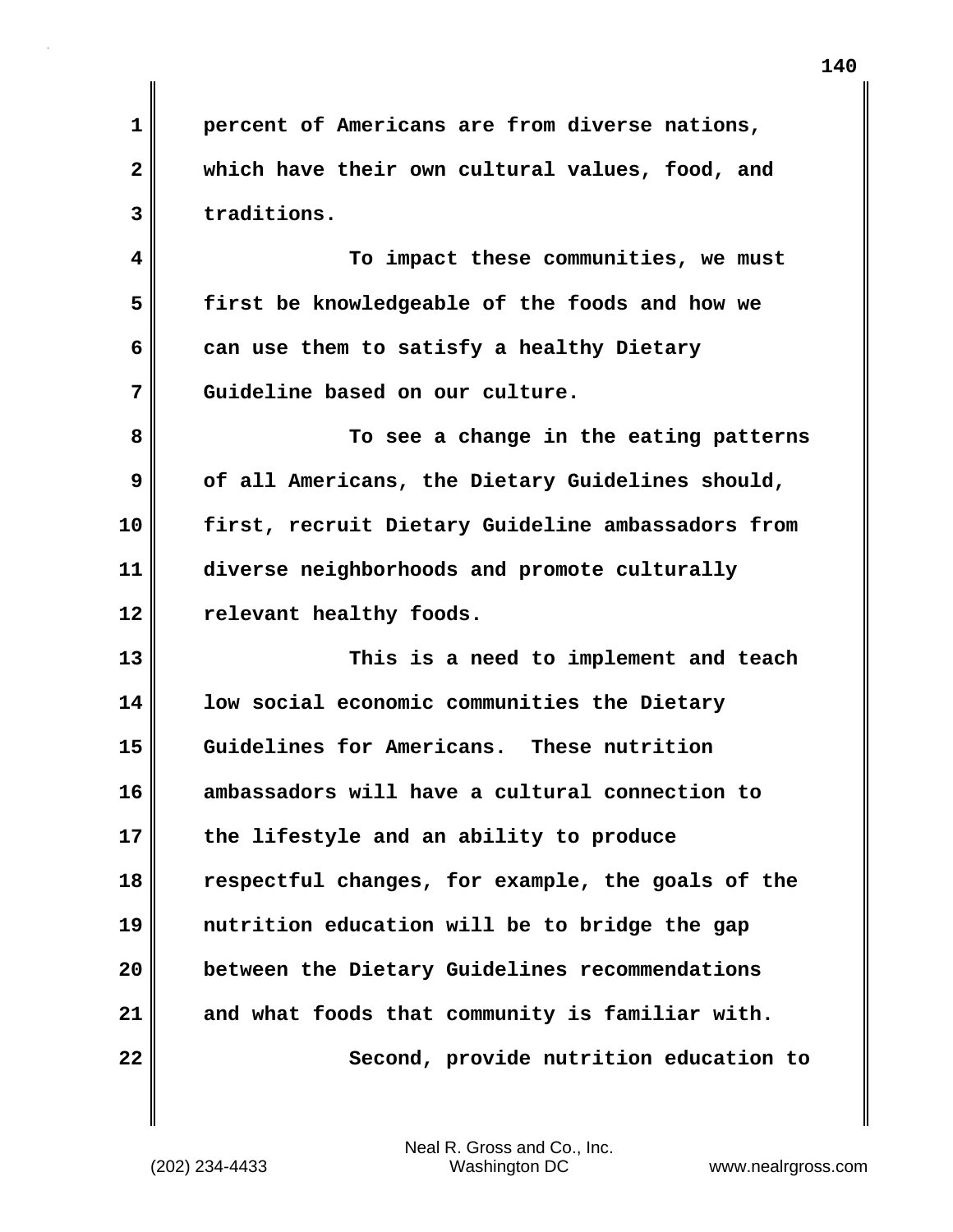**1 percent of Americans are from diverse nations, 2 which have their own cultural values, food, and 3 traditions. 4 To impact these communities, we must 5 first be knowledgeable of the foods and how we 6 can use them to satisfy a healthy Dietary 7 Guideline based on our culture. 8 To see a change in the eating patterns 9** of all Americans, the Dietary Guidelines should, **10 first, recruit Dietary Guideline ambassadors from 11 diverse neighborhoods and promote culturally 12 relevant healthy foods. 13 This is a need to implement and teach 14 low social economic communities the Dietary 15 Guidelines for Americans. These nutrition 16 ambassadors will have a cultural connection to 17 the lifestyle and an ability to produce 18 respectful changes, for example, the goals of the 19 nutrition education will be to bridge the gap 20 between the Dietary Guidelines recommendations 21 and what foods that community is familiar with. 22 Second, provide nutrition education to**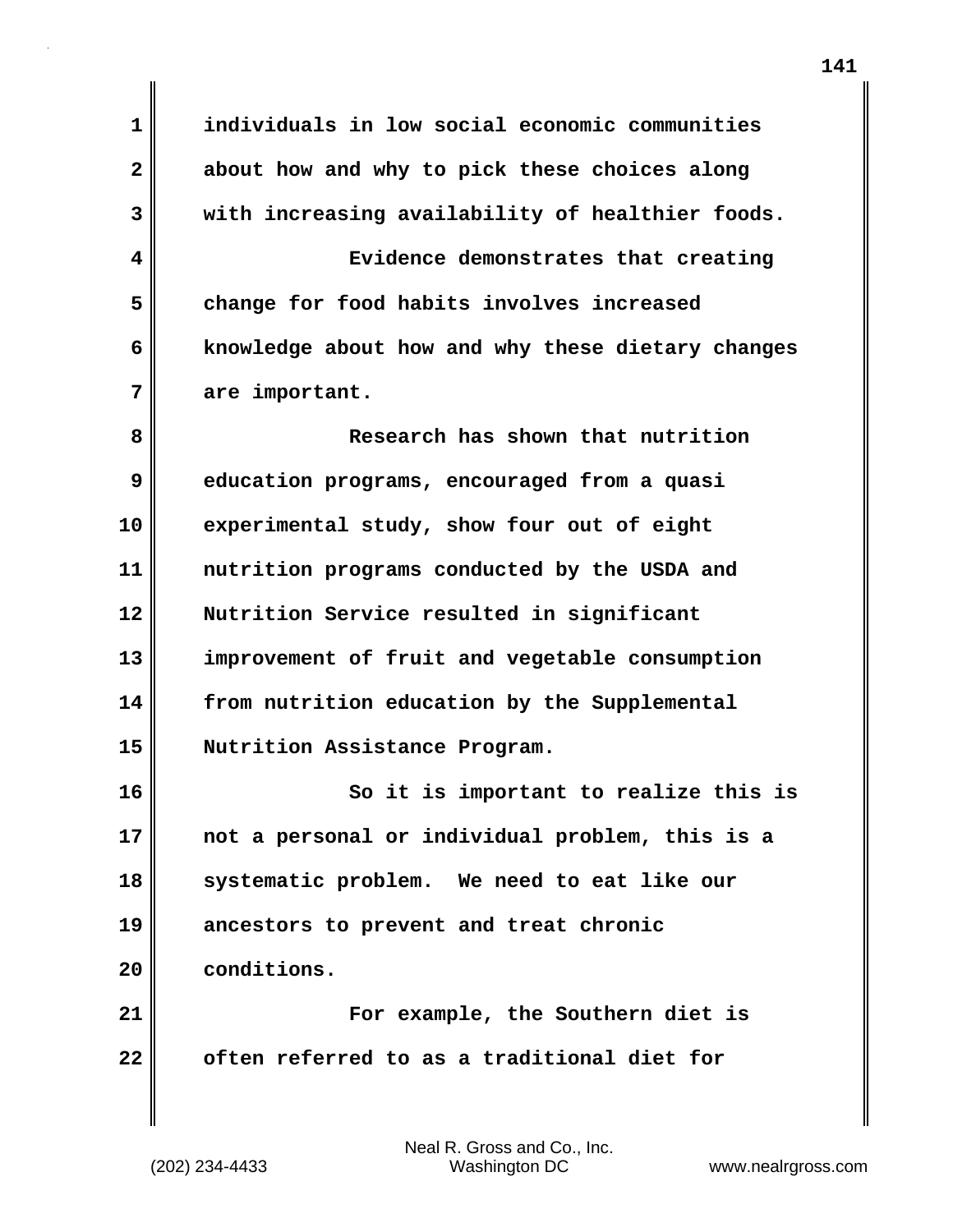**1 individuals in low social economic communities 2 about how and why to pick these choices along 3 with increasing availability of healthier foods. 4 Evidence demonstrates that creating 5 change for food habits involves increased 6 knowledge about how and why these dietary changes 7 are important. 8 Research has shown that nutrition 9 education programs, encouraged from a quasi 10 experimental study, show four out of eight 11 nutrition programs conducted by the USDA and 12 Nutrition Service resulted in significant 13 improvement of fruit and vegetable consumption 14 from nutrition education by the Supplemental 15 Nutrition Assistance Program. 16 So it is important to realize this is 17 not a personal or individual problem, this is a 18 systematic problem. We need to eat like our 19 ancestors to prevent and treat chronic 20 conditions. 21 For example, the Southern diet is 22 often referred to as a traditional diet for**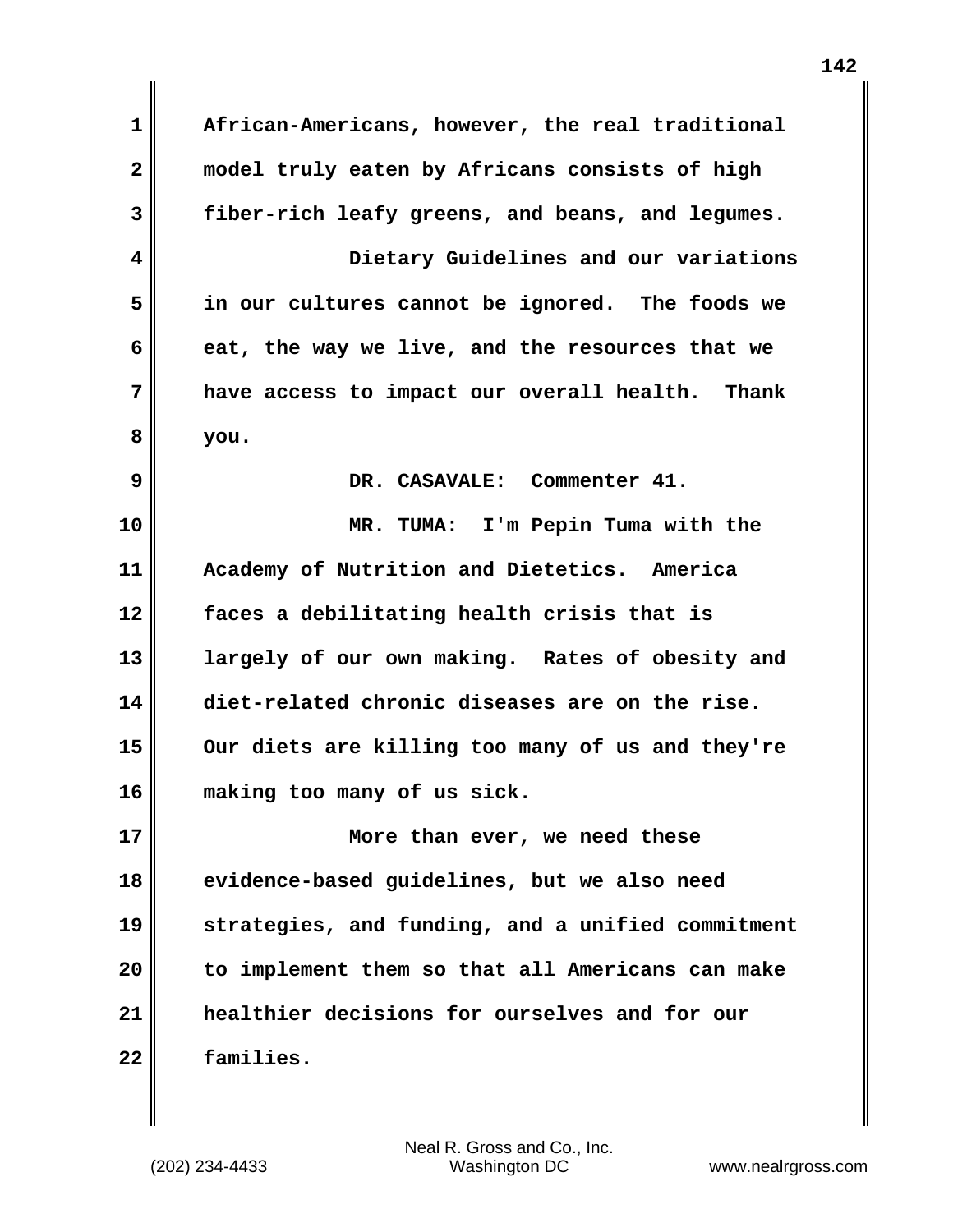**1 African-Americans, however, the real traditional 2 model truly eaten by Africans consists of high 3 fiber-rich leafy greens, and beans, and legumes. 4 Dietary Guidelines and our variations 5 in our cultures cannot be ignored. The foods we 6 eat, the way we live, and the resources that we 7 have access to impact our overall health. Thank 8 you. 9 DR. CASAVALE: Commenter 41. 10 MR. TUMA: I'm Pepin Tuma with the 11 Academy of Nutrition and Dietetics. America 12 faces a debilitating health crisis that is 13 largely of our own making. Rates of obesity and 14 diet-related chronic diseases are on the rise. 15 Our diets are killing too many of us and they're 16 making too many of us sick. 17 More than ever, we need these 18 evidence-based guidelines, but we also need 19 strategies, and funding, and a unified commitment 20 to implement them so that all Americans can make 21 healthier decisions for ourselves and for our 22 families.**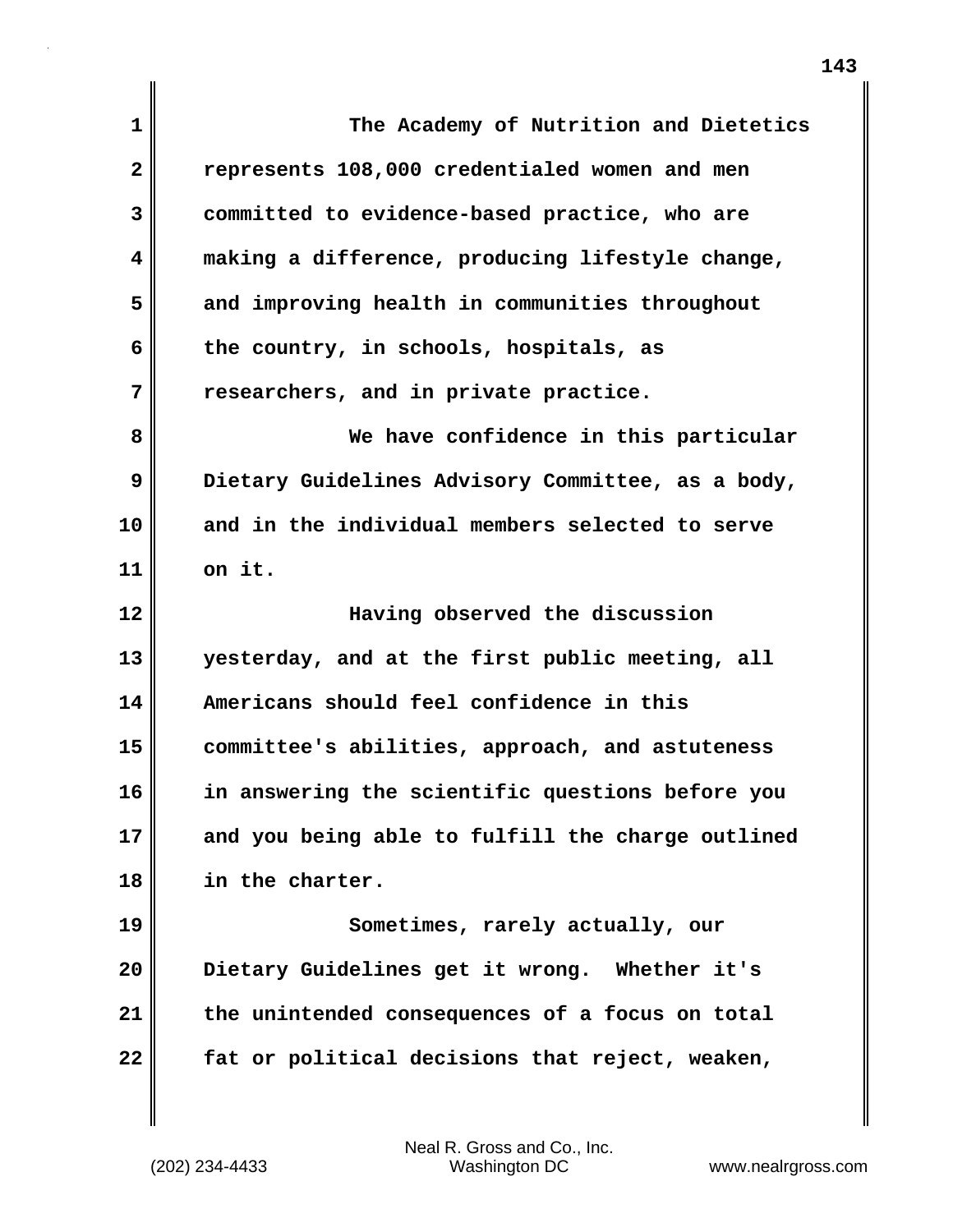| $\mathbf 1$  | The Academy of Nutrition and Dietetics            |
|--------------|---------------------------------------------------|
| $\mathbf{2}$ | represents 108,000 credentialed women and men     |
| 3            | committed to evidence-based practice, who are     |
| 4            | making a difference, producing lifestyle change,  |
| 5            | and improving health in communities throughout    |
| 6            | the country, in schools, hospitals, as            |
| 7            | researchers, and in private practice.             |
| 8            | We have confidence in this particular             |
| 9            | Dietary Guidelines Advisory Committee, as a body, |
| 10           | and in the individual members selected to serve   |
| 11           | on it.                                            |
| 12           | Having observed the discussion                    |
| 13           | yesterday, and at the first public meeting, all   |
| 14           | Americans should feel confidence in this          |
| 15           | committee's abilities, approach, and astuteness   |
| 16           | in answering the scientific questions before you  |
| 17           | and you being able to fulfill the charge outlined |
| 18           | in the charter.                                   |
| 19           | Sometimes, rarely actually, our                   |
| 20           | Dietary Guidelines get it wrong. Whether it's     |
| 21           | the unintended consequences of a focus on total   |
| 22           | fat or political decisions that reject, weaken,   |

 $\mathbf{I}$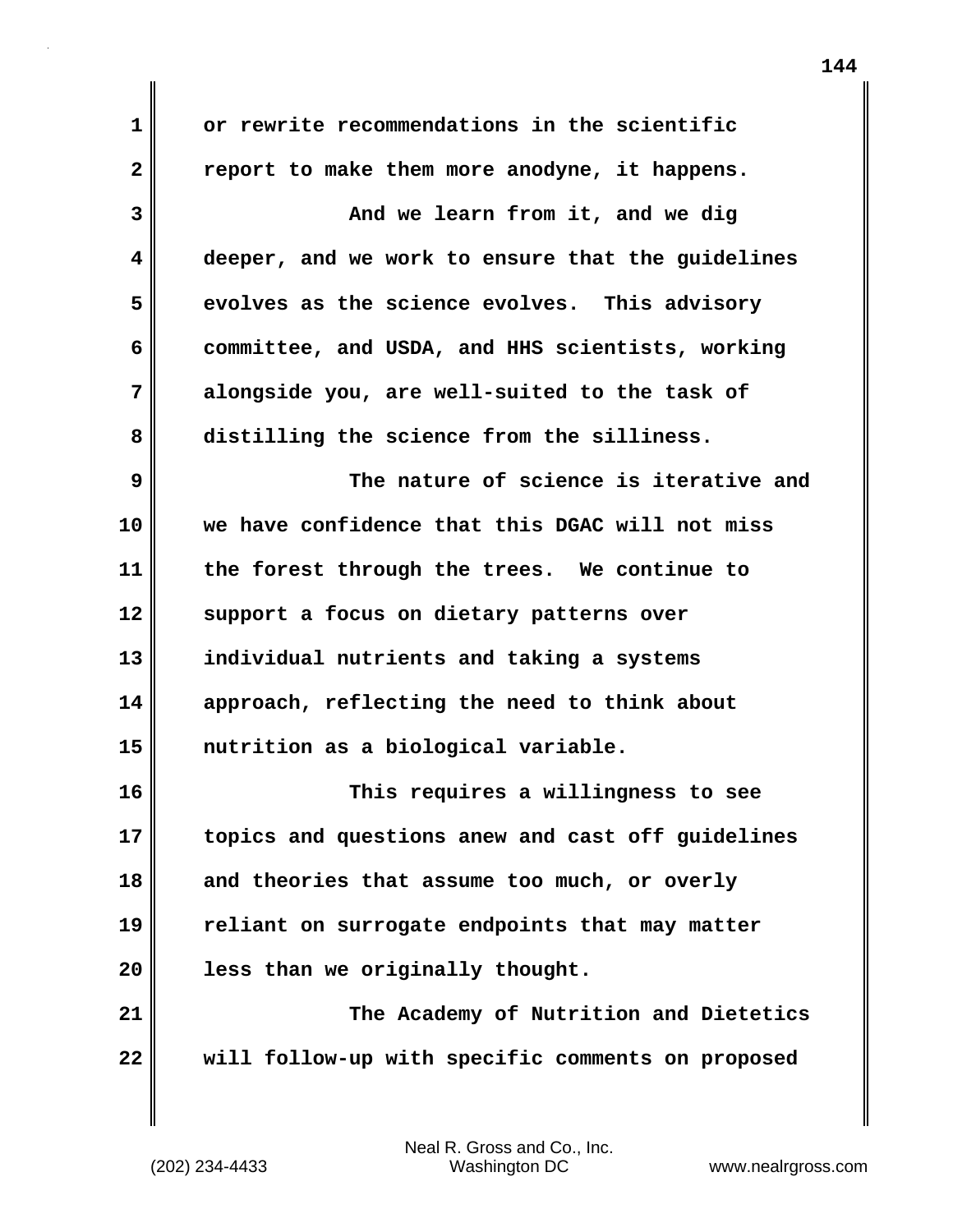| 1              | or rewrite recommendations in the scientific      |
|----------------|---------------------------------------------------|
| $\overline{2}$ | report to make them more anodyne, it happens.     |
| 3              | And we learn from it, and we dig                  |
| 4              | deeper, and we work to ensure that the guidelines |
| 5              | evolves as the science evolves. This advisory     |
| 6              | committee, and USDA, and HHS scientists, working  |
| 7              | alongside you, are well-suited to the task of     |
| 8              | distilling the science from the silliness.        |
| 9              | The nature of science is iterative and            |
| 10             | we have confidence that this DGAC will not miss   |
| 11             | the forest through the trees. We continue to      |
| 12             | support a focus on dietary patterns over          |
| 13             | individual nutrients and taking a systems         |
| 14             | approach, reflecting the need to think about      |
| 15             | nutrition as a biological variable.               |
| 16             | This requires a willingness to see                |
| 17             | topics and questions anew and cast off guidelines |
| 18             | and theories that assume too much, or overly      |
| 19             | reliant on surrogate endpoints that may matter    |
| 20             | less than we originally thought.                  |
| 21             | The Academy of Nutrition and Dietetics            |
| 22             | will follow-up with specific comments on proposed |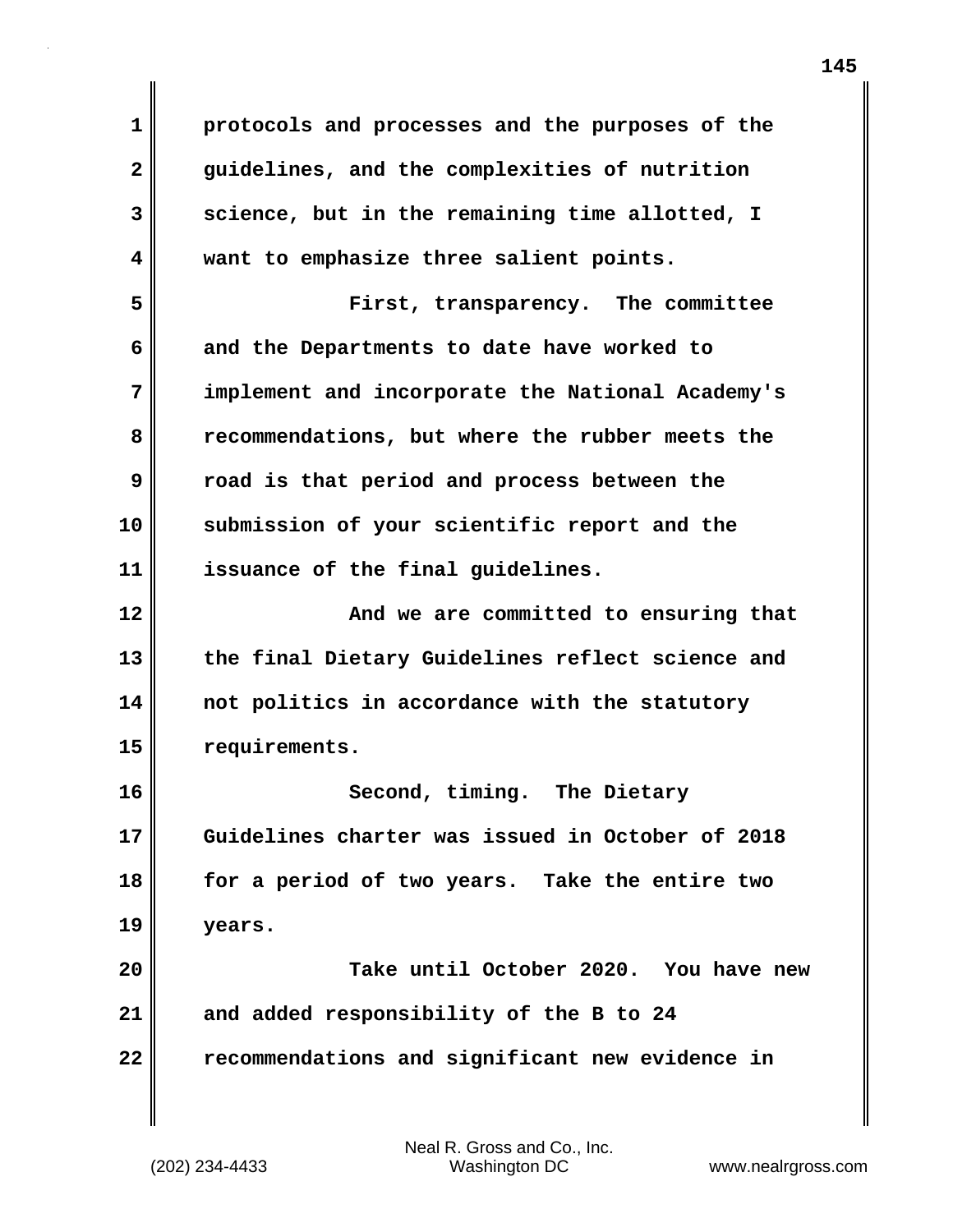**1 protocols and processes and the purposes of the 2 guidelines, and the complexities of nutrition 3 science, but in the remaining time allotted, I 4 want to emphasize three salient points. 5 First, transparency. The committee 6 and the Departments to date have worked to 7 implement and incorporate the National Academy's 8 recommendations, but where the rubber meets the 9 road is that period and process between the 10 submission of your scientific report and the 11 issuance of the final guidelines. 12 And we are committed to ensuring that 13 the final Dietary Guidelines reflect science and 14 not politics in accordance with the statutory 15 requirements. 16 Second, timing. The Dietary 17 Guidelines charter was issued in October of 2018 18 for a period of two years. Take the entire two 19 years. 20 Take until October 2020. You have new 21 and added responsibility of the B to 24 22 recommendations and significant new evidence in**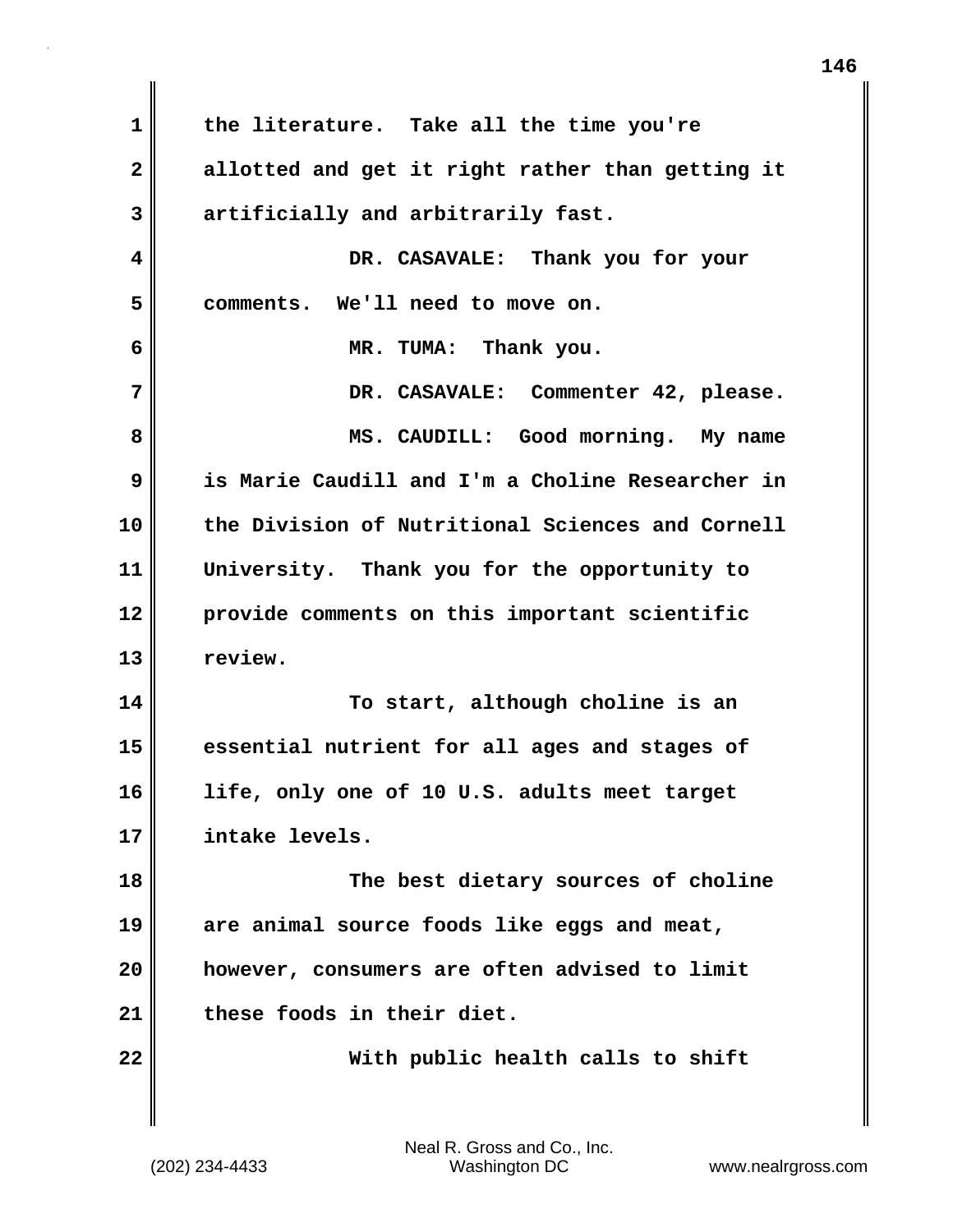**1 the literature. Take all the time you're 2 allotted and get it right rather than getting it 3 artificially and arbitrarily fast. 4 DR. CASAVALE: Thank you for your 5 comments. We'll need to move on. 6 MR. TUMA: Thank you. 7 DR. CASAVALE: Commenter 42, please. 8 MS. CAUDILL: Good morning. My name 9 is Marie Caudill and I'm a Choline Researcher in 10 the Division of Nutritional Sciences and Cornell 11 University. Thank you for the opportunity to 12 provide comments on this important scientific 13 review. 14 To start, although choline is an 15 essential nutrient for all ages and stages of 16 life, only one of 10 U.S. adults meet target 17 intake levels. 18 The best dietary sources of choline 19 are animal source foods like eggs and meat, 20 however, consumers are often advised to limit 21 these foods in their diet. 22 With public health calls to shift**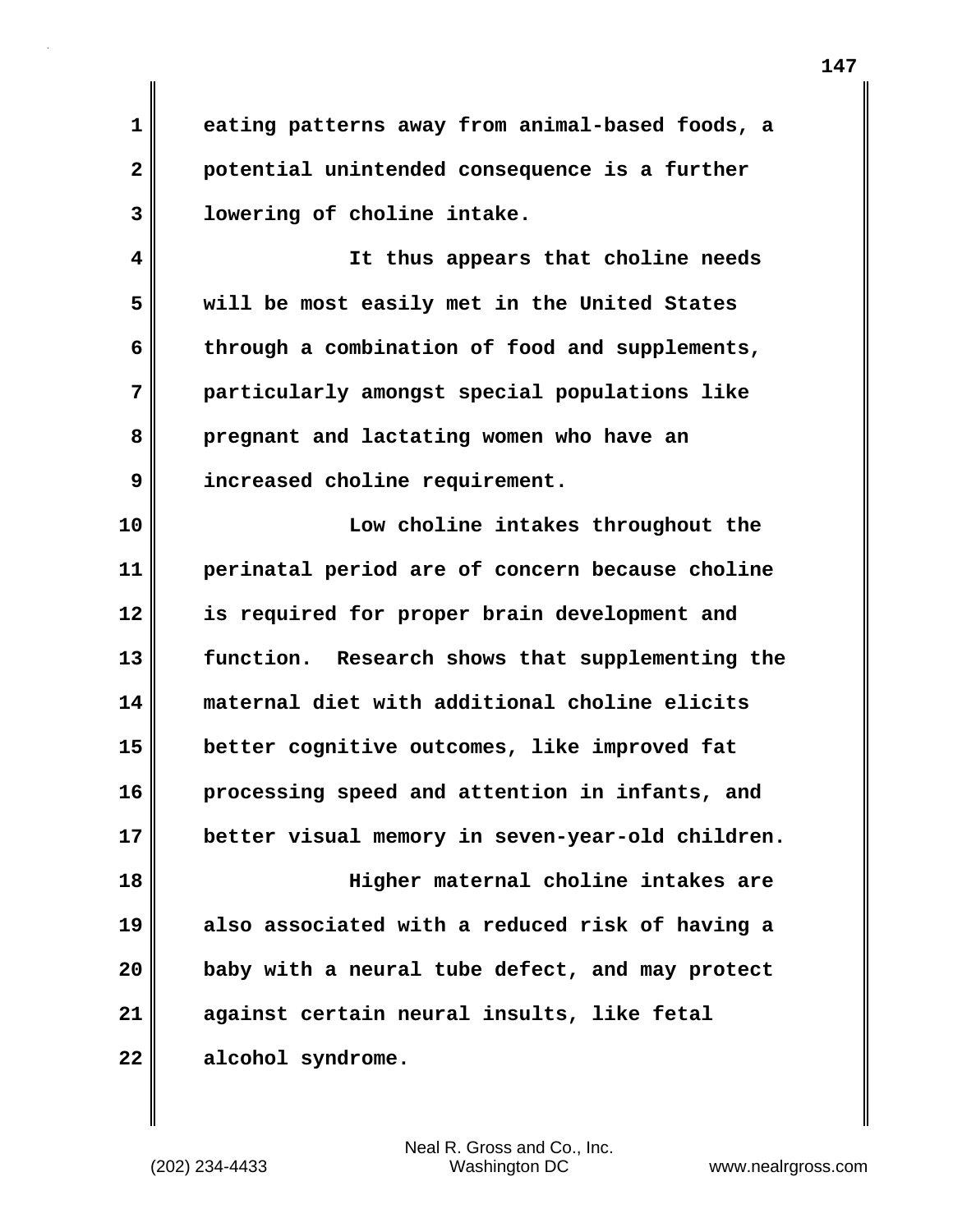**1 eating patterns away from animal-based foods, a 2 potential unintended consequence is a further 3 lowering of choline intake.**

**4 It thus appears that choline needs 5 will be most easily met in the United States 6 through a combination of food and supplements, 7 particularly amongst special populations like 8 pregnant and lactating women who have an 9 increased choline requirement.**

**10 Low choline intakes throughout the 11 perinatal period are of concern because choline 12 is required for proper brain development and 13 function. Research shows that supplementing the 14 maternal diet with additional choline elicits 15 better cognitive outcomes, like improved fat 16 processing speed and attention in infants, and 17 better visual memory in seven-year-old children. 18 Higher maternal choline intakes are 19 also associated with a reduced risk of having a 20 baby with a neural tube defect, and may protect 21 against certain neural insults, like fetal 22 alcohol syndrome.**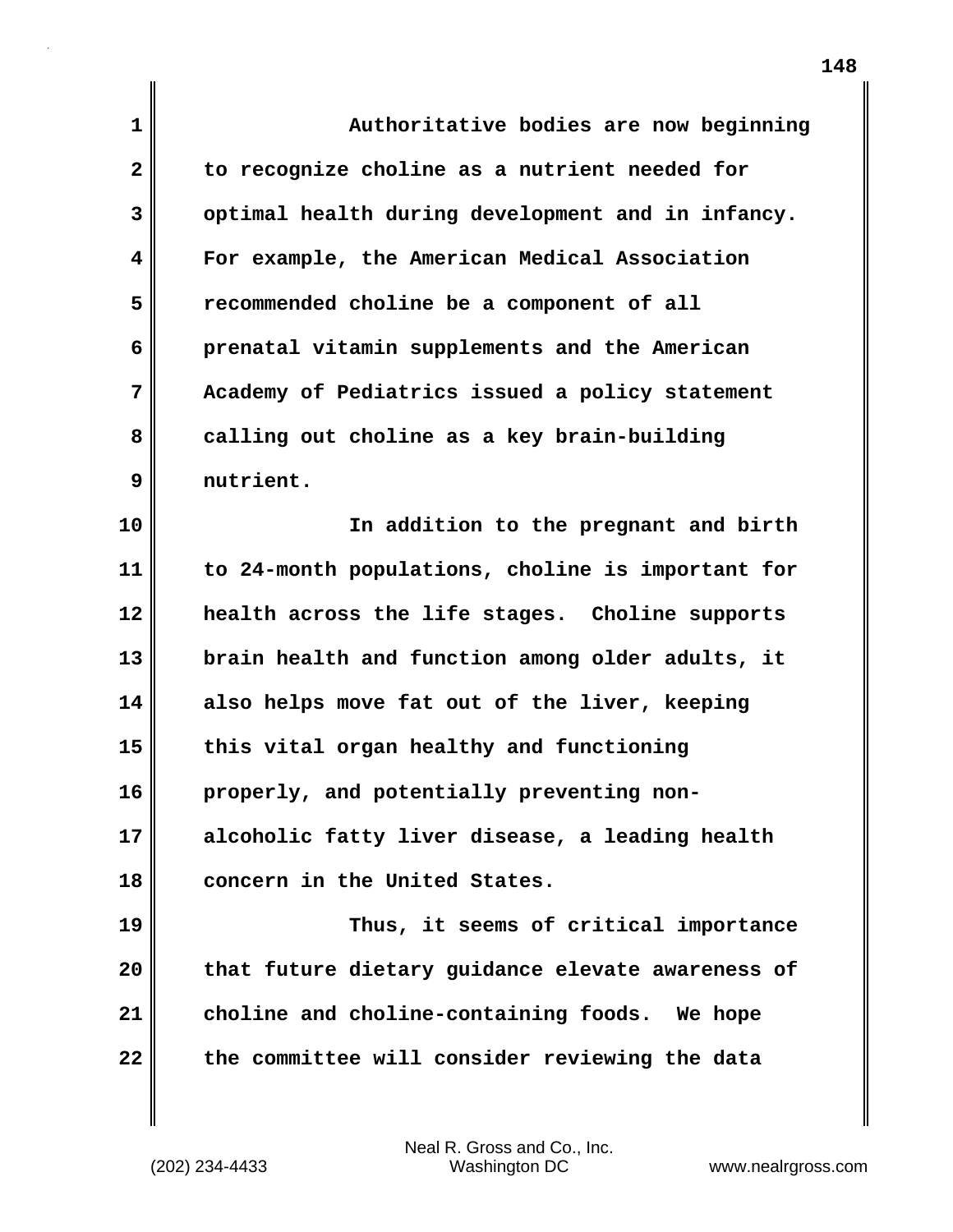**1 Authoritative bodies are now beginning 2 to recognize choline as a nutrient needed for 3 optimal health during development and in infancy. 4 For example, the American Medical Association 5 recommended choline be a component of all 6 prenatal vitamin supplements and the American 7 Academy of Pediatrics issued a policy statement 8 calling out choline as a key brain-building 9 nutrient. 10 In addition to the pregnant and birth 11 to 24-month populations, choline is important for 12 health across the life stages. Choline supports 13 brain health and function among older adults, it 14 also helps move fat out of the liver, keeping 15 this vital organ healthy and functioning 16 properly, and potentially preventing non-17 alcoholic fatty liver disease, a leading health 18 concern in the United States. 19 Thus, it seems of critical importance 20 that future dietary guidance elevate awareness of 21 choline and choline-containing foods. We hope 22 the committee will consider reviewing the data**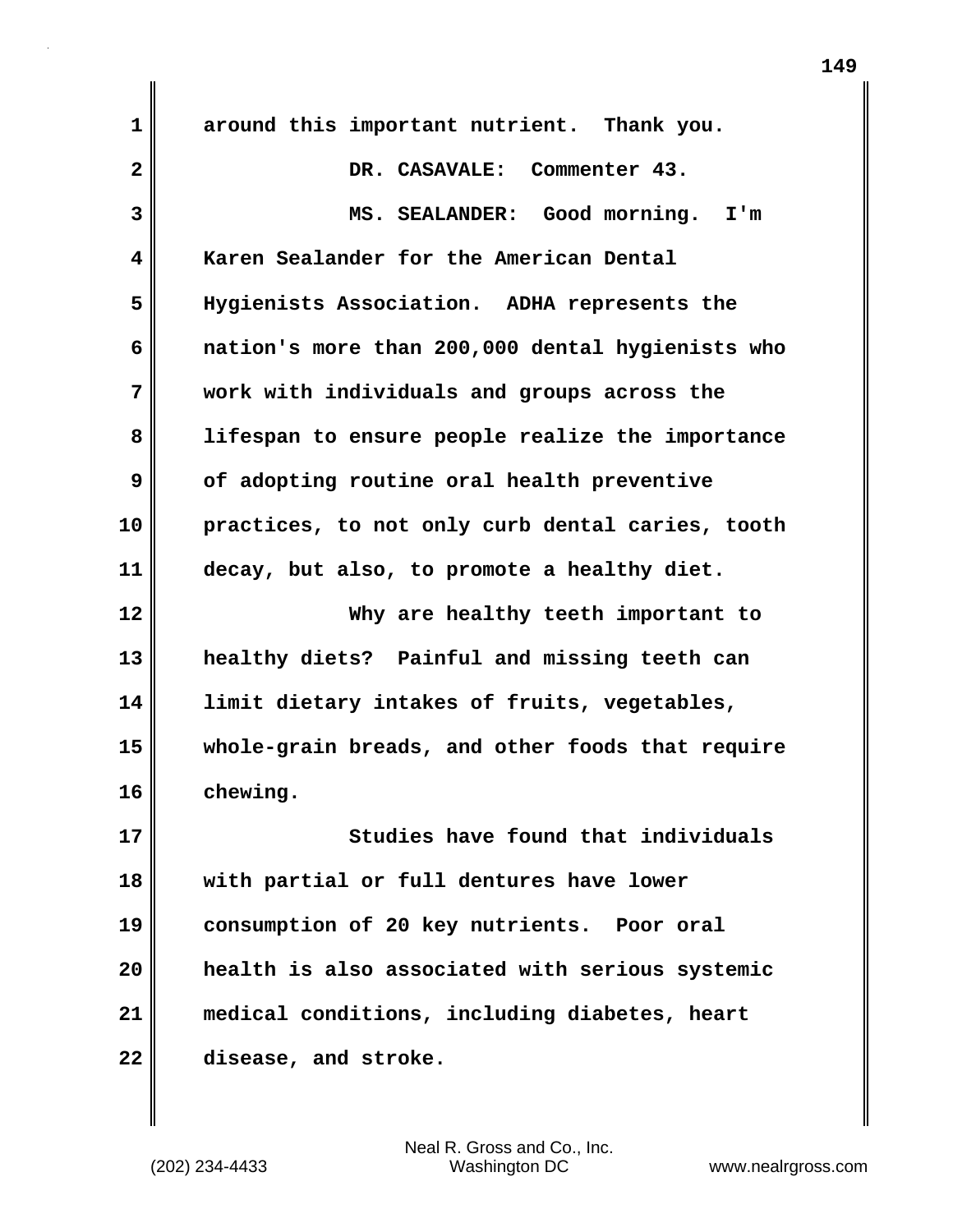| 1            | around this important nutrient. Thank you.       |
|--------------|--------------------------------------------------|
| $\mathbf{2}$ | DR. CASAVALE: Commenter 43.                      |
| 3            | MS. SEALANDER: Good morning. I'm                 |
| 4            | Karen Sealander for the American Dental          |
| 5            | Hygienists Association. ADHA represents the      |
| 6            | nation's more than 200,000 dental hygienists who |
| 7            | work with individuals and groups across the      |
| 8            | lifespan to ensure people realize the importance |
| 9            | of adopting routine oral health preventive       |
| 10           | practices, to not only curb dental caries, tooth |
| 11           | decay, but also, to promote a healthy diet.      |
| 12           | Why are healthy teeth important to               |
| 13           | healthy diets? Painful and missing teeth can     |
| 14           | limit dietary intakes of fruits, vegetables,     |
| 15           | whole-grain breads, and other foods that require |
| 16           | chewing.                                         |
| 17           | Studies have found that individuals              |
| 18           | with partial or full dentures have lower         |
| 19           | consumption of 20 key nutrients. Poor oral       |
| 20           | health is also associated with serious systemic  |
| 21           | medical conditions, including diabetes, heart    |
| 22           | disease, and stroke.                             |
|              |                                                  |

 $\mathbf{I}$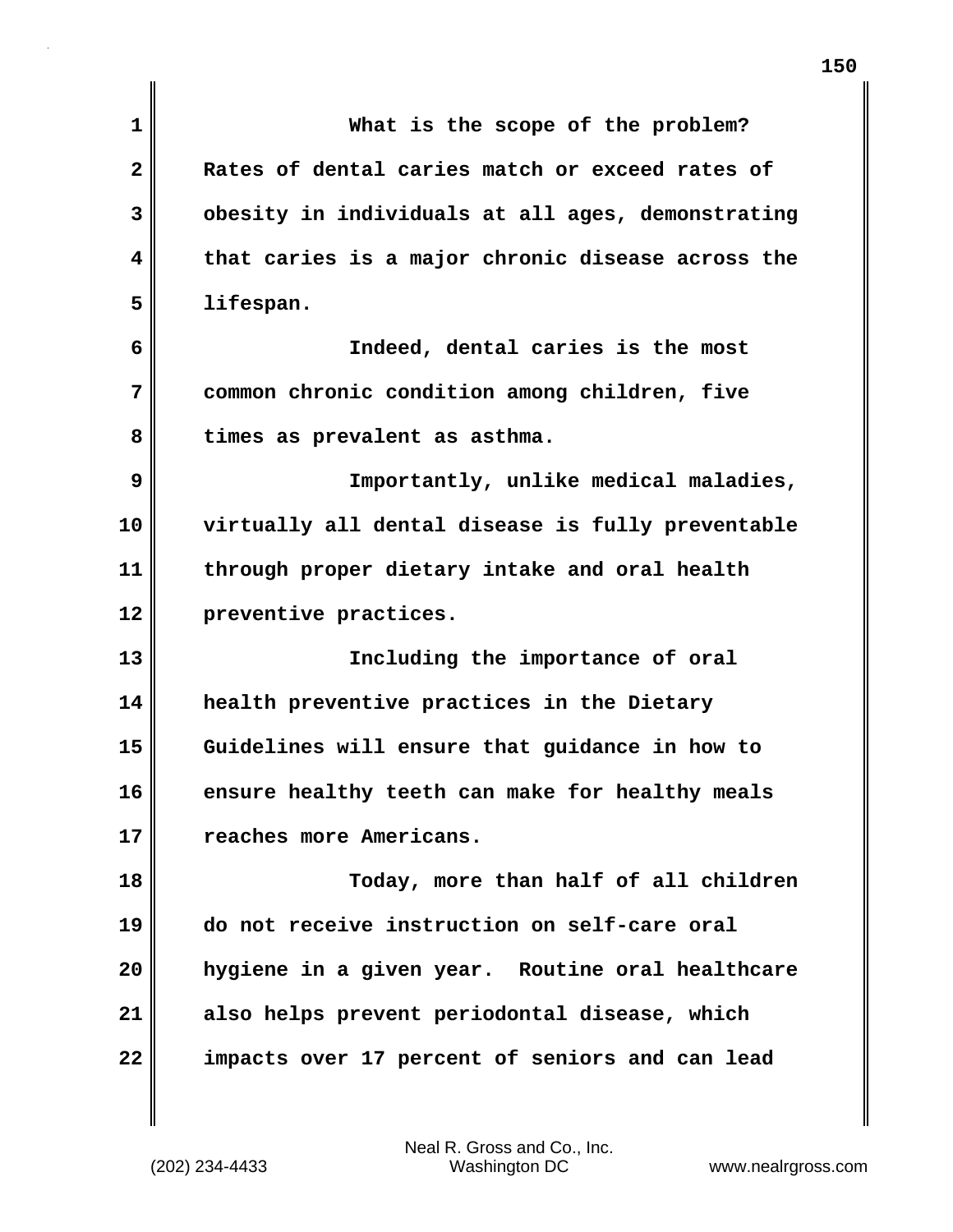| $\mathbf{1}$            | What is the scope of the problem?                 |
|-------------------------|---------------------------------------------------|
| $\overline{\mathbf{2}}$ | Rates of dental caries match or exceed rates of   |
| 3                       | obesity in individuals at all ages, demonstrating |
| 4                       | that caries is a major chronic disease across the |
| 5                       | lifespan.                                         |
| 6                       | Indeed, dental caries is the most                 |
| 7                       | common chronic condition among children, five     |
| 8                       | times as prevalent as asthma.                     |
| 9                       | Importantly, unlike medical maladies,             |
| 10                      | virtually all dental disease is fully preventable |
| 11                      | through proper dietary intake and oral health     |
| 12                      | preventive practices.                             |
| 13                      | Including the importance of oral                  |
| 14                      | health preventive practices in the Dietary        |
| 15                      | Guidelines will ensure that guidance in how to    |
| 16                      | ensure healthy teeth can make for healthy meals   |
| 17                      | reaches more Americans.                           |
| 18                      | Today, more than half of all children             |
| 19                      | do not receive instruction on self-care oral      |
| 20                      | hygiene in a given year. Routine oral healthcare  |
| 21                      | also helps prevent periodontal disease, which     |
| 22                      | impacts over 17 percent of seniors and can lead   |
|                         |                                                   |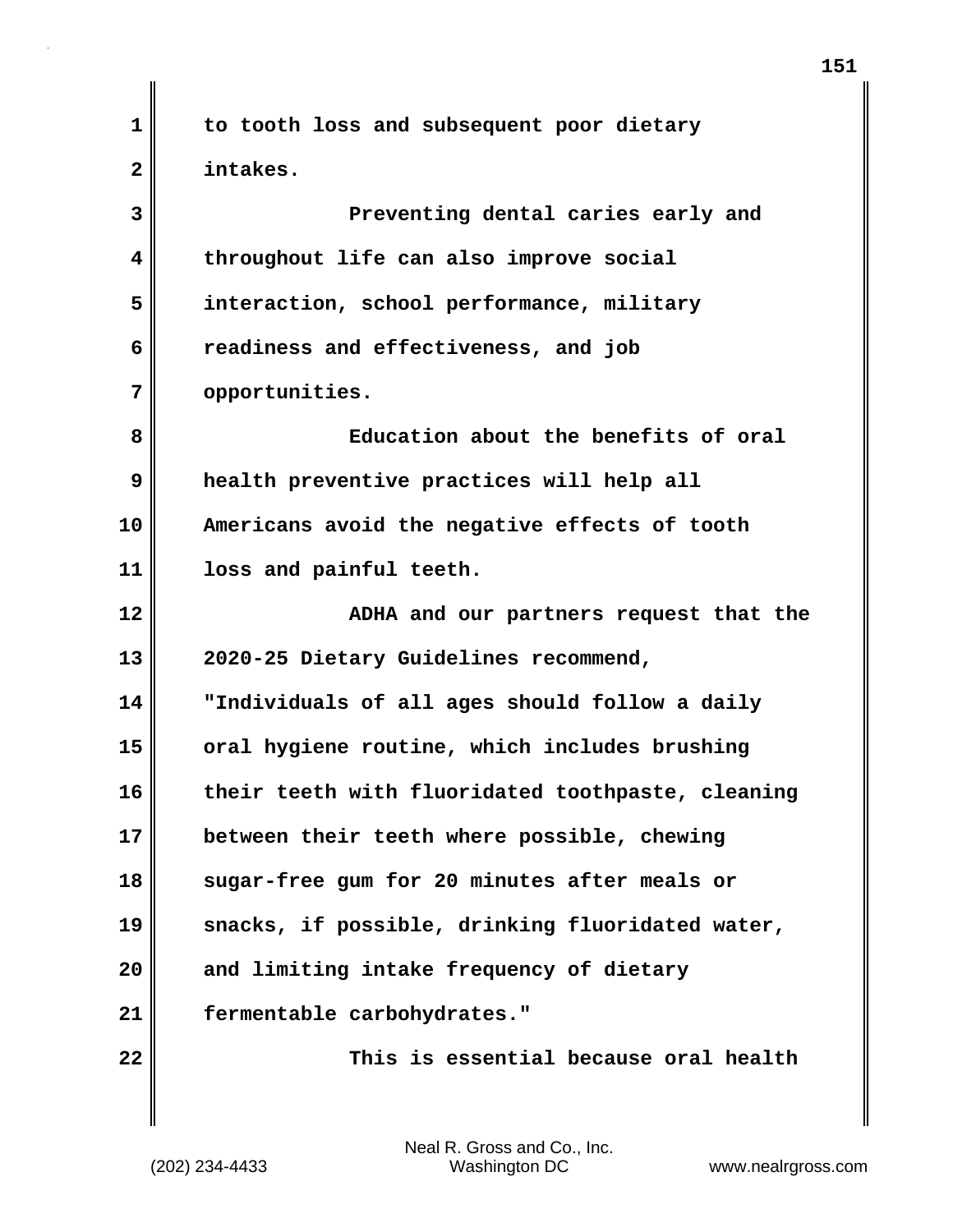**1 to tooth loss and subsequent poor dietary 2 intakes. 3 Preventing dental caries early and 4 throughout life can also improve social 5 interaction, school performance, military 6 readiness and effectiveness, and job 7 opportunities. 8 Education about the benefits of oral 9 health preventive practices will help all 10 Americans avoid the negative effects of tooth 11 loss and painful teeth. 12 ADHA and our partners request that the 13 2020-25 Dietary Guidelines recommend, 14 "Individuals of all ages should follow a daily 15 oral hygiene routine, which includes brushing 16 their teeth with fluoridated toothpaste, cleaning 17 between their teeth where possible, chewing 18 sugar-free gum for 20 minutes after meals or 19 snacks, if possible, drinking fluoridated water, 20 and limiting intake frequency of dietary 21 fermentable carbohydrates." 22 This is essential because oral health**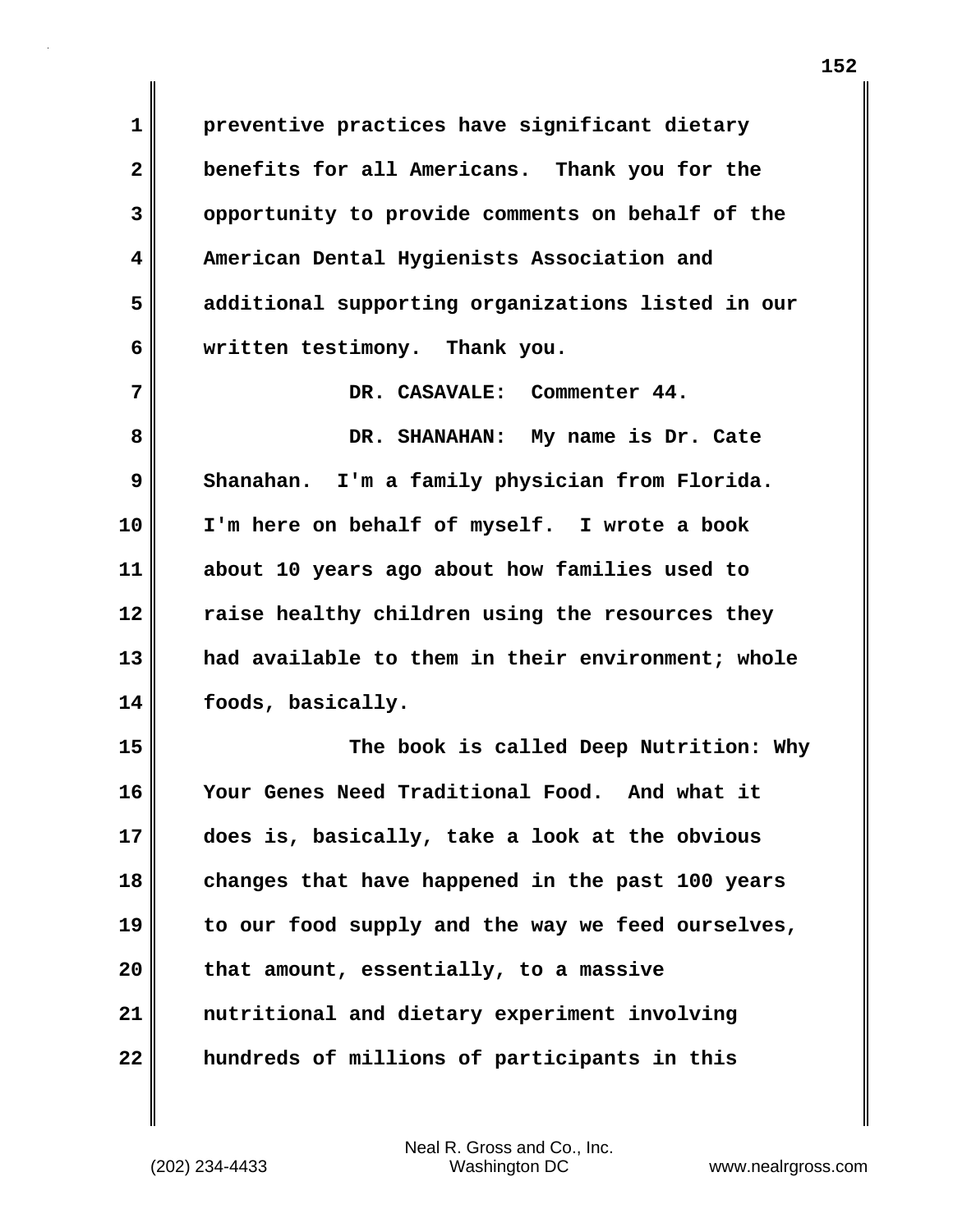**1 preventive practices have significant dietary 2 benefits for all Americans. Thank you for the 3 opportunity to provide comments on behalf of the 4 American Dental Hygienists Association and 5 additional supporting organizations listed in our 6 written testimony. Thank you. 7 DR. CASAVALE: Commenter 44. 8 DR. SHANAHAN: My name is Dr. Cate 9 Shanahan. I'm a family physician from Florida. 10 I'm here on behalf of myself. I wrote a book 11 about 10 years ago about how families used to 12 raise healthy children using the resources they 13 had available to them in their environment; whole 14 foods, basically. 15 The book is called Deep Nutrition: Why 16 Your Genes Need Traditional Food. And what it 17 does is, basically, take a look at the obvious 18 changes that have happened in the past 100 years 19 to our food supply and the way we feed ourselves, 20 that amount, essentially, to a massive 21 nutritional and dietary experiment involving 22 hundreds of millions of participants in this**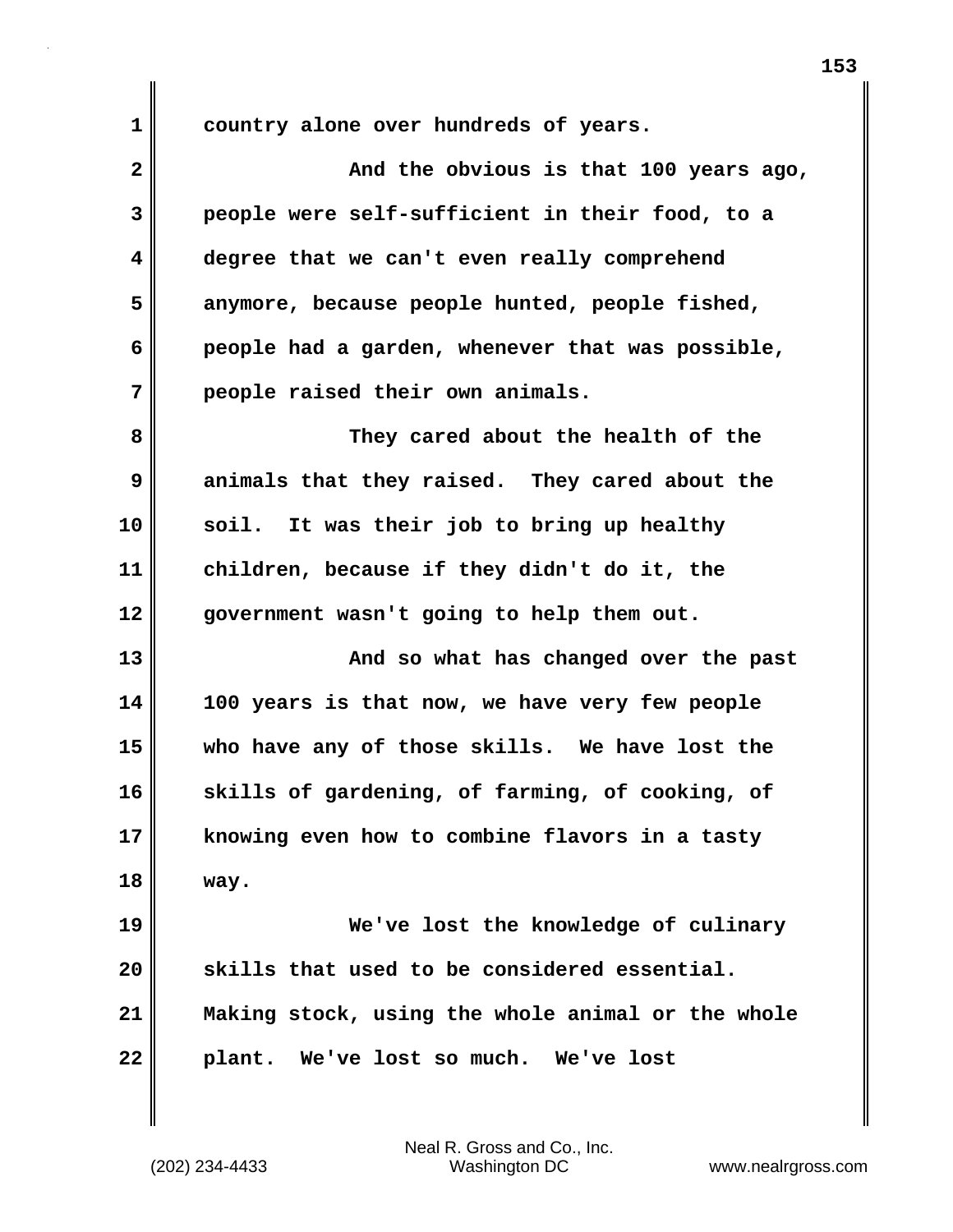**1 country alone over hundreds of years.**

| $\overline{\mathbf{2}}$ | And the obvious is that 100 years ago,            |
|-------------------------|---------------------------------------------------|
| 3                       | people were self-sufficient in their food, to a   |
| 4                       | degree that we can't even really comprehend       |
| 5                       | anymore, because people hunted, people fished,    |
| 6                       | people had a garden, whenever that was possible,  |
| 7                       | people raised their own animals.                  |
| 8                       | They cared about the health of the                |
| 9                       | animals that they raised. They cared about the    |
| 10                      | soil. It was their job to bring up healthy        |
| 11                      | children, because if they didn't do it, the       |
| 12                      | government wasn't going to help them out.         |
| 13                      | And so what has changed over the past             |
| 14                      | 100 years is that now, we have very few people    |
| 15                      | who have any of those skills. We have lost the    |
| 16                      | skills of gardening, of farming, of cooking, of   |
| 17                      | knowing even how to combine flavors in a tasty    |
| 18                      | way.                                              |
| 19                      | We've lost the knowledge of culinary              |
| 20                      | skills that used to be considered essential.      |
| 21                      | Making stock, using the whole animal or the whole |
| 22                      | plant. We've lost so much. We've lost             |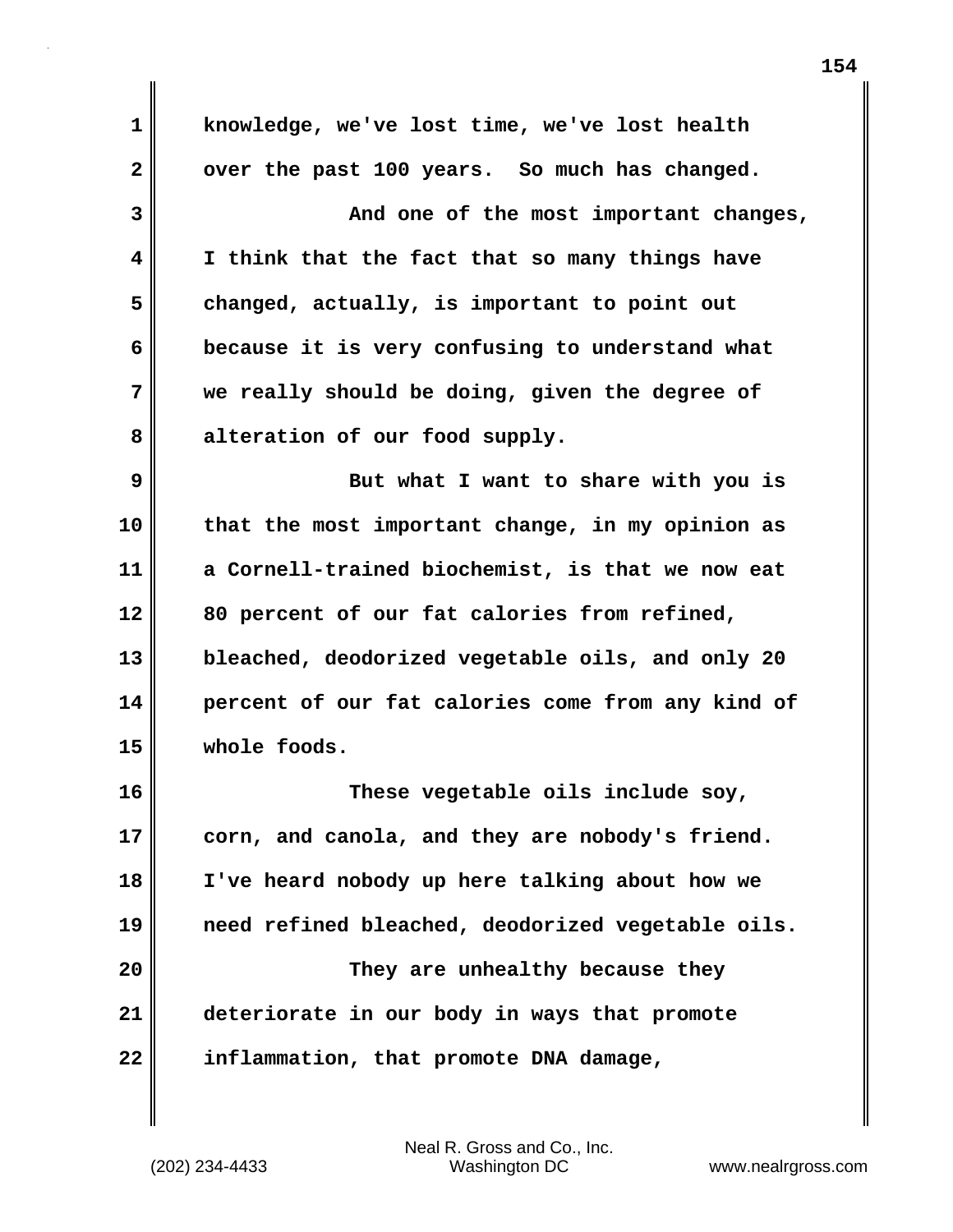**1 knowledge, we've lost time, we've lost health** 2 over the past 100 years. So much has changed. **3 And one of the most important changes, 4 I think that the fact that so many things have 5 changed, actually, is important to point out 6 because it is very confusing to understand what 7 we really should be doing, given the degree of 8 alteration of our food supply. 9 But what I want to share with you is 10 that the most important change, in my opinion as 11 a Cornell-trained biochemist, is that we now eat 12 80 percent of our fat calories from refined, 13 bleached, deodorized vegetable oils, and only 20 14 percent of our fat calories come from any kind of 15 whole foods. 16 These vegetable oils include soy, 17 corn, and canola, and they are nobody's friend. 18 I've heard nobody up here talking about how we 19 need refined bleached, deodorized vegetable oils. 20 They are unhealthy because they 21 deteriorate in our body in ways that promote 22 inflammation, that promote DNA damage,**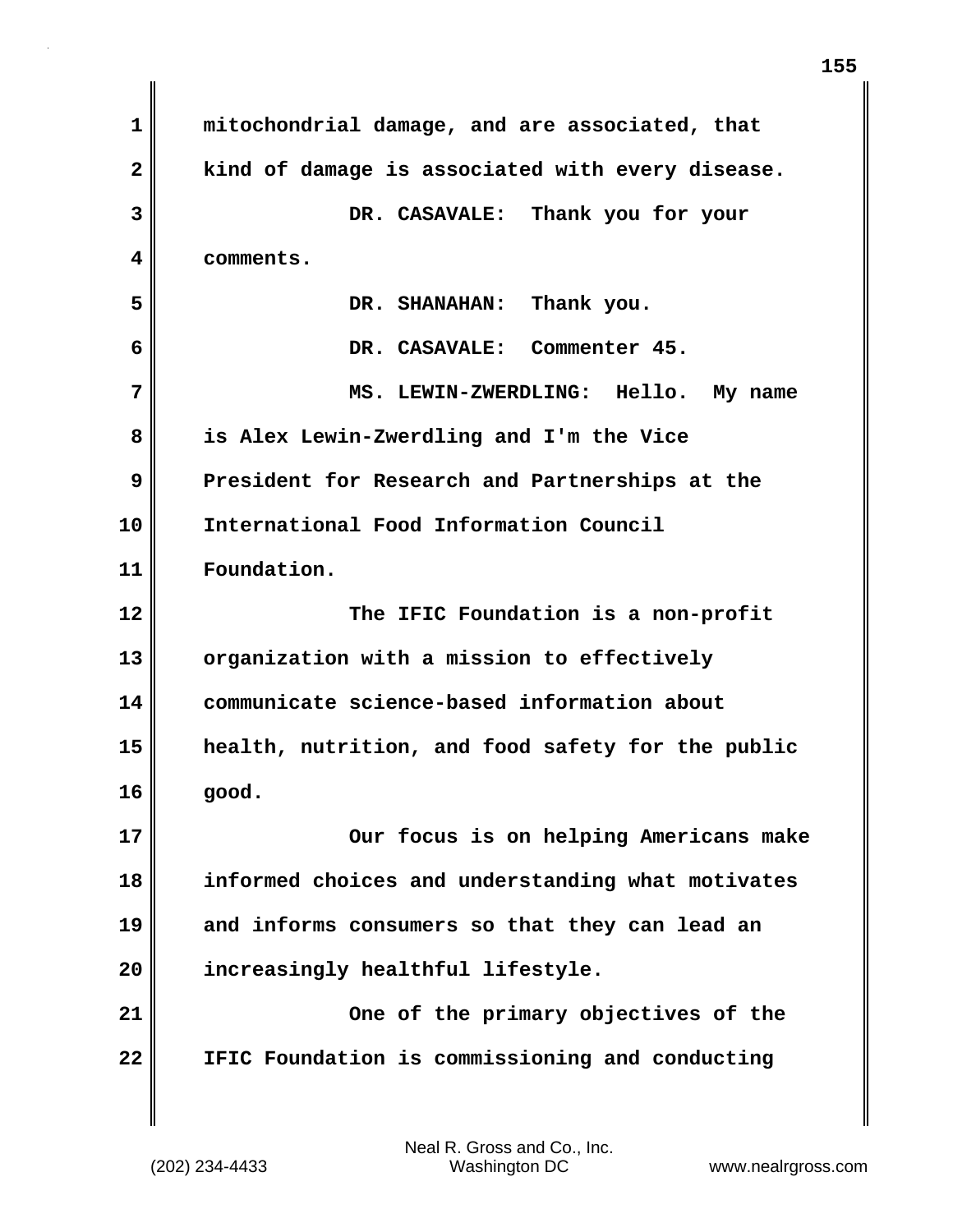| 1            | mitochondrial damage, and are associated, that    |
|--------------|---------------------------------------------------|
| $\mathbf{2}$ | kind of damage is associated with every disease.  |
| 3            | DR. CASAVALE: Thank you for your                  |
| 4            | comments.                                         |
| 5            | Thank you.<br>DR. SHANAHAN:                       |
| 6            | DR. CASAVALE: Commenter 45.                       |
| 7            | MS. LEWIN-ZWERDLING: Hello. My name               |
| 8            | is Alex Lewin-Zwerdling and I'm the Vice          |
| 9            | President for Research and Partnerships at the    |
| 10           | International Food Information Council            |
| 11           | Foundation.                                       |
|              |                                                   |
| 12           | The IFIC Foundation is a non-profit               |
| 13           | organization with a mission to effectively        |
| 14           | communicate science-based information about       |
| 15           | health, nutrition, and food safety for the public |
| 16           | good.                                             |
| 17           | Our focus is on helping Americans make            |
| 18           | informed choices and understanding what motivates |
| 19           | and informs consumers so that they can lead an    |
| 20           | increasingly healthful lifestyle.                 |
| 21           | One of the primary objectives of the              |

 $\mathbf{I}$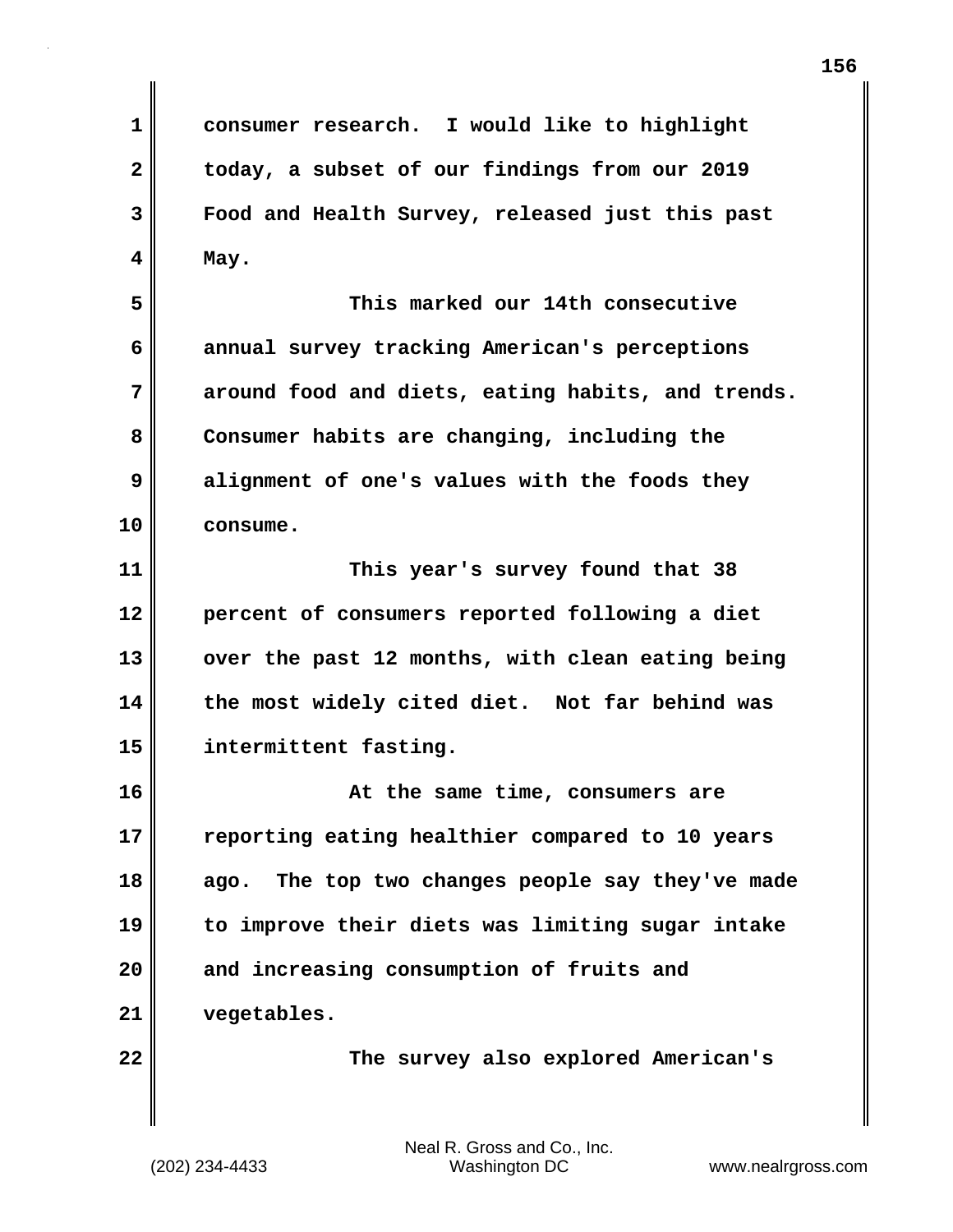**1 consumer research. I would like to highlight 2 today, a subset of our findings from our 2019 3 Food and Health Survey, released just this past 4 May.**

**5 This marked our 14th consecutive 6 annual survey tracking American's perceptions 7 around food and diets, eating habits, and trends. 8 Consumer habits are changing, including the 9 alignment of one's values with the foods they 10 consume.**

**11 This year's survey found that 38 12 percent of consumers reported following a diet** 13 over the past 12 months, with clean eating being **14 the most widely cited diet. Not far behind was 15 intermittent fasting.**

**16 At the same time, consumers are 17 reporting eating healthier compared to 10 years 18 ago. The top two changes people say they've made 19 to improve their diets was limiting sugar intake 20 and increasing consumption of fruits and 21 vegetables.**

**22 The survey also explored American's**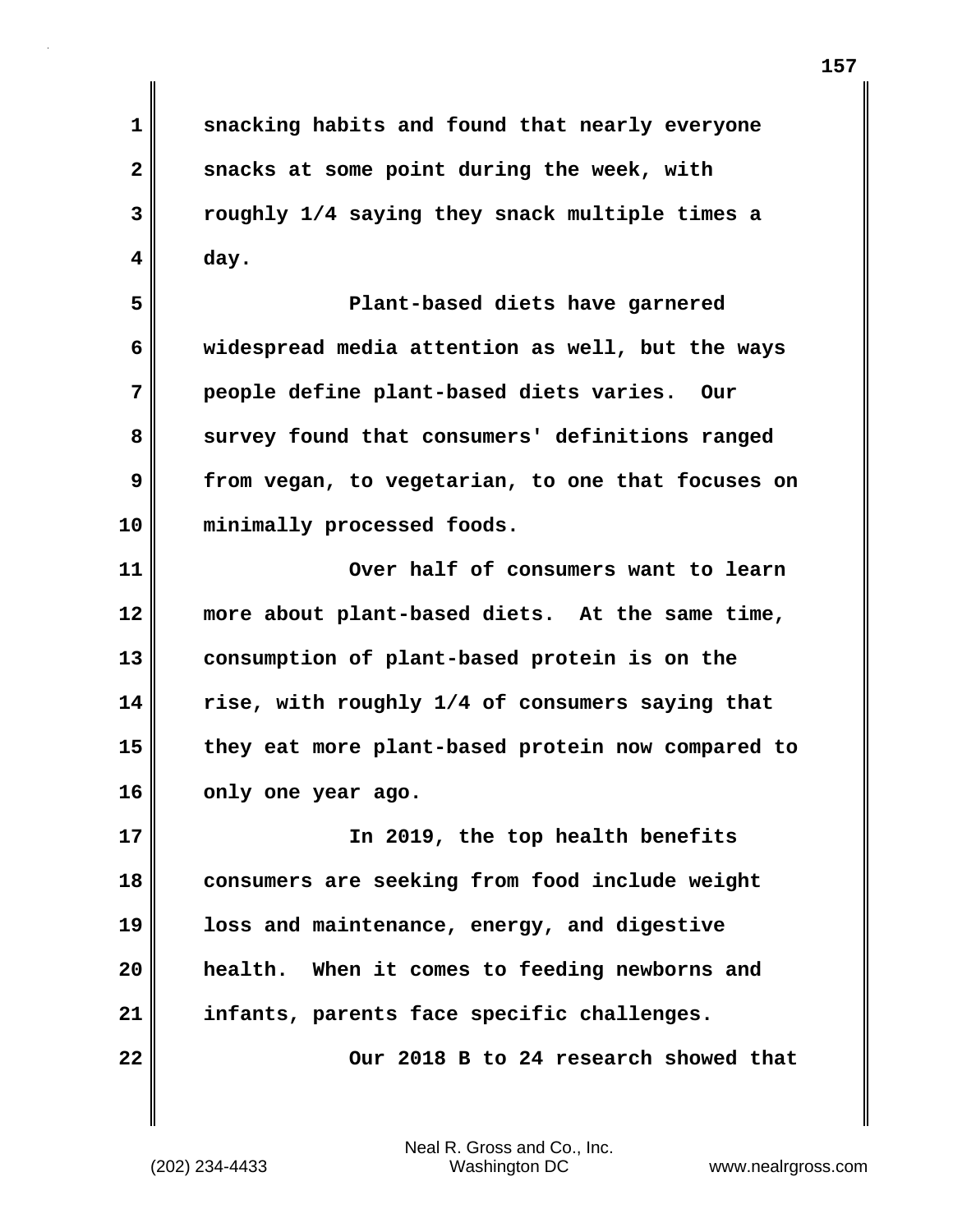**1 snacking habits and found that nearly everyone 2 snacks at some point during the week, with 3 roughly 1/4 saying they snack multiple times a 4 day.**

**5 Plant-based diets have garnered 6 widespread media attention as well, but the ways 7 people define plant-based diets varies. Our** 8 survey found that consumers' definitions ranged **9 from vegan, to vegetarian, to one that focuses on 10 minimally processed foods.**

**11 Over half of consumers want to learn 12 more about plant-based diets. At the same time, 13 consumption of plant-based protein is on the 14 rise, with roughly 1/4 of consumers saying that 15 they eat more plant-based protein now compared to 16 only one year ago.**

**17 In 2019, the top health benefits 18 consumers are seeking from food include weight 19 loss and maintenance, energy, and digestive 20 health. When it comes to feeding newborns and 21 infants, parents face specific challenges. 22 Our 2018 B to 24 research showed that**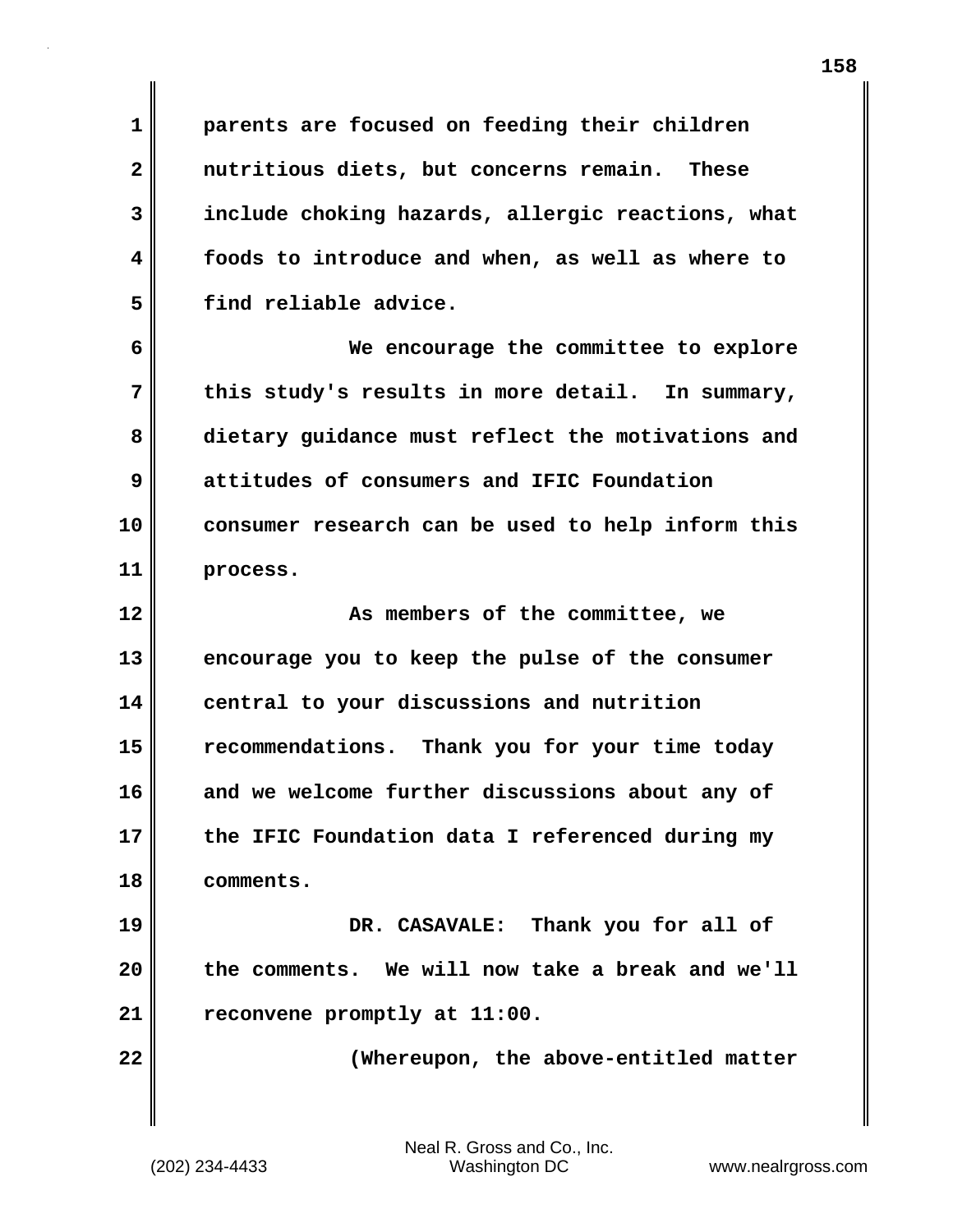**1 parents are focused on feeding their children 2 nutritious diets, but concerns remain. These 3 include choking hazards, allergic reactions, what 4 foods to introduce and when, as well as where to 5 find reliable advice.**

**6 We encourage the committee to explore 7 this study's results in more detail. In summary, 8 dietary guidance must reflect the motivations and 9 attitudes of consumers and IFIC Foundation 10 consumer research can be used to help inform this 11 process.**

**12 As members of the committee, we 13 encourage you to keep the pulse of the consumer 14 central to your discussions and nutrition 15 recommendations. Thank you for your time today 16 and we welcome further discussions about any of 17 the IFIC Foundation data I referenced during my 18 comments.**

**19 DR. CASAVALE: Thank you for all of 20 the comments. We will now take a break and we'll 21 reconvene promptly at 11:00.**

**22 (Whereupon, the above-entitled matter**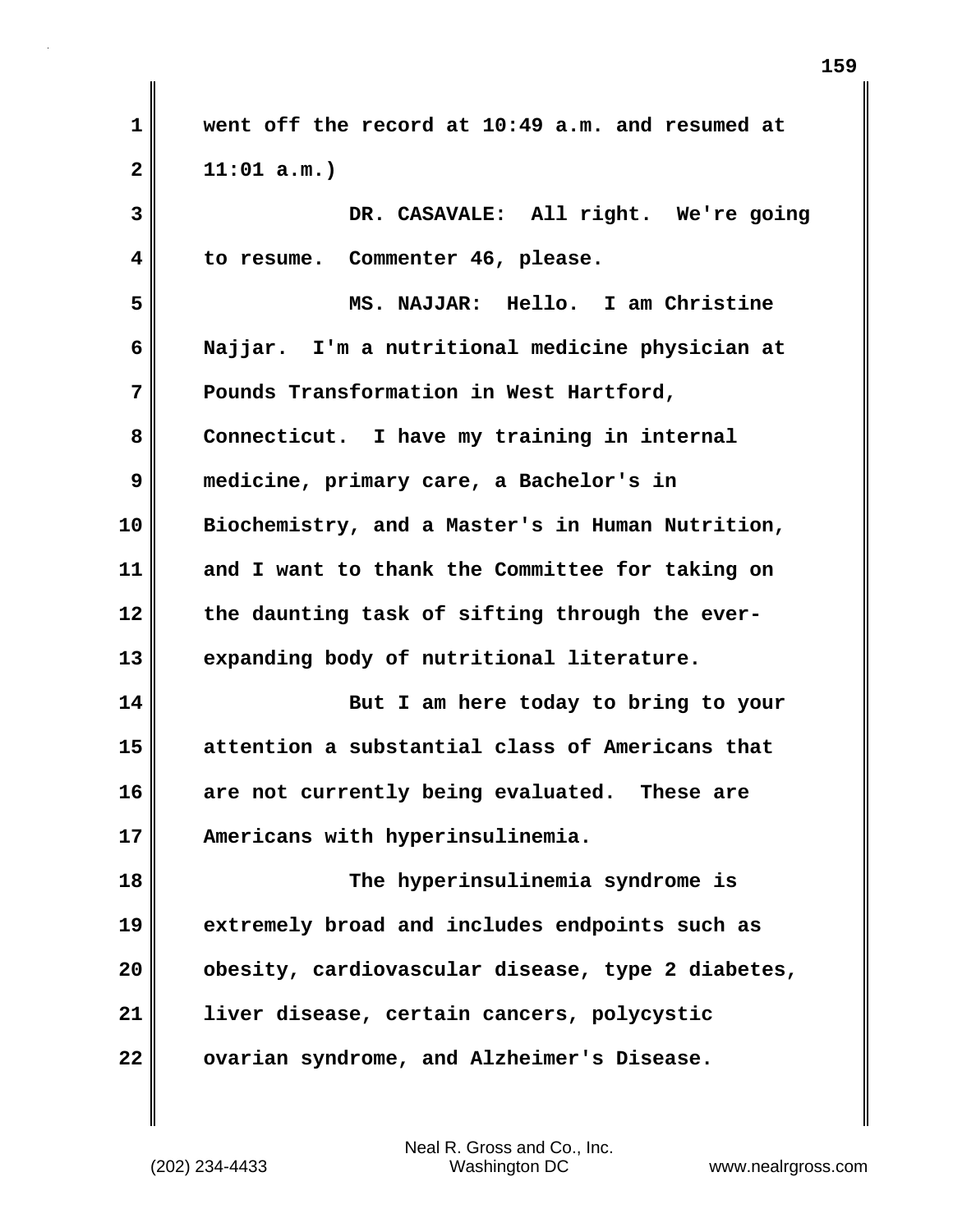**1 went off the record at 10:49 a.m. and resumed at 2 11:01 a.m.) 3 DR. CASAVALE: All right. We're going 4 to resume. Commenter 46, please. 5 MS. NAJJAR: Hello. I am Christine 6 Najjar. I'm a nutritional medicine physician at 7 Pounds Transformation in West Hartford, 8 Connecticut. I have my training in internal 9 medicine, primary care, a Bachelor's in 10 Biochemistry, and a Master's in Human Nutrition, 11 and I want to thank the Committee for taking on 12 the daunting task of sifting through the ever-13 expanding body of nutritional literature. 14 But I am here today to bring to your 15 attention a substantial class of Americans that 16 are not currently being evaluated. These are 17 Americans with hyperinsulinemia. 18 The hyperinsulinemia syndrome is 19 extremely broad and includes endpoints such as**

**20 obesity, cardiovascular disease, type 2 diabetes, 21 liver disease, certain cancers, polycystic 22 ovarian syndrome, and Alzheimer's Disease.**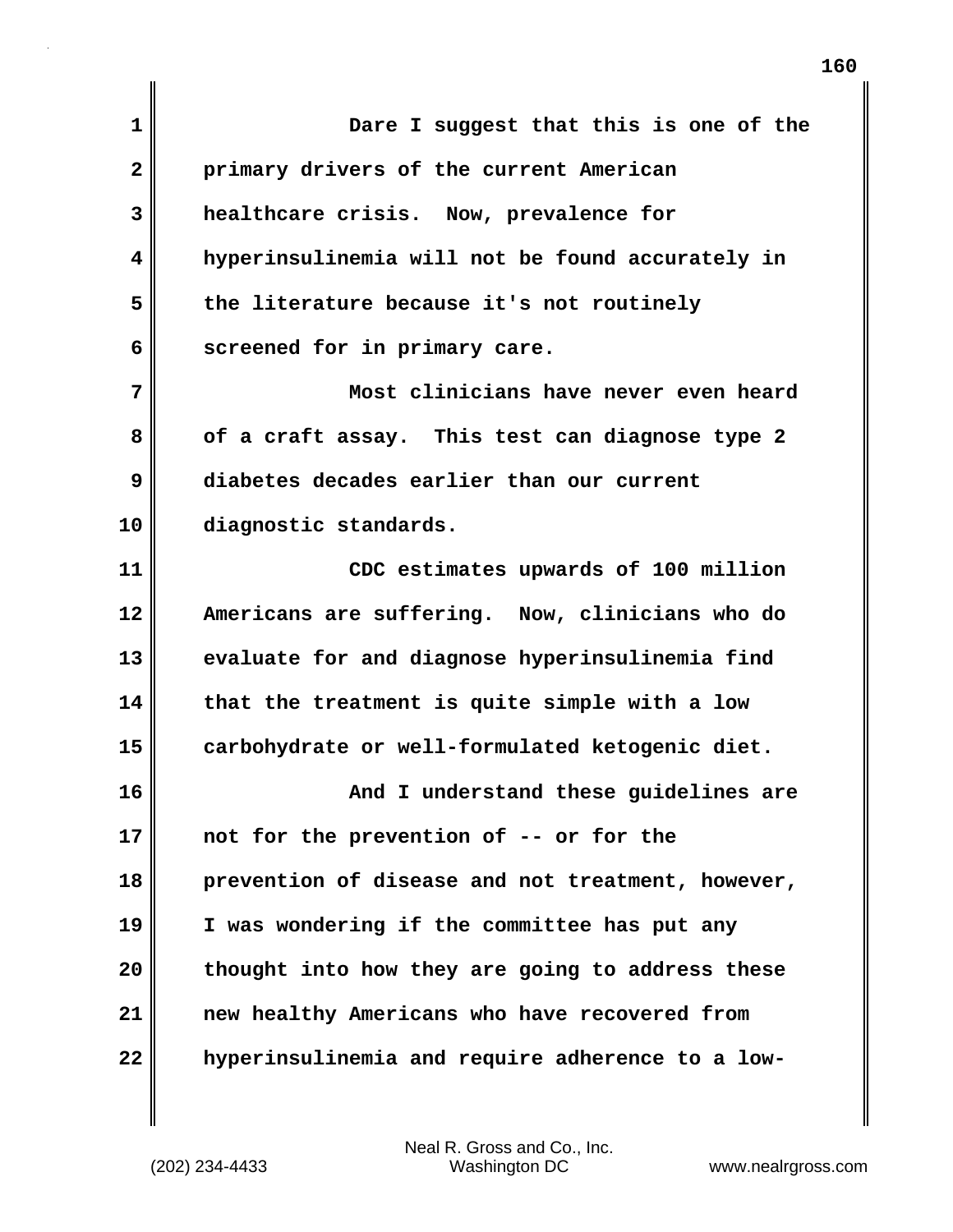| 1            | Dare I suggest that this is one of the            |
|--------------|---------------------------------------------------|
| $\mathbf{2}$ | primary drivers of the current American           |
| 3            | healthcare crisis. Now, prevalence for            |
| 4            | hyperinsulinemia will not be found accurately in  |
| 5            | the literature because it's not routinely         |
| 6            | screened for in primary care.                     |
| 7            | Most clinicians have never even heard             |
| 8            | of a craft assay. This test can diagnose type 2   |
| 9            | diabetes decades earlier than our current         |
| 10           | diagnostic standards.                             |
| 11           | CDC estimates upwards of 100 million              |
| 12           | Americans are suffering. Now, clinicians who do   |
| 13           | evaluate for and diagnose hyperinsulinemia find   |
| 14           | that the treatment is quite simple with a low     |
| 15           | carbohydrate or well-formulated ketogenic diet.   |
| 16           | And I understand these guidelines are             |
| 17           | not for the prevention of -- or for the           |
| 18           | prevention of disease and not treatment, however, |
| 19           | I was wondering if the committee has put any      |
| 20           | thought into how they are going to address these  |
| 21           | new healthy Americans who have recovered from     |
| 22           | hyperinsulinemia and require adherence to a low-  |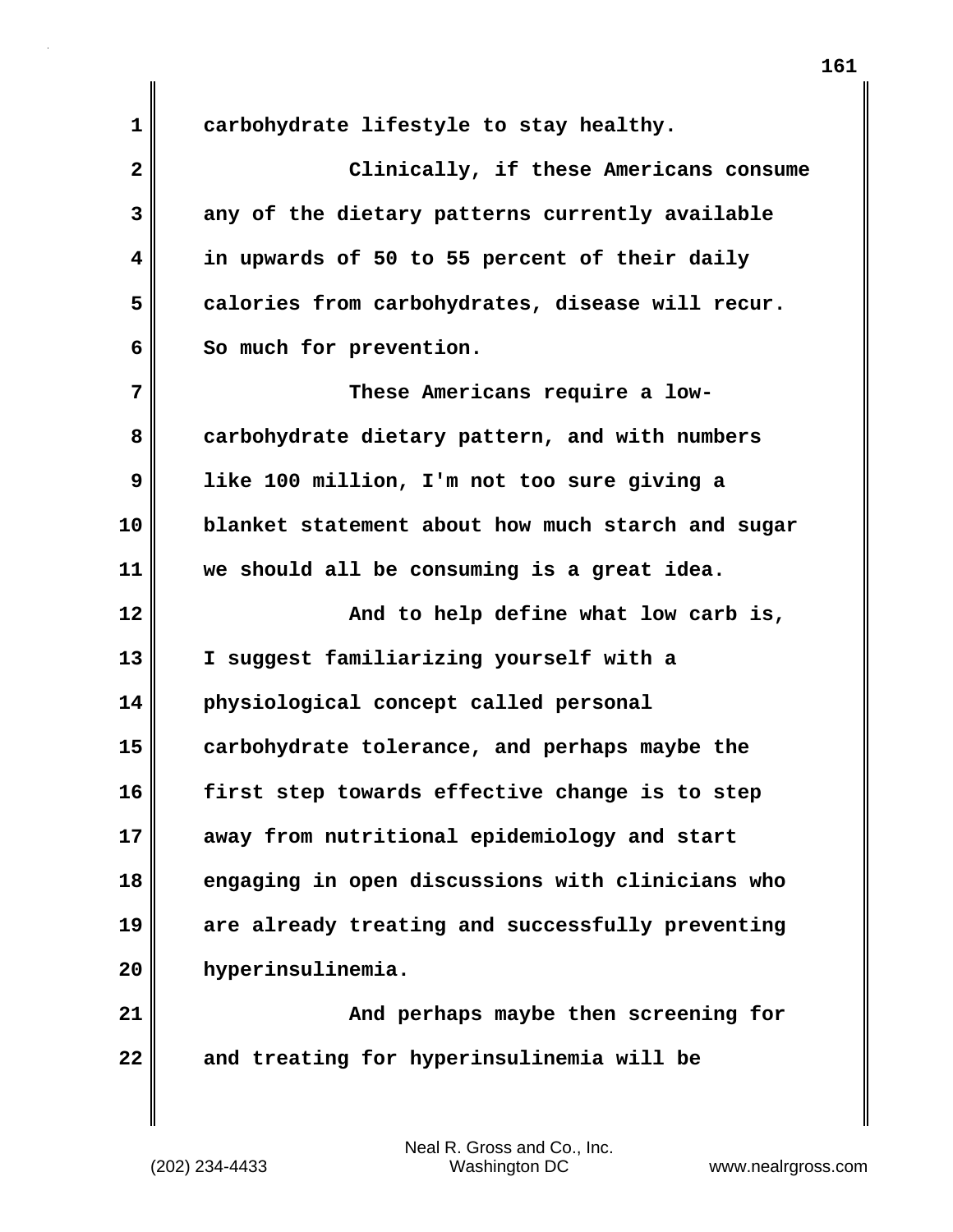**1 carbohydrate lifestyle to stay healthy. 2 Clinically, if these Americans consume 3 any of the dietary patterns currently available 4 in upwards of 50 to 55 percent of their daily 5 calories from carbohydrates, disease will recur.**  6 So much for prevention. **7 These Americans require a low-8 carbohydrate dietary pattern, and with numbers 9 like 100 million, I'm not too sure giving a 10 blanket statement about how much starch and sugar 11 we should all be consuming is a great idea. 12 And to help define what low carb is, 13 I suggest familiarizing yourself with a 14 physiological concept called personal 15 carbohydrate tolerance, and perhaps maybe the 16 first step towards effective change is to step 17 away from nutritional epidemiology and start 18 engaging in open discussions with clinicians who 19 are already treating and successfully preventing 20 hyperinsulinemia.**

**21 And perhaps maybe then screening for 22 and treating for hyperinsulinemia will be**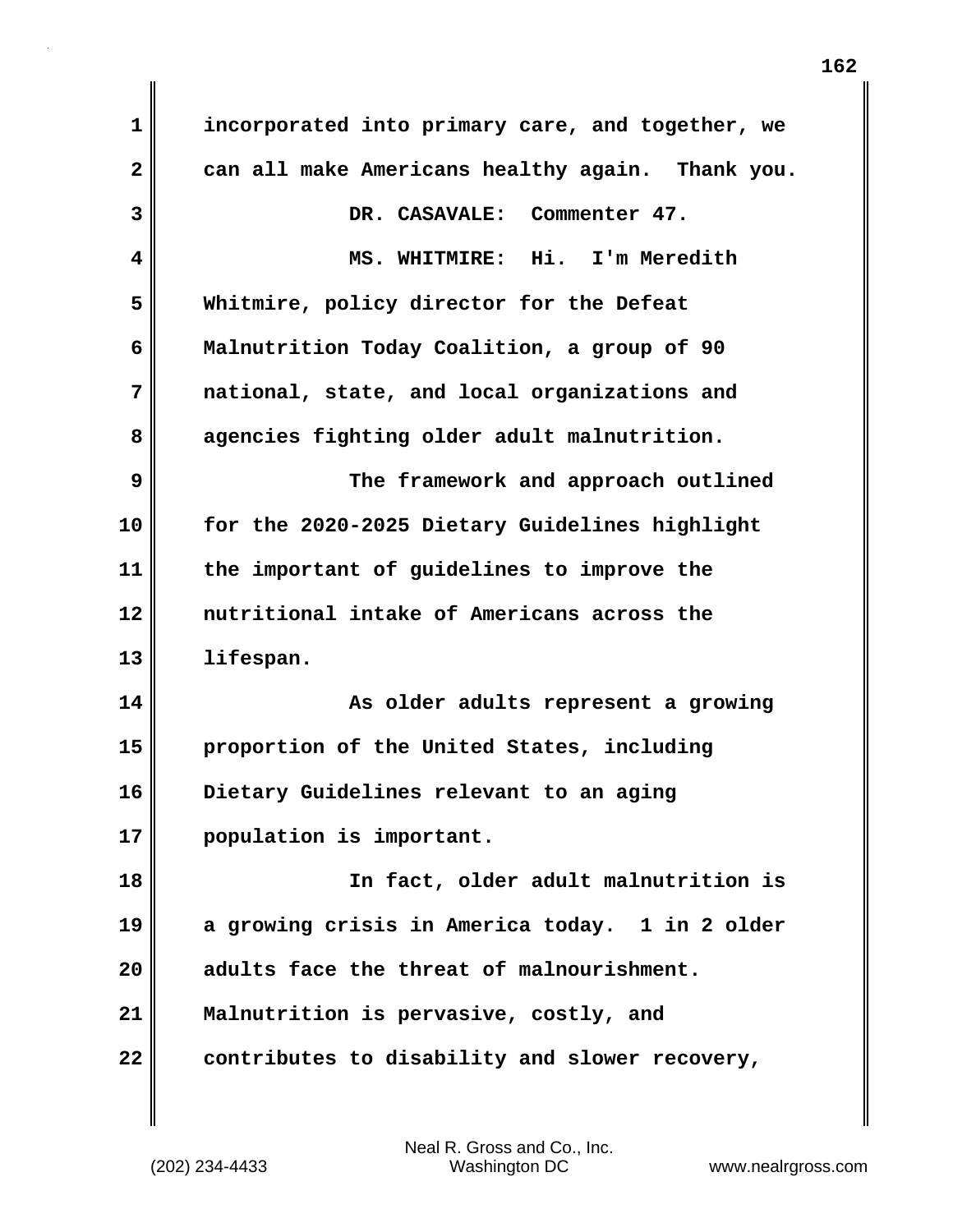| $\mathbf 1$             | incorporated into primary care, and together, we |
|-------------------------|--------------------------------------------------|
| $\overline{\mathbf{2}}$ | can all make Americans healthy again. Thank you. |
| 3                       | DR. CASAVALE: Commenter 47.                      |
| $\overline{\mathbf{4}}$ | MS. WHITMIRE: Hi. I'm Meredith                   |
| 5                       | Whitmire, policy director for the Defeat         |
| 6                       | Malnutrition Today Coalition, a group of 90      |
| 7                       | national, state, and local organizations and     |
| 8                       | agencies fighting older adult malnutrition.      |
| 9                       | The framework and approach outlined              |
| 10                      | for the 2020-2025 Dietary Guidelines highlight   |
| 11                      | the important of guidelines to improve the       |
| 12                      | nutritional intake of Americans across the       |
| 13                      | lifespan.                                        |
| 14                      | As older adults represent a growing              |
| 15                      | proportion of the United States, including       |
| 16                      | Dietary Guidelines relevant to an aging          |
| 17                      | population is important.                         |
| 18                      | In fact, older adult malnutrition is             |
| 19                      | a growing crisis in America today. 1 in 2 older  |
| 20                      | adults face the threat of malnourishment.        |
| 21                      | Malnutrition is pervasive, costly, and           |
| 22                      | contributes to disability and slower recovery,   |

 $\mathbf{I}$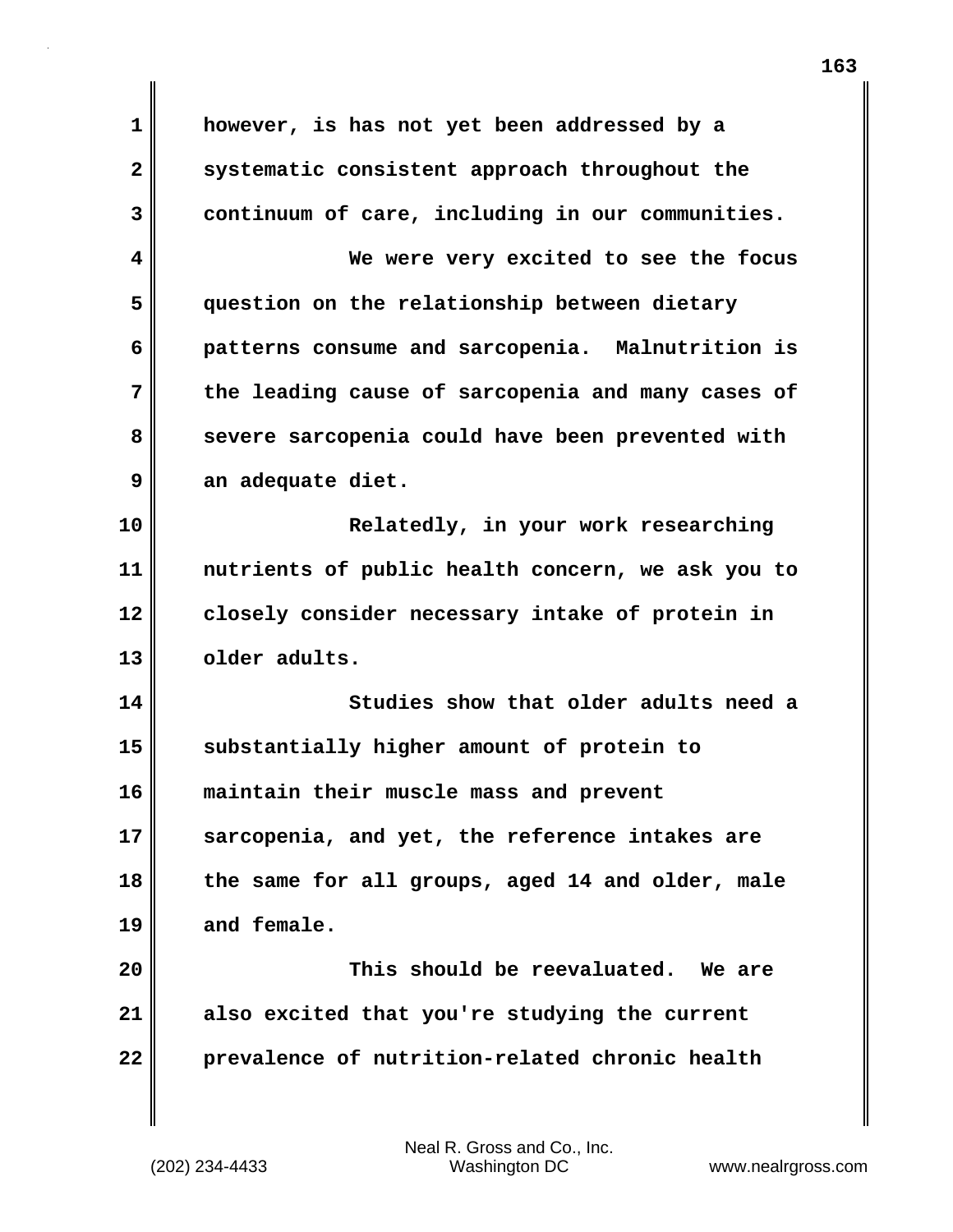| 1            | however, is has not yet been addressed by a       |
|--------------|---------------------------------------------------|
| $\mathbf{2}$ | systematic consistent approach throughout the     |
| 3            | continuum of care, including in our communities.  |
| 4            | We were very excited to see the focus             |
| 5            | question on the relationship between dietary      |
| 6            | patterns consume and sarcopenia. Malnutrition is  |
| 7            | the leading cause of sarcopenia and many cases of |
| 8            | severe sarcopenia could have been prevented with  |
| 9            | an adequate diet.                                 |
| 10           | Relatedly, in your work researching               |
| 11           | nutrients of public health concern, we ask you to |
| 12           | closely consider necessary intake of protein in   |
| 13           | older adults.                                     |
| 14           | Studies show that older adults need a             |
| 15           | substantially higher amount of protein to         |
| 16           | maintain their muscle mass and prevent            |
| 17           | sarcopenia, and yet, the reference intakes are    |
| 18           | the same for all groups, aged 14 and older, male  |
| 19           |                                                   |
|              | and female.                                       |
| 20           | This should be reevaluated. We are                |
| 21           | also excited that you're studying the current     |

 $\mathbf{I}$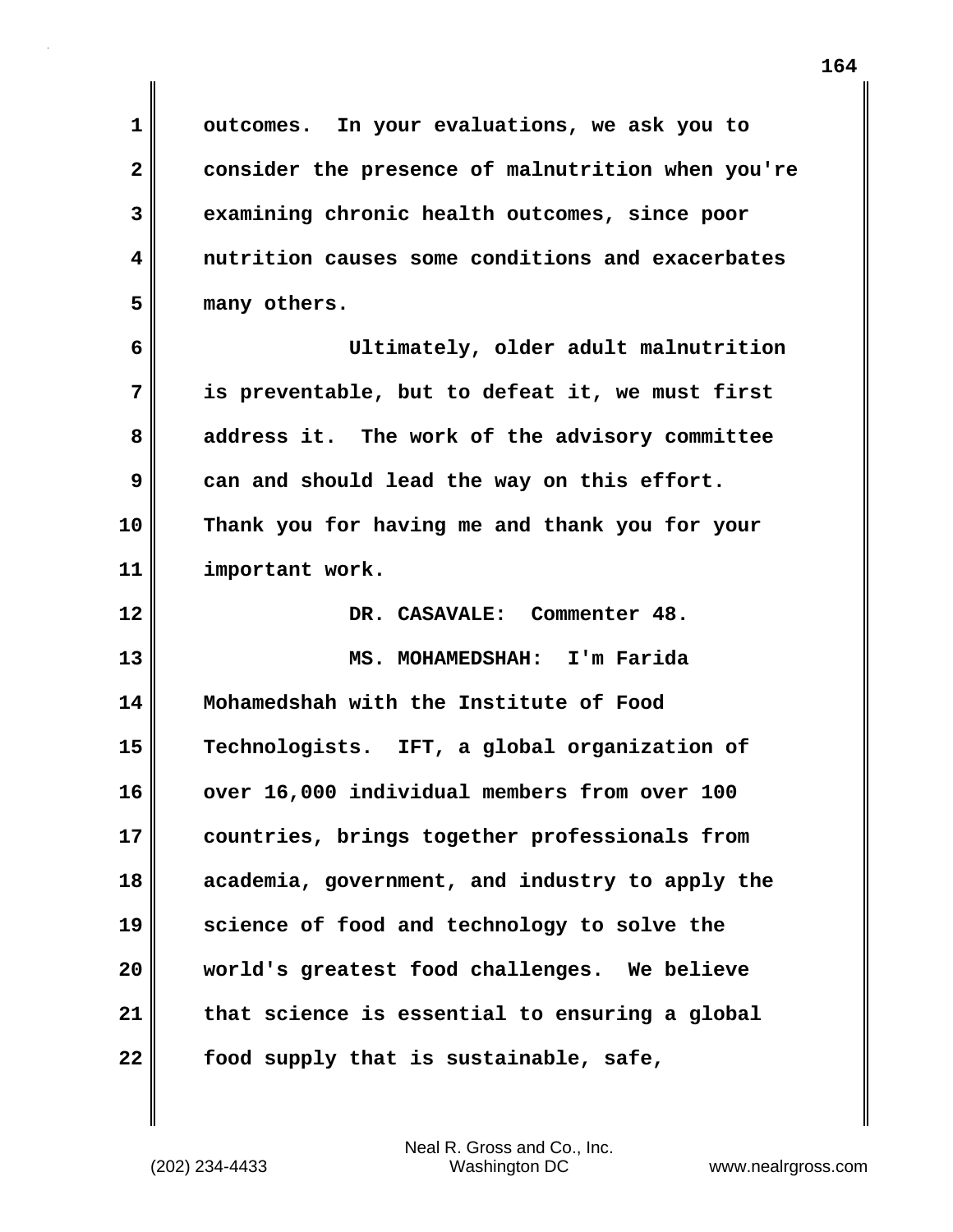**1 outcomes. In your evaluations, we ask you to 2 consider the presence of malnutrition when you're 3 examining chronic health outcomes, since poor 4 nutrition causes some conditions and exacerbates 5 many others. 6 Ultimately, older adult malnutrition 7 is preventable, but to defeat it, we must first 8 address it. The work of the advisory committee 9 can and should lead the way on this effort. 10 Thank you for having me and thank you for your 11 important work. 12 DR. CASAVALE: Commenter 48. 13 MS. MOHAMEDSHAH: I'm Farida 14 Mohamedshah with the Institute of Food 15 Technologists. IFT, a global organization of 16 over 16,000 individual members from over 100 17 countries, brings together professionals from 18 academia, government, and industry to apply the 19 science of food and technology to solve the 20 world's greatest food challenges. We believe 21 that science is essential to ensuring a global**

**22 food supply that is sustainable, safe,**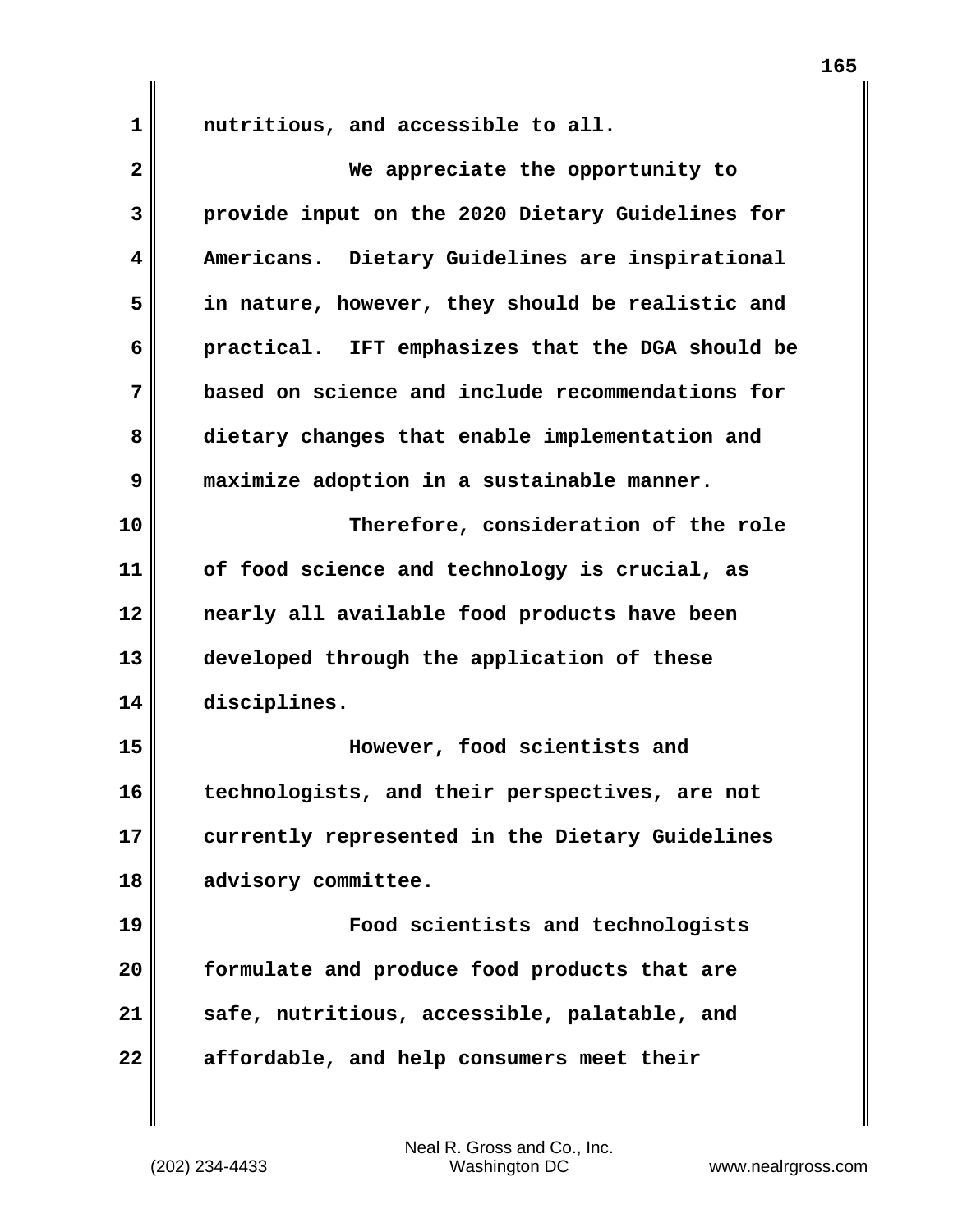1 **nutritious, and accessible to all.** 

| $\overline{\mathbf{2}}$ | We appreciate the opportunity to                 |
|-------------------------|--------------------------------------------------|
| 3                       | provide input on the 2020 Dietary Guidelines for |
| 4                       | Americans. Dietary Guidelines are inspirational  |
| 5                       | in nature, however, they should be realistic and |
| 6                       | practical. IFT emphasizes that the DGA should be |
| 7                       | based on science and include recommendations for |
| 8                       | dietary changes that enable implementation and   |
| 9                       | maximize adoption in a sustainable manner.       |
| 10                      | Therefore, consideration of the role             |
| 11                      | of food science and technology is crucial, as    |
| 12                      | nearly all available food products have been     |
| 13                      | developed through the application of these       |
| 14                      | disciplines.                                     |
| 15                      | However, food scientists and                     |
| 16                      | technologists, and their perspectives, are not   |
| 17                      | currently represented in the Dietary Guidelines  |
| 18                      | advisory committee.                              |
| 19                      | Food scientists and technologists                |
| 20                      | formulate and produce food products that are     |
| 21                      | safe, nutritious, accessible, palatable, and     |
| 22                      | affordable, and help consumers meet their        |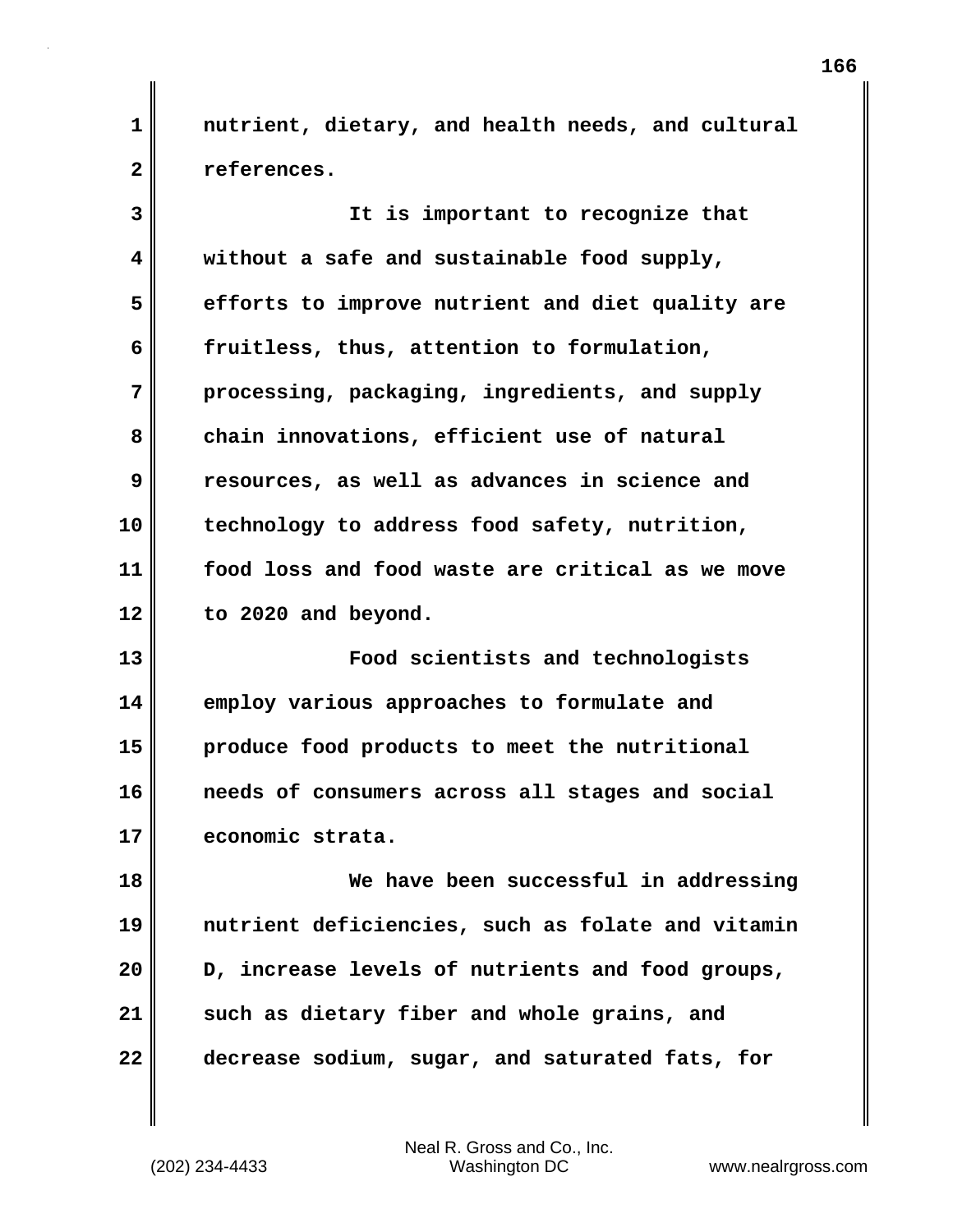**1 nutrient, dietary, and health needs, and cultural 2 references.**

**3 It is important to recognize that 4 without a safe and sustainable food supply, 5 efforts to improve nutrient and diet quality are 6 fruitless, thus, attention to formulation, 7 processing, packaging, ingredients, and supply** 8 chain innovations, efficient use of natural **9 resources, as well as advances in science and 10 technology to address food safety, nutrition, 11 food loss and food waste are critical as we move 12 to 2020 and beyond.**

**13 Food scientists and technologists 14 employ various approaches to formulate and 15 produce food products to meet the nutritional 16 needs of consumers across all stages and social 17 economic strata.**

**18 We have been successful in addressing 19 nutrient deficiencies, such as folate and vitamin 20 D, increase levels of nutrients and food groups, 21 such as dietary fiber and whole grains, and 22 decrease sodium, sugar, and saturated fats, for**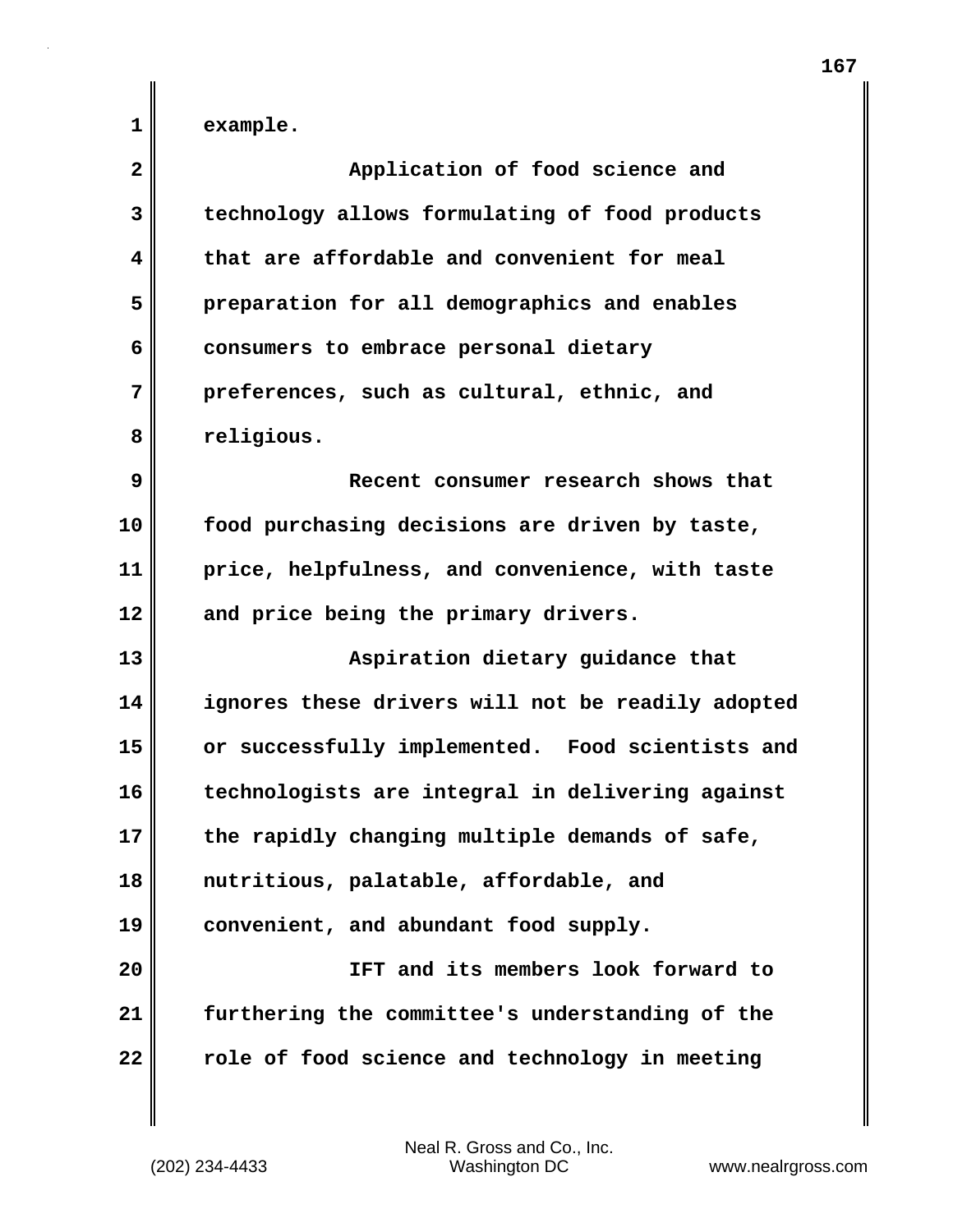**1 example.**

| $\mathbf{2}$ | Application of food science and                   |
|--------------|---------------------------------------------------|
| 3            | technology allows formulating of food products    |
| 4            | that are affordable and convenient for meal       |
| 5            | preparation for all demographics and enables      |
| 6            | consumers to embrace personal dietary             |
| 7            | preferences, such as cultural, ethnic, and        |
| 8            | religious.                                        |
| 9            | Recent consumer research shows that               |
| 10           | food purchasing decisions are driven by taste,    |
| 11           | price, helpfulness, and convenience, with taste   |
| 12           | and price being the primary drivers.              |
| 13           | Aspiration dietary guidance that                  |
| 14           | ignores these drivers will not be readily adopted |
| 15           | or successfully implemented. Food scientists and  |
| 16           | technologists are integral in delivering against  |
| 17           | the rapidly changing multiple demands of safe,    |
| 18           | nutritious, palatable, affordable, and            |
| 19           | convenient, and abundant food supply.             |
| 20           | IFT and its members look forward to               |
| 21           | furthering the committee's understanding of the   |
| 22           | role of food science and technology in meeting    |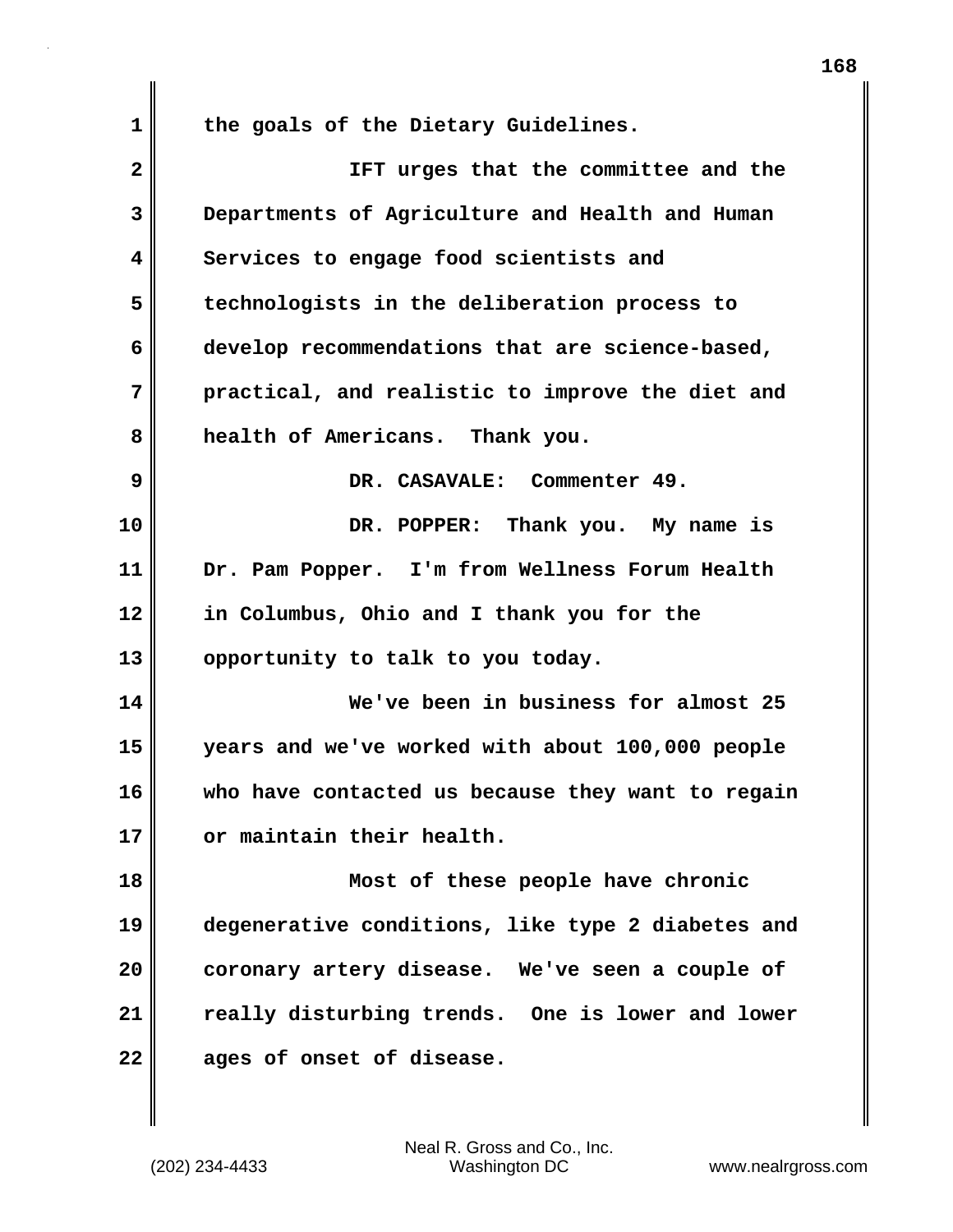**1 the goals of the Dietary Guidelines. 2 IFT urges that the committee and the 3 Departments of Agriculture and Health and Human 4 Services to engage food scientists and 5 technologists in the deliberation process to 6 develop recommendations that are science-based, 7 practical, and realistic to improve the diet and 8 health of Americans. Thank you. 9 DR. CASAVALE: Commenter 49. 10 DR. POPPER: Thank you. My name is 11 Dr. Pam Popper. I'm from Wellness Forum Health 12 in Columbus, Ohio and I thank you for the 13 opportunity to talk to you today. 14 We've been in business for almost 25 15 years and we've worked with about 100,000 people 16 who have contacted us because they want to regain 17 or maintain their health. 18 Most of these people have chronic 19 degenerative conditions, like type 2 diabetes and 20 coronary artery disease. We've seen a couple of 21 really disturbing trends. One is lower and lower 22 ages of onset of disease.**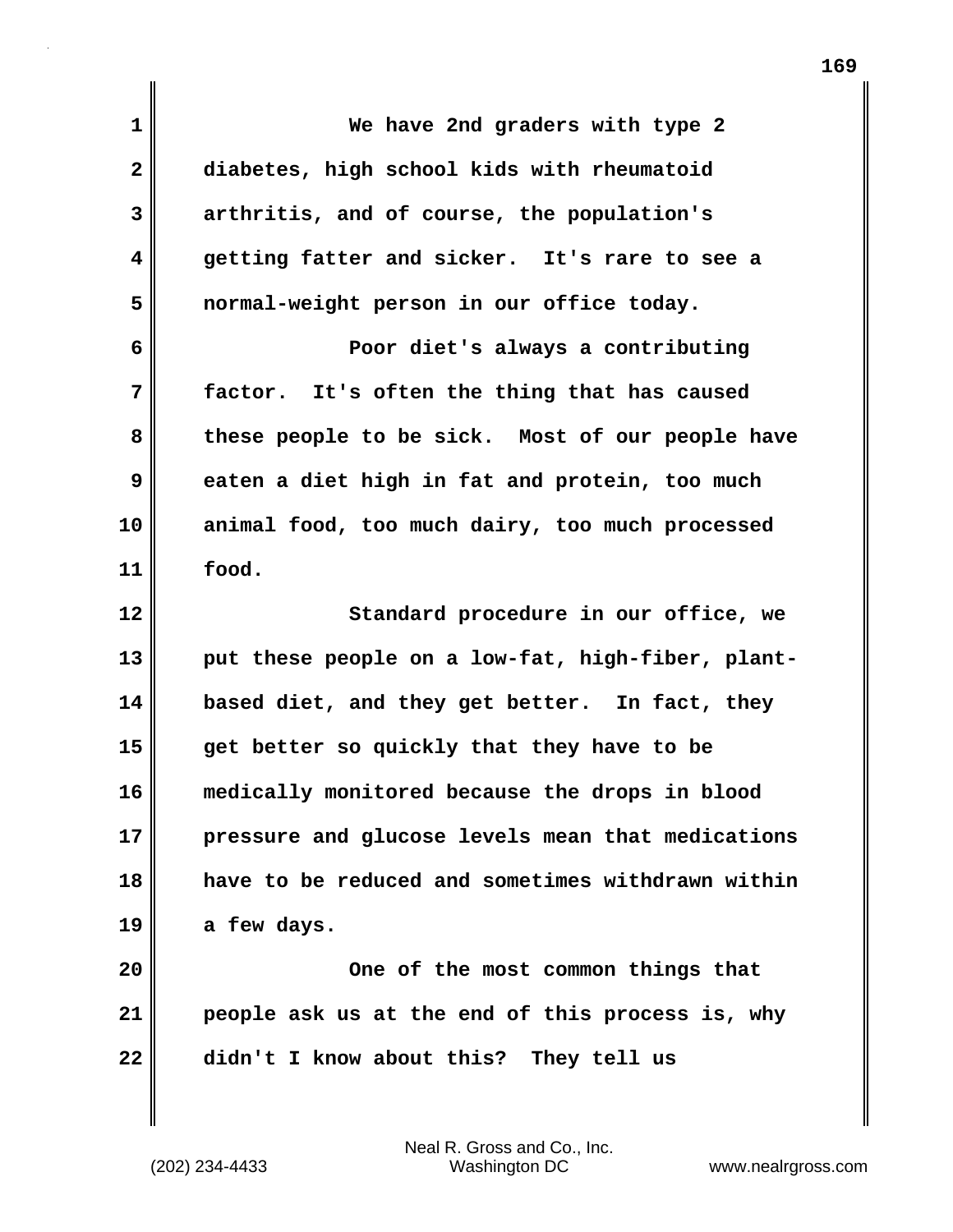| 1              | We have 2nd graders with type 2                   |
|----------------|---------------------------------------------------|
| $\mathbf{2}$   | diabetes, high school kids with rheumatoid        |
| 3              | arthritis, and of course, the population's        |
| 4              | getting fatter and sicker. It's rare to see a     |
| 5              | normal-weight person in our office today.         |
| 6              | Poor diet's always a contributing                 |
| 7              | factor. It's often the thing that has caused      |
| 8              | these people to be sick. Most of our people have  |
| 9              | eaten a diet high in fat and protein, too much    |
| 10             | animal food, too much dairy, too much processed   |
| 11             | food.                                             |
| 12             | Standard procedure in our office, we              |
|                |                                                   |
| 13             | put these people on a low-fat, high-fiber, plant- |
| 14             | based diet, and they get better. In fact, they    |
| 15             | get better so quickly that they have to be        |
| 16             | medically monitored because the drops in blood    |
|                | pressure and glucose levels mean that medications |
|                | have to be reduced and sometimes withdrawn within |
| 17<br>18<br>19 | a few days.                                       |
| 20             | One of the most common things that                |
| 21             | people ask us at the end of this process is, why  |
| 22             | didn't I know about this? They tell us            |

 $\mathbf{I}$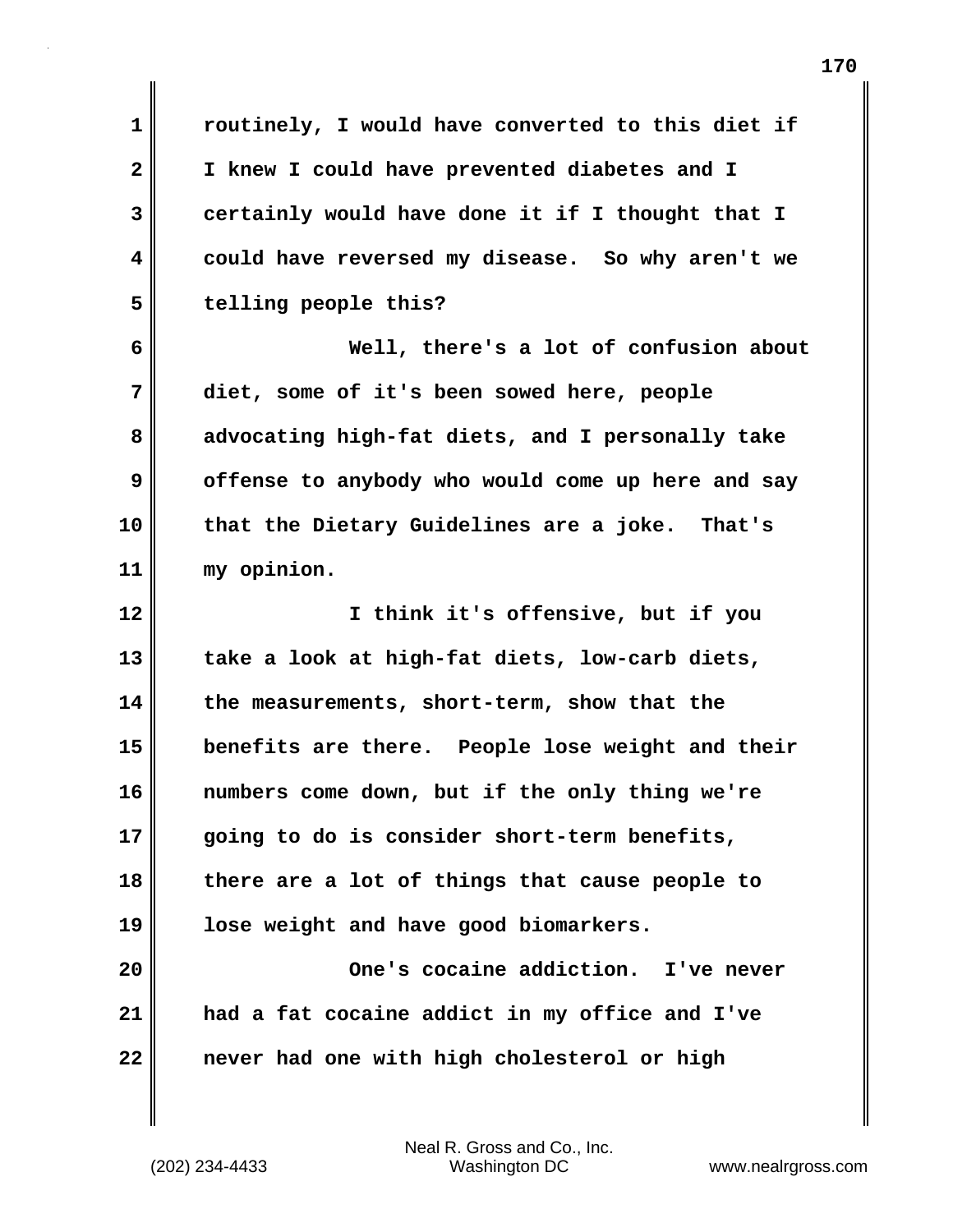**1 routinely, I would have converted to this diet if 2 I knew I could have prevented diabetes and I 3 certainly would have done it if I thought that I 4 could have reversed my disease. So why aren't we 5 telling people this? 6 Well, there's a lot of confusion about 7 diet, some of it's been sowed here, people 8 advocating high-fat diets, and I personally take 9 offense to anybody who would come up here and say 10 that the Dietary Guidelines are a joke. That's 11 my opinion. 12 I think it's offensive, but if you 13 take a look at high-fat diets, low-carb diets, 14 the measurements, short-term, show that the 15 benefits are there. People lose weight and their 16 numbers come down, but if the only thing we're 17 going to do is consider short-term benefits, 18 there are a lot of things that cause people to 19 lose weight and have good biomarkers. 20 One's cocaine addiction. I've never 21 had a fat cocaine addict in my office and I've 22 never had one with high cholesterol or high**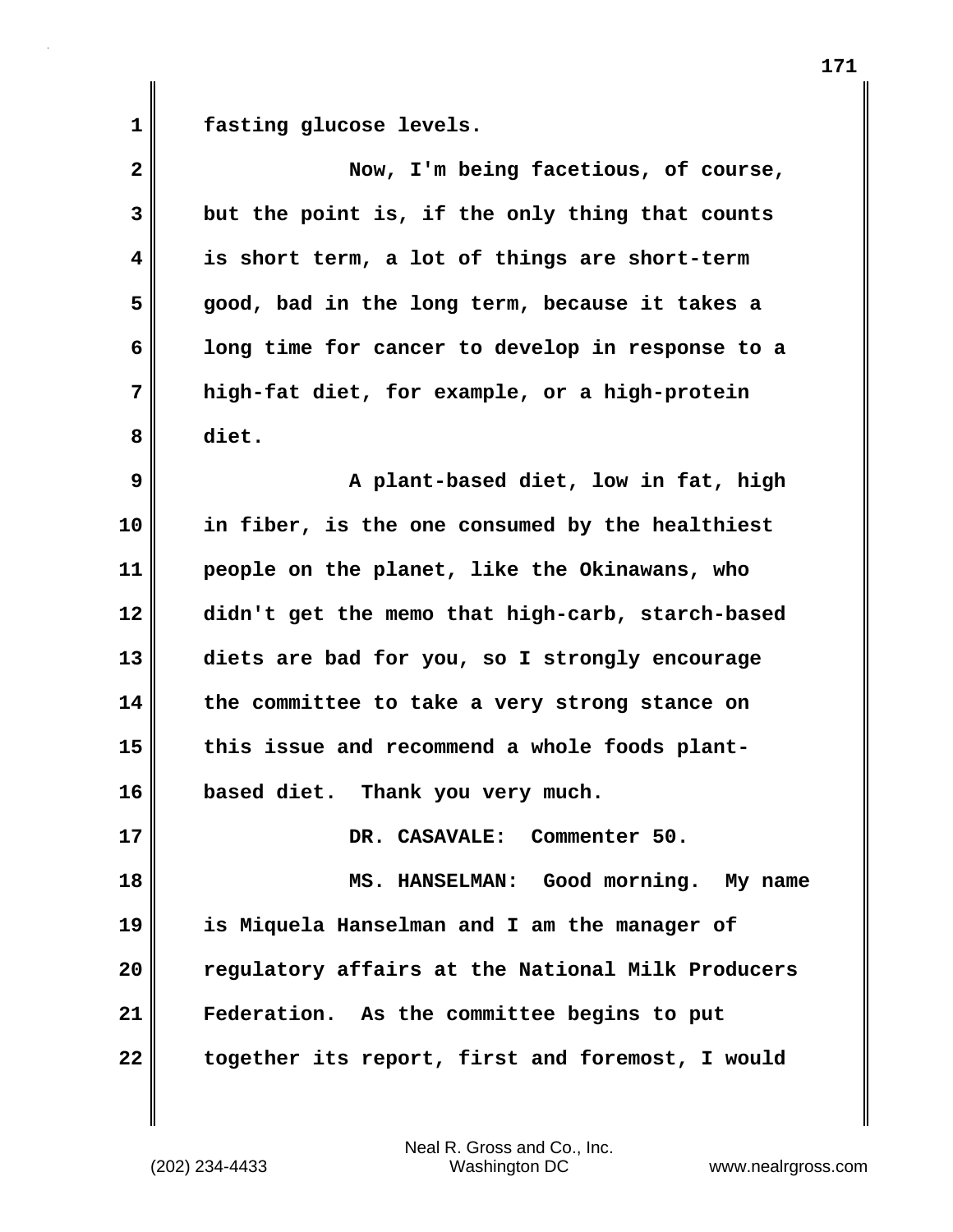1 **fasting glucose levels.** 

| $\overline{\mathbf{2}}$ | Now, I'm being facetious, of course,              |
|-------------------------|---------------------------------------------------|
| 3                       | but the point is, if the only thing that counts   |
| $\overline{\mathbf{4}}$ | is short term, a lot of things are short-term     |
| 5                       | good, bad in the long term, because it takes a    |
| 6                       | long time for cancer to develop in response to a  |
| 7                       | high-fat diet, for example, or a high-protein     |
| 8                       | diet.                                             |
| 9                       | A plant-based diet, low in fat, high              |
| 10                      | in fiber, is the one consumed by the healthiest   |
| 11                      | people on the planet, like the Okinawans, who     |
| 12                      | didn't get the memo that high-carb, starch-based  |
| 13                      | diets are bad for you, so I strongly encourage    |
| 14                      | the committee to take a very strong stance on     |
| 15                      | this issue and recommend a whole foods plant-     |
| 16                      | based diet. Thank you very much.                  |
| 17                      | DR. CASAVALE: Commenter 50.                       |
| 18                      | MS. HANSELMAN: Good morning. My name              |
| 19                      | is Miquela Hanselman and I am the manager of      |
| 20                      | regulatory affairs at the National Milk Producers |
| 21                      | Federation. As the committee begins to put        |
| 22                      | together its report, first and foremost, I would  |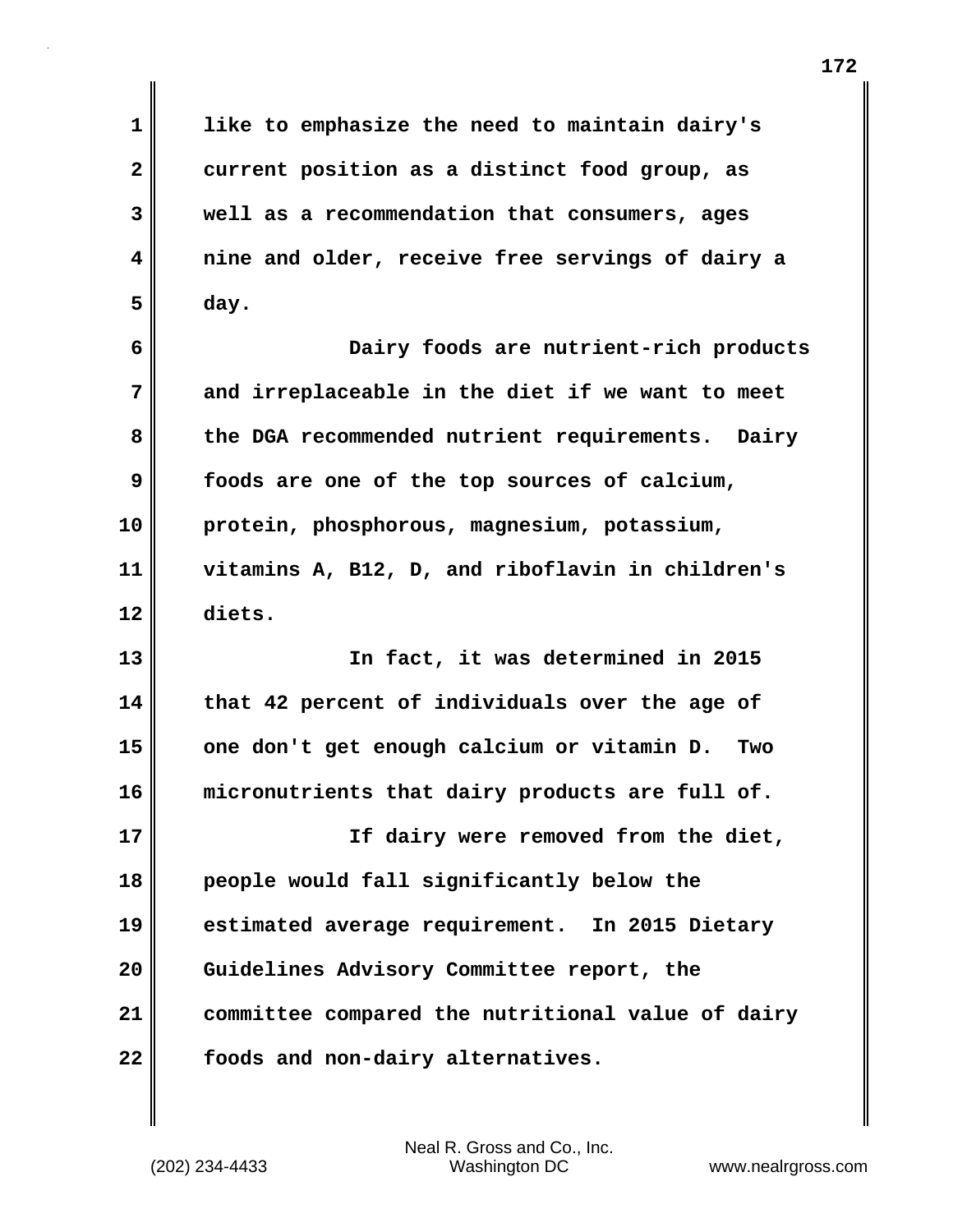**1 like to emphasize the need to maintain dairy's 2 current position as a distinct food group, as 3 well as a recommendation that consumers, ages 4 nine and older, receive free servings of dairy a 5 day. 6 Dairy foods are nutrient-rich products 7 and irreplaceable in the diet if we want to meet 8 the DGA recommended nutrient requirements. Dairy 9 foods are one of the top sources of calcium, 10 protein, phosphorous, magnesium, potassium,**

**11 vitamins A, B12, D, and riboflavin in children's 12 diets.**

**13 In fact, it was determined in 2015 14 that 42 percent of individuals over the age of 15 one don't get enough calcium or vitamin D. Two 16 micronutrients that dairy products are full of. 17 If dairy were removed from the diet, 18 people would fall significantly below the 19 estimated average requirement. In 2015 Dietary 20 Guidelines Advisory Committee report, the 21 committee compared the nutritional value of dairy 22 foods and non-dairy alternatives.**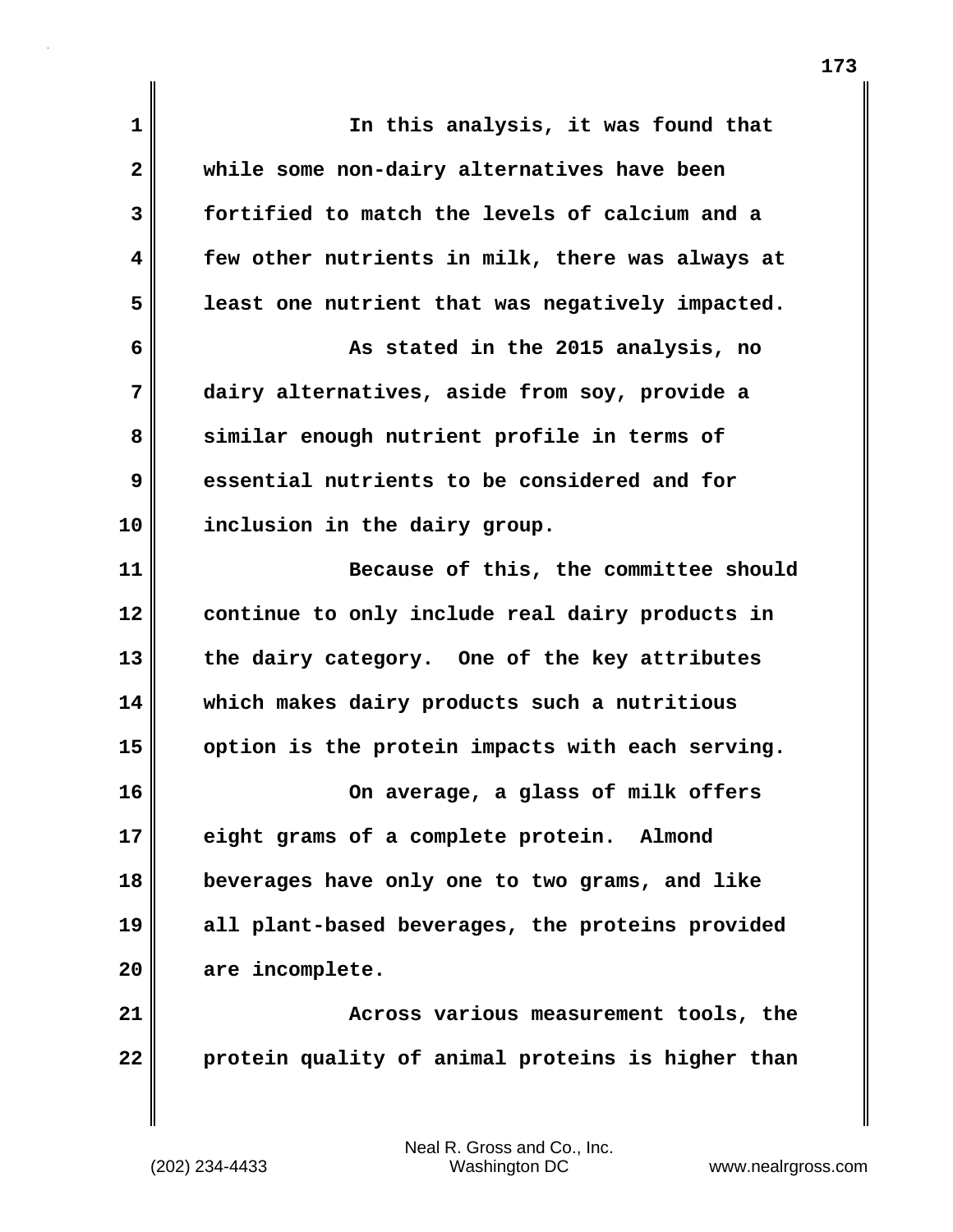| $\mathbf{1}$ | In this analysis, it was found that               |
|--------------|---------------------------------------------------|
| $\mathbf{2}$ | while some non-dairy alternatives have been       |
| 3            | fortified to match the levels of calcium and a    |
| 4            | few other nutrients in milk, there was always at  |
| 5            | least one nutrient that was negatively impacted.  |
| 6            | As stated in the 2015 analysis, no                |
| 7            | dairy alternatives, aside from soy, provide a     |
| 8            | similar enough nutrient profile in terms of       |
| 9            | essential nutrients to be considered and for      |
| 10           | inclusion in the dairy group.                     |
| 11           | Because of this, the committee should             |
| 12           | continue to only include real dairy products in   |
| 13           | the dairy category. One of the key attributes     |
| 14           | which makes dairy products such a nutritious      |
| 15           | option is the protein impacts with each serving.  |
| 16           | On average, a glass of milk offers                |
| 17           | eight grams of a complete protein. Almond         |
| 18           | beverages have only one to two grams, and like    |
| 19           | all plant-based beverages, the proteins provided  |
| 20           | are incomplete.                                   |
| 21           | Across various measurement tools, the             |
| 22           | protein quality of animal proteins is higher than |
|              |                                                   |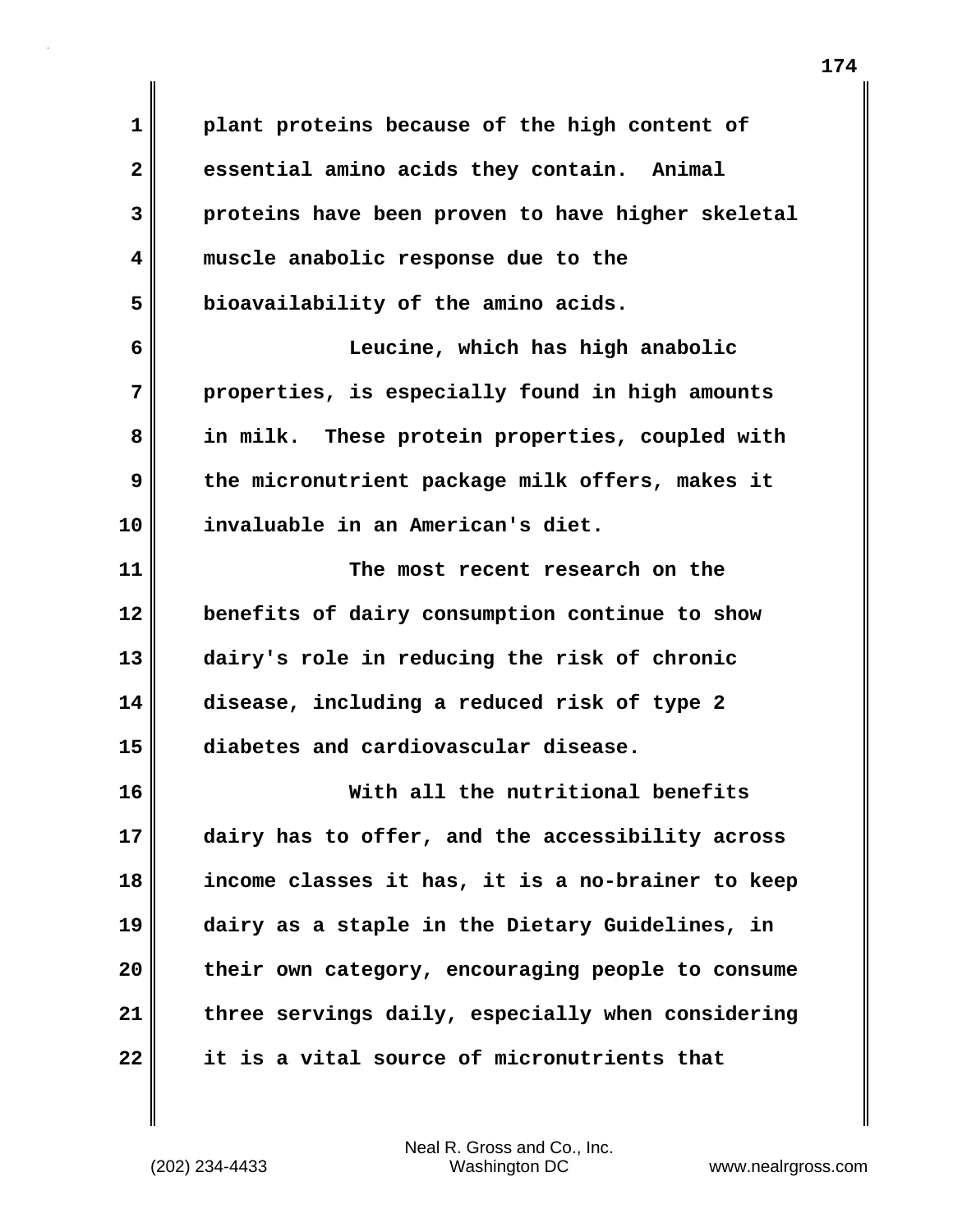**1 plant proteins because of the high content of 2 essential amino acids they contain. Animal 3 proteins have been proven to have higher skeletal 4 muscle anabolic response due to the 5 bioavailability of the amino acids. 6 Leucine, which has high anabolic 7 properties, is especially found in high amounts 8 in milk. These protein properties, coupled with 9 the micronutrient package milk offers, makes it 10 invaluable in an American's diet. 11 The most recent research on the 12 benefits of dairy consumption continue to show 13 dairy's role in reducing the risk of chronic 14 disease, including a reduced risk of type 2 15 diabetes and cardiovascular disease. 16 With all the nutritional benefits 17 dairy has to offer, and the accessibility across 18 income classes it has, it is a no-brainer to keep 19 dairy as a staple in the Dietary Guidelines, in 20 their own category, encouraging people to consume 21 three servings daily, especially when considering 22 it is a vital source of micronutrients that**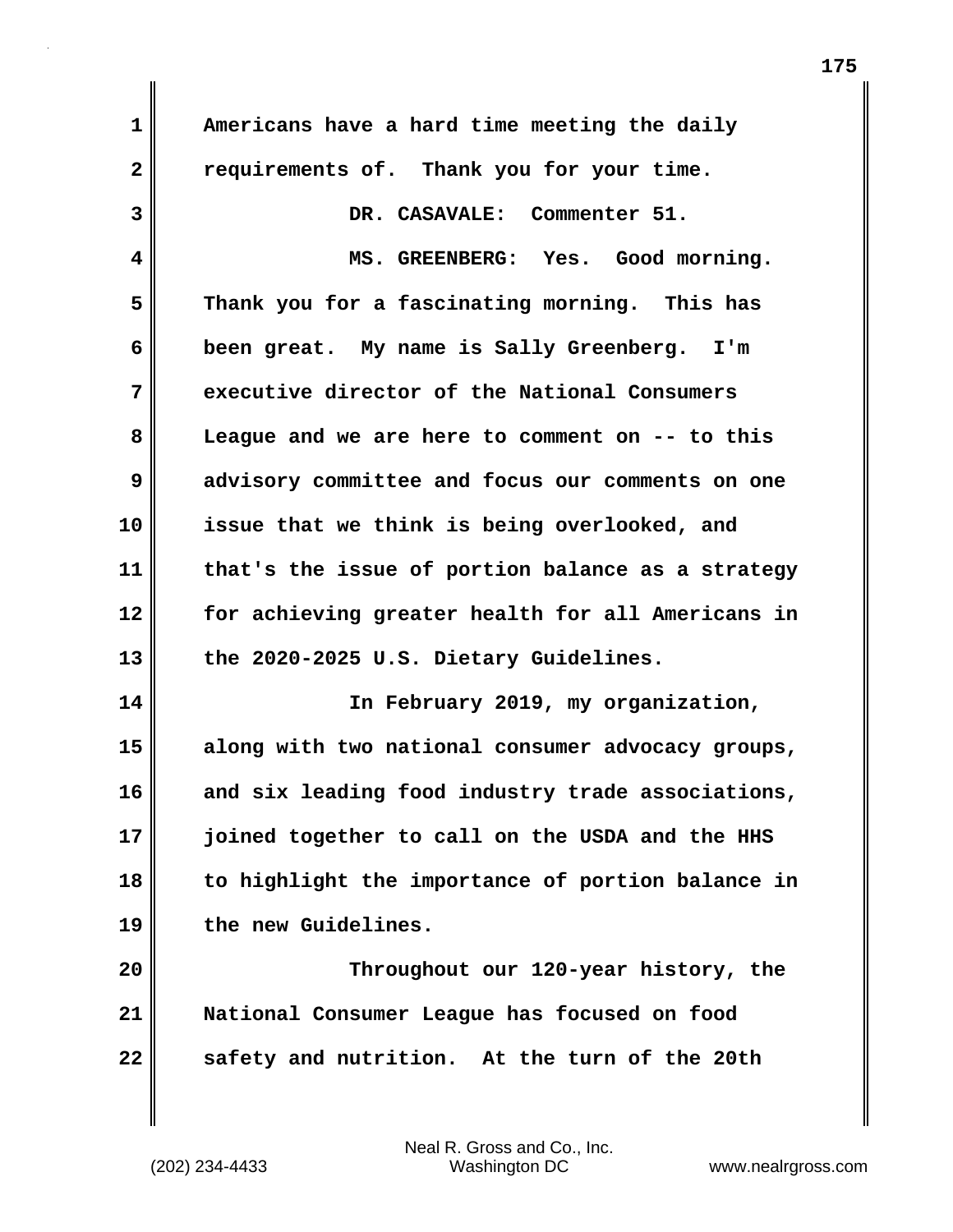**1 Americans have a hard time meeting the daily 2 requirements of. Thank you for your time. 3 DR. CASAVALE: Commenter 51. 4 MS. GREENBERG: Yes. Good morning. 5 Thank you for a fascinating morning. This has 6 been great. My name is Sally Greenberg. I'm 7 executive director of the National Consumers 8 League and we are here to comment on -- to this 9 advisory committee and focus our comments on one 10 issue that we think is being overlooked, and 11 that's the issue of portion balance as a strategy 12 for achieving greater health for all Americans in 13 the 2020-2025 U.S. Dietary Guidelines. 14 In February 2019, my organization, 15 along with two national consumer advocacy groups, 16 and six leading food industry trade associations, 17 joined together to call on the USDA and the HHS 18 to highlight the importance of portion balance in 19 the new Guidelines. 20 Throughout our 120-year history, the 21 National Consumer League has focused on food 22 safety and nutrition. At the turn of the 20th**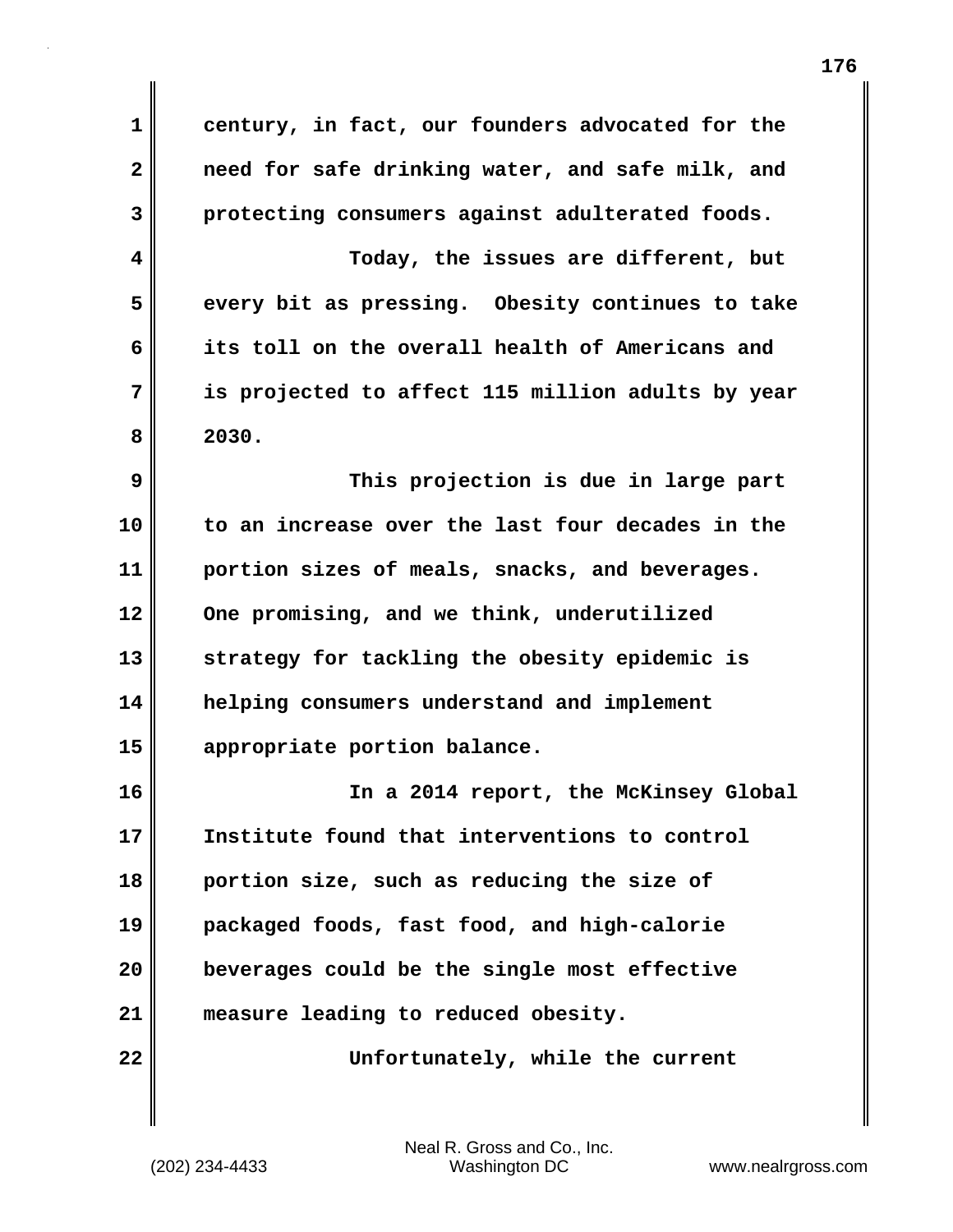| 1            | century, in fact, our founders advocated for the  |
|--------------|---------------------------------------------------|
| $\mathbf{2}$ | need for safe drinking water, and safe milk, and  |
| 3            | protecting consumers against adulterated foods.   |
| 4            | Today, the issues are different, but              |
| 5            | every bit as pressing. Obesity continues to take  |
| 6            | its toll on the overall health of Americans and   |
| 7            | is projected to affect 115 million adults by year |
| 8            | 2030.                                             |
| 9            | This projection is due in large part              |
| 10           | to an increase over the last four decades in the  |
| 11           | portion sizes of meals, snacks, and beverages.    |
| 12           | One promising, and we think, underutilized        |
| 13           | strategy for tackling the obesity epidemic is     |
| 14           | helping consumers understand and implement        |
| 15           | appropriate portion balance.                      |
| 16           | In a 2014 report, the McKinsey Global             |
| 17           | Institute found that interventions to control     |
| 18           | portion size, such as reducing the size of        |
| 19           | packaged foods, fast food, and high-calorie       |
| 20           | beverages could be the single most effective      |
| 21           | measure leading to reduced obesity.               |
| 22           | Unfortunately, while the current                  |

 $\mathbf{I}$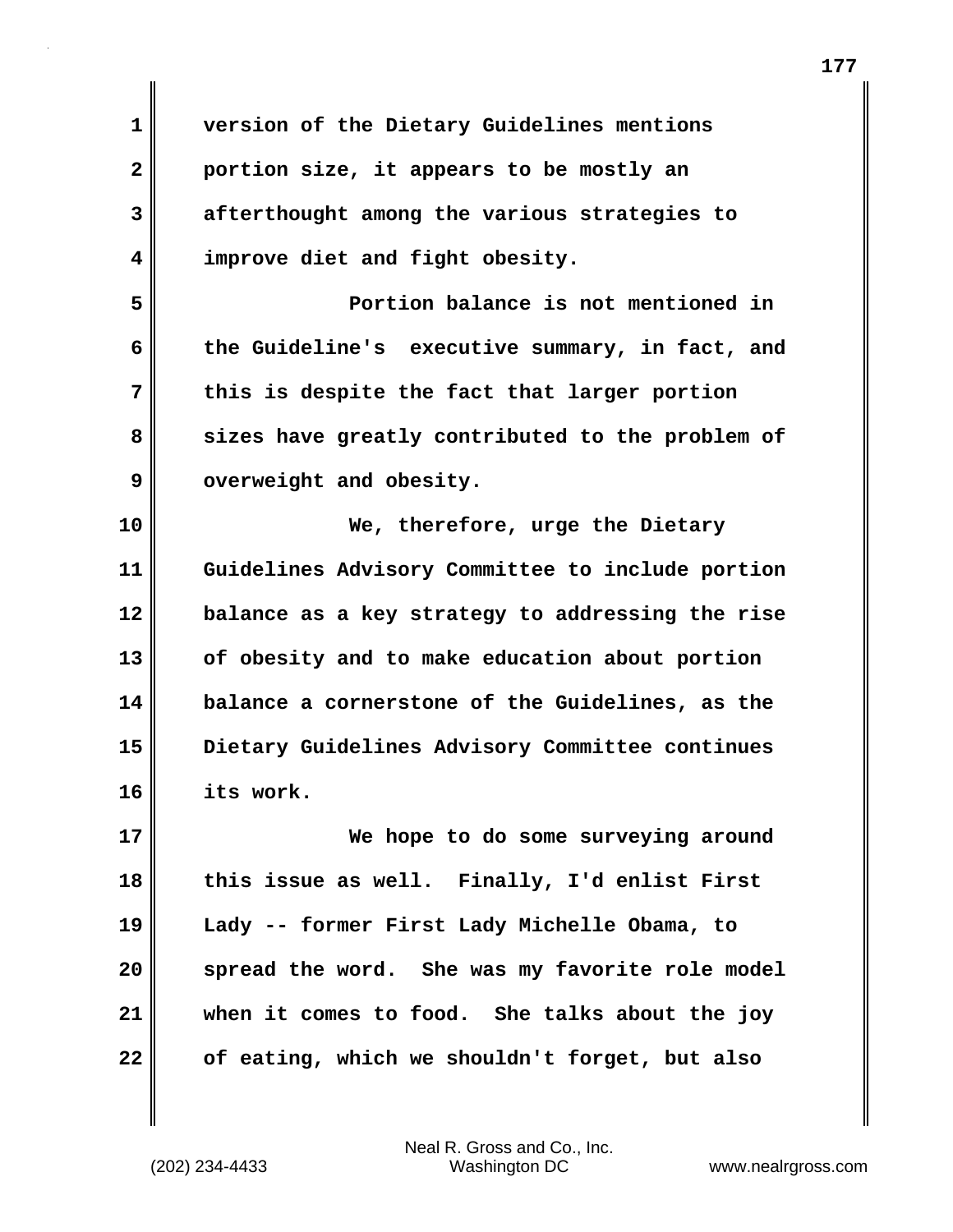**1 version of the Dietary Guidelines mentions 2 portion size, it appears to be mostly an 3 afterthought among the various strategies to 4 improve diet and fight obesity. 5 Portion balance is not mentioned in 6 the Guideline's executive summary, in fact, and 7 this is despite the fact that larger portion 8 sizes have greatly contributed to the problem of** 9 overweight and obesity. **10 We, therefore, urge the Dietary 11 Guidelines Advisory Committee to include portion 12 balance as a key strategy to addressing the rise 13 of obesity and to make education about portion 14 balance a cornerstone of the Guidelines, as the 15 Dietary Guidelines Advisory Committee continues 16 its work. 17 We hope to do some surveying around 18 this issue as well. Finally, I'd enlist First 19 Lady -- former First Lady Michelle Obama, to 20 spread the word. She was my favorite role model 21 when it comes to food. She talks about the joy 22 of eating, which we shouldn't forget, but also**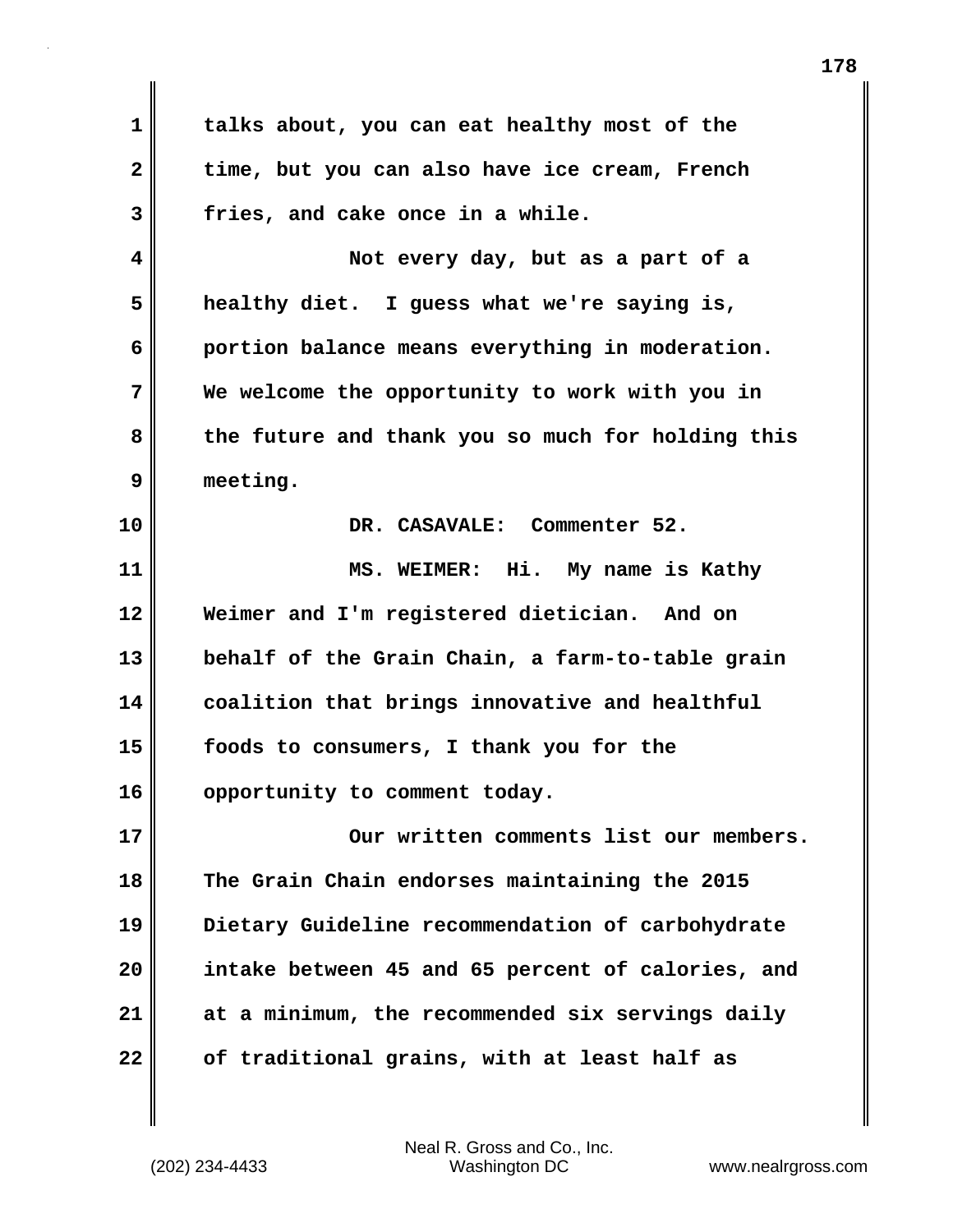**1 talks about, you can eat healthy most of the 2 time, but you can also have ice cream, French 3 fries, and cake once in a while. 4 Not every day, but as a part of a 5 healthy diet. I guess what we're saying is, 6 portion balance means everything in moderation. 7 We welcome the opportunity to work with you in 8 the future and thank you so much for holding this 9 meeting. 10 DR. CASAVALE: Commenter 52. 11 MS. WEIMER: Hi. My name is Kathy 12 Weimer and I'm registered dietician. And on 13 behalf of the Grain Chain, a farm-to-table grain 14 coalition that brings innovative and healthful 15 foods to consumers, I thank you for the 16 opportunity to comment today. 17 Our written comments list our members. 18 The Grain Chain endorses maintaining the 2015 19 Dietary Guideline recommendation of carbohydrate 20 intake between 45 and 65 percent of calories, and 21 at a minimum, the recommended six servings daily 22 of traditional grains, with at least half as**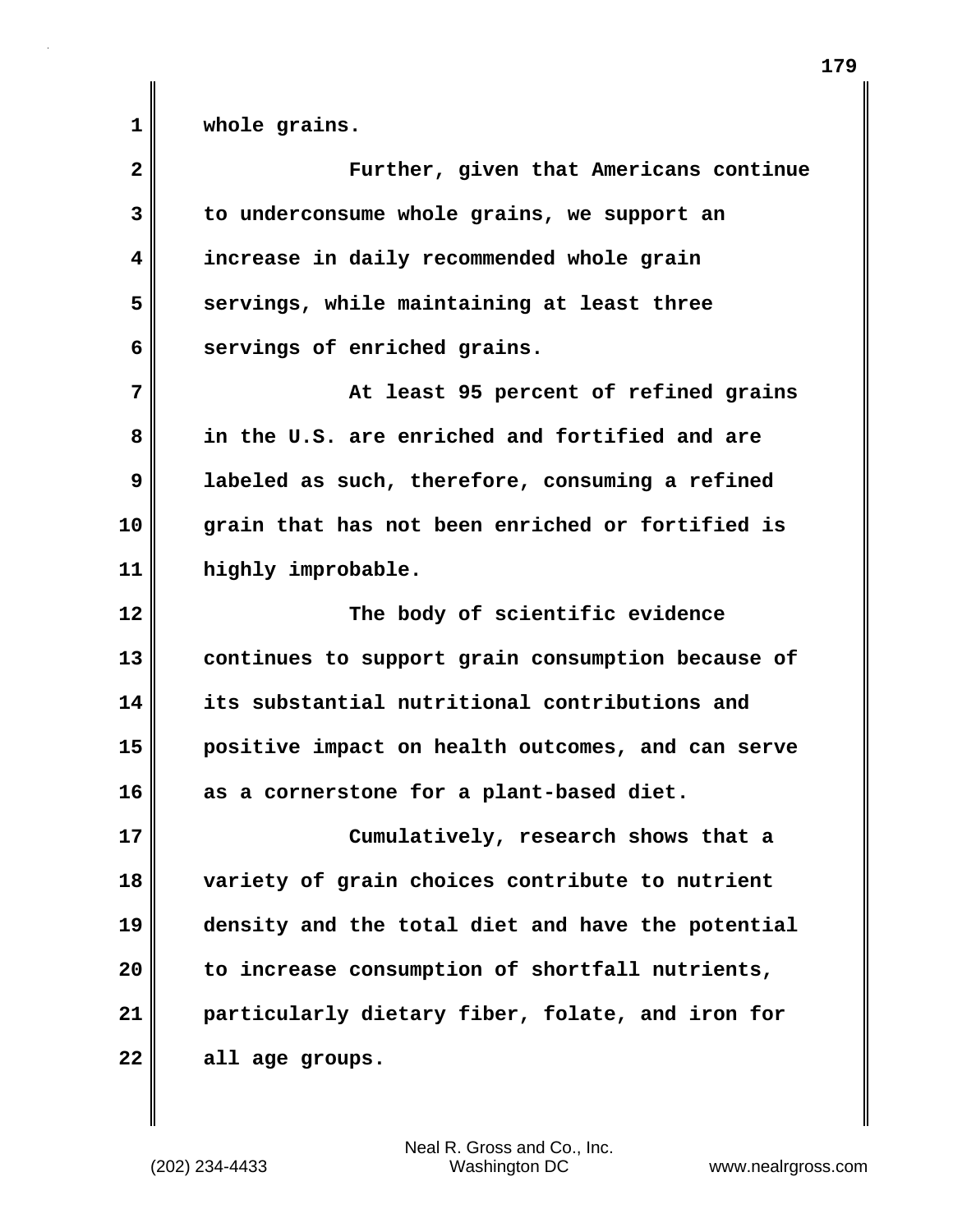**1 whole grains.**

| $\overline{\mathbf{2}}$ | Further, given that Americans continue            |
|-------------------------|---------------------------------------------------|
| 3                       | to underconsume whole grains, we support an       |
| 4                       | increase in daily recommended whole grain         |
| 5                       | servings, while maintaining at least three        |
| 6                       | servings of enriched grains.                      |
| 7                       | At least 95 percent of refined grains             |
| 8                       | in the U.S. are enriched and fortified and are    |
| 9                       | labeled as such, therefore, consuming a refined   |
| 10                      | grain that has not been enriched or fortified is  |
| 11                      | highly improbable.                                |
| 12                      | The body of scientific evidence                   |
| 13                      | continues to support grain consumption because of |
| 14                      | its substantial nutritional contributions and     |
| 15                      | positive impact on health outcomes, and can serve |
| 16                      | as a cornerstone for a plant-based diet.          |
| 17                      | Cumulatively, research shows that a               |
| 18                      | variety of grain choices contribute to nutrient   |
| 19                      | density and the total diet and have the potential |
| 20                      | to increase consumption of shortfall nutrients,   |
| 21                      | particularly dietary fiber, folate, and iron for  |
| 22                      | all age groups.                                   |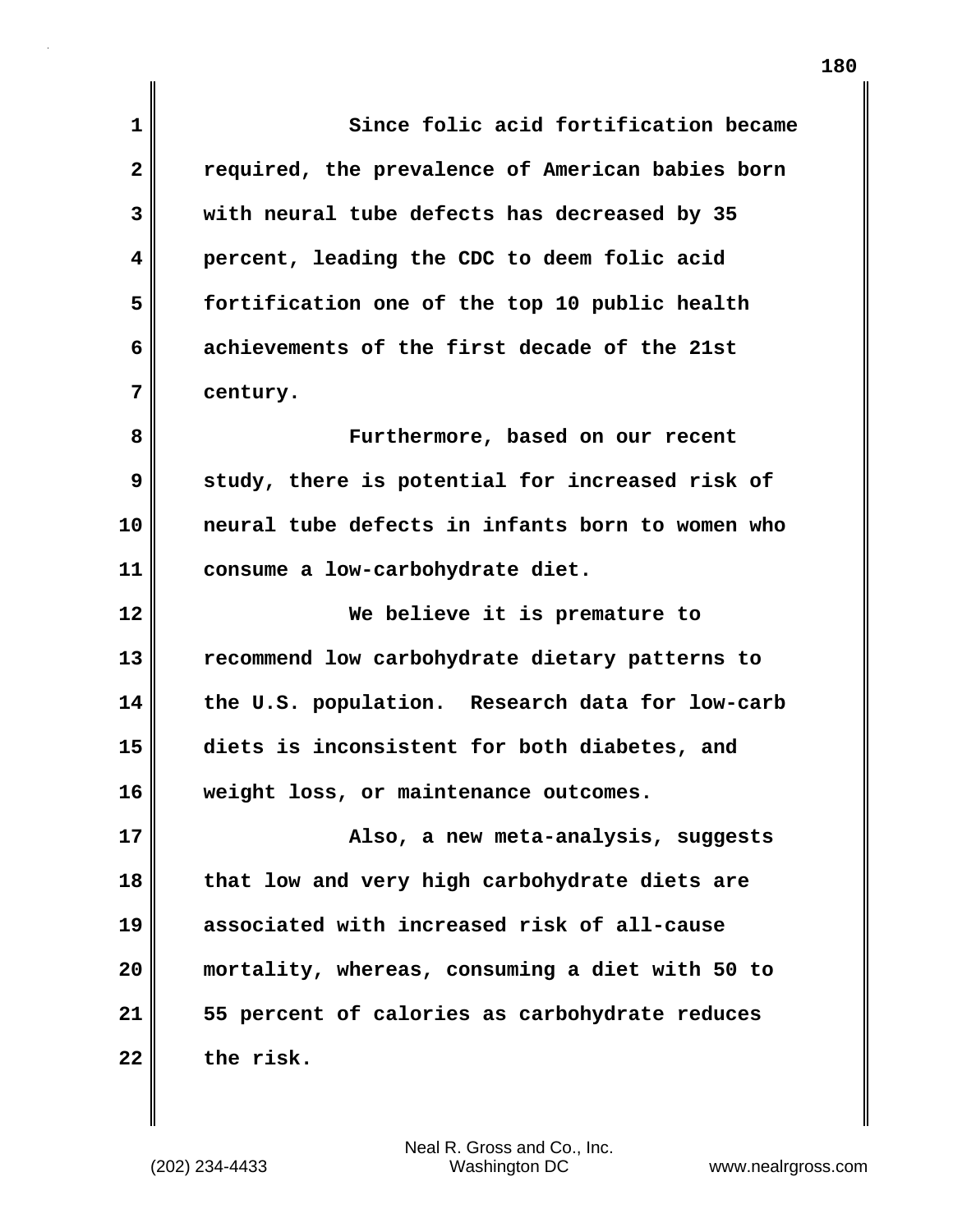| $\mathbf 1$  | Since folic acid fortification became            |
|--------------|--------------------------------------------------|
| $\mathbf{2}$ | required, the prevalence of American babies born |
| 3            | with neural tube defects has decreased by 35     |
| 4            | percent, leading the CDC to deem folic acid      |
| 5            | fortification one of the top 10 public health    |
| 6            | achievements of the first decade of the 21st     |
| 7            | century.                                         |
| 8            | Furthermore, based on our recent                 |
| 9            | study, there is potential for increased risk of  |
| 10           | neural tube defects in infants born to women who |
| 11           | consume a low-carbohydrate diet.                 |
| 12           | We believe it is premature to                    |
| 13           | recommend low carbohydrate dietary patterns to   |
| 14           | the U.S. population. Research data for low-carb  |
| 15           | diets is inconsistent for both diabetes, and     |
| 16           | weight loss, or maintenance outcomes.            |
| 17           | Also, a new meta-analysis, suggests              |
| 18           | that low and very high carbohydrate diets are    |
| 19           | associated with increased risk of all-cause      |
| 20           | mortality, whereas, consuming a diet with 50 to  |
| 21           | 55 percent of calories as carbohydrate reduces   |
| 22           | the risk.                                        |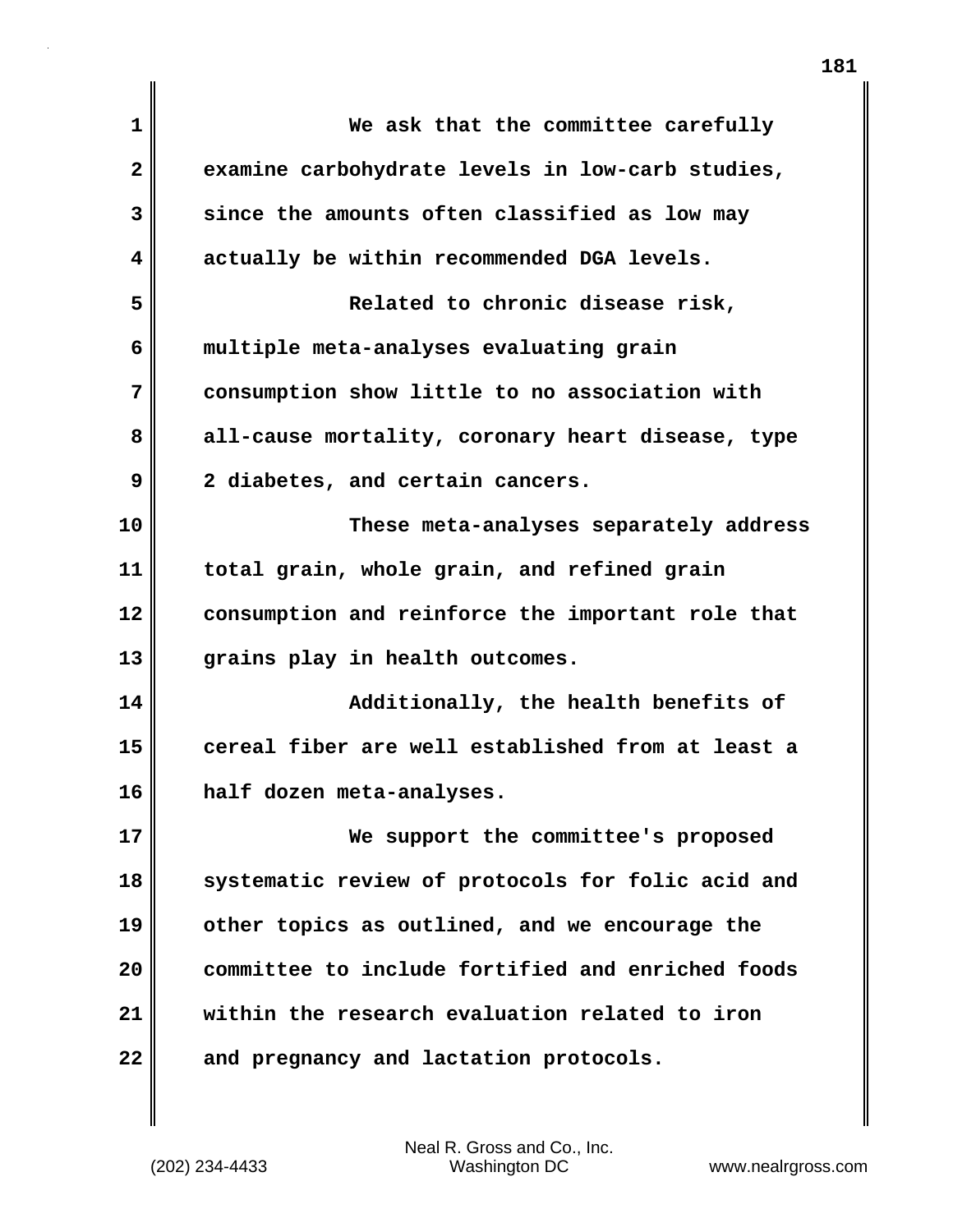| $\mathbf{1}$ | We ask that the committee carefully               |
|--------------|---------------------------------------------------|
| $\mathbf{2}$ | examine carbohydrate levels in low-carb studies,  |
| 3            | since the amounts often classified as low may     |
| 4            | actually be within recommended DGA levels.        |
| 5            | Related to chronic disease risk,                  |
| 6            | multiple meta-analyses evaluating grain           |
| 7            | consumption show little to no association with    |
| 8            | all-cause mortality, coronary heart disease, type |
| 9            | 2 diabetes, and certain cancers.                  |
| 10           | These meta-analyses separately address            |
| 11           | total grain, whole grain, and refined grain       |
| 12           | consumption and reinforce the important role that |
| 13           | grains play in health outcomes.                   |
| 14           | Additionally, the health benefits of              |
| 15           | cereal fiber are well established from at least a |
| 16           | half dozen meta-analyses.                         |
| 17           | We support the committee's proposed               |
| 18           | systematic review of protocols for folic acid and |
| 19           | other topics as outlined, and we encourage the    |
| 20           | committee to include fortified and enriched foods |
| 21           | within the research evaluation related to iron    |
| 22           | and pregnancy and lactation protocols.            |
|              |                                                   |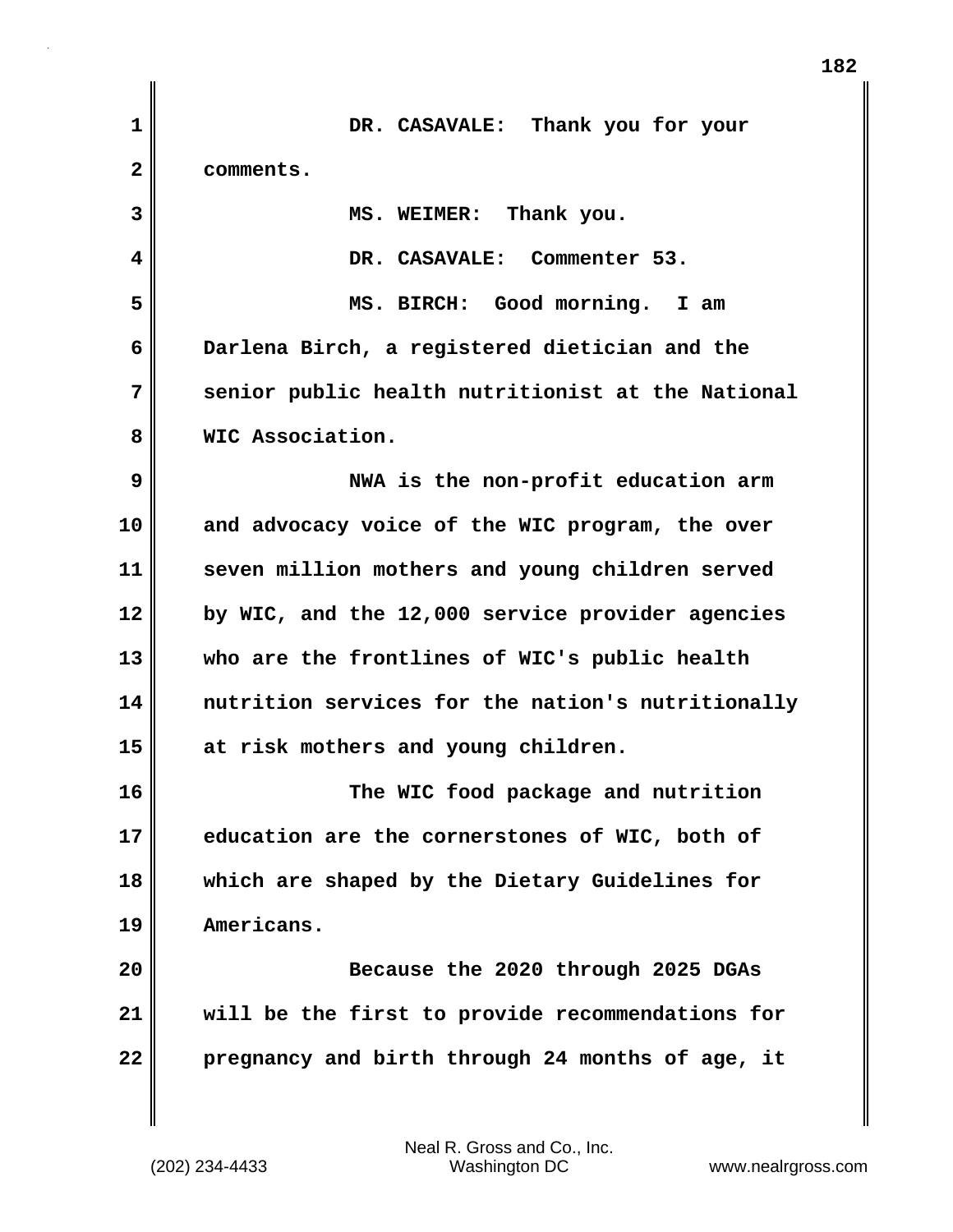| $\mathbf 1$    | DR. CASAVALE: Thank you for your                  |
|----------------|---------------------------------------------------|
| $\overline{2}$ | comments.                                         |
| 3              | MS. WEIMER: Thank you.                            |
| 4              | DR. CASAVALE: Commenter 53.                       |
| 5              | Good morning. I am<br>MS. BIRCH:                  |
| 6              | Darlena Birch, a registered dietician and the     |
| 7              | senior public health nutritionist at the National |
| 8              | WIC Association.                                  |
| 9              | NWA is the non-profit education arm               |
| 10             | and advocacy voice of the WIC program, the over   |
| 11             | seven million mothers and young children served   |
| 12             | by WIC, and the 12,000 service provider agencies  |
| 13             | who are the frontlines of WIC's public health     |
| 14             | nutrition services for the nation's nutritionally |
| 15             | at risk mothers and young children.               |
| 16             | The WIC food package and nutrition                |
| 17             | education are the cornerstones of WIC, both of    |
| 18             | which are shaped by the Dietary Guidelines for    |
| 19             | Americans.                                        |
| 20             | Because the 2020 through 2025 DGAs                |
| 21             | will be the first to provide recommendations for  |
| 22             | pregnancy and birth through 24 months of age, it  |
|                |                                                   |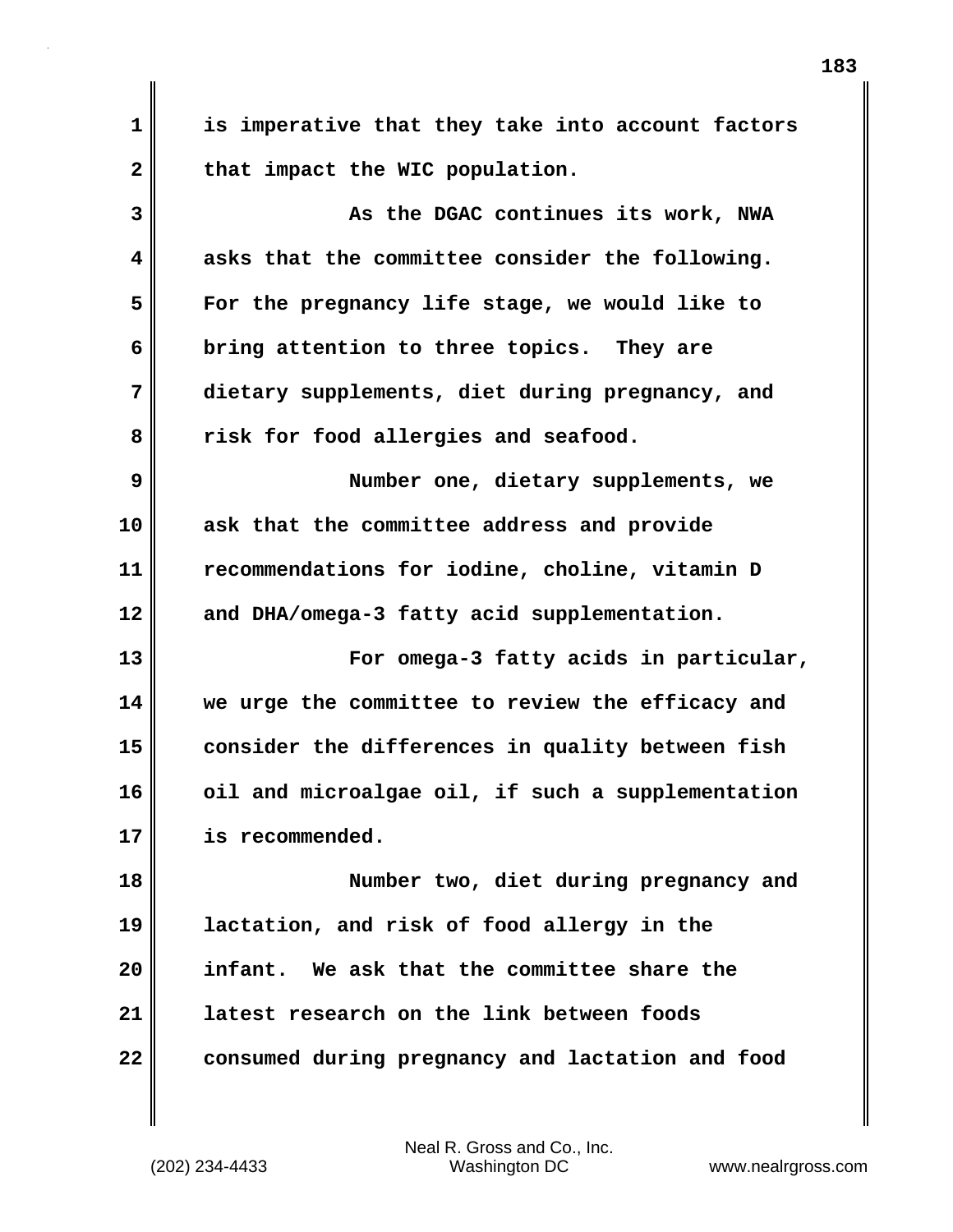**1 is imperative that they take into account factors** 2 that impact the WIC population. **3** As the DGAC continues its work, NWA **4 asks that the committee consider the following. 5 For the pregnancy life stage, we would like to 6 bring attention to three topics. They are 7 dietary supplements, diet during pregnancy, and 8 risk for food allergies and seafood. 9 Number one, dietary supplements, we 10 ask that the committee address and provide 11 recommendations for iodine, choline, vitamin D 12 and DHA/omega-3 fatty acid supplementation. 13 For omega-3 fatty acids in particular, 14 we urge the committee to review the efficacy and 15 consider the differences in quality between fish 16 oil and microalgae oil, if such a supplementation 17 is recommended. 18 Number two, diet during pregnancy and 19 lactation, and risk of food allergy in the 20 infant. We ask that the committee share the 21 latest research on the link between foods 22** consumed during pregnancy and lactation and food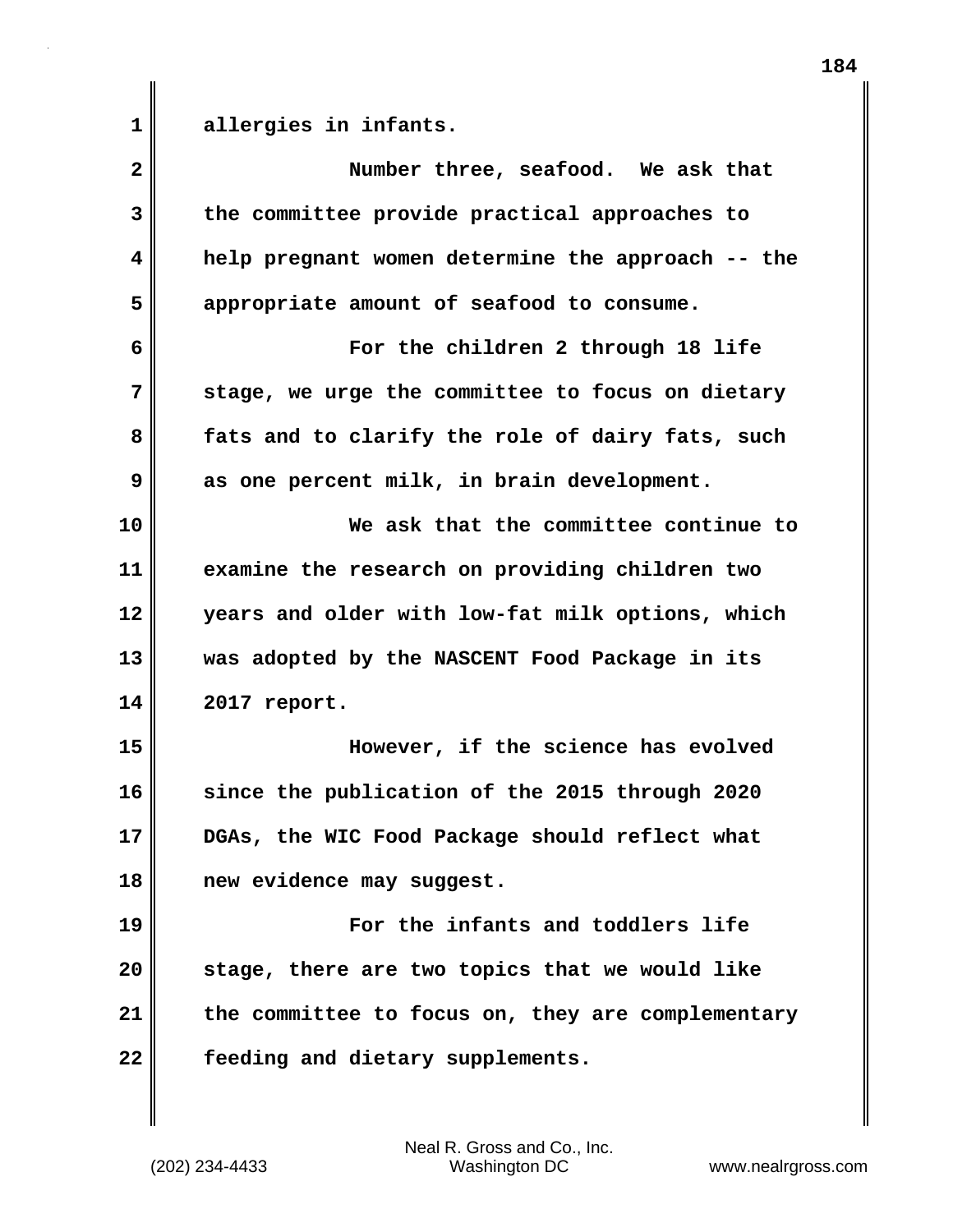**1 allergies in infants.**

| $\overline{\mathbf{2}}$ | Number three, seafood. We ask that                |
|-------------------------|---------------------------------------------------|
| 3                       | the committee provide practical approaches to     |
| 4                       | help pregnant women determine the approach -- the |
| 5                       | appropriate amount of seafood to consume.         |
| 6                       | For the children 2 through 18 life                |
| 7                       | stage, we urge the committee to focus on dietary  |
| 8                       | fats and to clarify the role of dairy fats, such  |
| 9                       | as one percent milk, in brain development.        |
| 10                      | We ask that the committee continue to             |
| 11                      | examine the research on providing children two    |
| 12                      | years and older with low-fat milk options, which  |
| 13                      | was adopted by the NASCENT Food Package in its    |
| 14                      | 2017 report.                                      |
| 15                      | However, if the science has evolved               |
| 16                      | since the publication of the 2015 through 2020    |
| 17                      | DGAs, the WIC Food Package should reflect what    |
| 18                      | new evidence may suggest.                         |
| 19                      | For the infants and toddlers life                 |
| 20                      | stage, there are two topics that we would like    |
| 21                      | the committee to focus on, they are complementary |
| 22                      | feeding and dietary supplements.                  |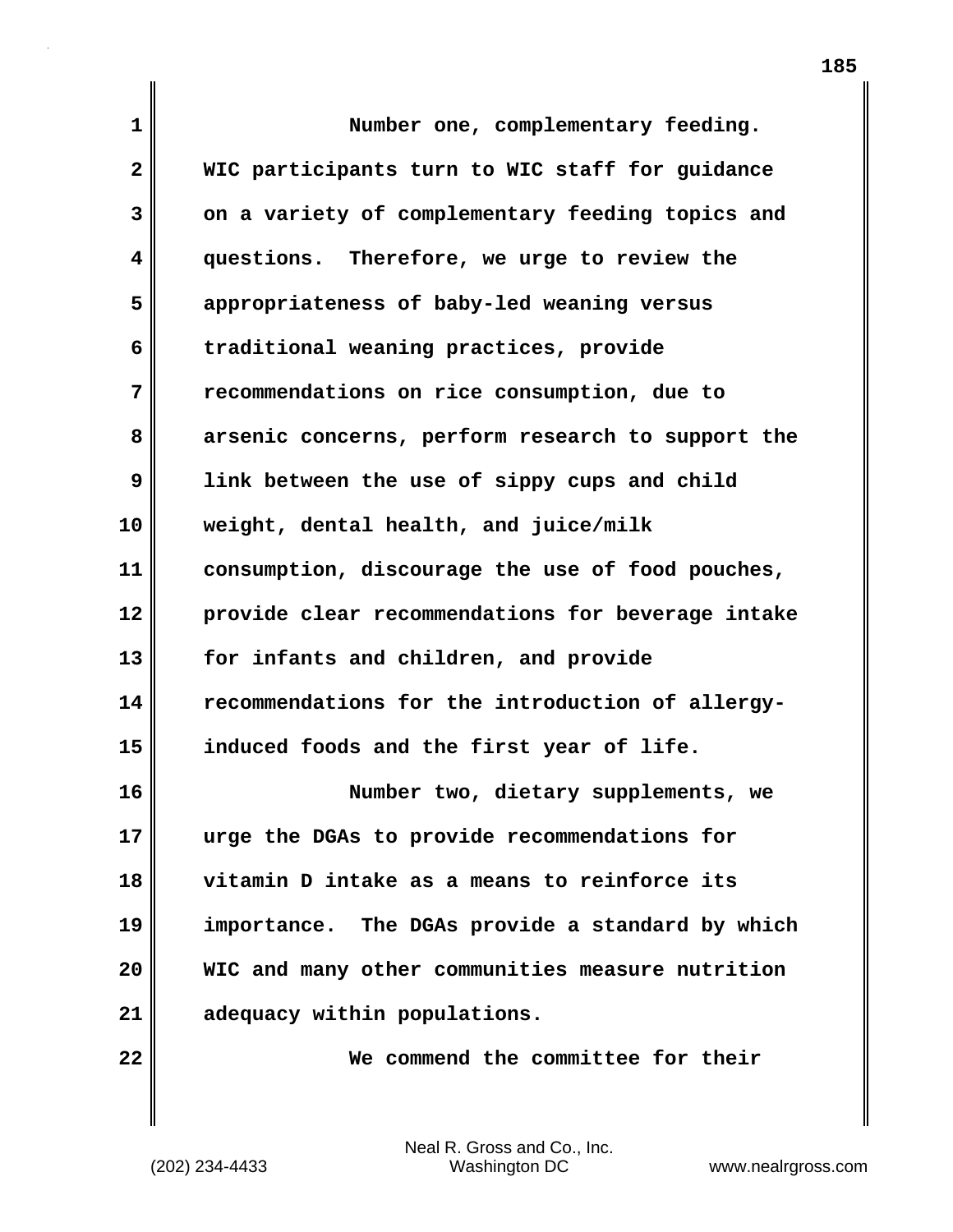| $\mathbf{1}$ | Number one, complementary feeding.                |
|--------------|---------------------------------------------------|
| $\mathbf{2}$ | WIC participants turn to WIC staff for guidance   |
| 3            | on a variety of complementary feeding topics and  |
| 4            | questions. Therefore, we urge to review the       |
| 5            | appropriateness of baby-led weaning versus        |
| 6            | traditional weaning practices, provide            |
| 7            | recommendations on rice consumption, due to       |
| 8            | arsenic concerns, perform research to support the |
| 9            | link between the use of sippy cups and child      |
| 10           | weight, dental health, and juice/milk             |
| 11           | consumption, discourage the use of food pouches,  |
| 12           | provide clear recommendations for beverage intake |
| 13           | for infants and children, and provide             |
| 14           | recommendations for the introduction of allergy-  |
| 15           | induced foods and the first year of life.         |
| 16           | Number two, dietary supplements, we               |
| 17           | urge the DGAs to provide recommendations for      |
| 18           | vitamin D intake as a means to reinforce its      |
| 19           | importance. The DGAs provide a standard by which  |
| 20           | WIC and many other communities measure nutrition  |
| 21           | adequacy within populations.                      |
| 22           | We commend the committee for their                |

(202) 234-4433 Washington DC www.nealrgross.com Neal R. Gross and Co., Inc.

 $\mathbf l$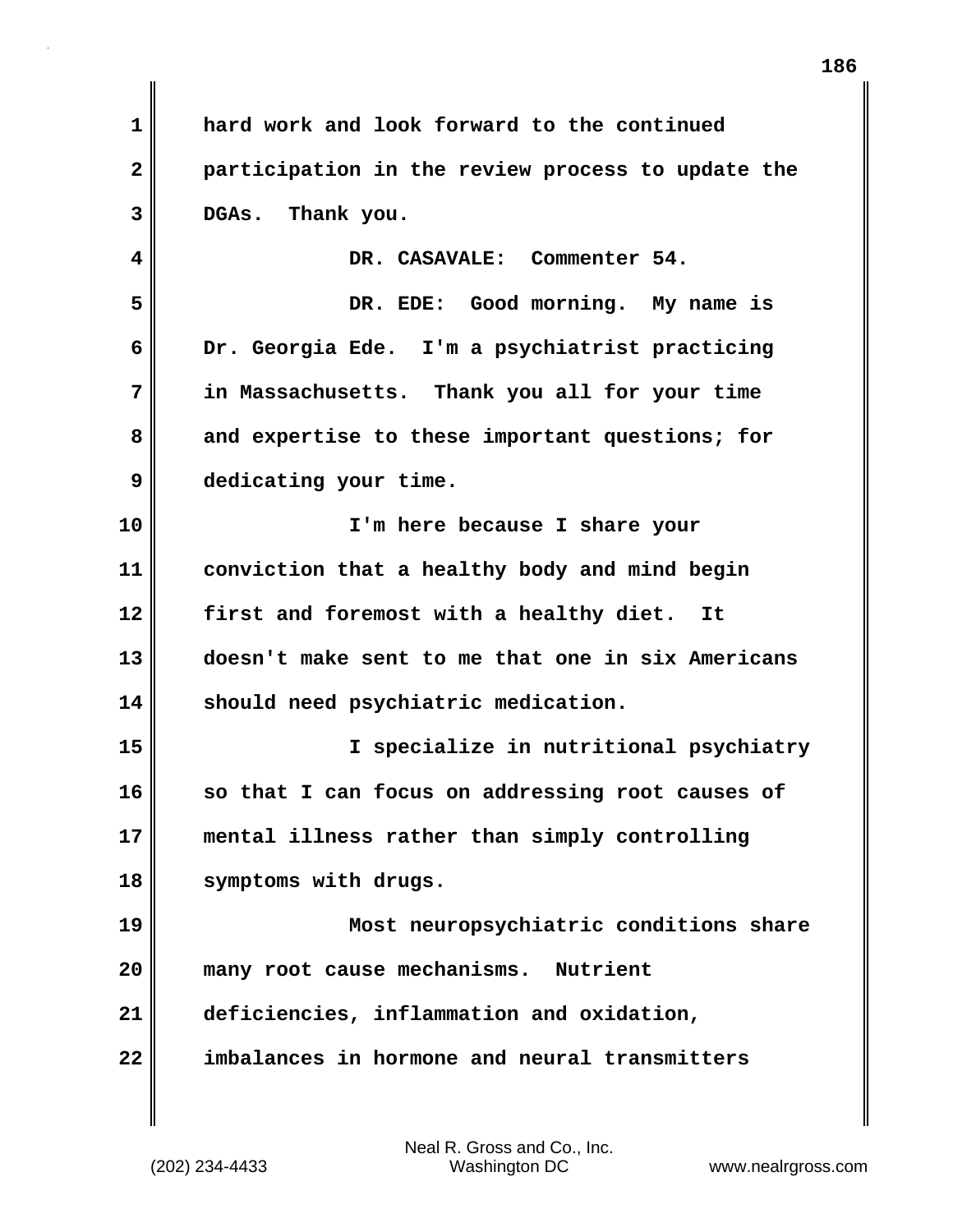**1 hard work and look forward to the continued 2 participation in the review process to update the 3 DGAs. Thank you. 4 DR. CASAVALE: Commenter 54. 5 DR. EDE: Good morning. My name is 6 Dr. Georgia Ede. I'm a psychiatrist practicing 7 in Massachusetts. Thank you all for your time 8 and expertise to these important questions; for 9 dedicating your time. 10 I'm here because I share your 11 conviction that a healthy body and mind begin 12 first and foremost with a healthy diet. It 13 doesn't make sent to me that one in six Americans 14 should need psychiatric medication. 15 I specialize in nutritional psychiatry 16 so that I can focus on addressing root causes of 17 mental illness rather than simply controlling 18 symptoms with drugs. 19 Most neuropsychiatric conditions share 20 many root cause mechanisms. Nutrient 21 deficiencies, inflammation and oxidation, 22 imbalances in hormone and neural transmitters**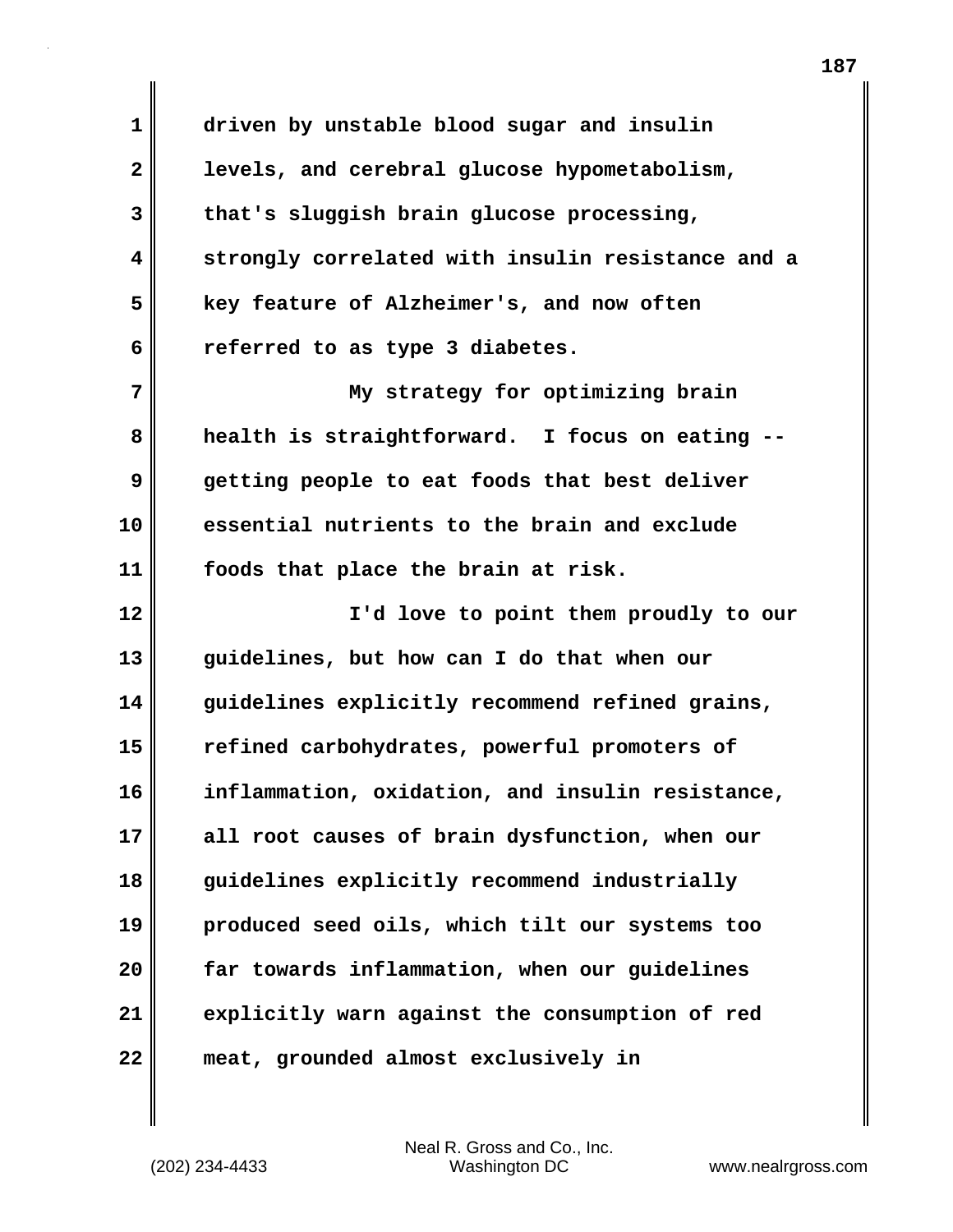**1 driven by unstable blood sugar and insulin 2 levels, and cerebral glucose hypometabolism, 3 that's sluggish brain glucose processing, 4 strongly correlated with insulin resistance and a 5 key feature of Alzheimer's, and now often 6 referred to as type 3 diabetes.**

**7 My strategy for optimizing brain 8 health is straightforward. I focus on eating -- 9 getting people to eat foods that best deliver 10 essential nutrients to the brain and exclude 11 foods that place the brain at risk.**

**12 I'd love to point them proudly to our 13 guidelines, but how can I do that when our 14 guidelines explicitly recommend refined grains, 15 refined carbohydrates, powerful promoters of 16 inflammation, oxidation, and insulin resistance, 17 all root causes of brain dysfunction, when our 18 guidelines explicitly recommend industrially 19 produced seed oils, which tilt our systems too 20 far towards inflammation, when our guidelines 21 explicitly warn against the consumption of red 22 meat, grounded almost exclusively in**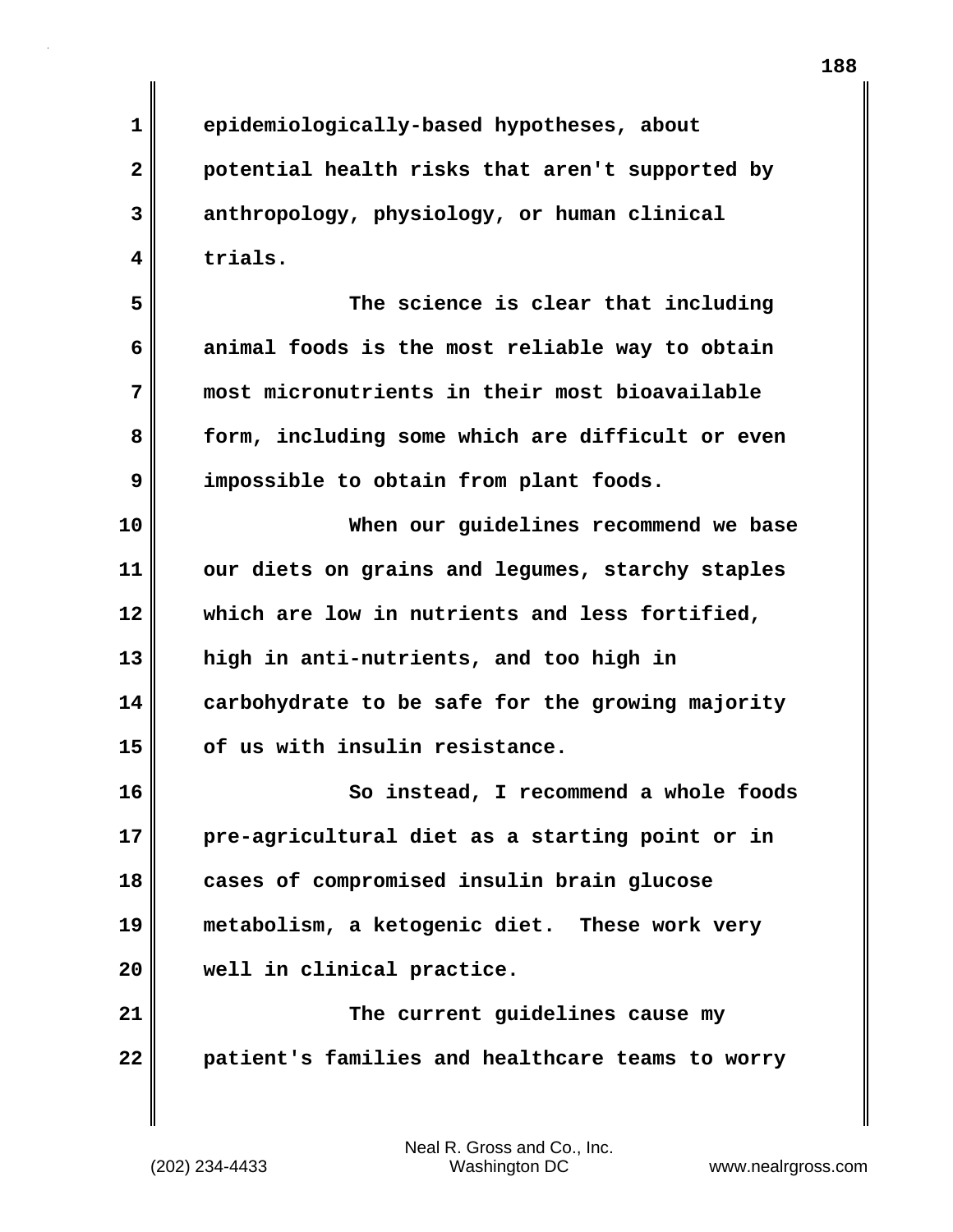**188**

**1 epidemiologically-based hypotheses, about 2 potential health risks that aren't supported by 3 anthropology, physiology, or human clinical 4 trials.**

**5 The science is clear that including 6 animal foods is the most reliable way to obtain 7 most micronutrients in their most bioavailable 8 form, including some which are difficult or even 9 impossible to obtain from plant foods.**

**10 When our guidelines recommend we base 11 our diets on grains and legumes, starchy staples 12 which are low in nutrients and less fortified, 13 high in anti-nutrients, and too high in 14 carbohydrate to be safe for the growing majority 15 of us with insulin resistance.**

**16 So instead, I recommend a whole foods 17 pre-agricultural diet as a starting point or in 18 cases of compromised insulin brain glucose 19 metabolism, a ketogenic diet. These work very 20 well in clinical practice.**

**21 The current guidelines cause my 22 patient's families and healthcare teams to worry**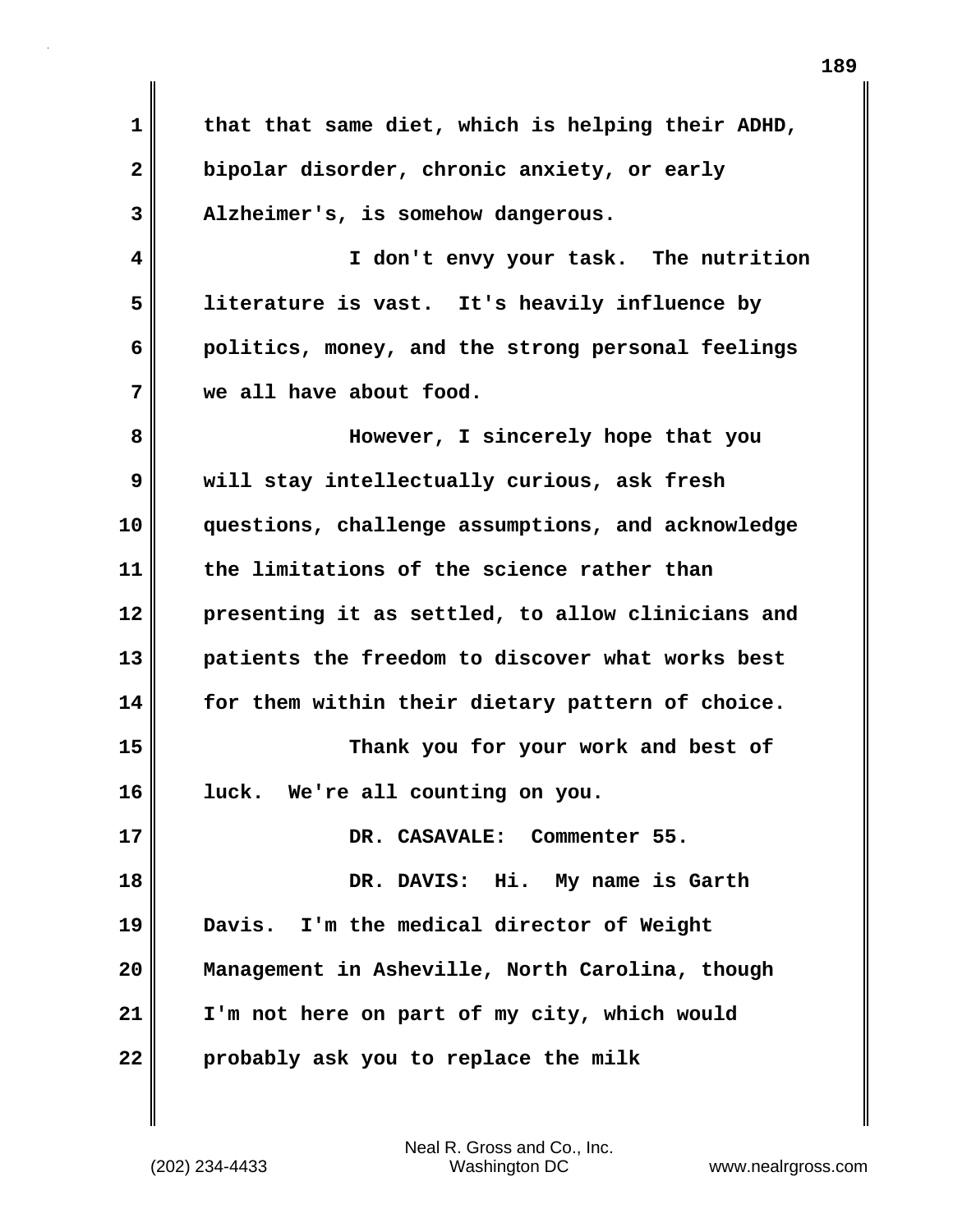| $\mathbf 1$  | that that same diet, which is helping their ADHD, |
|--------------|---------------------------------------------------|
| $\mathbf{2}$ | bipolar disorder, chronic anxiety, or early       |
| 3            | Alzheimer's, is somehow dangerous.                |
| 4            | I don't envy your task. The nutrition             |
| 5            | literature is vast. It's heavily influence by     |
| 6            | politics, money, and the strong personal feelings |
| 7            | we all have about food.                           |
| 8            | However, I sincerely hope that you                |
| 9            | will stay intellectually curious, ask fresh       |
| 10           | questions, challenge assumptions, and acknowledge |
| 11           | the limitations of the science rather than        |
| 12           | presenting it as settled, to allow clinicians and |
| 13           | patients the freedom to discover what works best  |
| 14           | for them within their dietary pattern of choice.  |
| 15           | Thank you for your work and best of               |
| 16           | luck. We're all counting on you.                  |
| 17           | DR. CASAVALE: Commenter 55.                       |
| 18           | DR. DAVIS: Hi. My name is Garth                   |
| 19           | Davis. I'm the medical director of Weight         |
| 20           | Management in Asheville, North Carolina, though   |
| 21           | I'm not here on part of my city, which would      |
| 22           | probably ask you to replace the milk              |

(202) 234-4433 Washington DC www.nealrgross.com Neal R. Gross and Co., Inc.

 $\mathbf{I}$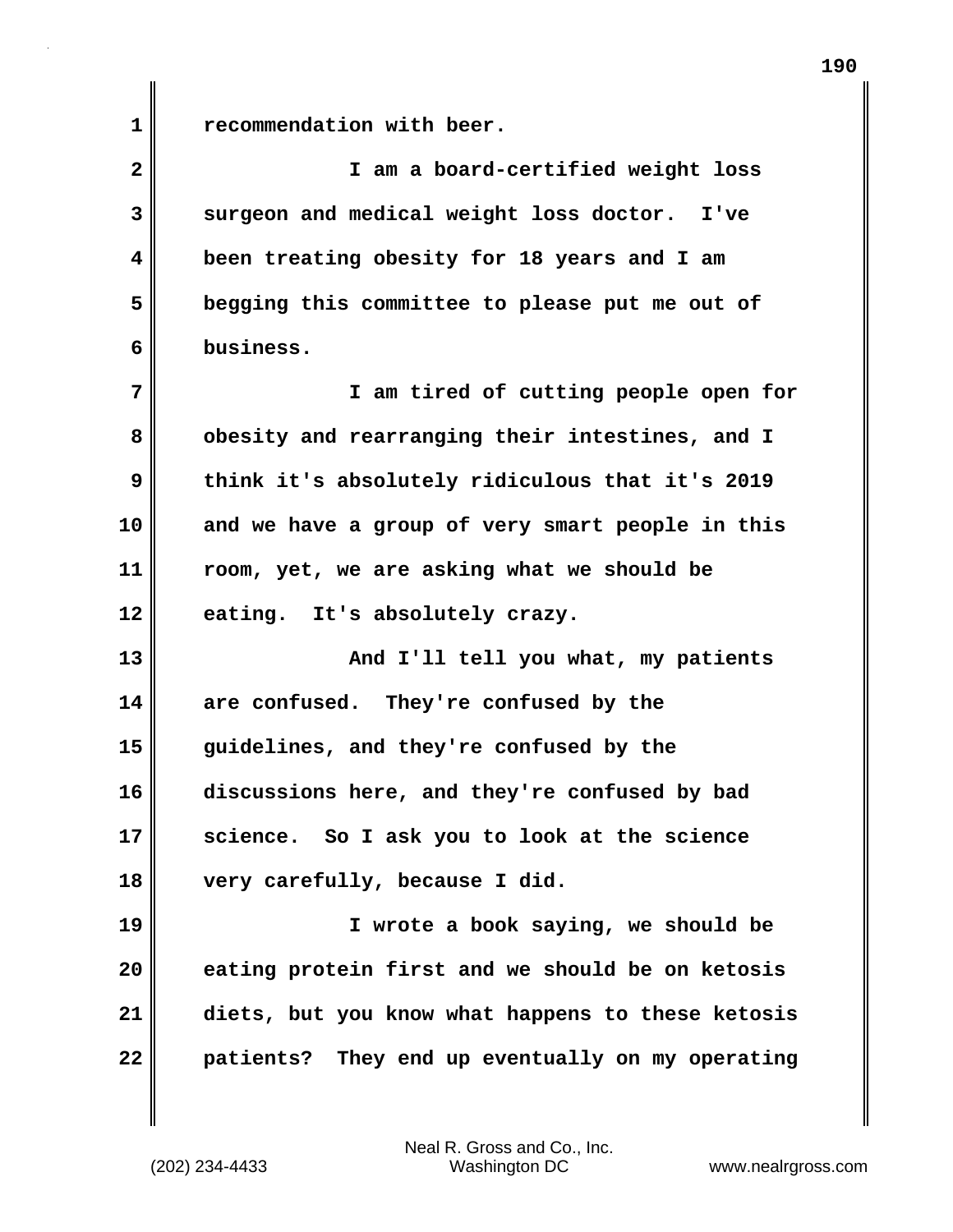1 **c** recommendation with beer.

| $\overline{\mathbf{2}}$ | I am a board-certified weight loss                |
|-------------------------|---------------------------------------------------|
| 3                       | surgeon and medical weight loss doctor. I've      |
| $\overline{\mathbf{4}}$ | been treating obesity for 18 years and I am       |
| 5                       | begging this committee to please put me out of    |
| 6                       | business.                                         |
| 7                       | I am tired of cutting people open for             |
| 8                       | obesity and rearranging their intestines, and I   |
| 9                       | think it's absolutely ridiculous that it's 2019   |
| 10                      | and we have a group of very smart people in this  |
| 11                      | room, yet, we are asking what we should be        |
| 12                      | eating. It's absolutely crazy.                    |
| 13                      | And I'll tell you what, my patients               |
| 14                      | are confused. They're confused by the             |
| 15                      | guidelines, and they're confused by the           |
| 16                      | discussions here, and they're confused by bad     |
| 17                      | science. So I ask you to look at the science      |
| 18                      | very carefully, because I did.                    |
| 19                      | I wrote a book saying, we should be               |
| 20                      | eating protein first and we should be on ketosis  |
| 21                      | diets, but you know what happens to these ketosis |
| 22                      | patients? They end up eventually on my operating  |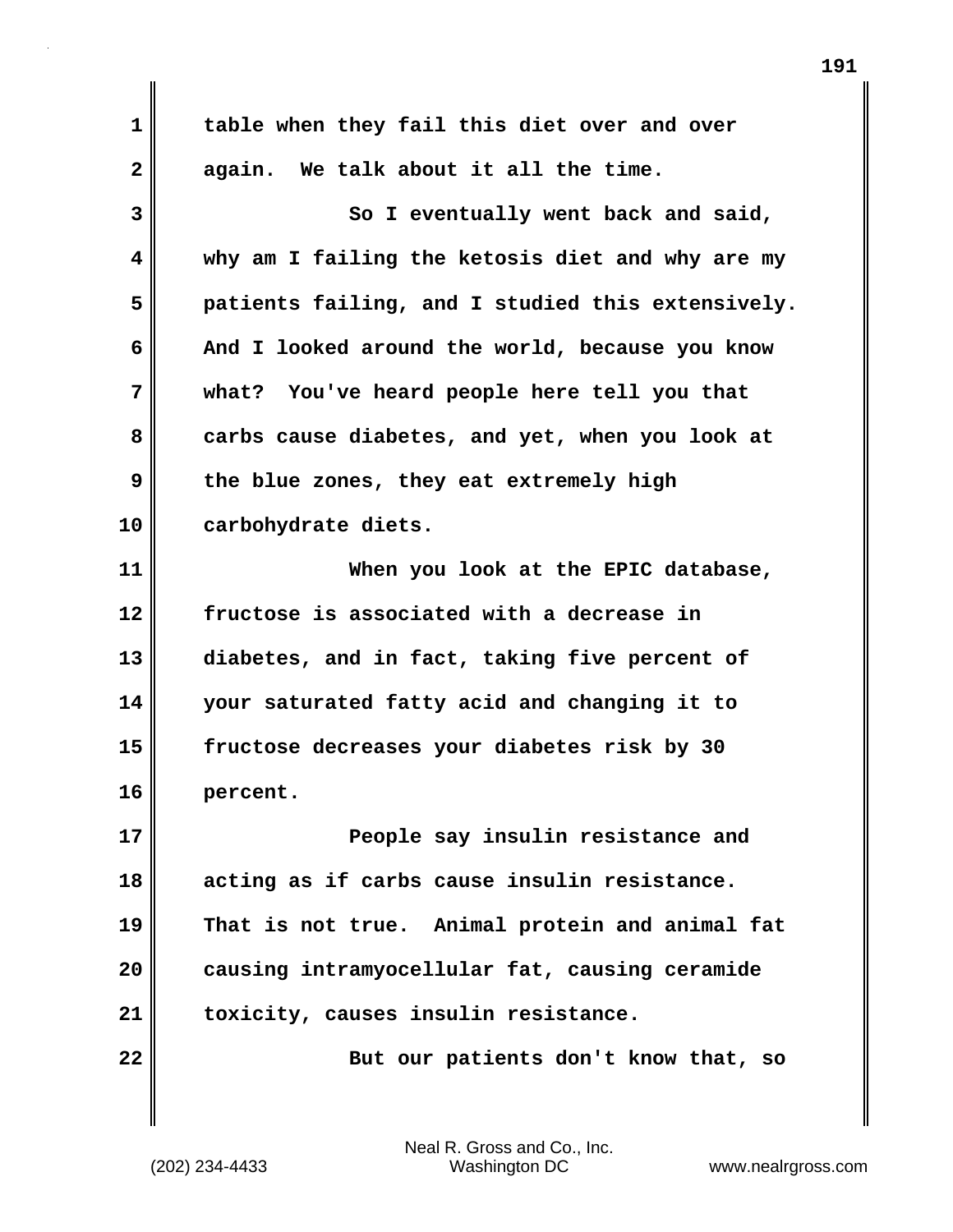| $\mathbf 1$     | table when they fail this diet over and over      |
|-----------------|---------------------------------------------------|
| $\mathbf{2}$    | again. We talk about it all the time.             |
| 3               | So I eventually went back and said,               |
| 4               | why am I failing the ketosis diet and why are my  |
| 5               | patients failing, and I studied this extensively. |
| 6               | And I looked around the world, because you know   |
| 7               | what? You've heard people here tell you that      |
| 8               | carbs cause diabetes, and yet, when you look at   |
| 9               | the blue zones, they eat extremely high           |
| 10              | carbohydrate diets.                               |
| 11              | When you look at the EPIC database,               |
| 12              | fructose is associated with a decrease in         |
| 13              | diabetes, and in fact, taking five percent of     |
| 14              | your saturated fatty acid and changing it to      |
| 15              | fructose decreases your diabetes risk by 30       |
| 16              | percent.                                          |
| 17              | People say insulin resistance and                 |
| 18              | acting as if carbs cause insulin resistance.      |
| 19              | That is not true. Animal protein and animal fat   |
| 20              | causing intramyocellular fat, causing ceramide    |
| 21              | toxicity, causes insulin resistance.              |
| $\overline{22}$ | But our patients don't know that, so              |
|                 |                                                   |

 $\mathbf{I}$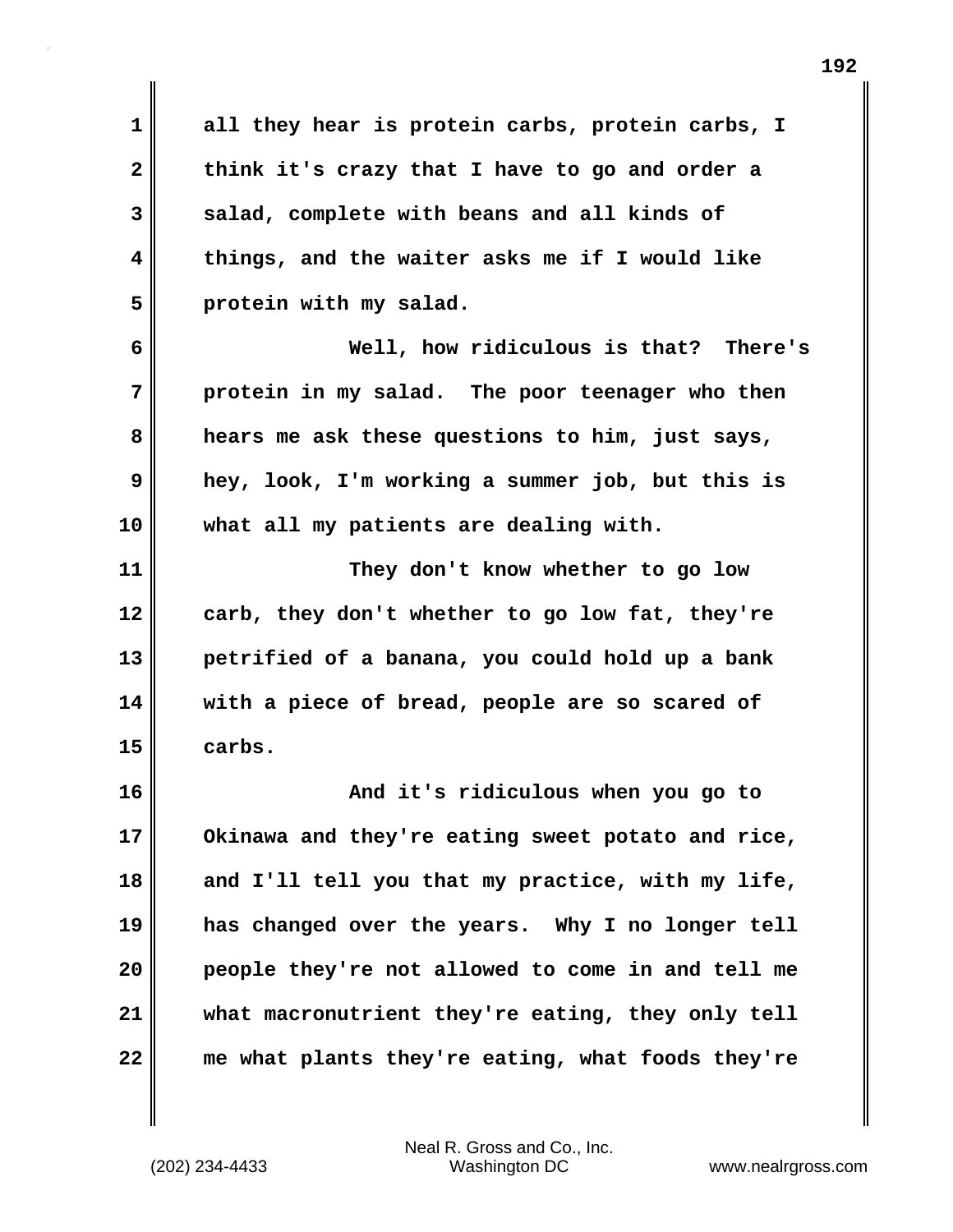**1 all they hear is protein carbs, protein carbs, I 2 think it's crazy that I have to go and order a 3 salad, complete with beans and all kinds of 4 things, and the waiter asks me if I would like 5 protein with my salad.**

**6 Well, how ridiculous is that? There's 7 protein in my salad. The poor teenager who then 8 hears me ask these questions to him, just says, 9 hey, look, I'm working a summer job, but this is 10 what all my patients are dealing with.**

**11 They don't know whether to go low 12 carb, they don't whether to go low fat, they're 13 petrified of a banana, you could hold up a bank 14 with a piece of bread, people are so scared of 15 carbs.**

**16 And it's ridiculous when you go to 17 Okinawa and they're eating sweet potato and rice, 18 and I'll tell you that my practice, with my life, 19 has changed over the years. Why I no longer tell 20 people they're not allowed to come in and tell me 21 what macronutrient they're eating, they only tell 22 me what plants they're eating, what foods they're**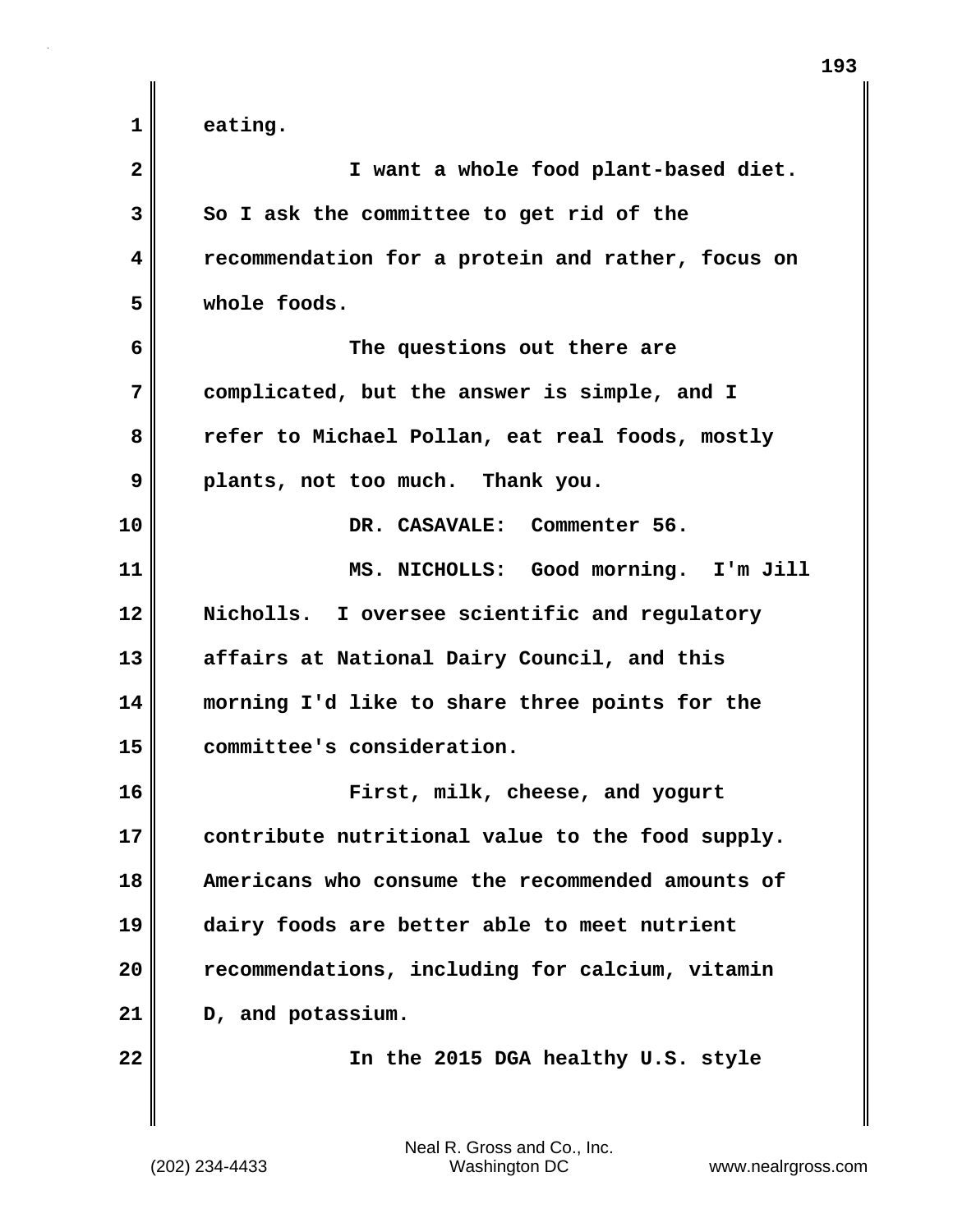**1 eating.**

| $\overline{\mathbf{2}}$ | I want a whole food plant-based diet.             |
|-------------------------|---------------------------------------------------|
| 3                       | So I ask the committee to get rid of the          |
| 4                       | recommendation for a protein and rather, focus on |
| 5                       | whole foods.                                      |
| 6                       | The questions out there are                       |
| 7                       | complicated, but the answer is simple, and I      |
| 8                       | refer to Michael Pollan, eat real foods, mostly   |
| 9                       | plants, not too much. Thank you.                  |
| 10                      | DR. CASAVALE: Commenter 56.                       |
| 11                      | MS. NICHOLLS: Good morning. I'm Jill              |
| 12                      | Nicholls. I oversee scientific and regulatory     |
| 13                      | affairs at National Dairy Council, and this       |
| 14                      | morning I'd like to share three points for the    |
| 15                      | committee's consideration.                        |
| 16                      | First, milk, cheese, and yogurt                   |
| 17                      | contribute nutritional value to the food supply.  |
| 18                      | Americans who consume the recommended amounts of  |
| 19                      | dairy foods are better able to meet nutrient      |
| 20                      | recommendations, including for calcium, vitamin   |
| 21                      | D, and potassium.                                 |
| 22                      | In the 2015 DGA healthy U.S. style                |
|                         |                                                   |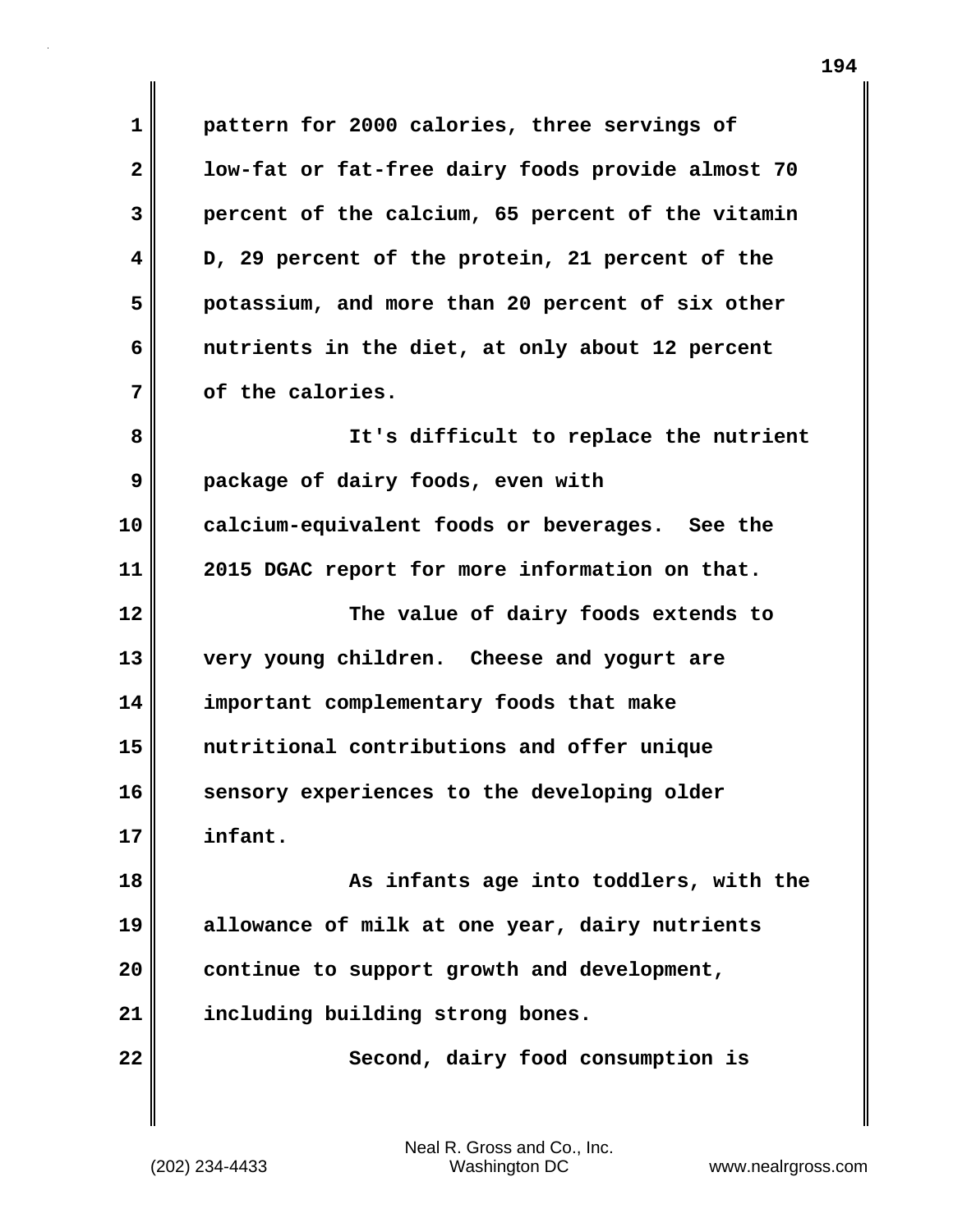**1 pattern for 2000 calories, three servings of 2 low-fat or fat-free dairy foods provide almost 70 3 percent of the calcium, 65 percent of the vitamin 4 D, 29 percent of the protein, 21 percent of the 5 potassium, and more than 20 percent of six other 6 nutrients in the diet, at only about 12 percent 7 of the calories. 8 It's difficult to replace the nutrient**

**9 package of dairy foods, even with 10 calcium-equivalent foods or beverages. See the 11 2015 DGAC report for more information on that. 12 The value of dairy foods extends to 13 very young children. Cheese and yogurt are 14 important complementary foods that make**

**15 nutritional contributions and offer unique** 16 sensory experiences to the developing older **17 infant.**

**18 As infants age into toddlers, with the 19 allowance of milk at one year, dairy nutrients 20 continue to support growth and development, 21 including building strong bones.**

**22** Second, dairy food consumption is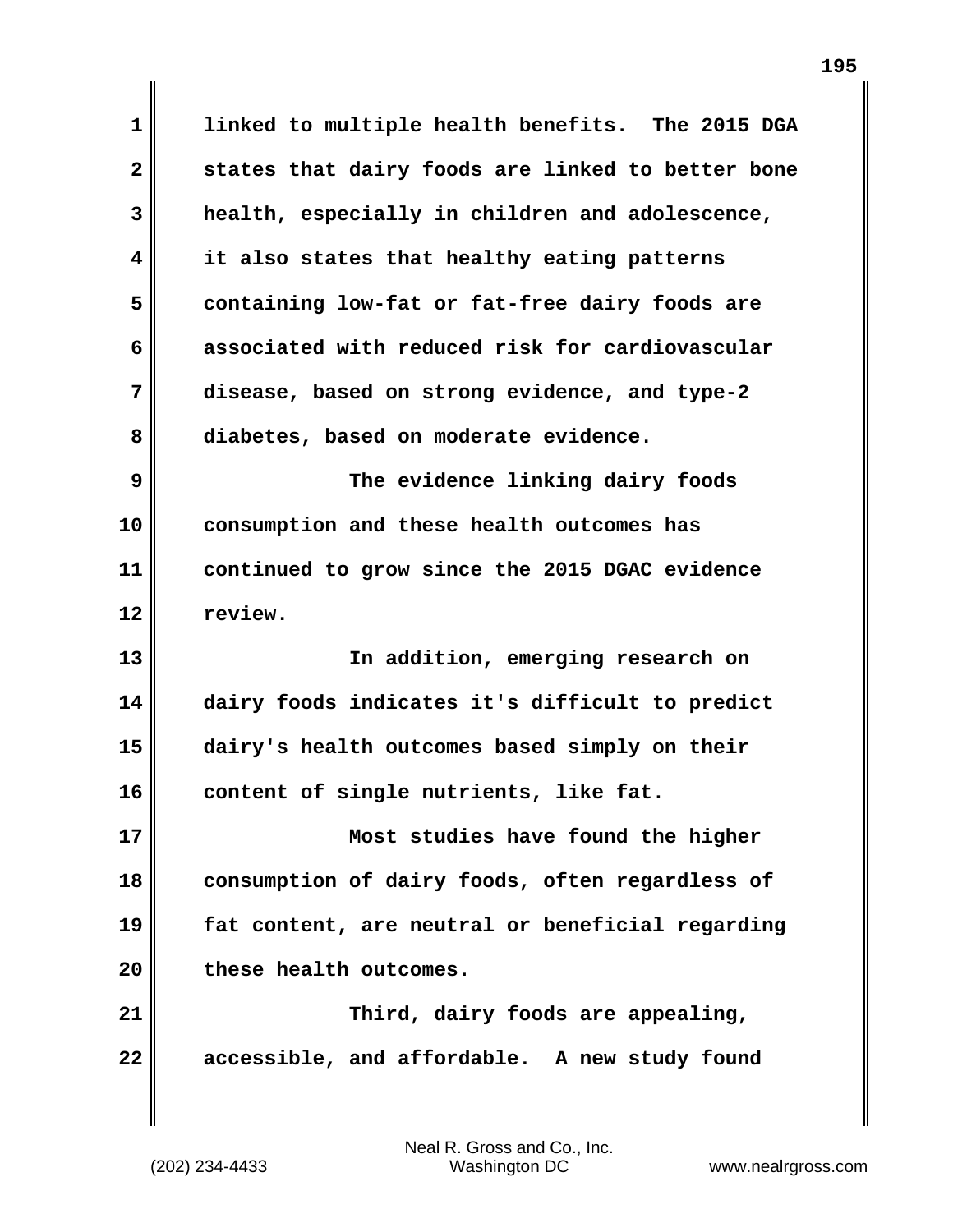**1 linked to multiple health benefits. The 2015 DGA 2 states that dairy foods are linked to better bone 3 health, especially in children and adolescence, 4 it also states that healthy eating patterns 5 containing low-fat or fat-free dairy foods are 6 associated with reduced risk for cardiovascular 7 disease, based on strong evidence, and type-2 8 diabetes, based on moderate evidence. 9 The evidence linking dairy foods 10 consumption and these health outcomes has 11 continued to grow since the 2015 DGAC evidence 12 review. 13 In addition, emerging research on 14 dairy foods indicates it's difficult to predict 15 dairy's health outcomes based simply on their 16 content of single nutrients, like fat. 17 Most studies have found the higher 18 consumption of dairy foods, often regardless of 19 fat content, are neutral or beneficial regarding 20 these health outcomes. 21 Third, dairy foods are appealing, 22 accessible, and affordable. A new study found**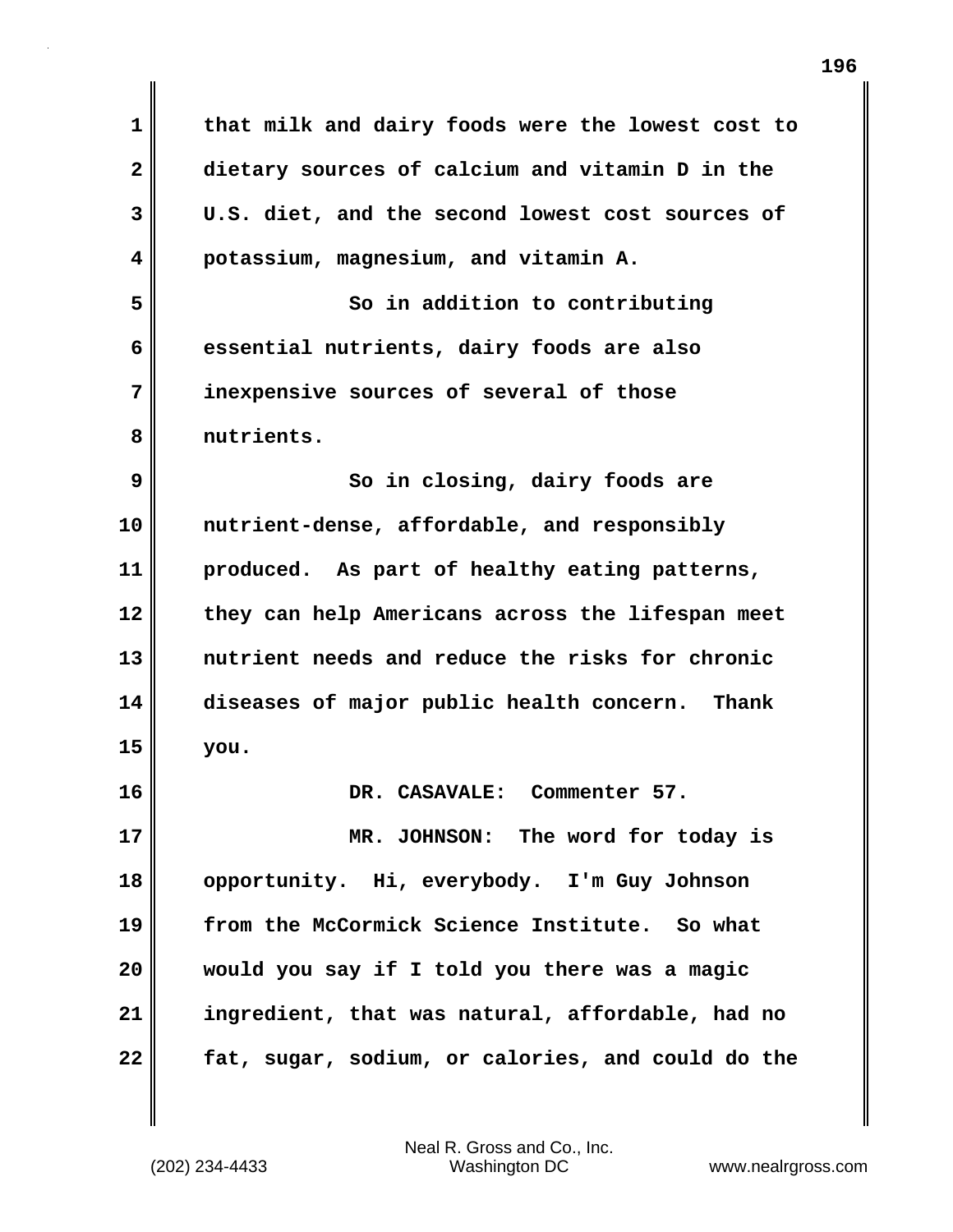**1 that milk and dairy foods were the lowest cost to 2 dietary sources of calcium and vitamin D in the 3 U.S. diet, and the second lowest cost sources of 4 potassium, magnesium, and vitamin A. 5** So in addition to contributing **6 essential nutrients, dairy foods are also 7 inexpensive sources of several of those 8 nutrients. 9** So in closing, dairy foods are **10 nutrient-dense, affordable, and responsibly 11 produced. As part of healthy eating patterns, 12 they can help Americans across the lifespan meet 13 nutrient needs and reduce the risks for chronic 14 diseases of major public health concern. Thank 15 you. 16 DR. CASAVALE: Commenter 57. 17 MR. JOHNSON: The word for today is 18 opportunity. Hi, everybody. I'm Guy Johnson 19 from the McCormick Science Institute. So what 20 would you say if I told you there was a magic 21 ingredient, that was natural, affordable, had no 22 fat, sugar, sodium, or calories, and could do the**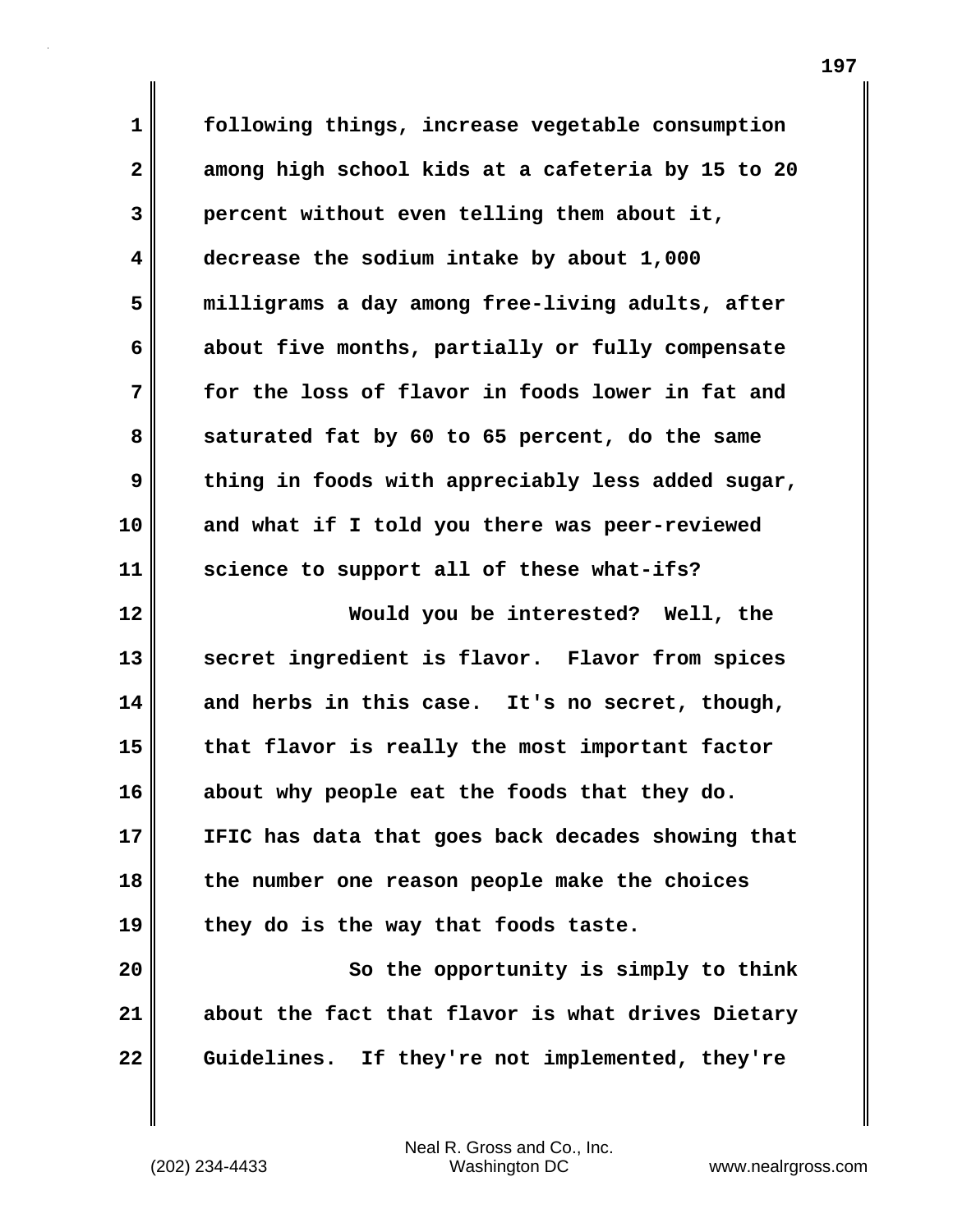**1 following things, increase vegetable consumption 2 among high school kids at a cafeteria by 15 to 20 3 percent without even telling them about it, 4 decrease the sodium intake by about 1,000 5 milligrams a day among free-living adults, after 6 about five months, partially or fully compensate 7 for the loss of flavor in foods lower in fat and 8 saturated fat by 60 to 65 percent, do the same 9 thing in foods with appreciably less added sugar, 10 and what if I told you there was peer-reviewed 11 science to support all of these what-ifs? 12 Would you be interested? Well, the 13 secret ingredient is flavor. Flavor from spices 14 and herbs in this case. It's no secret, though, 15 that flavor is really the most important factor 16 about why people eat the foods that they do. 17 IFIC has data that goes back decades showing that 18 the number one reason people make the choices 19 they do is the way that foods taste.**

**20 So the opportunity is simply to think 21 about the fact that flavor is what drives Dietary 22 Guidelines. If they're not implemented, they're**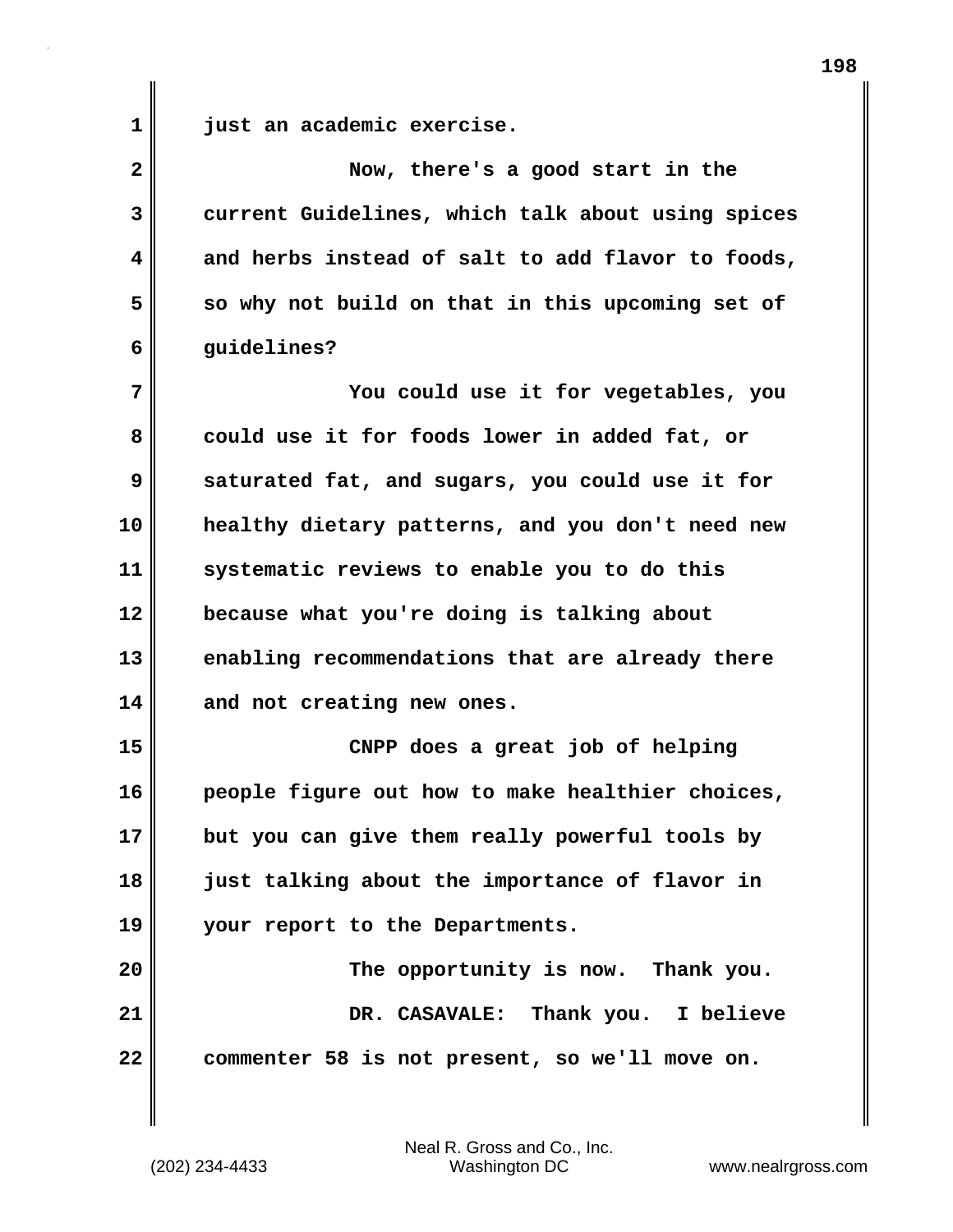**1 just an academic exercise.**

| $\overline{\mathbf{2}}$ | Now, there's a good start in the                  |
|-------------------------|---------------------------------------------------|
| 3                       | current Guidelines, which talk about using spices |
| 4                       | and herbs instead of salt to add flavor to foods, |
| 5                       | so why not build on that in this upcoming set of  |
| 6                       | guidelines?                                       |
| 7                       | You could use it for vegetables, you              |
| 8                       | could use it for foods lower in added fat, or     |
| 9                       | saturated fat, and sugars, you could use it for   |
| 10                      | healthy dietary patterns, and you don't need new  |
| 11                      | systematic reviews to enable you to do this       |
| 12                      | because what you're doing is talking about        |
| 13                      | enabling recommendations that are already there   |
| 14                      | and not creating new ones.                        |
| 15                      | CNPP does a great job of helping                  |
| 16                      | people figure out how to make healthier choices,  |
| 17                      | but you can give them really powerful tools by    |
| 18                      | just talking about the importance of flavor in    |
| 19                      | your report to the Departments.                   |
| 20                      | The opportunity is now. Thank you.                |
| 21                      | DR. CASAVALE: Thank you. I believe                |
| 22                      | commenter 58 is not present, so we'll move on.    |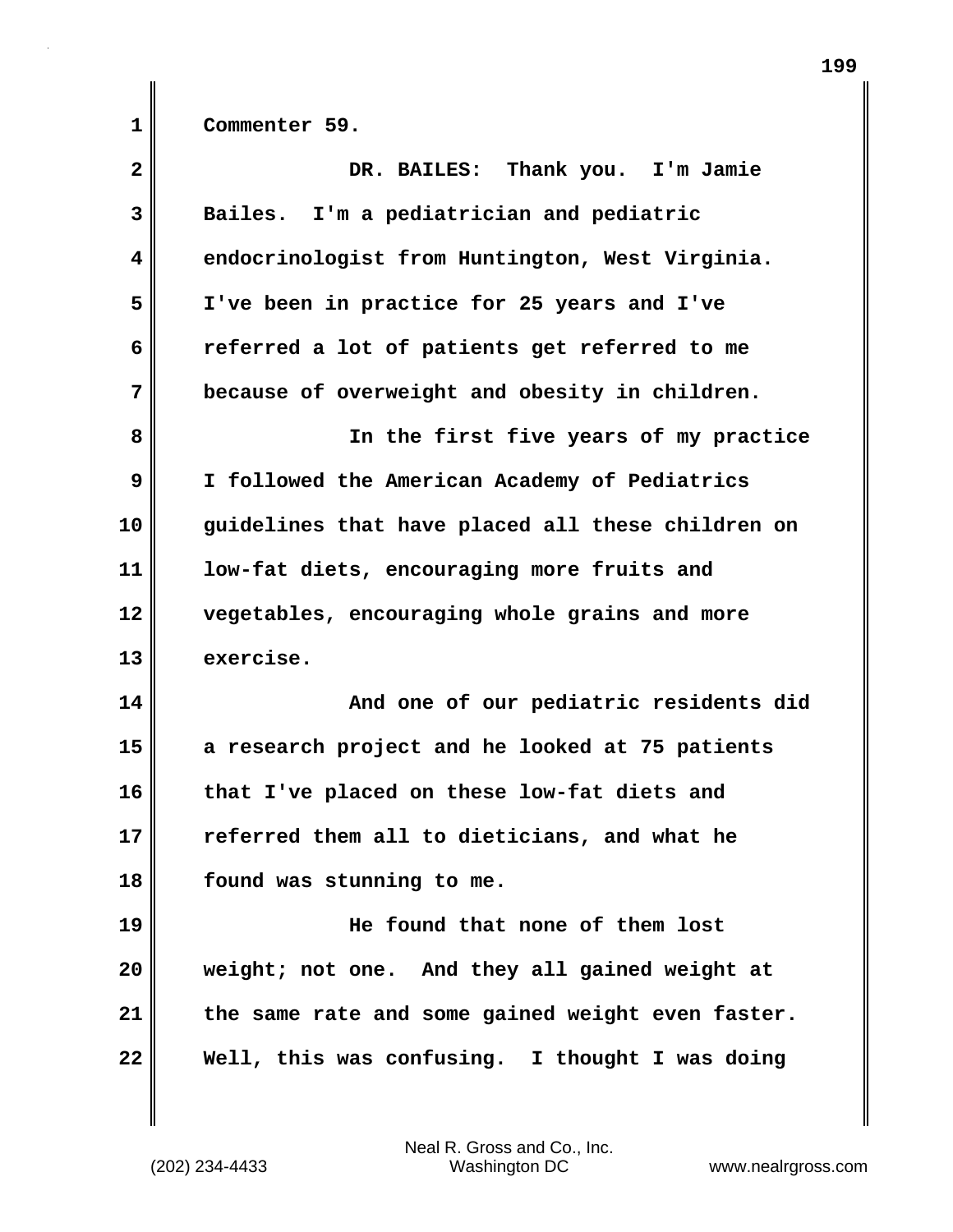**1 Commenter 59.**

| $\overline{\mathbf{2}}$ | DR. BAILES: Thank you. I'm Jamie                  |
|-------------------------|---------------------------------------------------|
| 3                       | Bailes. I'm a pediatrician and pediatric          |
| 4                       | endocrinologist from Huntington, West Virginia.   |
| 5                       | I've been in practice for 25 years and I've       |
| 6                       | referred a lot of patients get referred to me     |
| 7                       | because of overweight and obesity in children.    |
| 8                       | In the first five years of my practice            |
| 9                       | I followed the American Academy of Pediatrics     |
| 10                      | guidelines that have placed all these children on |
| 11                      | low-fat diets, encouraging more fruits and        |
| 12                      | vegetables, encouraging whole grains and more     |
| 13                      | exercise.                                         |
| 14                      | And one of our pediatric residents did            |
| 15                      | a research project and he looked at 75 patients   |
| 16                      | that I've placed on these low-fat diets and       |
| 17                      | referred them all to dieticians, and what he      |
| 18                      | found was stunning to me.                         |
| 19                      | He found that none of them lost                   |
| 20                      | weight; not one. And they all gained weight at    |
| 21                      | the same rate and some gained weight even faster. |
| 22                      | Well, this was confusing. I thought I was doing   |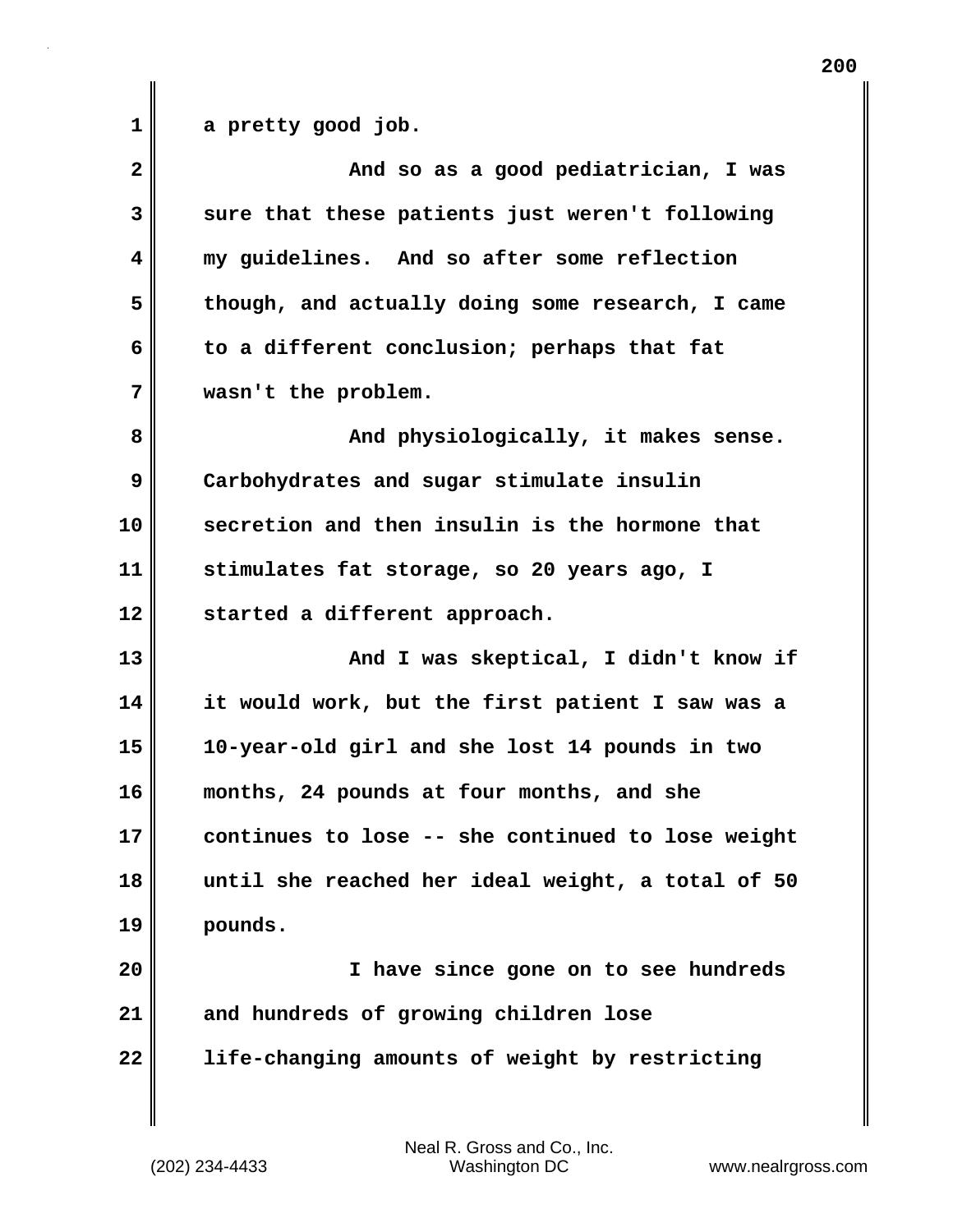1 a pretty good job.

| $\overline{2}$ | And so as a good pediatrician, I was              |
|----------------|---------------------------------------------------|
| 3              | sure that these patients just weren't following   |
| 4              | my guidelines. And so after some reflection       |
| 5              | though, and actually doing some research, I came  |
| 6              | to a different conclusion; perhaps that fat       |
| 7              | wasn't the problem.                               |
| 8              | And physiologically, it makes sense.              |
| 9              | Carbohydrates and sugar stimulate insulin         |
| 10             | secretion and then insulin is the hormone that    |
| 11             | stimulates fat storage, so 20 years ago, I        |
| 12             | started a different approach.                     |
|                |                                                   |
| 13             | And I was skeptical, I didn't know if             |
| 14             | it would work, but the first patient I saw was a  |
| 15             | 10-year-old girl and she lost 14 pounds in two    |
| 16             | months, 24 pounds at four months, and she         |
| 17             | continues to lose -- she continued to lose weight |
| 18             | until she reached her ideal weight, a total of 50 |
| 19             | pounds.                                           |
| 20             | I have since gone on to see hundreds              |
| 21             | and hundreds of growing children lose             |
| 22             | life-changing amounts of weight by restricting    |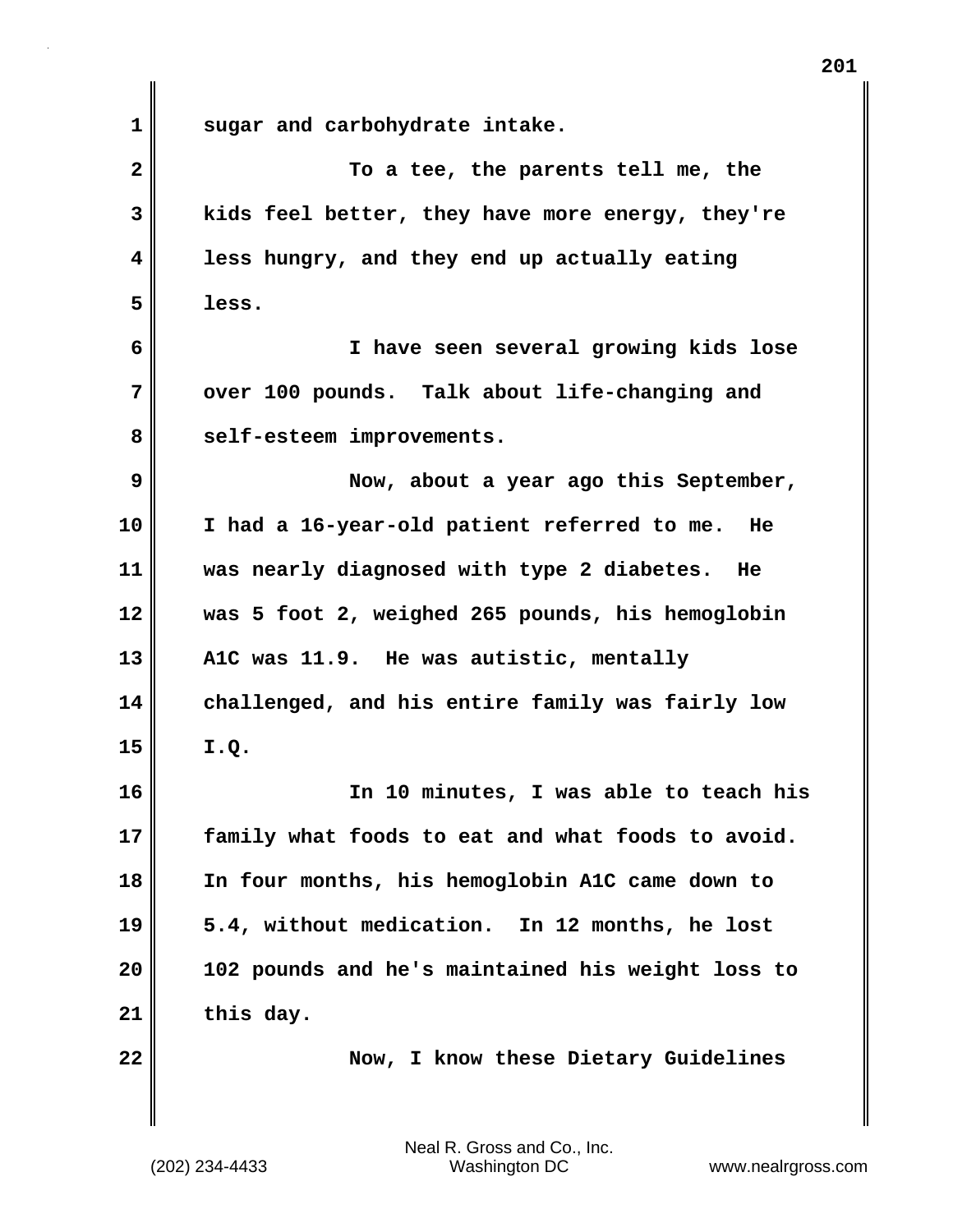**1 sugar and carbohydrate intake. 2 To a tee, the parents tell me, the 3 kids feel better, they have more energy, they're 4 less hungry, and they end up actually eating 5 less. 6 I have seen several growing kids lose** 7 **over 100 pounds.** Talk about life-changing and 8 self-esteem improvements. **9 Now, about a year ago this September, 10 I had a 16-year-old patient referred to me. He 11 was nearly diagnosed with type 2 diabetes. He 12 was 5 foot 2, weighed 265 pounds, his hemoglobin 13 A1C was 11.9. He was autistic, mentally 14 challenged, and his entire family was fairly low 15 I.Q. 16 In 10 minutes, I was able to teach his 17 family what foods to eat and what foods to avoid. 18 In four months, his hemoglobin A1C came down to 19 5.4, without medication. In 12 months, he lost 20 102 pounds and he's maintained his weight loss to 21 this day. 22 Now, I know these Dietary Guidelines**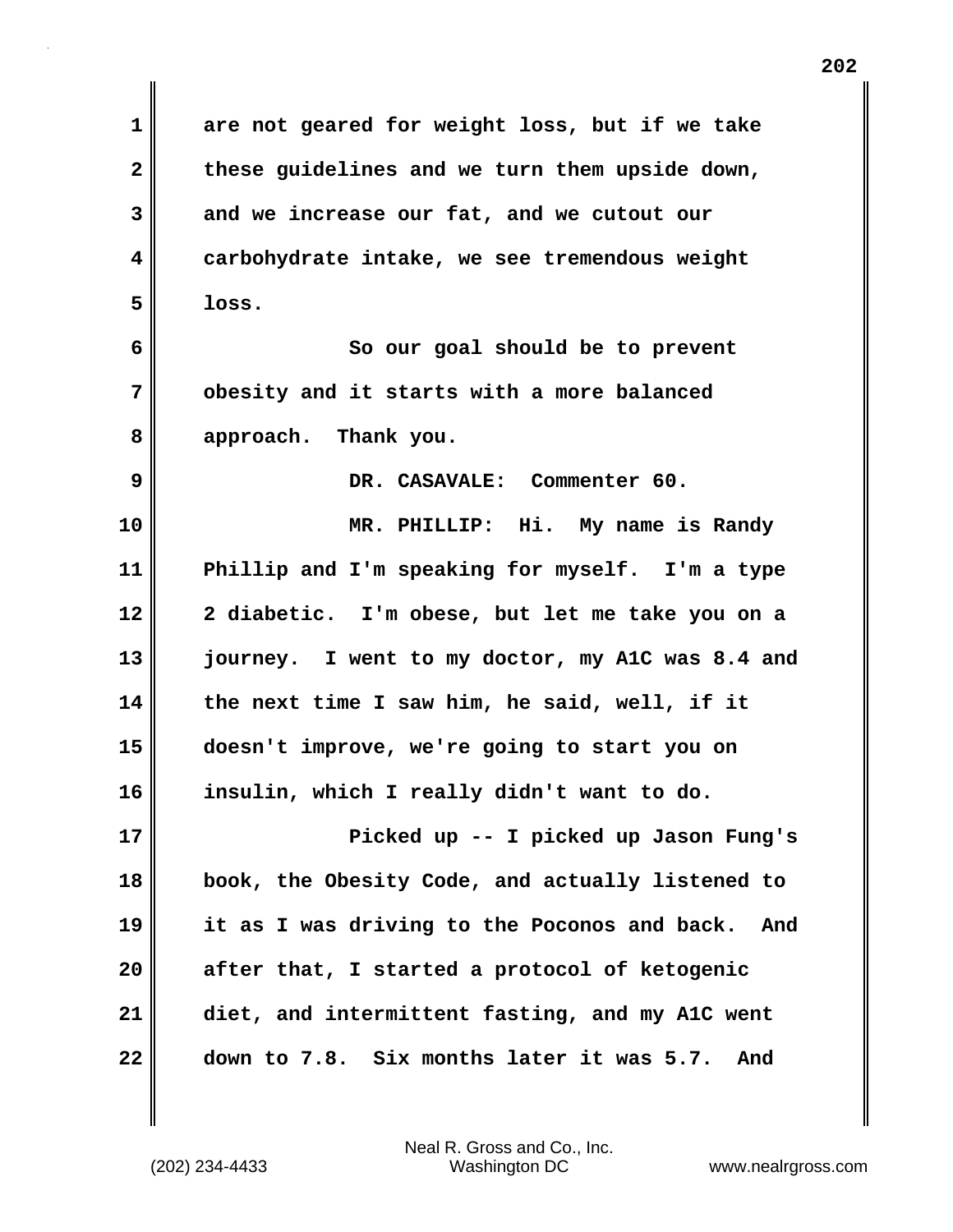**1 are not geared for weight loss, but if we take 2 these guidelines and we turn them upside down, 3 and we increase our fat, and we cutout our 4 carbohydrate intake, we see tremendous weight 5 loss. 6 So our goal should be to prevent 7 obesity and it starts with a more balanced 8 approach. Thank you. 9 DR. CASAVALE: Commenter 60. 10 MR. PHILLIP: Hi. My name is Randy 11 Phillip and I'm speaking for myself. I'm a type 12 2 diabetic. I'm obese, but let me take you on a 13 journey. I went to my doctor, my A1C was 8.4 and 14 the next time I saw him, he said, well, if it 15 doesn't improve, we're going to start you on 16 insulin, which I really didn't want to do. 17 Picked up -- I picked up Jason Fung's 18 book, the Obesity Code, and actually listened to 19 it as I was driving to the Poconos and back. And 20 after that, I started a protocol of ketogenic 21 diet, and intermittent fasting, and my A1C went 22 down to 7.8. Six months later it was 5.7. And**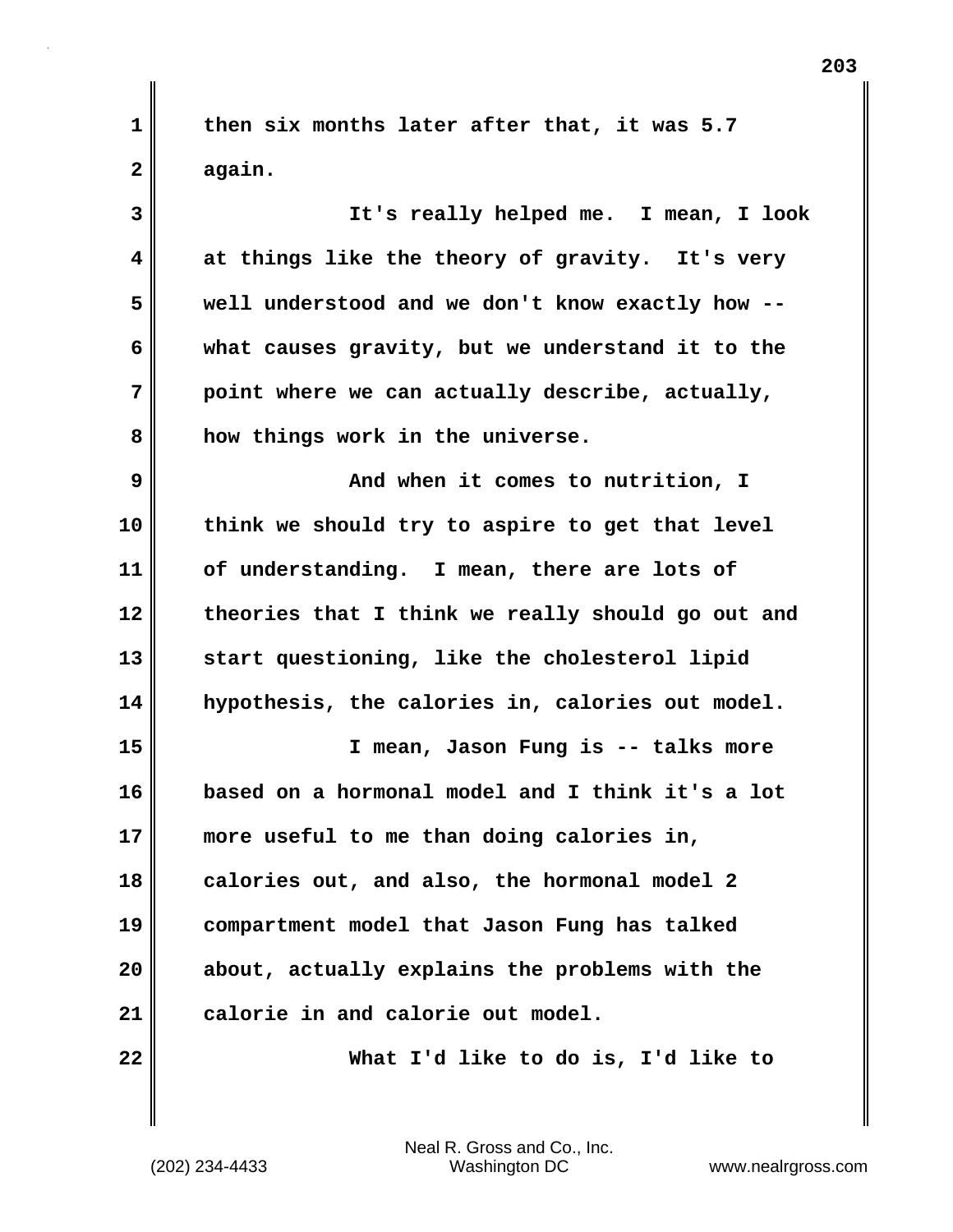**1 then six months later after that, it was 5.7 2 again.**

**3 It's really helped me. I mean, I look 4 at things like the theory of gravity. It's very 5 well understood and we don't know exactly how -- 6 what causes gravity, but we understand it to the 7 point where we can actually describe, actually, 8 how things work in the universe.**

**9 And when it comes to nutrition, I 10 think we should try to aspire to get that level 11 of understanding. I mean, there are lots of 12 theories that I think we really should go out and 13 start questioning, like the cholesterol lipid 14 hypothesis, the calories in, calories out model.**

**15 I mean, Jason Fung is -- talks more 16 based on a hormonal model and I think it's a lot 17 more useful to me than doing calories in, 18 calories out, and also, the hormonal model 2 19 compartment model that Jason Fung has talked 20 about, actually explains the problems with the 21 calorie in and calorie out model.**

**22 What I'd like to do is, I'd like to**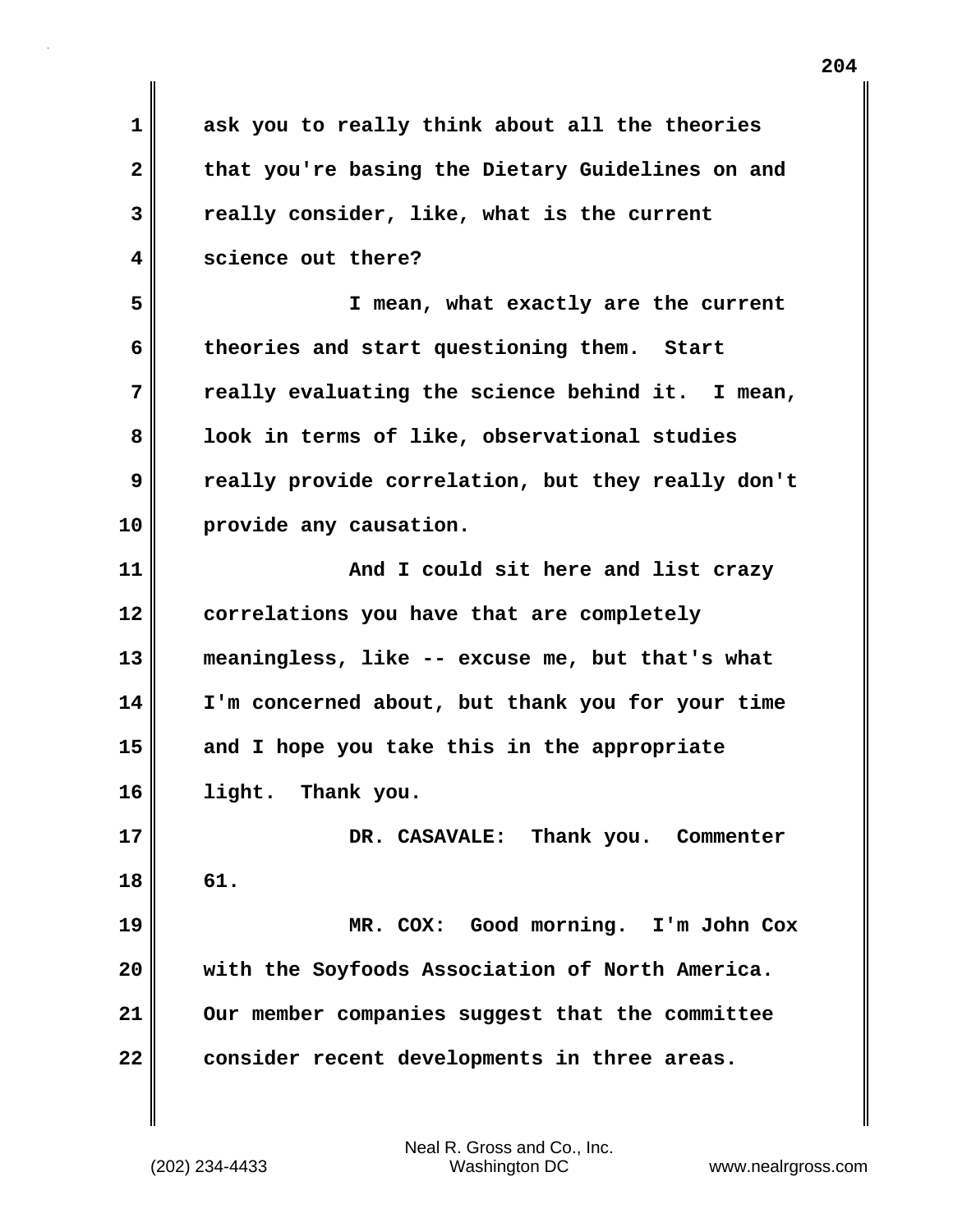| 1            | ask you to really think about all the theories    |
|--------------|---------------------------------------------------|
| $\mathbf{2}$ | that you're basing the Dietary Guidelines on and  |
| 3            | really consider, like, what is the current        |
| 4            | science out there?                                |
| 5            | I mean, what exactly are the current              |
| 6            | theories and start questioning them. Start        |
| 7            | really evaluating the science behind it. I mean,  |
| 8            | look in terms of like, observational studies      |
| 9            | really provide correlation, but they really don't |
| 10           | provide any causation.                            |
| 11           | And I could sit here and list crazy               |
| 12           | correlations you have that are completely         |
| 13           | meaningless, like -- excuse me, but that's what   |
| 14           | I'm concerned about, but thank you for your time  |
| 15           | and I hope you take this in the appropriate       |
| 16           | Thank you.<br>light.                              |
| 17           | DR. CASAVALE:<br>Thank you. Commenter             |
| 18           | 61.                                               |
| 19           | MR. COX: Good morning. I'm John Cox               |
| 20           | with the Soyfoods Association of North America.   |
| 21           | Our member companies suggest that the committee   |
| 22           | consider recent developments in three areas.      |
|              |                                                   |

 $\mathbf{I}$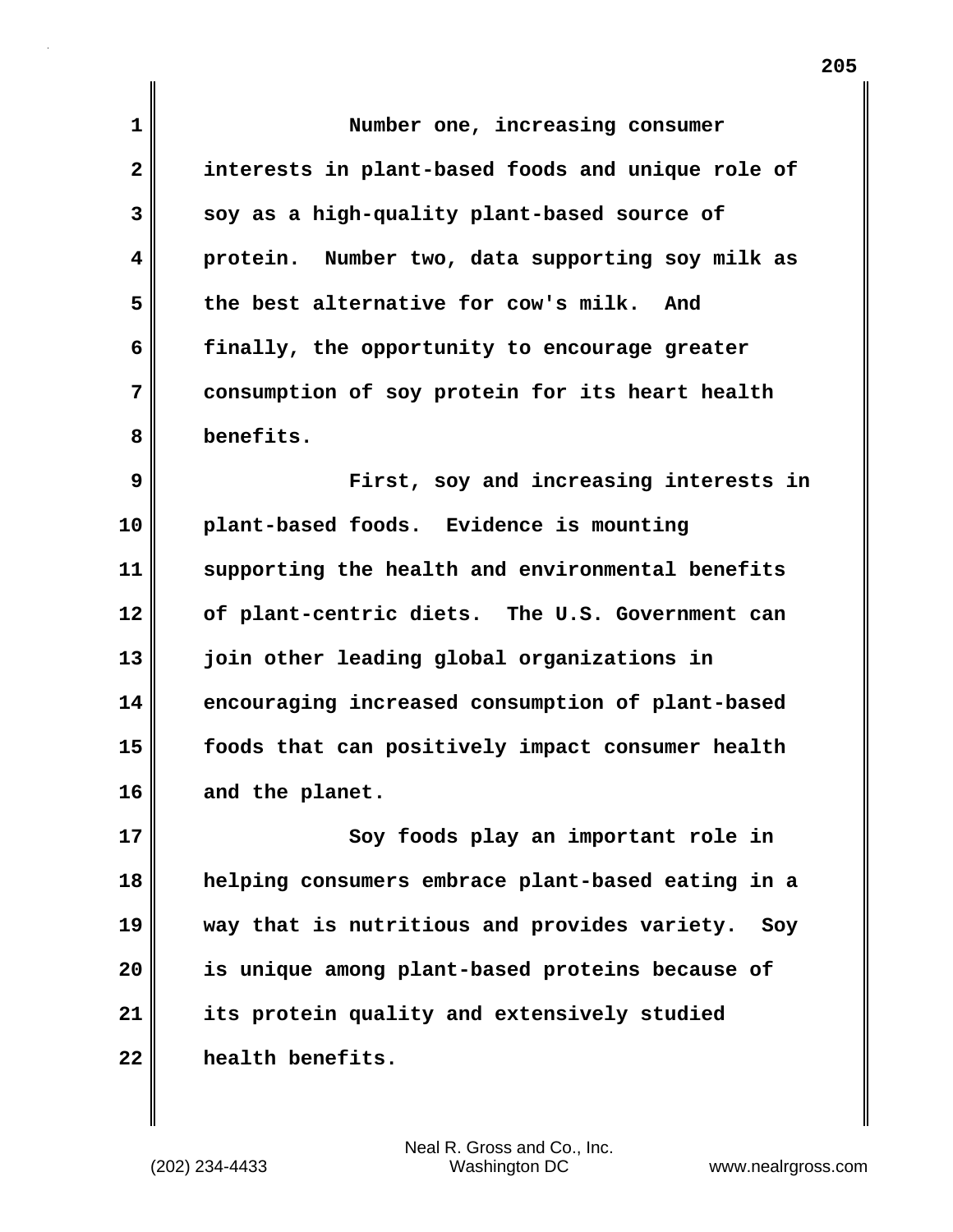| $\mathbf 1$  | Number one, increasing consumer                     |
|--------------|-----------------------------------------------------|
| $\mathbf{2}$ | interests in plant-based foods and unique role of   |
| 3            | soy as a high-quality plant-based source of         |
| 4            | protein. Number two, data supporting soy milk as    |
| 5            | the best alternative for cow's milk.<br>And         |
| 6            | finally, the opportunity to encourage greater       |
| 7            | consumption of soy protein for its heart health     |
| 8            | benefits.                                           |
| 9            | First, soy and increasing interests in              |
| 10           | plant-based foods. Evidence is mounting             |
| 11           | supporting the health and environmental benefits    |
| 12           | of plant-centric diets. The U.S. Government can     |
| 13           | join other leading global organizations in          |
| 14           | encouraging increased consumption of plant-based    |
| 15           | foods that can positively impact consumer health    |
| 16           | and the planet.                                     |
| 17           | Soy foods play an important role in                 |
| 18           | helping consumers embrace plant-based eating in a   |
| 19           | way that is nutritious and provides variety.<br>Soy |
| 20           | is unique among plant-based proteins because of     |
| 21           | its protein quality and extensively studied         |
| 22           | health benefits.                                    |

 $\mathbf{I}$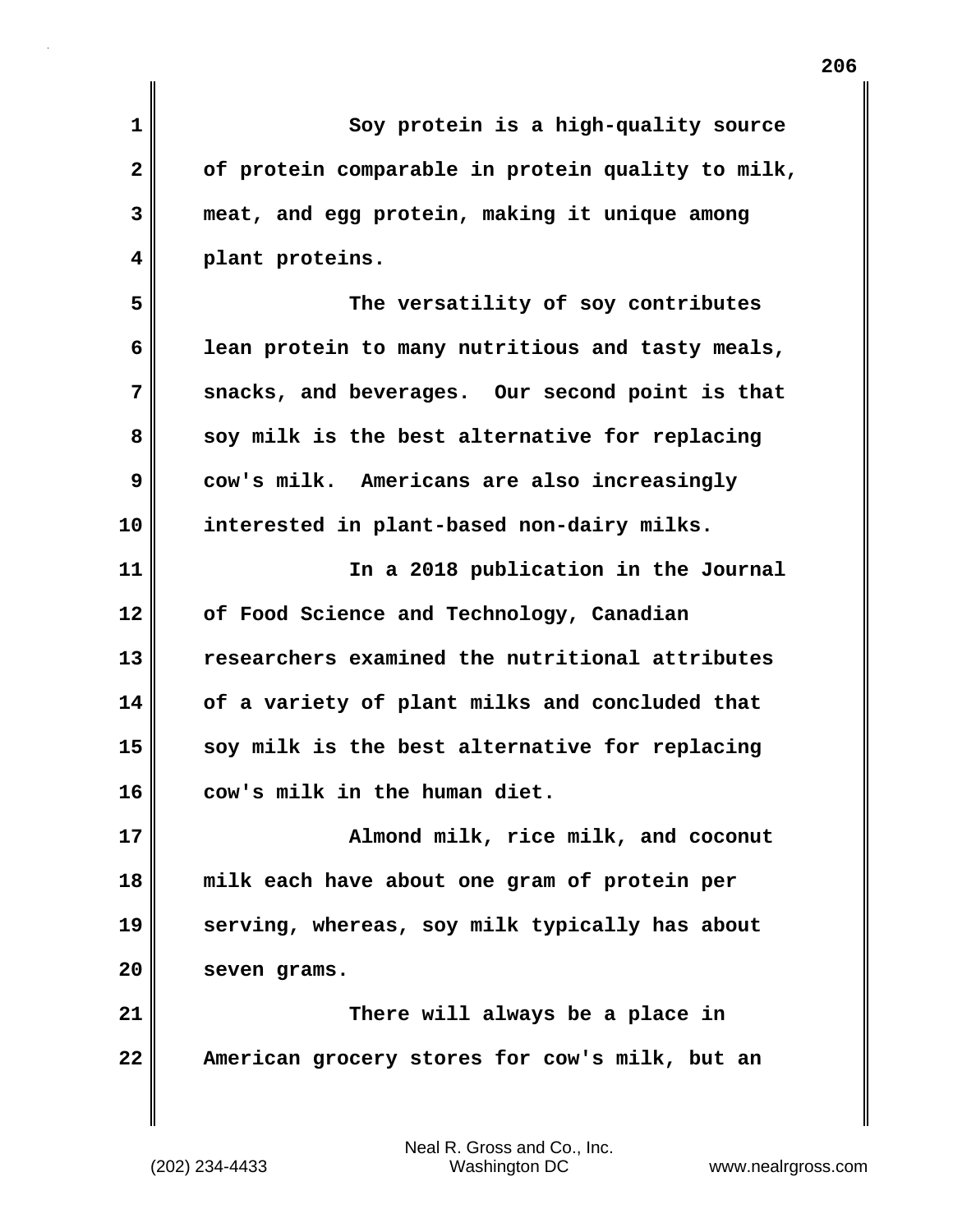| 1              | Soy protein is a high-quality source              |
|----------------|---------------------------------------------------|
| $\overline{2}$ | of protein comparable in protein quality to milk, |
| 3              | meat, and egg protein, making it unique among     |
| 4              | plant proteins.                                   |
| 5              | The versatility of soy contributes                |
| 6              | lean protein to many nutritious and tasty meals,  |
| 7              | snacks, and beverages. Our second point is that   |
| 8              | soy milk is the best alternative for replacing    |
| 9              | cow's milk. Americans are also increasingly       |
| 10             | interested in plant-based non-dairy milks.        |
| 11             | In a 2018 publication in the Journal              |
| 12             | of Food Science and Technology, Canadian          |
| 13             | researchers examined the nutritional attributes   |
| 14             | of a variety of plant milks and concluded that    |
| 15             | soy milk is the best alternative for replacing    |
| 16             | cow's milk in the human diet.                     |
| 17             | Almond milk, rice milk, and coconut               |
| 18             | milk each have about one gram of protein per      |
| 19             | serving, whereas, soy milk typically has about    |
| 20             | seven grams.                                      |
| 21             | There will always be a place in                   |
| 22             | American grocery stores for cow's milk, but an    |
|                |                                                   |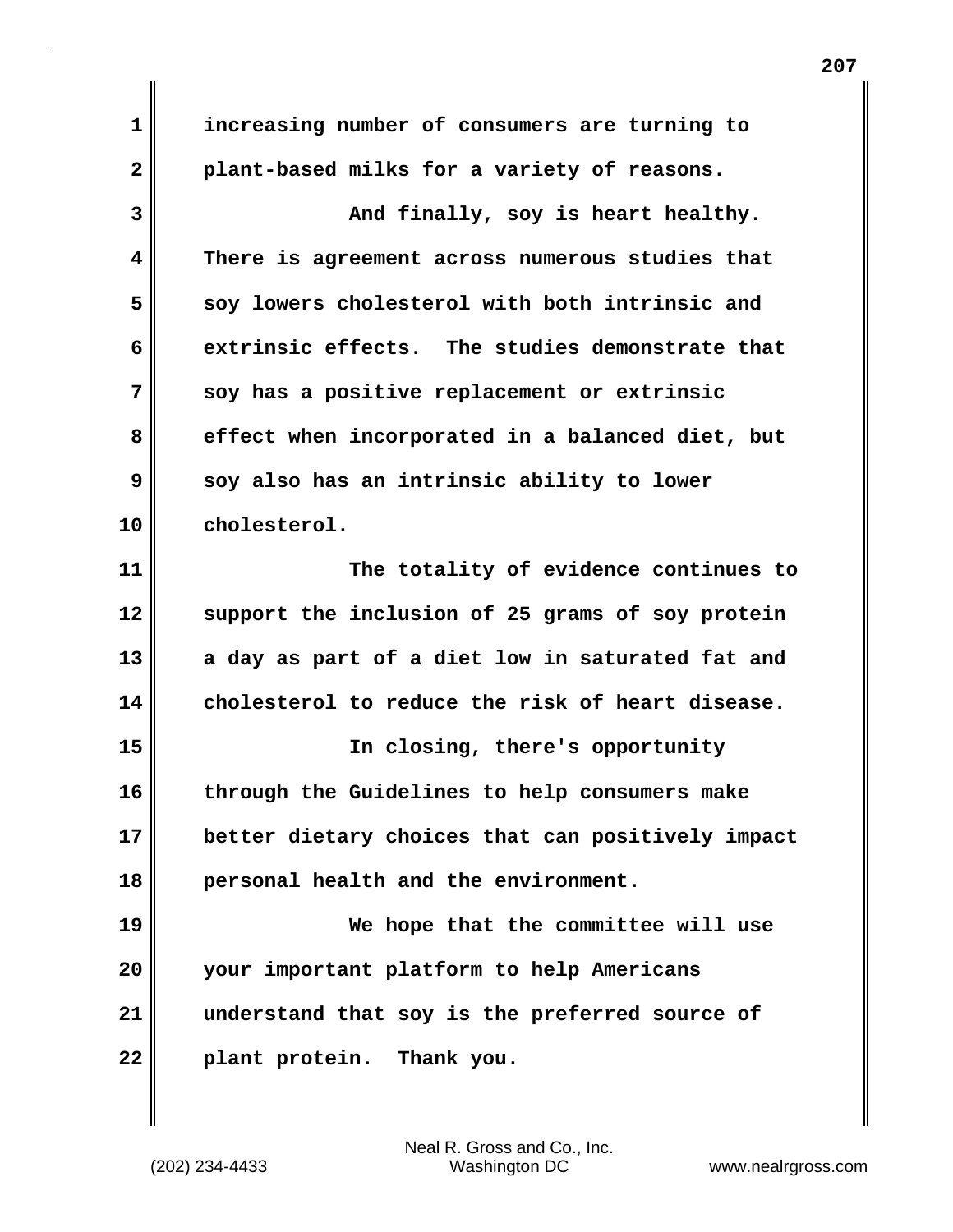**1 increasing number of consumers are turning to 2 plant-based milks for a variety of reasons. 3** And finally, soy is heart healthy. **4 There is agreement across numerous studies that 5 soy lowers cholesterol with both intrinsic and 6 extrinsic effects. The studies demonstrate that 7 soy has a positive replacement or extrinsic 8 effect when incorporated in a balanced diet, but 9 soy also has an intrinsic ability to lower 10 cholesterol. 11 The totality of evidence continues to 12 support the inclusion of 25 grams of soy protein 13 a day as part of a diet low in saturated fat and 14 cholesterol to reduce the risk of heart disease. 15 In closing, there's opportunity 16 through the Guidelines to help consumers make 17 better dietary choices that can positively impact 18 personal health and the environment. 19 We hope that the committee will use 20 your important platform to help Americans 21 understand that soy is the preferred source of 22 plant protein. Thank you.**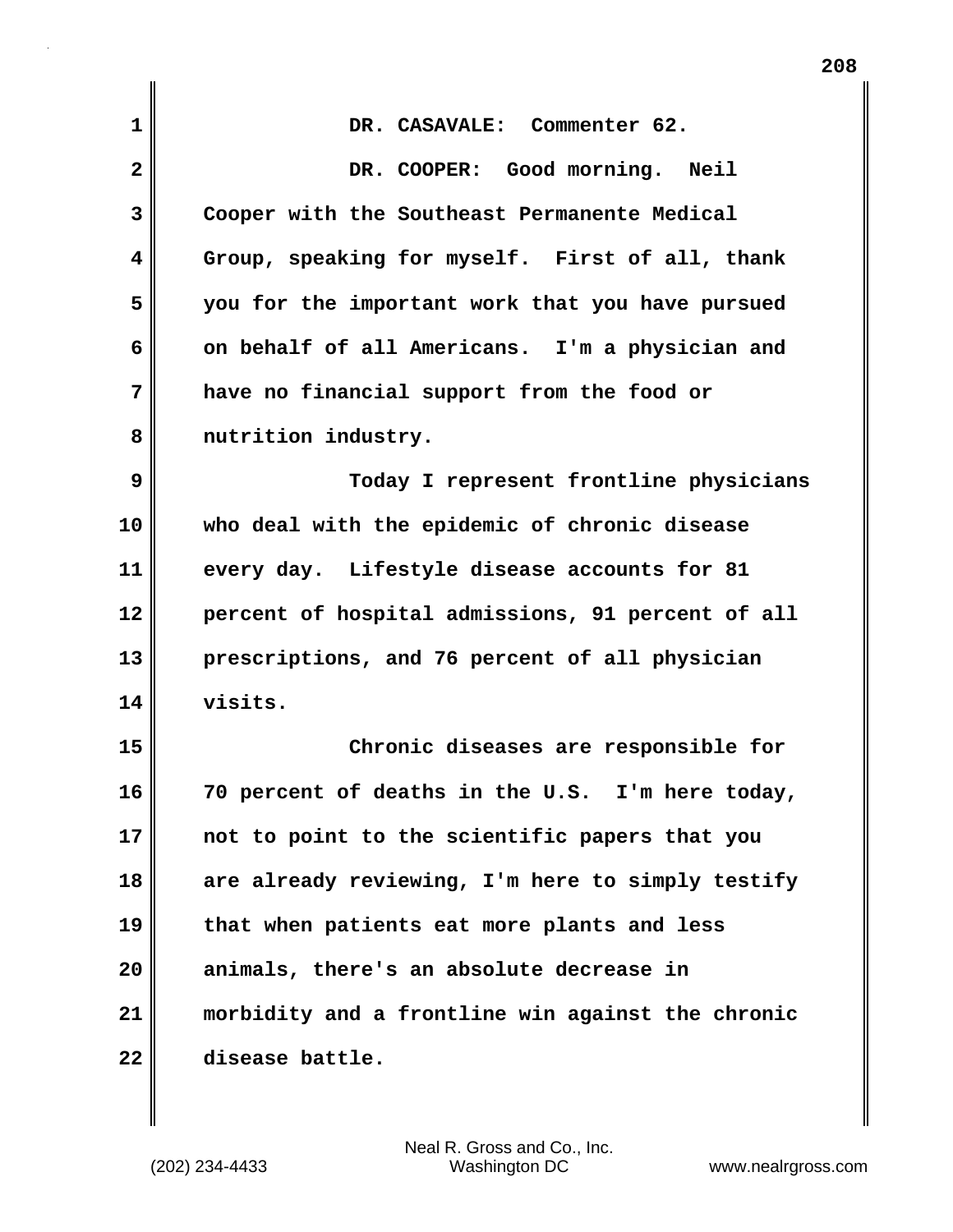| $\mathbf 1$             | DR. CASAVALE: Commenter 62.                       |
|-------------------------|---------------------------------------------------|
| $\overline{\mathbf{2}}$ | DR. COOPER: Good morning. Neil                    |
| 3                       | Cooper with the Southeast Permanente Medical      |
| 4                       | Group, speaking for myself. First of all, thank   |
| 5                       | you for the important work that you have pursued  |
| 6                       | on behalf of all Americans. I'm a physician and   |
| 7                       | have no financial support from the food or        |
| 8                       | nutrition industry.                               |
| 9                       | Today I represent frontline physicians            |
| 10                      | who deal with the epidemic of chronic disease     |
| 11                      | every day. Lifestyle disease accounts for 81      |
| 12                      | percent of hospital admissions, 91 percent of all |
| 13                      | prescriptions, and 76 percent of all physician    |
| 14                      | visits.                                           |
| 15                      | Chronic diseases are responsible for              |
| 16                      | 70 percent of deaths in the U.S. I'm here today,  |
| 17                      | not to point to the scientific papers that you    |
| 18                      | are already reviewing, I'm here to simply testify |
| 19                      | that when patients eat more plants and less       |
| 20                      | animals, there's an absolute decrease in          |
| 21                      | morbidity and a frontline win against the chronic |
| 22                      | disease battle.                                   |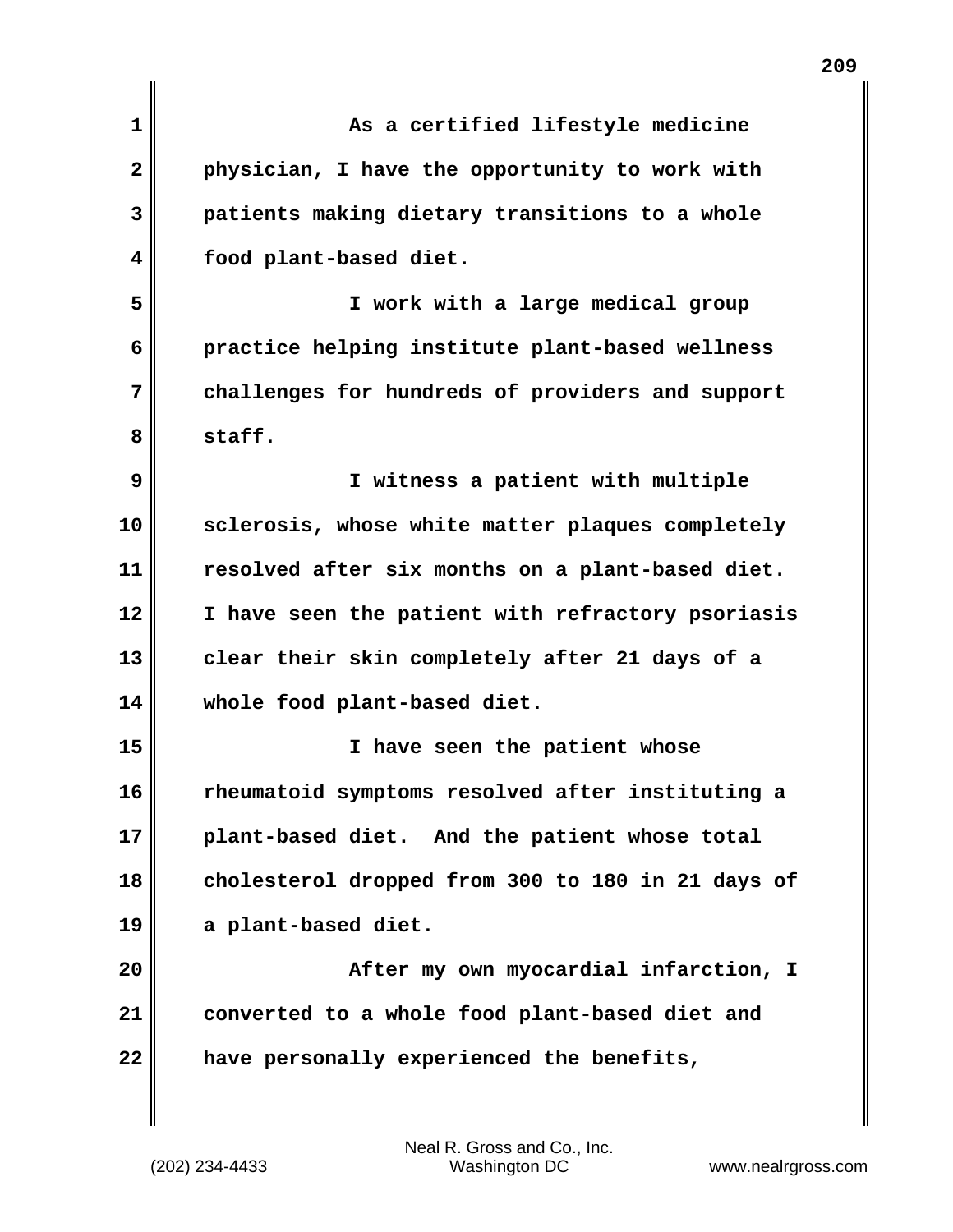| 1  | As a certified lifestyle medicine                 |
|----|---------------------------------------------------|
| 2  | physician, I have the opportunity to work with    |
| 3  | patients making dietary transitions to a whole    |
| 4  | food plant-based diet.                            |
| 5  | I work with a large medical group                 |
| 6  | practice helping institute plant-based wellness   |
| 7  | challenges for hundreds of providers and support  |
| 8  | staff.                                            |
| 9  | I witness a patient with multiple                 |
| 10 | sclerosis, whose white matter plaques completely  |
| 11 | resolved after six months on a plant-based diet.  |
| 12 | I have seen the patient with refractory psoriasis |
| 13 | clear their skin completely after 21 days of a    |
| 14 | whole food plant-based diet.                      |
| 15 | have seen the patient whose<br>I.                 |
| 16 | rheumatoid symptoms resolved after instituting a  |
| 17 | plant-based diet. And the patient whose total     |
| 18 | cholesterol dropped from 300 to 180 in 21 days of |
| 19 | a plant-based diet.                               |
| 20 | After my own myocardial infarction, I             |
| 21 | converted to a whole food plant-based diet and    |
| 22 | have personally experienced the benefits,         |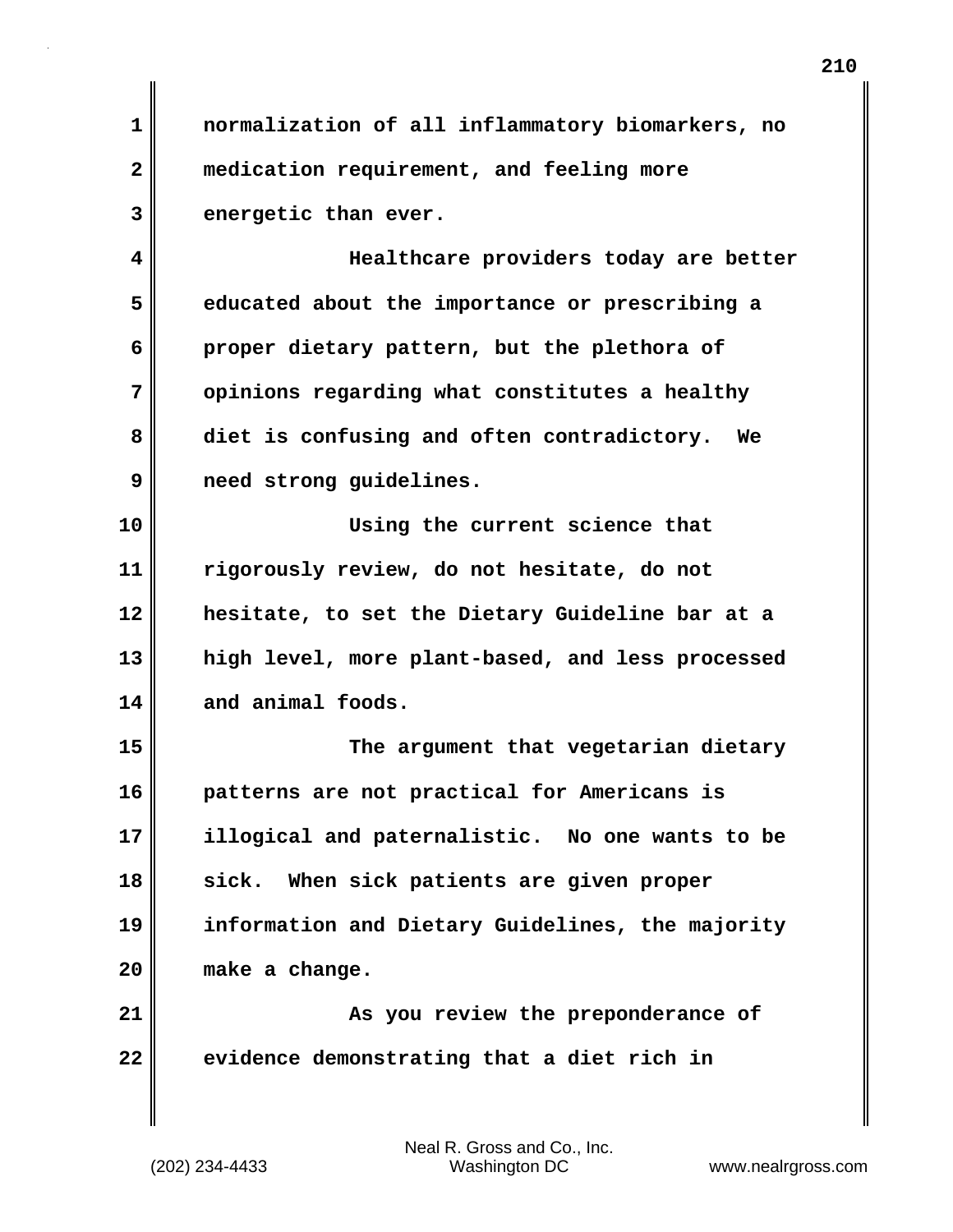**1 normalization of all inflammatory biomarkers, no 2 medication requirement, and feeling more 3 energetic than ever.**

**4 Healthcare providers today are better 5 educated about the importance or prescribing a 6 proper dietary pattern, but the plethora of 7 opinions regarding what constitutes a healthy 8 diet is confusing and often contradictory. We 9 need strong guidelines.**

**10 Using the current science that 11 rigorously review, do not hesitate, do not 12 hesitate, to set the Dietary Guideline bar at a 13 high level, more plant-based, and less processed 14 and animal foods.**

**15 The argument that vegetarian dietary 16 patterns are not practical for Americans is 17 illogical and paternalistic. No one wants to be 18 sick. When sick patients are given proper 19 information and Dietary Guidelines, the majority 20 make a change.**

**21 As you review the preponderance of 22 evidence demonstrating that a diet rich in**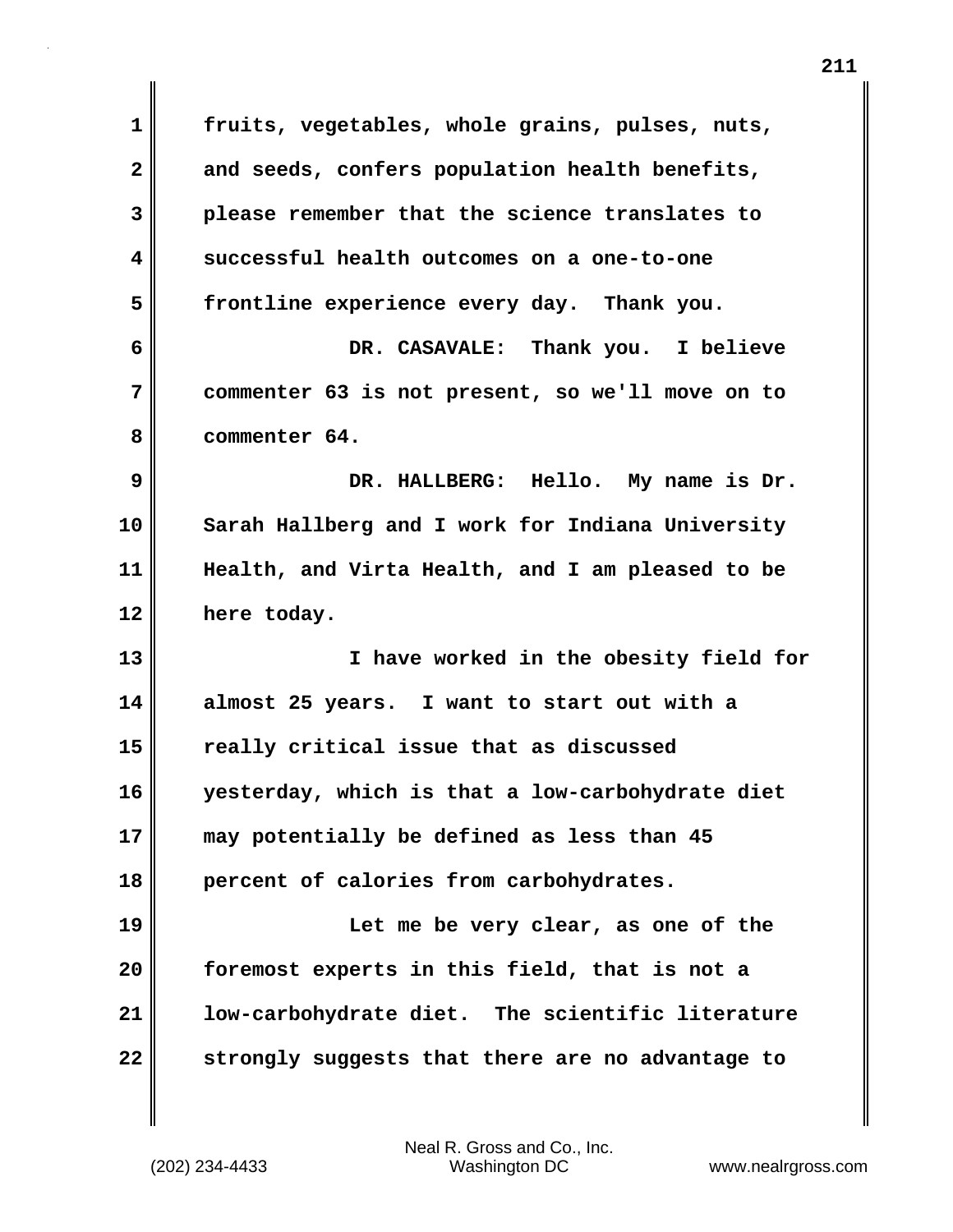| 1                       | fruits, vegetables, whole grains, pulses, nuts,  |
|-------------------------|--------------------------------------------------|
| $\overline{\mathbf{2}}$ | and seeds, confers population health benefits,   |
| 3                       | please remember that the science translates to   |
| 4                       | successful health outcomes on a one-to-one       |
| 5                       | frontline experience every day. Thank you.       |
| 6                       | DR. CASAVALE: Thank you. I believe               |
| 7                       | commenter 63 is not present, so we'll move on to |
| 8                       | commenter 64.                                    |
| 9                       | DR. HALLBERG: Hello. My name is Dr.              |
| 10                      | Sarah Hallberg and I work for Indiana University |
| 11                      | Health, and Virta Health, and I am pleased to be |
| 12                      | here today.                                      |
| 13                      | I have worked in the obesity field for           |
| 14                      | almost 25 years. I want to start out with a      |
| 15                      | really critical issue that as discussed          |
| 16                      | yesterday, which is that a low-carbohydrate diet |
| 17                      | may potentially be defined as less than 45       |
| 18                      | percent of calories from carbohydrates.          |
| 19                      | Let me be very clear, as one of the              |
| 20                      | foremost experts in this field, that is not a    |
| 21                      | low-carbohydrate diet. The scientific literature |
| 22                      | strongly suggests that there are no advantage to |

 $\mathbf{I}$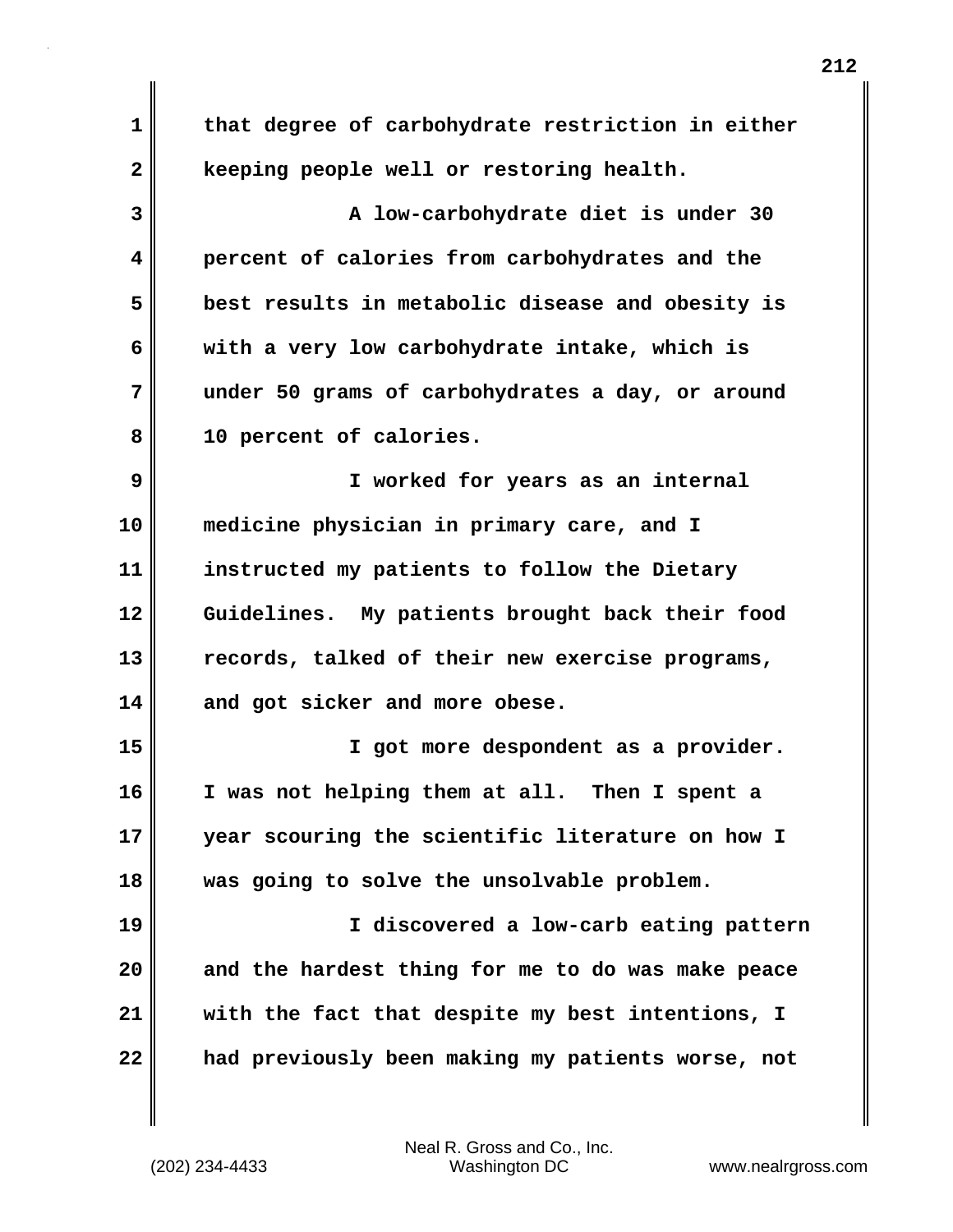| 1  | that degree of carbohydrate restriction in either |
|----|---------------------------------------------------|
| 2  | keeping people well or restoring health.          |
| 3  | A low-carbohydrate diet is under 30               |
| 4  | percent of calories from carbohydrates and the    |
| 5  | best results in metabolic disease and obesity is  |
| 6  | with a very low carbohydrate intake, which is     |
| 7  | under 50 grams of carbohydrates a day, or around  |
| 8  | 10 percent of calories.                           |
| 9  | I worked for years as an internal                 |
| 10 | medicine physician in primary care, and I         |
| 11 | instructed my patients to follow the Dietary      |
| 12 | Guidelines. My patients brought back their food   |
| 13 | records, talked of their new exercise programs,   |
| 14 | and got sicker and more obese.                    |
| 15 | I got more despondent as a provider.              |
| 16 | I was not helping them at all. Then I spent a     |
| 17 | year scouring the scientific literature on how I  |
| 18 | was going to solve the unsolvable problem.        |
| 19 | I discovered a low-carb eating pattern            |
| 20 | and the hardest thing for me to do was make peace |
| 21 | with the fact that despite my best intentions, I  |
| 22 | had previously been making my patients worse, not |

 $\mathbf{I}$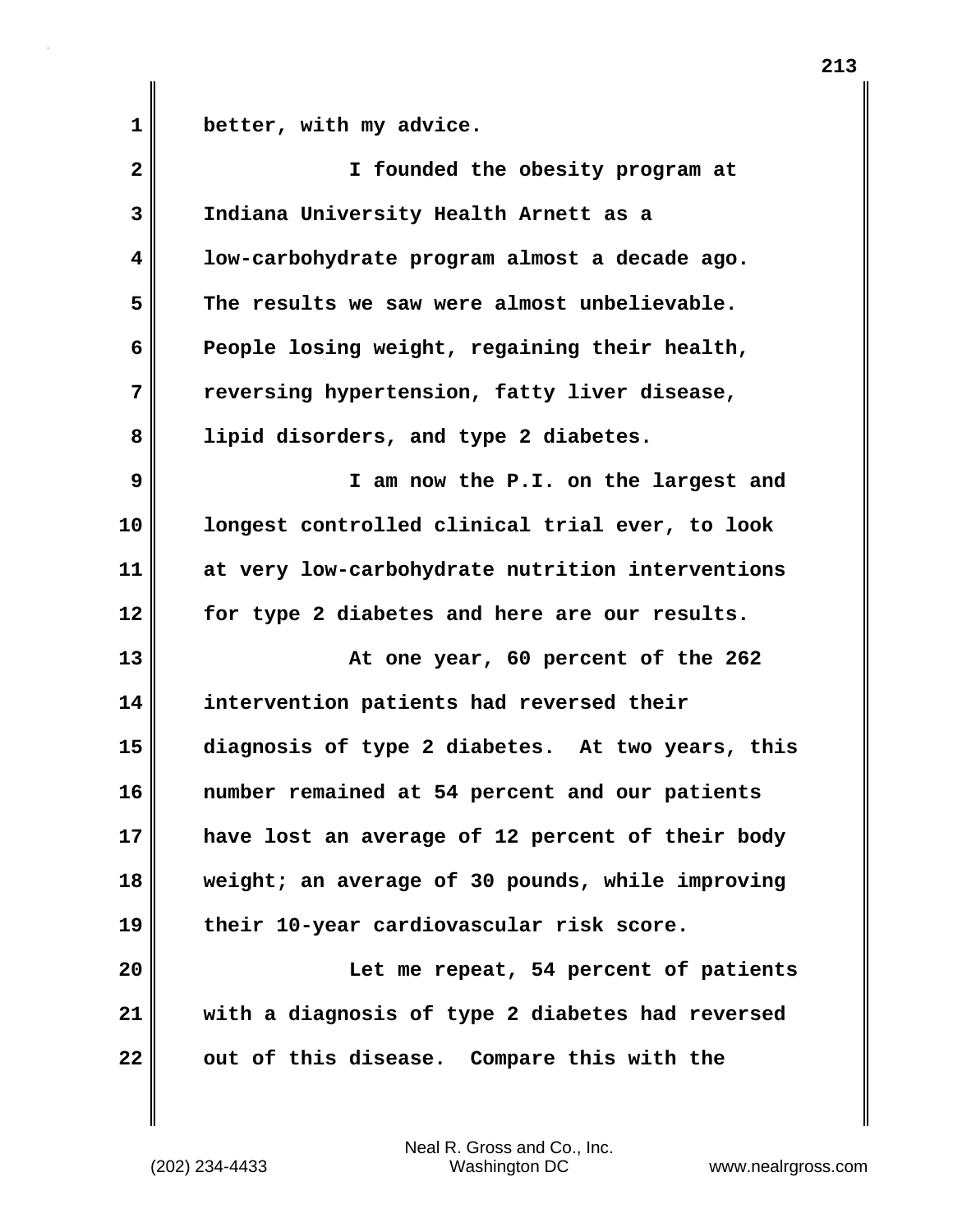1 **better, with my advice.** 

| $\overline{2}$ | I founded the obesity program at                 |
|----------------|--------------------------------------------------|
| 3              | Indiana University Health Arnett as a            |
| 4              | low-carbohydrate program almost a decade ago.    |
| 5              | The results we saw were almost unbelievable.     |
| 6              | People losing weight, regaining their health,    |
| 7              | reversing hypertension, fatty liver disease,     |
| 8              | lipid disorders, and type 2 diabetes.            |
| 9              | I am now the P.I. on the largest and             |
| 10             | longest controlled clinical trial ever, to look  |
| 11             | at very low-carbohydrate nutrition interventions |
| 12             | for type 2 diabetes and here are our results.    |
| 13             | At one year, 60 percent of the 262               |
| 14             | intervention patients had reversed their         |
| 15             | diagnosis of type 2 diabetes. At two years, this |
| 16             | number remained at 54 percent and our patients   |
| 17             | have lost an average of 12 percent of their body |
| 18             | weight; an average of 30 pounds, while improving |
| 19             | their 10-year cardiovascular risk score.         |
| 20             | Let me repeat, 54 percent of patients            |
| 21             | with a diagnosis of type 2 diabetes had reversed |
| 22             | out of this disease. Compare this with the       |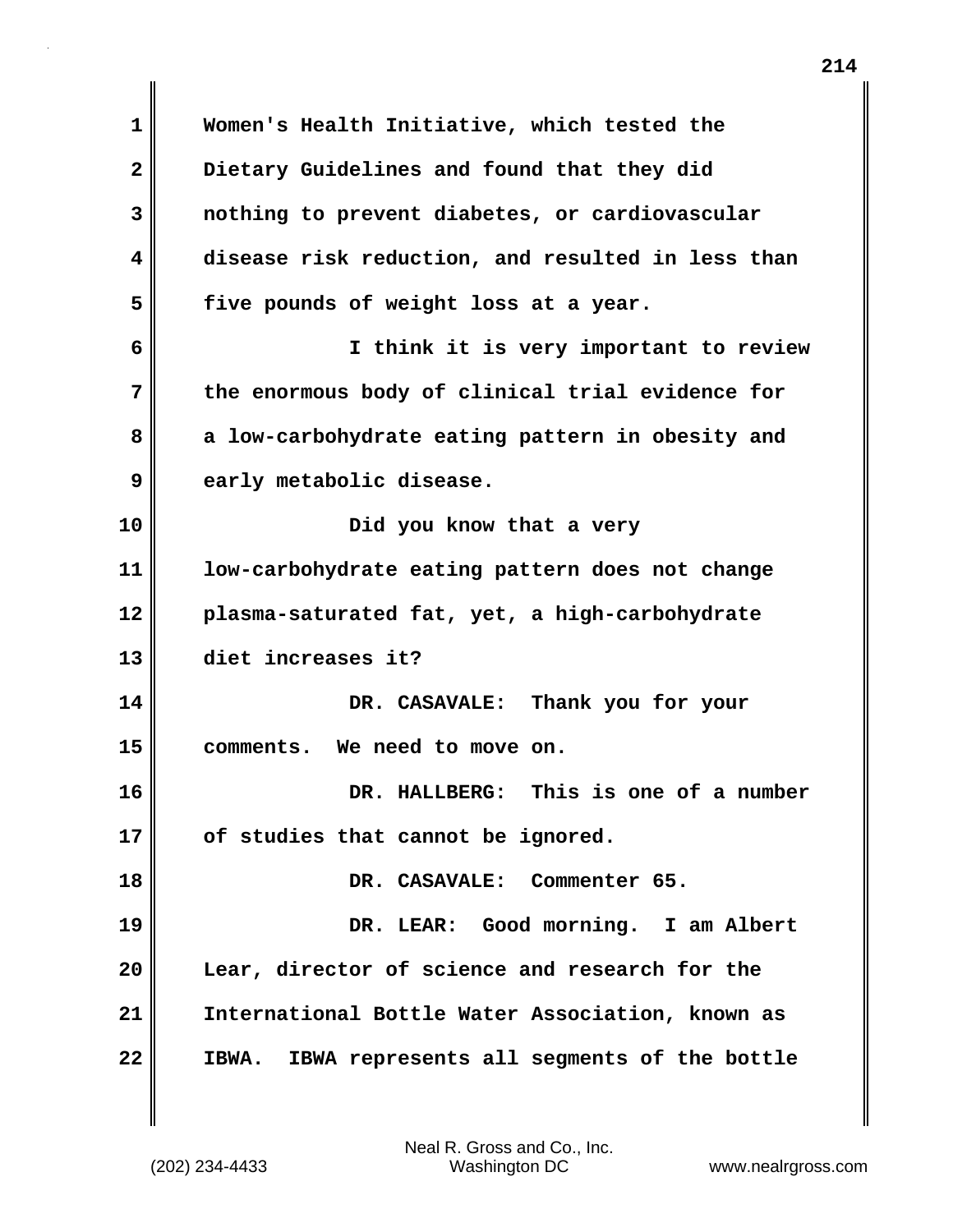**1 Women's Health Initiative, which tested the 2 Dietary Guidelines and found that they did 3 nothing to prevent diabetes, or cardiovascular 4 disease risk reduction, and resulted in less than 5 five pounds of weight loss at a year. 6 I think it is very important to review 7 the enormous body of clinical trial evidence for 8 a low-carbohydrate eating pattern in obesity and 9 early metabolic disease. 10** Did you know that a very **11 low-carbohydrate eating pattern does not change 12 plasma-saturated fat, yet, a high-carbohydrate 13 diet increases it? 14 DR. CASAVALE: Thank you for your 15 comments. We need to move on. 16 DR. HALLBERG: This is one of a number 17 of studies that cannot be ignored. 18 DR. CASAVALE: Commenter 65. 19 DR. LEAR: Good morning. I am Albert 20 Lear, director of science and research for the 21 International Bottle Water Association, known as 22 IBWA. IBWA represents all segments of the bottle**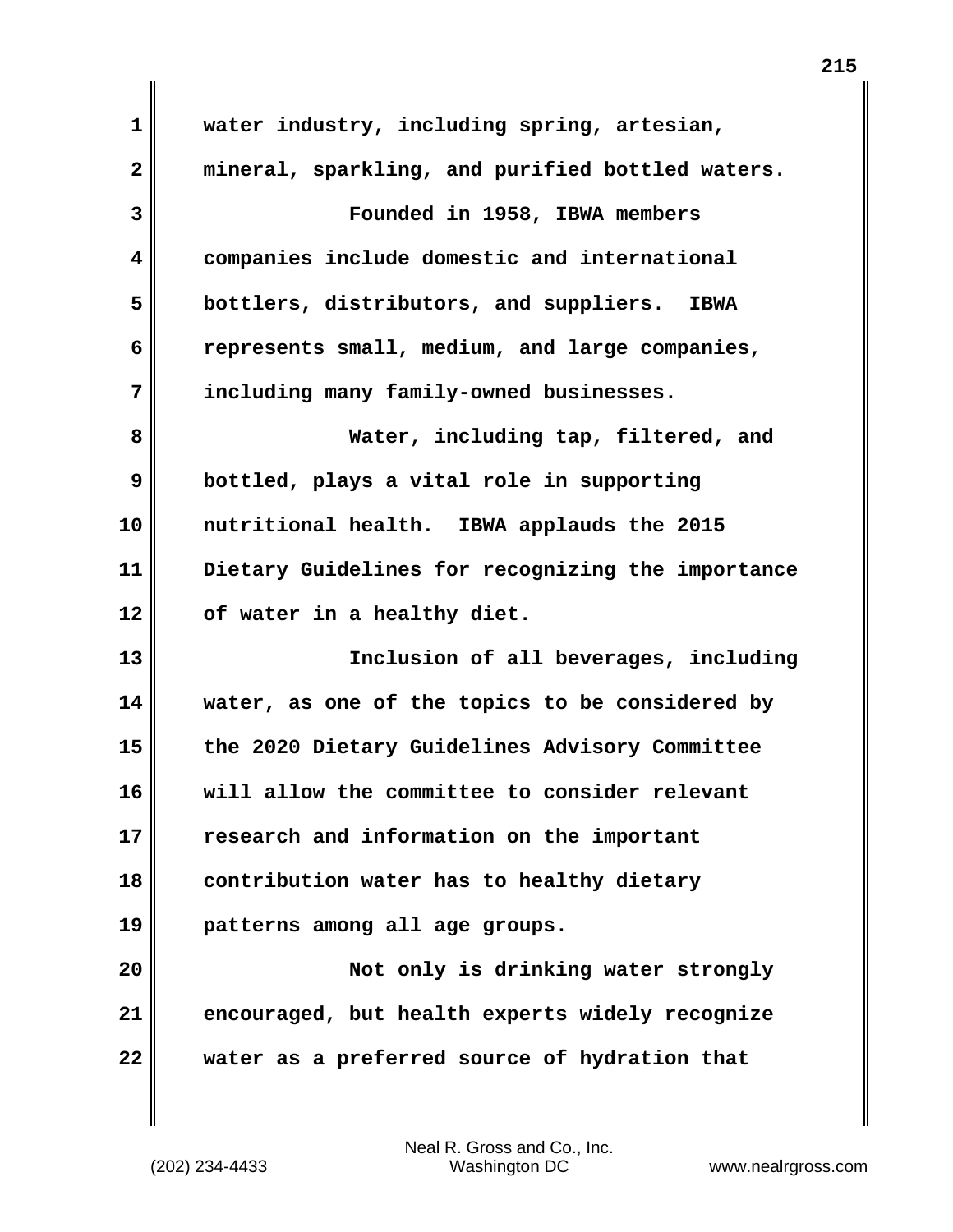| $\mathbf 1$  | water industry, including spring, artesian,           |
|--------------|-------------------------------------------------------|
| $\mathbf{2}$ | mineral, sparkling, and purified bottled waters.      |
| 3            | Founded in 1958, IBWA members                         |
| 4            | companies include domestic and international          |
| 5            | bottlers, distributors, and suppliers.<br><b>IBWA</b> |
| 6            | represents small, medium, and large companies,        |
| 7            | including many family-owned businesses.               |
| 8            | Water, including tap, filtered, and                   |
| 9            | bottled, plays a vital role in supporting             |
| 10           | nutritional health. IBWA applauds the 2015            |
| 11           | Dietary Guidelines for recognizing the importance     |
| 12           | of water in a healthy diet.                           |
| 13           | Inclusion of all beverages, including                 |
| 14           | water, as one of the topics to be considered by       |
| 15           | the 2020 Dietary Guidelines Advisory Committee        |
| 16           | will allow the committee to consider relevant         |
| 17           | research and information on the important             |
| 18           | contribution water has to healthy dietary             |
| 19           | patterns among all age groups.                        |
| 20           | Not only is drinking water strongly                   |
| 21           | encouraged, but health experts widely recognize       |
| 22           | water as a preferred source of hydration that         |

 $\mathbf{I}$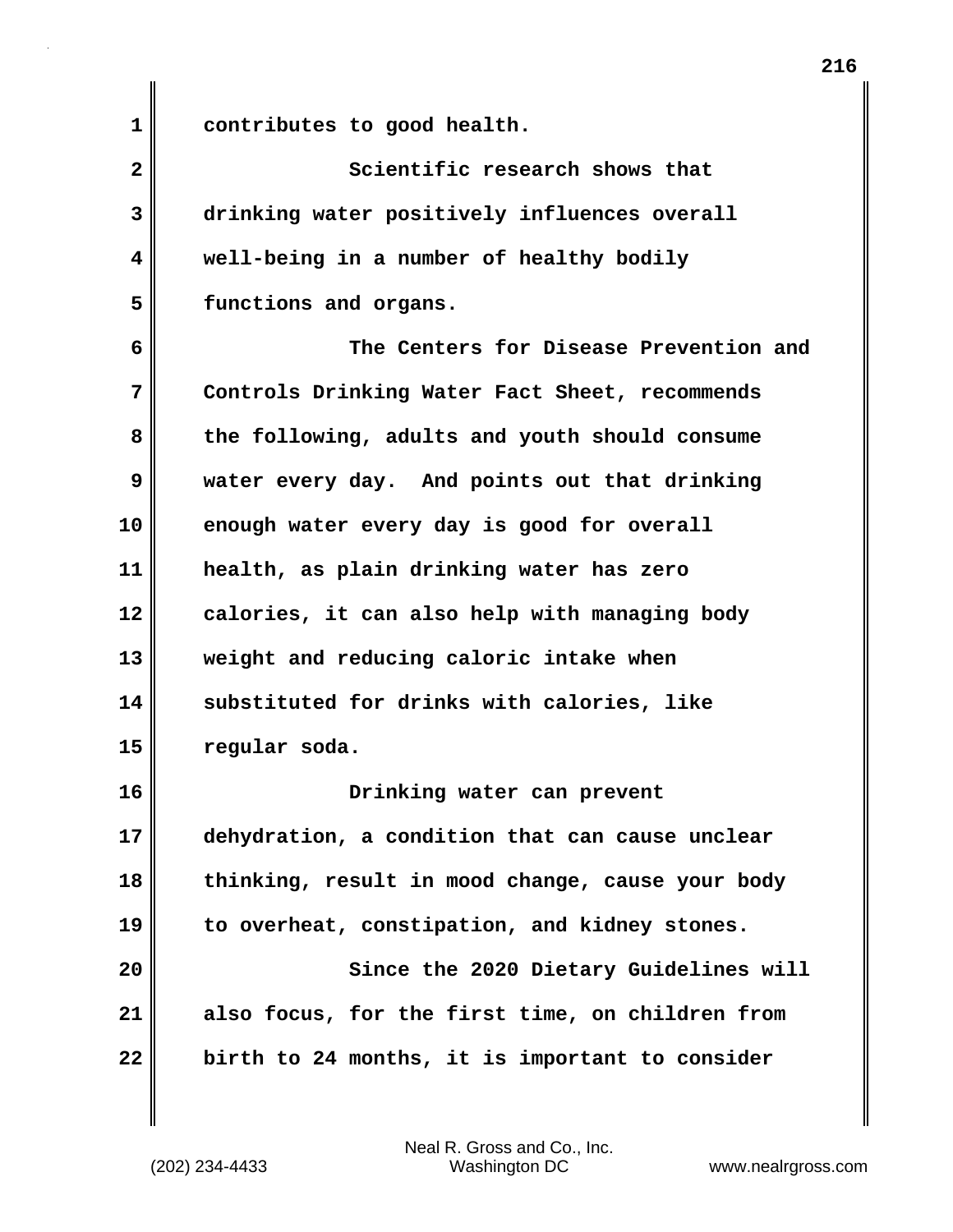**1 contributes to good health.**

**2 Scientific research shows that 3 drinking water positively influences overall 4 well-being in a number of healthy bodily 5 functions and organs.**

**6 The Centers for Disease Prevention and 7 Controls Drinking Water Fact Sheet, recommends 8 the following, adults and youth should consume 9 water every day. And points out that drinking 10 enough water every day is good for overall 11 health, as plain drinking water has zero 12 calories, it can also help with managing body 13 weight and reducing caloric intake when 14 substituted for drinks with calories, like 15 regular soda.**

**16 Drinking water can prevent 17 dehydration, a condition that can cause unclear 18 thinking, result in mood change, cause your body 19 to overheat, constipation, and kidney stones. 20 Since the 2020 Dietary Guidelines will**

**21 also focus, for the first time, on children from 22 birth to 24 months, it is important to consider**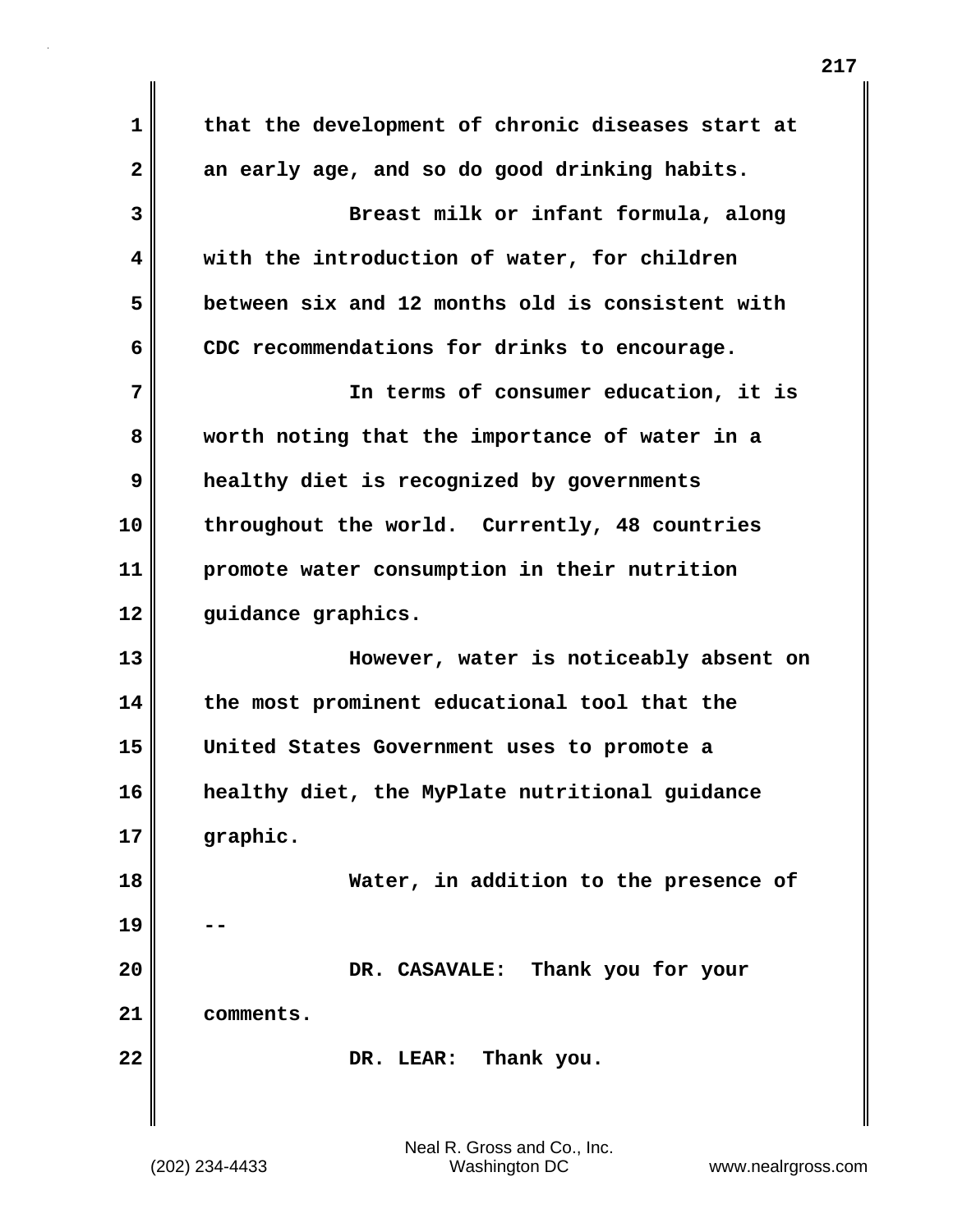**1 that the development of chronic diseases start at 2 an early age, and so do good drinking habits. 3 Breast milk or infant formula, along 4 with the introduction of water, for children 5 between six and 12 months old is consistent with 6 CDC recommendations for drinks to encourage. 7 In terms of consumer education, it is 8 worth noting that the importance of water in a 9 healthy diet is recognized by governments 10 throughout the world. Currently, 48 countries 11 promote water consumption in their nutrition 12 guidance graphics. 13 However, water is noticeably absent on 14 the most prominent educational tool that the 15 United States Government uses to promote a 16 healthy diet, the MyPlate nutritional guidance 17 graphic. 18 Water, in addition to the presence of 19 -- 20 DR. CASAVALE: Thank you for your 21 comments. 22 DR. LEAR: Thank you.**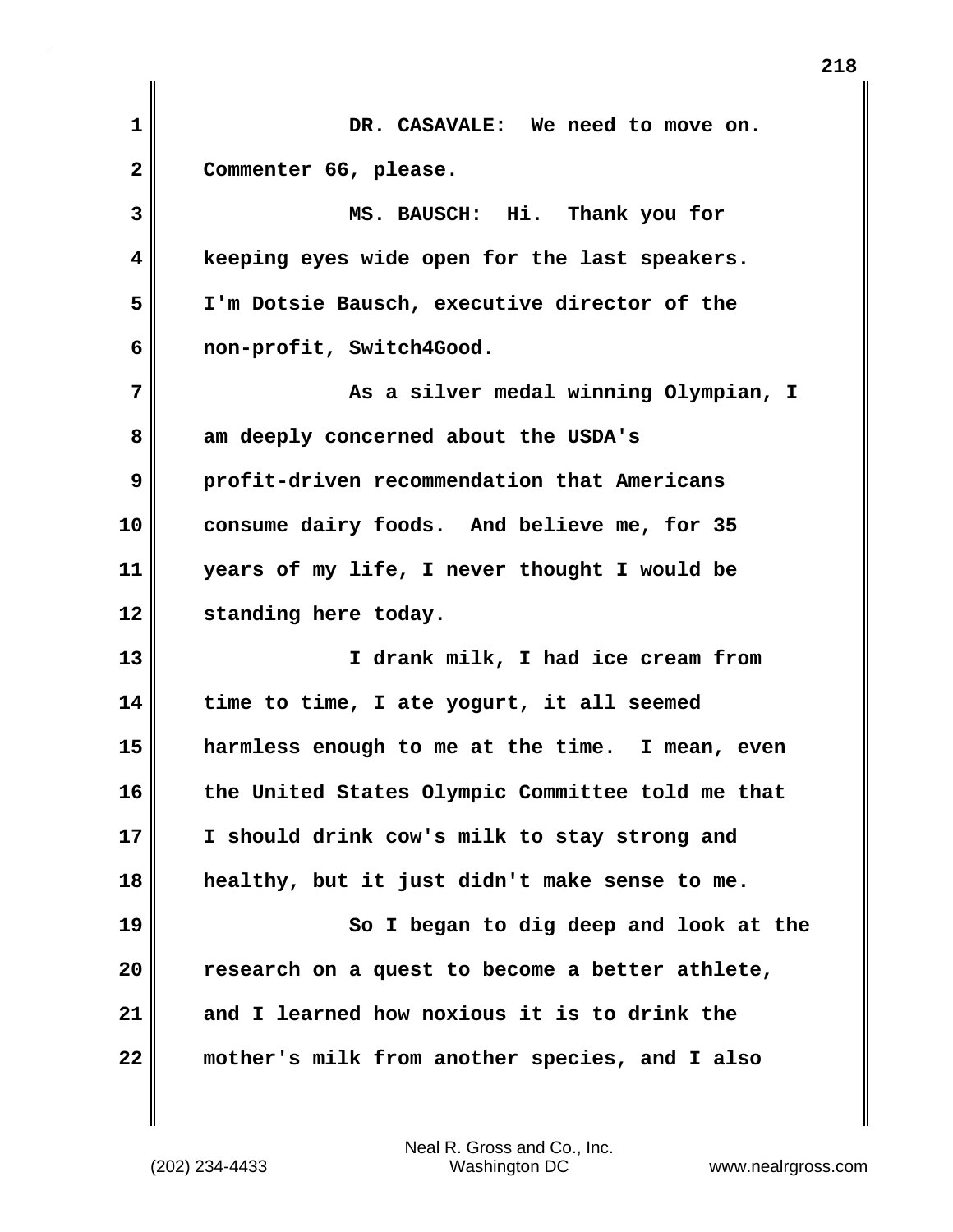| 1  | DR. CASAVALE: We need to move on.                |
|----|--------------------------------------------------|
| 2  | Commenter 66, please.                            |
| 3  | MS. BAUSCH: Hi. Thank you for                    |
| 4  | keeping eyes wide open for the last speakers.    |
| 5  | I'm Dotsie Bausch, executive director of the     |
| 6  | non-profit, Switch4Good.                         |
| 7  | As a silver medal winning Olympian, I            |
| 8  | am deeply concerned about the USDA's             |
| 9  | profit-driven recommendation that Americans      |
| 10 | consume dairy foods. And believe me, for 35      |
| 11 | years of my life, I never thought I would be     |
| 12 | standing here today.                             |
| 13 | I drank milk, I had ice cream from               |
| 14 | time to time, I ate yogurt, it all seemed        |
| 15 | harmless enough to me at the time. I mean, even  |
| 16 | the United States Olympic Committee told me that |
| 17 | I should drink cow's milk to stay strong and     |
| 18 | healthy, but it just didn't make sense to me.    |
| 19 | So I began to dig deep and look at the           |
| 20 | research on a quest to become a better athlete,  |
| 21 | and I learned how noxious it is to drink the     |
| 22 | mother's milk from another species, and I also   |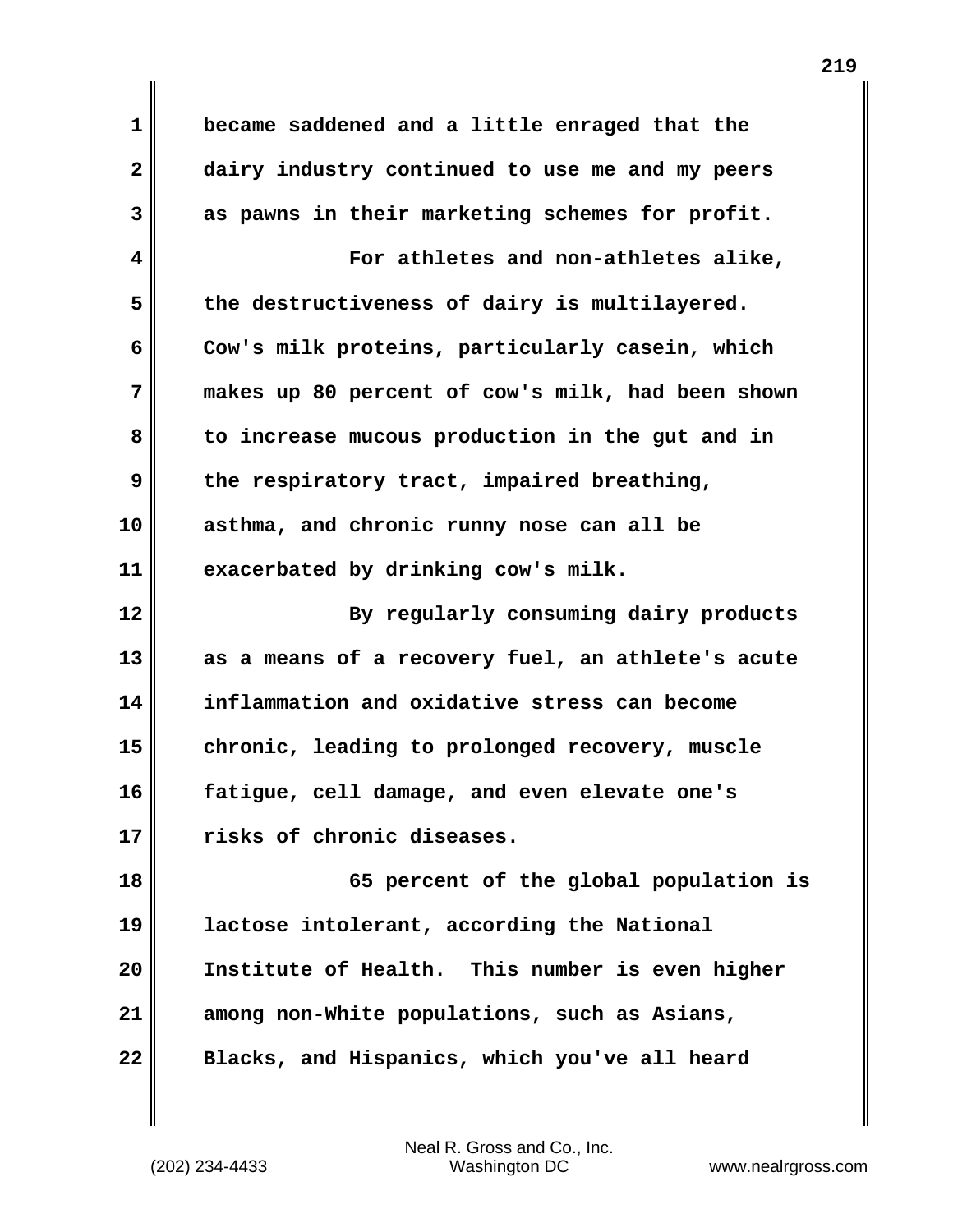**1 became saddened and a little enraged that the 2 dairy industry continued to use me and my peers 3 as pawns in their marketing schemes for profit. 4 For athletes and non-athletes alike, 5 the destructiveness of dairy is multilayered. 6 Cow's milk proteins, particularly casein, which 7 makes up 80 percent of cow's milk, had been shown 8 to increase mucous production in the gut and in 9 the respiratory tract, impaired breathing, 10 asthma, and chronic runny nose can all be 11 exacerbated by drinking cow's milk. 12 By regularly consuming dairy products 13 as a means of a recovery fuel, an athlete's acute 14 inflammation and oxidative stress can become 15 chronic, leading to prolonged recovery, muscle 16 fatigue, cell damage, and even elevate one's 17 risks of chronic diseases. 18 65 percent of the global population is 19 lactose intolerant, according the National 20 Institute of Health. This number is even higher 21 among non-White populations, such as Asians, 22 Blacks, and Hispanics, which you've all heard**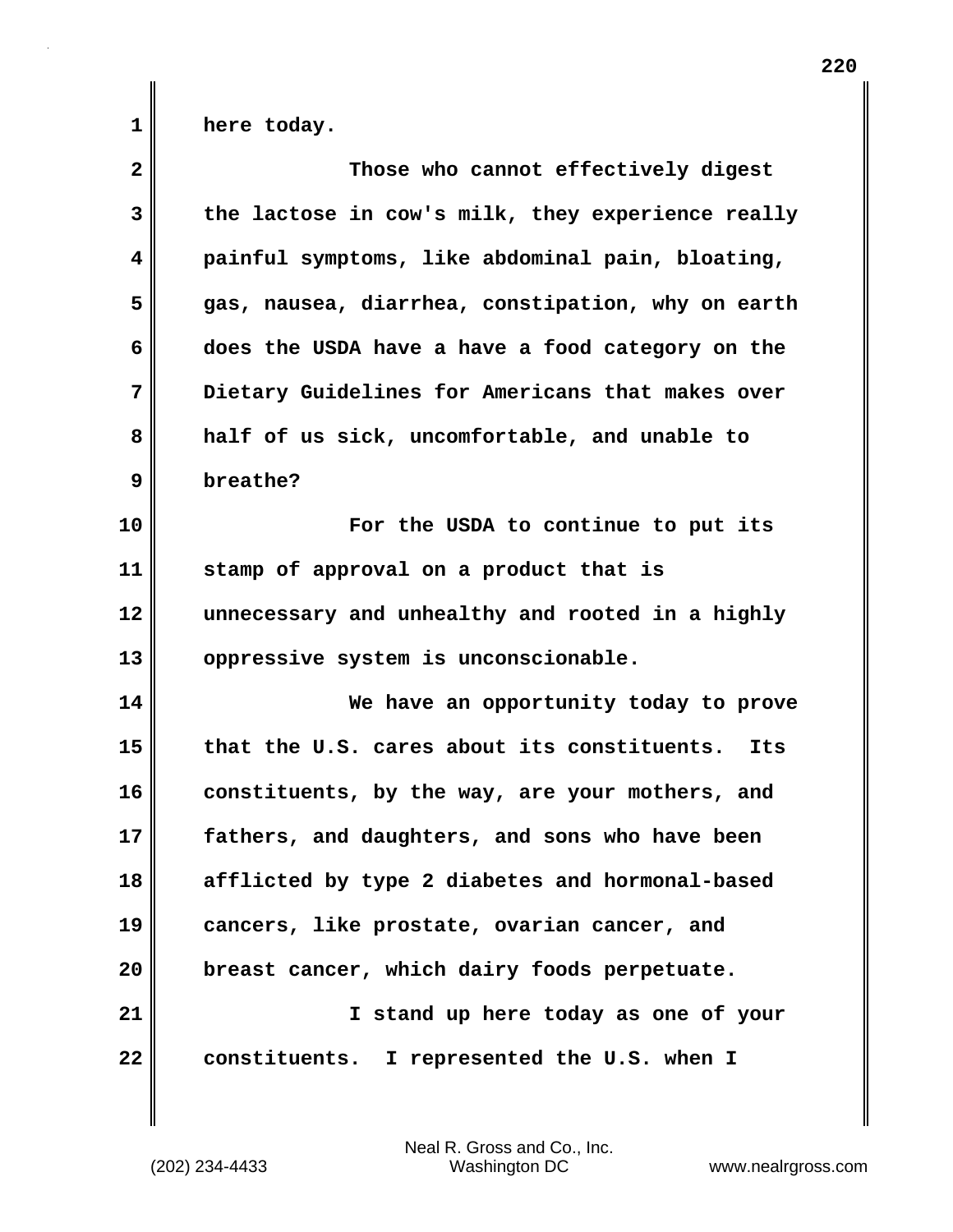1 **here** today.

| $\overline{\mathbf{2}}$ | Those who cannot effectively digest                |
|-------------------------|----------------------------------------------------|
| 3                       | the lactose in cow's milk, they experience really  |
| 4                       | painful symptoms, like abdominal pain, bloating,   |
| 5                       | gas, nausea, diarrhea, constipation, why on earth  |
| 6                       | does the USDA have a have a food category on the   |
| 7                       | Dietary Guidelines for Americans that makes over   |
| 8                       | half of us sick, uncomfortable, and unable to      |
| 9                       | breathe?                                           |
| 10                      | For the USDA to continue to put its                |
| 11                      | stamp of approval on a product that is             |
| 12                      | unnecessary and unhealthy and rooted in a highly   |
| 13                      | oppressive system is unconscionable.               |
| 14                      | We have an opportunity today to prove              |
| 15                      | that the U.S. cares about its constituents.<br>Its |
| 16                      | constituents, by the way, are your mothers, and    |
| 17                      | fathers, and daughters, and sons who have been     |
| 18                      | afflicted by type 2 diabetes and hormonal-based    |
| 19                      | cancers, like prostate, ovarian cancer, and        |
| 20                      | breast cancer, which dairy foods perpetuate.       |
| 21                      | I stand up here today as one of your               |
| 22                      | constituents. I represented the U.S. when I        |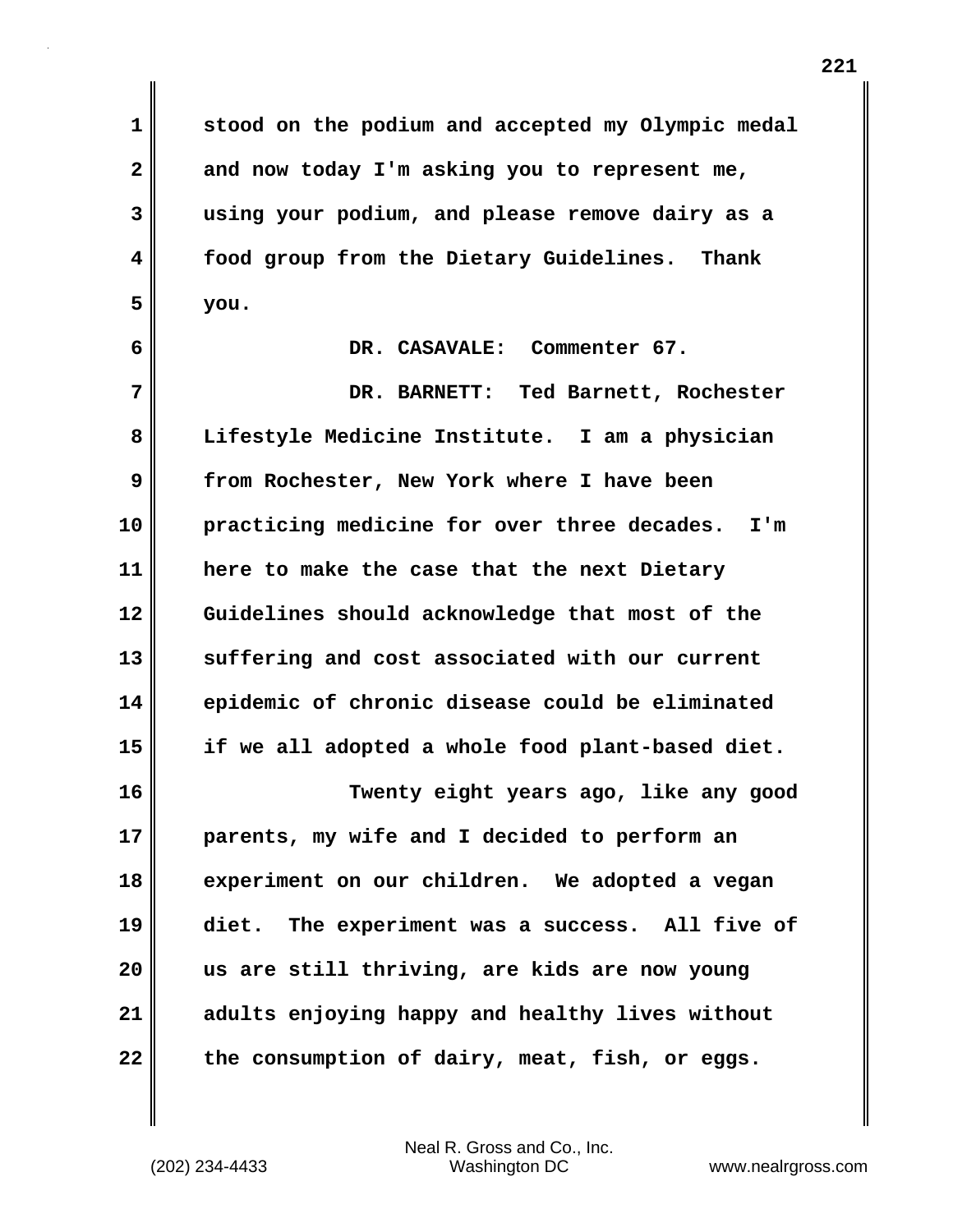**1 stood on the podium and accepted my Olympic medal 2 and now today I'm asking you to represent me, 3 using your podium, and please remove dairy as a 4 food group from the Dietary Guidelines. Thank 5 you.**

**6 DR. CASAVALE: Commenter 67.**

**7 DR. BARNETT: Ted Barnett, Rochester 8 Lifestyle Medicine Institute. I am a physician 9 from Rochester, New York where I have been 10 practicing medicine for over three decades. I'm 11 here to make the case that the next Dietary 12 Guidelines should acknowledge that most of the 13 suffering and cost associated with our current 14 epidemic of chronic disease could be eliminated 15 if we all adopted a whole food plant-based diet.**

**16 Twenty eight years ago, like any good 17 parents, my wife and I decided to perform an 18 experiment on our children. We adopted a vegan 19 diet. The experiment was a success. All five of 20 us are still thriving, are kids are now young 21 adults enjoying happy and healthy lives without 22 the consumption of dairy, meat, fish, or eggs.**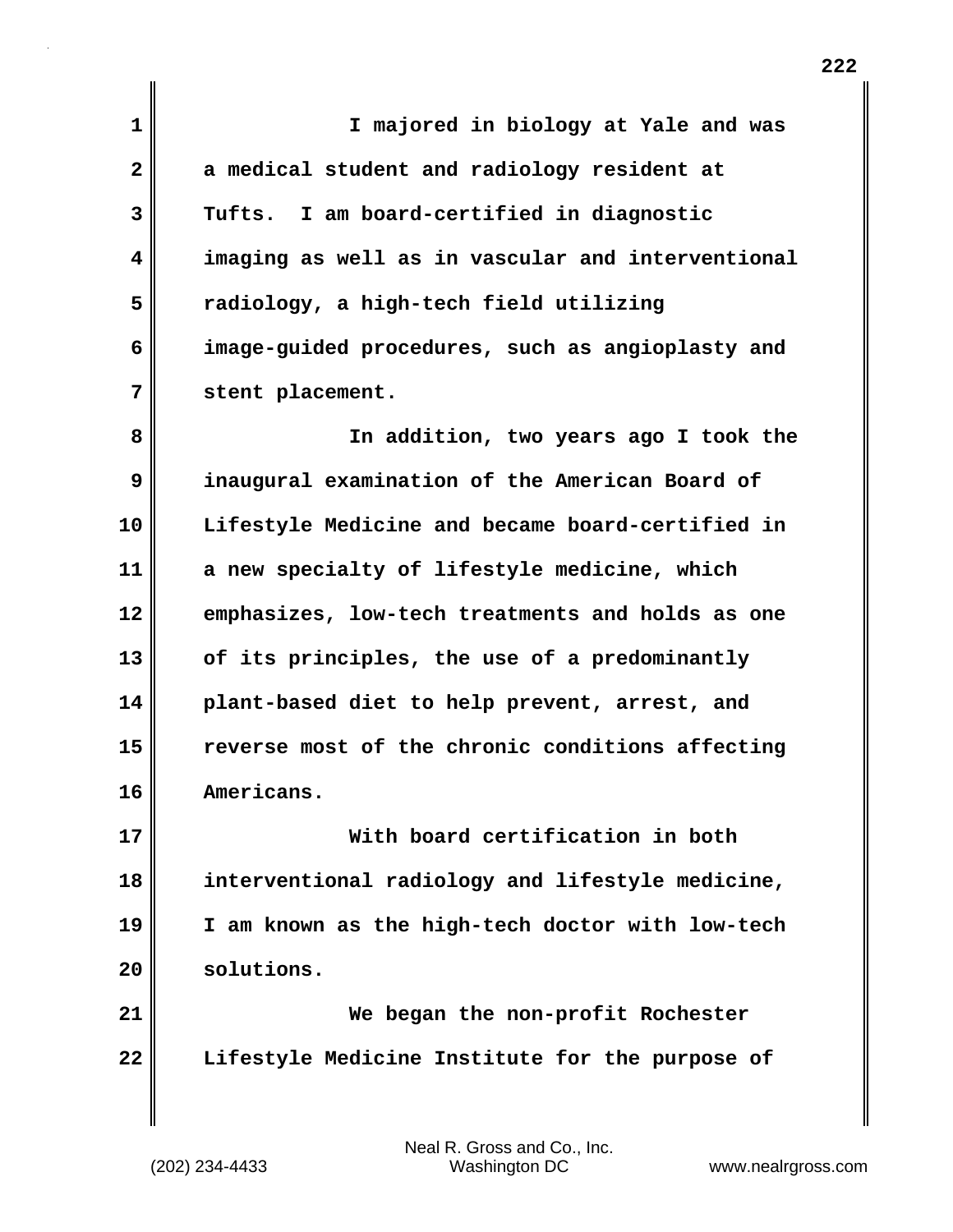| $\mathbf{1}$ | I majored in biology at Yale and was              |
|--------------|---------------------------------------------------|
| $\mathbf{2}$ | a medical student and radiology resident at       |
| 3            | Tufts. I am board-certified in diagnostic         |
| 4            | imaging as well as in vascular and interventional |
| 5            | radiology, a high-tech field utilizing            |
| 6            | image-guided procedures, such as angioplasty and  |
| 7            | stent placement.                                  |
| 8            | In addition, two years ago I took the             |
| 9            | inaugural examination of the American Board of    |
| 10           | Lifestyle Medicine and became board-certified in  |
| 11           | a new specialty of lifestyle medicine, which      |
| 12           | emphasizes, low-tech treatments and holds as one  |
| 13           | of its principles, the use of a predominantly     |
| 14           | plant-based diet to help prevent, arrest, and     |
| 15           | reverse most of the chronic conditions affecting  |
| 16           | Americans.                                        |
| 17           | With board certification in both                  |
| 18           | interventional radiology and lifestyle medicine,  |
| 19           | I am known as the high-tech doctor with low-tech  |
| 20           | solutions.                                        |
| 21           | We began the non-profit Rochester                 |
| 22           | Lifestyle Medicine Institute for the purpose of   |
|              |                                                   |
|              |                                                   |

 $\mathbf{I}$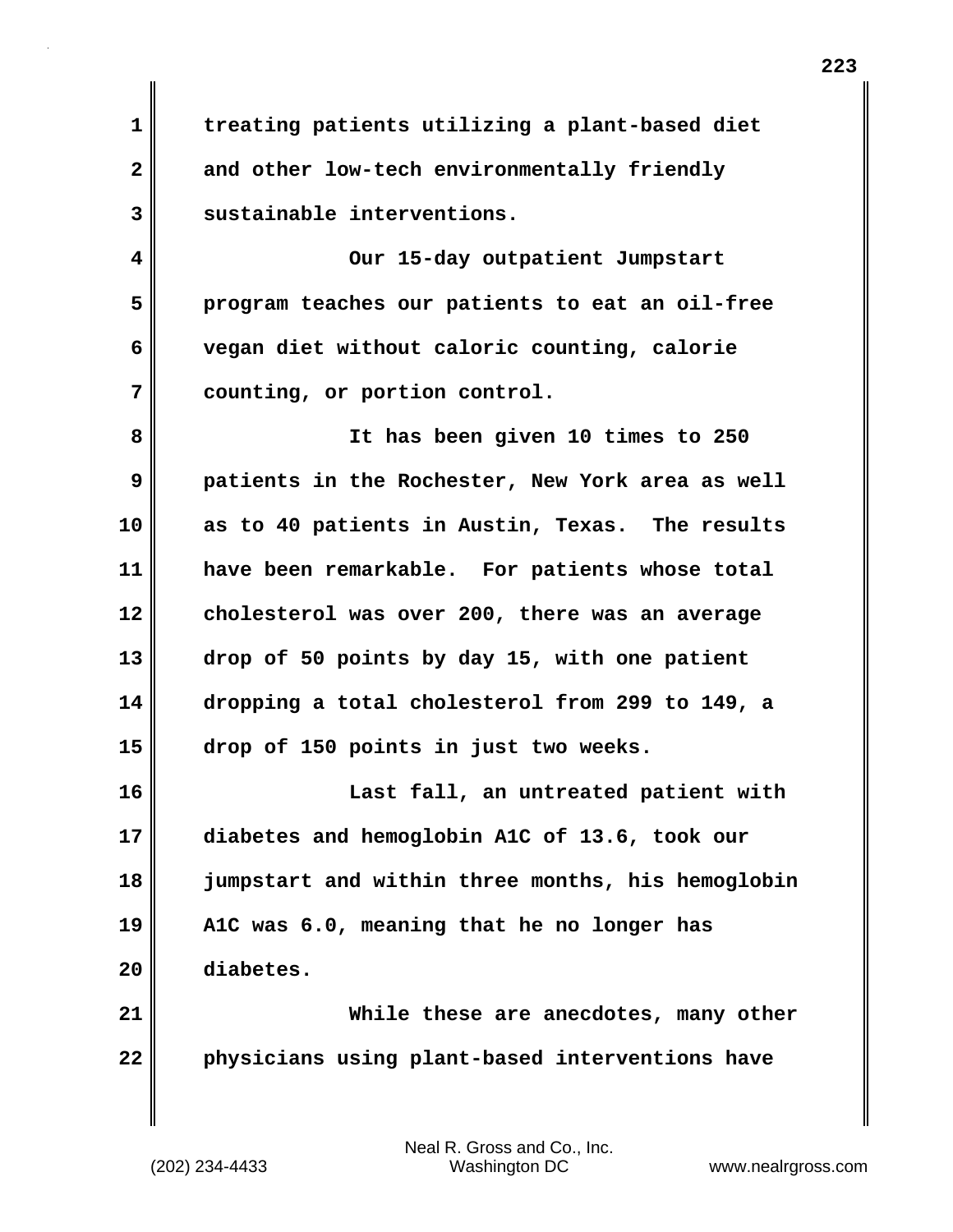**1 treating patients utilizing a plant-based diet 2 and other low-tech environmentally friendly 3 sustainable interventions.**

**4 Our 15-day outpatient Jumpstart 5 program teaches our patients to eat an oil-free 6 vegan diet without caloric counting, calorie 7 counting, or portion control.**

**8 It has been given 10 times to 250 9 patients in the Rochester, New York area as well 10 as to 40 patients in Austin, Texas. The results 11 have been remarkable. For patients whose total 12 cholesterol was over 200, there was an average 13 drop of 50 points by day 15, with one patient 14 dropping a total cholesterol from 299 to 149, a 15 drop of 150 points in just two weeks.**

**16 Last fall, an untreated patient with 17 diabetes and hemoglobin A1C of 13.6, took our 18 jumpstart and within three months, his hemoglobin 19 A1C was 6.0, meaning that he no longer has 20 diabetes.**

**21 While these are anecdotes, many other 22 physicians using plant-based interventions have**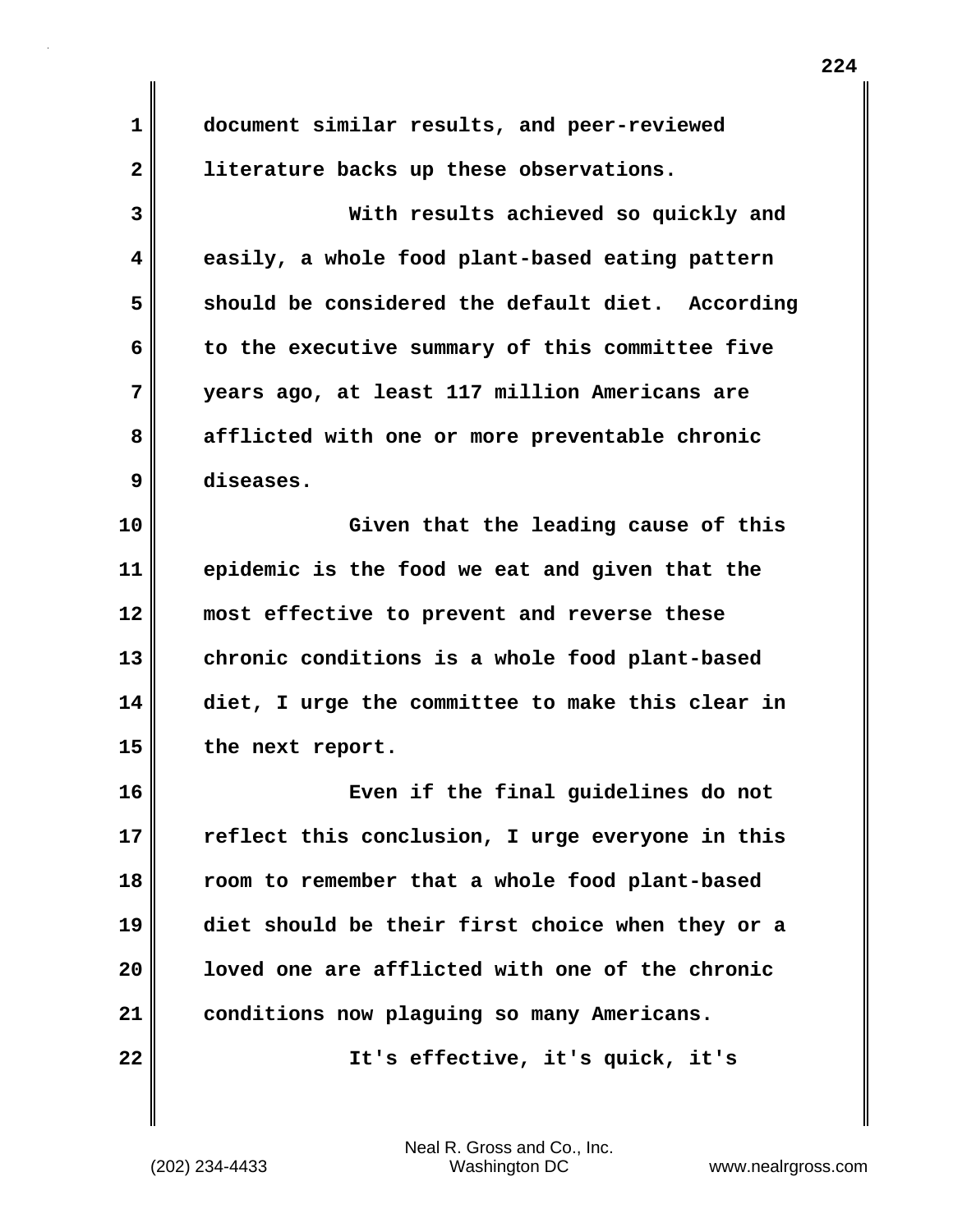**1 document similar results, and peer-reviewed 2 literature backs up these observations. 3 With results achieved so quickly and 4 easily, a whole food plant-based eating pattern 5 should be considered the default diet. According 6 to the executive summary of this committee five 7 years ago, at least 117 million Americans are 8 afflicted with one or more preventable chronic 9 diseases. 10 Given that the leading cause of this 11 epidemic is the food we eat and given that the 12 most effective to prevent and reverse these 13 chronic conditions is a whole food plant-based 14 diet, I urge the committee to make this clear in 15 the next report. 16 Even if the final guidelines do not 17 reflect this conclusion, I urge everyone in this 18 room to remember that a whole food plant-based 19 diet should be their first choice when they or a 20 loved one are afflicted with one of the chronic 21 conditions now plaguing so many Americans. 22 It's effective, it's quick, it's**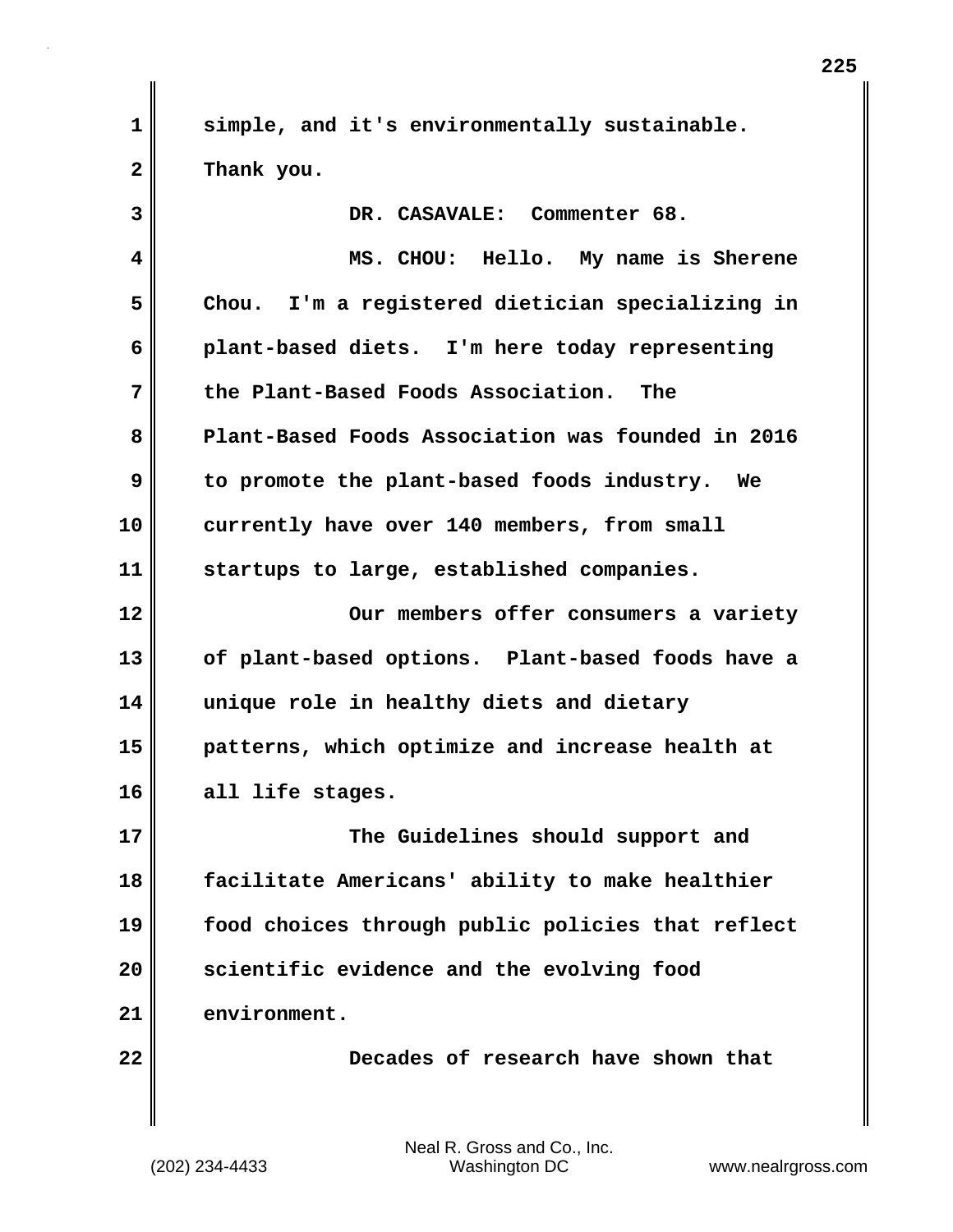**1 simple, and it's environmentally sustainable. 2 Thank you.**

| 3                       | DR. CASAVALE: Commenter 68.                       |
|-------------------------|---------------------------------------------------|
| $\overline{\mathbf{4}}$ | MS. CHOU: Hello. My name is Sherene               |
| 5                       | Chou. I'm a registered dietician specializing in  |
| 6                       | plant-based diets. I'm here today representing    |
| 7                       | the Plant-Based Foods Association. The            |
| 8                       | Plant-Based Foods Association was founded in 2016 |
| 9                       | to promote the plant-based foods industry. We     |
| 10                      | currently have over 140 members, from small       |
| 11                      | startups to large, established companies.         |
| 12                      | Our members offer consumers a variety             |
| 13                      | of plant-based options. Plant-based foods have a  |
| 14                      | unique role in healthy diets and dietary          |
| 15                      | patterns, which optimize and increase health at   |
| 16                      | all life stages.                                  |
| 17                      | The Guidelines should support and                 |
| 18                      | facilitate Americans' ability to make healthier   |
| 19                      | food choices through public policies that reflect |
| 20                      | scientific evidence and the evolving food         |
| 21                      | environment.                                      |
| 22                      | Decades of research have shown that               |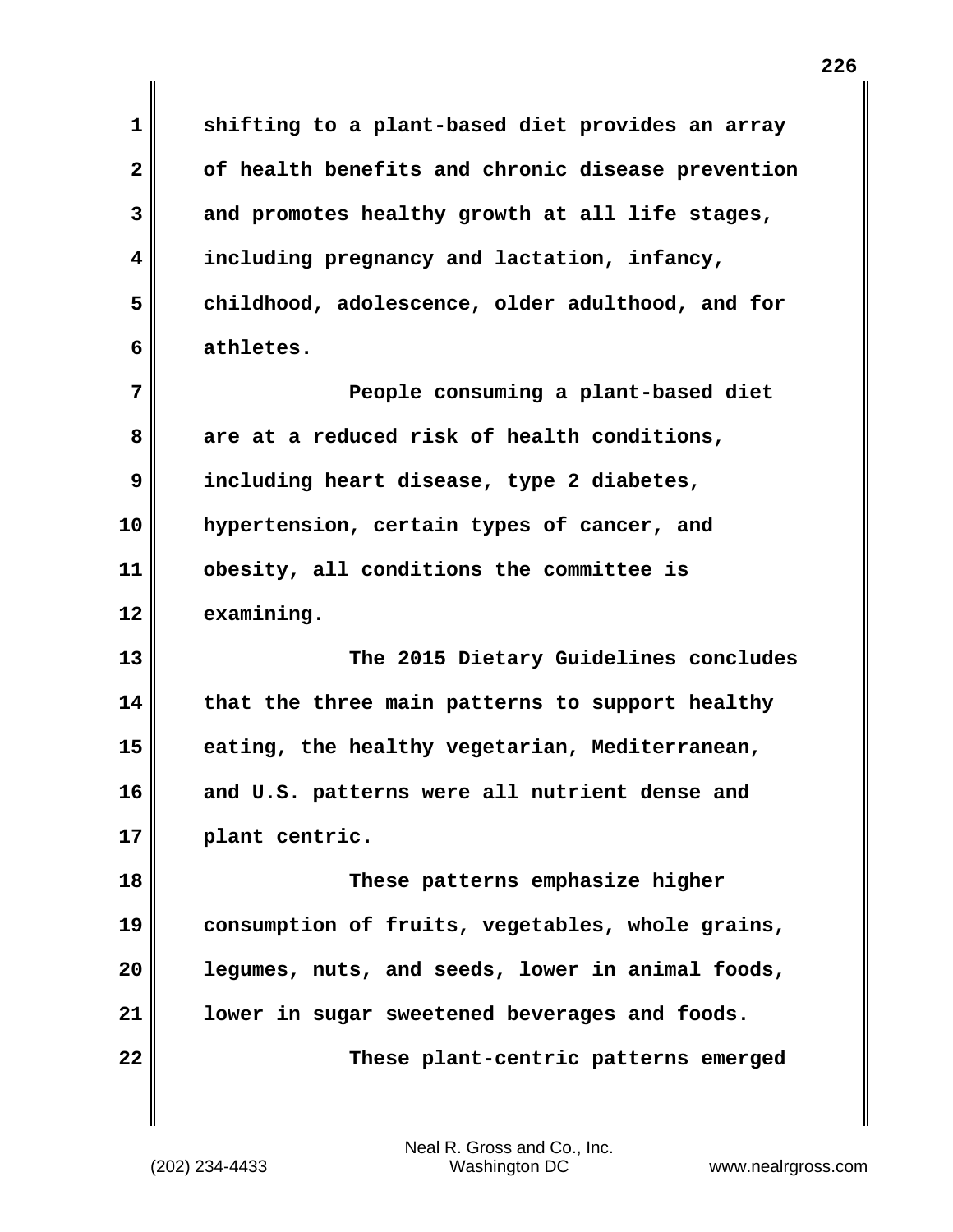**1 shifting to a plant-based diet provides an array 2 of health benefits and chronic disease prevention 3 and promotes healthy growth at all life stages, 4 including pregnancy and lactation, infancy, 5 childhood, adolescence, older adulthood, and for 6 athletes. 7** People consuming a plant-based diet **8 are at a reduced risk of health conditions, 9 including heart disease, type 2 diabetes, 10 hypertension, certain types of cancer, and 11 obesity, all conditions the committee is 12 examining. 13 The 2015 Dietary Guidelines concludes 14 that the three main patterns to support healthy 15 eating, the healthy vegetarian, Mediterranean, 16 and U.S. patterns were all nutrient dense and 17 plant centric. 18 These patterns emphasize higher 19 consumption of fruits, vegetables, whole grains, 20 legumes, nuts, and seeds, lower in animal foods, 21 lower in sugar sweetened beverages and foods.**

**22 These plant-centric patterns emerged**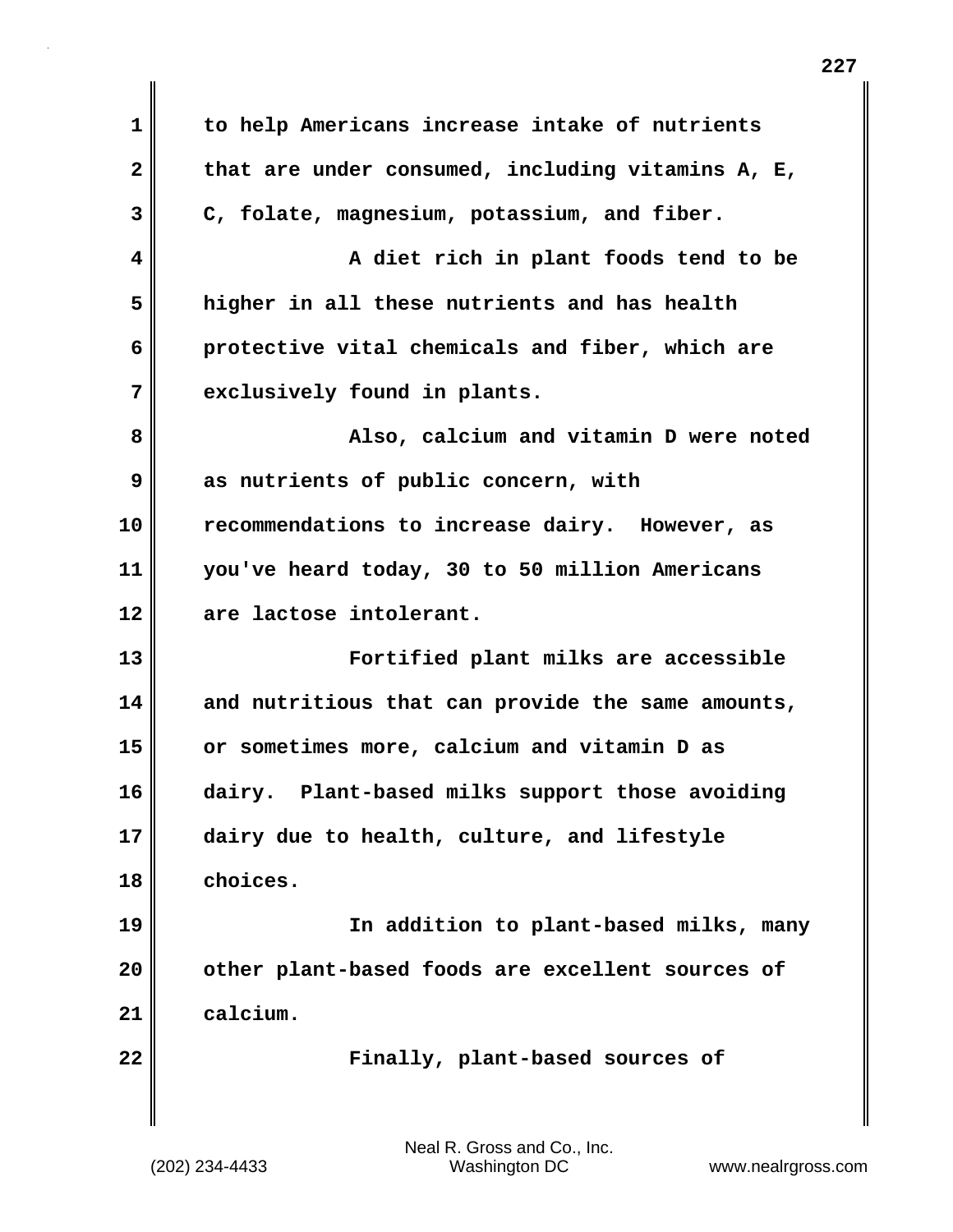| $\mathbf 1$  | to help Americans increase intake of nutrients          |
|--------------|---------------------------------------------------------|
| $\mathbf{2}$ | that are under consumed, including vitamins $A$ , $E$ , |
| 3            | C, folate, magnesium, potassium, and fiber.             |
| 4            | A diet rich in plant foods tend to be                   |
| 5            | higher in all these nutrients and has health            |
| 6            | protective vital chemicals and fiber, which are         |
| 7            | exclusively found in plants.                            |
| 8            | Also, calcium and vitamin D were noted                  |
| 9            | as nutrients of public concern, with                    |
| 10           | recommendations to increase dairy. However, as          |
| 11           | you've heard today, 30 to 50 million Americans          |
| 12           | are lactose intolerant.                                 |
| 13           | Fortified plant milks are accessible                    |
| 14           | and nutritious that can provide the same amounts,       |
| 15           | or sometimes more, calcium and vitamin D as             |
| 16           | dairy. Plant-based milks support those avoiding         |
| 17           | dairy due to health, culture, and lifestyle             |
| 18           | choices.                                                |
| 19           | In addition to plant-based milks, many                  |
| 20           | other plant-based foods are excellent sources of        |
| 21           | calcium.                                                |
| 22           | Finally, plant-based sources of                         |
|              |                                                         |

 $\mathsf I$ 

 $\mathbf{I}$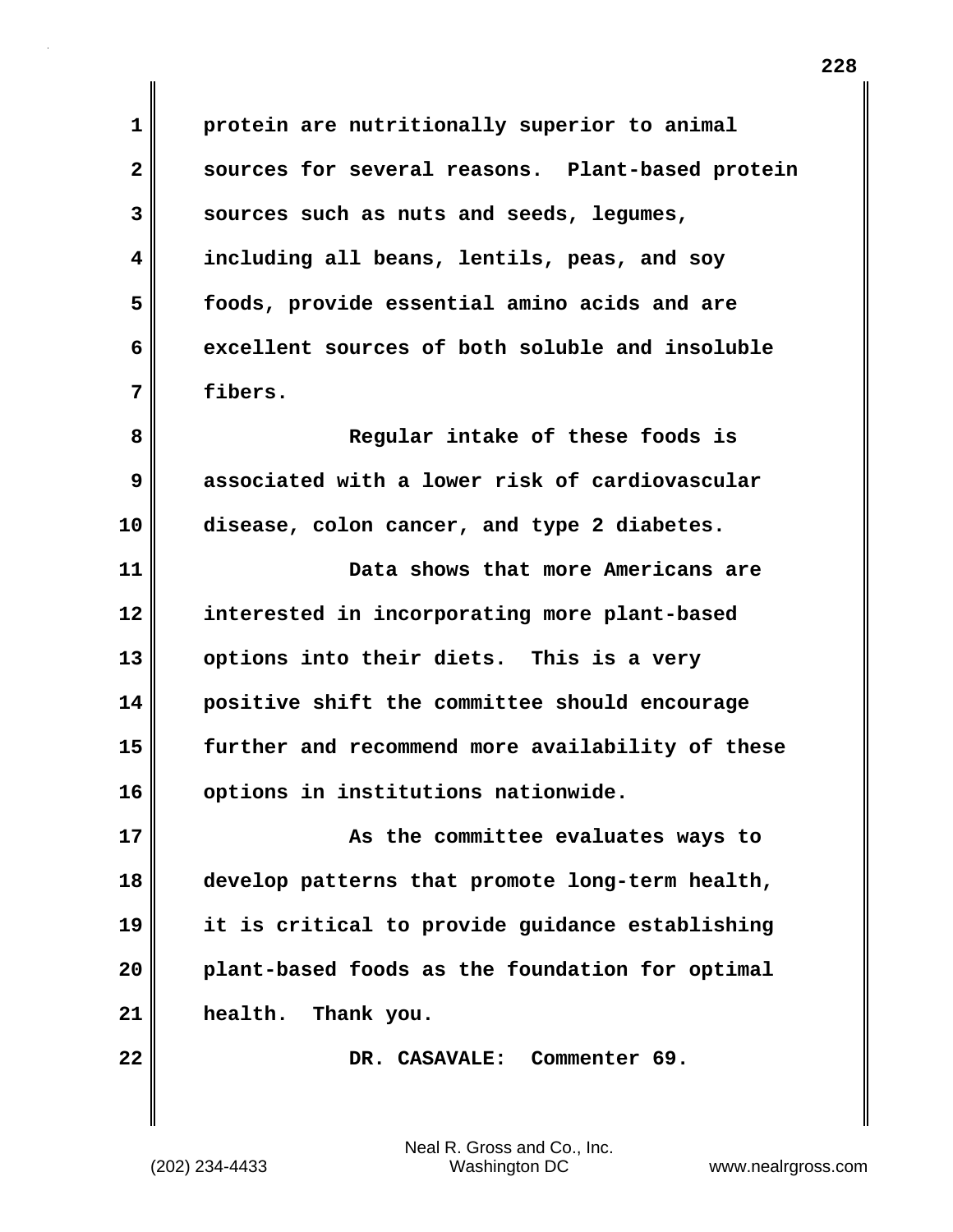**1 protein are nutritionally superior to animal 2 sources for several reasons. Plant-based protein 3 sources such as nuts and seeds, legumes, 4 including all beans, lentils, peas, and soy 5 foods, provide essential amino acids and are 6 excellent sources of both soluble and insoluble 7 fibers.**

**8 Regular intake of these foods is 9 associated with a lower risk of cardiovascular 10 disease, colon cancer, and type 2 diabetes.**

**11 Data shows that more Americans are 12 interested in incorporating more plant-based 13 options into their diets. This is a very 14 positive shift the committee should encourage 15 further and recommend more availability of these 16 options in institutions nationwide.**

**17 As the committee evaluates ways to 18 develop patterns that promote long-term health, 19 it is critical to provide guidance establishing 20 plant-based foods as the foundation for optimal 21 health. Thank you.**

**22 DR. CASAVALE: Commenter 69.**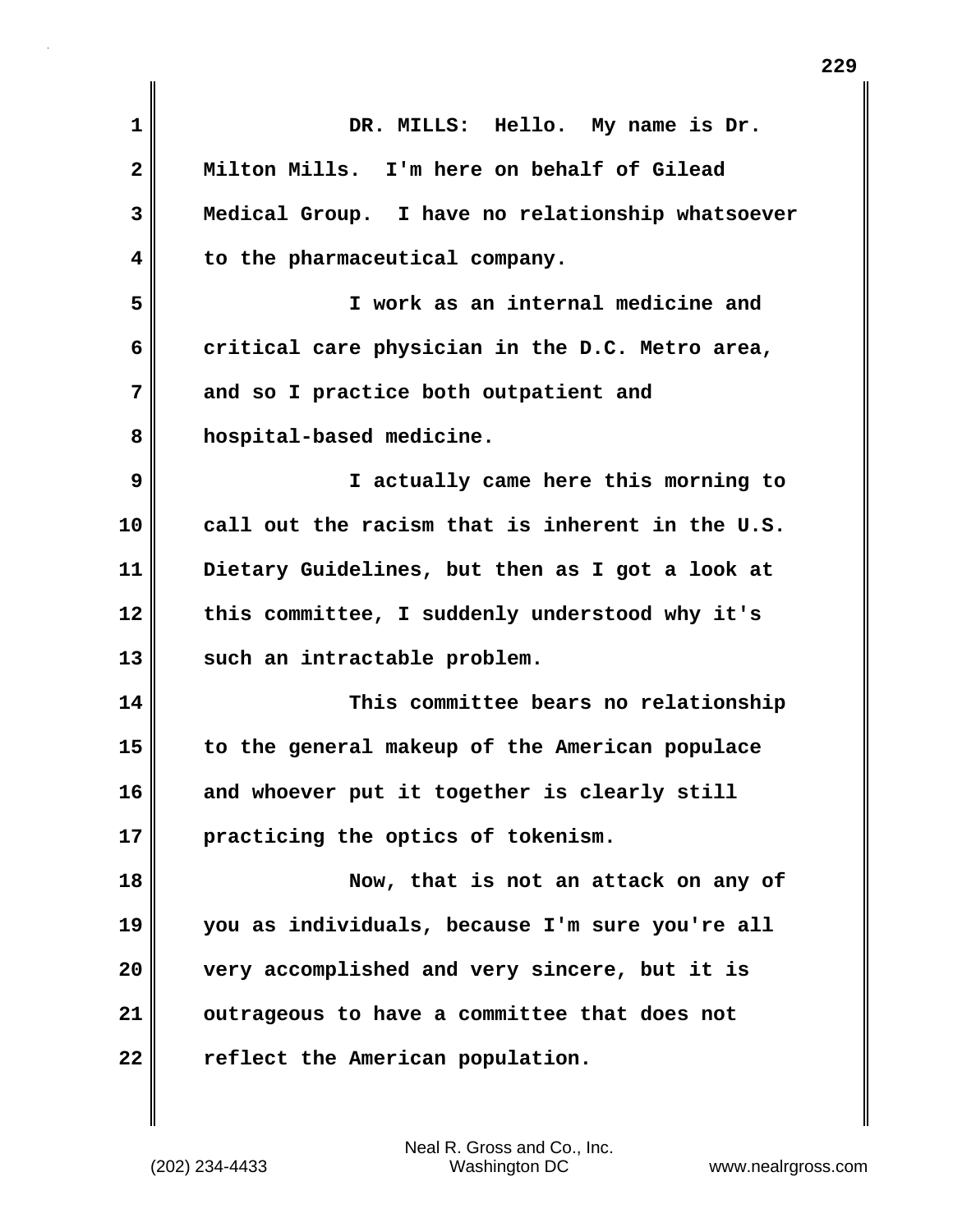| $\mathbf{1}$ | DR. MILLS: Hello. My name is Dr.                 |
|--------------|--------------------------------------------------|
| 2            | Milton Mills. I'm here on behalf of Gilead       |
| 3            | Medical Group. I have no relationship whatsoever |
| 4            | to the pharmaceutical company.                   |
| 5            | I work as an internal medicine and               |
| 6            | critical care physician in the D.C. Metro area,  |
| 7            | and so I practice both outpatient and            |
| 8            | hospital-based medicine.                         |
| 9            | I actually came here this morning to             |
| 10           | call out the racism that is inherent in the U.S. |
| 11           | Dietary Guidelines, but then as I got a look at  |
| 12           | this committee, I suddenly understood why it's   |
| 13           | such an intractable problem.                     |
| 14           | This committee bears no relationship             |
| 15           | to the general makeup of the American populace   |
| 16           | and whoever put it together is clearly still     |
| 17           | practicing the optics of tokenism.               |
| 18           | Now, that is not an attack on any of             |
| 19           | you as individuals, because I'm sure you're all  |
| 20           | very accomplished and very sincere, but it is    |
| 21           | outrageous to have a committee that does not     |
| 22           | reflect the American population.                 |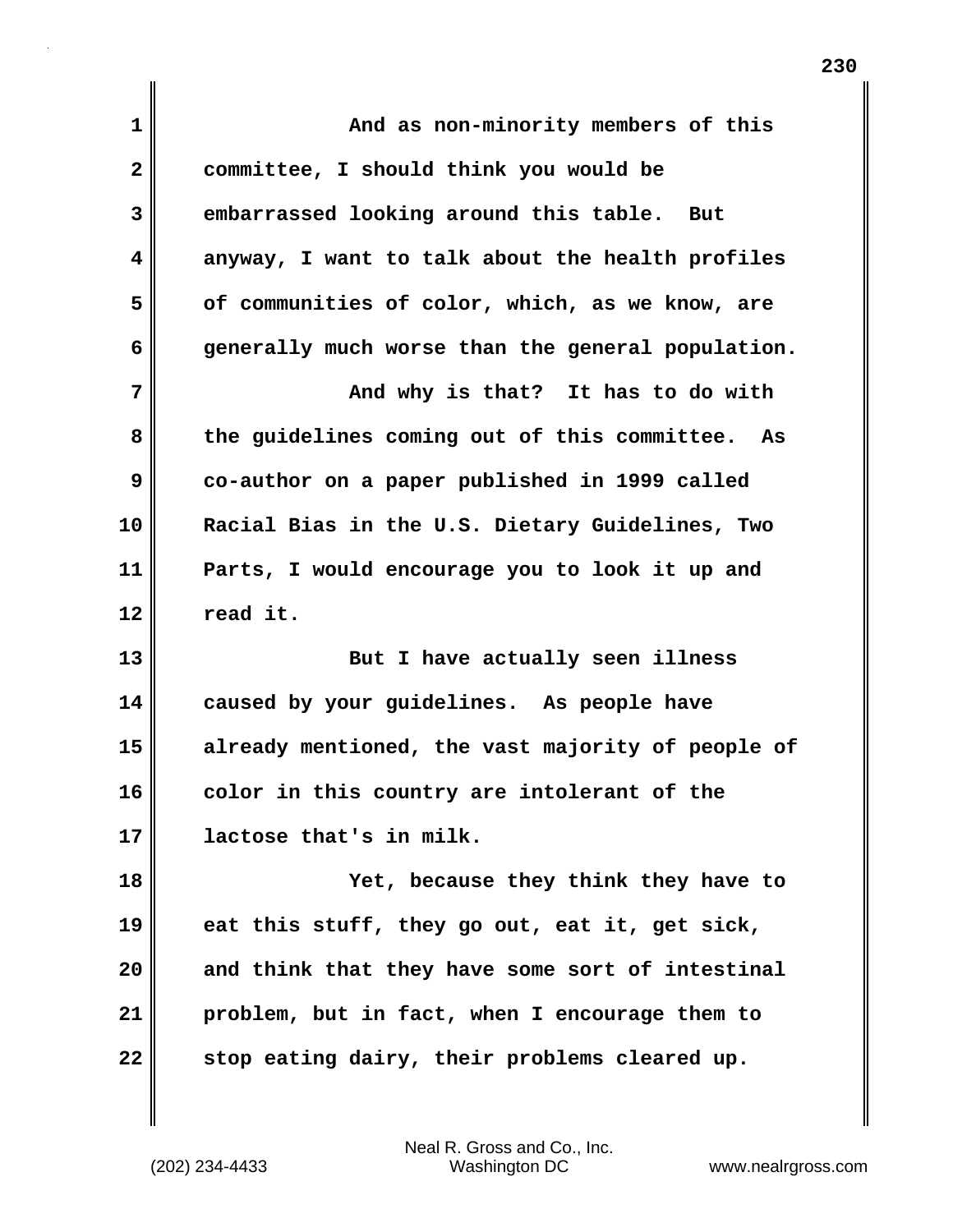| 1            | And as non-minority members of this                |
|--------------|----------------------------------------------------|
| $\mathbf{2}$ | committee, I should think you would be             |
| 3            | embarrassed looking around this table. But         |
| 4            | anyway, I want to talk about the health profiles   |
| 5            | of communities of color, which, as we know, are    |
| 6            | generally much worse than the general population.  |
| 7            | And why is that? It has to do with                 |
| 8            | the guidelines coming out of this committee.<br>As |
| 9            | co-author on a paper published in 1999 called      |
| 10           | Racial Bias in the U.S. Dietary Guidelines, Two    |
| 11           | Parts, I would encourage you to look it up and     |
| 12           | read it.                                           |
| 13           | But I have actually seen illness                   |
| 14           | caused by your guidelines. As people have          |
| 15           | already mentioned, the vast majority of people of  |
| 16           | color in this country are intolerant of the        |
| 17           | lactose that's in milk.                            |
| 18           | Yet, because they think they have to               |
| 19           | eat this stuff, they go out, eat it, get sick,     |
| 20           | and think that they have some sort of intestinal   |
| 21           | problem, but in fact, when I encourage them to     |
| 22           | stop eating dairy, their problems cleared up.      |

 $\mathbf{I}$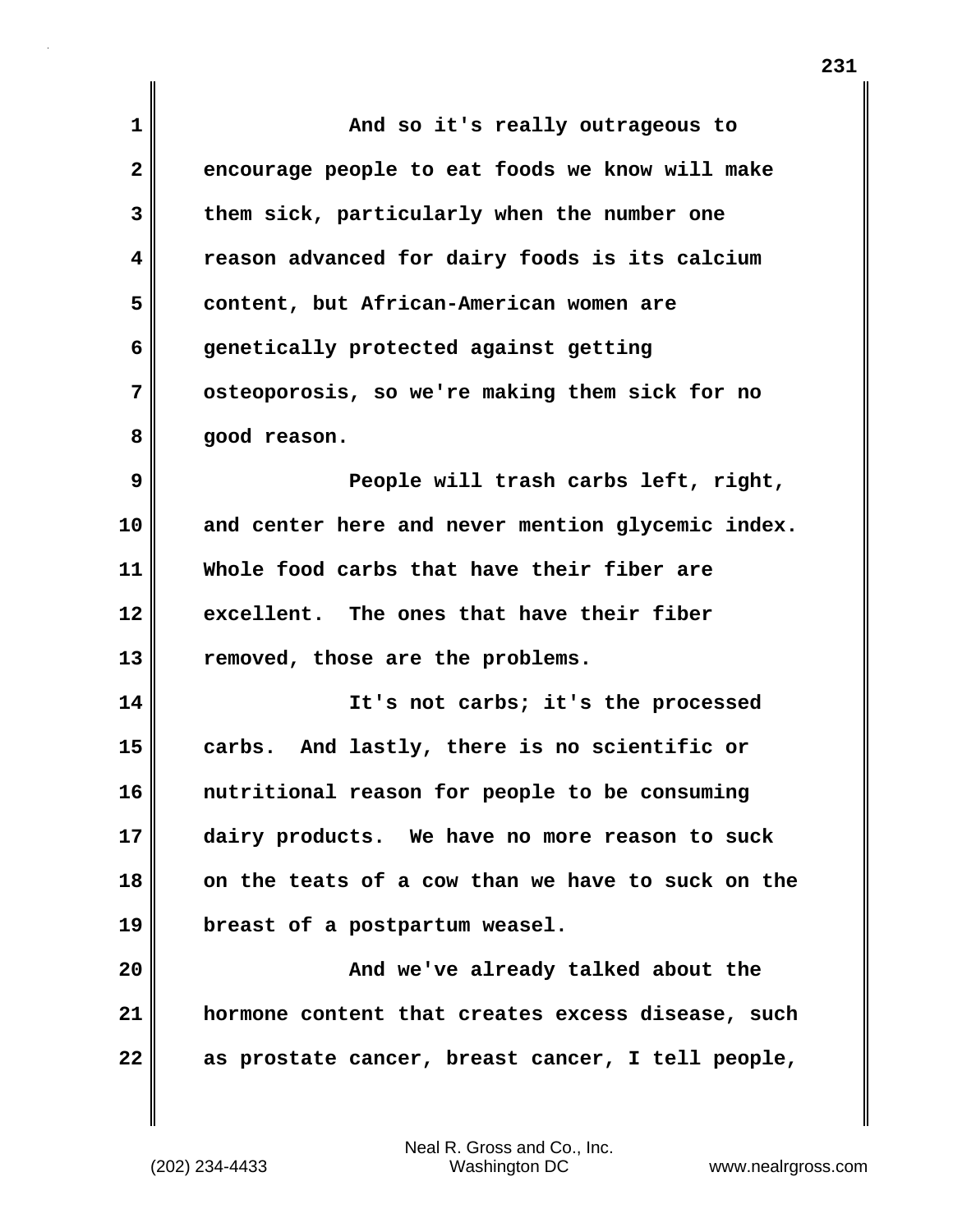| $\mathbf{1}$ | And so it's really outrageous to                  |
|--------------|---------------------------------------------------|
| $\mathbf{2}$ | encourage people to eat foods we know will make   |
| 3            | them sick, particularly when the number one       |
| 4            | reason advanced for dairy foods is its calcium    |
| 5            | content, but African-American women are           |
| 6            | genetically protected against getting             |
| 7            | osteoporosis, so we're making them sick for no    |
| 8            | good reason.                                      |
| 9            | People will trash carbs left, right,              |
| 10           | and center here and never mention glycemic index. |
| 11           | Whole food carbs that have their fiber are        |
| 12           | excellent. The ones that have their fiber         |
| 13           | removed, those are the problems.                  |
| 14           | It's not carbs; it's the processed                |
| 15           | And lastly, there is no scientific or<br>carbs.   |
| 16           | nutritional reason for people to be consuming     |
| 17           | dairy products. We have no more reason to suck    |
| 18           | on the teats of a cow than we have to suck on the |
| 19           | breast of a postpartum weasel.                    |
| 20           | And we've already talked about the                |
| 21           | hormone content that creates excess disease, such |
| 22           | as prostate cancer, breast cancer, I tell people, |

 $\mathbf{I}$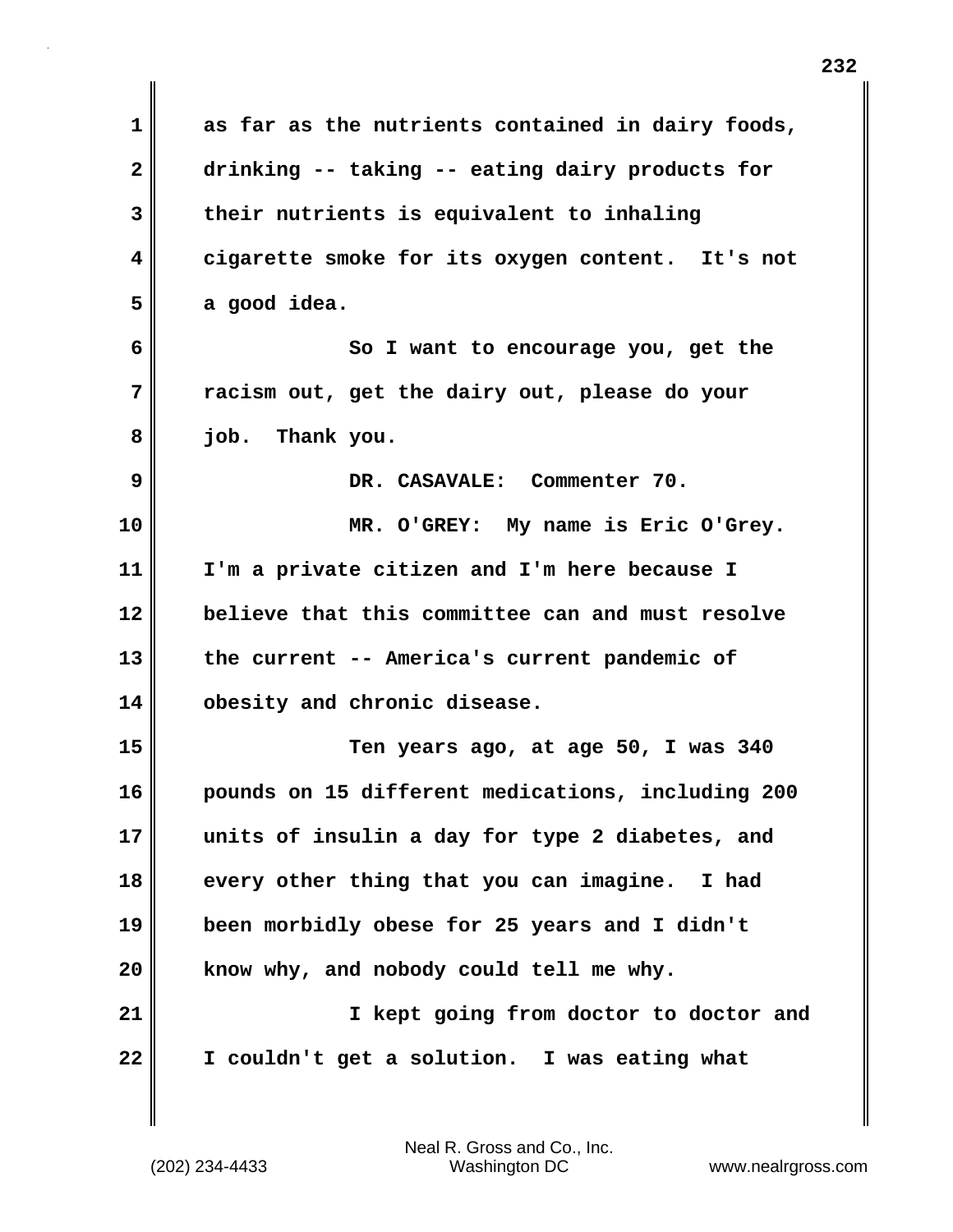| as far as the nutrients contained in dairy foods, |
|---------------------------------------------------|
| drinking -- taking -- eating dairy products for   |
| their nutrients is equivalent to inhaling         |
| cigarette smoke for its oxygen content. It's not  |
| a good idea.                                      |
| So I want to encourage you, get the               |
| racism out, get the dairy out, please do your     |
| job. Thank you.                                   |
| DR. CASAVALE: Commenter 70.                       |
| MR. O'GREY: My name is Eric O'Grey.               |
| I'm a private citizen and I'm here because I      |
| believe that this committee can and must resolve  |
| the current -- America's current pandemic of      |
| obesity and chronic disease.                      |
| Ten years ago, at age 50, I was 340               |
| pounds on 15 different medications, including 200 |
| units of insulin a day for type 2 diabetes, and   |
| every other thing that you can imagine.<br>I had  |
| been morbidly obese for 25 years and I didn't     |
| know why, and nobody could tell me why.           |
| I kept going from doctor to doctor and            |
| I couldn't get a solution. I was eating what      |
|                                                   |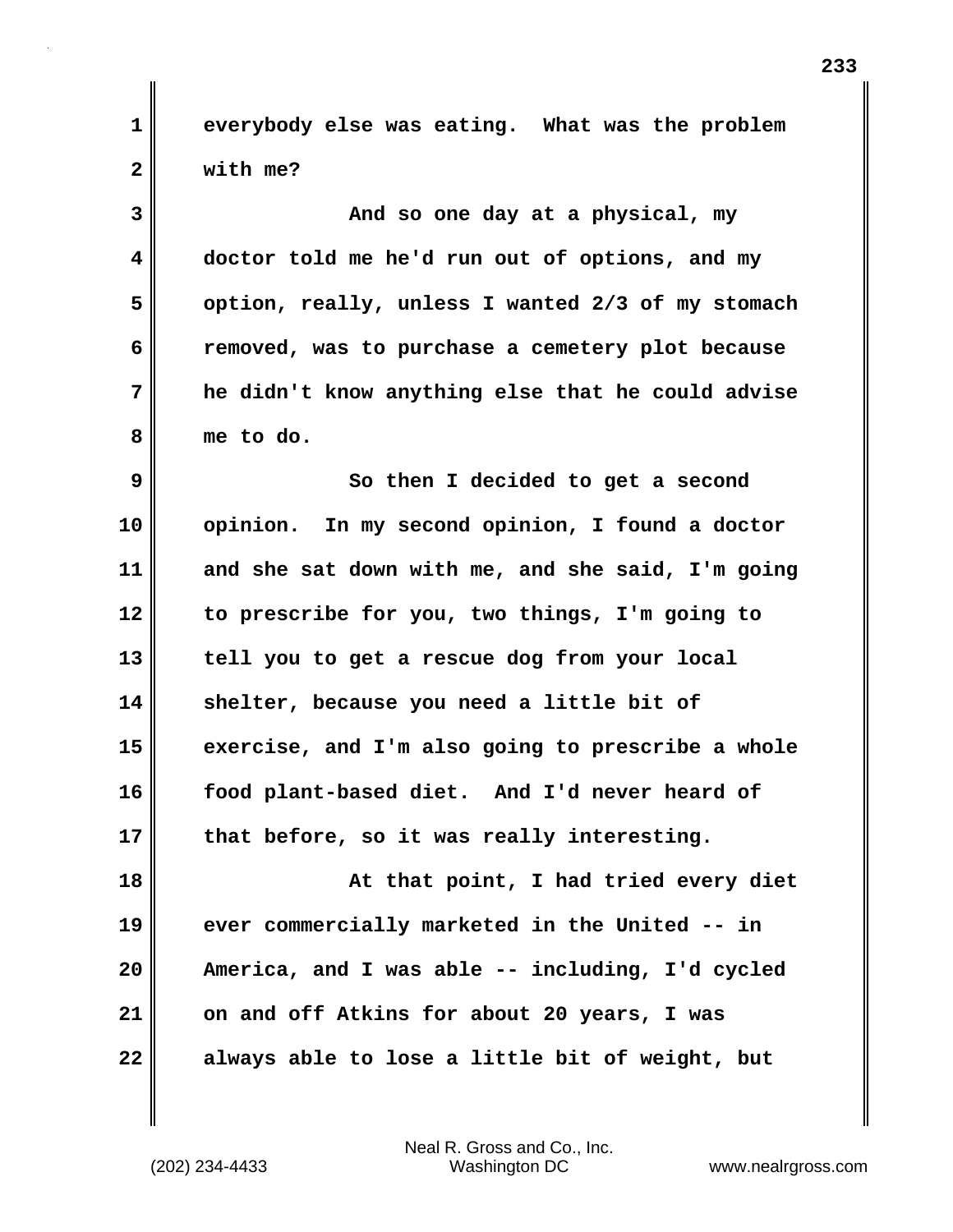**1 everybody else was eating. What was the problem 2 with me?**

**3 And so one day at a physical, my 4 doctor told me he'd run out of options, and my 5 option, really, unless I wanted 2/3 of my stomach 6 removed, was to purchase a cemetery plot because 7 he didn't know anything else that he could advise 8 me to do.**

**9** So then I decided to get a second **10 opinion. In my second opinion, I found a doctor 11 and she sat down with me, and she said, I'm going 12 to prescribe for you, two things, I'm going to 13 tell you to get a rescue dog from your local 14 shelter, because you need a little bit of 15 exercise, and I'm also going to prescribe a whole 16 food plant-based diet. And I'd never heard of 17 that before, so it was really interesting.**

**18 At that point, I had tried every diet 19 ever commercially marketed in the United -- in 20 America, and I was able -- including, I'd cycled 21 on and off Atkins for about 20 years, I was 22 always able to lose a little bit of weight, but**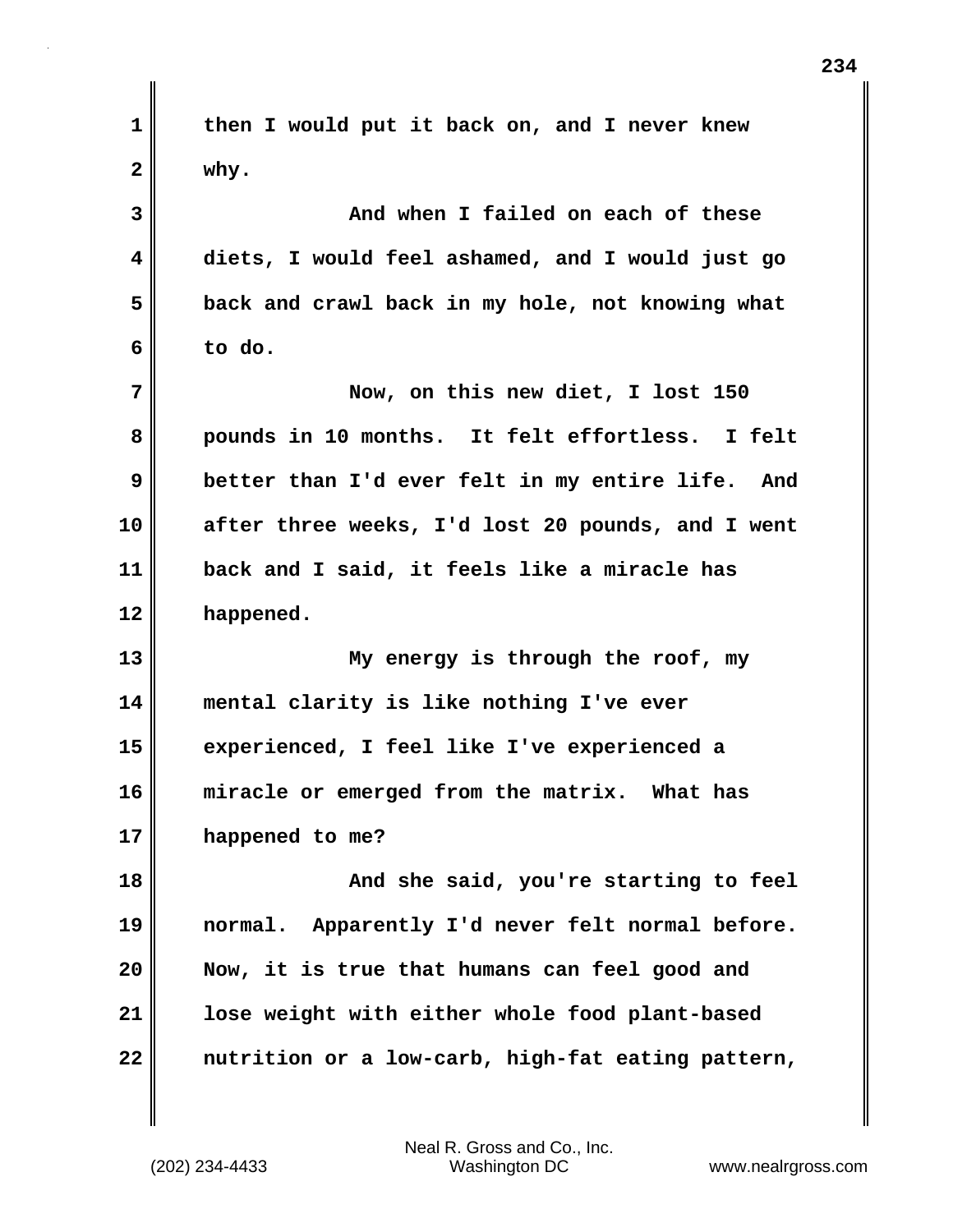| $\mathbf 1$  | then I would put it back on, and I never knew       |
|--------------|-----------------------------------------------------|
| $\mathbf{2}$ | why.                                                |
| 3            | And when I failed on each of these                  |
| 4            | diets, I would feel ashamed, and I would just go    |
| 5            | back and crawl back in my hole, not knowing what    |
| 6            | to do.                                              |
| 7            | Now, on this new diet, I lost 150                   |
| 8            | pounds in 10 months. It felt effortless. I felt     |
| 9            | better than I'd ever felt in my entire life.<br>And |
| 10           | after three weeks, I'd lost 20 pounds, and I went   |
| 11           | back and I said, it feels like a miracle has        |
|              |                                                     |
| 12           | happened.                                           |
| 13           | My energy is through the roof, my                   |
| 14           | mental clarity is like nothing I've ever            |
| 15           | experienced, I feel like I've experienced a         |
| 16           | miracle or emerged from the matrix. What has        |
| 17           | happened to me?                                     |
| 18           | And she said, you're starting to feel               |
| 19           | Apparently I'd never felt normal before.<br>normal. |
| 20           | Now, it is true that humans can feel good and       |
| 21           | lose weight with either whole food plant-based      |

 $\mathbf{l}$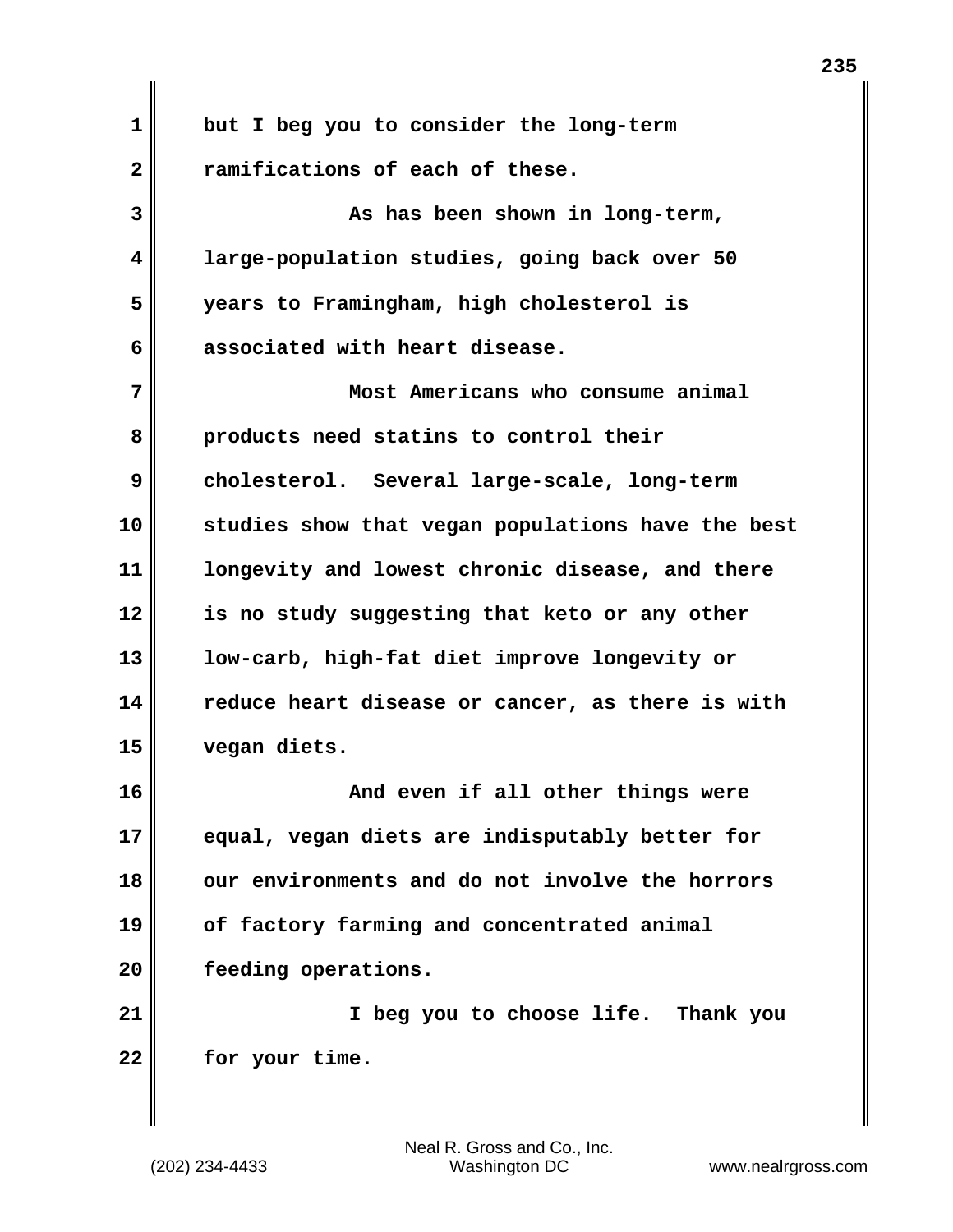| $\mathbf 1$  | but I beg you to consider the long-term           |
|--------------|---------------------------------------------------|
| $\mathbf{2}$ | ramifications of each of these.                   |
| 3            | As has been shown in long-term,                   |
| 4            | large-population studies, going back over 50      |
| 5            | years to Framingham, high cholesterol is          |
| 6            | associated with heart disease.                    |
| 7            | Most Americans who consume animal                 |
| 8            | products need statins to control their            |
| 9            | cholesterol. Several large-scale, long-term       |
| 10           | studies show that vegan populations have the best |
| 11           | longevity and lowest chronic disease, and there   |
| 12           | is no study suggesting that keto or any other     |
| 13           | low-carb, high-fat diet improve longevity or      |
| 14           | reduce heart disease or cancer, as there is with  |
| 15           | vegan diets.                                      |
| 16           | And even if all other things were                 |
| 17           | equal, vegan diets are indisputably better for    |
| 18           | our environments and do not involve the horrors   |
| 19           | of factory farming and concentrated animal        |
| 20           | feeding operations.                               |
| 21           | I beg you to choose life. Thank you               |
| 22           | for your time.                                    |
|              |                                                   |
|              |                                                   |

 $\mathbf{I}$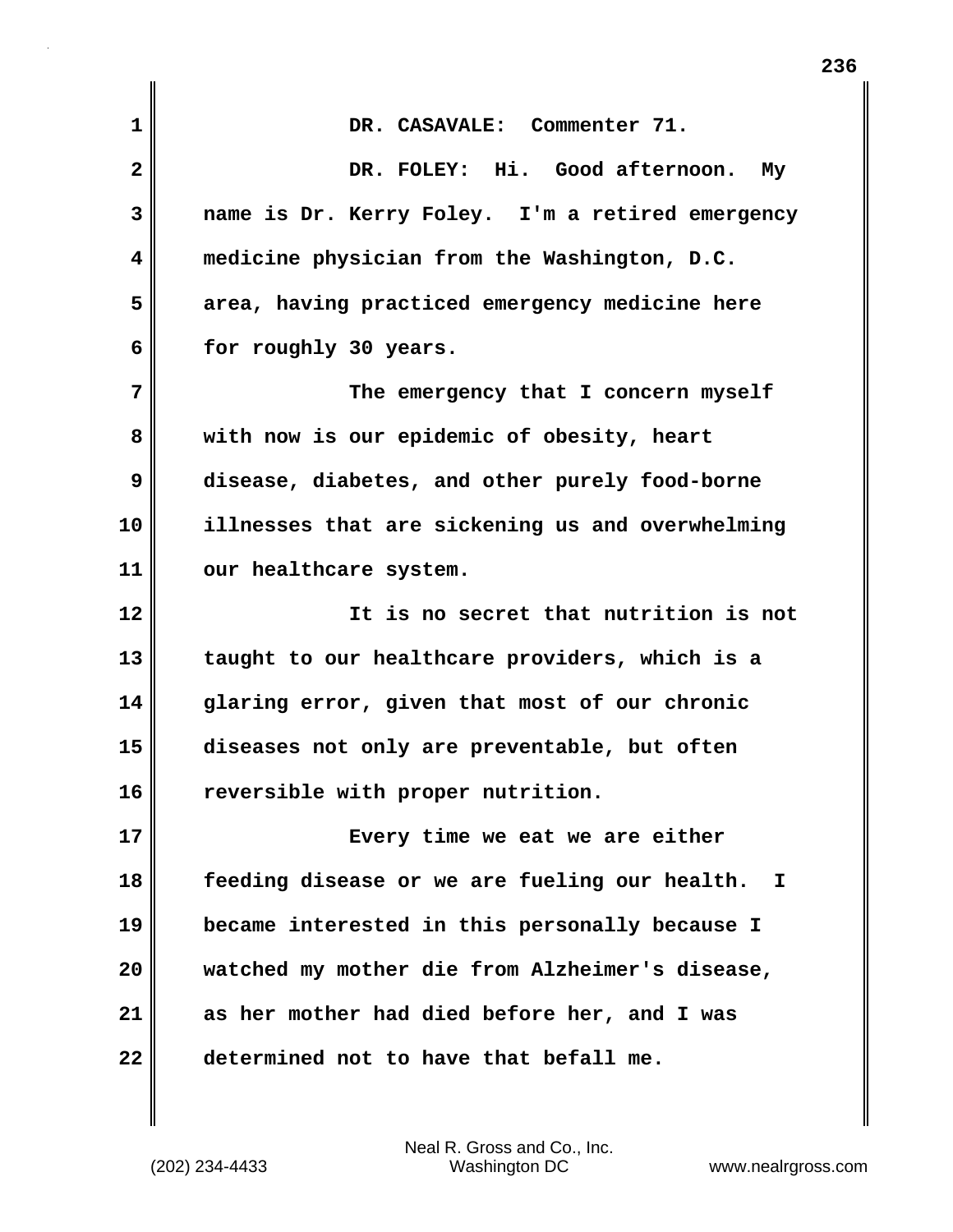| 1            | DR. CASAVALE: Commenter 71.                        |
|--------------|----------------------------------------------------|
| $\mathbf{2}$ | DR. FOLEY: Hi. Good afternoon. My                  |
| 3            | name is Dr. Kerry Foley. I'm a retired emergency   |
| 4            | medicine physician from the Washington, D.C.       |
| 5            | area, having practiced emergency medicine here     |
| 6            | for roughly 30 years.                              |
| 7            | The emergency that I concern myself                |
| 8            | with now is our epidemic of obesity, heart         |
| 9            | disease, diabetes, and other purely food-borne     |
| 10           | illnesses that are sickening us and overwhelming   |
| 11           | our healthcare system.                             |
| 12           | It is no secret that nutrition is not              |
| 13           | taught to our healthcare providers, which is a     |
| 14           | glaring error, given that most of our chronic      |
| 15           | diseases not only are preventable, but often       |
| 16           | reversible with proper nutrition.                  |
| 17           | Every time we eat we are either                    |
| 18           | feeding disease or we are fueling our health.<br>I |
| 19           | became interested in this personally because I     |
| 20           | watched my mother die from Alzheimer's disease,    |
| 21           | as her mother had died before her, and I was       |
| 22           | determined not to have that befall me.             |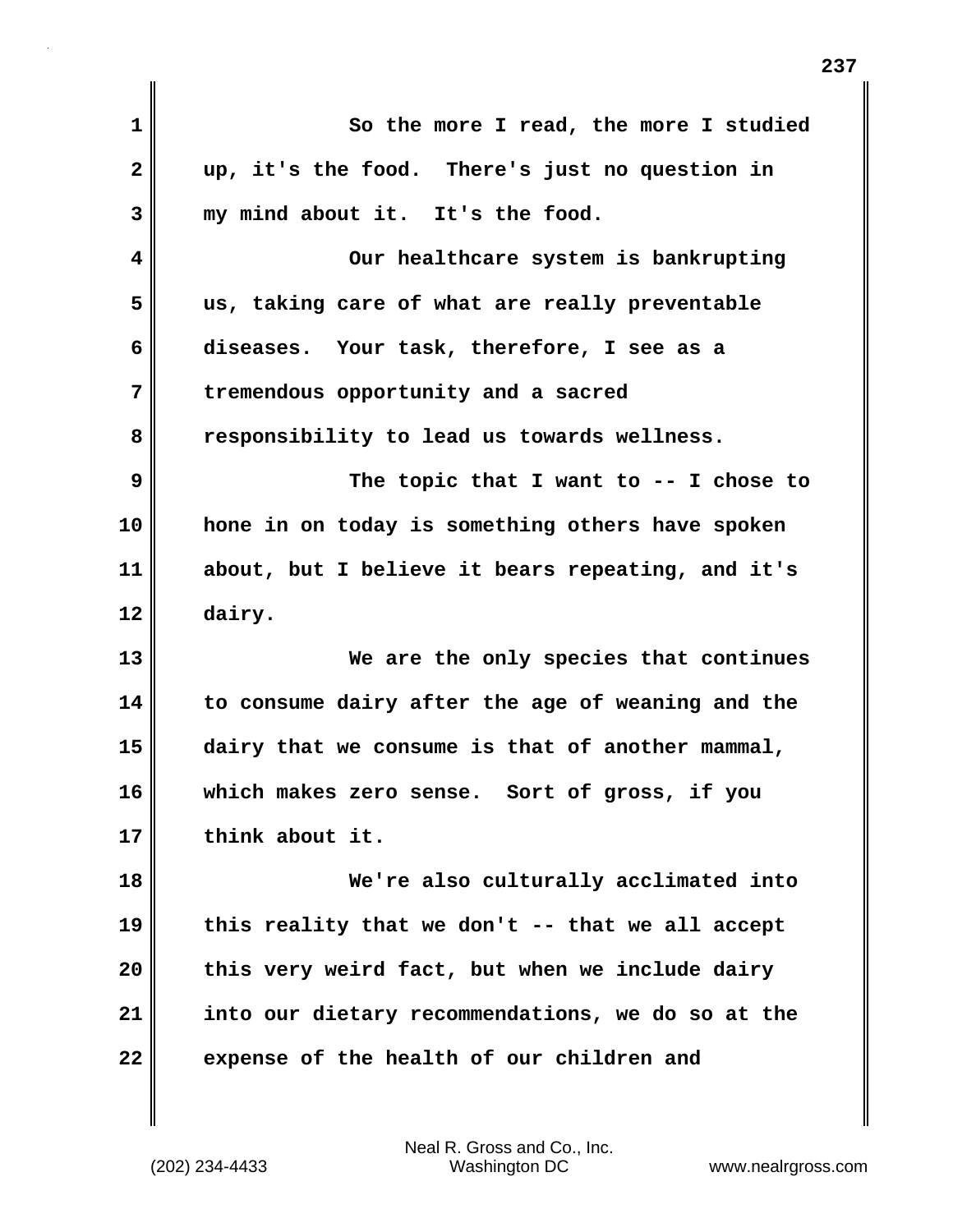| 1                       | So the more I read, the more I studied              |
|-------------------------|-----------------------------------------------------|
| $\overline{\mathbf{2}}$ | up, it's the food. There's just no question in      |
| 3                       | my mind about it. It's the food.                    |
| 4                       | Our healthcare system is bankrupting                |
| 5                       | us, taking care of what are really preventable      |
| 6                       | diseases. Your task, therefore, I see as a          |
| 7                       | tremendous opportunity and a sacred                 |
| 8                       | responsibility to lead us towards wellness.         |
| 9                       | The topic that I want to $-$ - I chose to           |
| 10                      | hone in on today is something others have spoken    |
| 11                      | about, but I believe it bears repeating, and it's   |
| 12                      | dairy.                                              |
| 13                      | We are the only species that continues              |
| 14                      | to consume dairy after the age of weaning and the   |
| 15                      | dairy that we consume is that of another mammal,    |
| 16                      | which makes zero sense. Sort of gross, if you       |
| 17                      | think about it.                                     |
| 18                      | We're also culturally acclimated into               |
| 19                      | this reality that we don't $-$ - that we all accept |
| 20                      | this very weird fact, but when we include dairy     |
| 21                      | into our dietary recommendations, we do so at the   |
| 22                      | expense of the health of our children and           |
|                         |                                                     |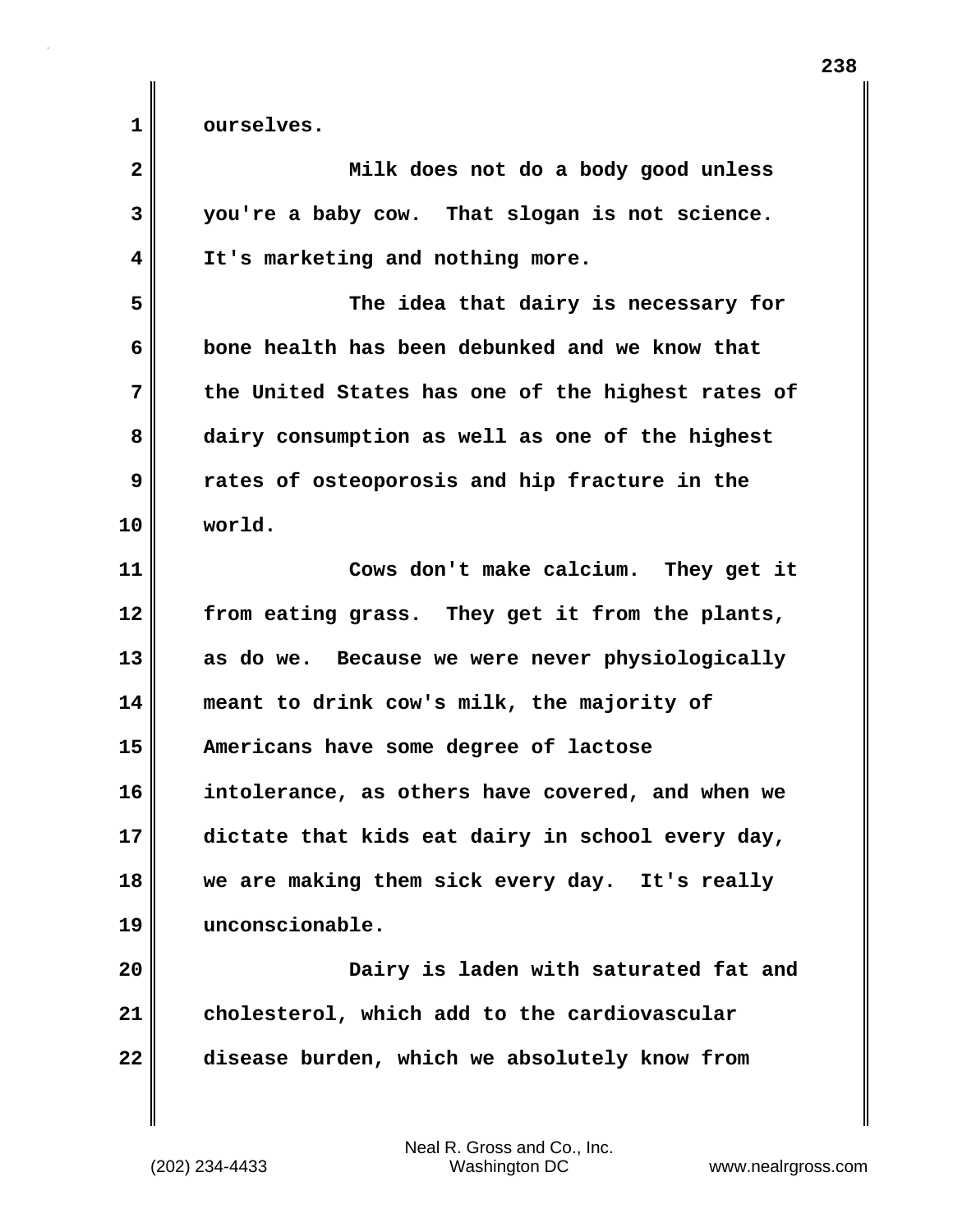1 **d** ourselves.

| $\mathbf{2}$ | Milk does not do a body good unless               |
|--------------|---------------------------------------------------|
| 3            | you're a baby cow. That slogan is not science.    |
| 4            | It's marketing and nothing more.                  |
| 5            | The idea that dairy is necessary for              |
| 6            | bone health has been debunked and we know that    |
| 7            | the United States has one of the highest rates of |
| 8            | dairy consumption as well as one of the highest   |
| 9            | rates of osteoporosis and hip fracture in the     |
| 10           | world.                                            |
| 11           | Cows don't make calcium. They get it              |
| 12           | from eating grass. They get it from the plants,   |
| 13           | as do we. Because we were never physiologically   |
| 14           | meant to drink cow's milk, the majority of        |
| 15           | Americans have some degree of lactose             |
| 16           | intolerance, as others have covered, and when we  |
| 17           | dictate that kids eat dairy in school every day,  |
| 18           | we are making them sick every day. It's really    |
| 19           | unconscionable.                                   |
| 20           | Dairy is laden with saturated fat and             |
| 21           | cholesterol, which add to the cardiovascular      |
| 22           | disease burden, which we absolutely know from     |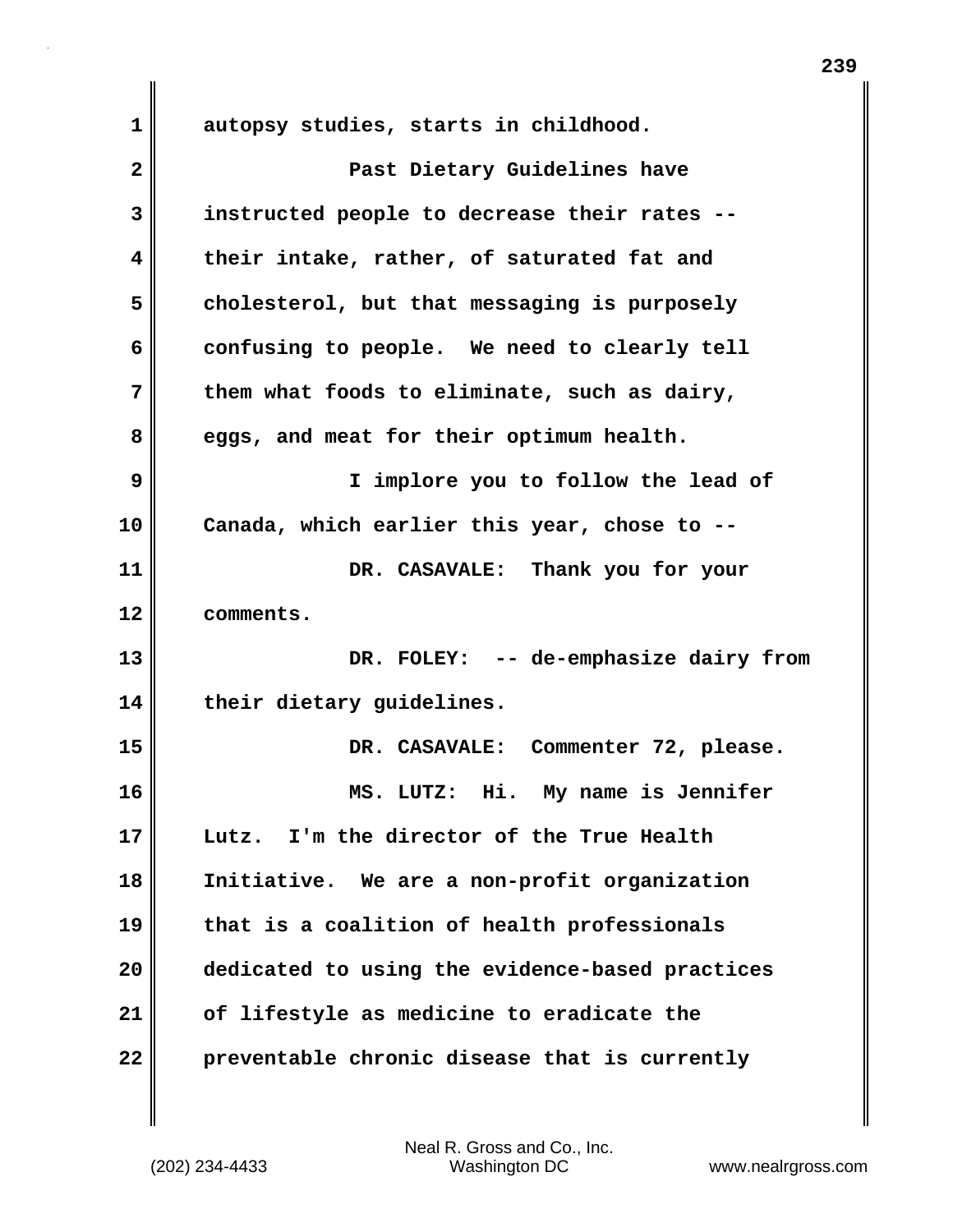**1 autopsy studies, starts in childhood.**

**2 Past Dietary Guidelines have 3 instructed people to decrease their rates -- 4 their intake, rather, of saturated fat and 5 cholesterol, but that messaging is purposely 6 confusing to people. We need to clearly tell 7 them what foods to eliminate, such as dairy, 8 eggs, and meat for their optimum health. 9 I implore you to follow the lead of 10 Canada, which earlier this year, chose to -- 11 DR. CASAVALE: Thank you for your 12 comments. 13 DR. FOLEY: -- de-emphasize dairy from 14 their dietary guidelines. 15 DR. CASAVALE: Commenter 72, please. 16 MS. LUTZ: Hi. My name is Jennifer 17 Lutz. I'm the director of the True Health 18 Initiative. We are a non-profit organization 19 that is a coalition of health professionals 20 dedicated to using the evidence-based practices 21 of lifestyle as medicine to eradicate the 22 preventable chronic disease that is currently**

**239**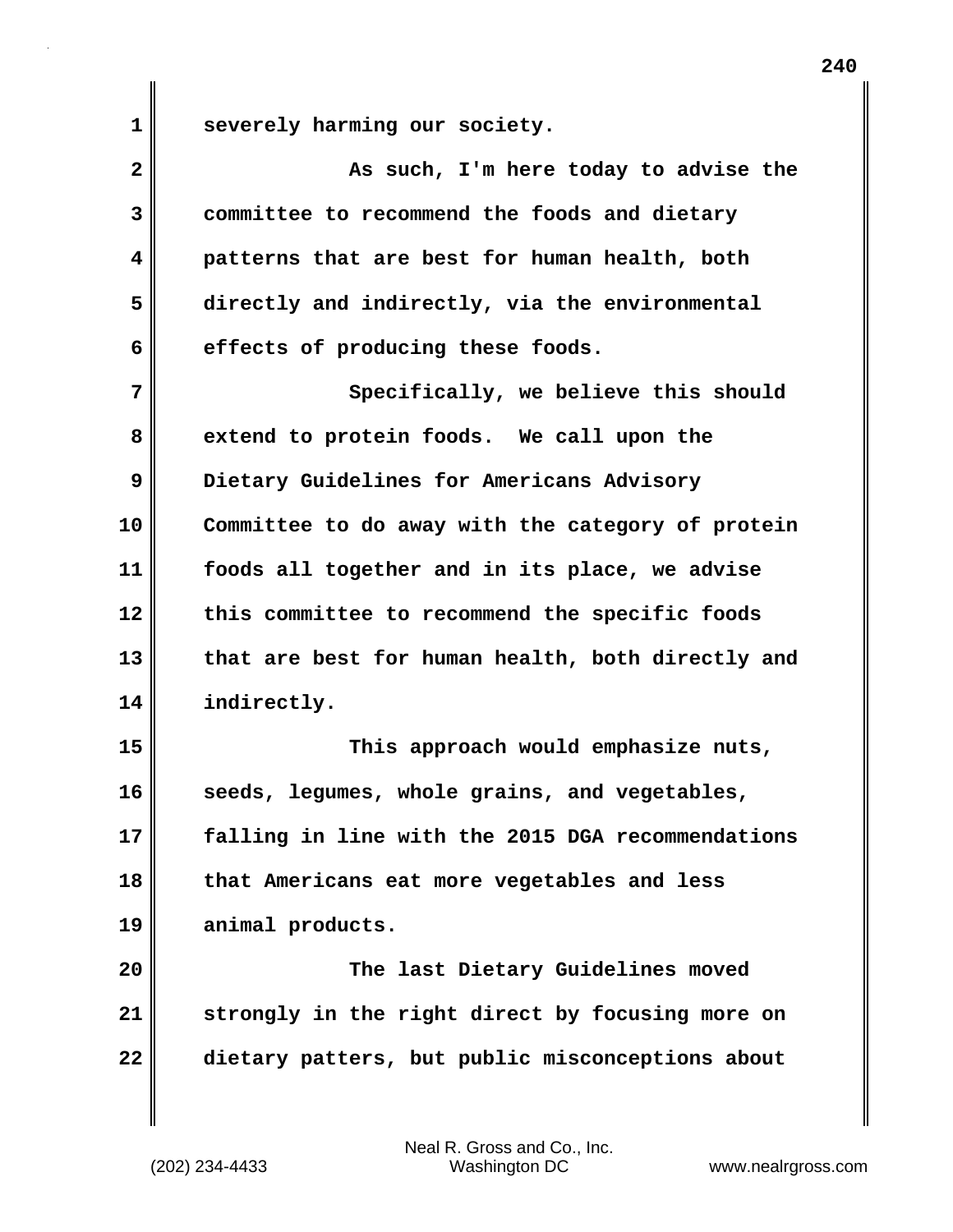**1 severely harming our society.**

| $\overline{\mathbf{2}}$ | As such, I'm here today to advise the             |
|-------------------------|---------------------------------------------------|
| 3                       | committee to recommend the foods and dietary      |
| 4                       | patterns that are best for human health, both     |
| 5                       | directly and indirectly, via the environmental    |
| 6                       | effects of producing these foods.                 |
| 7                       | Specifically, we believe this should              |
| 8                       | extend to protein foods. We call upon the         |
| 9                       | Dietary Guidelines for Americans Advisory         |
| 10                      | Committee to do away with the category of protein |
| 11                      | foods all together and in its place, we advise    |
| 12                      | this committee to recommend the specific foods    |
| 13                      | that are best for human health, both directly and |
| 14                      | indirectly.                                       |
| 15                      | This approach would emphasize nuts,               |
| 16                      | seeds, legumes, whole grains, and vegetables,     |
| 17                      | falling in line with the 2015 DGA recommendations |
| 18                      | that Americans eat more vegetables and less       |
| 19                      | animal products.                                  |
| 20                      | The last Dietary Guidelines moved                 |
| 21                      | strongly in the right direct by focusing more on  |
| 22                      | dietary patters, but public misconceptions about  |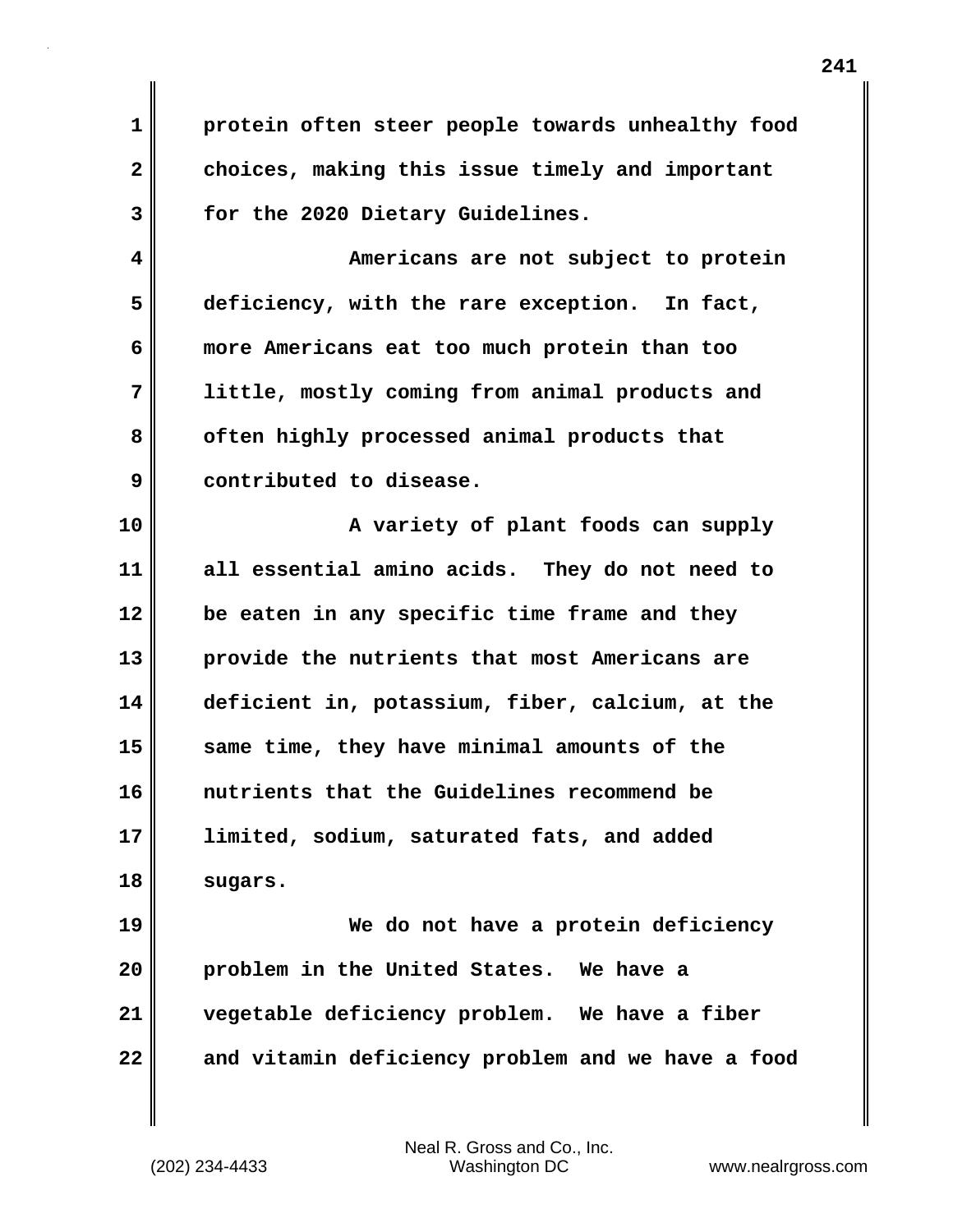**1 protein often steer people towards unhealthy food 2 choices, making this issue timely and important 3 for the 2020 Dietary Guidelines.**

**4 Americans are not subject to protein 5 deficiency, with the rare exception. In fact, 6 more Americans eat too much protein than too 7 little, mostly coming from animal products and 8 often highly processed animal products that 9 contributed to disease.**

**10 A variety of plant foods can supply 11 all essential amino acids. They do not need to 12 be eaten in any specific time frame and they 13 provide the nutrients that most Americans are 14 deficient in, potassium, fiber, calcium, at the 15 same time, they have minimal amounts of the 16 nutrients that the Guidelines recommend be 17 limited, sodium, saturated fats, and added 18 sugars.**

**19 We do not have a protein deficiency 20 problem in the United States. We have a 21 vegetable deficiency problem. We have a fiber 22 and vitamin deficiency problem and we have a food**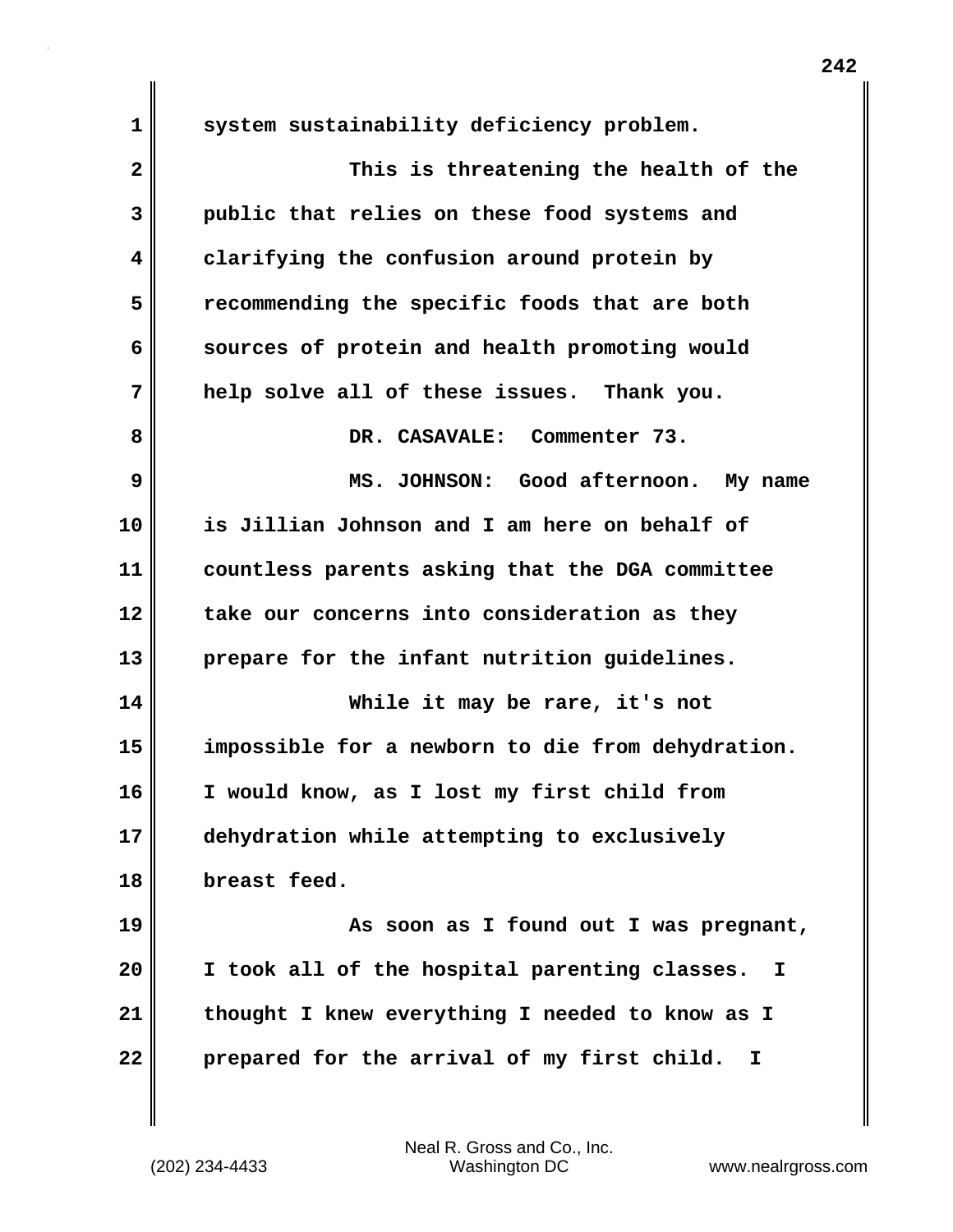**1 system sustainability deficiency problem. 2 This is threatening the health of the 3 public that relies on these food systems and 4 clarifying the confusion around protein by 5 recommending the specific foods that are both 6 sources of protein and health promoting would 7 help solve all of these issues. Thank you. 8 DR. CASAVALE: Commenter 73. 9 MS. JOHNSON: Good afternoon. My name 10 is Jillian Johnson and I am here on behalf of 11 countless parents asking that the DGA committee 12 take our concerns into consideration as they 13 prepare for the infant nutrition guidelines. 14 While it may be rare, it's not 15 impossible for a newborn to die from dehydration. 16 I would know, as I lost my first child from 17 dehydration while attempting to exclusively 18 breast feed. 19 As soon as I found out I was pregnant, 20 I took all of the hospital parenting classes. I 21 thought I knew everything I needed to know as I 22 prepared for the arrival of my first child. I**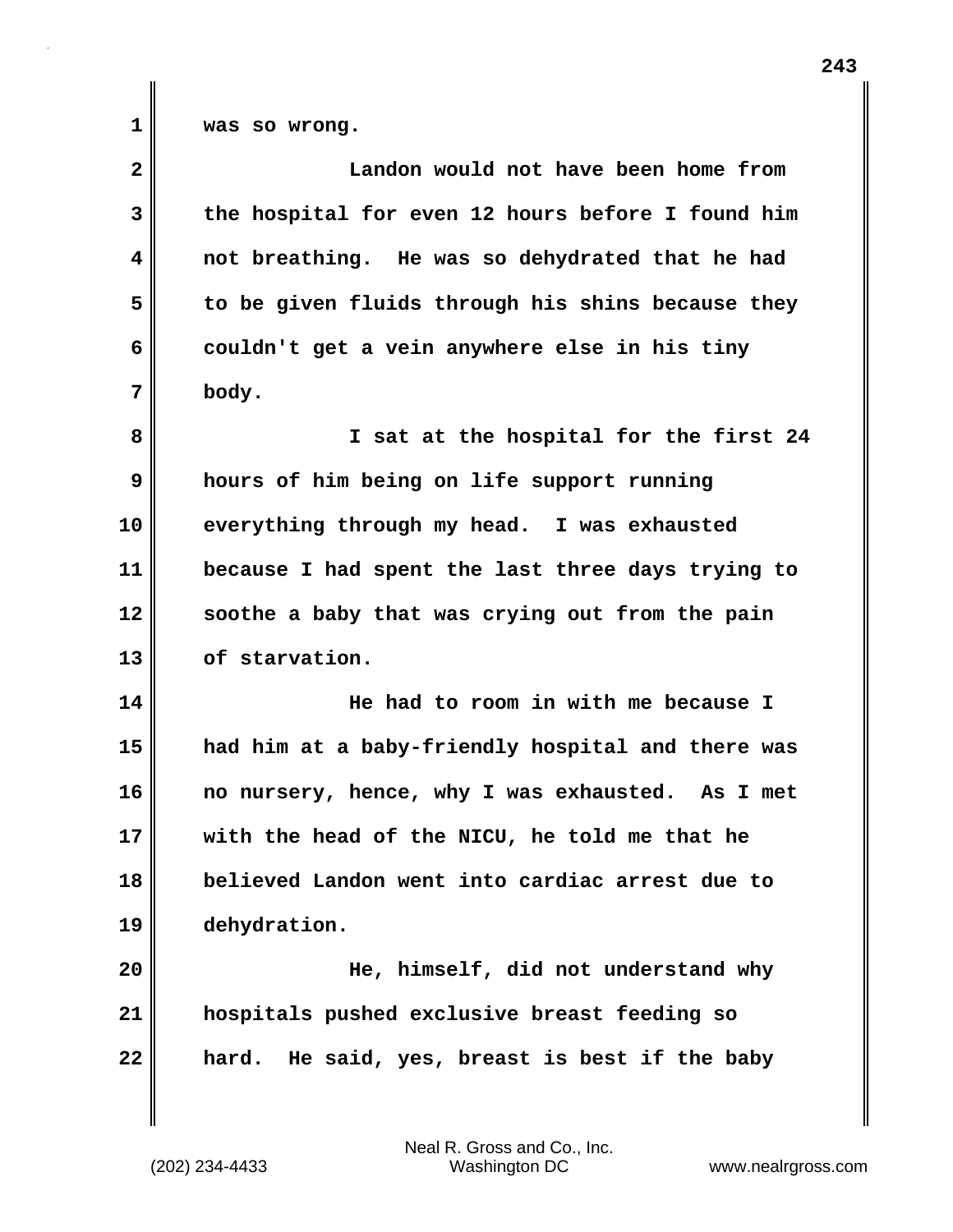| $\mathbf{2}$ | Landon would not have been home from              |
|--------------|---------------------------------------------------|
| 3            | the hospital for even 12 hours before I found him |
| 4            | not breathing. He was so dehydrated that he had   |
| 5            | to be given fluids through his shins because they |
| 6            | couldn't get a vein anywhere else in his tiny     |
| 7            | body.                                             |
| 8            | I sat at the hospital for the first 24            |
| 9            | hours of him being on life support running        |
| 10           | everything through my head. I was exhausted       |
| 11           | because I had spent the last three days trying to |
| 12           | soothe a baby that was crying out from the pain   |
| 13           | of starvation.                                    |
| 14           | He had to room in with me because I               |
| 15           | had him at a baby-friendly hospital and there was |
| 16           | no nursery, hence, why I was exhausted. As I met  |
| 17           | with the head of the NICU, he told me that he     |
| 18           | believed Landon went into cardiac arrest due to   |
| 19           | dehydration.                                      |
| 20           | He, himself, did not understand why               |
| 21           | hospitals pushed exclusive breast feeding so      |
| 22           | He said, yes, breast is best if the baby<br>hard. |
|              |                                                   |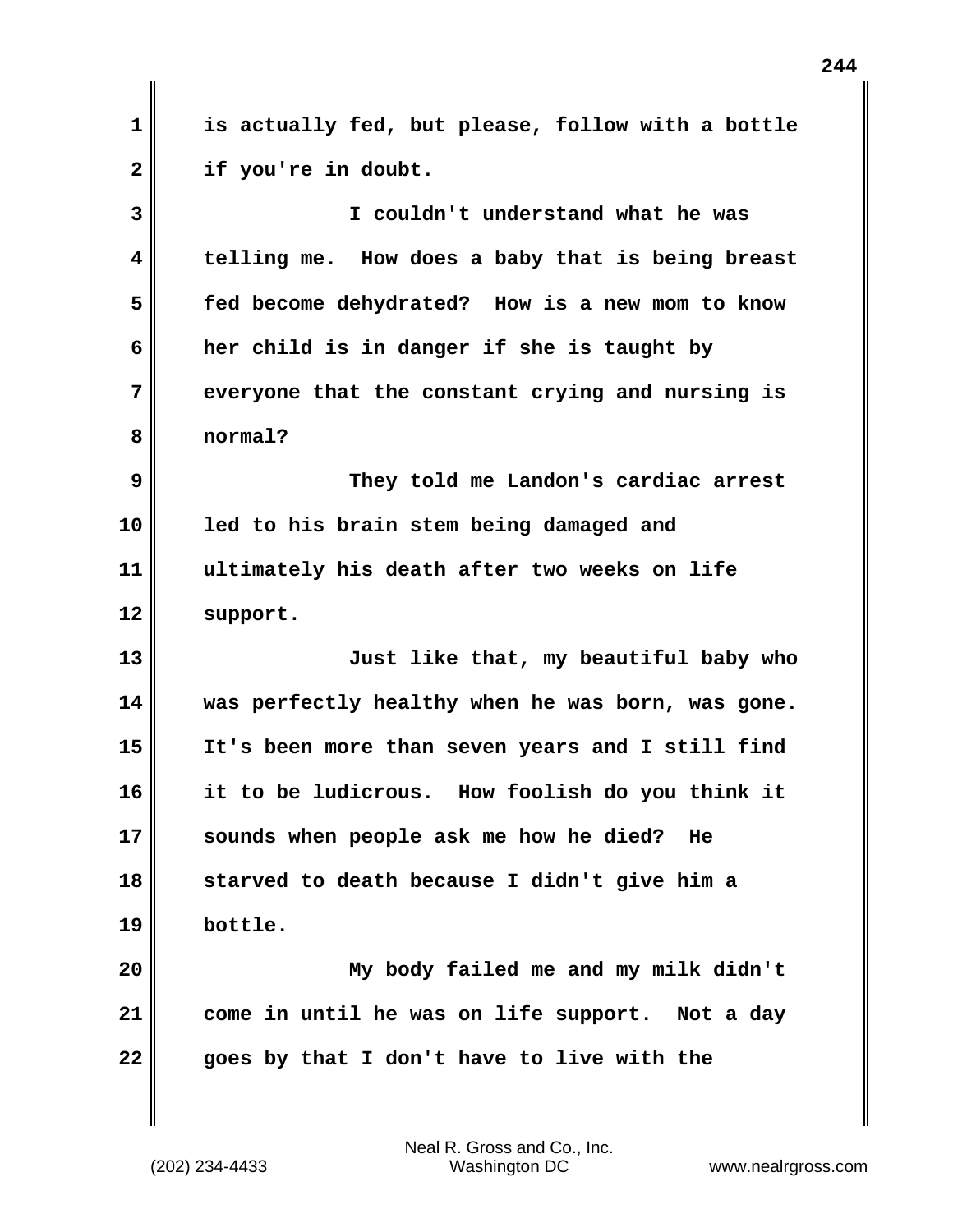**1 is actually fed, but please, follow with a bottle 2 if you're in doubt. 3 I couldn't understand what he was 4 telling me. How does a baby that is being breast 5 fed become dehydrated? How is a new mom to know 6 her child is in danger if she is taught by 7 everyone that the constant crying and nursing is 8 normal? 9 They told me Landon's cardiac arrest 10 led to his brain stem being damaged and 11 ultimately his death after two weeks on life 12 support. 13 Just like that, my beautiful baby who 14 was perfectly healthy when he was born, was gone. 15 It's been more than seven years and I still find 16 it to be ludicrous. How foolish do you think it 17 sounds when people ask me how he died? He 18 starved to death because I didn't give him a 19 bottle. 20 My body failed me and my milk didn't 21 come in until he was on life support. Not a day 22 goes by that I don't have to live with the**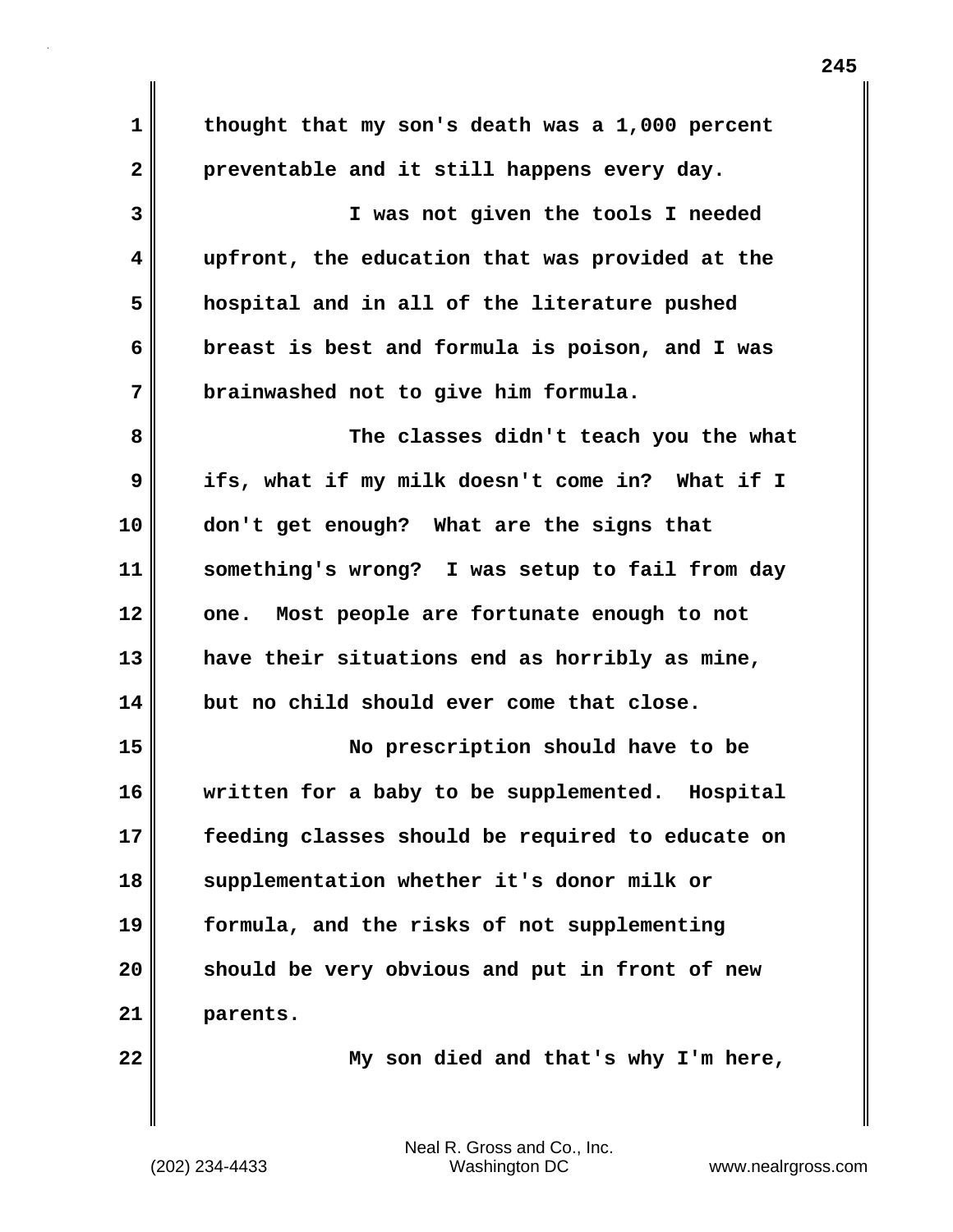**1 thought that my son's death was a 1,000 percent 2 preventable and it still happens every day. 3 I was not given the tools I needed 4 upfront, the education that was provided at the 5 hospital and in all of the literature pushed 6 breast is best and formula is poison, and I was 7 brainwashed not to give him formula. 8 The classes didn't teach you the what 9 ifs, what if my milk doesn't come in? What if I 10 don't get enough? What are the signs that 11 something's wrong? I was setup to fail from day 12 one. Most people are fortunate enough to not 13 have their situations end as horribly as mine, 14 but no child should ever come that close. 15 No prescription should have to be 16 written for a baby to be supplemented. Hospital 17 feeding classes should be required to educate on 18 supplementation whether it's donor milk or 19 formula, and the risks of not supplementing 20 should be very obvious and put in front of new 21 parents. 22 My son died and that's why I'm here,**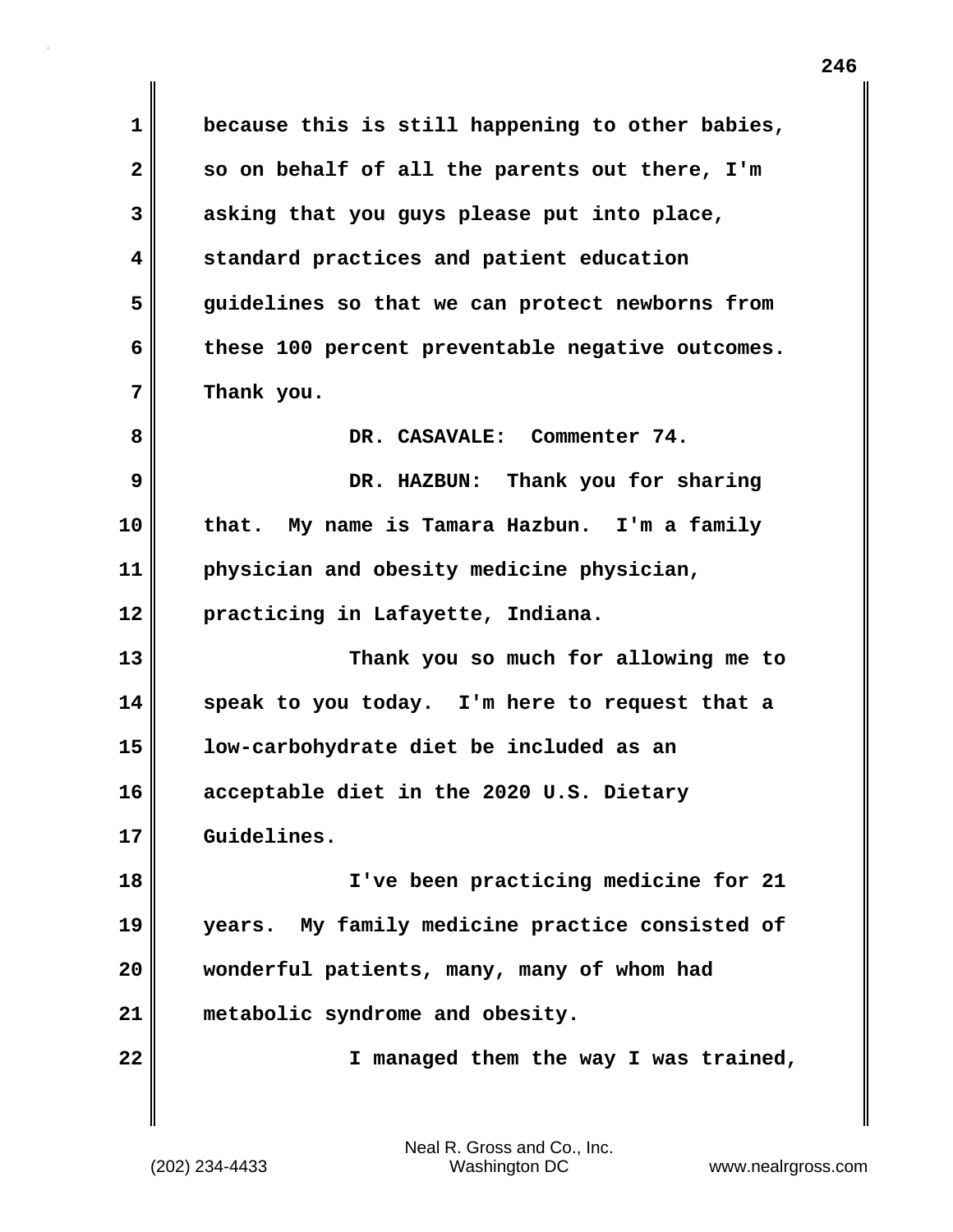**1 because this is still happening to other babies, 2 so on behalf of all the parents out there, I'm 3 asking that you guys please put into place, 4 standard practices and patient education 5 guidelines so that we can protect newborns from 6 these 100 percent preventable negative outcomes. 7 Thank you. 8 DR. CASAVALE: Commenter 74. 9 DR. HAZBUN: Thank you for sharing 10 that. My name is Tamara Hazbun. I'm a family 11 physician and obesity medicine physician, 12 practicing in Lafayette, Indiana. 13 Thank you so much for allowing me to 14 speak to you today. I'm here to request that a 15 low-carbohydrate diet be included as an 16 acceptable diet in the 2020 U.S. Dietary 17 Guidelines. 18 I've been practicing medicine for 21 19 years. My family medicine practice consisted of 20 wonderful patients, many, many of whom had 21 metabolic syndrome and obesity. 22 I managed them the way I was trained,**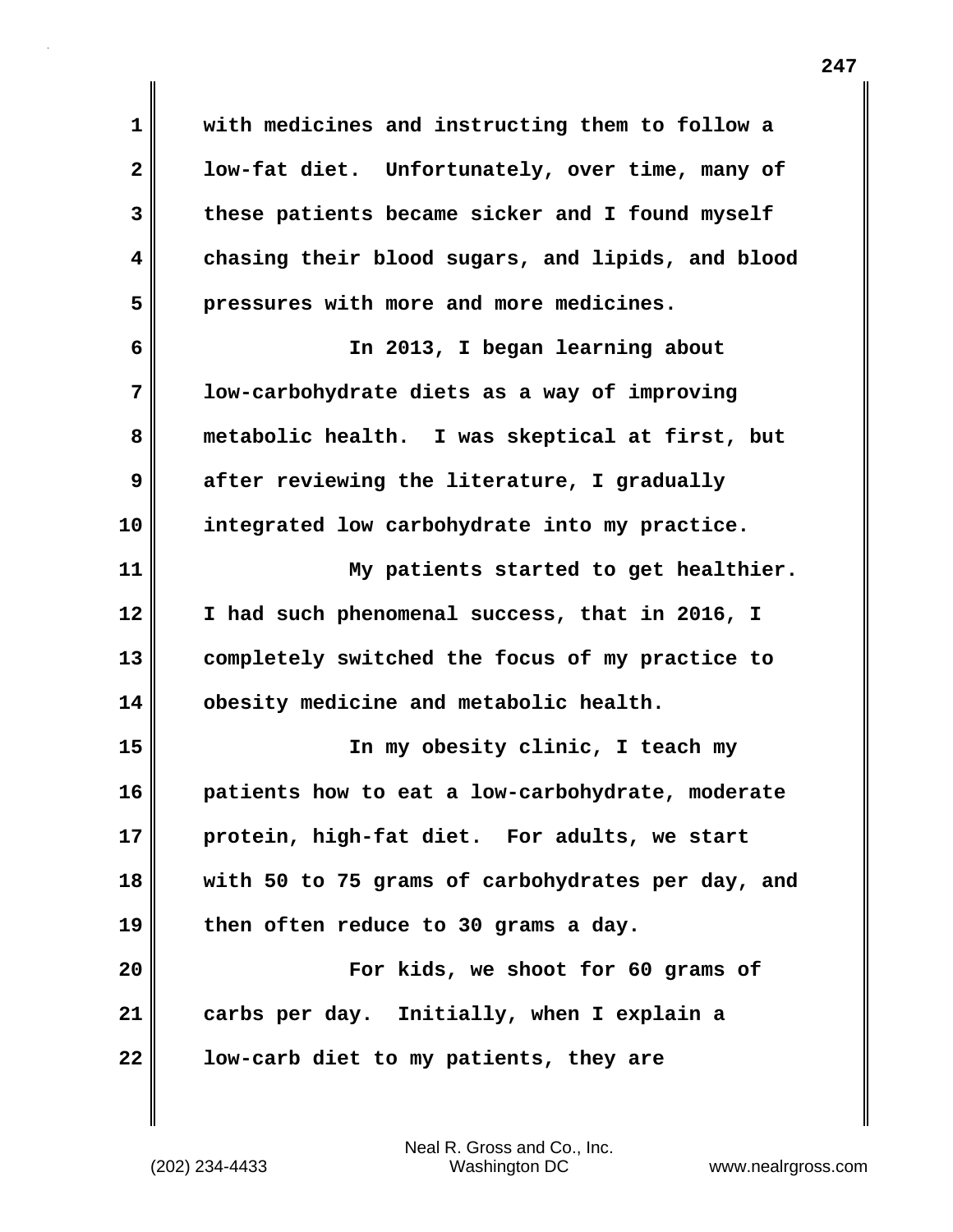**1 with medicines and instructing them to follow a 2 low-fat diet. Unfortunately, over time, many of 3 these patients became sicker and I found myself 4 chasing their blood sugars, and lipids, and blood 5 pressures with more and more medicines. 6 In 2013, I began learning about 7 low-carbohydrate diets as a way of improving 8 metabolic health. I was skeptical at first, but 9 after reviewing the literature, I gradually 10 integrated low carbohydrate into my practice. 11 My patients started to get healthier. 12 I had such phenomenal success, that in 2016, I 13 completely switched the focus of my practice to 14 obesity medicine and metabolic health. 15 In my obesity clinic, I teach my 16 patients how to eat a low-carbohydrate, moderate 17 protein, high-fat diet. For adults, we start 18 with 50 to 75 grams of carbohydrates per day, and 19 then often reduce to 30 grams a day. 20 For kids, we shoot for 60 grams of 21 carbs per day. Initially, when I explain a 22 low-carb diet to my patients, they are**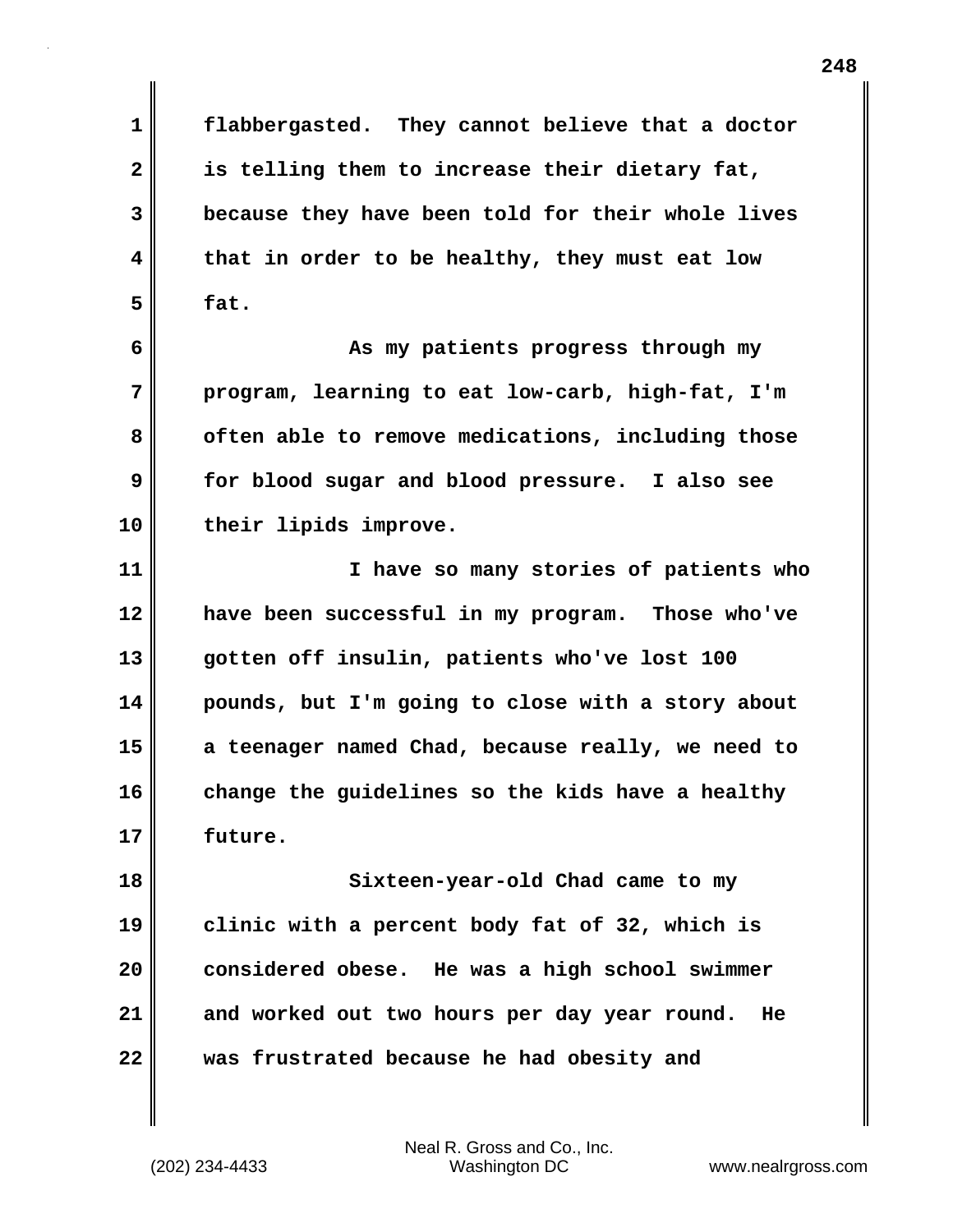**1 flabbergasted. They cannot believe that a doctor 2 is telling them to increase their dietary fat, 3 because they have been told for their whole lives 4 that in order to be healthy, they must eat low 5 fat.**

**6 As my patients progress through my 7 program, learning to eat low-carb, high-fat, I'm** 8 often able to remove medications, including those **9 for blood sugar and blood pressure. I also see 10 their lipids improve.**

**11 I have so many stories of patients who 12 have been successful in my program. Those who've 13 gotten off insulin, patients who've lost 100 14 pounds, but I'm going to close with a story about 15 a teenager named Chad, because really, we need to 16 change the guidelines so the kids have a healthy 17 future.**

**18 Sixteen-year-old Chad came to my 19 clinic with a percent body fat of 32, which is 20 considered obese. He was a high school swimmer 21 and worked out two hours per day year round. He 22 was frustrated because he had obesity and**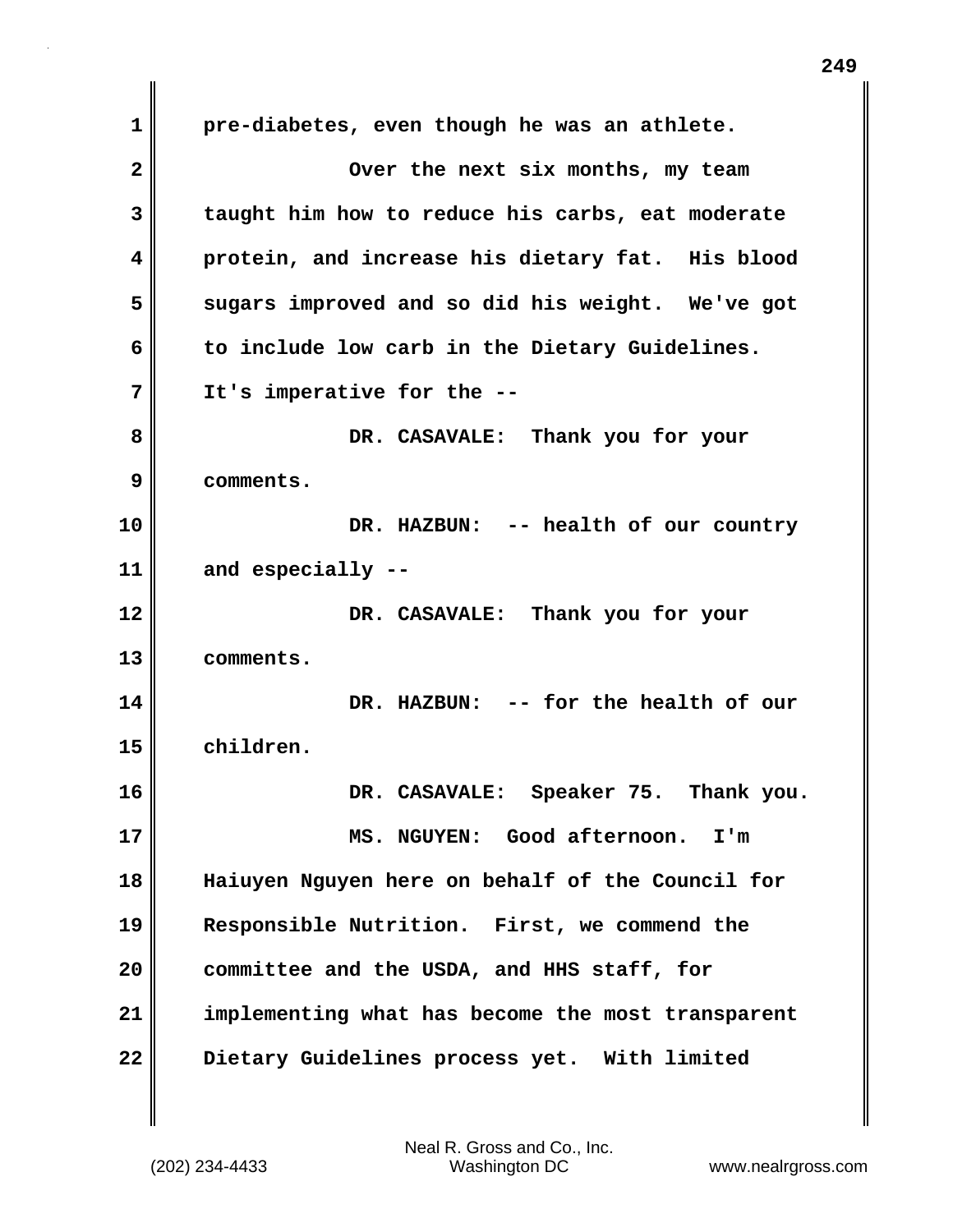**1 pre-diabetes, even though he was an athlete. 2** Over the next six months, my team **3 taught him how to reduce his carbs, eat moderate 4 protein, and increase his dietary fat. His blood 5 sugars improved and so did his weight. We've got 6 to include low carb in the Dietary Guidelines. 7 It's imperative for the -- 8 DR. CASAVALE: Thank you for your 9 comments. 10 DR. HAZBUN: -- health of our country 11 and especially -- 12 DR. CASAVALE: Thank you for your 13 comments. 14 DR. HAZBUN: -- for the health of our 15 children. 16 DR. CASAVALE: Speaker 75. Thank you. 17 MS. NGUYEN: Good afternoon. I'm 18 Haiuyen Nguyen here on behalf of the Council for 19 Responsible Nutrition. First, we commend the 20 committee and the USDA, and HHS staff, for 21 implementing what has become the most transparent 22 Dietary Guidelines process yet. With limited**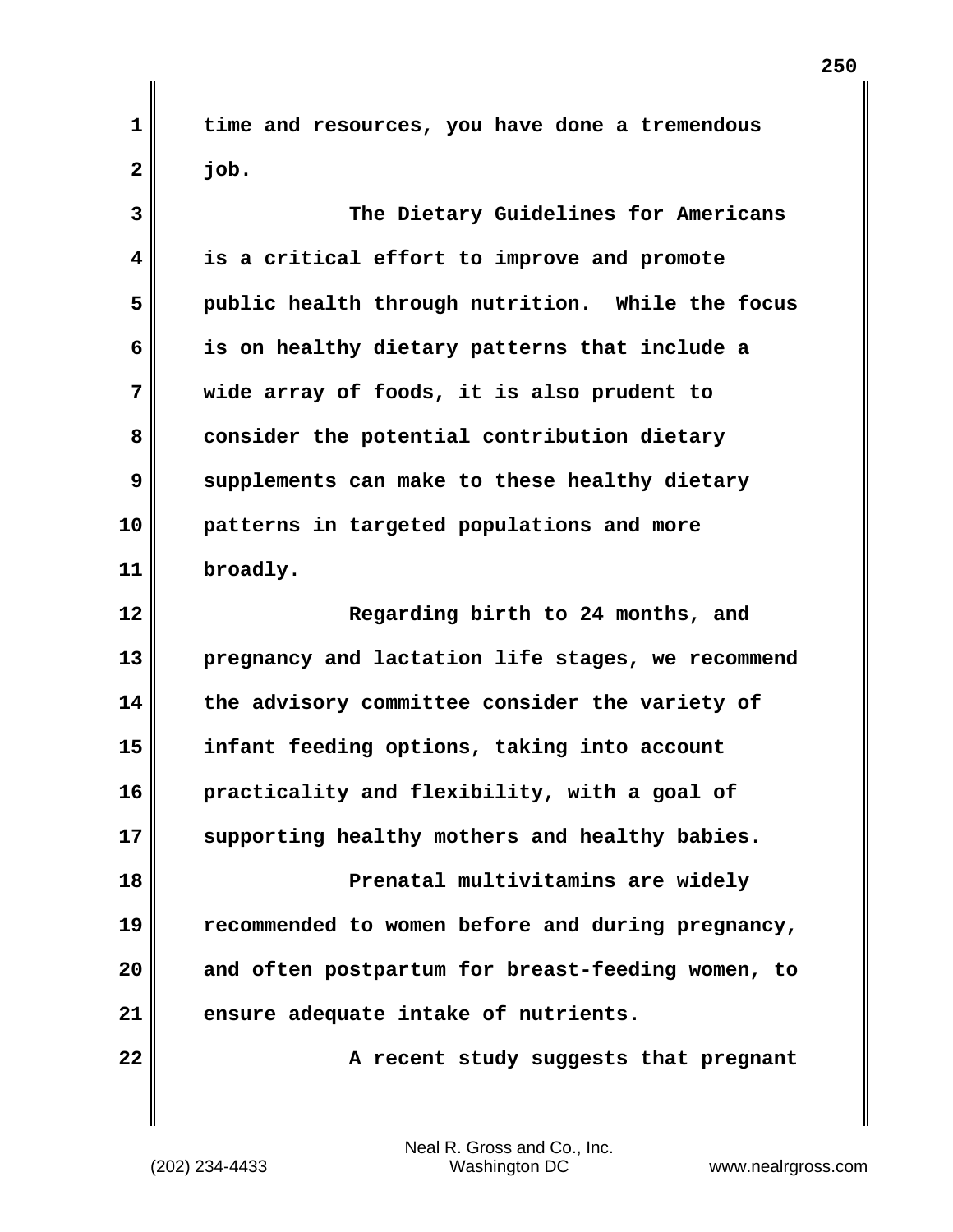**1 time and resources, you have done a tremendous 2 job.**

**3 The Dietary Guidelines for Americans 4 is a critical effort to improve and promote 5 public health through nutrition. While the focus 6 is on healthy dietary patterns that include a 7 wide array of foods, it is also prudent to 8 consider the potential contribution dietary 9 supplements can make to these healthy dietary 10 patterns in targeted populations and more 11 broadly. 12 Regarding birth to 24 months, and 13 pregnancy and lactation life stages, we recommend 14 the advisory committee consider the variety of 15 infant feeding options, taking into account 16 practicality and flexibility, with a goal of 17 supporting healthy mothers and healthy babies. 18 Prenatal multivitamins are widely 19 recommended to women before and during pregnancy, 20 and often postpartum for breast-feeding women, to 21 ensure adequate intake of nutrients.** 22 **A** recent study suggests that pregnant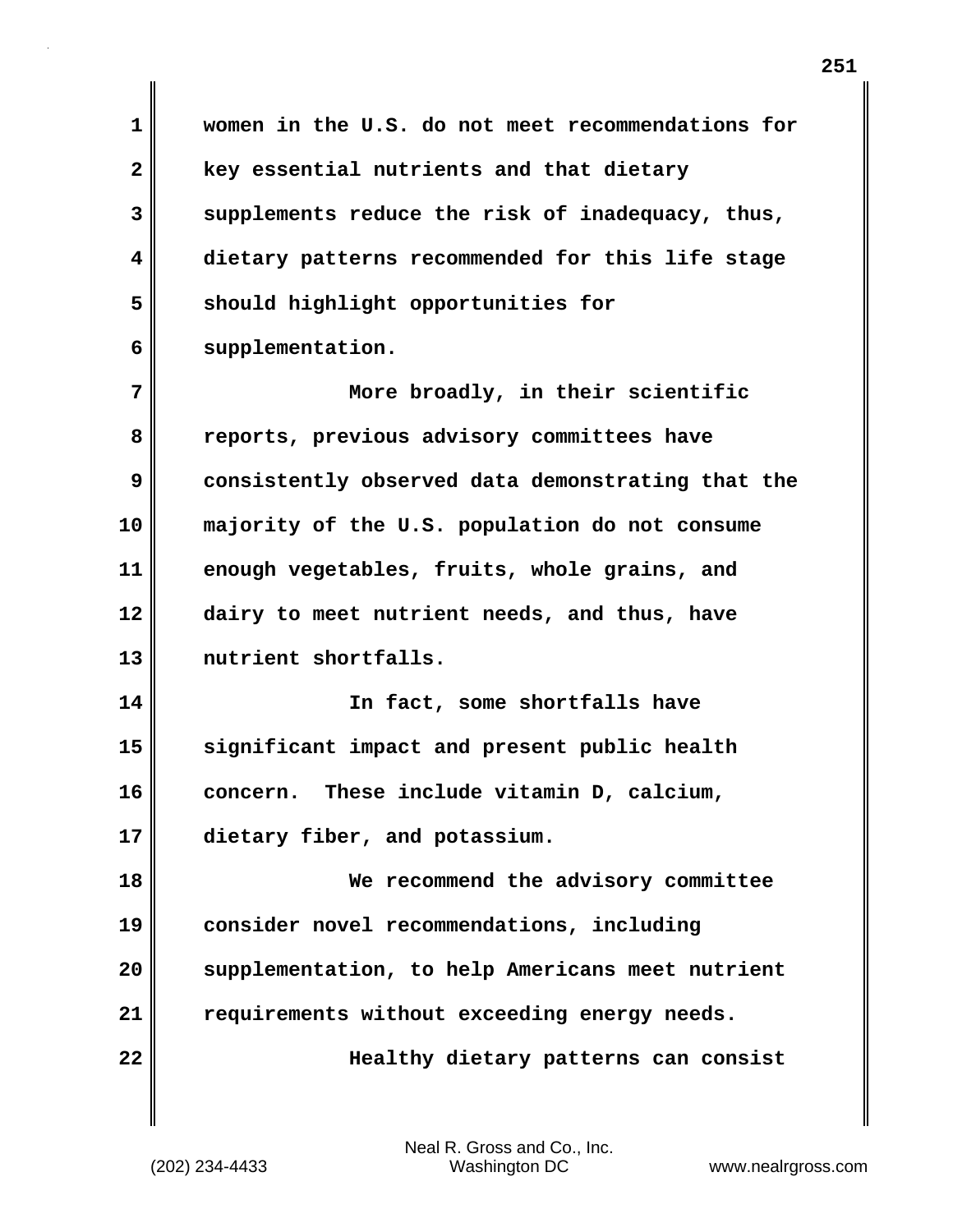| 1            | women in the U.S. do not meet recommendations for |
|--------------|---------------------------------------------------|
| $\mathbf{2}$ |                                                   |
|              | key essential nutrients and that dietary          |
| 3            | supplements reduce the risk of inadequacy, thus,  |
| 4            | dietary patterns recommended for this life stage  |
| 5            | should highlight opportunities for                |
| 6            | supplementation.                                  |
| 7            | More broadly, in their scientific                 |
| 8            | reports, previous advisory committees have        |
| 9            | consistently observed data demonstrating that the |
| 10           | majority of the U.S. population do not consume    |
| 11           | enough vegetables, fruits, whole grains, and      |
| 12           | dairy to meet nutrient needs, and thus, have      |
| 13           | nutrient shortfalls.                              |
| 14           | In fact, some shortfalls have                     |
| 15           | significant impact and present public health      |
| 16           | These include vitamin D, calcium,<br>concern.     |
| 17           | dietary fiber, and potassium.                     |
| 18           | We recommend the advisory committee               |
| 19           | consider novel recommendations, including         |
| 20           | supplementation, to help Americans meet nutrient  |
| 21           | requirements without exceeding energy needs.      |
| 22           | Healthy dietary patterns can consist              |
|              |                                                   |

 $\mathbf{I}$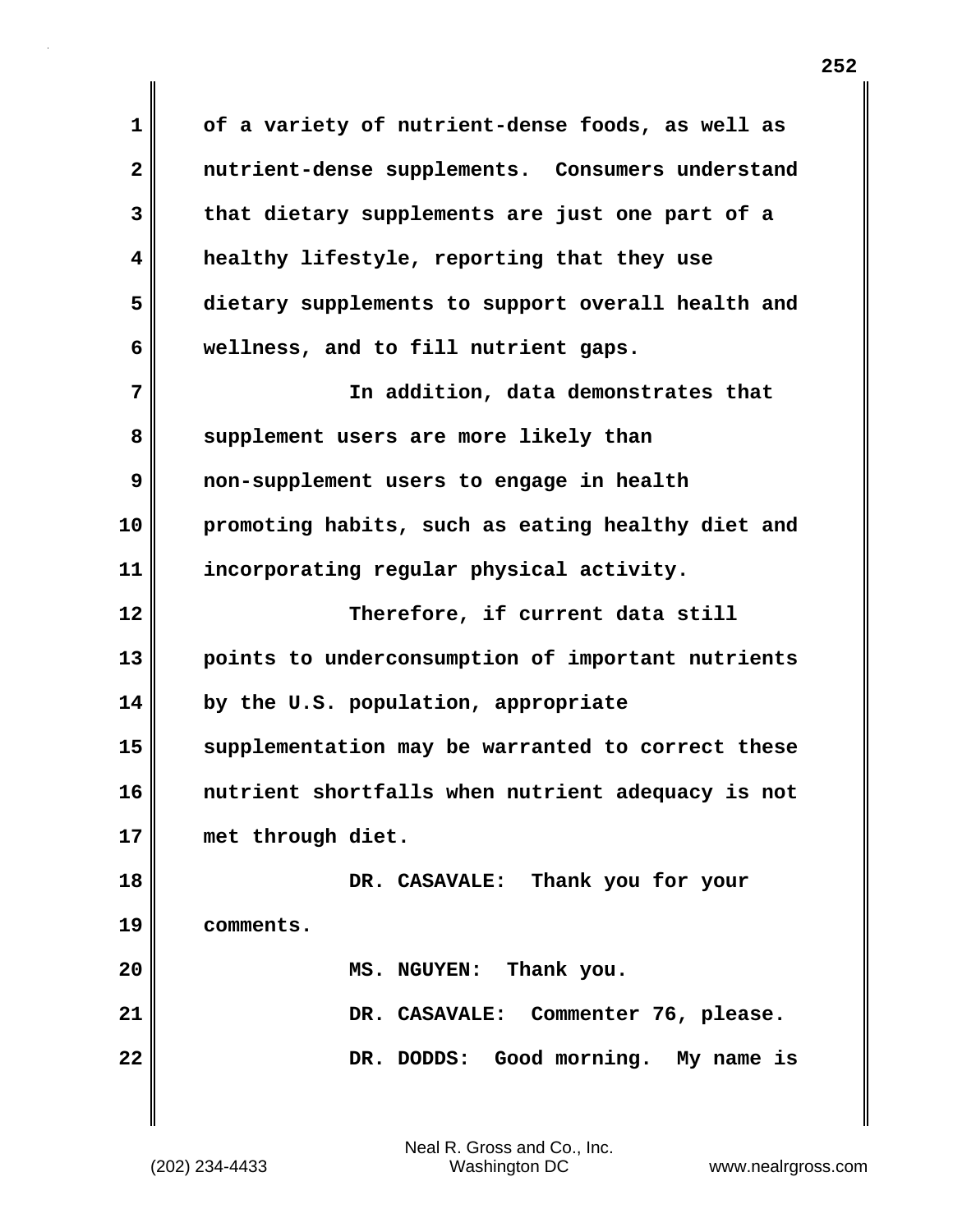**1 of a variety of nutrient-dense foods, as well as 2 nutrient-dense supplements. Consumers understand 3 that dietary supplements are just one part of a 4 healthy lifestyle, reporting that they use 5 dietary supplements to support overall health and 6 wellness, and to fill nutrient gaps. 7 In addition, data demonstrates that** 8 supplement users are more likely than **9 non-supplement users to engage in health 10 promoting habits, such as eating healthy diet and 11 incorporating regular physical activity. 12 Therefore, if current data still 13 points to underconsumption of important nutrients 14 by the U.S. population, appropriate 15 supplementation may be warranted to correct these 16 nutrient shortfalls when nutrient adequacy is not 17 met through diet. 18 DR. CASAVALE: Thank you for your 19 comments. 20 MS. NGUYEN: Thank you. 21 DR. CASAVALE: Commenter 76, please. 22 DR. DODDS: Good morning. My name is**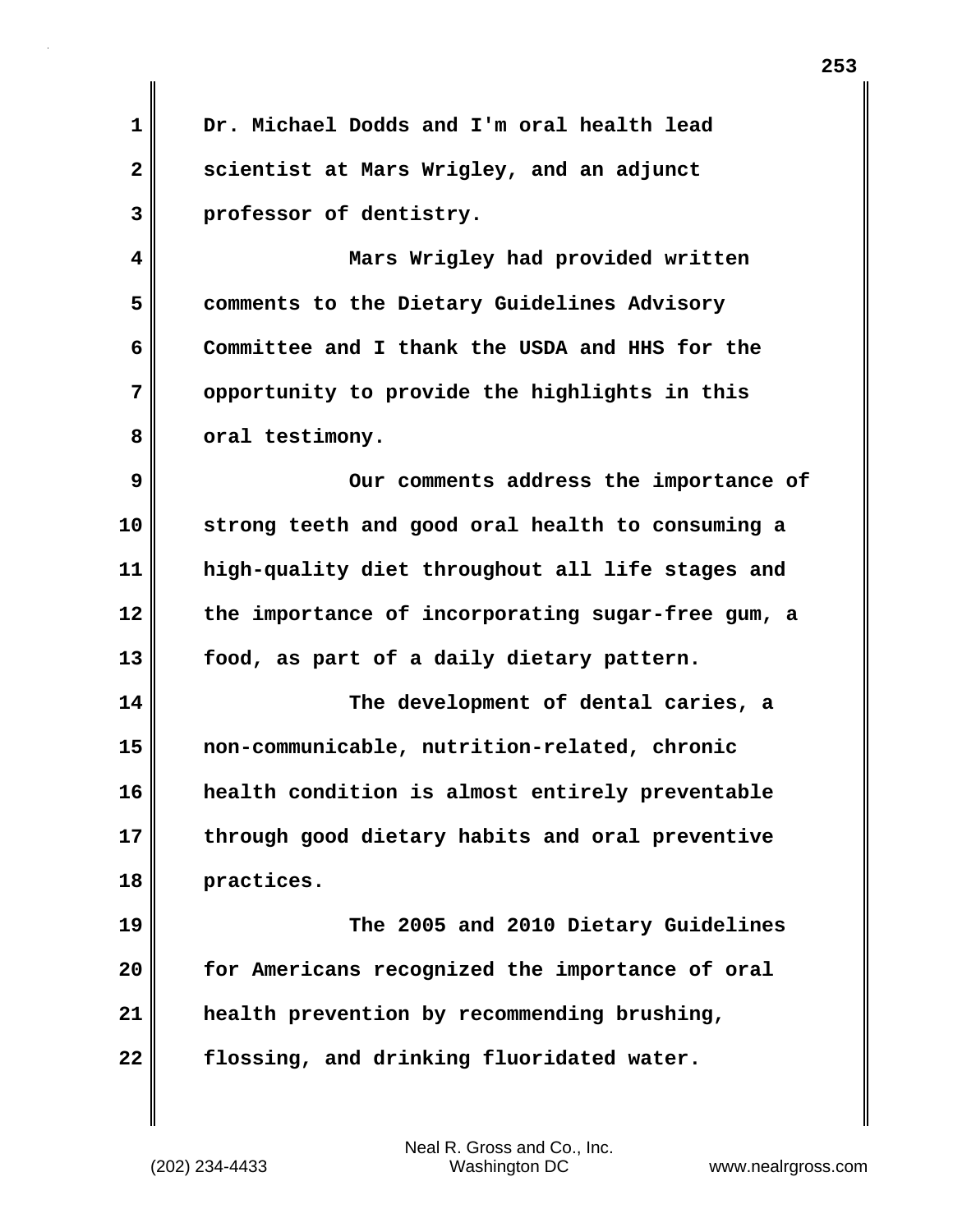**1 Dr. Michael Dodds and I'm oral health lead 2 scientist at Mars Wrigley, and an adjunct 3 professor of dentistry. 4 Mars Wrigley had provided written 5 comments to the Dietary Guidelines Advisory 6 Committee and I thank the USDA and HHS for the 7 opportunity to provide the highlights in this 8 oral testimony. 9** Our comments address the importance of **10 strong teeth and good oral health to consuming a 11 high-quality diet throughout all life stages and 12 the importance of incorporating sugar-free gum, a 13 food, as part of a daily dietary pattern. 14 The development of dental caries, a 15 non-communicable, nutrition-related, chronic 16 health condition is almost entirely preventable 17 through good dietary habits and oral preventive 18 practices. 19 The 2005 and 2010 Dietary Guidelines 20 for Americans recognized the importance of oral 21 health prevention by recommending brushing, 22 flossing, and drinking fluoridated water.**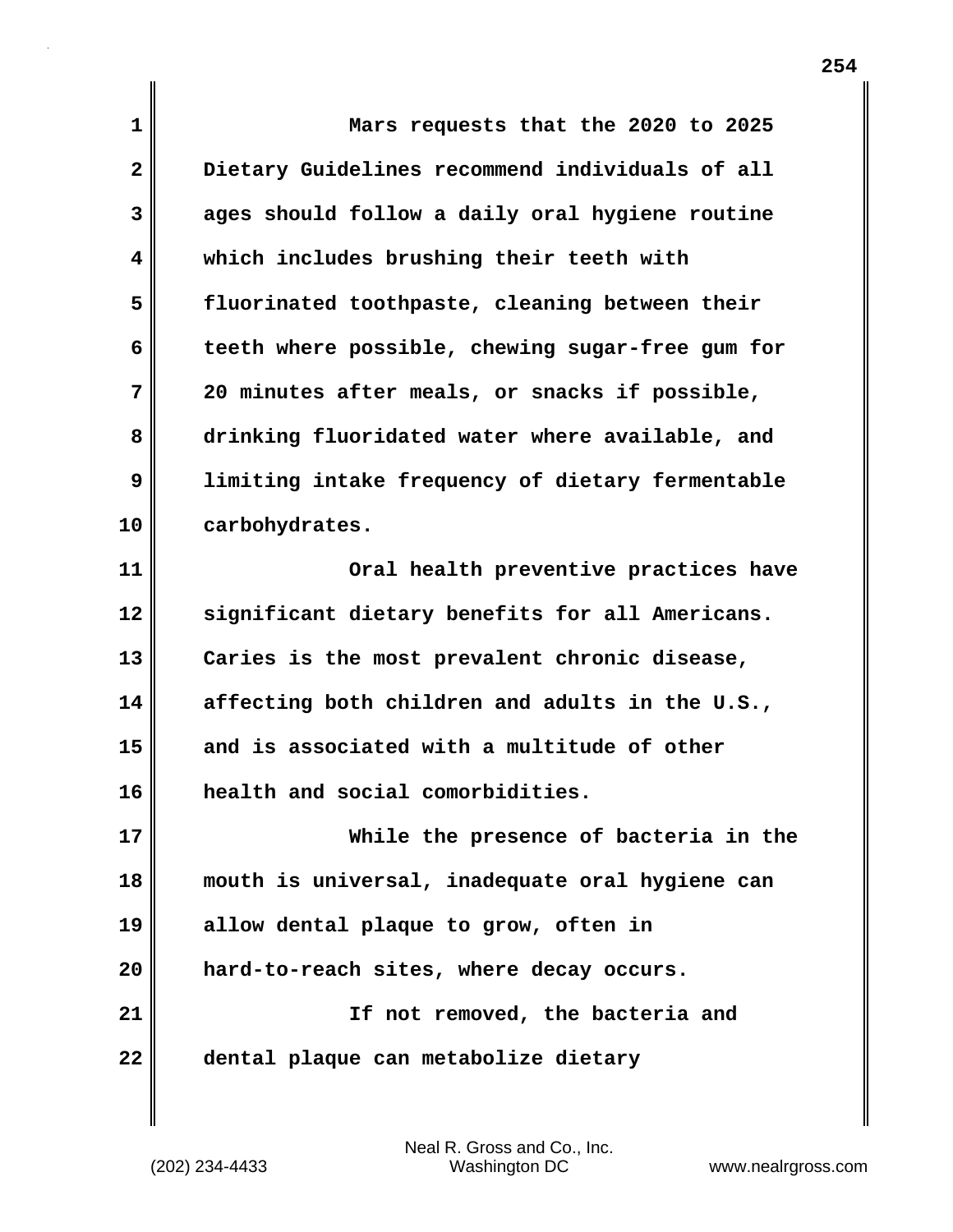**1 Mars requests that the 2020 to 2025 2 Dietary Guidelines recommend individuals of all 3 ages should follow a daily oral hygiene routine 4 which includes brushing their teeth with 5 fluorinated toothpaste, cleaning between their 6 teeth where possible, chewing sugar-free gum for 7 20 minutes after meals, or snacks if possible, 8 drinking fluoridated water where available, and 9 limiting intake frequency of dietary fermentable 10 carbohydrates. 11 Oral health preventive practices have 12 significant dietary benefits for all Americans. 13 Caries is the most prevalent chronic disease, 14 affecting both children and adults in the U.S., 15 and is associated with a multitude of other 16 health and social comorbidities. 17 While the presence of bacteria in the 18 mouth is universal, inadequate oral hygiene can 19 allow dental plaque to grow, often in 20 hard-to-reach sites, where decay occurs. 21 If not removed, the bacteria and 22 dental plaque can metabolize dietary**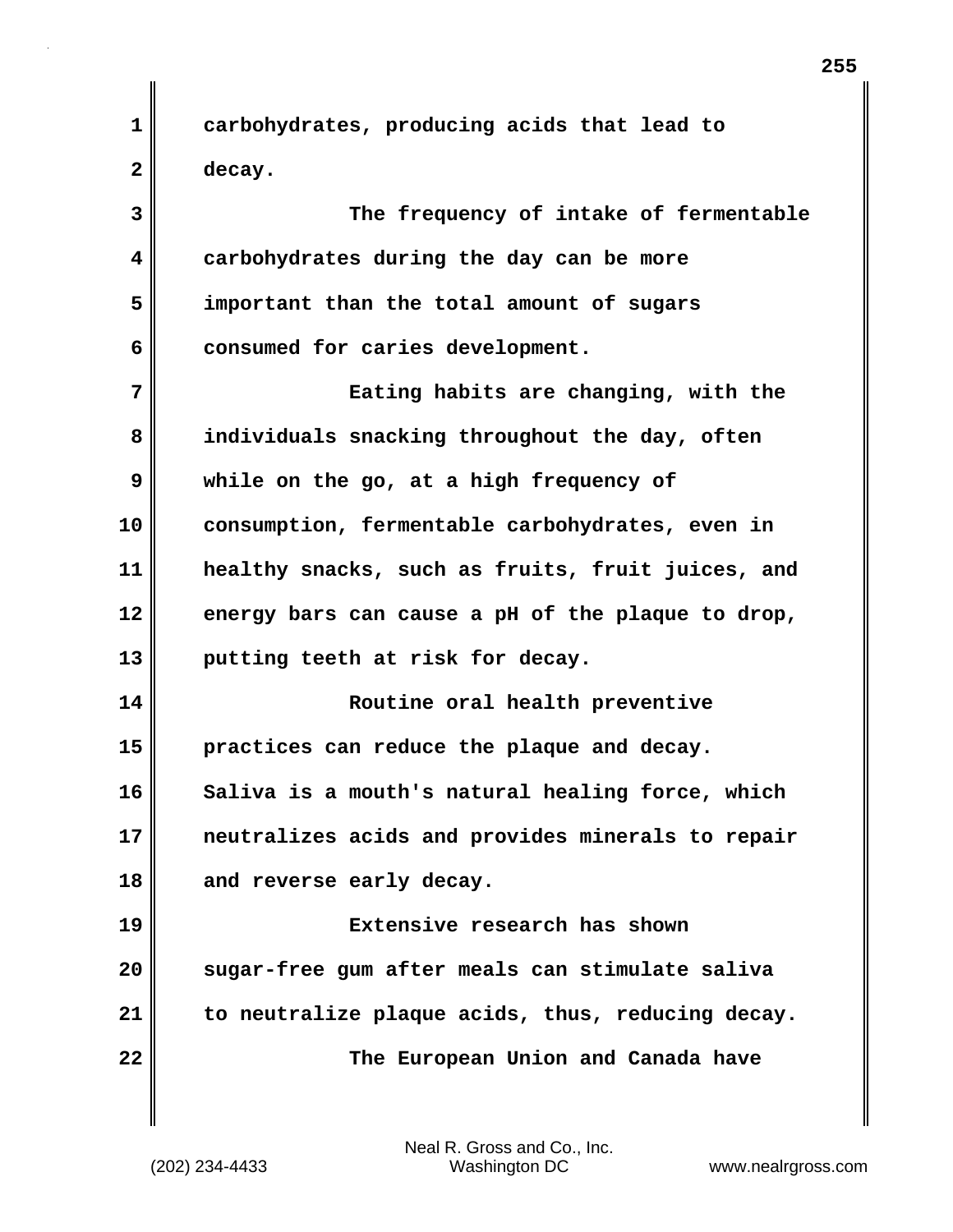**1 carbohydrates, producing acids that lead to 2 decay.**

**3 The frequency of intake of fermentable 4 carbohydrates during the day can be more 5 important than the total amount of sugars 6 consumed for caries development.**

**7 Eating habits are changing, with the 8 individuals snacking throughout the day, often 9 while on the go, at a high frequency of 10 consumption, fermentable carbohydrates, even in 11 healthy snacks, such as fruits, fruit juices, and 12 energy bars can cause a pH of the plaque to drop, 13 putting teeth at risk for decay.**

**14 Routine oral health preventive 15 practices can reduce the plaque and decay. 16 Saliva is a mouth's natural healing force, which 17 neutralizes acids and provides minerals to repair 18 and reverse early decay.**

**19 Extensive research has shown 20 sugar-free gum after meals can stimulate saliva 21 to neutralize plaque acids, thus, reducing decay. 22 The European Union and Canada have**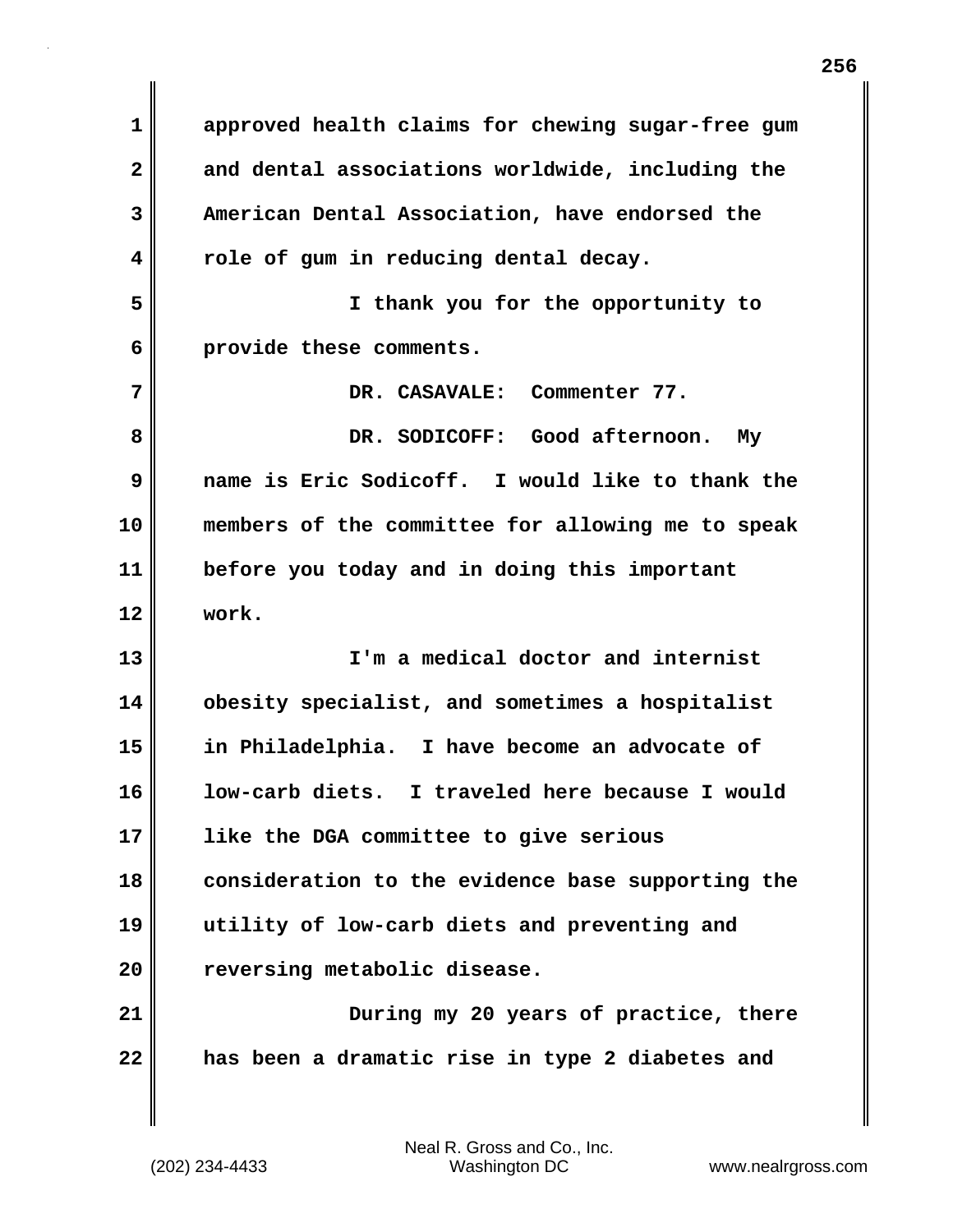**1 approved health claims for chewing sugar-free gum 2 and dental associations worldwide, including the 3 American Dental Association, have endorsed the 4 role of gum in reducing dental decay. 5 I thank you for the opportunity to 6 provide these comments. 7 DR. CASAVALE: Commenter 77. 8 DR. SODICOFF: Good afternoon. My 9 name is Eric Sodicoff. I would like to thank the 10 members of the committee for allowing me to speak 11 before you today and in doing this important 12 work. 13 I'm a medical doctor and internist 14 obesity specialist, and sometimes a hospitalist 15 in Philadelphia. I have become an advocate of 16 low-carb diets. I traveled here because I would 17 like the DGA committee to give serious 18 consideration to the evidence base supporting the 19 utility of low-carb diets and preventing and 20 reversing metabolic disease. 21** During my 20 years of practice, there **22 has been a dramatic rise in type 2 diabetes and**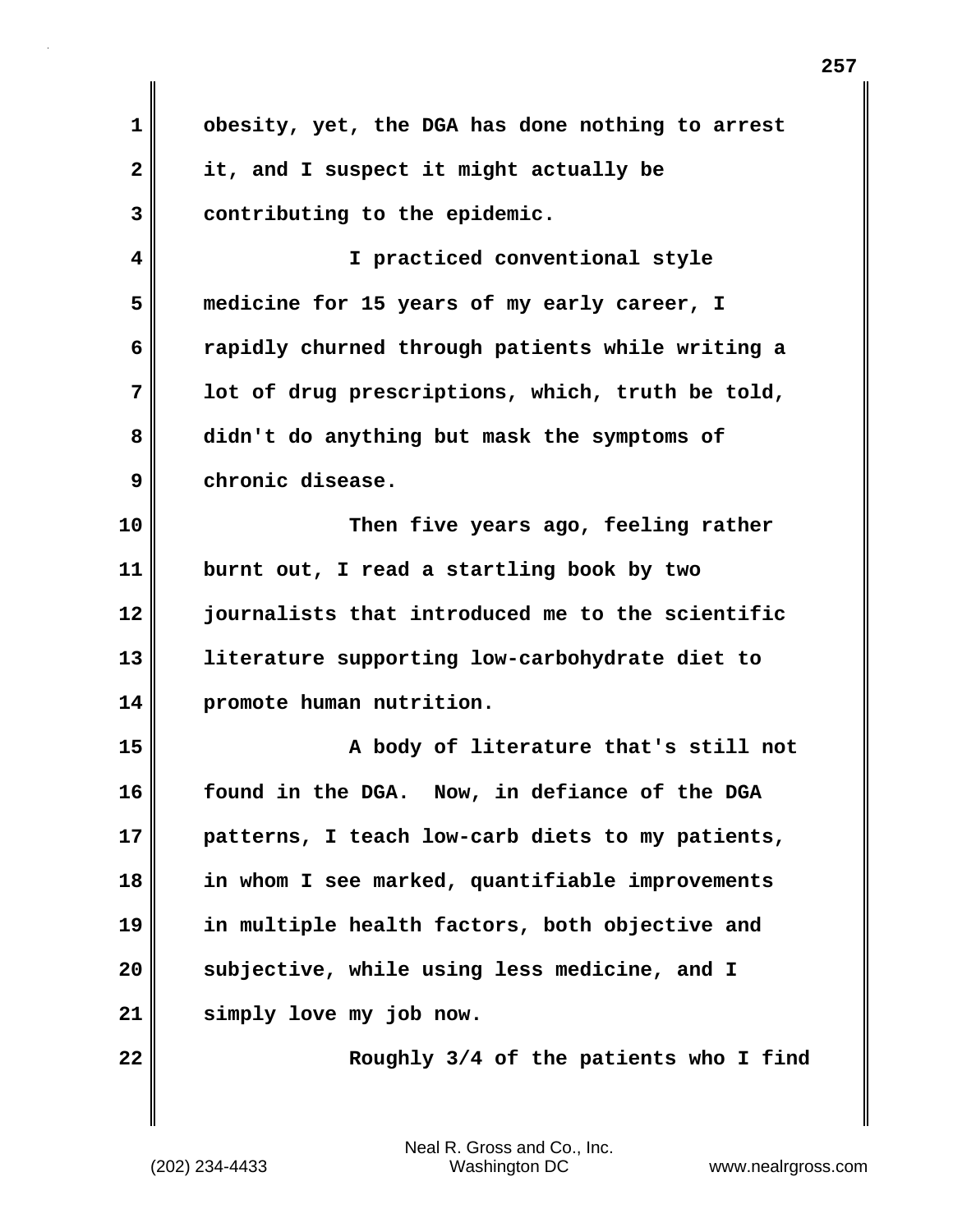| $\mathbf 1$  | obesity, yet, the DGA has done nothing to arrest |  |  |  |  |
|--------------|--------------------------------------------------|--|--|--|--|
| $\mathbf{2}$ | it, and I suspect it might actually be           |  |  |  |  |
| 3            | contributing to the epidemic.                    |  |  |  |  |
| 4            | I practiced conventional style                   |  |  |  |  |
| 5            | medicine for 15 years of my early career, I      |  |  |  |  |
| 6            | rapidly churned through patients while writing a |  |  |  |  |
| 7            | lot of drug prescriptions, which, truth be told, |  |  |  |  |
| 8            | didn't do anything but mask the symptoms of      |  |  |  |  |
| 9            | chronic disease.                                 |  |  |  |  |
| 10           | Then five years ago, feeling rather              |  |  |  |  |
| 11           | burnt out, I read a startling book by two        |  |  |  |  |
| 12           | journalists that introduced me to the scientific |  |  |  |  |
| 13           | literature supporting low-carbohydrate diet to   |  |  |  |  |
| 14           | promote human nutrition.                         |  |  |  |  |
| 15           | A body of literature that's still not            |  |  |  |  |
| 16           | found in the DGA. Now, in defiance of the DGA    |  |  |  |  |
| 17           | patterns, I teach low-carb diets to my patients, |  |  |  |  |
| 18           | in whom I see marked, quantifiable improvements  |  |  |  |  |
| 19           | in multiple health factors, both objective and   |  |  |  |  |
| 20           | subjective, while using less medicine, and I     |  |  |  |  |
| 21           | simply love my job now.                          |  |  |  |  |
| 22           | Roughly 3/4 of the patients who I find           |  |  |  |  |
|              |                                                  |  |  |  |  |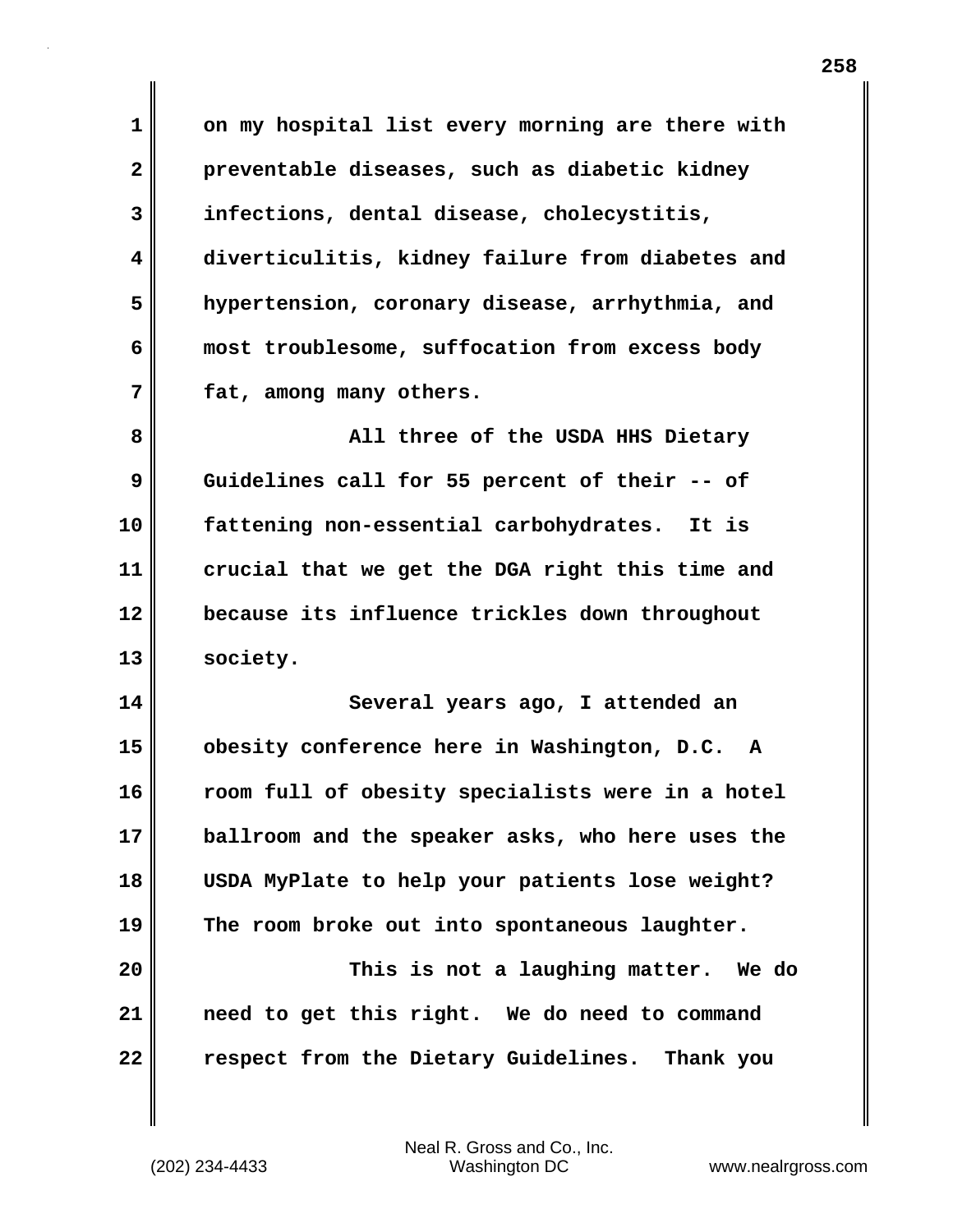**1 on my hospital list every morning are there with 2 preventable diseases, such as diabetic kidney 3 infections, dental disease, cholecystitis, 4 diverticulitis, kidney failure from diabetes and 5 hypertension, coronary disease, arrhythmia, and 6 most troublesome, suffocation from excess body 7 fat, among many others.**

**8 All three of the USDA HHS Dietary 9 Guidelines call for 55 percent of their -- of 10 fattening non-essential carbohydrates. It is 11 crucial that we get the DGA right this time and 12 because its influence trickles down throughout 13 society.**

**14 Several years ago, I attended an 15 obesity conference here in Washington, D.C. A 16 room full of obesity specialists were in a hotel 17 ballroom and the speaker asks, who here uses the 18 USDA MyPlate to help your patients lose weight? 19 The room broke out into spontaneous laughter.**

**20 This is not a laughing matter. We do 21 need to get this right. We do need to command 22 respect from the Dietary Guidelines. Thank you**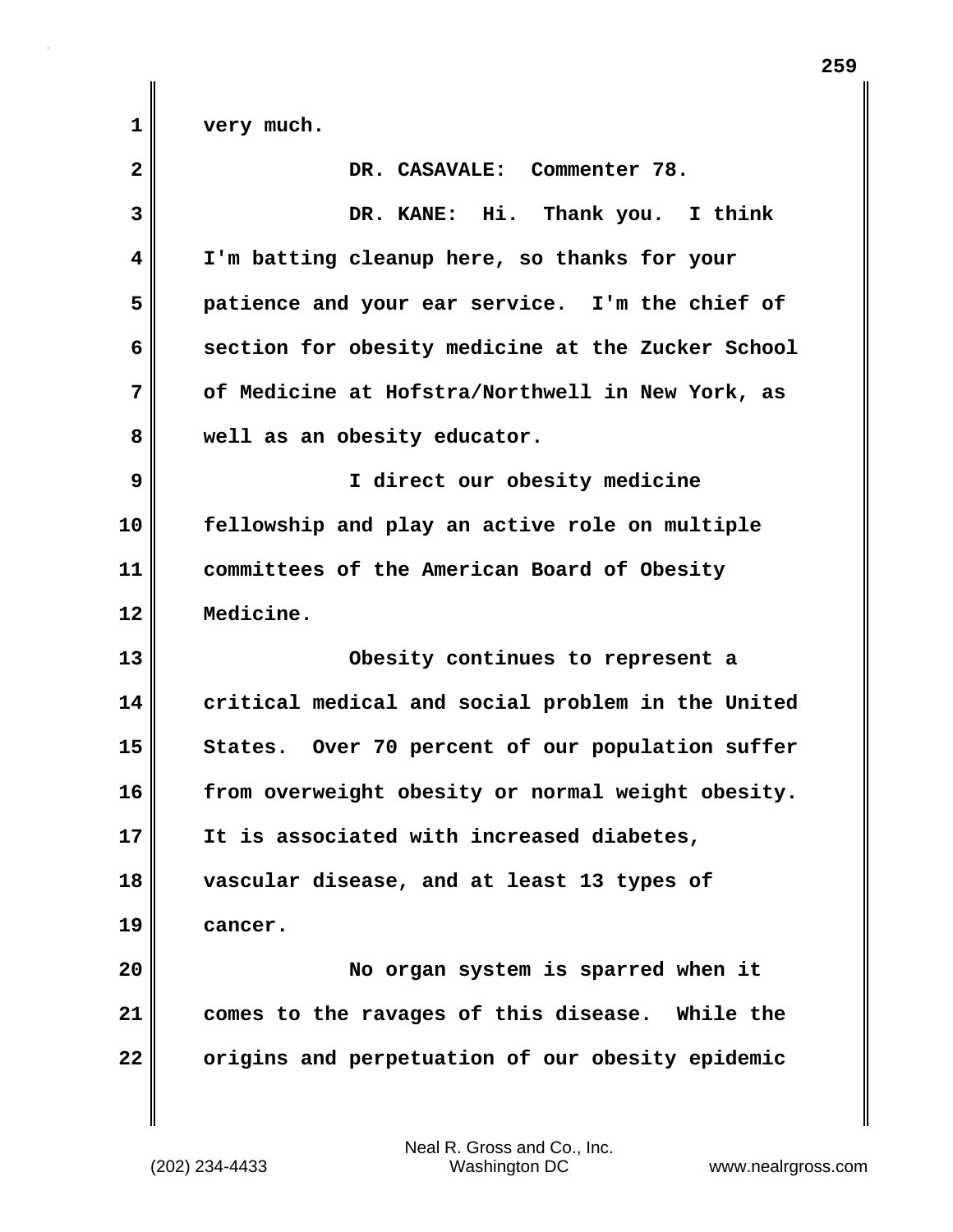**1 very much. 2 DR. CASAVALE: Commenter 78. 3 DR. KANE: Hi. Thank you. I think 4 I'm batting cleanup here, so thanks for your 5 patience and your ear service. I'm the chief of 6 section for obesity medicine at the Zucker School 7 of Medicine at Hofstra/Northwell in New York, as 8 well as an obesity educator. 9 I direct our obesity medicine 10 fellowship and play an active role on multiple 11 committees of the American Board of Obesity 12 Medicine. 13 Obesity continues to represent a 14 critical medical and social problem in the United** 15 States. Over 70 percent of our population suffer **16 from overweight obesity or normal weight obesity. 17 It is associated with increased diabetes, 18 vascular disease, and at least 13 types of 19 cancer. 20 No organ system is sparred when it 21 comes to the ravages of this disease. While the 22 origins and perpetuation of our obesity epidemic**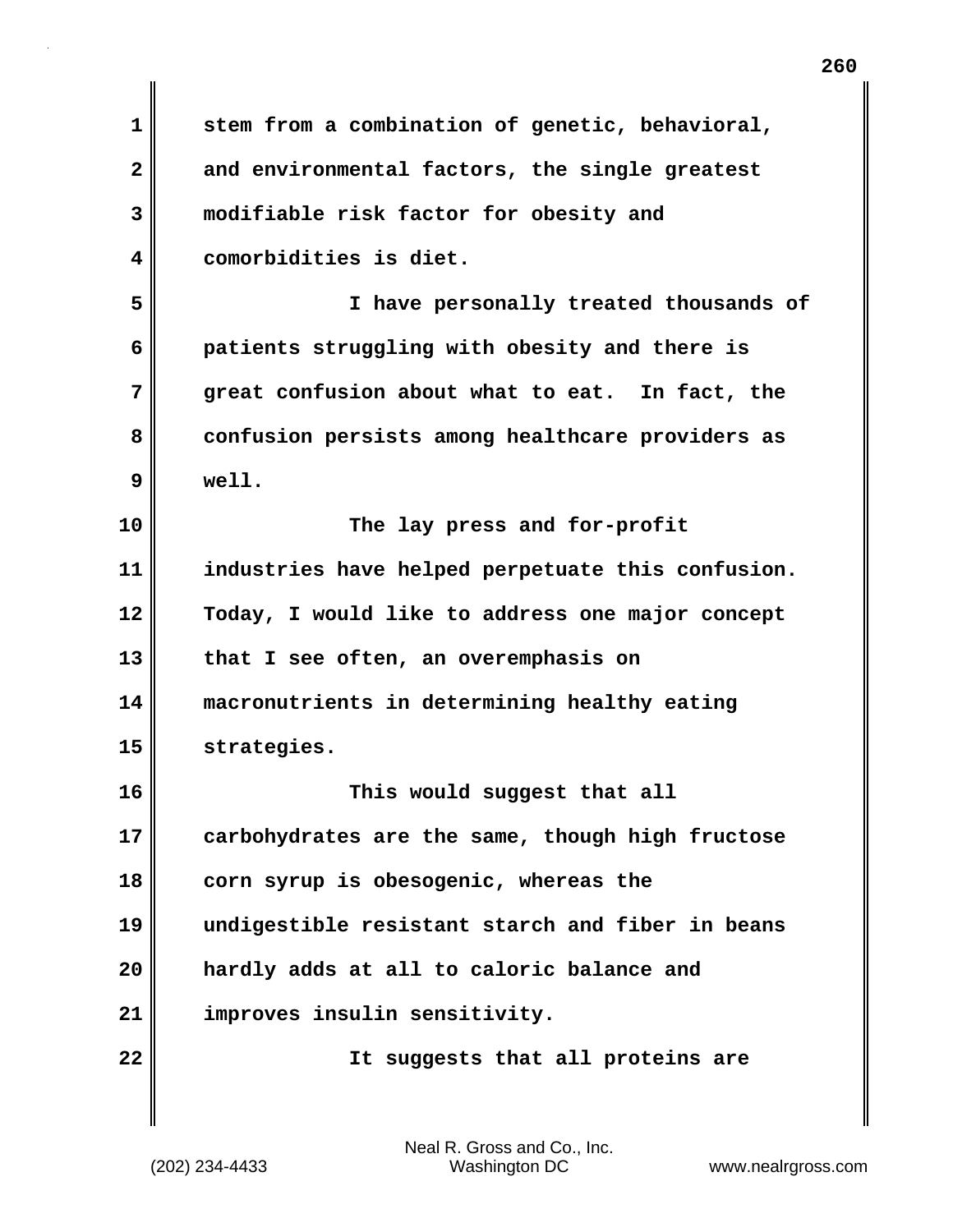**1 stem from a combination of genetic, behavioral, 2 and environmental factors, the single greatest 3 modifiable risk factor for obesity and 4 comorbidities is diet. 5 I have personally treated thousands of 6 patients struggling with obesity and there is 7 great confusion about what to eat. In fact, the 8 confusion persists among healthcare providers as 9 well. 10 The lay press and for-profit 11 industries have helped perpetuate this confusion. 12 Today, I would like to address one major concept 13 that I see often, an overemphasis on 14 macronutrients in determining healthy eating 15 strategies. 16 This would suggest that all 17 carbohydrates are the same, though high fructose 18 corn syrup is obesogenic, whereas the 19 undigestible resistant starch and fiber in beans 20 hardly adds at all to caloric balance and 21 improves insulin sensitivity. 22 It suggests that all proteins are**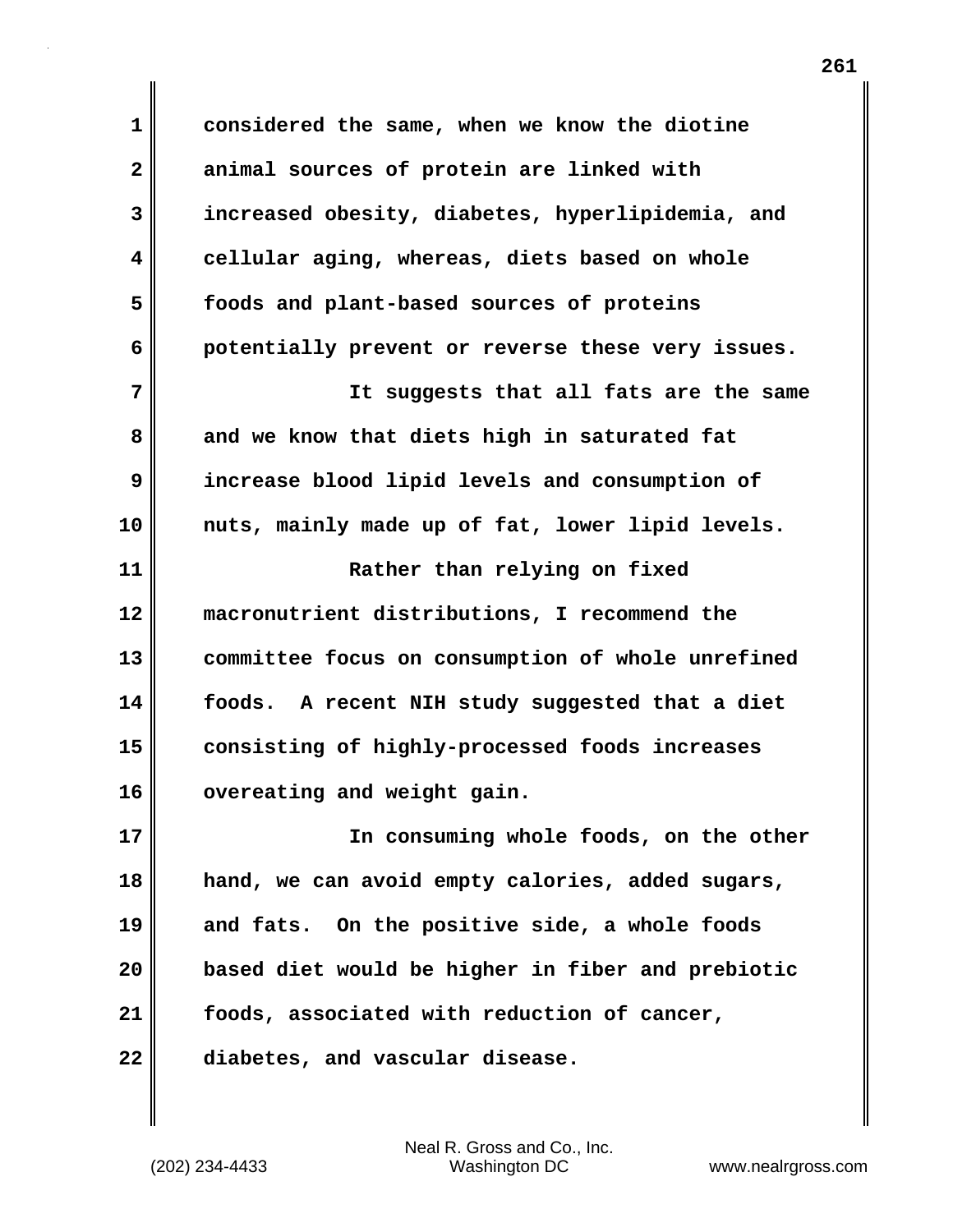**1 considered the same, when we know the diotine 2 animal sources of protein are linked with 3 increased obesity, diabetes, hyperlipidemia, and 4 cellular aging, whereas, diets based on whole 5 foods and plant-based sources of proteins 6 potentially prevent or reverse these very issues. 7 It suggests that all fats are the same 8 and we know that diets high in saturated fat 9 increase blood lipid levels and consumption of 10 nuts, mainly made up of fat, lower lipid levels. 11 Rather than relying on fixed 12 macronutrient distributions, I recommend the 13 committee focus on consumption of whole unrefined 14 foods. A recent NIH study suggested that a diet 15 consisting of highly-processed foods increases 16 overeating and weight gain. 17 In consuming whole foods, on the other 18 hand, we can avoid empty calories, added sugars, 19 and fats. On the positive side, a whole foods 20 based diet would be higher in fiber and prebiotic 21 foods, associated with reduction of cancer,**

**22 diabetes, and vascular disease.**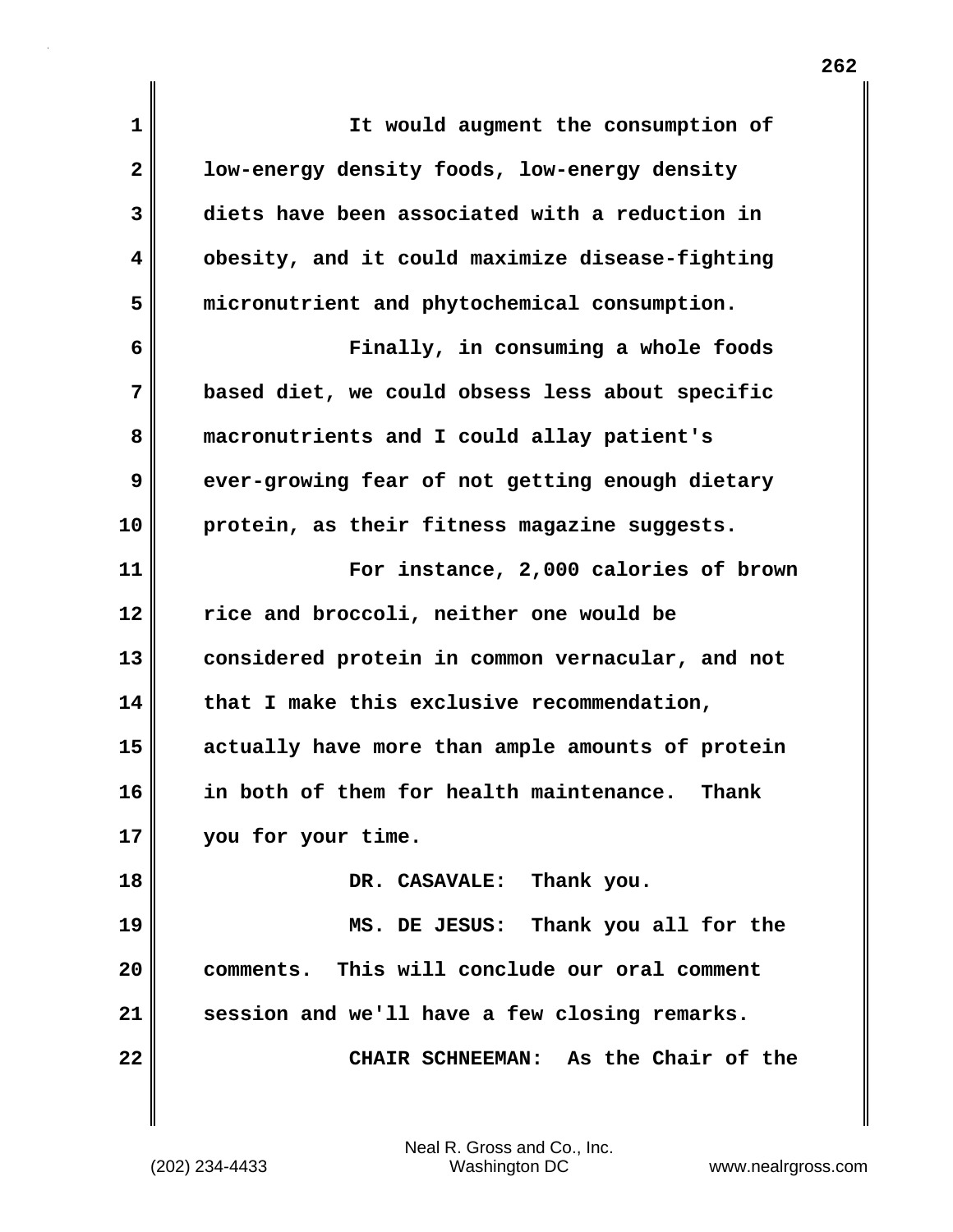| $\mathbf 1$  | It would augment the consumption of              |
|--------------|--------------------------------------------------|
| $\mathbf{2}$ | low-energy density foods, low-energy density     |
| 3            | diets have been associated with a reduction in   |
| 4            | obesity, and it could maximize disease-fighting  |
| 5            | micronutrient and phytochemical consumption.     |
| 6            | Finally, in consuming a whole foods              |
| 7            | based diet, we could obsess less about specific  |
| 8            | macronutrients and I could allay patient's       |
| 9            | ever-growing fear of not getting enough dietary  |
| 10           | protein, as their fitness magazine suggests.     |
| 11           | For instance, 2,000 calories of brown            |
| 12           | rice and broccoli, neither one would be          |
| 13           | considered protein in common vernacular, and not |
| 14           | that I make this exclusive recommendation,       |
| 15           | actually have more than ample amounts of protein |
| 16           | in both of them for health maintenance. Thank    |
| 17           | you for your time.                               |
| 18           | DR. CASAVALE: Thank you.                         |
| 19           | MS. DE JESUS: Thank you all for the              |
| 20           | comments. This will conclude our oral comment    |
| 21           | session and we'll have a few closing remarks.    |
| 22           | CHAIR SCHNEEMAN: As the Chair of the             |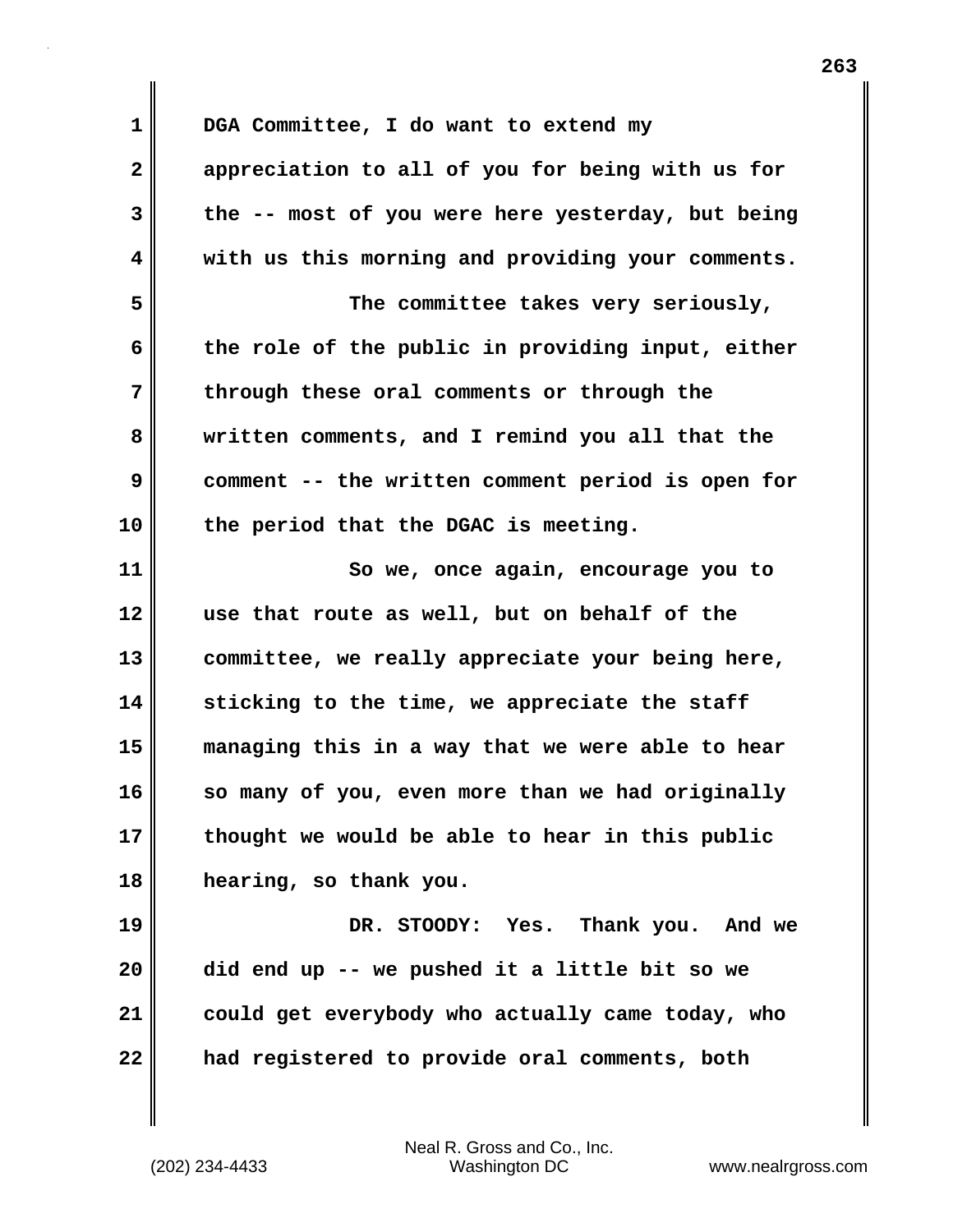**1 DGA Committee, I do want to extend my 2 appreciation to all of you for being with us for 3 the -- most of you were here yesterday, but being 4 with us this morning and providing your comments. 5 The committee takes very seriously, 6 the role of the public in providing input, either 7 through these oral comments or through the 8 written comments, and I remind you all that the 9 comment -- the written comment period is open for 10 the period that the DGAC is meeting. 11 So we, once again, encourage you to 12 use that route as well, but on behalf of the 13 committee, we really appreciate your being here, 14 sticking to the time, we appreciate the staff 15 managing this in a way that we were able to hear 16 so many of you, even more than we had originally 17 thought we would be able to hear in this public 18 hearing, so thank you. 19 DR. STOODY: Yes. Thank you. And we 20 did end up -- we pushed it a little bit so we 21 could get everybody who actually came today, who 22 had registered to provide oral comments, both**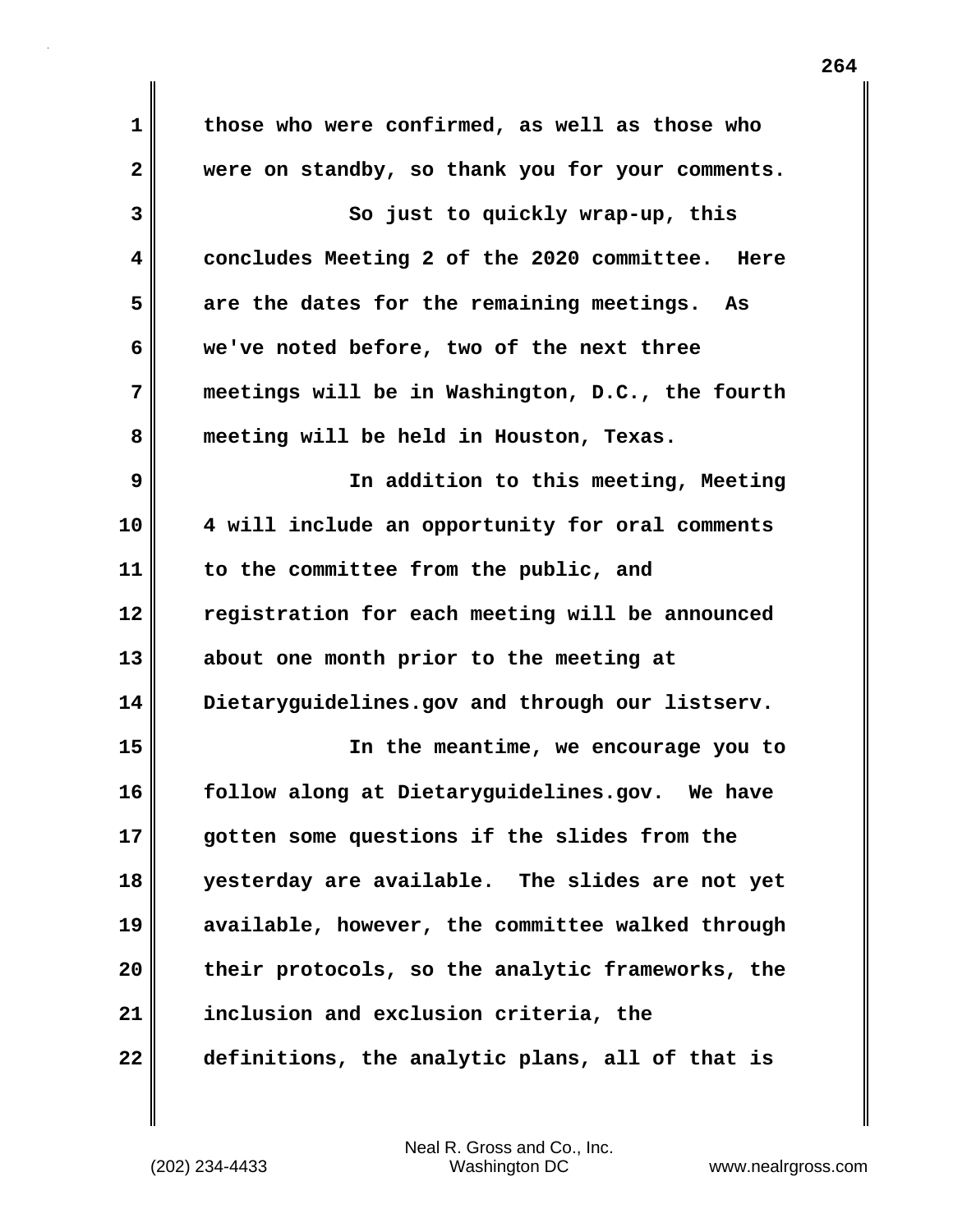| 1            | those who were confirmed, as well as those who    |  |  |  |  |
|--------------|---------------------------------------------------|--|--|--|--|
| $\mathbf{2}$ | were on standby, so thank you for your comments.  |  |  |  |  |
| 3            | So just to quickly wrap-up, this                  |  |  |  |  |
| 4            | concludes Meeting 2 of the 2020 committee. Here   |  |  |  |  |
| 5            | are the dates for the remaining meetings.<br>As   |  |  |  |  |
| 6            | we've noted before, two of the next three         |  |  |  |  |
| 7            | meetings will be in Washington, D.C., the fourth  |  |  |  |  |
| 8            | meeting will be held in Houston, Texas.           |  |  |  |  |
| 9            | In addition to this meeting, Meeting              |  |  |  |  |
| 10           | 4 will include an opportunity for oral comments   |  |  |  |  |
| 11           | to the committee from the public, and             |  |  |  |  |
| 12           | registration for each meeting will be announced   |  |  |  |  |
| 13           | about one month prior to the meeting at           |  |  |  |  |
| 14           | Dietaryguidelines.gov and through our listserv.   |  |  |  |  |
| 15           | In the meantime, we encourage you to              |  |  |  |  |
| 16           | follow along at Dietaryguidelines.gov.<br>We have |  |  |  |  |
| 17           | gotten some questions if the slides from the      |  |  |  |  |
| 18           | yesterday are available. The slides are not yet   |  |  |  |  |
| 19           | available, however, the committee walked through  |  |  |  |  |
| 20           | their protocols, so the analytic frameworks, the  |  |  |  |  |
| 21           | inclusion and exclusion criteria, the             |  |  |  |  |
| 22           | definitions, the analytic plans, all of that is   |  |  |  |  |

(202) 234-4433 Washington DC www.nealrgross.com Neal R. Gross and Co., Inc.

 $\mathbf{I}$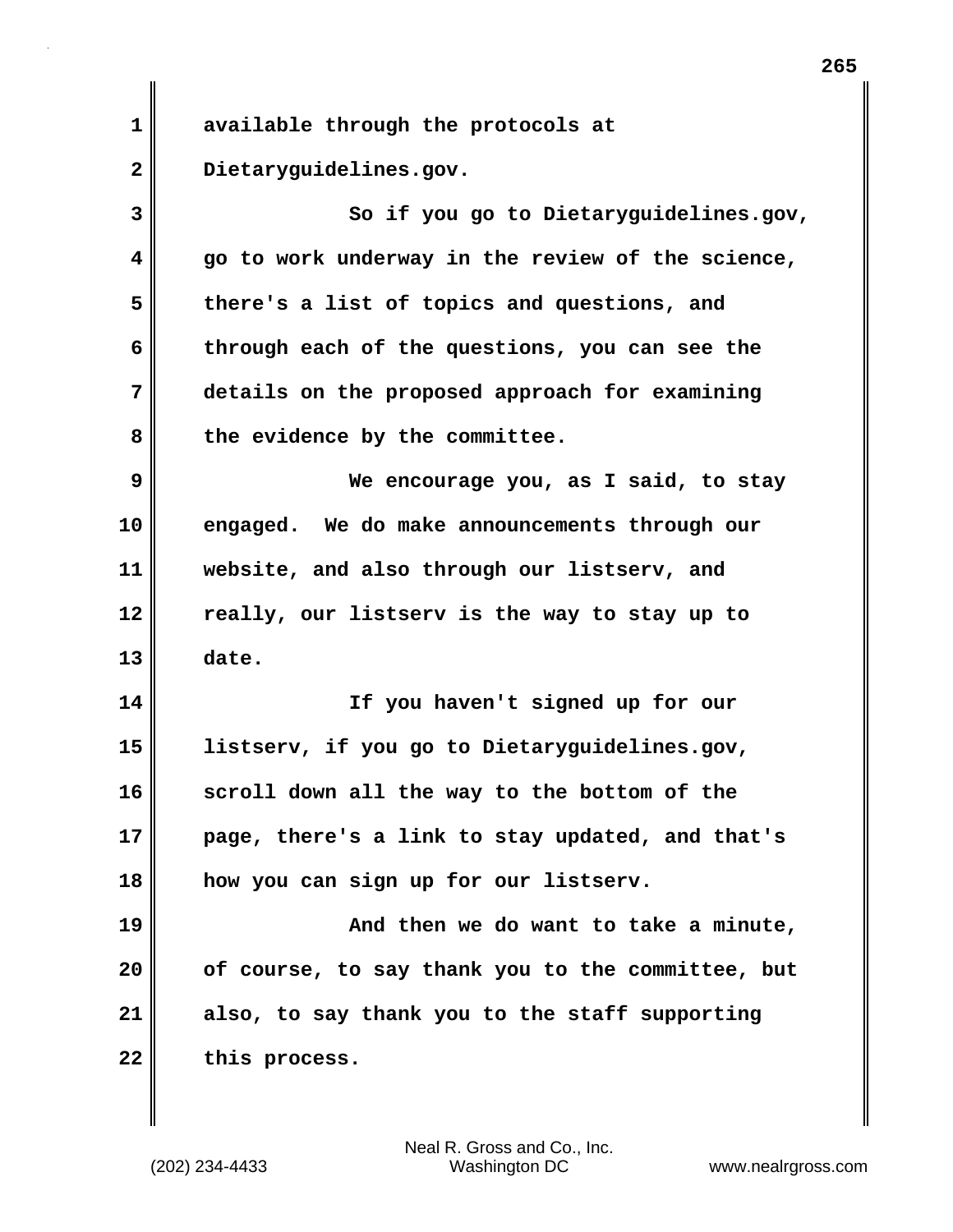**1 available through the protocols at 2 Dietaryguidelines.gov. 3 So if you go to Dietaryguidelines.gov, 4 go to work underway in the review of the science, 5 there's a list of topics and questions, and 6 through each of the questions, you can see the 7 details on the proposed approach for examining 8 the evidence by the committee. 9 We encourage you, as I said, to stay 10 engaged. We do make announcements through our 11 website, and also through our listserv, and 12 really, our listserv is the way to stay up to 13 date. 14 If you haven't signed up for our 15 listserv, if you go to Dietaryguidelines.gov, 16 scroll down all the way to the bottom of the 17 page, there's a link to stay updated, and that's 18 how you can sign up for our listserv. 19 And then we do want to take a minute, 20 of course, to say thank you to the committee, but 21 also, to say thank you to the staff supporting** 22 this process.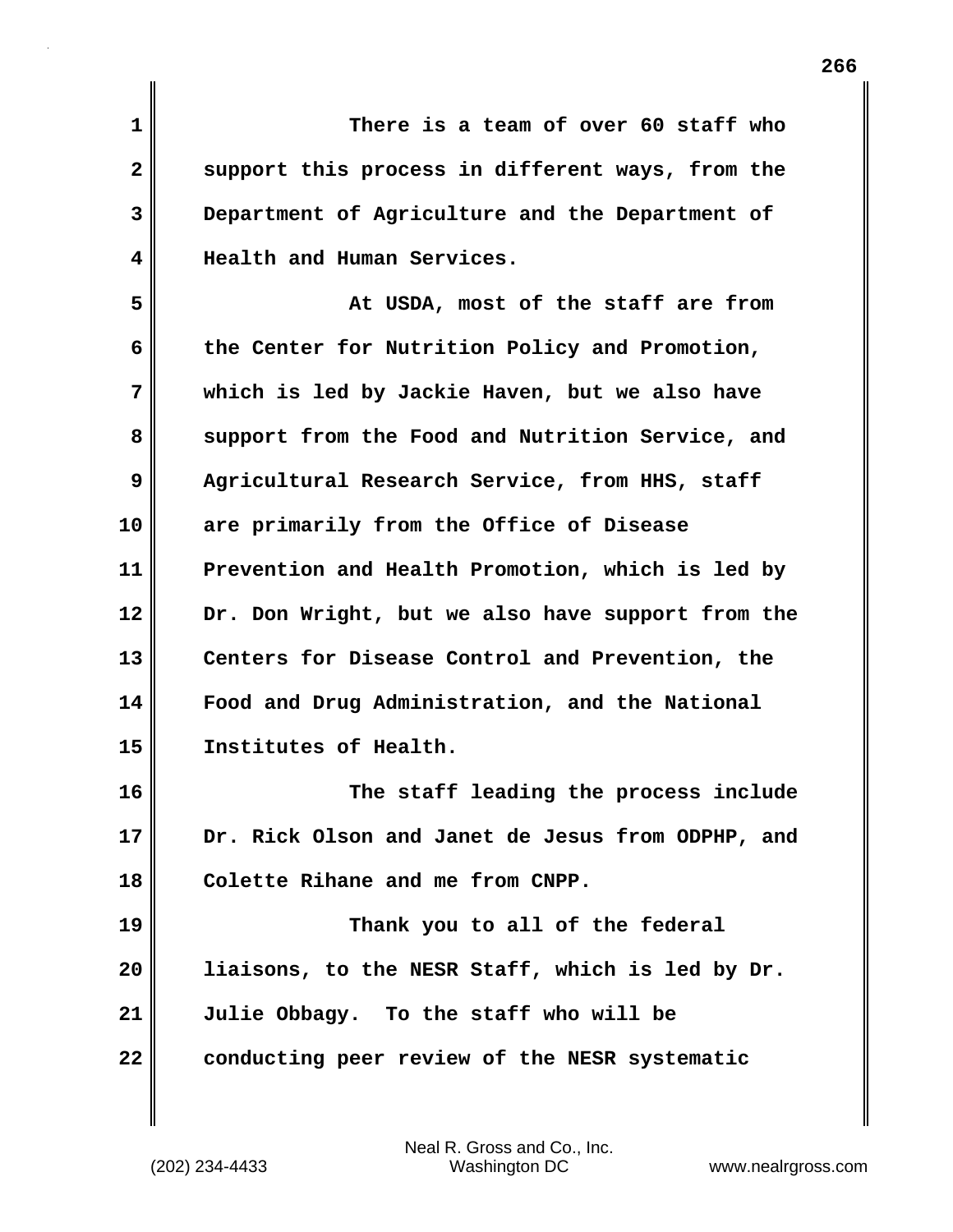**1 There is a team of over 60 staff who 2 support this process in different ways, from the 3 Department of Agriculture and the Department of 4 Health and Human Services. 5 At USDA, most of the staff are from 6 the Center for Nutrition Policy and Promotion, 7 which is led by Jackie Haven, but we also have** 8 support from the Food and Nutrition Service, and **9 Agricultural Research Service, from HHS, staff 10 are primarily from the Office of Disease 11 Prevention and Health Promotion, which is led by 12 Dr. Don Wright, but we also have support from the 13 Centers for Disease Control and Prevention, the 14 Food and Drug Administration, and the National 15 Institutes of Health. 16 The staff leading the process include 17 Dr. Rick Olson and Janet de Jesus from ODPHP, and 18 Colette Rihane and me from CNPP. 19 Thank you to all of the federal 20 liaisons, to the NESR Staff, which is led by Dr. 21 Julie Obbagy. To the staff who will be**

**22 conducting peer review of the NESR systematic**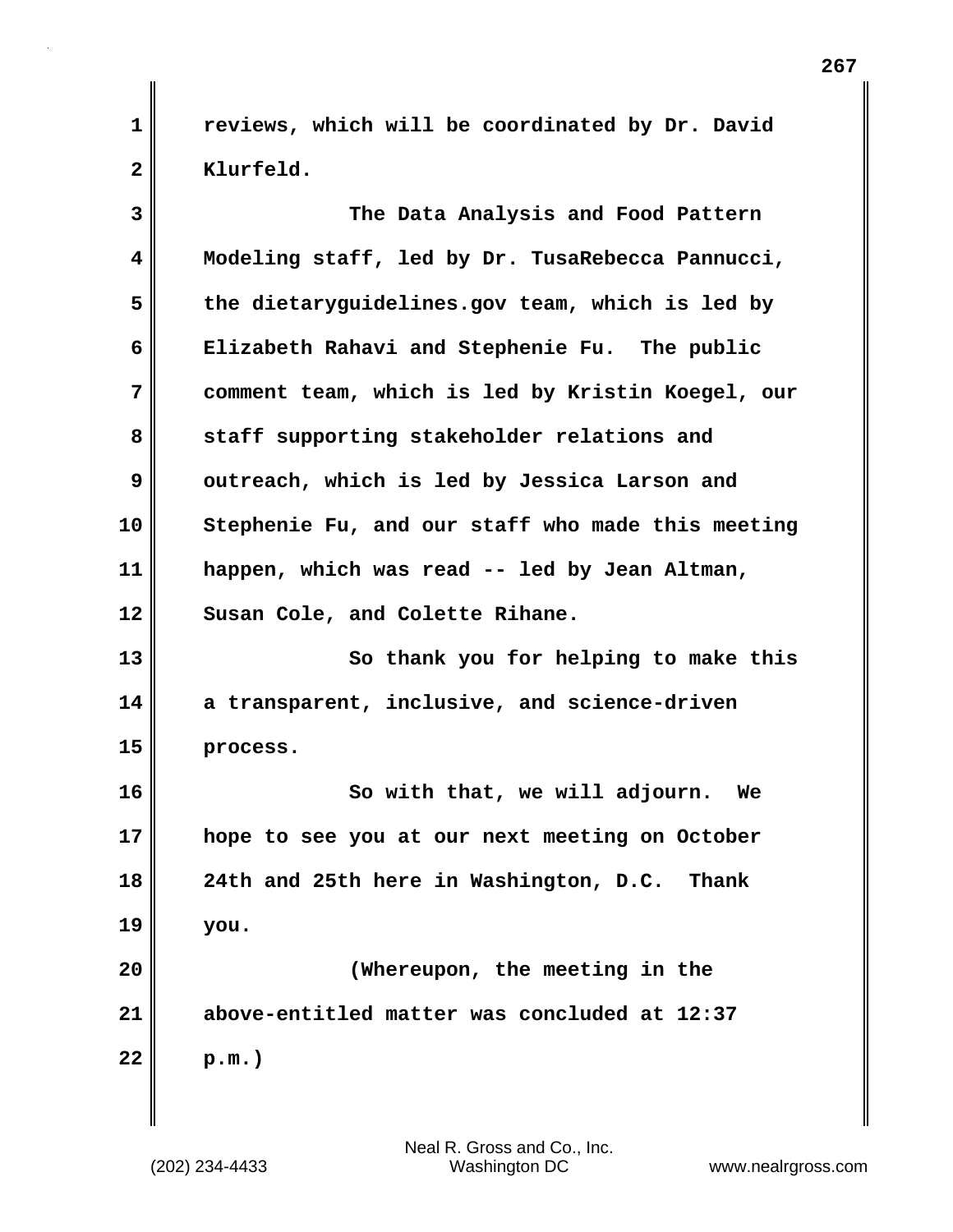**1 reviews, which will be coordinated by Dr. David** 2 | Klurfeld.

| 3  | The Data Analysis and Food Pattern                |  |  |  |  |
|----|---------------------------------------------------|--|--|--|--|
| 4  | Modeling staff, led by Dr. TusaRebecca Pannucci,  |  |  |  |  |
| 5  | the dietaryguidelines.gov team, which is led by   |  |  |  |  |
| 6  | Elizabeth Rahavi and Stephenie Fu. The public     |  |  |  |  |
| 7  | comment team, which is led by Kristin Koegel, our |  |  |  |  |
| 8  | staff supporting stakeholder relations and        |  |  |  |  |
| 9  | outreach, which is led by Jessica Larson and      |  |  |  |  |
| 10 | Stephenie Fu, and our staff who made this meeting |  |  |  |  |
| 11 | happen, which was read -- led by Jean Altman,     |  |  |  |  |
| 12 | Susan Cole, and Colette Rihane.                   |  |  |  |  |
| 13 | So thank you for helping to make this             |  |  |  |  |
| 14 | a transparent, inclusive, and science-driven      |  |  |  |  |
| 15 | process.                                          |  |  |  |  |
| 16 | So with that, we will adjourn. We                 |  |  |  |  |
| 17 | hope to see you at our next meeting on October    |  |  |  |  |
| 18 | 24th and 25th here in Washington, D.C. Thank      |  |  |  |  |
| 19 | you.                                              |  |  |  |  |
| 20 | (Whereupon, the meeting in the                    |  |  |  |  |
| 21 | above-entitled matter was concluded at 12:37      |  |  |  |  |
| 22 | $p.m.$ )                                          |  |  |  |  |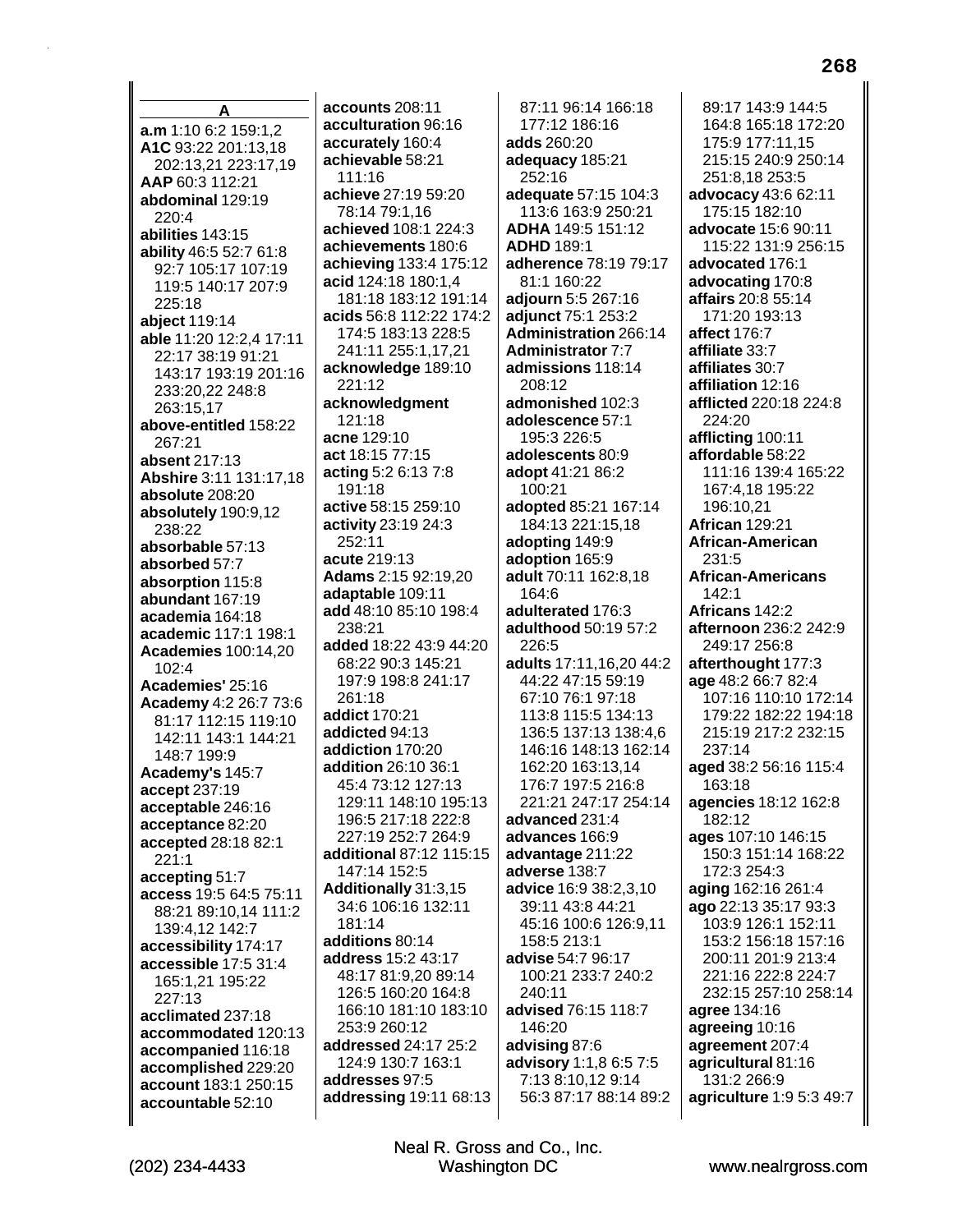A a.m 1:10 6:2 159:1.2 A1C 93:22 201:13.18 202:13,21 223:17,19 AAP 60:3 112:21 abdominal 129:19  $220:4$ abilities 143:15 ability 46:5 52:7 61:8 92:7 105:17 107:19 119:5 140:17 207:9 225:18 abiect 119:14 able 11:20 12:2,4 17:11 22:17 38:19 91:21 143:17 193:19 201:16 233:20,22 248:8 263:15,17 above-entitled 158:22 267:21 absent 217:13 Abshire 3:11 131:17,18 absolute 208:20 absolutely 190:9,12 238:22 absorbable 57:13 absorbed 57:7 absorption 115:8 abundant 167:19 academia 164:18 academic 117:1 198:1 **Academies 100:14,20** 102:4 Academies' 25:16 Academy 4:2 26:7 73:6 81:17 112:15 119:10 142:11 143:1 144:21 148:7 199:9 Academy's 145:7 accept 237:19 acceptable 246:16 acceptance 82:20 accepted 28:18 82:1  $221:1$ accepting 51:7 access 19:5 64:5 75:11 88:21 89:10.14 111:2 139:4,12 142:7 accessibility 174:17 accessible 17:5 31:4 165:1.21 195:22 227:13 acclimated 237:18 accommodated 120:13 accompanied 116:18 accomplished 229:20 account 183:1 250:15 accountable 52:10

accounts 208:11 acculturation 96:16 accurately 160:4 achievable 58:21  $111.16$ achieve 27:19 59:20 78:14 79:1.16 achieved 108:1 224:3 achievements 180:6 achieving 133:4 175:12 acid 124:18 180:1,4 181:18 183:12 191:14 acids 56:8 112:22 174:2 174:5 183:13 228:5 241:11 255:1,17,21 acknowledge 189:10 221:12 acknowledgment 121:18 acne 129:10 act 18:15 77:15 acting 5:2 6:13 7:8 191:18 active 58:15 259:10 **activity** 23:19 24:3 252:11 acute 219:13 **Adams** 2:15 92:19,20 adaptable 109:11 add 48:10 85:10 198:4  $238.21$ added 18:22 43:9 44:20 68:22 90:3 145:21 197:9 198:8 241:17 261:18 addict 170:21 addicted 94:13 addiction 170:20 addition 26:10 36:1 45:4 73:12 127:13 129:11 148:10 195:13 196:5 217:18 222:8 227:19 252:7 264:9 additional 87:12 115:15 147:14 152:5 Additionally 31:3,15 34:6 106:16 132:11 181:14 additions 80:14 address 15:2 43:17 48:17 81:9,20 89:14 126:5 160:20 164:8 166:10 181:10 183:10 253:9 260:12 addressed 24:17 25:2 124:9 130:7 163:1 addresses 97:5 addressing 19:11 68:13

87:11 96:14 166:18 177:12 186:16 adds 260:20 adequacy 185:21 252:16 adequate 57:15 104:3 113:6 163:9 250:21 ADHA 149:5 151:12 **ADHD 189:1** adherence 78:19 79:17 81:1 160:22 adjourn 5:5 267:16 adjunct 75:1 253:2 **Administration 266:14 Administrator 7:7** admissions 118:14 208:12 admonished 102:3 adolescence 57:1 195:3 226:5 adolescents 80:9 adopt 41:21 86:2 100:21 adopted 85:21 167:14 184:13 221:15,18 adopting 149:9 adoption 165:9 adult 70:11 162:8,18 164:6 adulterated 176:3 adulthood 50:19 57:2  $226:5$ adults 17:11,16,20 44:2 44:22 47:15 59:19 67:10 76:1 97:18 113:8 115:5 134:13 136:5 137:13 138:4,6 146:16 148:13 162:14 162:20 163:13,14 176:7 197:5 216:8 221:21 247:17 254:14 advanced 231:4 advances 166:9 advantage 211:22 adverse 138:7 advice 16:9 38:2,3,10 39:11 43:8 44:21 45:16 100:6 126:9,11 158:5 213:1 advise 54:7 96:17 100:21 233:7 240:2 240:11 advised 76:15 118:7 146:20 advising 87:6 advisory 1:1,8 6:5 7:5 7:13 8:10,12 9:14 56:3 87:17 88:14 89:2

89:17 143:9 144:5 164:8 165:18 172:20 175:9 177:11,15 215:15 240:9 250:14 251:8,18 253:5 advocacy 43:6 62:11 175:15 182:10 advocate 15:6 90:11 115:22 131:9 256:15 advocated 176:1 advocating 170:8 affairs 20:8 55:14 171:20 193:13 affect 176:7 affiliate 33:7 affiliates 30:7 affiliation 12:16 afflicted 220:18 224:8 224:20 afflicting 100:11 affordable 58:22 111:16 139:4 165:22 167:4.18 195:22 196:10,21 **African 129:21** African-American 231:5 **African-Americans**  $142:1$ Africans 142:2 afternoon 236:2 242:9 249:17 256:8 afterthought 177:3 age 48:2 66:7 82:4 107:16 110:10 172:14 179:22 182:22 194:18 215:19 217:2 232:15 237:14 aged 38:2 56:16 115:4 163:18 agencies 18:12 162:8 182:12 ages 107:10 146:15 150:3 151:14 168:22 172:3 254:3 aging 162:16 261:4 ago 22:13 35:17 93:3 103:9 126:1 152:11 153:2 156:18 157:16 200:11 201:9 213:4 221:16 222:8 224:7 232:15 257:10 258:14 agree 134:16 agreeing 10:16 agreement 207:4 agricultural 81:16 131:2 266:9 agriculture 1:9 5:3 49:7

Neal R. Gross and Co., Inc. **Washington DC**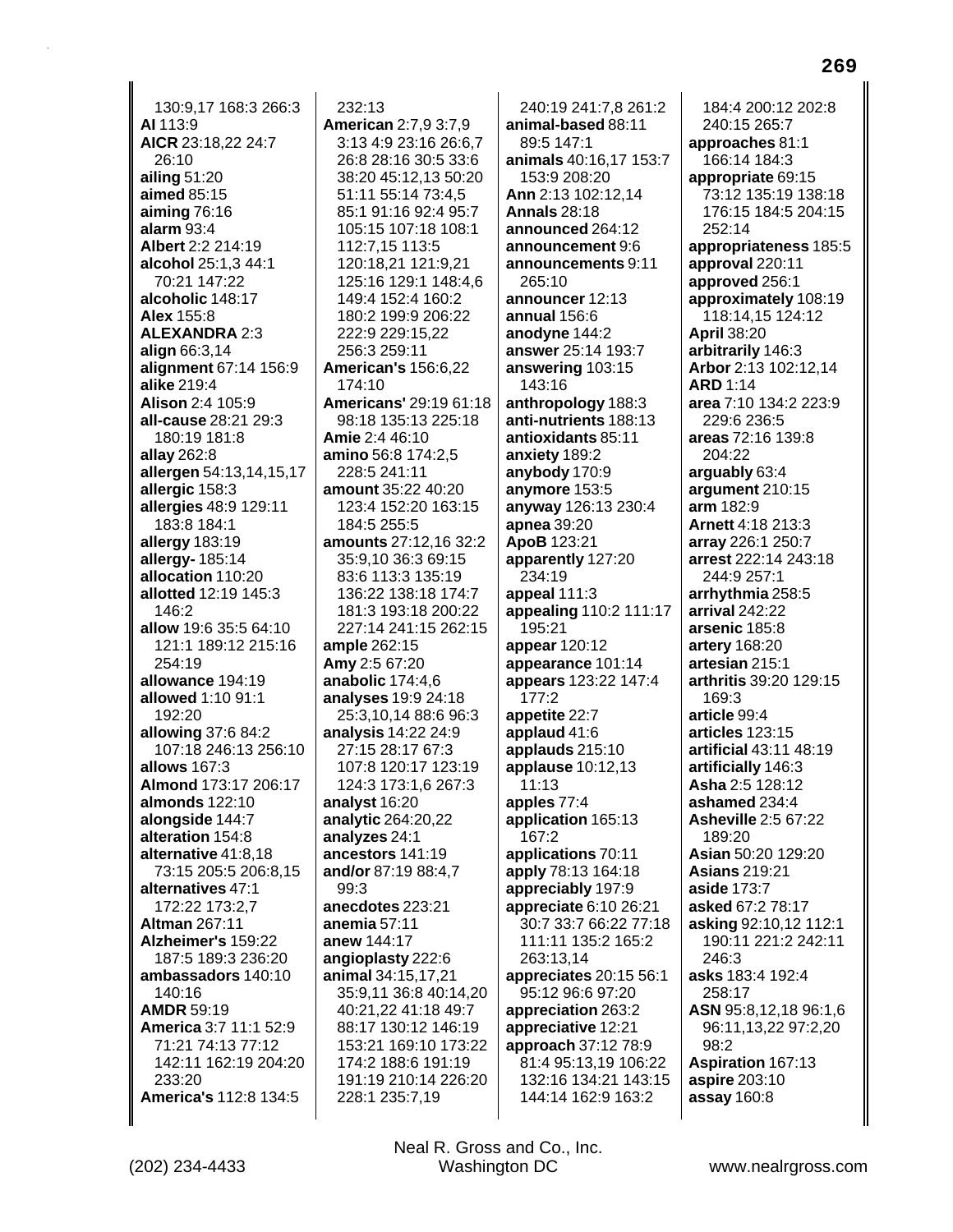130:9.17 168:3 266:3 AI 113:9 AICR 23:18,22 24:7 26:10 ailing  $51:20$ aimed 85:15 aiming  $76:16$ alarm  $93:4$ Albert 2:2 214:19 alcohol 25:1,3 44:1 70:21 147:22 alcoholic 148:17 **Alex 155:8 ALEXANDRA 2:3** align 66:3,14 alignment 67:14 156:9 alike 219:4 **Alison 2:4 105:9** all-cause 28:21 29:3 180:19 181:8 allay 262:8 allergen 54:13,14,15,17 allergic 158:3 allergies 48:9 129:11 183:8 184:1 allergy 183:19 allergy- 185:14 allocation 110:20 allotted 12:19 145:3  $146.2$ allow 19:6 35:5 64:10 121:1 189:12 215:16 254:19 allowance 194:19 allowed 1:10 91:1 192:20 allowing 37:6 84:2 107:18 246:13 256:10 allows 167:3 Almond 173:17 206:17 almonds 122:10 alongside 144:7 alteration 154:8 alternative 41:8.18 73:15 205:5 206:8,15 alternatives 47:1 172:22 173:2,7 **Altman 267:11** Alzheimer's 159:22 187:5 189:3 236:20 ambassadors 140:10 140:16 **AMDR 59:19** America 3:7 11:1 52:9 71:21 74:13 77:12 142:11 162:19 204:20 233:20 **America's 112:8 134:5** 

 $232:13$ **American 2:7,9 3:7,9** 3:13 4:9 23:16 26:6,7 26:8 28:16 30:5 33:6 38:20 45:12.13 50:20 51:11 55:14 73:4,5 85:1 91:16 92:4 95:7 105:15 107:18 108:1 112:7.15 113:5 120:18,21 121:9,21 125:16 129:1 148:4,6 149:4 152:4 160:2 180:2 199:9 206:22 222:9 229:15,22 256:3 259:11 **American's 156:6,22** 174:10 **Americans' 29:19 61:18** 98:18 135:13 225:18 Amie 2:4 46:10 amino 56:8 174:2,5 228:5 241:11 amount 35:22 40:20 123:4 152:20 163:15 184:5 255:5 amounts 27:12.16 32:2 35:9.10 36:3 69:15 83:6 113:3 135:19 136:22 138:18 174:7 181:3 193:18 200:22 227:14 241:15 262:15 ample 262:15 Amy 2:5 67:20 anabolic  $174:4,6$ analyses 19:9 24:18 25:3,10,14 88:6 96:3 analysis 14:22 24:9 27:15 28:17 67:3 107:8 120:17 123:19 124:3 173:1,6 267:3 analyst 16:20 analytic 264:20,22 analyzes 24:1 ancestors 141:19 and/or 87:19 88:4,7 99:3 anecdotes 223:21 anemia  $57:11$ anew 144:17 angioplasty 222:6 animal 34:15,17,21 35:9,11 36:8 40:14,20 40:21,22 41:18 49:7 88:17 130:12 146:19 153:21 169:10 173:22 174:2 188:6 191:19 191:19 210:14 226:20 228:1 235:7,19

240:19 241:7.8 261:2 animal-based 88:11 89:5 147:1 animals 40:16,17 153:7 153:9 208:20 Ann 2:13 102:12,14 **Annals 28:18** announced 264:12 announcement 9:6 announcements 9:11 265:10 announcer 12:13 annual 156:6 anodyne 144:2 answer 25:14 193:7 answering 103:15 143:16 anthropology 188:3 anti-nutrients 188:13 antioxidants 85:11 anxiety 189:2 anybody 170:9 anymore 153:5 anyway 126:13 230:4 **apnea** 39:20 ApoB 123:21 apparently 127:20 234:19 appeal 111:3 appealing 110:2 111:17 195:21 appear 120:12 appearance 101:14 appears 123:22 147:4  $177:2$ appetite 22:7 applaud 41:6 applauds 215:10 applause 10:12,13  $11:13$ apples 77:4 application 165:13 167:2 applications 70:11 apply 78:13 164:18 appreciably 197:9 appreciate 6:10 26:21 30:7 33:7 66:22 77:18 111:11 135:2 165:2 263:13.14 appreciates 20:15 56:1 95:12 96:6 97:20 appreciation 263:2 appreciative 12:21 approach 37:12 78:9 81:4 95:13,19 106:22 132:16 134:21 143:15 144:14 162:9 163:2

184:4 200:12 202:8 240:15 265:7 approaches 81:1 166:14 184:3 appropriate 69:15 73:12 135:19 138:18 176:15 184:5 204:15 252:14 appropriateness 185:5 approval 220:11 approved 256:1 approximately 108:19 118:14,15 124:12 **April 38:20** arbitrarily 146:3 Arbor 2:13 102:12,14 **ARD 1:14** area 7:10 134:2 223:9 229:6 236:5 areas 72:16 139:8 204:22 arquably 63:4 argument 210:15 arm 182:9 **Arnett 4:18 213:3** array 226:1 250:7 arrest 222:14 243:18 244:9 257:1 arrhythmia 258:5 arrival 242:22 arsenic 185:8 artery 168:20 artesian 215:1 arthritis 39:20 129:15  $169:3$ article 99:4 articles 123:15 artificial 43:11 48:19 artificially 146:3 Asha 2:5 128:12 ashamed 234:4 **Asheville 2:5 67:22** 189:20 Asian 50:20 129:20 **Asians 219:21** aside 173:7 asked 67:2 78:17 asking 92:10,12 112:1 190:11 221:2 242:11 246:3 asks 183:4 192:4 258:17 ASN 95:8,12,18 96:1,6 96:11,13,22 97:2,20 98:2 Aspiration 167:13 aspire 203:10 assay 160:8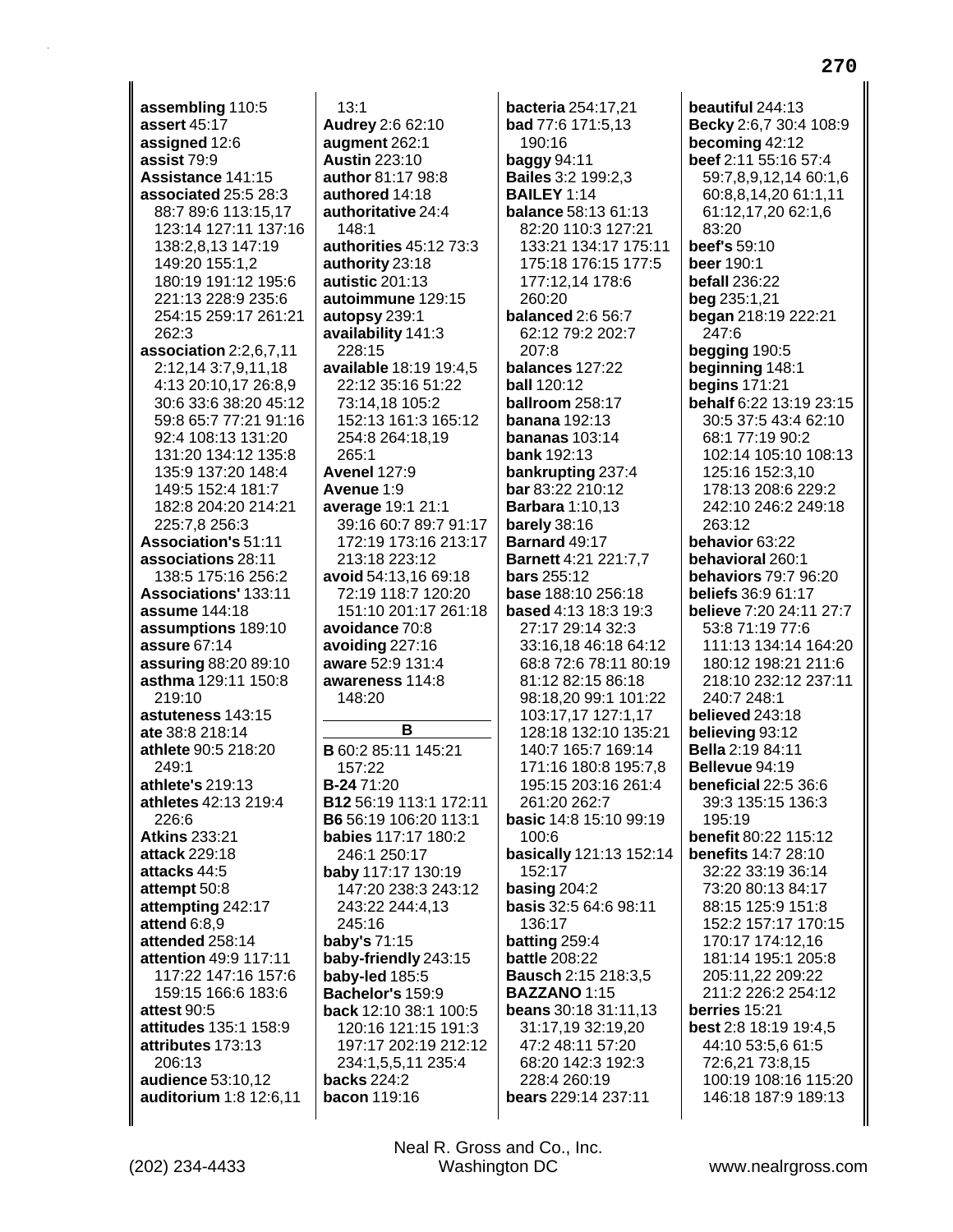assembling 110:5 assert 45:17 assigned 12:6 assist 79:9 Assistance 141:15 associated 25:5 28:3 88:7 89:6 113:15,17 123:14 127:11 137:16 138:2,8,13 147:19 149:20 155:1,2 180:19 191:12 195:6 221:13 228:9 235:6 254:15 259:17 261:21 262:3 association 2:2,6,7,11 2:12,14 3:7,9,11,18 4:13 20:10,17 26:8,9 30:6 33:6 38:20 45:12 59:8 65:7 77:21 91:16 92:4 108:13 131:20 131:20 134:12 135:8 135:9 137:20 148:4 149:5 152:4 181:7 182:8 204:20 214:21 225:7.8 256:3 **Association's 51:11** associations 28:11 138:5 175:16 256:2 **Associations' 133:11 assume** 144:18 assumptions 189:10 assure 67:14 assuring 88:20 89:10 asthma 129:11 150:8  $219:10$ astuteness 143:15 ate 38:8 218:14 athlete 90:5 218:20 249:1 athlete's 219:13 athletes 42:13 219:4 226:6 **Atkins 233:21** attack 229:18 attacks 44:5 attempt 50:8 attempting 242:17 attend 6:8,9 attended 258:14 attention 49:9 117:11 117:22 147:16 157:6 159:15 166:6 183:6 attest 90:5 attitudes 135:1 158:9 attributes 173:13 206:13 audience 53:10,12 auditorium 1:8 12:6,11

 $13:1$ Audrey 2:6 62:10 augment 262:1 **Austin 223:10** author 81:17 98:8 authored  $14.18$ authoritative 24:4 148:1 authorities 45:12 73:3 authority 23:18 autistic 201:13 autoimmune 129:15 autopsy 239:1 availability 141:3 228:15 available 18:19 19:4,5 22:12 35:16 51:22 73:14,18 105:2 152:13 161:3 165:12 254:8 264:18,19 265:1 **Avenel 127:9** Avenue 1:9 average 19:1 21:1 39:16 60:7 89:7 91:17 172:19 173:16 213:17 213:18 223:12 avoid 54:13,16 69:18 72:19 118:7 120:20 151:10 201:17 261:18 avoidance 70:8 avoiding 227:16 aware 52:9 131:4 awareness 114:8 148:20 в **B** 60:2 85:11 145:21 157:22 **B-2471:20** B12 56:19 113:1 172:11 B6 56:19 106:20 113:1 babies 117:17 180:2 246:1 250:17 baby 117:17 130:19 147:20 238:3 243:12 243:22 244:4,13 245:16 baby's 71:15 baby-friendly 243:15 baby-led 185:5 Bachelor's 159:9 back 12:10 38:1 100:5 120:16 121:15 191:3 197:17 202:19 212:12 234:1,5,5,11 235:4

**backs** 224:2

**bacon** 119:16

Neal R. Gross and Co., Inc.

Washington DC

bacteria 254:17.21 **bad** 77:6 171:5,13 190:16 baggy  $94:11$ **Bailes 3:2 199:2.3 BAILEY 1:14 balance 58:13 61:13** 82:20 110:3 127:21 133:21 134:17 175:11 175:18 176:15 177:5 177:12,14 178:6 260:20 **balanced 2:6 56:7** 62:12 79:2 202:7  $207.8$ balances 127:22 **ball 120:12** ballroom 258:17 **banana** 192:13 bananas 103:14 **bank 192:13** bankrupting 237:4 bar 83:22 210:12 **Barbara** 1:10,13 barely  $38:16$ Barnard 49:17 **Barnett 4:21 221:7.7 bars** 255:12 **base** 188:10 256:18 **based 4:13 18:3 19:3** 27:17 29:14 32:3 33:16 18 46:18 64:12 68:8 72:6 78:11 80:19 81:12 82:15 86:18 98:18.20 99:1 101:22 103:17,17 127:1,17 128:18 132:10 135:21 140:7 165:7 169:14 171:16 180:8 195:7,8 195:15 203:16 261:4 261:20 262:7 basic 14:8 15:10 99:19 100:6 basically 121:13 152:14 152:17 basing  $204:2$ basis 32:5 64:6 98:11 136:17 batting 259:4 **battle 208:22 Bausch 2:15 218:3,5** BAZZANO 1:15 **beans** 30:18 31:11,13 31:17,19 32:19,20 47:2 48:11 57:20 68:20 142:3 192:3 228:4 260:19 bears 229:14 237:11

beautiful 244:13 Becky 2:6,7 30:4 108:9 becoming 42:12 beef 2:11 55:16 57:4 59:7.8.9.12.14 60:1.6 60:8,8,14,20 61:1,11 61:12,17,20 62:1,6 83:20 beef's 59:10 beer 190:1 befall 236:22 beg 235:1,21 began 218:19 222:21  $247:6$ begging 190:5 beginning 148:1 **begins 171:21** behalf 6:22 13:19 23:15 30:5 37:5 43:4 62:10 68:1 77:19 90:2 102:14 105:10 108:13 125:16 152:3.10 178:13 208:6 229:2 242:10 246:2 249:18 263:12 behavior 63:22 behavioral 260:1 behaviors 79:7 96:20 **beliefs** 36:9 61:17 believe 7:20 24:11 27:7 53:8 71:19 77:6 111:13 134:14 164:20 180:12 198:21 211:6 218:10 232:12 237:11 240:7 248:1 believed 243:18 believing 93:12 **Bella** 2:19 84:11 Bellevue 94:19 beneficial 22:5 36:6 39:3 135:15 136:3 195:19 benefit 80:22 115:12 **benefits 14:7 28:10** 32:22 33:19 36:14 73:20 80:13 84:17 88:15 125:9 151:8 152:2 157:17 170:15 170:17 174:12.16 181:14 195:1 205:8 205:11,22 209:22 211:2 226:2 254:12 berries 15:21 best 2:8 18:19 19:4,5 44:10 53:5,6 61:5 72:6,21 73:8,15 100:19 108:16 115:20 146:18 187:9 189:13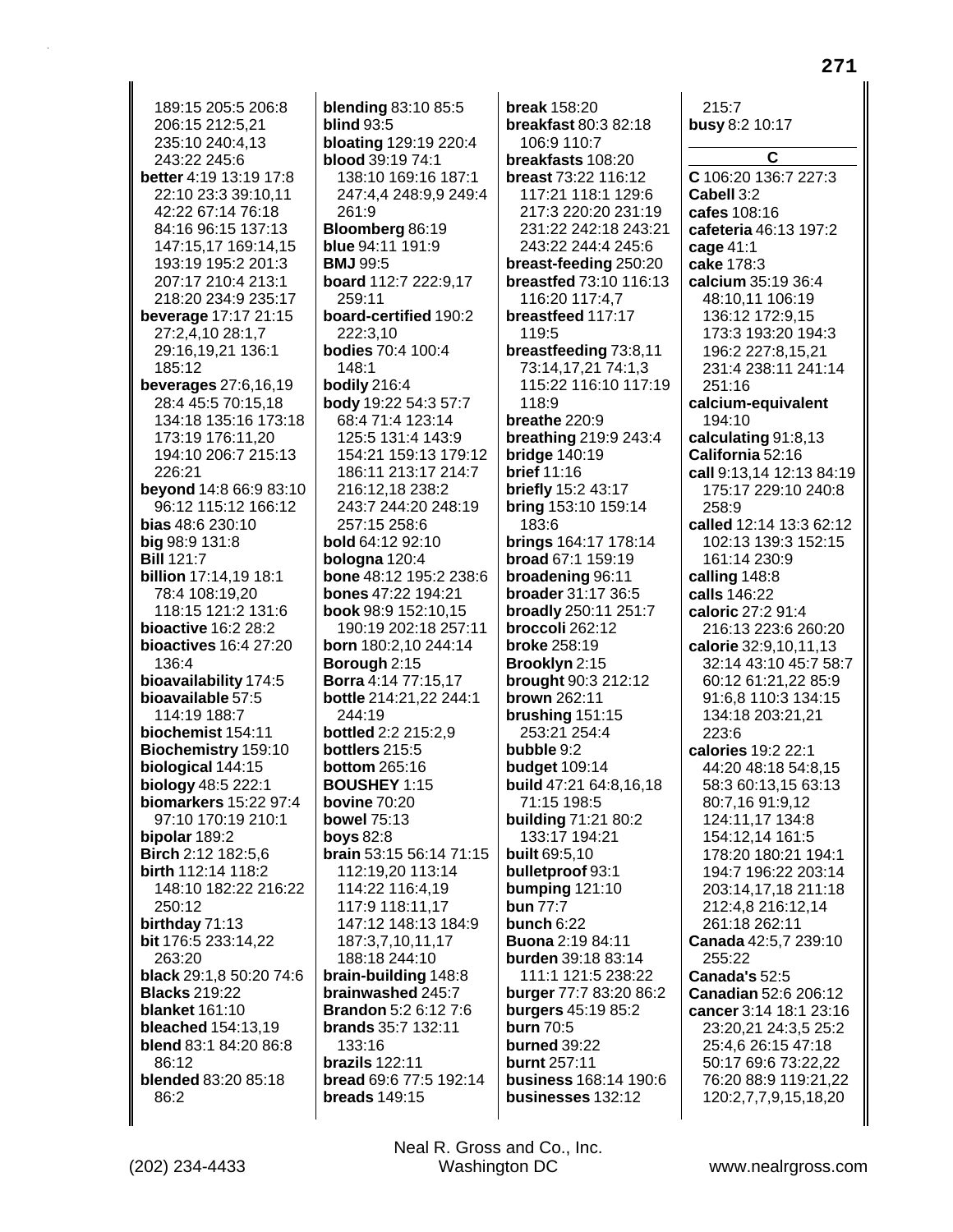189:15 205:5 206:8 206:15 212:5,21 235:10 240:4,13 243:22 245:6 better 4:19 13:19 17:8 22:10 23:3 39:10,11 42:22 67:14 76:18 84:16 96:15 137:13 147:15,17 169:14,15 193:19 195:2 201:3 207:17 210:4 213:1 218:20 234:9 235:17 **beverage 17:17 21:15** 27:2,4,10 28:1,7 29:16,19,21 136:1 185:12 **beverages** 27:6,16,19 28:4 45:5 70:15,18 134:18 135:16 173:18 173:19 176:11,20 194:10 206:7 215:13 226:21 beyond 14:8 66:9 83:10 96:12 115:12 166:12 **bias** 48:6 230:10 **big 98:9 131:8 Bill 121:7 billion** 17:14,19 18:1 78:4 108:19,20 118:15 121:2 131:6 bioactive 16:2 28:2 **bioactives** 16:4 27:20 136:4 bioavailability 174:5 bioavailable 57:5 114:19 188:7 biochemist 154:11 Biochemistry 159:10 biological 144:15 biology 48:5 222:1 biomarkers 15:22 97:4 97:10 170:19 210:1 bipolar 189:2 Birch 2:12 182:5,6 birth 112:14 118:2 148:10 182:22 216:22 250:12 birthday 71:13 bit 176:5 233:14,22 263:20 black 29:1,8 50:20 74:6 **Blacks 219:22 blanket** 161:10 **bleached** 154:13,19 blend 83:1 84:20 86:8 86:12 blended 83:20 85:18 86:2

**blending 83:10 85:5 blind 93:5 bloating 129:19 220:4** blood 39:19 74:1 138:10 169:16 187:1 247:4,4 248:9,9 249:4 261:9 Bloomberg 86:19 blue 94:11 191:9 **BMJ** 99:5 board 112:7 222:9,17 259:11 board-certified 190:2 222:3.10 **bodies 70:4 100:4** 148:1 bodily 216:4 body 19:22 54:3 57:7 68:4 71:4 123:14 125:5 131:4 143:9 154:21 159:13 179:12 186:11 213:17 214:7 216:12.18 238:2 243:7 244:20 248:19 257:15 258:6 **bold** 64:12 92:10 bologna 120:4 bone 48:12 195:2 238:6 **bones** 47:22 194:21 book 98:9 152:10.15 190:19 202:18 257:11 born 180:2,10 244:14 **Borough 2:15 Borra** 4:14 77:15,17 bottle 214:21,22 244:1 244:19 bottled 2:2 215:2,9 bottlers 215:5 **bottom** 265:16 **BOUSHEY 1:15 bovine 70:20 bowel 75:13 boys 82:8** brain 53:15 56:14 71:15 112:19,20 113:14 114:22 116:4,19 117:9 118:11,17 147:12 148:13 184:9 187:3,7,10,11,17 188:18 244:10 brain-building 148:8 brainwashed 245:7 **Brandon** 5:2 6:12 7:6 brands 35:7 132:11 133:16 brazils  $122:11$ bread 69:6 77:5 192:14 **breads** 149:15

**break** 158:20 breakfast 80:3 82:18 106:9 110:7 breakfasts 108:20 breast 73:22 116:12 117:21 118:1 129:6 217:3 220:20 231:19 231:22 242:18 243:21 243:22 244:4 245:6 breast-feeding 250:20 breastfed 73:10 116:13 116:20 117:4,7 breastfeed 117:17 119:5 breastfeeding 73:8,11 73:14,17,21 74:1,3 115:22 116:10 117:19 118:9 breathe 220:9 **breathing 219:9 243:4 bridge 140:19 brief** 11:16 briefly 15:2 43:17 bring 153:10 159:14 183:6 **brings 164:17 178:14 broad 67:1 159:19** broadening 96:11 **broader** 31:17 36:5 broadly 250:11 251:7 broccoli 262:12 **broke 258:19** Brooklyn 2:15 **brought** 90:3 212:12 **brown 262:11** brushing 151:15 253:21 254:4 bubble 9:2 **budget** 109:14 build 47:21 64:8,16,18 71:15 198:5 building 71:21 80:2 133:17 194:21 **built 69:5.10** bulletproof 93:1 bumping 121:10 **bun 77:7** bunch  $6:22$ **Buona 2:19 84:11** burden 39:18 83:14 111:1 121:5 238:22 burger 77:7 83:20 86:2 burgers 45:19 85:2 **burn 70:5** burned 39:22 burnt 257:11 business 168:14 190:6 businesses 132:12

 $215:7$ busy 8:2 10:17 C C 106:20 136:7 227:3 Cabell 3:2 cafes 108:16 cafeteria 46:13 197:2 cage 41:1 cake 178:3 calcium 35:19 36:4 48:10,11 106:19 136:12 172:9.15 173:3 193:20 194:3 196:2 227:8,15,21 231:4 238:11 241:14 251:16 calcium-equivalent 194:10 calculating 91:8,13 California 52:16 call 9:13.14 12:13 84:19 175:17 229:10 240:8 258:9 called 12:14 13:3 62:12 102:13 139:3 152:15 161:14 230:9 calling 148:8 calls 146:22 caloric 27:2 91:4 216:13 223:6 260:20 calorie 32:9,10,11,13 32:14 43:10 45:7 58:7 60:12 61:21.22 85:9 91:6.8 110:3 134:15 134:18 203:21,21 223:6 calories 19:2 22:1 44:20 48:18 54:8.15 58:3 60:13,15 63:13 80:7,16 91:9,12 124:11,17 134:8 154:12,14 161:5 178:20 180:21 194:1 194:7 196:22 203:14 203:14,17,18 211:18 212:4,8 216:12,14 261:18 262:11 Canada 42:5,7 239:10 255:22 Canada's 52:5 Canadian 52:6 206:12 cancer 3:14 18:1 23:16 23:20,21 24:3,5 25:2 25:4,6 26:15 47:18 50:17 69:6 73:22,22 76:20 88:9 119:21,22 120:2,7,7,9,15,18,20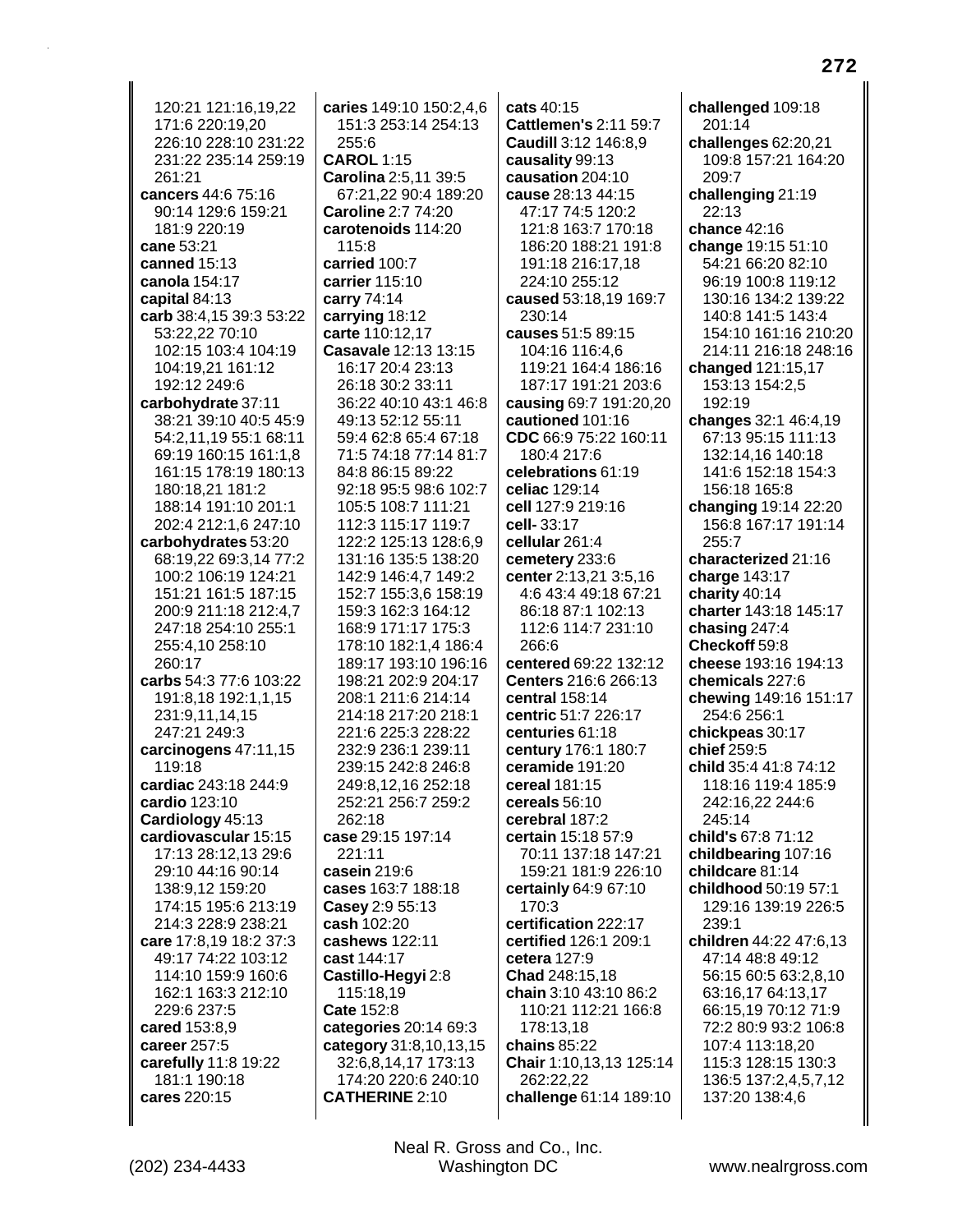120:21 121:16.19.22 171:6 220:19,20 226:10 228:10 231:22 231:22 235:14 259:19 261:21 cancers 44:6 75:16 90:14 129:6 159:21 181:9 220:19 cane 53:21 canned 15:13 canola 154:17 capital 84:13 carb 38:4, 15 39:3 53:22 53:22.22 70:10 102:15 103:4 104:19 104:19,21 161:12 192:12 249:6 carbohydrate 37:11 38:21 39:10 40:5 45:9 54:2,11,19 55:1 68:11 69:19 160:15 161:1,8 161:15 178:19 180:13 180:18.21 181:2 188:14 191:10 201:1 202:4 212:1,6 247:10 carbohydrates 53:20 68:19.22 69:3.14 77:2 100:2 106:19 124:21 151:21 161:5 187:15 200:9 211:18 212:4.7 247:18 254:10 255:1 255:4.10 258:10 260:17 carbs 54:3 77:6 103:22 191:8,18 192:1,1,15 231:9,11,14,15 247:21 249:3 carcinogens 47:11,15 119:18 cardiac 243:18 244:9 cardio 123:10 Cardiology 45:13 cardiovascular 15:15 17:13 28:12,13 29:6 29:10 44:16 90:14 138:9,12 159:20 174:15 195:6 213:19 214:3 228:9 238:21 care 17:8,19 18:2 37:3 49:17 74:22 103:12 114:10 159:9 160:6 162:1 163:3 212:10 229:6 237:5 cared 153:8,9 career 257:5 carefully 11:8 19:22 181:1 190:18 cares 220:15

caries 149:10 150:2.4.6 151:3 253:14 254:13 255:6 **CAROL 1:15** Carolina 2:5,11 39:5 67:21,22 90:4 189:20 Caroline 2:7 74:20 carotenoids 114:20 115:8 carried 100:7 carrier 115:10 carry 74:14 carrying 18:12 carte 110:12,17 Casavale 12:13 13:15 16:17 20:4 23:13 26:18 30:2 33:11 36:22 40:10 43:1 46:8 49:13 52:12 55:11 59:4 62:8 65:4 67:18 71:5 74:18 77:14 81:7 84:8 86:15 89:22 92:18 95:5 98:6 102:7 105:5 108:7 111:21 112:3 115:17 119:7 122:2 125:13 128:6.9 131:16 135:5 138:20 142:9 146:4,7 149:2 152:7 155:3,6 158:19 159:3 162:3 164:12 168:9 171:17 175:3 178:10 182:1.4 186:4 189:17 193:10 196:16 198:21 202:9 204:17 208:1 211:6 214:14 214:18 217:20 218:1 221:6 225:3 228:22 232:9 236:1 239:11 239:15 242:8 246:8 249:8.12.16 252:18 252:21 256:7 259:2 262:18 case 29:15 197:14 221:11 casein 219:6 cases 163:7 188:18 Casey 2:9 55:13 cash 102:20 cashews 122:11 cast 144:17 Castillo-Hegyi 2:8 115:18,19 Cate 152:8 categories 20:14 69:3 category 31:8,10,13,15 32:6.8.14.17 173:13 174:20 220:6 240:10 **CATHERINE 2:10** 

cats  $40:15$ **Cattlemen's 2:11 59:7** Caudill 3:12 146:8,9 causality 99:13 causation 204:10 cause 28:13 44:15 47:17 74:5 120:2 121:8 163:7 170:18 186:20 188:21 191:8 191:18 216:17,18 224:10 255:12 caused 53:18,19 169:7 230:14 causes 51:5 89:15 104:16 116:4,6 119:21 164:4 186:16 187:17 191:21 203:6 causing 69:7 191:20,20 cautioned 101:16 CDC 66:9 75:22 160:11 180:4 217:6 celebrations 61:19 celiac 129:14 cell 127:9 219:16 cell-33:17 cellular 261:4 cemetery 233:6 center 2:13,21 3:5,16 4:6 43:4 49:18 67:21 86:18 87:1 102:13 112:6 114:7 231:10  $266:6$ centered 69:22 132:12 **Centers** 216:6 266:13 central 158:14 centric 51:7 226:17 centuries 61:18 century 176:1 180:7 ceramide 191:20 cereal 181:15 cereals 56:10 cerebral 187:2 certain 15:18 57:9 70:11 137:18 147:21 159:21 181:9 226:10 certainly 64:9 67:10  $170:3$ certification 222:17 certified 126:1 209:1 cetera 127:9 Chad 248:15,18 chain 3:10 43:10 86:2 110:21 112:21 166:8 178:13,18 chains 85:22 Chair 1:10,13,13 125:14 262:22,22 challenge 61:14 189:10

challenged 109:18 201:14 challenges  $62:20,21$ 109:8 157:21 164:20 209:7 challenging 21:19 22:13 chance 42:16 change 19:15 51:10 54:21 66:20 82:10 96:19 100:8 119:12 130:16 134:2 139:22 140:8 141:5 143:4 154:10 161:16 210:20 214:11 216:18 248:16 changed 121:15,17 153:13 154:2,5 192:19 changes 32:1 46:4,19 67:13 95:15 111:13 132:14,16 140:18 141:6 152:18 154:3 156:18 165:8 changing 19:14 22:20 156:8 167:17 191:14 255:7 characterized 21:16 charge 143:17 charity 40:14 charter 143:18 145:17 chasing 247:4 Checkoff 59:8 cheese 193:16 194:13 chemicals 227:6 chewing 149:16 151:17 254:6 256:1 chickpeas 30:17 chief 259:5 child 35:4 41:8 74:12 118:16 119:4 185:9 242:16,22 244:6 245:14 child's 67:8 71:12 childbearing 107:16 childcare 81:14 childhood 50:19 57:1 129:16 139:19 226:5 239:1 children 44:22 47:6.13 47:14 48:8 49:12 56:15 60:5 63:2,8,10 63:16,17 64:13,17 66:15,19 70:12 71:9 72:2 80:9 93:2 106:8 107:4 113:18,20 115:3 128:15 130:3 136:5 137:2,4,5,7,12 137:20 138:4,6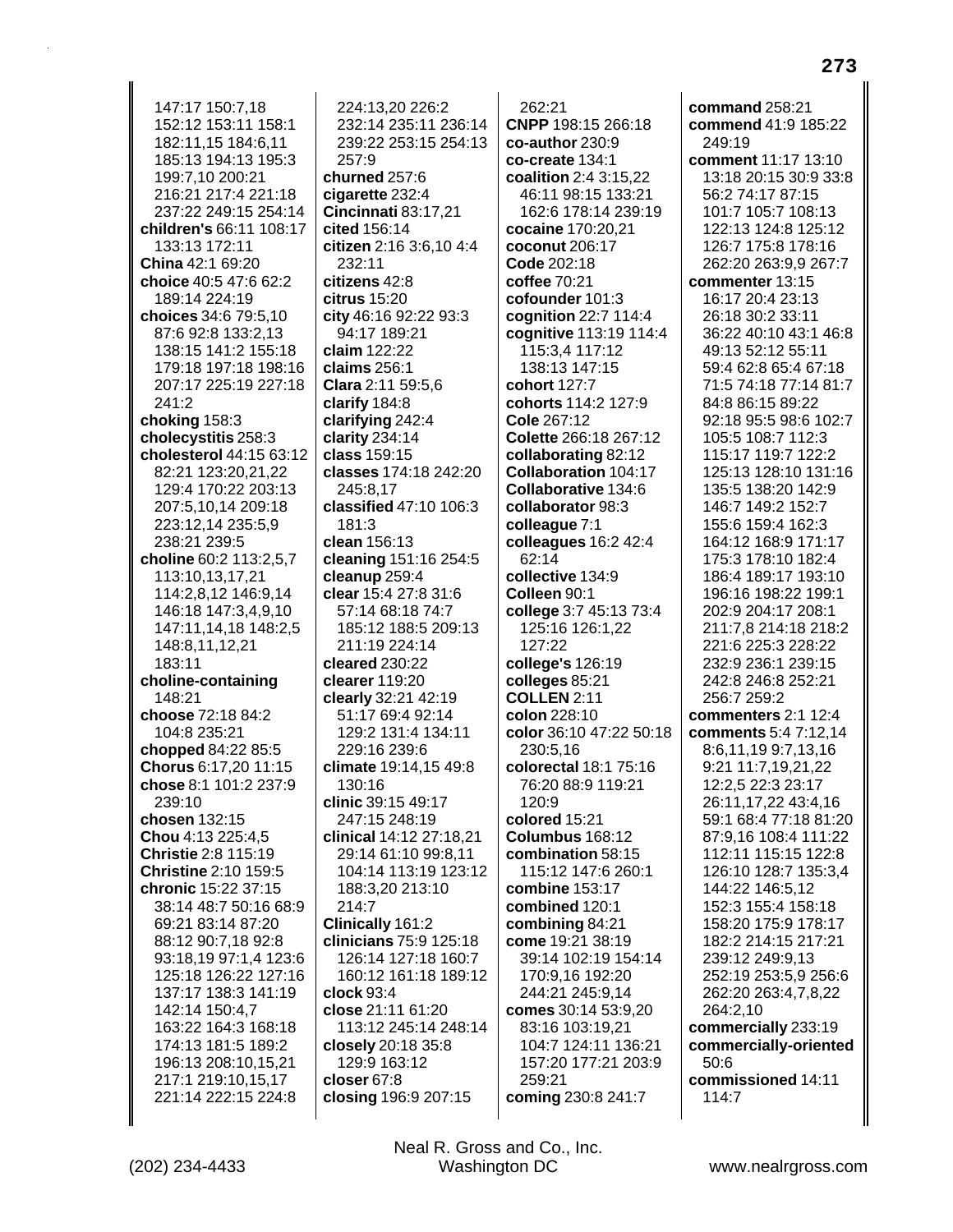147:17 150:7.18 152:12 153:11 158:1 182:11,15 184:6,11 185:13 194:13 195:3 199:7.10 200:21 216:21 217:4 221:18 237:22 249:15 254:14 children's 66:11 108:17 133:13 172:11 China 42:1 69:20 choice 40:5 47:6 62:2 189:14 224:19 choices 34:6 79:5,10 87:6 92:8 133:2.13 138:15 141:2 155:18 179:18 197:18 198:16 207:17 225:19 227:18 241:2 choking 158:3 cholecystitis 258:3 cholesterol 44:15 63:12 82:21 123:20,21,22 129:4 170:22 203:13 207:5,10,14 209:18 223:12,14 235:5,9 238:21 239:5 choline 60:2 113:2.5.7 113:10,13,17,21 114:2,8,12 146:9,14 146:18 147:3,4,9,10 147:11.14.18 148:2.5 148:8,11,12,21 183:11 choline-containing 148:21 choose 72:18 84:2 104:8 235:21 chopped 84:22 85:5 Chorus 6:17,20 11:15 chose 8:1 101:2 237:9  $239:10$ chosen 132:15 Chou 4:13 225:4,5 Christie 2:8 115:19 Christine 2:10 159:5 chronic 15:22 37:15 38:14 48:7 50:16 68:9 69:21 83:14 87:20 88:12 90:7.18 92:8 93:18,19 97:1,4 123:6 125:18 126:22 127:16 137:17 138:3 141:19 142:14 150:4,7 163:22 164:3 168:18 174:13 181:5 189:2 196:13 208:10,15,21 217:1 219:10.15.17 221:14 222:15 224:8

224:13.20 226:2 232:14 235:11 236:14 239:22 253:15 254:13 257:9 churned 257:6 cigarette 232:4 Cincinnati 83:17,21 cited 156:14 citizen 2:16 3:6.10 4:4 232:11 citizens 42:8  $citrus$  15:20 city 46:16 92:22 93:3 94:17 189:21 claim 122:22 claims 256:1 Clara 2:11 59:5,6 clarify 184:8 clarifying 242:4 clarity  $234:14$ class 159:15 classes 174:18 242:20 245:8.17 classified 47:10 106:3  $181:3$ clean 156:13 cleaning 151:16 254:5 cleanup 259:4 **clear** 15:4 27:8 31:6 57:14 68:18 74:7 185:12 188:5 209:13  $211.19224.14$ cleared 230:22 clearer 119:20 clearly 32:21 42:19 51:17 69:4 92:14 129:2 131:4 134:11 229:16 239:6 climate 19:14,15 49:8 130:16 clinic 39:15 49:17 247:15 248:19 clinical 14:12 27:18,21 29:14 61:10 99:8.11 104:14 113:19 123:12 188:3,20 213:10 214:7 Clinically 161:2 clinicians 75:9 125:18 126:14 127:18 160:7 160:12 161:18 189:12 clock 93:4 close 21:11 61:20 113:12 245:14 248:14 closely 20:18 35:8 129:9 163:12 closer 67:8 closing 196:9 207:15

 $262:21$ CNPP 198:15 266:18  $co$ -author  $230:9$ co-create 134:1 coalition 2:4 3:15.22 46:11 98:15 133:21 162:6 178:14 239:19 cocaine 170:20.21 coconut 206:17 Code 202:18 coffee 70:21 cofounder 101:3 cognition 22:7 114:4 cognitive 113:19 114:4 115:3,4 117:12 138:13 147:15 cohort 127:7 cohorts 114:2 127:9 Cole 267:12 Colette 266:18 267:12 collaborating 82:12 **Collaboration 104:17** Collaborative 134:6 collaborator 98:3 colleague 7:1 colleagues 16:2 42:4 62:14 collective 134:9 Colleen 90:1 college 3:7 45:13 73:4 125:16 126:1,22 127:22 college's 126:19 colleges 85:21 **COLLEN 2:11** colon 228:10 color 36:10 47:22 50:18 230:5,16 colorectal 18:1 75:16 76:20 88:9 119:21  $120:9$ colored 15:21 Columbus 168:12 combination 58:15 115:12 147:6 260:1 combine 153:17 combined 120:1 combining 84:21 come 19:21 38:19 39:14 102:19 154:14 170:9,16 192:20 244:21 245:9,14 comes 30:14 53:9,20 83:16 103:19.21 104:7 124:11 136:21 157:20 177:21 203:9 259:21 coming 230:8 241:7

command 258:21 commend 41:9 185:22 249:19 comment 11:17 13:10 13:18 20:15 30:9 33:8 56:2 74:17 87:15 101:7 105:7 108:13 122:13 124:8 125:12 126:7 175:8 178:16 262:20 263:9,9 267:7 commenter 13:15 16:17 20:4 23:13 26:18 30:2 33:11 36:22 40:10 43:1 46:8 49:13 52:12 55:11 59:4 62:8 65:4 67:18 71:5 74:18 77:14 81:7 84:8 86:15 89:22 92:18 95:5 98:6 102:7 105:5 108:7 112:3 115:17 119:7 122:2 125:13 128:10 131:16 135:5 138:20 142:9 146:7 149:2 152:7 155:6 159:4 162:3 164:12 168:9 171:17 175:3 178:10 182:4 186:4 189:17 193:10 196:16 198:22 199:1 202:9 204:17 208:1 211:7.8 214:18 218:2 221:6 225:3 228:22 232:9 236:1 239:15 242:8 246:8 252:21 256:7 259:2 commenters 2:1 12:4 comments 5:4 7:12,14 8:6,11,199:7,13,16 9:21 11:7,19,21,22 12:2.5 22:3 23:17 26:11,17,22 43:4,16 59:1 68:4 77:18 81:20 87:9,16 108:4 111:22 112:11 115:15 122:8 126:10 128:7 135:3,4 144:22 146:5,12 152:3 155:4 158:18 158:20 175:9 178:17 182:2 214:15 217:21 239:12 249:9,13 252:19 253:5,9 256:6 262:20 263:4,7,8,22 264:2,10 commercially 233:19 commercially-oriented  $50:6$ commissioned 14:11 114:7

Neal R. Gross and Co., Inc. **Washington DC**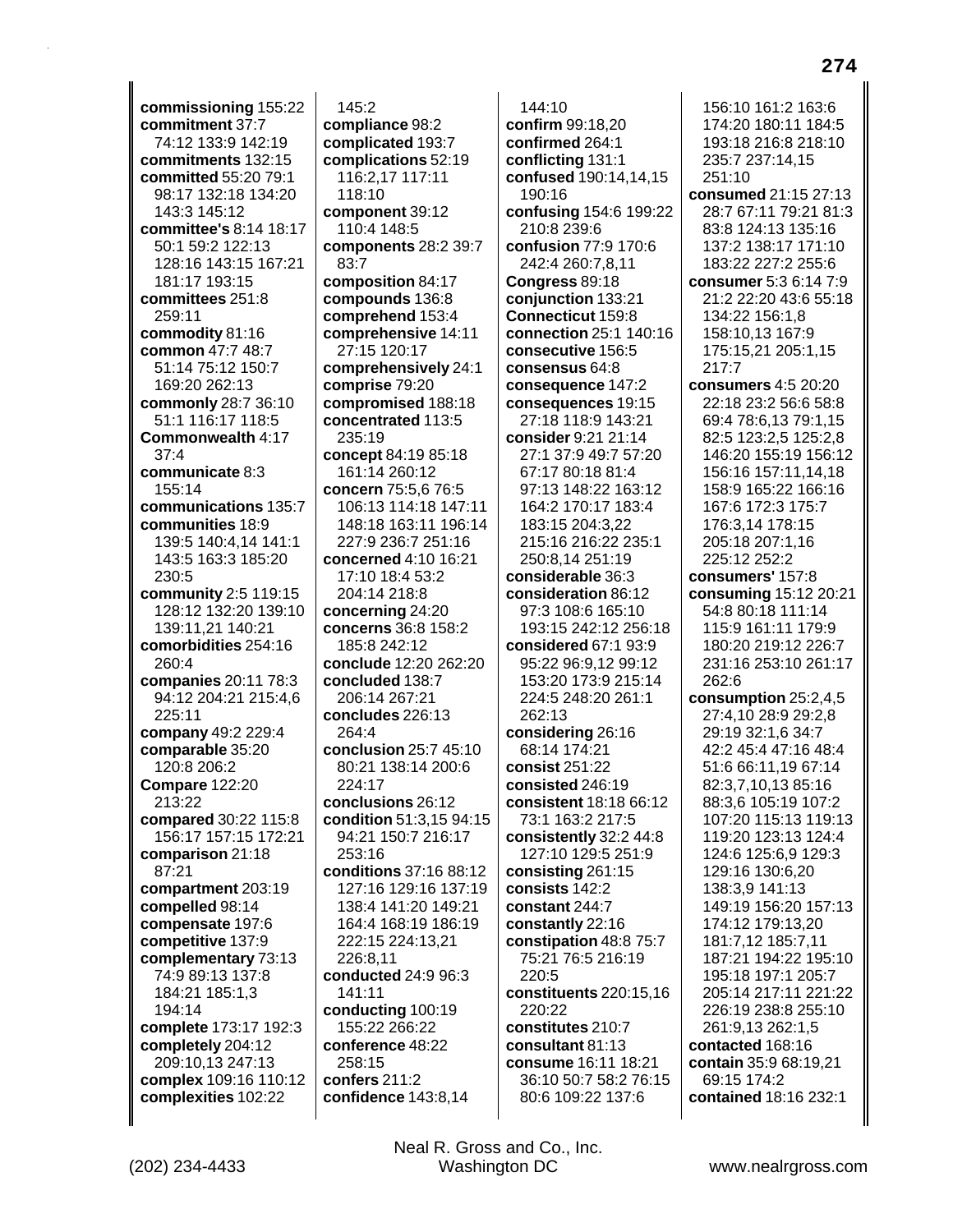**commissioning** 155:22 **commitment** 37:7 74:12 133:9 142:19 **commitments** 132:15 **committed** 55:20 79:1 98:17 132:18 134:20 143:3 145:12 **committee's** 8:14 18:17 50:1 59:2 122:13 128:16 143:15 167:21 181:17 193:15 **committees** 251:8 259:11 **commodity** 81:16 **common** 47:7 48:7 51:14 75:12 150:7 169:20 262:13 **commonly** 28:7 36:10 51:1 116:17 118:5 **Commonwealth** 4:17 37:4 **communicate** 8:3 155:14 **communications** 135:7 **communities** 18:9 139:5 140:4,14 141:1 143:5 163:3 185:20 230:5 **community** 2:5 119:15 128:12 132:20 139:10 139:11,21 140:21 **comorbidities** 254:16 260:4 **companies** 20:11 78:3 94:12 204:21 215:4,6 225:11 **company** 49:2 229:4 **comparable** 35:20 120:8 206:2 **Compare** 122:20 213:22 **compared** 30:22 115:8 156:17 157:15 172:21 **comparison** 21:18 87:21 **compartment** 203:19 **compelled** 98:14 **compensate** 197:6 **competitive** 137:9 **complementary** 73:13 74:9 89:13 137:8 184:21 185:1,3 194:14 **complete** 173:17 192:3 **completely** 204:12 209:10,13 247:13 **complex** 109:16 110:12 **complexities** 102:22

145:2 **compliance** 98:2 **complicated** 193:7 **complications** 52:19 116:2,17 117:11 118:10 **component** 39:12 110:4 148:5 **components** 28:2 39:7 83:7 **composition** 84:17 **compounds** 136:8 **comprehend** 153:4 **comprehensive** 14:11 27:15 120:17 **comprehensively** 24:1 **comprise** 79:20 **compromised** 188:18 **concentrated** 113:5 235:19 **concept** 84:19 85:18 161:14 260:12 **concern** 75:5,6 76:5 106:13 114:18 147:11 148:18 163:11 196:14 227:9 236:7 251:16 **concerned** 4:10 16:21 17:10 18:4 53:2 204:14 218:8 **concerning** 24:20 **concerns** 36:8 158:2 185:8 242:12 **conclude** 12:20 262:20 **concluded** 138:7 206:14 267:21 **concludes** 226:13 264:4 **conclusion** 25:7 45:10 80:21 138:14 200:6 224:17 **conclusions** 26:12 **condition** 51:3,15 94:15 94:21 150:7 216:17 253:16 **conditions** 37:16 88:12 127:16 129:16 137:19 138:4 141:20 149:21 164:4 168:19 186:19 222:15 224:13,21 226:8,11 **conducted** 24:9 96:3 141:11 **conducting** 100:19 155:22 266:22 **conference** 48:22 258:15 **confers** 211:2 **confidence** 143:8,14

144:10 **confirm** 99:18,20 **confirmed** 264:1 **conflicting** 131:1 **confused** 190:14,14,15 190:16 **confusing** 154:6 199:22 210:8 239:6 **confusion** 77:9 170:6 242:4 260:7,8,11 **Congress** 89:18 **conjunction** 133:21 **Connecticut** 159:8 **connection** 25:1 140:16 **consecutive** 156:5 **consensus** 64:8 **consequence** 147:2 **consequences** 19:15 27:18 118:9 143:21 **consider** 9:21 21:14 27:1 37:9 49:7 57:20 67:17 80:18 81:4 97:13 148:22 163:12 164:2 170:17 183:4 183:15 204:3,22 215:16 216:22 235:1 250:8,14 251:19 **considerable** 36:3 **consideration** 86:12 97:3 108:6 165:10 193:15 242:12 256:18 **considered** 67:1 93:9 95:22 96:9,12 99:12 153:20 173:9 215:14 224:5 248:20 261:1 262:13 **considering** 26:16 68:14 174:21 **consist** 251:22 **consisted** 246:19 **consistent** 18:18 66:12 73:1 163:2 217:5 **consistently** 32:2 44:8 127:10 129:5 251:9 **consisting** 261:15 **consists** 142:2 **constant** 244:7 **constantly** 22:16 **constipation** 48:8 75:7 75:21 76:5 216:19 220:5 **constituents** 220:15,16 220:22 **constitutes** 210:7 **consultant** 81:13 **consume** 16:11 18:21 36:10 50:7 58:2 76:15 80:6 109:22 137:6

156:10 161:2 163:6 174:20 180:11 184:5 193:18 216:8 218:10 235:7 237:14,15 251:10 **consumed** 21:15 27:13 28:7 67:11 79:21 81:3 83:8 124:13 135:16 137:2 138:17 171:10 183:22 227:2 255:6 **consumer** 5:3 6:14 7:9 21:2 22:20 43:6 55:18 134:22 156:1,8 158:10,13 167:9 175:15,21 205:1,15 217:7 **consumers** 4:5 20:20 22:18 23:2 56:6 58:8 69:4 78:6,13 79:1,15 82:5 123:2,5 125:2,8 146:20 155:19 156:12 156:16 157:11,14,18 158:9 165:22 166:16 167:6 172:3 175:7 176:3,14 178:15 205:18 207:1,16 225:12 252:2 **consumers'** 157:8 **consuming** 15:12 20:21 54:8 80:18 111:14 115:9 161:11 179:9 180:20 219:12 226:7 231:16 253:10 261:17 262:6 **consumption** 25:2,4,5 27:4,10 28:9 29:2,8 29:19 32:1,6 34:7 42:2 45:4 47:16 48:4 51:6 66:11,19 67:14 82:3,7,10,13 85:16 88:3,6 105:19 107:2 107:20 115:13 119:13 119:20 123:13 124:4 124:6 125:6,9 129:3 129:16 130:6,20 138:3,9 141:13 149:19 156:20 157:13 174:12 179:13,20 181:7,12 185:7,11 187:21 194:22 195:10 195:18 197:1 205:7 205:14 217:11 221:22 226:19 238:8 255:10 261:9,13 262:1,5 **contacted** 168:16 **contain** 35:9 68:19,21 69:15 174:2 **contained** 18:16 232:1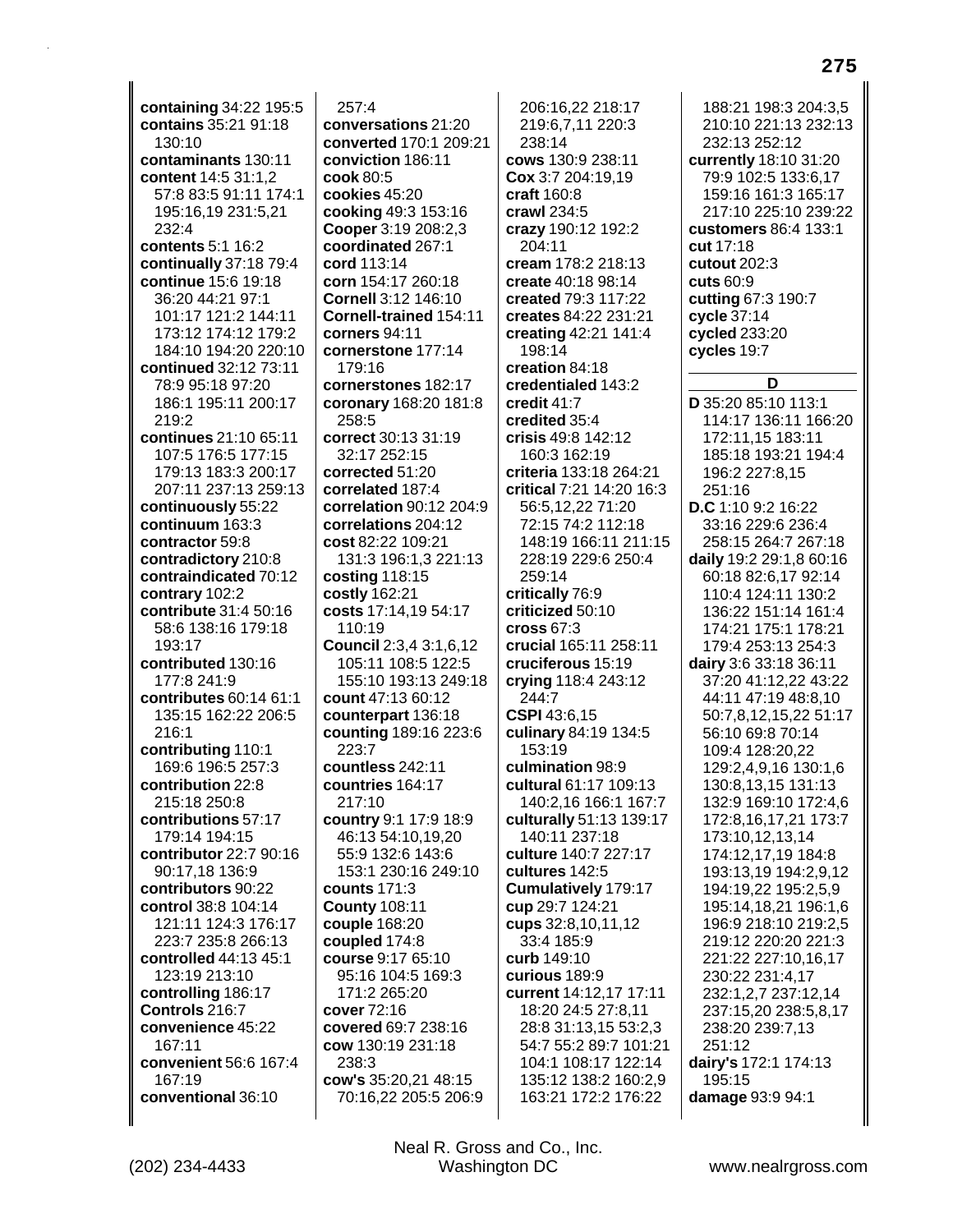**containing** 34:22 195:5 **contains** 35:21 91:18 130:10 **contaminants** 130:11 **content** 14:5 31:1,2 57:8 83:5 91:11 174:1 195:16,19 231:5,21 232:4 **contents** 5:1 16:2 **continually** 37:18 79:4 **continue** 15:6 19:18 36:20 44:21 97:1 101:17 121:2 144:11 173:12 174:12 179:2 184:10 194:20 220:10 **continued** 32:12 73:11 78:9 95:18 97:20 186:1 195:11 200:17 219:2 **continues** 21:10 65:11 107:5 176:5 177:15 179:13 183:3 200:17 207:11 237:13 259:13 **continuously** 55:22 **continuum** 163:3 **contractor** 59:8 **contradictory** 210:8 **contraindicated** 70:12 **contrary** 102:2 **contribute** 31:4 50:16 58:6 138:16 179:18 193:17 **contributed** 130:16 177:8 241:9 **contributes** 60:14 61:1 135:15 162:22 206:5 216:1 **contributing** 110:1 169:6 196:5 257:3 **contribution** 22:8 215:18 250:8 **contributions** 57:17 179:14 194:15 **contributor** 22:7 90:16 90:17,18 136:9 **contributors** 90:22 **control** 38:8 104:14 121:11 124:3 176:17 223:7 235:8 266:13 **controlled** 44:13 45:1 123:19 213:10 **controlling** 186:17 **Controls** 216:7 **convenience** 45:22 167:11 **convenient** 56:6 167:4 167:19 **conventional** 36:10

257:4 **conversations** 21:20 **converted** 170:1 209:21 **conviction** 186:11 **cook** 80:5 **cookies** 45:20 **cooking** 49:3 153:16 **Cooper** 3:19 208:2,3 **coordinated** 267:1 **cord** 113:14 **corn** 154:17 260:18 **Cornell** 3:12 146:10 **Cornell-trained** 154:11 **corners** 94:11 **cornerstone** 177:14 179:16 **cornerstones** 182:17 **coronary** 168:20 181:8 258:5 **correct** 30:13 31:19 32:17 252:15 **corrected** 51:20 **correlated** 187:4 **correlation** 90:12 204:9 **correlations** 204:12 **cost** 82:22 109:21 131:3 196:1,3 221:13 **costing** 118:15 **costly** 162:21 **costs** 17:14,19 54:17 110:19 **Council** 2:3,4 3:1,6,12 105:11 108:5 122:5 155:10 193:13 249:18 **count** 47:13 60:12 **counterpart** 136:18 **counting** 189:16 223:6 223:7 **countless** 242:11 **countries** 164:17 217:10 **country** 9:1 17:9 18:9 46:13 54:10,19,20 55:9 132:6 143:6 153:1 230:16 249:10 **counts** 171:3 **County** 108:11 **couple** 168:20 **coupled** 174:8 **course** 9:17 65:10 95:16 104:5 169:3 171:2 265:20 **cover** 72:16 **covered** 69:7 238:16 **cow** 130:19 231:18 238:3 **cow's** 35:20,21 48:15 70:16,22 205:5 206:9

206:16,22 218:17 219:6,7,11 220:3 238:14 **cows** 130:9 238:11 **Cox** 3:7 204:19,19 **craft** 160:8 **crawl** 234:5 **crazy** 190:12 192:2 204:11 **cream** 178:2 218:13 **create** 40:18 98:14 **created** 79:3 117:22 **creates** 84:22 231:21 **creating** 42:21 141:4 198:14 **creation** 84:18 **credentialed** 143:2 **credit** 41:7 **credited** 35:4 **crisis** 49:8 142:12 160:3 162:19 **criteria** 133:18 264:21 **critical** 7:21 14:20 16:3 56:5,12,22 71:20 72:15 74:2 112:18 148:19 166:11 211:15 228:19 229:6 250:4 259:14 **critically** 76:9 **criticized** 50:10 **cross** 67:3 **crucial** 165:11 258:11 **cruciferous** 15:19 **crying** 118:4 243:12 244:7 **CSPI** 43:6,15 **culinary** 84:19 134:5 153:19 **culmination** 98:9 **cultural** 61:17 109:13 140:2,16 166:1 167:7 **culturally** 51:13 139:17 140:11 237:18 **culture** 140:7 227:17 **cultures** 142:5 **Cumulatively** 179:17 **cup** 29:7 124:21 **cups** 32:8,10,11,12 33:4 185:9 **curb** 149:10 **curious** 189:9 **current** 14:12,17 17:11 18:20 24:5 27:8,11 28:8 31:13,15 53:2,3 54:7 55:2 89:7 101:21 104:1 108:17 122:14 135:12 138:2 160:2,9 163:21 172:2 176:22

188:21 198:3 204:3,5 210:10 221:13 232:13 232:13 252:12 **currently** 18:10 31:20 79:9 102:5 133:6,17 159:16 161:3 165:17 217:10 225:10 239:22 **customers** 86:4 133:1 **cut** 17:18 **cutout** 202:3 **cuts** 60:9 **cutting** 67:3 190:7 **cycle** 37:14 **cycled** 233:20 **cycles** 19:7 **D D** 35:20 85:10 113:1 114:17 136:11 166:20 172:11,15 183:11 185:18 193:21 194:4 196:2 227:8,15 251:16 **D.C** 1:10 9:2 16:22 33:16 229:6 236:4 258:15 264:7 267:18 **daily** 19:2 29:1,8 60:16 60:18 82:6,17 92:14 110:4 124:11 130:2 136:22 151:14 161:4 174:21 175:1 178:21 179:4 253:13 254:3 **dairy** 3:6 33:18 36:11 37:20 41:12,22 43:22 44:11 47:19 48:8,10 50:7,8,12,15,22 51:17 56:10 69:8 70:14 109:4 128:20,22 129:2,4,9,16 130:1,6 130:8,13,15 131:13 132:9 169:10 172:4,6 172:8,16,17,21 173:7 173:10,12,13,14 174:12,17,19 184:8 193:13,19 194:2,9,12 194:19,22 195:2,5,9 195:14,18,21 196:1,6 196:9 218:10 219:2,5 219:12 220:20 221:3 221:22 227:10,16,17 230:22 231:4,17 232:1,2,7 237:12,14 237:15,20 238:5,8,17 238:20 239:7,13 251:12 **dairy's** 172:1 174:13 195:15 **damage** 93:9 94:1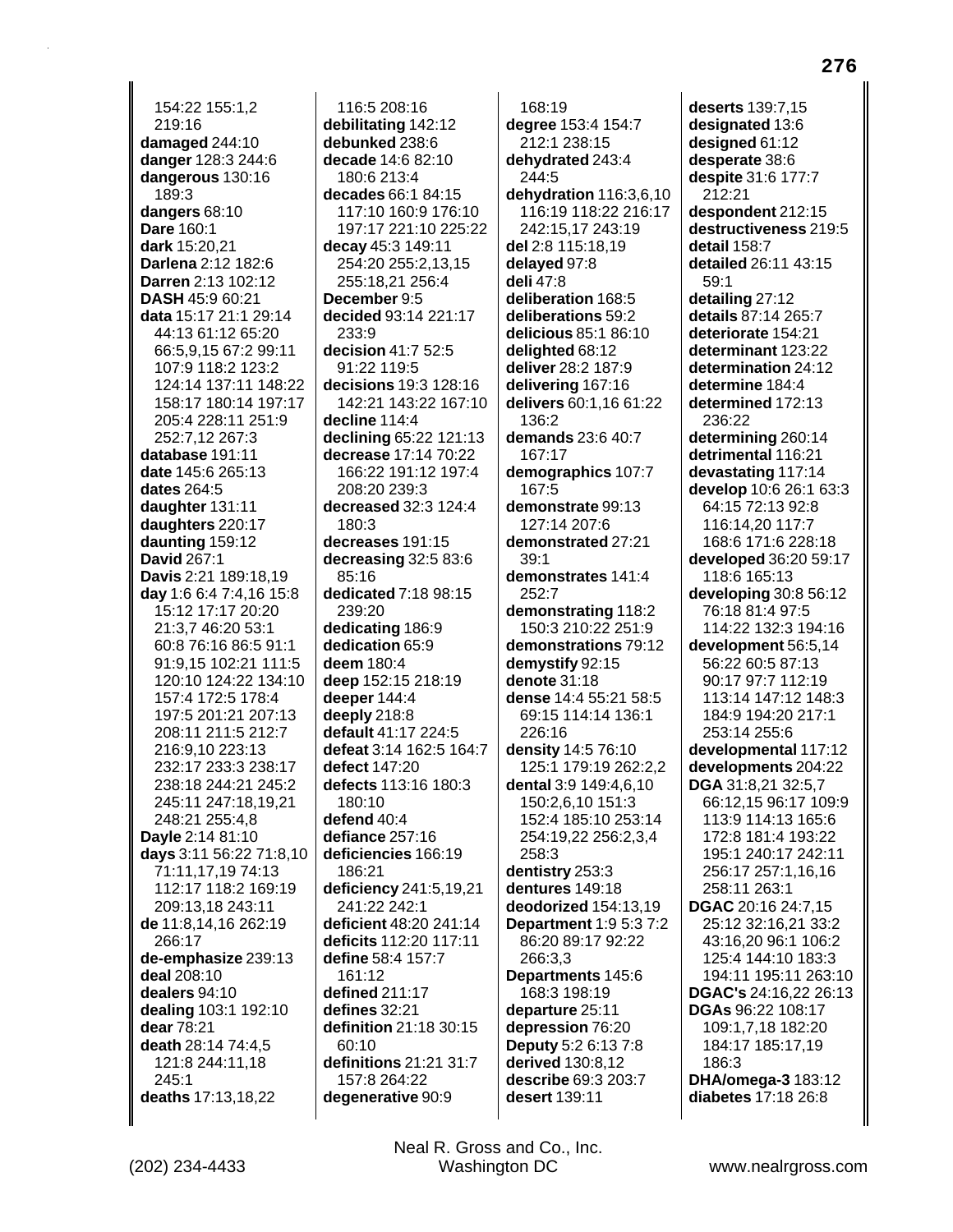154:22 155:1,2 219:16 damaged 244:10 danger 128:3 244:6 dangerous 130:16 189:3 dangers 68:10 Dare 160:1 dark 15:20.21 Darlena 2:12 182:6 Darren 2:13 102:12 **DASH 45:9 60:21** data 15:17 21:1 29:14 44:13 61:12 65:20 66:5,9,15 67:2 99:11 107:9 118:2 123:2 124:14 137:11 148:22 158:17 180:14 197:17 205:4 228:11 251:9 252:7,12 267:3 database 191:11 date 145:6 265:13 dates 264:5 daughter 131:11 daughters 220:17 daunting 159:12 **David 267:1** Davis 2:21 189:18,19 **day** 1:6 6:4 7:4,16 15:8 15:12 17:17 20:20 21:3.7 46:20 53:1 60:8 76:16 86:5 91:1 91:9,15 102:21 111:5 120:10 124:22 134:10 157:4 172:5 178:4 197:5 201:21 207:13 208:11 211:5 212:7 216:9,10 223:13 232:17 233:3 238:17 238:18 244:21 245:2 245:11 247:18,19,21 248:21 255:4,8 Dayle 2:14 81:10 days 3:11 56:22 71:8,10 71:11,17,19 74:13 112:17 118:2 169:19 209:13.18 243:11 de 11:8,14,16 262:19 266:17 de-emphasize 239:13 deal 208:10 dealers 94:10 dealing 103:1 192:10 dear 78:21 death 28:14 74:4,5 121:8 244:11,18 245:1 deaths 17:13,18,22

116:5 208:16 debilitating 142:12 debunked 238:6 decade 14:6 82:10 180:6 213:4 decades 66:1 84:15 117:10 160:9 176:10 197:17 221:10 225:22 decay 45:3 149:11 254:20 255:2,13,15 255:18,21 256:4 December 9:5 decided 93:14 221:17 233:9 decision 41:7 52:5 91:22 119:5 decisions 19:3 128:16 142:21 143:22 167:10 decline 114:4 declining 65:22 121:13 decrease 17:14 70:22 166:22 191:12 197:4 208:20 239:3 decreased 32:3 124:4  $180:3$ decreases 191:15 decreasing 32:5 83:6 85:16 dedicated 7:18 98:15 239:20 dedicating 186:9 dedication 65:9 deem 180:4 deep 152:15 218:19 deeper 144:4 deeply 218:8 default 41:17 224:5 defeat 3:14 162:5 164:7 defect 147:20 defects 113:16 180:3  $180:10$ defend 40:4 defiance 257:16 deficiencies 166:19 186:21 deficiency 241:5,19,21 241:22 242:1 deficient 48:20 241:14 deficits 112:20 117:11 define 58:4 157:7 161:12 defined 211:17 defines  $32:21$ definition 21:18 30:15 60:10 definitions 21:21 31:7 157:8 264:22 degenerative 90:9

168:19 degree 153:4 154:7 212:1 238:15 dehydrated 243:4 244:5 dehydration 116:3,6,10 116:19 118:22 216:17 242:15,17 243:19 del 2:8 115:18,19 delayed 97:8 deli 47:8 deliberation 168:5 deliberations 59:2 delicious 85:1 86:10 delighted 68:12 deliver 28:2 187:9 delivering 167:16 delivers 60:1,16 61:22 136:2 demands 23:6 40:7 167:17 demographics 107:7 167:5 demonstrate 99:13 127:14 207:6 demonstrated 27:21  $39:1$ demonstrates 141:4 252:7 demonstrating 118:2 150:3 210:22 251:9 demonstrations 79:12 demystify 92:15 denote  $31:18$ dense 14:4 55:21 58:5 69:15 114:14 136:1 226:16 density 14:5 76:10 125:1 179:19 262:2.2 dental 3:9 149:4,6,10 150:2,6,10 151:3 152:4 185:10 253:14 254:19,22 256:2,3,4 258:3 dentistry 253:3 dentures 149:18 deodorized 154:13,19 **Department 1:9 5:3 7:2** 86:20 89:17 92:22 266:3.3 Departments 145:6 168:3 198:19 departure 25:11 depression 76:20 **Deputy 5:2 6:13 7:8** derived 130:8,12 describe 69:3 203:7 desert 139:11

Neal R. Gross and Co., Inc.

Washington DC

deserts 139:7.15 designated 13:6 designed 61:12 desperate 38:6 despite 31:6 177:7 212:21 despondent 212:15 destructiveness 219:5 detail 158:7 detailed 26:11 43:15  $59:1$ detailing 27:12 details 87:14 265:7 deteriorate 154:21 determinant 123:22 determination 24:12 determine 184:4 determined 172:13 236:22 determining 260:14 detrimental 116:21 devastating 117:14 develop 10:6 26:1 63:3 64:15 72:13 92:8 116:14.20 117:7 168:6 171:6 228:18 developed 36:20 59:17 118:6 165:13 developing  $30:856:12$ 76:18 81:4 97:5 114:22 132:3 194:16 development 56:5,14 56:22 60:5 87:13 90:17 97:7 112:19 113:14 147:12 148:3 184:9 194:20 217:1 253:14 255:6 developmental 117:12 developments 204:22 DGA 31:8,21 32:5,7 66:12,15 96:17 109:9 113:9 114:13 165:6 172:8 181:4 193:22 195:1 240:17 242:11 256:17 257:1,16,16 258:11 263:1 DGAC 20:16 24:7,15 25:12 32:16,21 33:2 43:16.20 96:1 106:2 125:4 144:10 183:3 194:11 195:11 263:10 DGAC's 24:16,22 26:13 DGAs 96:22 108:17 109:1,7,18 182:20 184:17 185:17,19 186:3 DHA/omega-3 183:12 diabetes 17:18 26:8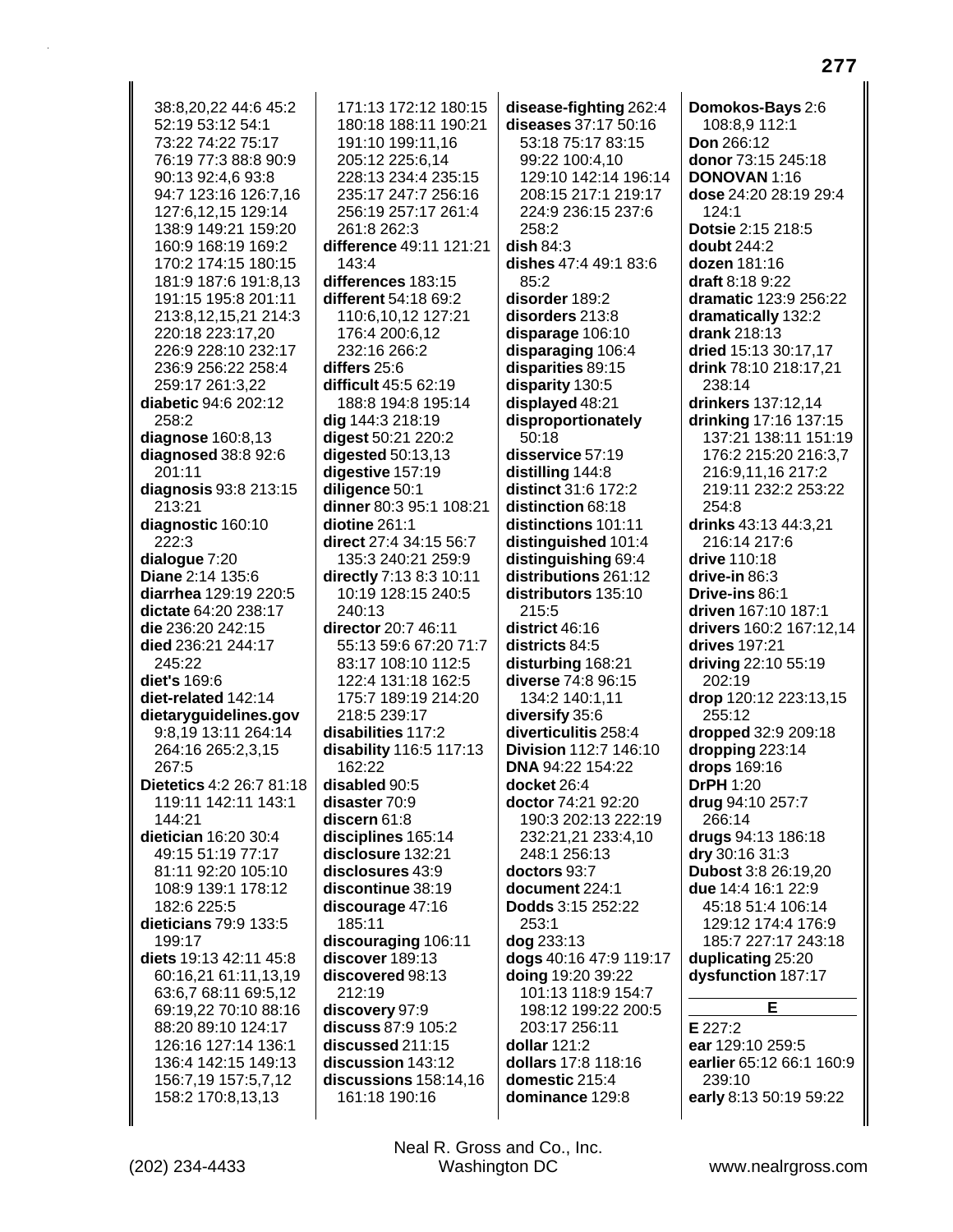| 38:8,20,22 44:6 45:2            | 171:13 172:12 180:15      | disease-fighting 262:4                 | Domokos-Bays 2:6            |
|---------------------------------|---------------------------|----------------------------------------|-----------------------------|
| 52:19 53:12 54:1                | 180:18 188:11 190:21      | diseases 37:17 50:16                   | 108:8,9 112:1               |
| 73:22 74:22 75:17               | 191:10 199:11,16          | 53:18 75:17 83:15                      | <b>Don</b> 266:12           |
| 76:19 77:3 88:8 90:9            | 205:12 225:6,14           | 99:22 100:4,10                         | donor 73:15 245:18          |
| 90:13 92:4,6 93:8               | 228:13 234:4 235:15       | 129:10 142:14 196:14                   | <b>DONOVAN 1:16</b>         |
| 94:7 123:16 126:7,16            | 235:17 247:7 256:16       | 208:15 217:1 219:17                    | dose 24:20 28:19 29:4       |
| 127:6,12,15 129:14              | 256:19 257:17 261:4       | 224:9 236:15 237:6                     | 124:1                       |
| 138:9 149:21 159:20             | 261:8 262:3               | 258:2                                  | Dotsie 2:15 218:5           |
| 160:9 168:19 169:2              | difference 49:11 121:21   | dish 84:3                              | <b>doubt</b> 244:2          |
| 170:2 174:15 180:15             | 143:4                     | dishes 47:4 49:1 83:6                  | dozen 181:16                |
| 181:9 187:6 191:8,13            | differences 183:15        | 85:2                                   | draft 8:18 9:22             |
| 191:15 195:8 201:11             | different 54:18 69:2      | disorder 189:2                         | dramatic 123:9 256:22       |
| 213:8,12,15,21 214:3            | 110:6,10,12 127:21        | disorders 213:8                        | dramatically 132:2          |
| 220:18 223:17,20                | 176:4 200:6,12            | disparage 106:10                       | drank 218:13                |
| 226:9 228:10 232:17             | 232:16 266:2              | disparaging 106:4                      | dried 15:13 30:17,17        |
| 236:9 256:22 258:4              | differs 25:6              | disparities 89:15                      | drink 78:10 218:17,21       |
| 259:17 261:3,22                 | difficult 45:5 62:19      | disparity 130:5                        | 238:14                      |
| diabetic 94:6 202:12            | 188:8 194:8 195:14        | displayed 48:21                        | drinkers 137:12,14          |
| 258:2                           | dig 144:3 218:19          | disproportionately                     | drinking 17:16 137:15       |
| diagnose 160:8,13               | digest 50:21 220:2        | 50:18                                  | 137:21 138:11 151:19        |
| diagnosed 38:8 92:6             | digested 50:13,13         | disservice 57:19                       | 176:2 215:20 216:3,7        |
| 201:11                          | digestive 157:19          | distilling 144:8                       | 216:9,11,16 217:2           |
| diagnosis 93:8 213:15           | diligence 50:1            | distinct 31:6 172:2                    | 219:11 232:2 253:22         |
| 213:21                          | dinner 80:3 95:1 108:21   | distinction 68:18                      | 254:8                       |
| diagnostic 160:10               | divine 261:1              | distinctions 101:11                    | drinks 43:13 44:3,21        |
| 222:3                           | direct 27:4 34:15 56:7    | distinguished 101:4                    | 216:14 217:6                |
| dialogue 7:20                   | 135:3 240:21 259:9        | distinguishing 69:4                    | drive 110:18                |
| Diane 2:14 135:6                | directly 7:13 8:3 10:11   | distributions 261:12                   | drive-in 86:3               |
| diarrhea 129:19 220:5           | 10:19 128:15 240:5        | distributors 135:10                    | Drive-ins 86:1              |
| dictate 64:20 238:17            | 240:13                    | 215:5                                  | driven 167:10 187:1         |
| die 236:20 242:15               | director 20:7 46:11       | district 46:16                         | drivers 160:2 167:12,14     |
| died 236:21 244:17              | 55:13 59:6 67:20 71:7     | districts 84:5                         | drives 197:21               |
| 245:22                          | 83:17 108:10 112:5        | disturbing 168:21                      | driving 22:10 55:19         |
| diet's 169:6                    | 122:4 131:18 162:5        | diverse 74:8 96:15                     | 202:19                      |
| diet-related 142:14             | 175:7 189:19 214:20       | 134:2 140:1,11                         | drop 120:12 223:13,15       |
| dietaryguidelines.gov           | 218:5 239:17              | diversify 35:6                         | 255:12                      |
| 9:8,19 13:11 264:14             | disabilities 117:2        | diverticulitis 258:4                   | dropped 32:9 209:18         |
| 264:16 265:2,3,15<br>267:5      | disability 116:5 117:13   | Division 112:7 146:10                  | dropping 223:14             |
| <b>Dietetics 4:2 26:7 81:18</b> | 162:22<br>disabled $90.5$ | <b>DNA 94:22 154:22</b><br>docket 26:4 | drops 169:16<br>DrPH $1:20$ |
| 119:11 142:11 143:1             | disaster 70:9             | doctor 74:21 92:20                     |                             |
| 144:21                          | discern 61:8              | 190:3 202:13 222:19                    | drug 94:10 257:7<br>266:14  |
| dietician 16:20 30:4            | disciplines 165:14        | 232:21,21 233:4,10                     | drugs 94:13 186:18          |
| 49:15 51:19 77:17               | disclosure 132:21         | 248:1 256:13                           | dry 30:16 31:3              |
| 81:11 92:20 105:10              | disclosures 43:9          | doctors 93:7                           | <b>Dubost 3:8 26:19,20</b>  |
| 108:9 139:1 178:12              | discontinue 38:19         | document 224:1                         | due 14:4 16:1 22:9          |
| 182:6 225:5                     | discourage 47:16          | <b>Dodds</b> 3:15 252:22               | 45:18 51:4 106:14           |
| dieticians 79:9 133:5           | 185:11                    | 253:1                                  | 129:12 174:4 176:9          |
| 199:17                          | discouraging 106:11       | dog 233:13                             | 185:7 227:17 243:18         |
| diets 19:13 42:11 45:8          | discover 189:13           | dogs 40:16 47:9 119:17                 | duplicating 25:20           |
| 60:16,21 61:11,13,19            | discovered 98:13          | doing 19:20 39:22                      | dysfunction 187:17          |
| 63:6,7 68:11 69:5,12            | 212:19                    | 101:13 118:9 154:7                     |                             |
| 69:19,22 70:10 88:16            | discovery 97:9            | 198:12 199:22 200:5                    | E                           |
| 88:20 89:10 124:17              | discuss 87:9 105:2        | 203:17 256:11                          | E 227:2                     |
| 126:16 127:14 136:1             | discussed 211:15          | <b>dollar</b> 121:2                    | ear 129:10 259:5            |
| 136:4 142:15 149:13             | discussion 143:12         | dollars 17:8 118:16                    | earlier 65:12 66:1 160:9    |
| 156:7,19 157:5,7,12             | discussions 158:14,16     | domestic 215:4                         | 239:10                      |
| 158:2 170:8,13,13               | 161:18 190:16             | dominance 129:8                        | early 8:13 50:19 59:22      |
|                                 |                           |                                        |                             |

║

Neal R. Gross and Co., Inc.<br>Washington DC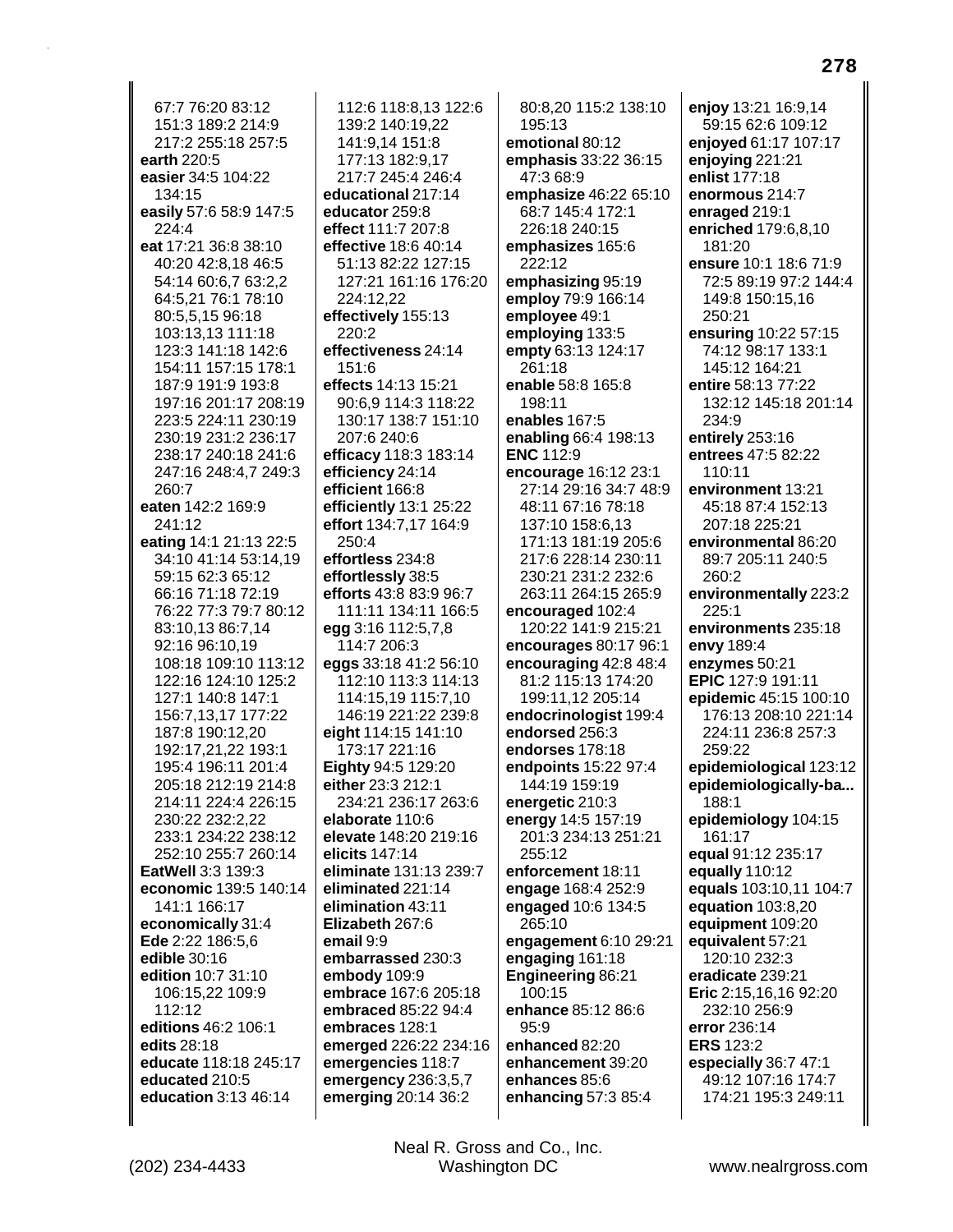67:7 76:20 83:12 151:3 189:2 214:9 217:2 255:18 257:5 earth 220:5 easier 34:5 104:22 134:15 easily 57:6 58:9 147:5 224:4 eat 17:21 36:8 38:10 40:20 42:8,18 46:5 54:14 60:6,7 63:2,2 64:5,21 76:1 78:10 80:5,5,15 96:18 103:13.13 111:18 123:3 141:18 142:6 154:11 157:15 178:1 187:9 191:9 193:8 197:16 201:17 208:19 223:5 224:11 230:19 230:19 231:2 236:17 238:17 240:18 241:6 247:16 248:4,7 249:3 260:7 eaten 142:2 169:9 241:12 eating 14:1 21:13 22:5 34:10 41:14 53:14,19 59:15 62:3 65:12 66:16 71:18 72:19 76:22 77:3 79:7 80:12 83:10,13 86:7,14 92:16 96:10.19 108:18 109:10 113:12 122:16 124:10 125:2 127:1 140:8 147:1 156:7,13,17 177:22 187:8 190:12,20 192:17,21,22 193:1 195:4 196:11 201:4 205:18 212:19 214:8 214:11 224:4 226:15 230:22 232:2,22 233:1 234:22 238:12 252:10 255:7 260:14 EatWell 3:3 139:3 economic 139:5 140:14 141:1 166:17 economically 31:4 Ede 2:22 186:5.6 edible 30:16 edition 10:7 31:10 106:15,22 109:9 112:12 editions 46:2 106:1 edits 28:18 educate 118:18 245:17 educated 210:5 education 3:13 46:14

112:6 118:8 13 122:6 139:2 140:19,22 141:9,14 151:8 177:13 182:9,17 217:7 245:4 246:4 educational 217:14 educator 259:8 effect 111:7 207:8 effective 18:6 40:14 51:13 82:22 127:15 127:21 161:16 176:20 224:12,22 effectively 155:13  $220:2$ effectiveness 24:14  $151.6$ effects 14:13 15:21 90:6,9 114:3 118:22 130:17 138:7 151:10 207:6 240:6 efficacy 118:3 183:14 efficiency 24:14 efficient 166:8 efficiently 13:1 25:22 effort 134:7.17 164:9 250:4 effortless 234:8 effortlessly 38:5 efforts 43:8 83:9 96:7 111:11 134:11 166:5 egg 3:16 112:5.7.8 114:7 206:3 eggs 33:18 41:2 56:10 112:10 113:3 114:13 114:15,19 115:7,10 146:19 221:22 239:8 eight 114:15 141:10 173:17 221:16 Eighty 94:5 129:20 either 23:3 212:1 234:21 236:17 263:6 elaborate 110:6 elevate 148:20 219:16 elicits 147:14 eliminate 131:13 239:7 eliminated 221:14 elimination 43:11 Elizabeth 267:6 email 9:9 embarrassed 230:3 embody 109:9 embrace 167:6 205:18 embraced 85:22 94:4 embraces 128:1 emerged 226:22 234:16 emergencies 118:7 emergency 236:3,5,7 emerging 20:14 36:2

80:8.20 115:2 138:10 195:13 emotional 80:12 emphasis 33:22 36:15 47:3 68:9 emphasize 46:22 65:10 68:7 145:4 172:1 226:18 240:15 emphasizes 165:6 222:12 emphasizing 95:19 employ 79:9 166:14 employee 49:1 employing 133:5 empty 63:13 124:17 261:18 enable 58:8 165:8 198:11 enables 167:5 enabling 66:4 198:13 **ENC 112:9** encourage 16:12 23:1 27:14 29:16 34:7 48:9 48:11 67:16 78:18 137:10 158:6.13 171:13 181:19 205:6 217:6 228:14 230:11 230:21 231:2 232:6 263:11 264:15 265:9 encouraged 102:4 120:22 141:9 215:21 encourages 80:17 96:1 encouraging 42:8 48:4 81:2 115:13 174:20 199:11.12 205:14 endocrinologist 199:4 endorsed 256:3 endorses 178:18 endpoints 15:22 97:4 144:19 159:19 energetic 210:3 energy 14:5 157:19 201:3 234:13 251:21 255:12 enforcement 18:11 engage 168:4 252:9 engaged 10:6 134:5 265:10 engagement 6:10 29:21 engaging 161:18 **Engineering 86:21** 100:15 enhance 85:12 86:6  $95:9$ enhanced 82:20 enhancement 39:20 enhances 85:6 enhancing 57:3 85:4

enjoy 13:21 16:9,14 59:15 62:6 109:12 enjoyed 61:17 107:17 enjoying 221:21 enlist 177:18 enormous 214:7 enraged 219:1 enriched 179:6,8,10 181:20 ensure 10:1 18:6 71:9 72:5 89:19 97:2 144:4 149:8 150:15,16 250:21 ensuring 10:22 57:15 74:12 98:17 133:1 145:12 164:21 entire 58:13 77:22 132:12 145:18 201:14 234:9 entirely 253:16 entrees 47:5 82:22 110:11 environment 13:21 45:18 87:4 152:13 207:18 225:21 environmental 86:20 89:7 205:11 240:5 260:2 environmentally 223:2  $225:1$ environments 235:18 envy 189:4 enzymes 50:21 EPIC 127:9 191:11 epidemic 45:15 100:10 176:13 208:10 221:14 224:11 236:8 257:3 259:22 epidemiological 123:12 epidemiologically-ba... 188:1 epidemiology 104:15 161:17 equal 91:12 235:17 equally 110:12 equals 103:10,11 104:7 **equation** 103:8,20 equipment 109:20 equivalent 57:21 120:10 232:3 eradicate 239:21 Eric 2:15,16,16 92:20 232:10 256:9 error 236:14 **ERS 123:2** especially 36:7 47:1 49:12 107:16 174:7 174:21 195:3 249:11

278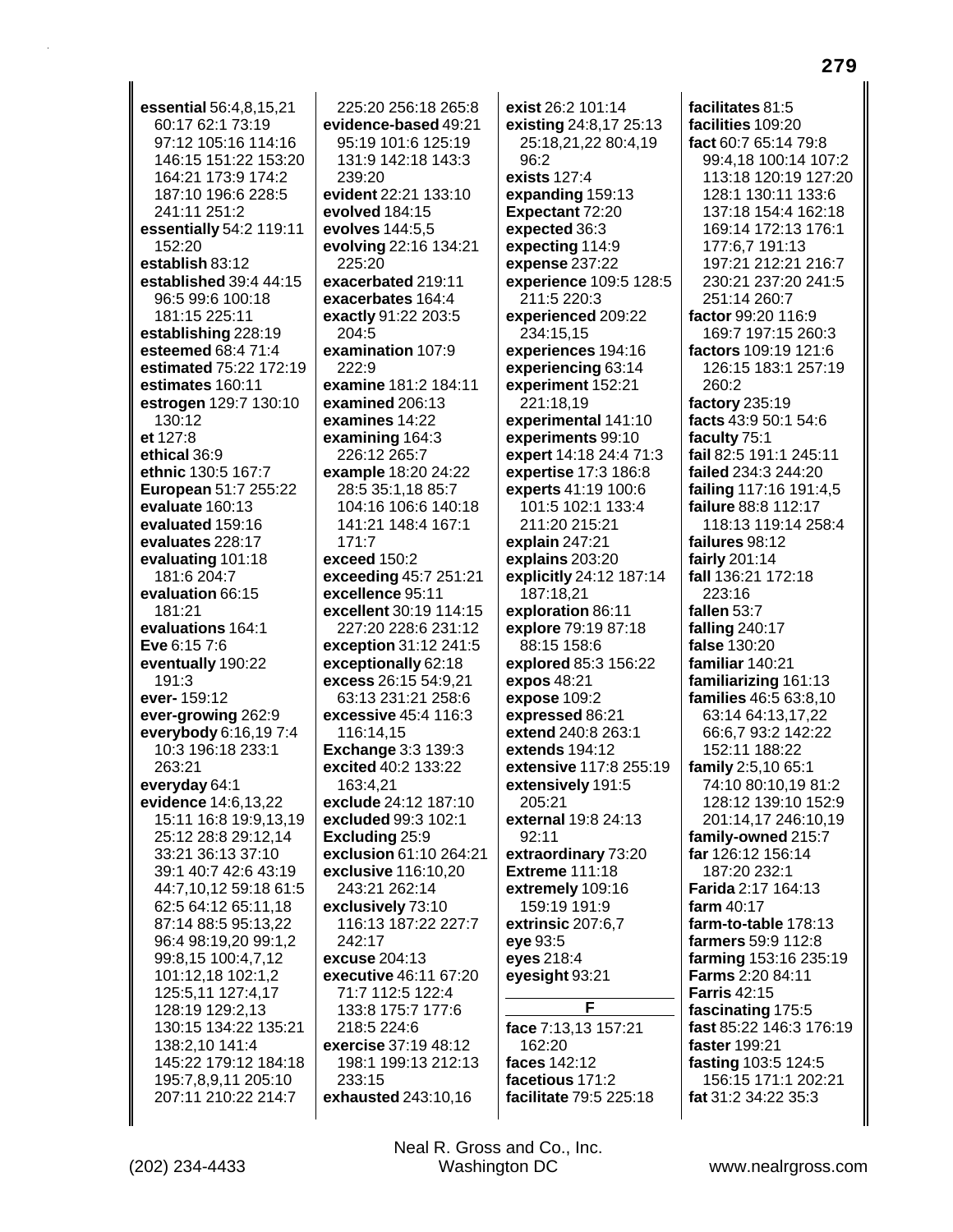essential 56:4.8.15.21 60:17 62:1 73:19 97:12 105:16 114:16 146:15 151:22 153:20 164:21 173:9 174:2 187:10 196:6 228:5 241:11 251:2 essentially 54:2 119:11 152:20 establish 83:12 established 39:4 44:15 96:5 99:6 100:18 181:15 225:11 establishing 228:19 esteemed 68:4 71:4 estimated 75:22 172:19 estimates 160:11 estrogen 129:7 130:10 130:12 et 127:8 ethical 36:9 ethnic 130:5 167:7 European 51:7 255:22 evaluate 160:13 evaluated 159:16 evaluates 228:17 evaluating 101:18 181:6 204:7 evaluation 66:15 181:21 evaluations 164:1 Eve 6:15 7:6 eventually 190:22 191:3 ever-159:12 ever-growing 262:9 everybody 6:16,197:4 10:3 196:18 233:1 263:21 everyday 64:1 evidence 14:6,13,22 15:11 16:8 19:9,13,19 25:12 28:8 29:12,14 33:21 36:13 37:10 39:1 40:7 42:6 43:19 44:7,10,12 59:18 61:5 62:5 64:12 65:11,18 87:14 88:5 95:13,22 96:4 98:19,20 99:1,2 99:8,15 100:4,7,12 101:12,18 102:1,2 125:5,11 127:4,17 128:19 129:2,13 130:15 134:22 135:21 138:2,10 141:4 145:22 179:12 184:18 195:7.8.9.11 205:10 207:11 210:22 214:7

225:20 256:18 265:8 evidence-based 49:21 95:19 101:6 125:19 131:9 142:18 143:3  $239.20$ evident 22:21 133:10 evolved 184:15 evolves 144:5,5 evolving 22:16 134:21 225:20 exacerbated 219:11 exacerbates 164:4 exactly 91:22 203:5 204:5 examination 107:9 222:9 examine 181:2 184:11 examined 206:13 examines 14:22 examining 164:3 226:12 265:7 example 18:20 24:22 28:5 35:1,18 85:7 104:16 106:6 140:18 141:21 148:4 167:1  $171:7$ exceed 150:2 exceeding 45:7 251:21 excellence 95:11 excellent 30:19 114:15 227:20 228:6 231:12 exception 31:12 241:5 exceptionally 62:18 excess 26:15 54:9,21 63:13 231:21 258:6 excessive 45:4 116:3 116:14,15 **Exchange 3:3 139:3** excited 40:2 133:22 163:4.21 exclude 24:12 187:10 excluded 99:3 102:1 Excluding 25:9 exclusion 61:10 264:21 exclusive 116:10,20 243:21 262:14 exclusively 73:10 116:13 187:22 227:7 242:17 excuse 204:13 executive 46:11 67:20 71:7 112:5 122:4 133:8 175:7 177:6 218:5 224:6 exercise 37:19 48:12 198:1 199:13 212:13 233:15 exhausted 243:10,16

exist 26:2 101:14 existing 24:8,17 25:13 25:18,21,22 80:4,19  $96.2$ exists  $127:4$ expanding 159:13 Expectant 72:20 expected 36:3 expecting 114:9 expense 237:22 experience 109:5 128:5 211:5 220:3 experienced 209:22 234:15.15 experiences 194:16 experiencing 63:14 experiment 152:21 221:18.19 experimental 141:10 experiments 99:10 expert 14:18 24:4 71:3 expertise 17:3 186:8 experts 41:19 100:6 101:5 102:1 133:4 211:20 215:21 explain  $247:21$ explains 203:20 explicitly 24:12 187:14 187:18,21 exploration 86:11 explore 79:19 87:18 88:15 158:6 explored 85:3 156:22 expos 48:21 expose 109:2 expressed 86:21 extend 240:8 263:1 extends 194:12 extensive 117:8 255:19 extensively 191:5 205:21 external 19:8 24:13  $92:11$ extraordinary 73:20 **Extreme 111:18** extremely 109:16 159:19 191:9 extrinsic 207:6.7 eye 93:5 eyes 218:4 eyesight 93:21 F. face 7:13,13 157:21 162:20 faces 142:12

facilitates 81:5 facilities 109:20 fact 60:7 65:14 79:8 99:4.18 100:14 107:2 113:18 120:19 127:20 128:1 130:11 133:6 137:18 154:4 162:18 169:14 172:13 176:1 177:6.7 191:13 197:21 212:21 216:7 230:21 237:20 241:5 251:14 260:7 factor 99:20 116:9 169:7 197:15 260:3 factors 109:19 121:6 126:15 183:1 257:19 260:2 factory 235:19 facts 43:9 50:1 54:6 faculty 75:1 fail 82:5 191:1 245:11 failed 234:3 244:20 failing 117:16 191:4,5 failure 88:8 112:17 118:13 119:14 258:4 failures 98:12 fairly 201:14 fall 136:21 172:18 223:16 fallen 53:7 falling 240:17 false 130:20 familiar 140:21 familiarizing 161:13 families 46:5 63:8,10 63:14 64:13,17,22 66:6,7 93:2 142:22 152:11 188:22 family 2:5,10 65:1 74:10 80:10.19 81:2 128:12 139:10 152:9 201:14,17 246:10,19 family-owned 215:7 far 126:12 156:14 187:20 232:1 Farida 2:17 164:13 farm 40:17 farm-to-table 178:13 farmers 59:9 112:8 farming 153:16 235:19 Farms 2:20 84:11 **Farris 42:15** fascinating 175:5 fast 85:22 146:3 176:19 faster 199:21 fasting 103:5 124:5 156:15 171:1 202:21 fat 31:2 34:22 35:3

Neal R. Gross and Co., Inc. Washington DC

facetious 171:2

facilitate 79:5 225:18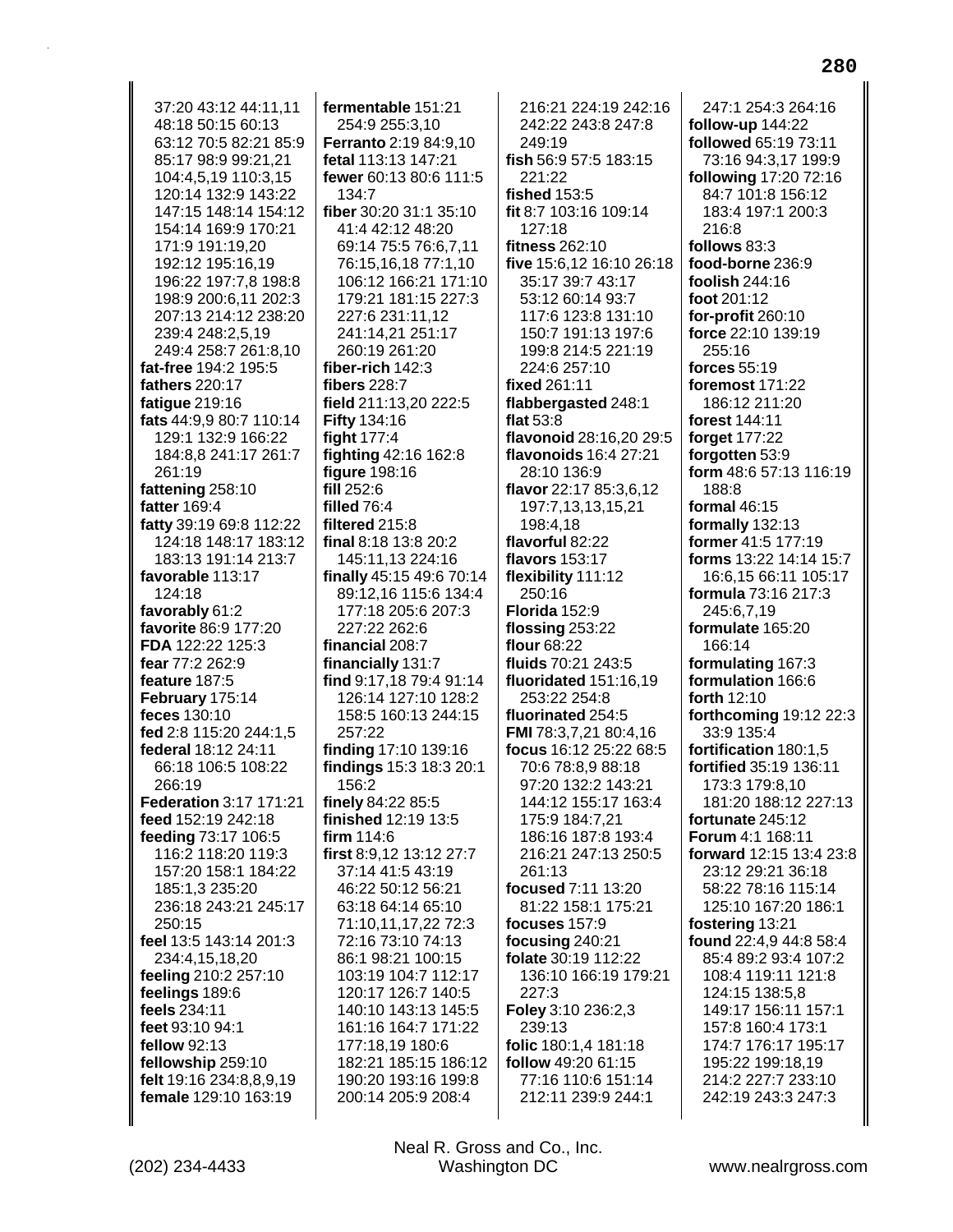37:20 43:12 44:11.11 48:18 50:15 60:13 63:12 70:5 82:21 85:9 85:17 98:9 99:21,21 104:4.5.19 110:3.15 120:14 132:9 143:22 147:15 148:14 154:12 154:14 169:9 170:21 171:9 191:19.20 192:12 195:16,19 196:22 197:7,8 198:8 198:9 200:6,11 202:3 207:13 214:12 238:20 239:4 248:2,5,19 249:4 258:7 261:8,10 fat-free 194:2 195:5 fathers 220:17 fatigue 219:16 fats 44:9,9 80:7 110:14 129:1 132:9 166:22 184:8,8 241:17 261:7 261:19 fattening 258:10 fatter 169:4 fatty 39:19 69:8 112:22 124:18 148:17 183:12 183:13 191:14 213:7 favorable 113:17 124:18 favorably 61:2 favorite 86:9 177:20 FDA 122:22 125:3 fear 77:2 262:9 feature 187:5 February 175:14 feces 130:10 fed 2:8 115:20 244:1,5 federal 18:12 24:11 66:18 106:5 108:22 266:19 Federation 3:17 171:21 feed 152:19 242:18 feeding 73:17 106:5 116:2 118:20 119:3 157:20 158:1 184:22 185:1,3 235:20 236:18 243:21 245:17 250:15 feel 13:5 143:14 201:3 234:4,15,18,20 feeling 210:2 257:10 feelings 189:6 feels 234:11 feet 93:10 94:1 fellow 92:13 fellowship 259:10 felt 19:16 234:8,8,9,19 female 129:10 163:19

fermentable 151:21 254:9 255:3,10 **Ferranto** 2:19 84:9,10 fetal 113:13 147:21 fewer 60:13 80:6 111:5  $134.7$ fiber 30:20 31:1 35:10 41:4 42:12 48:20 69:14 75:5 76:6,7,11 76:15,16,18 77:1,10 106:12 166:21 171:10 179:21 181:15 227:3 227:6 231:11,12 241:14,21 251:17 260:19 261:20 fiber-rich 142:3 fibers 228:7 field 211:13,20 222:5 **Fifty 134:16** fight  $177:4$ fighting 42:16 162:8 figure 198:16 fill 252:6 filled 76:4 filtered 215:8 final 8:18 13:8 20:2 145:11,13 224:16 finally 45:15 49:6 70:14 89:12,16 115:6 134:4 177:18 205:6 207:3 227:22 262:6 financial 208:7 financially 131:7 find 9:17,18 79:4 91:14 126:14 127:10 128:2 158:5 160:13 244:15 257:22 finding 17:10 139:16 findings 15:3 18:3 20:1 156:2 finely 84:22 85:5 finished 12:19 13:5 firm  $114:6$ first 8:9,12 13:12 27:7 37:14 41:5 43:19 46:22 50:12 56:21 63:18 64:14 65:10 71:10,11,17,22 72:3 72:16 73:10 74:13 86:1 98:21 100:15 103:19 104:7 112:17 120:17 126:7 140:5 140:10 143:13 145:5 161:16 164:7 171:22 177:18,19 180:6 182:21 185:15 186:12 190:20 193:16 199:8 200:14 205:9 208:4

216:21 224:19 242:16 242:22 243:8 247:8 249:19 fish 56:9 57:5 183:15 221:22 **fished 153:5** fit 8:7 103:16 109:14 127:18 fitness 262:10 five 15:6,12 16:10 26:18 35:17 39:7 43:17 53:12 60:14 93:7 117:6 123:8 131:10 150:7 191:13 197:6 199:8 214:5 221:19 224:6 257:10 fixed 261:11 flabbergasted 248:1 flat  $53:8$ flavonoid 28:16,20 29:5 flavonoids 16:4 27:21 28:10 136:9 flavor 22:17 85:3,6,12 197:7,13,13,15,21 198:4.18 flavorful 82:22 **flavors** 153:17 flexibility 111:12 250:16 **Florida** 152:9 flossing  $253:22$ flour  $68.22$ fluids 70:21 243:5 fluoridated 151:16.19 253:22 254:8 fluorinated 254:5 FMI 78:3,7,21 80:4,16 focus 16:12 25:22 68:5 70:6 78:8,9 88:18 97:20 132:2 143:21 144:12 155:17 163:4 175:9 184:7,21 186:16 187:8 193:4 216:21 247:13 250:5 261:13 focused 7:11 13:20 81:22 158:1 175:21 focuses 157:9 focusing 240:21 folate 30:19 112:22 136:10 166:19 179:21 227:3 Foley 3:10 236:2,3 239:13 folic 180:1,4 181:18 follow 49:20 61:15 77:16 110:6 151:14 212:11 239:9 244:1

247:1 254:3 264:16 follow-up 144:22 followed 65:19 73:11 73:16 94:3,17 199:9 following 17:20 72:16 84:7 101:8 156:12 183:4 197:1 200:3 216:8 follows 83:3 food-borne 236:9 foolish 244:16 foot 201:12 for-profit 260:10 force 22:10 139:19  $255.16$ forces 55:19 foremost 171:22 186:12 211:20 forest 144:11 forget 177:22 forgotten 53:9 form 48:6 57:13 116:19 188:8 formal 46:15 formally 132:13 former 41:5 177:19 forms 13:22 14:14 15:7 16:6,15 66:11 105:17 **formula** 73:16 217:3 245:6.7.19 formulate 165:20 166:14 formulating 167:3 formulation 166:6 forth 12:10 forthcoming 19:12 22:3 33:9 135:4 fortification 180:1,5 fortified 35:19 136:11 173:3 179:8.10 181:20 188:12 227:13 fortunate 245:12 Forum 4:1 168:11 forward 12:15 13:4 23:8 23:12 29:21 36:18 58:22 78:16 115:14 125:10 167:20 186:1 fostering 13:21 found 22:4.9 44:8 58:4 85:4 89:2 93:4 107:2 108:4 119:11 121:8 124:15 138:5,8 149:17 156:11 157:1 157:8 160:4 173:1 174:7 176:17 195:17 195:22 199:18,19 214:2 227:7 233:10 242:19 243:3 247:3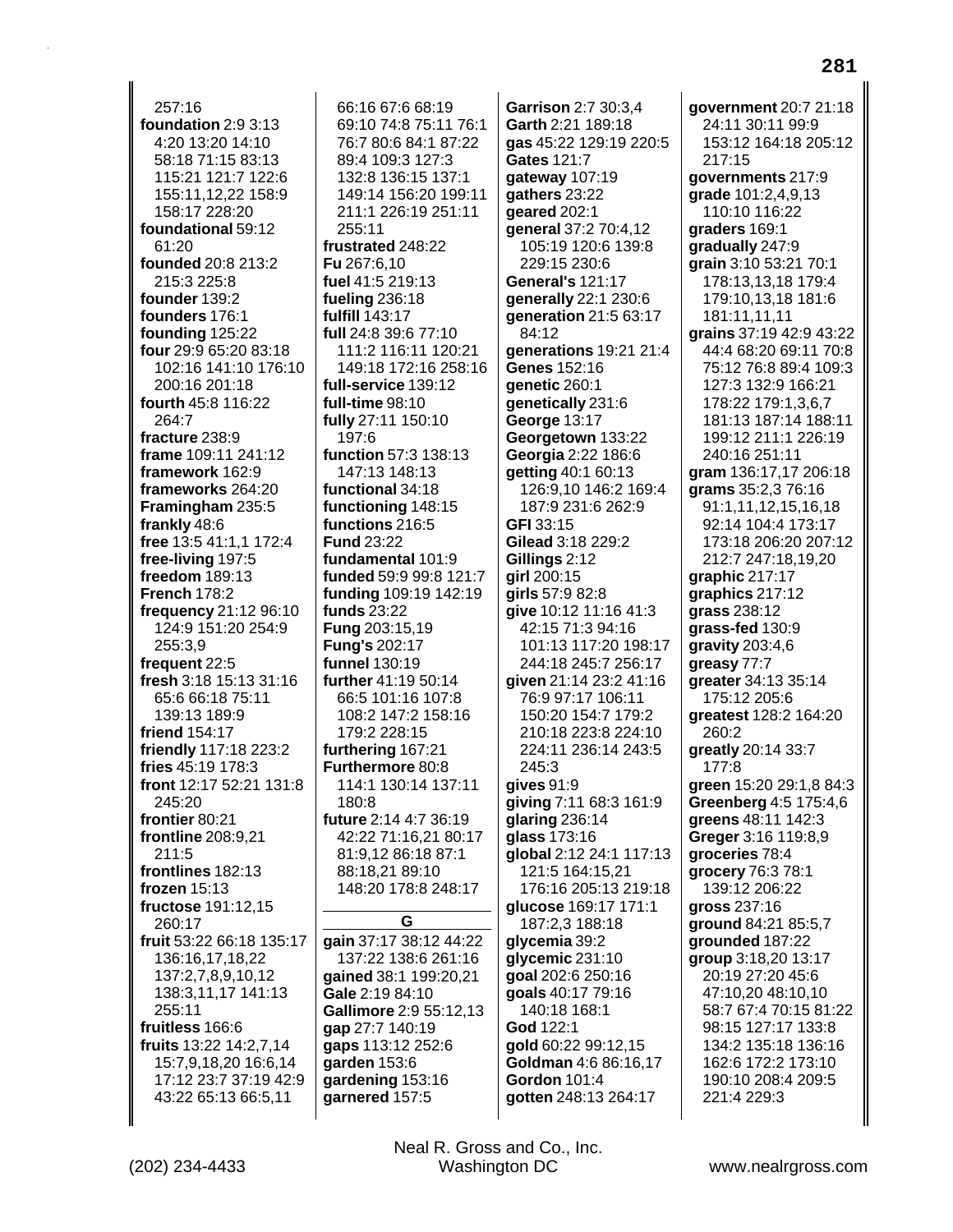$257:16$ foundation 2:9 3:13 4:20 13:20 14:10 58:18 71:15 83:13 115:21 121:7 122:6 155:11,12,22 158:9 158:17 228:20 foundational 59:12  $61.20$ founded 20:8 213:2 215:3 225:8 founder 139:2 founders 176:1 founding 125:22 four 29:9 65:20 83:18 102:16 141:10 176:10 200:16 201:18 fourth 45:8 116:22 264:7 fracture 238:9 frame 109:11 241:12 framework 162:9 frameworks 264:20 Framingham 235:5 frankly 48:6 free 13:5 41:1,1 172:4 free-living 197:5 freedom 189:13 **French 178:2** frequency 21:12 96:10 124:9 151:20 254:9 255:3.9 frequent 22:5 fresh 3:18 15:13 31:16 65:6 66:18 75:11 139:13 189:9 friend 154:17 friendly 117:18 223:2 fries 45:19 178:3 front 12:17 52:21 131:8 245:20 frontier 80:21 frontline 208:9.21  $211.5$ frontlines 182:13 frozen  $15:13$ fructose 191:12.15 260:17 fruit 53:22 66:18 135:17 136:16,17,18,22 137:2,7,8,9,10,12 138:3,11,17 141:13 255:11 fruitless 166:6 fruits 13:22 14:2,7,14 15:7,9,18,20 16:6,14 17:12 23:7 37:19 42:9 43:22 65:13 66:5,11

66:16 67:6 68:19 69:10 74:8 75:11 76:1 76:7 80:6 84:1 87:22 89:4 109:3 127:3 132:8 136:15 137:1 149:14 156:20 199:11 211:1 226:19 251:11 255:11 frustrated 248:22 Fu 267:6.10 fuel 41:5 219:13 fueling 236:18 fulfill 143:17 full 24:8 39:6 77:10 111:2 116:11 120:21 149:18 172:16 258:16 full-service 139:12  $full-time 98:10$ fully 27:11 150:10 197:6 function 57:3 138:13 147:13 148:13 functional 34:18 functioning 148:15 functions 216:5 **Fund 23:22** fundamental 101:9 funded 59:9 99:8 121:7 funding 109:19 142:19 funds 23:22 Fung 203:15,19 **Funa's 202:17** funnel 130:19 further 41:19 50:14 66:5 101:16 107:8 108:2 147:2 158:16 179:2 228:15 furthering 167:21 Furthermore 80:8 114:1 130:14 137:11  $180:8$ future 2:14 4:7 36:19 42:22 71:16,21 80:17 81:9.12 86:18 87:1 88:18,21 89:10 148:20 178:8 248:17 G gain 37:17 38:12 44:22 137:22 138:6 261:16 qained 38:1 199:20,21

Gale 2:19 84:10

gap 27:7 140:19

qarden 153:6

gaps 113:12 252:6

gardening 153:16

garnered 157:5

Gallimore 2:9 55:12,13

gas 45:22 129:19 220:5 Gates 121:7 qateway 107:19 gathers 23:22 geared 202:1 general 37:2 70:4,12 105:19 120:6 139:8 229:15 230:6 General's 121:17 generally 22:1 230:6 generation 21:5 63:17 84:12 generations 19:21 21:4 Genes 152:16 genetic 260:1 genetically 231:6 George 13:17 Georgetown 133:22 Georgia 2:22 186:6 **getting 40:1 60:13** 126:9,10 146:2 169:4 187:9 231:6 262:9 **GFI** 33:15 Gilead 3:18 229:2 Gillings 2:12 girl 200:15 girls  $57:982:8$ qive 10:12 11:16 41:3 42:15 71:3 94:16 101:13 117:20 198:17 244:18 245:7 256:17 given 21:14 23:2 41:16 76:9 97:17 106:11 150:20 154:7 179:2 210:18 223:8 224:10 224:11 236:14 243:5 245:3 gives 91:9 giving 7:11 68:3 161:9 glaring  $236:14$ glass 173:16 global 2:12 24:1 117:13 121:5 164:15,21 176:16 205:13 219:18 qlucose 169:17 171:1 187:2,3 188:18 glycemia 39:2 glycemic 231:10 goal 202:6 250:16 goals 40:17 79:16 140:18 168:1 God 122:1 gold 60:22 99:12,15 Goldman 4:6 86:16,17 **Gordon 101:4** aotten 248:13 264:17

Garrison 2:7 30:3.4

Garth 2:21 189:18

government 20:7 21:18 24:11 30:11 99:9 153:12 164:18 205:12 217:15 qovernments 217:9 grade 101:2,4,9,13 110:10 116:22 graders 169:1 gradually 247:9 grain 3:10 53:21 70:1 178:13,13,18 179:4 179:10,13,18 181:6 181:11,11,11 grains 37:19 42:9 43:22 44:4 68:20 69:11 70:8 75:12 76:8 89:4 109:3 127:3 132:9 166:21 178:22 179:1.3.6.7 181:13 187:14 188:11 199:12 211:1 226:19 240:16 251:11 gram 136:17,17 206:18 grams 35:2,3 76:16 91:1,11,12,15,16,18 92:14 104:4 173:17 173:18 206:20 207:12 212:7 247:18.19.20 graphic 217:17 graphics  $217:12$ grass 238:12 grass-fed 130:9 gravity  $203:4,6$ greasy 77:7 greater 34:13 35:14 175:12 205:6 greatest 128:2 164:20 260:2 greatly 20:14 33:7  $177:8$ green 15:20 29:1,8 84:3 Greenberg 4:5 175:4,6 greens 48:11 142:3 Greger 3:16 119:8,9 groceries 78:4 grocery 76:3 78:1 139:12 206:22 gross 237:16 ground 84:21 85:5,7 grounded 187:22 group 3:18,20 13:17 20:19 27:20 45:6 47:10,20 48:10,10 58:7 67:4 70:15 81:22 98:15 127:17 133:8 134:2 135:18 136:16 162:6 172:2 173:10 190:10 208:4 209:5 221:4 229:3

Neal R. Gross and Co., Inc. Washington DC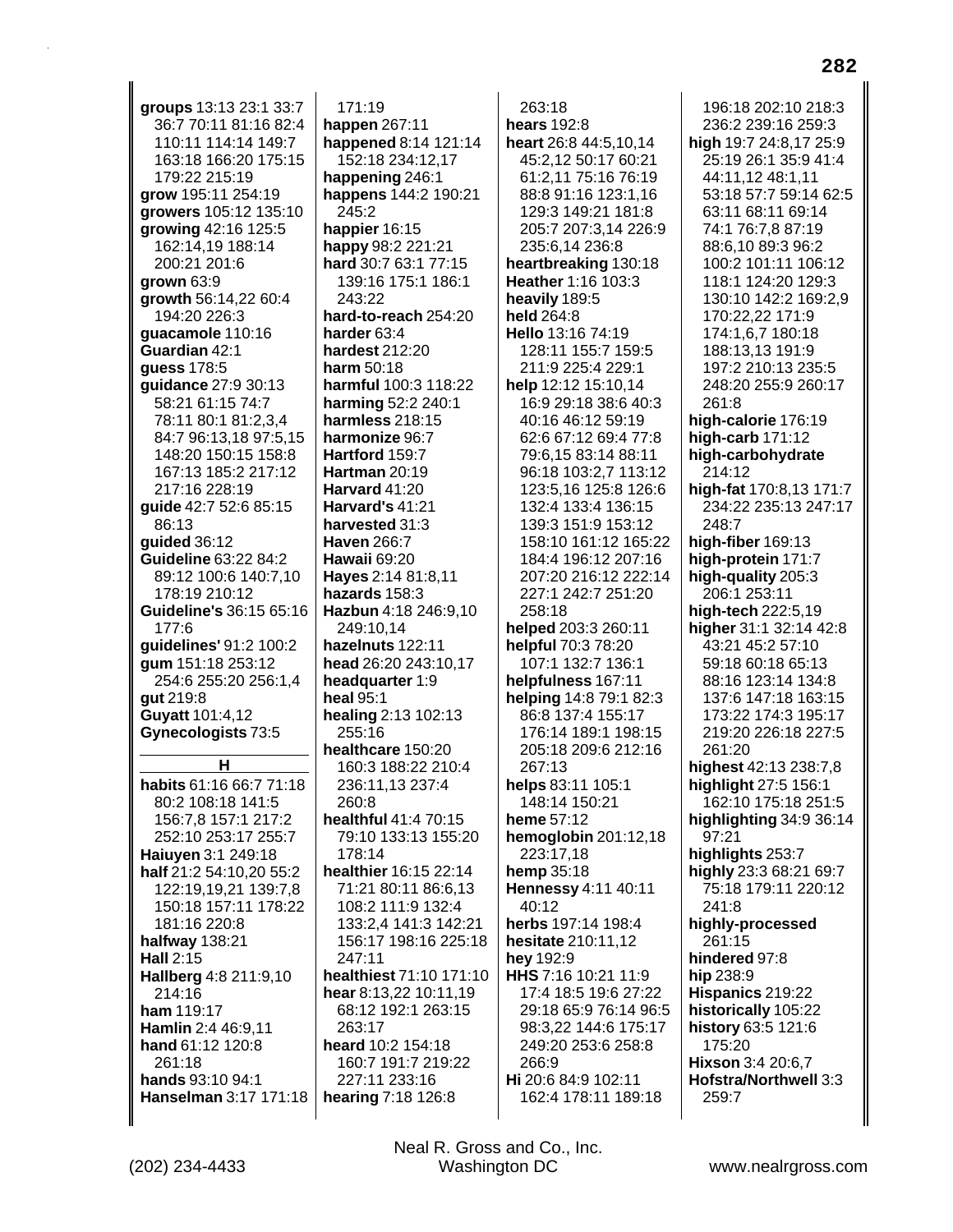groups 13:13 23:1 33:7 36:7 70:11 81:16 82:4 110:11 114:14 149:7 163:18 166:20 175:15 179:22 215:19 grow 195:11 254:19 growers 105:12 135:10 growing 42:16 125:5 162:14,19 188:14 200:21 201:6 grown  $63:9$ growth 56:14,22 60:4 194:20 226:3 quacamole 110:16 Guardian 42:1 guess 178:5 guidance 27:9 30:13 58:21 61:15 74:7 78:11 80:1 81:2,3,4 84:7 96:13,18 97:5,15 148:20 150:15 158:8 167:13 185:2 217:12 217:16 228:19 guide 42:7 52:6 85:15 86:13 quided 36:12 Guideline 63:22 84:2 89:12 100:6 140:7,10 178:19 210:12 Guideline's 36:15 65:16  $177.6$ guidelines' 91:2 100:2 gum 151:18 253:12 254:6 255:20 256:1,4 gut 219:8 Guyatt 101:4,12 Gynecologists 73:5 н habits 61:16 66:7 71:18 80:2 108:18 141:5 156:7.8 157:1 217:2 252:10 253:17 255:7 Haiuyen 3:1 249:18 half 21:2 54:10,20 55:2 122:19,19,21 139:7,8 150:18 157:11 178:22 181:16 220:8 halfway 138:21 Hall 2:15 Hallberg 4:8 211:9,10 214:16 ham 119:17 Hamlin 2:4 46:9,11 hand 61:12 120:8 261:18 hands 93:10 94:1 Hanselman 3:17 171:18

 $171:19$ happen 267:11 happened 8:14 121:14 152:18 234:12,17 happening 246:1 happens 144:2 190:21 245:2 happier 16:15 happy 98:2 221:21 hard 30:7 63:1 77:15 139:16 175:1 186:1 243:22 hard-to-reach 254:20 harder 63:4 hardest 212:20 harm 50:18 harmful 100:3 118:22 harming 52:2 240:1 harmless 218:15 harmonize 96:7 Hartford 159:7 Hartman 20:19 Harvard 41:20 Harvard's 41:21 harvested 31:3 **Haven 266:7** Hawaii 69:20 Hayes 2:14 81:8,11 hazards  $158:3$ Hazbun 4:18 246:9.10 249:10.14 hazelnuts 122:11 head 26:20 243:10,17 headquarter 1:9 heal 95:1 healing 2:13 102:13 255:16 healthcare 150:20 160:3 188:22 210:4 236:11,13 237:4  $260:8$ healthful 41:4 70:15 79:10 133:13 155:20 178:14 healthier 16:15 22:14 71:21 80:11 86:6,13 108:2 111:9 132:4 133:2,4 141:3 142:21 156:17 198:16 225:18 247:11 healthiest 71:10 171:10 hear 8:13,22 10:11,19 68:12 192:1 263:15 263:17 heard 10:2 154:18 160:7 191:7 219:22 227:11 233:16 hearing 7:18 126:8

 $263:18$ hears 192:8 heart 26:8 44:5,10,14 45:2,12 50:17 60:21 61:2,11 75:16 76:19 88:8 91:16 123:1.16 129:3 149:21 181:8 205:7 207:3,14 226:9 235:6.14 236:8 heartbreaking 130:18 Heather 1:16 103:3 heavily 189:5 held 264:8 Hello 13:16 74:19 128:11 155:7 159:5 211:9 225:4 229:1 help 12:12 15:10,14 16:9 29:18 38:6 40:3 40:16 46:12 59:19 62:6 67:12 69:4 77:8 79:6,15 83:14 88:11 96:18 103:2,7 113:12 123:5,16 125:8 126:6 132:4 133:4 136:15 139:3 151:9 153:12 158:10 161:12 165:22 184:4 196:12 207:16 207:20 216:12 222:14 227:1 242:7 251:20 258:18 helped 203:3 260:11 helpful 70:3 78:20 107:1 132:7 136:1 helpfulness 167:11 helping 14:8 79:1 82:3 86:8 137:4 155:17 176:14 189:1 198:15 205:18 209:6 212:16 267:13 helps 83:11 105:1 148:14 150:21 heme 57:12 hemoglobin 201:12,18 223:17,18 hemp 35:18 Hennessy 4:11 40:11  $40.12$ herbs 197:14 198:4 hesitate 210:11,12 hey 192:9 HHS 7:16 10:21 11:9 17:4 18:5 19:6 27:22 29:18 65:9 76:14 96:5 98:3,22 144:6 175:17 249:20 253:6 258:8 266:9 Hi 20:6 84:9 102:11 162:4 178:11 189:18

196:18 202:10 218:3 236:2 239:16 259:3 high 19:7 24:8,17 25:9 25:19 26:1 35:9 41:4 44:11.12 48:1.11 53:18 57:7 59:14 62:5 63:11 68:11 69:14 74:1 76:7,8 87:19 88:6.10 89:3 96:2 100:2 101:11 106:12 118:1 124:20 129:3 130:10 142:2 169:2,9 170:22,22 171:9 174:1.6.7 180:18 188:13.13 191:9 197:2 210:13 235:5 248:20 255:9 260:17 261:8 high-calorie 176:19 high-carb  $171:12$ high-carbohydrate 214:12 high-fat 170:8,13 171:7 234:22 235:13 247:17 248:7 high-fiber 169:13 high-protein 171:7 high-quality 205:3 206:1 253:11 high-tech 222:5,19 higher 31:1 32:14 42:8 43:21 45:2 57:10 59:18 60:18 65:13 88:16 123:14 134:8 137:6 147:18 163:15 173:22 174:3 195:17 219:20 226:18 227:5 261:20 highest 42:13 238:7,8 highlight 27:5 156:1 162:10 175:18 251:5 highlighting 34:9 36:14 97:21 highlights 253:7 highly 23:3 68:21 69:7 75:18 179:11 220:12  $241.8$ highly-processed 261:15 hindered 97:8 hip 238:9 Hispanics 219:22 historically 105:22 history 63:5 121:6 175:20 Hixson 3:4 20:6,7 Hofstra/Northwell 3:3 259:7

Neal R. Gross and Co., Inc. Washington DC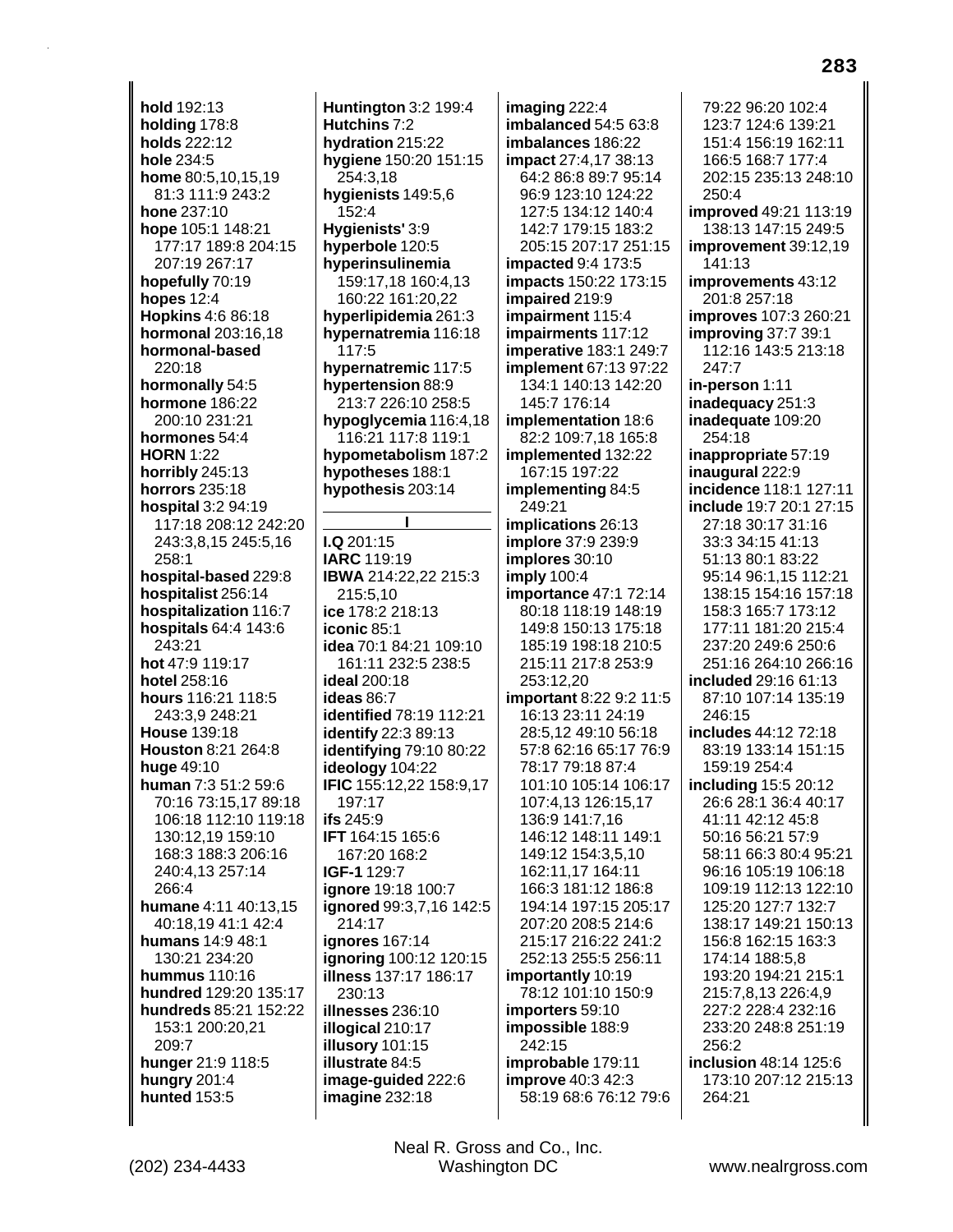**hold** 192:13 **holding** 178:8 **holds** 222:12 **hole** 234:5 **home** 80:5,10,15,19 81:3 111:9 243:2 **hone** 237:10 **hope** 105:1 148:21 177:17 189:8 204:15 207:19 267:17 **hopefully** 70:19 **hopes** 12:4 **Hopkins** 4:6 86:18 **hormonal** 203:16,18 **hormonal-based** 220:18 **hormonally** 54:5 **hormone** 186:22 200:10 231:21 **hormones** 54:4 **HORN** 1:22 **horribly** 245:13 **horrors** 235:18 **hospital** 3:2 94:19 117:18 208:12 242:20 243:3,8,15 245:5,16 258:1 **hospital-based** 229:8 **hospitalist** 256:14 **hospitalization** 116:7 **hospitals** 64:4 143:6 243:21 **hot** 47:9 119:17 **hotel** 258:16 **hours** 116:21 118:5 243:3,9 248:21 **House** 139:18 **Houston** 8:21 264:8 **huge** 49:10 **human** 7:3 51:2 59:6 70:16 73:15,17 89:18 106:18 112:10 119:18 130:12,19 159:10 168:3 188:3 206:16 240:4,13 257:14 266:4 **humane** 4:11 40:13,15 40:18,19 41:1 42:4 **humans** 14:9 48:1 130:21 234:20 **hummus** 110:16 **hundred** 129:20 135:17 **hundreds** 85:21 152:22 153:1 200:20,21 209:7 **hunger** 21:9 118:5 **hungry** 201:4 **hunted** 153:5

**Huntington** 3:2 199:4 **Hutchins** 7:2 **hydration** 215:22 **hygiene** 150:20 151:15 254:3,18 **hygienists** 149:5,6 152:4 **Hygienists'** 3:9 **hyperbole** 120:5 **hyperinsulinemia** 159:17,18 160:4,13 160:22 161:20,22 **hyperlipidemia** 261:3 **hypernatremia** 116:18 117:5 **hypernatremic** 117:5 **hypertension** 88:9 213:7 226:10 258:5 **hypoglycemia** 116:4,18 116:21 117:8 119:1 **hypometabolism** 187:2 **hypotheses** 188:1 **hypothesis** 203:14 **I I.Q** 201:15 **IARC** 119:19 **IBWA** 214:22,22 215:3 215:5,10 **ice** 178:2 218:13 **iconic** 85:1 **idea** 70:1 84:21 109:10 161:11 232:5 238:5 **ideal** 200:18 **ideas** 86:7 **identified** 78:19 112:21 **identify** 22:3 89:13 **identifying** 79:10 80:22

**ideology** 104:22 **IFIC** 155:12,22 158:9,17 197:17 **ifs** 245:9 **IFT** 164:15 165:6 167:20 168:2 **IGF-1** 129:7 **ignore** 19:18 100:7 **ignored** 99:3,7,16 142:5 214:17 **ignores** 167:14 **ignoring** 100:12 120:15 **illness** 137:17 186:17 230:13 **illnesses** 236:10 **illogical** 210:17 **illusory** 101:15 **illustrate** 84:5 **image-guided** 222:6

**imagine** 232:18

**imaging** 222:4 **imbalanced** 54:5 63:8 **imbalances** 186:22 **impact** 27:4,17 38:13 64:2 86:8 89:7 95:14 96:9 123:10 124:22 127:5 134:12 140:4 142:7 179:15 183:2 205:15 207:17 251:15 **impacted** 9:4 173:5 **impacts** 150:22 173:15 **impaired** 219:9 **impairment** 115:4 **impairments** 117:12 **imperative** 183:1 249:7 **implement** 67:13 97:22 134:1 140:13 142:20 145:7 176:14 **implementation** 18:6 82:2 109:7,18 165:8 **implemented** 132:22 167:15 197:22 **implementing** 84:5 249:21 **implications** 26:13 **implore** 37:9 239:9 **implores** 30:10 **imply** 100:4 **importance** 47:1 72:14 80:18 118:19 148:19 149:8 150:13 175:18 185:19 198:18 210:5 215:11 217:8 253:9 253:12,20 **important** 8:22 9:2 11:5 16:13 23:11 24:19 28:5,12 49:10 56:18 57:8 62:16 65:17 76:9 78:17 79:18 87:4 101:10 105:14 106:17 107:4,13 126:15,17 136:9 141:7,16 146:12 148:11 149:1 149:12 154:3,5,10 162:11,17 164:11 166:3 181:12 186:8 194:14 197:15 205:17 207:20 208:5 214:6 215:17 216:22 241:2 252:13 255:5 256:11 **importantly** 10:19 78:12 101:10 150:9 **importers** 59:10 **impossible** 188:9 242:15 **improbable** 179:11 **improve** 40:3 42:3 58:19 68:6 76:12 79:6

79:22 96:20 102:4 123:7 124:6 139:21 151:4 156:19 162:11 166:5 168:7 177:4 202:15 235:13 248:10  $250:4$ **improved** 49:21 113:19 138:13 147:15 249:5 **improvement** 39:12,19 141:13 **improvements** 43:12 201:8 257:18 **improves** 107:3 260:21 **improving** 37:7 39:1 112:16 143:5 213:18 247:7 **in-person** 1:11 **inadequacy** 251:3 **inadequate** 109:20 254:18 **inappropriate** 57:19 **inaugural** 222:9 **incidence** 118:1 127:11 **include** 19:7 20:1 27:15 27:18 30:17 31:16 33:3 34:15 41:13 51:13 80:1 83:22 95:14 96:1,15 112:21 138:15 154:16 157:18 158:3 165:7 173:12 177:11 181:20 215:4 237:20 249:6 250:6 251:16 264:10 266:16 **included** 29:16 61:13 87:10 107:14 135:19 246:15 **includes** 44:12 72:18 83:19 133:14 151:15 159:19 254:4 **including** 15:5 20:12 26:6 28:1 36:4 40:17 41:11 42:12 45:8 50:16 56:21 57:9 58:11 66:3 80:4 95:21 96:16 105:19 106:18 109:19 112:13 122:10 125:20 127:7 132:7 138:17 149:21 150:13 156:8 162:15 163:3 174:14 188:5,8 193:20 194:21 215:1 215:7,8,13 226:4,9 227:2 228:4 232:16 233:20 248:8 251:19 256:2 **inclusion** 48:14 125:6 173:10 207:12 215:13 264:21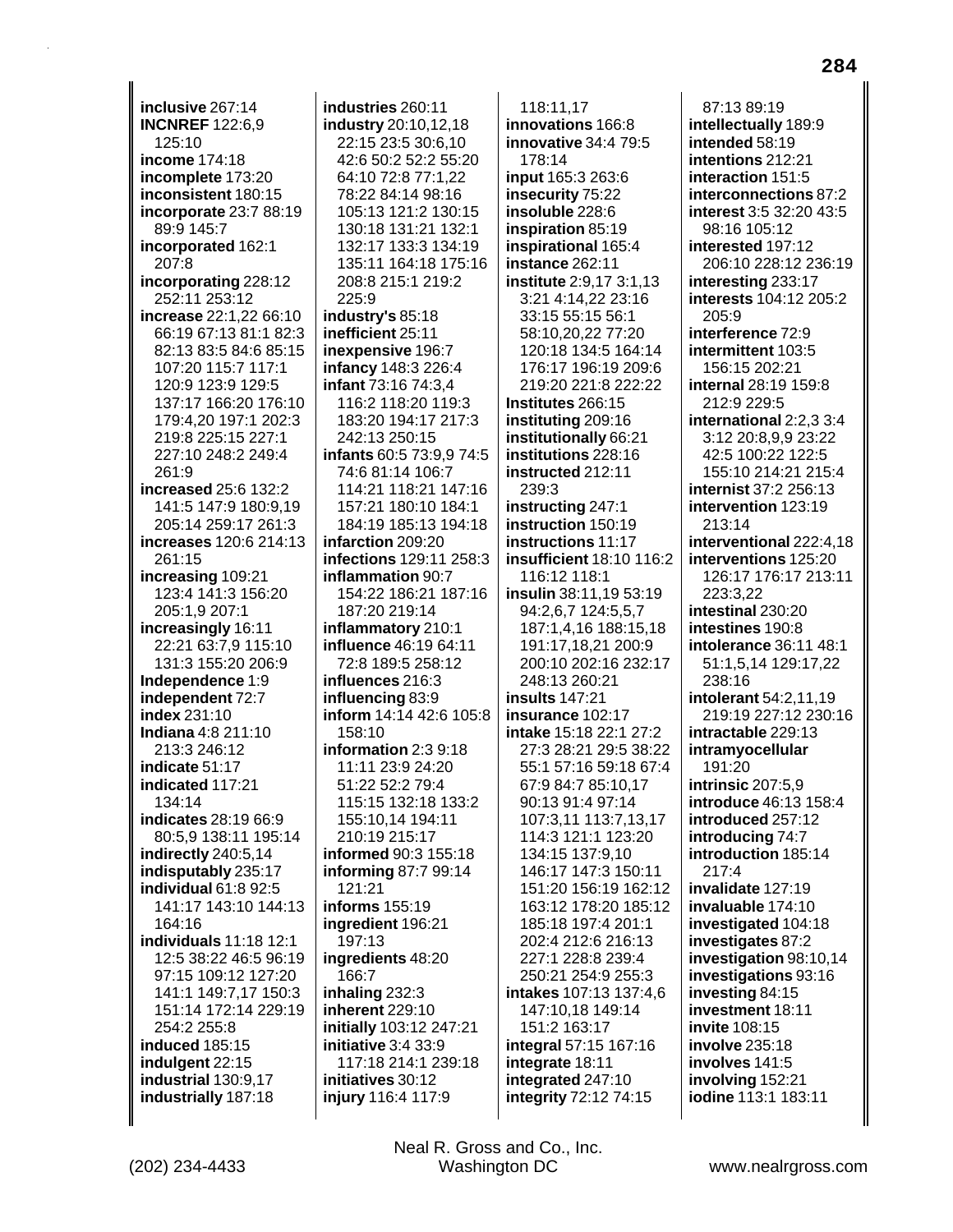inclusive 267:14 **INCNREF 122:6,9** 125:10 income 174:18 incomplete 173:20 inconsistent 180:15 incorporate 23:7 88:19 89:9 145:7 incorporated 162:1 207:8 incorporating 228:12 252:11 253:12 increase 22:1,22 66:10 66:19 67:13 81:1 82:3 82:13 83:5 84:6 85:15 107:20 115:7 117:1 120:9 123:9 129:5 137:17 166:20 176:10 179:4,20 197:1 202:3 219:8 225:15 227:1 227:10 248:2 249:4 261:9 increased 25:6 132:2 141:5 147:9 180:9,19 205:14 259:17 261:3 increases 120:6 214:13 261:15 increasing 109:21 123:4 141:3 156:20 205:1,9 207:1 increasingly 16:11 22:21 63:7,9 115:10 131:3 155:20 206:9 Independence 1:9 independent 72:7 index 231:10 **Indiana** 4:8 211:10 213:3 246:12 indicate 51:17 indicated 117:21 134:14 indicates 28:19 66:9 80:5,9 138:11 195:14 indirectly 240:5,14 indisputably 235:17 individual 61:8 92:5 141:17 143:10 144:13 164:16 individuals 11:18 12:1 12:5 38:22 46:5 96:19 97:15 109:12 127:20 141:1 149:7,17 150:3 151:14 172:14 229:19 254:2 255:8 induced 185:15 indulgent 22:15 industrial 130:9.17 industrially 187:18

industries 260:11 industry 20:10,12,18 22:15 23:5 30:6,10 42:6 50:2 52:2 55:20 64:10 72:8 77:1.22 78:22 84:14 98:16 105:13 121:2 130:15 130:18 131:21 132:1 132:17 133:3 134:19 135:11 164:18 175:16 208:8 215:1 219:2 225:9 industry's 85:18 inefficient 25:11 inexpensive 196:7 **infancy** 148:3 226:4 infant 73:16 74:3,4 116:2 118:20 119:3 183:20 194:17 217:3 242:13 250:15 infants 60:5 73:9,9 74:5 74:6 81:14 106:7 114:21 118:21 147:16 157:21 180:10 184:1 184:19 185:13 194:18 infarction 209:20 infections 129:11 258:3 inflammation 90:7 154:22 186:21 187:16 187:20 219:14 inflammatory 210:1 influence 46:19 64:11 72:8 189:5 258:12 influences 216:3 influencing 83:9 inform 14:14 42:6 105:8 158:10 information 2:3 9:18 11:11 23:9 24:20 51:22 52:2 79:4 115:15 132:18 133:2 155:10,14 194:11 210:19 215:17 informed 90:3 155:18 informing 87:7 99:14 121:21 informs 155:19 ingredient 196:21 197:13 ingredients 48:20 166:7 inhaling 232:3 inherent 229:10 initially 103:12 247:21 initiative 3:4 33:9 117:18 214:1 239:18 initiatives 30:12 injury 116:4 117:9

118:11,17 innovations 166:8 **innovative 34:4 79:5**  $178.14$ input 165:3 263:6 insecurity 75:22 insoluble 228:6 inspiration 85:19 inspirational 165:4 instance 262:11 institute 2:9,17 3:1,13 3:21 4:14,22 23:16 33:15 55:15 56:1 58:10.20.22 77:20 120:18 134:5 164:14 176:17 196:19 209:6 219:20 221:8 222:22 Institutes 266:15 instituting 209:16 institutionally 66:21 institutions 228:16 instructed 212:11 239:3 instructing 247:1 instruction 150:19 instructions 11:17 **insufficient** 18:10 116:2 116:12 118:1  $insulin 38:11,1953:19$ 94:2,6,7 124:5,5,7 187:1,4,16 188:15,18 191:17.18.21 200:9 200:10 202:16 232:17 248:13 260:21 **insults** 147:21 insurance 102:17 intake 15:18 22:1 27:2 27:3 28:21 29:5 38:22 55:1 57:16 59:18 67:4 67:9 84:7 85:10.17 90:13 91:4 97:14 107:3,11 113:7,13,17 114:3 121:1 123:20 134:15 137:9.10 146:17 147:3 150:11 151:20 156:19 162:12 163:12 178:20 185:12 185:18 197:4 201:1 202:4 212:6 216:13 227:1 228:8 239:4 250:21 254:9 255:3 intakes 107:13 137:4,6 147:10,18 149:14 151:2 163:17 integral 57:15 167:16 integrate 18:11 integrated 247:10 integrity 72:12 74:15

87:13 89:19 intellectually 189:9 intended 58:19 intentions 212:21 interaction 151:5 interconnections 87:2 interest 3:5 32:20 43:5 98:16 105:12 interested 197:12 206:10 228:12 236:19 interesting 233:17 interests 104:12 205:2 205:9 interference 72:9 intermittent 103:5 156:15 202:21 internal 28:19 159:8 212:9 229:5 international 2:2,3 3:4 3:12 20:8,9,9 23:22 42:5 100:22 122:5 155:10 214:21 215:4 internist 37:2 256:13 intervention 123:19 213:14 interventional 222:4.18 interventions 125:20 126:17 176:17 213:11 223:3,22 intestinal 230:20 intestines 190:8 **intolerance 36:11 48:1** 51:1,5,14 129:17,22 238:16 intolerant 54:2.11.19 219:19 227:12 230:16 intractable 229:13 intramyocellular 191:20 intrinsic 207:5.9 introduce 46:13 158:4 introduced 257:12 introducing 74:7 introduction 185:14  $217:4$ invalidate 127:19 invaluable 174:10 investigated 104:18 investigates 87:2 investigation 98:10,14 investigations 93:16 investing 84:15 investment 18:11 invite 108:15 involve 235:18 involves 141:5 involving 152:21 iodine 113:1 183:11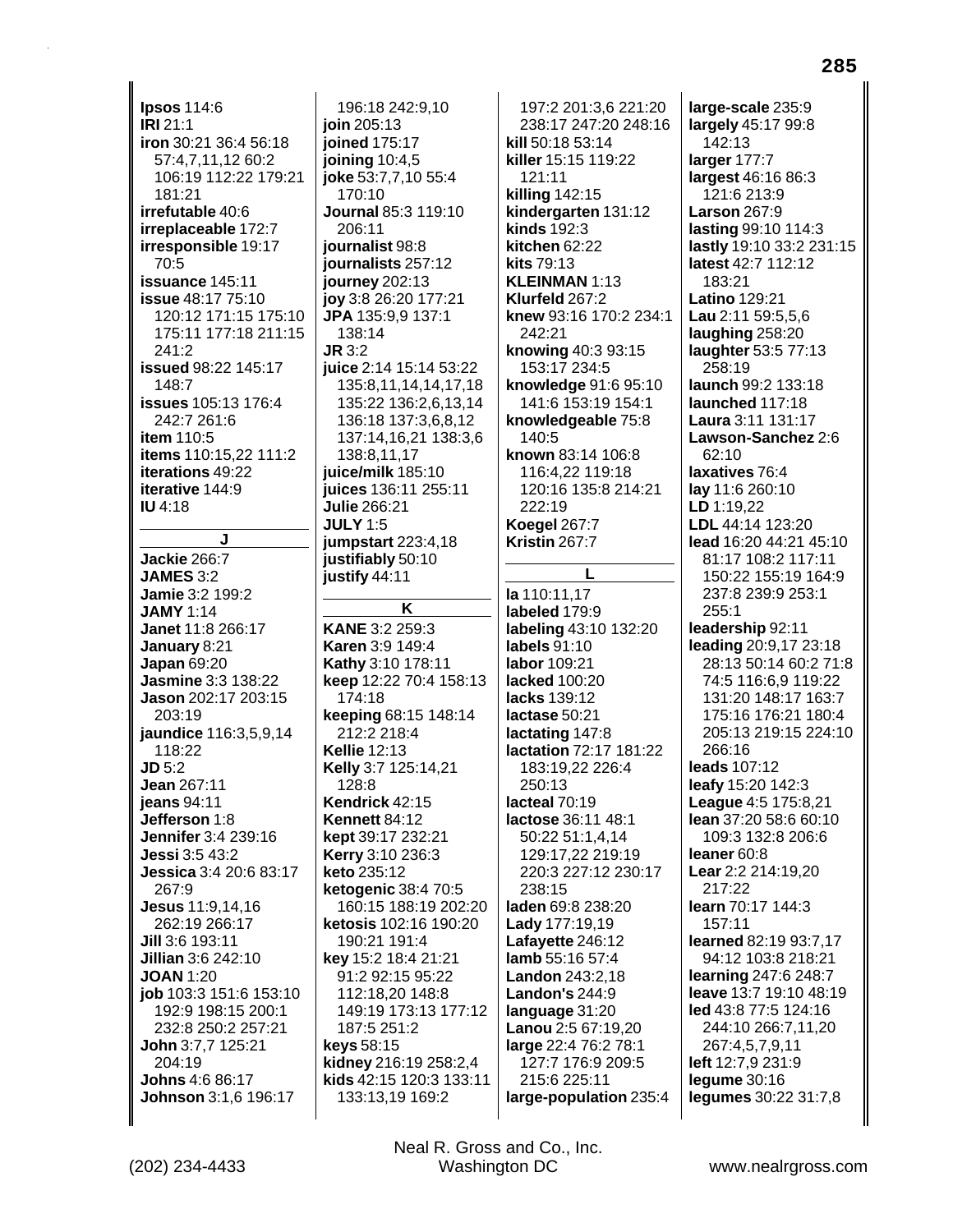**Ipsos 114:6** IRI 21:1 iron 30:21 36:4 56:18 57:4.7.11.12 60:2 106:19 112:22 179:21  $181.21$ **irrefutable 40:6** irreplaceable 172:7 irresponsible 19:17  $70:5$ issuance 145:11 **issue** 48:17 75:10 120:12 171:15 175:10 175:11 177:18 211:15  $241.2$ issued 98:22 145:17 148:7 **issues** 105:13 176:4 242:7 261:6 item 110:5 items 110:15,22 111:2 iterations 49:22 iterative 144:9 **IU 4:18** J **Jackie 266:7 JAMES 3:2** Jamie 3:2 199:2 **JAMY 1:14** Janet 11:8 266:17 January 8:21 **Japan 69:20** Jasmine 3:3 138:22 Jason 202:17 203:15 203:19 jaundice 116:3,5,9,14 118:22  $JD 5:2$ Jean 267:11 **ieans** 94:11 Jefferson 1:8 Jennifer 3:4 239:16 **Jessi 3:5 43:2** Jessica 3:4 20:6 83:17 267:9 Jesus 11:9,14,16 262:19 266:17 Jill 3:6 193:11 Jillian 3:6 242:10 **JOAN 1:20** job 103:3 151:6 153:10 192:9 198:15 200:1 232:8 250:2 257:21 John 3:7,7 125:21 204:19 Johns 4:6 86:17 Johnson 3:1.6 196:17

196:18 242:9.10 ioin 205:13 joined 175:17 joining  $10:4,5$ ioke 53:7,7,10 55:4  $170:10$ Journal 85:3 119:10 206:11 iournalist 98:8 journalists 257:12 **journey** 202:13 joy 3:8 26:20 177:21 JPA 135:9,9 137:1 138:14  $J\mathbb{R}$  3.2 juice 2:14 15:14 53:22 135:8,11,14,14,17,18 135:22 136:2,6,13,14 136:18 137:3,6,8,12 137:14,16,21 138:3,6 138:8,11,17 juice/milk 185:10 juices 136:11 255:11 Julie 266:21 **JULY 1:5** jumpstart 223:4.18 justifiably 50:10 justify 44:11

K **KANE 3:2 259:3 Karen 3:9 149:4 Kathy 3:10 178:11** keep 12:22 70:4 158:13  $174.18$ keeping 68:15 148:14 212:2 218:4 **Kellie 12:13** Kelly 3:7 125:14,21 128:8 Kendrick 42:15 **Kennett 84:12** kept 39:17 232:21 Kerry 3:10 236:3 keto 235:12 ketogenic 38:4 70:5 160:15 188:19 202:20 ketosis 102:16 190:20 190:21 191:4 key 15:2 18:4 21:21 91:2 92:15 95:22 112:18,20 148:8 149:19 173:13 177:12 187:5 251:2 keys  $58:15$ kidney 216:19 258:2.4 kids 42:15 120:3 133:11 133:13,19 169:2

197:2 201:3.6 221:20 238:17 247:20 248:16 kill 50:18 53:14 killer 15:15 119:22 121:11 **killing 142:15** kindergarten 131:12 **kinds** 192:3 kitchen 62:22 kits 79:13 KLEINMAN 1:13 Klurfeld 267:2 knew 93:16 170:2 234:1 242:21 knowing 40:3 93:15 153:17 234:5 knowledge 91:6 95:10 141:6 153:19 154:1 knowledgeable 75:8 140:5 known 83:14 106:8 116:4,22 119:18 120:16 135:8 214:21 222:19 **Koegel 267:7 Kristin 267:7** 

la 110:11.17 labeled 179:9 labeling 43:10 132:20 labels  $91:10$ labor 109:21 lacked 100:20 lacks 139:12 lactase 50:21 lactating 147:8 lactation 72:17 181:22 183:19,22 226:4 250:13 lacteal  $70.19$ lactose 36:11 48:1 50:22 51:1,4,14 129:17,22 219:19 220:3 227:12 230:17 238:15 laden 69:8 238:20 Lady 177:19,19 Lafayette 246:12 lamb 55:16 57:4 **Landon** 243:2,18 **Landon's 244:9** language 31:20 Lanou 2:5 67:19,20 large 22:4 76:2 78:1 127:7 176:9 209:5 215:6 225:11 large-population 235:4 large-scale 235:9 largely 45:17 99:8 142:13 larger 177:7 largest 46:16 86:3 121:6 213:9 **Larson 267:9** lasting 99:10 114:3 lastly 19:10 33:2 231:15 latest 42:7 112:12 183:21 **Latino 129:21** Lau 2:11 59:5,5,6 laughing 258:20 laughter 53:5 77:13 258:19 launch 99:2 133:18 launched 117:18 Laura 3:11 131:17 Lawson-Sanchez 2:6 62:10 laxatives 76:4 lay 11:6 260:10 LD 1:19,22 LDL 44:14 123:20 lead 16:20 44:21 45:10 81:17 108:2 117:11 150:22 155:19 164:9 237:8 239:9 253:1  $255:1$ leadership 92:11 leading 20:9,17 23:18 28:13 50:14 60:2 71:8 74:5 116:6.9 119:22 131:20 148:17 163:7 175:16 176:21 180:4 205:13 219:15 224:10 266:16 leads 107:12 leafy 15:20 142:3 League 4:5 175:8,21 lean 37:20 58:6 60:10 109:3 132:8 206:6 leaner 60:8 Lear 2:2 214:19,20 217:22 learn 70:17 144:3 157:11 learned 82:19 93:7.17 94:12 103:8 218:21 learning 247:6 248:7 leave 13:7 19:10 48:19 led 43:8 77:5 124:16 244:10 266:7,11,20 267:4,5,7,9,11 left 12:7,9 231:9  $leq$ ume  $30:16$ legumes 30:22 31:7,8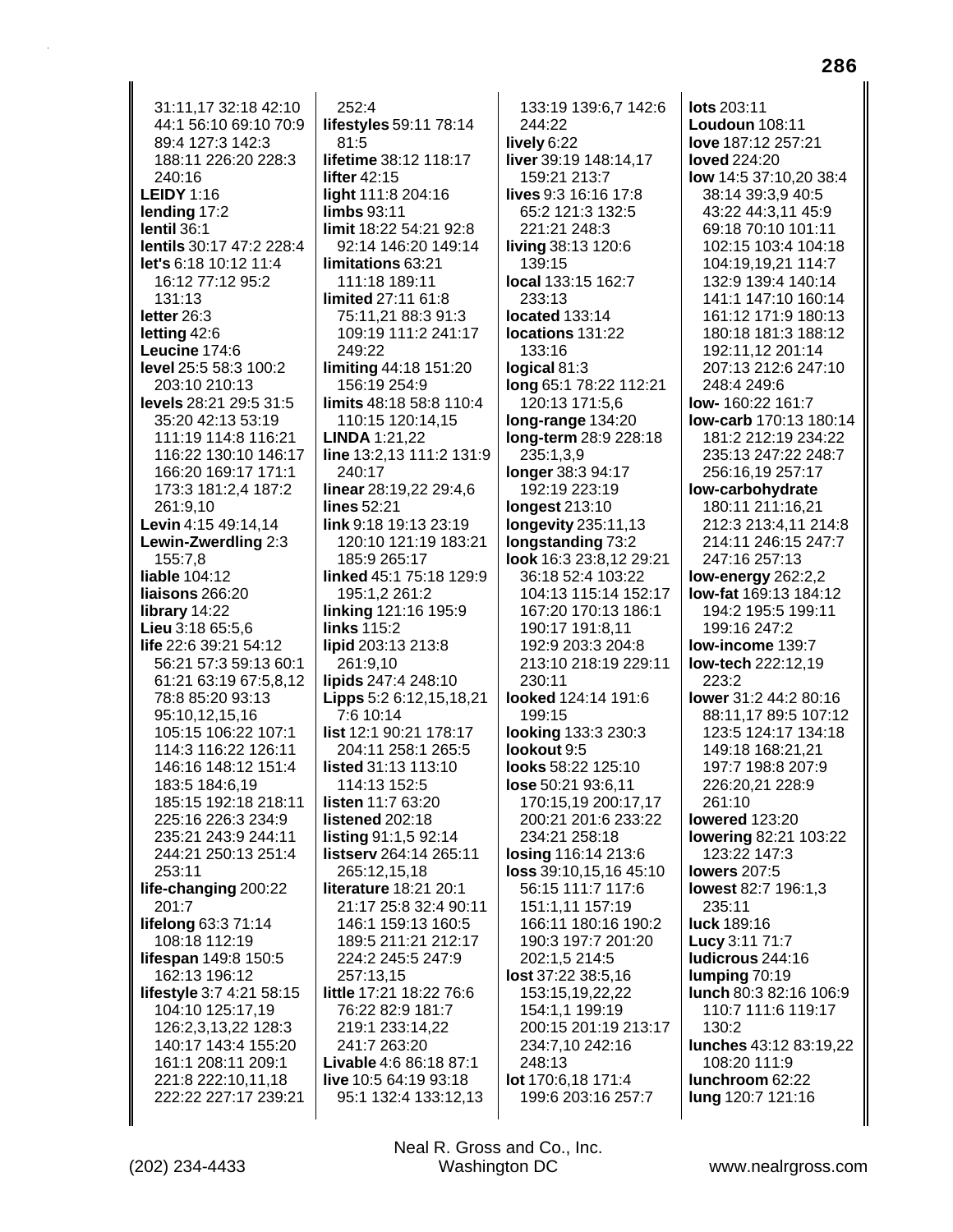31:11.17 32:18 42:10 44:1 56:10 69:10 70:9 89:4 127:3 142:3 188:11 226:20 228:3 240:16 **LEIDY 1:16** lending 17:2 lentil 36:1 lentils 30:17 47:2 228:4 let's 6:18 10:12 11:4 16:12 77:12 95:2 131:13 letter 26:3 letting 42:6 Leucine 174:6 level 25:5 58:3 100:2 203:10 210:13 levels 28:21 29:5 31:5 35:20 42:13 53:19 111:19 114:8 116:21 116:22 130:10 146:17 166:20 169:17 171:1 173:3 181:2,4 187:2 261:9,10 **Levin** 4:15 49:14,14 Lewin-Zwerdling 2:3 155:7.8 liable 104:12 liaisons 266:20 library 14:22 Lieu 3:18 65:5.6 life 22:6 39:21 54:12 56:21 57:3 59:13 60:1 61:21 63:19 67:5,8,12 78:8 85:20 93:13 95:10,12,15,16 105:15 106:22 107:1 114:3 116:22 126:11 146:16 148:12 151:4 183:5 184:6.19 185:15 192:18 218:11 225:16 226:3 234:9 235:21 243:9 244:11 244:21 250:13 251:4 253:11 life-changing 200:22 201:7 lifelong 63:3 71:14 108:18 112:19 lifespan 149:8 150:5 162:13 196:12 lifestyle 3:7 4:21 58:15 104:10 125:17,19 126:2,3,13,22 128:3 140:17 143:4 155:20 161:1 208:11 209:1 221:8 222:10,11.18 222:22 227:17 239:21

 $252:4$ lifestyles 59:11 78:14 81:5 lifetime 38:12 118:17 lifter 42:15 light 111:8 204:16 limbs 93:11 limit 18:22 54:21 92:8 92:14 146:20 149:14 limitations 63:21 111:18 189:11 limited 27:11 61:8 75:11,21 88:3 91:3 109:19 111:2 241:17 249:22 limiting 44:18 151:20 156:19 254:9 limits 48:18 58:8 110:4 110:15 120:14,15 **LINDA** 1:21,22 line 13:2,13 111:2 131:9 240:17 linear 28:19,22 29:4,6 lines 52:21 link 9:18 19:13 23:19 120:10 121:19 183:21 185:9 265:17 linked 45:1 75:18 129:9 195:1,2 261:2 linking 121:16 195:9 links 115:2 lipid 203:13 213:8 261:9,10 lipids 247:4 248:10 **Lipps** 5:2 6:12,15,18,21 7:6 10:14 list 12:1 90:21 178:17 204:11 258:1 265:5 listed 31:13 113:10 114:13 152:5 listen 11:7 63:20 listened 202:18 listing 91:1,5 92:14 listserv 264:14 265:11 265:12,15,18 literature 18:21 20:1 21:17 25:8 32:4 90:11 146:1 159:13 160:5 189:5 211:21 212:17 224:2 245:5 247:9 257:13,15 little 17:21 18:22 76:6 76:22 82:9 181:7 219:1 233:14,22 241:7 263:20 Livable 4:6 86:18 87:1 live 10:5 64:19 93:18 95:1 132:4 133:12,13

133:19 139:6,7 142:6 244:22 lively 6:22 liver 39:19 148:14,17 159:21 213:7 lives 9:3 16:16 17:8 65:2 121:3 132:5 221:21 248:3 living 38:13 120:6 139:15 local 133:15 162:7 233:13 **located** 133:14 locations 131:22 133:16 logical 81:3 long 65:1 78:22 112:21 120:13 171:5,6 long-range 134:20 **long-term** 28:9 228:18 235:1,3,9 longer 38:3 94:17 192:19 223:19 longest 213:10 **longevity** 235:11,13 **longstanding 73:2** look 16:3 23:8.12 29:21 36:18 52:4 103:22 104:13 115:14 152:17 167:20 170:13 186:1 190:17 191:8.11 192.9.203.3.204.8 213:10 218:19 229:11 230:11 looked 124:14 191:6 199:15 looking 133:3 230:3 lookout 9:5 looks 58:22 125:10 lose 50:21 93:6.11 170:15,19 200:17,17 200:21 201:6 233:22 234:21 258:18 losing 116:14 213:6 loss 39:10,15,16 45:10 56:15 111:7 117:6 151:1,11 157:19 166:11 180:16 190:2 190:3 197:7 201:20 202:1,5 214:5 lost 37:22 38:5,16 153:15,19,22,22 154:1,1 199:19 200:15 201:19 213:17 234:7,10 242:16 248:13 lot 170:6,18 171:4 199:6 203:16 257:7

lots 203:11 Loudoun 108:11 love 187:12 257:21 **loved** 224:20 low 14:5 37:10.20 38:4 38:14 39:3,9 40:5 43:22 44:3,11 45:9 69:18 70:10 101:11 102:15 103:4 104:18 104:19,19,21 114:7 132:9 139:4 140:14 141:1 147:10 160:14 161:12 171:9 180:13 180:18 181:3 188:12 192:11,12 201:14 207:13 212:6 247:10 248:4 249:6 low-160:22 161:7 low-carb 170:13 180:14 181:2 212:19 234:22 235:13 247:22 248:7 256:16,19 257:17 low-carbohydrate 180:11 211:16,21 212:3 213:4.11 214:8 214:11 246:15 247:7 247:16 257:13 low-energy 262:2,2 **low-fat** 169:13 184:12 194:2 195:5 199:11 199:16 247:2 low-income 139:7 low-tech 222:12,19 223:2 lower 31:2 44:2 80:16 88:11,17 89:5 107:12 123:5 124:17 134:18 149:18 168:21,21 197:7 198:8 207:9 226:20.21 228:9 261:10 **lowered** 123:20 **lowering 82:21 103:22** 123:22 147:3 lowers 207:5 lowest 82:7 196:1,3 235:11 luck 189:16 Lucy 3:11 71:7 Iudicrous 244:16 lumping  $70:19$ lunch 80:3 82:16 106:9 110:7 111:6 119:17  $130.2$ lunches 43:12 83:19,22 108:20 111:9 Iunchroom 62:22 lung 120:7 121:16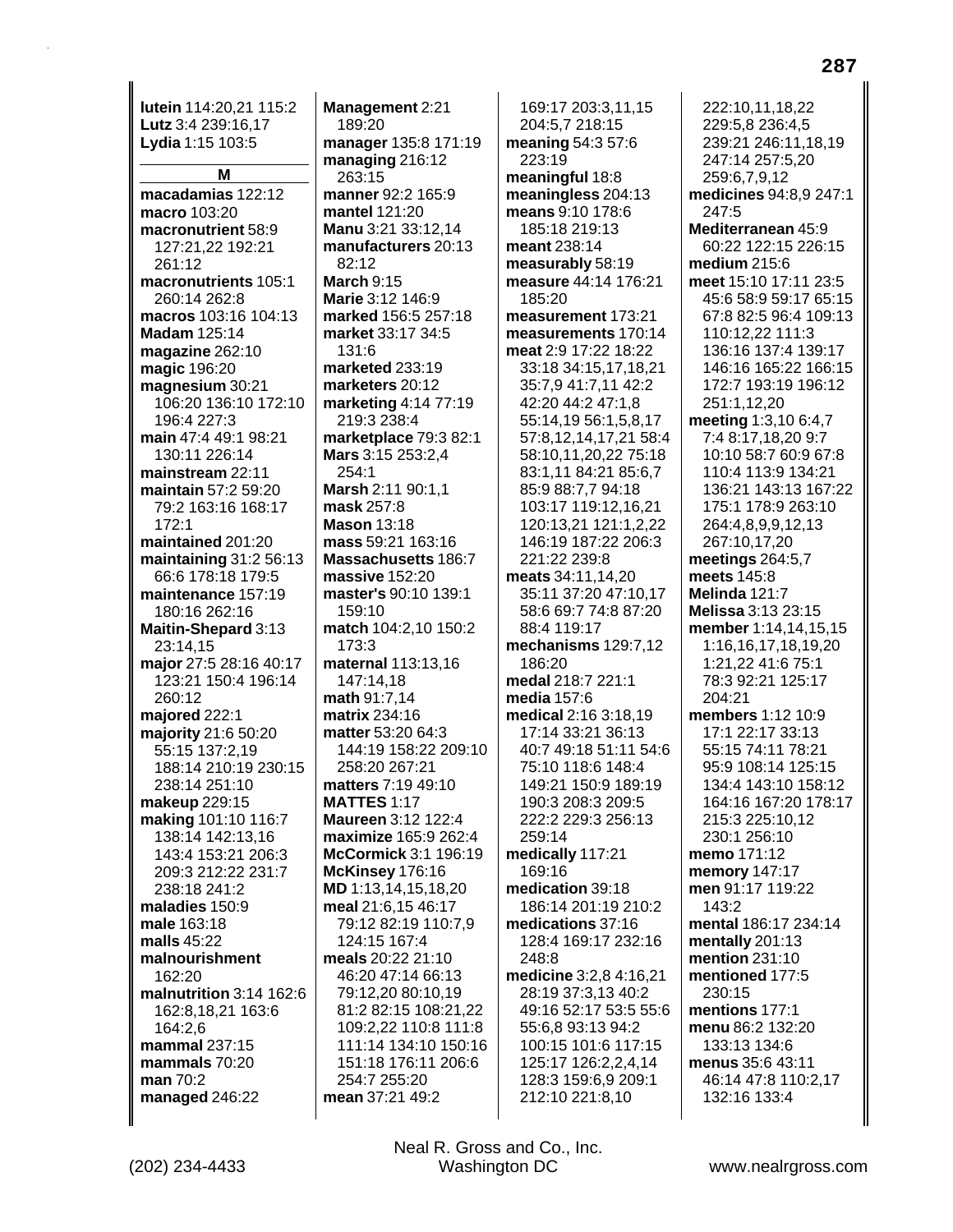**lutein** 114:20,21 115:2 **Lutz** 3:4 239:16,17 **Lydia** 1:15 103:5 **M macadamias** 122:12 **macro** 103:20 **macronutrient** 58:9 127:21,22 192:21 261:12 **macronutrients** 105:1 260:14 262:8 **macros** 103:16 104:13 **Madam** 125:14 **magazine** 262:10 **magic** 196:20 **magnesium** 30:21 106:20 136:10 172:10 196:4 227:3 **main** 47:4 49:1 98:21 130:11 226:14 **mainstream** 22:11 **maintain** 57:2 59:20 79:2 163:16 168:17 172:1 **maintained** 201:20 **maintaining** 31:2 56:13 66:6 178:18 179:5 **maintenance** 157:19 180:16 262:16 **Maitin-Shepard** 3:13 23:14,15 **major** 27:5 28:16 40:17 123:21 150:4 196:14 260:12 **majored** 222:1 **majority** 21:6 50:20 55:15 137:2,19 188:14 210:19 230:15 238:14 251:10 **makeup** 229:15 **making** 101:10 116:7 138:14 142:13,16 143:4 153:21 206:3 209:3 212:22 231:7 238:18 241:2 **maladies** 150:9 **male** 163:18 **malls** 45:22 **malnourishment** 162:20 **malnutrition** 3:14 162:6 162:8,18,21 163:6 164:2,6 **mammal** 237:15 **mammals** 70:20 **man** 70:2 **managed** 246:22

**Management** 2:21 189:20 **manager** 135:8 171:19 **managing** 216:12 263:15 **manner** 92:2 165:9 **mantel** 121:20 **Manu** 3:21 33:12,14 **manufacturers** 20:13 82:12 **March** 9:15 **Marie** 3:12 146:9 **marked** 156:5 257:18 **market** 33:17 34:5 131:6 **marketed** 233:19 **marketers** 20:12 **marketing** 4:14 77:19 219:3 238:4 **marketplace** 79:3 82:1 **Mars** 3:15 253:2,4 254:1 **Marsh** 2:11 90:1,1 **mask** 257:8 **Mason** 13:18 **mass** 59:21 163:16 **Massachusetts** 186:7 **massive** 152:20 **master's** 90:10 139:1 159:10 **match** 104:2,10 150:2 173:3 **maternal** 113:13,16 147:14,18 **math** 91:7,14 **matrix** 234:16 **matter** 53:20 64:3 144:19 158:22 209:10 258:20 267:21 **matters** 7:19 49:10 **MATTES** 1:17 **Maureen** 3:12 122:4 **maximize** 165:9 262:4 **McCormick** 3:1 196:19 **McKinsey** 176:16 **MD** 1:13,14,15,18,20 **meal** 21:6,15 46:17 79:12 82:19 110:7,9 124:15 167:4 **meals** 20:22 21:10 46:20 47:14 66:13 79:12,20 80:10,19 81:2 82:15 108:21,22 109:2,22 110:8 111:8 111:14 134:10 150:16 151:18 176:11 206:6 254:7 255:20 **mean** 37:21 49:2

169:17 203:3,11,15 204:5,7 218:15 **meaning** 54:3 57:6 223:19 **meaningful** 18:8 **meaningless** 204:13 **means** 9:10 178:6 185:18 219:13 **meant** 238:14 **measurably** 58:19 **measure** 44:14 176:21 185:20 **measurement** 173:21 **measurements** 170:14 **meat** 2:9 17:22 18:22 33:18 34:15,17,18,21 35:7,9 41:7,11 42:2 42:20 44:2 47:1,8 55:14,19 56:1,5,8,17 57:8,12,14,17,21 58:4 58:10,11,20,22 75:18 83:1,11 84:21 85:6,7 85:9 88:7,7 94:18 103:17 119:12,16,21 120:13,21 121:1,2,22 146:19 187:22 206:3 221:22 239:8 **meats** 34:11,14,20 35:11 37:20 47:10,17 58:6 69:7 74:8 87:20 88:4 119:17 **mechanisms** 129:7,12 186:20 **medal** 218:7 221:1 **media** 157:6 **medical** 2:16 3:18,19 17:14 33:21 36:13 40:7 49:18 51:11 54:6 75:10 118:6 148:4 149:21 150:9 189:19 190:3 208:3 209:5 222:2 229:3 256:13 259:14 **medically** 117:21 169:16 **medication** 39:18 186:14 201:19 210:2 **medications** 37:16 128:4 169:17 232:16 248:8 **medicine** 3:2,8 4:16,21 28:19 37:3,13 40:2 49:16 52:17 53:5 55:6 55:6,8 93:13 94:2 100:15 101:6 117:15 125:17 126:2,2,4,14 128:3 159:6,9 209:1 212:10 221:8,10

222:10,11,18,22 229:5,8 236:4,5 239:21 246:11,18,19 247:14 257:5,20 259:6,7,9,12 **medicines** 94:8,9 247:1 247:5 **Mediterranean** 45:9 60:22 122:15 226:15 **medium** 215:6 **meet** 15:10 17:11 23:5 45:6 58:9 59:17 65:15 67:8 82:5 96:4 109:13 110:12,22 111:3 136:16 137:4 139:17 146:16 165:22 166:15 172:7 193:19 196:12 251:1,12,20 **meeting** 1:3,10 6:4,7 7:4 8:17,18,20 9:7 10:10 58:7 60:9 67:8 110:4 113:9 134:21 136:21 143:13 167:22 175:1 178:9 263:10 264:4,8,9,9,12,13 267:10,17,20 **meetings** 264:5,7 **meets** 145:8 **Melinda** 121:7 **Melissa** 3:13 23:15 **member** 1:14,14,15,15 1:16,16,17,18,19,20 1:21,22 41:6 75:1 78:3 92:21 125:17 204:21 **members** 1:12 10:9 17:1 22:17 33:13 55:15 74:11 78:21 95:9 108:14 125:15 134:4 143:10 158:12 164:16 167:20 178:17 215:3 225:10,12 230:1 256:10 **memo** 171:12 **memory** 147:17 **men** 91:17 119:22  $143.2$ **mental** 186:17 234:14 **mentally** 201:13 **mention** 231:10 **mentioned** 177:5 230:15 **mentions** 177:1 **menu** 86:2 132:20 133:13 134:6 **menus** 35:6 43:11 46:14 47:8 110:2,17 132:16 133:4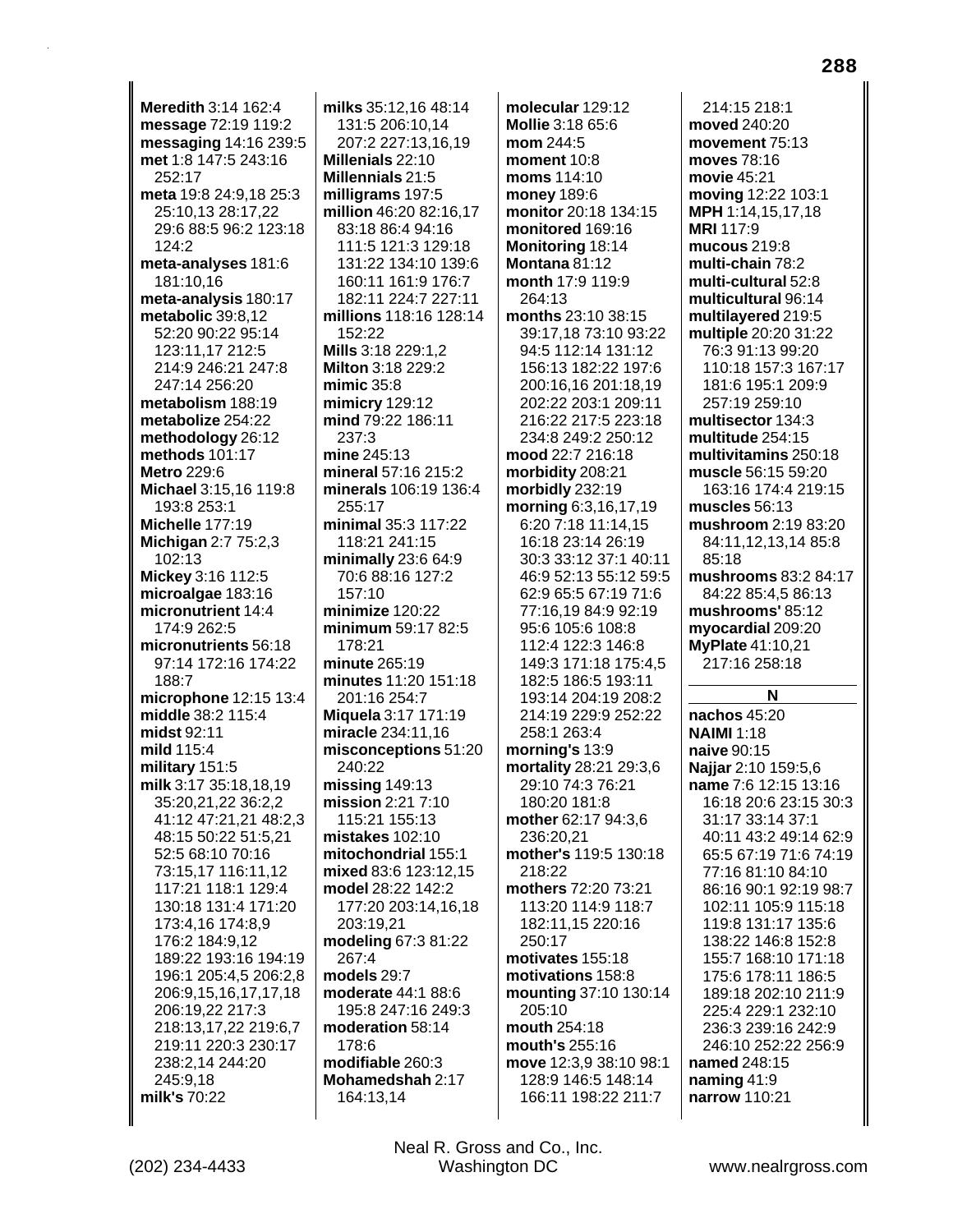**Meredith** 3:14 162:4 **message** 72:19 119:2 **messaging** 14:16 239:5 **met** 1:8 147:5 243:16 252:17 **meta** 19:8 24:9,18 25:3 25:10,13 28:17,22 29:6 88:5 96:2 123:18  $124.2$ **meta-analyses** 181:6 181:10,16 **meta-analysis** 180:17 **metabolic** 39:8,12 52:20 90:22 95:14 123:11,17 212:5 214:9 246:21 247:8 247:14 256:20 **metabolism** 188:19 **metabolize** 254:22 **methodology** 26:12 **methods** 101:17 **Metro** 229:6 **Michael** 3:15,16 119:8 193:8 253:1 **Michelle** 177:19 **Michigan** 2:7 75:2,3 102:13 **Mickey** 3:16 112:5 **microalgae** 183:16 **micronutrient** 14:4 174:9 262:5 **micronutrients** 56:18 97:14 172:16 174:22 188:7 **microphone** 12:15 13:4 **middle** 38:2 115:4 **midst** 92:11 **mild** 115:4 **military** 151:5 **milk** 3:17 35:18,18,19 35:20,21,22 36:2,2 41:12 47:21,21 48:2,3 48:15 50:22 51:5,21 52:5 68:10 70:16 73:15,17 116:11,12 117:21 118:1 129:4 130:18 131:4 171:20 173:4,16 174:8,9 176:2 184:9,12 189:22 193:16 194:19 196:1 205:4,5 206:2,8 206:9,15,16,17,17,18 206:19,22 217:3 218:13,17,22 219:6,7 219:11 220:3 230:17 238:2,14 244:20 245:9,18 **milk's** 70:22

**milks** 35:12,16 48:14 131:5 206:10,14 207:2 227:13,16,19 **Millenials** 22:10 **Millennials** 21:5 **milligrams** 197:5 **million** 46:20 82:16,17 83:18 86:4 94:16 111:5 121:3 129:18 131:22 134:10 139:6 160:11 161:9 176:7 182:11 224:7 227:11 **millions** 118:16 128:14 152:22 **Mills** 3:18 229:1,2 **Milton** 3:18 229:2 **mimic** 35:8 **mimicry** 129:12 **mind** 79:22 186:11 237:3 **mine** 245:13 **mineral** 57:16 215:2 **minerals** 106:19 136:4 255:17 **minimal** 35:3 117:22 118:21 241:15 **minimally** 23:6 64:9 70:6 88:16 127:2 157:10 **minimize** 120:22 **minimum** 59:17 82:5 178:21 **minute** 265:19 **minutes** 11:20 151:18 201:16 254:7 **Miquela** 3:17 171:19 **miracle** 234:11,16 **misconceptions** 51:20 240:22 **missing** 149:13 **mission** 2:21 7:10 115:21 155:13 **mistakes** 102:10 **mitochondrial** 155:1 **mixed** 83:6 123:12,15 **model** 28:22 142:2 177:20 203:14,16,18 203:19,21 **modeling** 67:3 81:22 267:4 **models** 29:7 **moderate** 44:1 88:6 195:8 247:16 249:3 **moderation** 58:14 178:6 **modifiable** 260:3 **Mohamedshah** 2:17 164:13,14

**molecular** 129:12 **Mollie** 3:18 65:6 **mom** 244:5 **moment** 10:8 **moms** 114:10 **money** 189:6 **monitor** 20:18 134:15 **monitored** 169:16 **Monitoring** 18:14 **Montana** 81:12 **month** 17:9 119:9 264:13 **months** 23:10 38:15 39:17,18 73:10 93:22 94:5 112:14 131:12 156:13 182:22 197:6 200:16,16 201:18,19 202:22 203:1 209:11 216:22 217:5 223:18 234:8 249:2 250:12 **mood** 22:7 216:18 **morbidity** 208:21 **morbidly** 232:19 **morning** 6:3,16,17,19 6:20 7:18 11:14,15 16:18 23:14 26:19 30:3 33:12 37:1 40:11 46:9 52:13 55:12 59:5 62:9 65:5 67:19 71:6 77:16,19 84:9 92:19 95:6 105:6 108:8 112:4 122:3 146:8 149:3 171:18 175:4,5 182:5 186:5 193:11 193:14 204:19 208:2 214:19 229:9 252:22 258:1 263:4 **morning's** 13:9 **mortality** 28:21 29:3,6 29:10 74:3 76:21 180:20 181:8 **mother** 62:17 94:3,6 236:20,21 **mother's** 119:5 130:18 218:22 **mothers** 72:20 73:21 113:20 114:9 118:7 182:11,15 220:16 250:17 **motivates** 155:18 **motivations** 158:8 **mounting** 37:10 130:14 205:10 **mouth** 254:18 **mouth's** 255:16 **move** 12:3,9 38:10 98:1 128:9 146:5 148:14 166:11 198:22 211:7

214:15 218:1 **moved** 240:20 **movement** 75:13 **moves** 78:16 **movie** 45:21 **moving** 12:22 103:1 **MPH** 1:14,15,17,18 **MRI** 117:9 **mucous** 219:8 **multi-chain** 78:2 **multi-cultural** 52:8 **multicultural** 96:14 **multilayered** 219:5 **multiple** 20:20 31:22 76:3 91:13 99:20 110:18 157:3 167:17 181:6 195:1 209:9 257:19 259:10 **multisector** 134:3 **multitude** 254:15 **multivitamins** 250:18 **muscle** 56:15 59:20 163:16 174:4 219:15 **muscles** 56:13 **mushroom** 2:19 83:20 84:11,12,13,14 85:8 85:18 **mushrooms** 83:2 84:17 84:22 85:4,5 86:13 **mushrooms'** 85:12 **myocardial** 209:20 **MyPlate** 41:10,21 217:16 258:18 **N nachos** 45:20 **NAIMI** 1:18 **naive** 90:15 **Najjar** 2:10 159:5,6 **name** 7:6 12:15 13:16 16:18 20:6 23:15 30:3 31:17 33:14 37:1 40:11 43:2 49:14 62:9 65:5 67:19 71:6 74:19 77:16 81:10 84:10 86:16 90:1 92:19 98:7 102:11 105:9 115:18 119:8 131:17 135:6 138:22 146:8 152:8 155:7 168:10 171:18 175:6 178:11 186:5 189:18 202:10 211:9

225:4 229:1 232:10 236:3 239:16 242:9 246:10 252:22 256:9

**named** 248:15 **naming** 41:9 **narrow** 110:21

**288**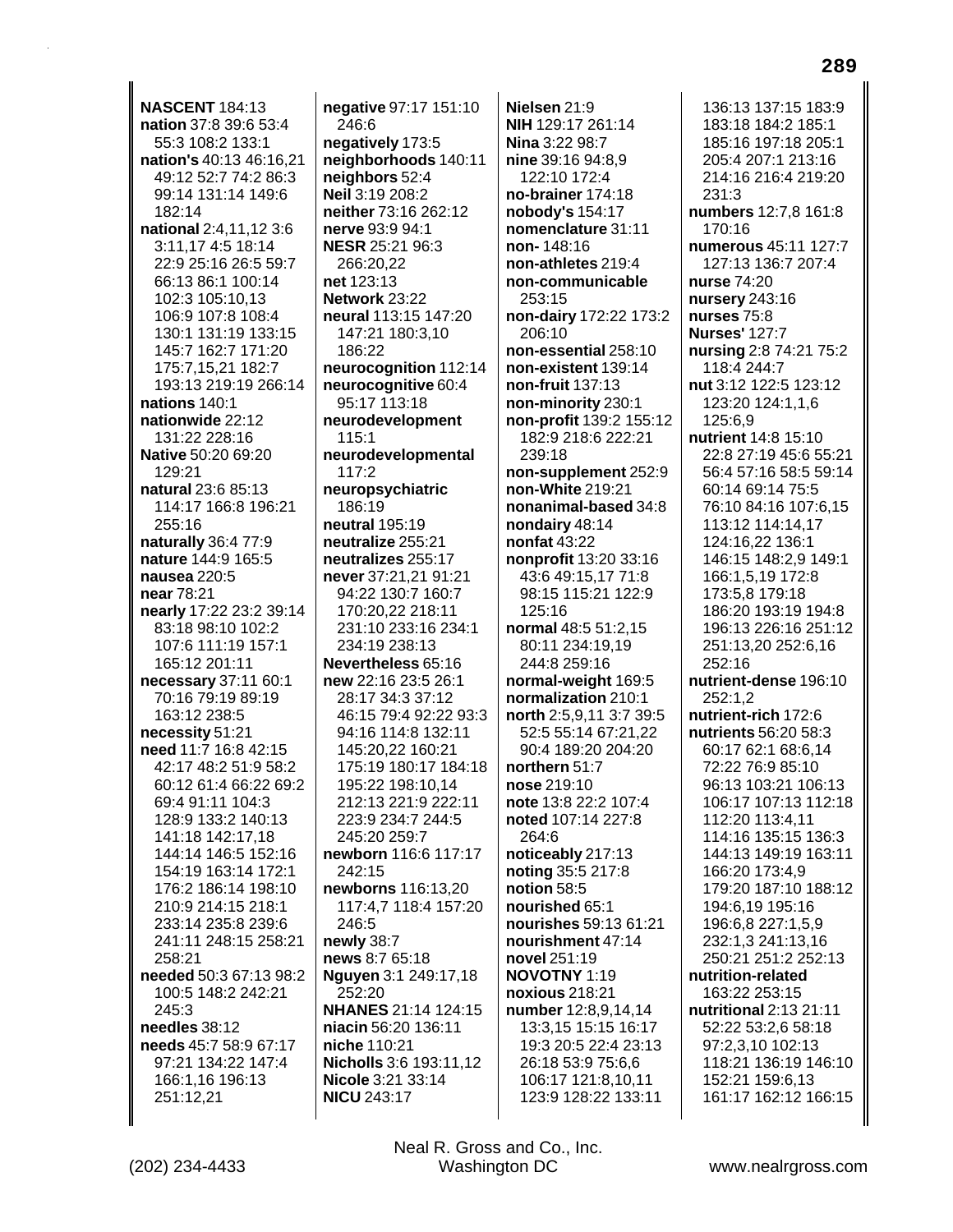**NASCENT 184:13** nation 37:8 39:6 53:4 55:3 108:2 133:1 nation's 40:13 46:16,21 49:12 52:7 74:2 86:3 99:14 131:14 149:6 182:14 national 2:4,11,12 3:6 3:11,17 4:5 18:14 22:9 25:16 26:5 59:7 66:13 86:1 100:14 102:3 105:10,13 106:9 107:8 108:4 130:1 131:19 133:15 145:7 162:7 171:20 175:7,15,21 182:7 193:13 219:19 266:14 nations 140:1 nationwide 22:12 131:22 228:16 Native 50:20 69:20 129:21 natural 23:6 85:13 114:17 166:8 196:21 255:16 naturally 36:4 77:9 nature 144:9 165:5 nausea 220:5 near 78:21 nearly 17:22 23:2 39:14 83:18 98:10 102:2 107:6 111:19 157:1 165:12 201:11 necessary 37:11 60:1 70:16 79:19 89:19 163:12 238:5 necessity 51:21 need 11:7 16:8 42:15 42:17 48:2 51:9 58:2 60:12 61:4 66:22 69:2 69:4 91:11 104:3 128:9 133:2 140:13 141:18 142:17,18 144:14 146:5 152:16 154:19 163:14 172:1 176:2 186:14 198:10 210:9 214:15 218:1 233:14 235:8 239:6 241:11 248:15 258:21 258:21 needed 50:3 67:13 98:2 100:5 148:2 242:21 245:3 needles 38:12 needs 45:7 58:9 67:17 97:21 134:22 147:4 166:1.16 196:13 251:12,21

negative 97:17 151:10 246:6 negatively 173:5 neighborhoods 140:11 neighbors 52:4 Neil 3:19 208:2 neither 73:16 262:12 nerve 93:9 94:1 **NESR 25:21 96:3** 266:20,22 net 123:13 Network 23:22 neural 113:15 147:20 147:21 180:3,10 186:22 neurocognition 112:14 neurocognitive 60:4 95:17 113:18 neurodevelopment 115:1 neurodevelopmental 117:2 neuropsychiatric 186:19 neutral 195:19 neutralize 255:21 neutralizes 255:17 never 37:21,21 91:21 94:22 130:7 160:7 170:20,22 218:11 231:10 233:16 234:1 234:19 238:13 Nevertheless 65:16 new 22:16 23:5 26:1 28:17 34:3 37:12 46:15 79:4 92:22 93:3 94:16 114:8 132:11 145:20,22 160:21 175:19 180:17 184:18 195:22 198:10.14 212:13 221:9 222:11 223:9 234:7 244:5 245:20 259:7 newborn 116:6 117:17 242:15 newborns 116:13,20 117:4.7 118:4 157:20 246:5 newly 38:7 news 8:7 65:18 Nguyen 3:1 249:17,18 252:20 NHANES 21:14 124:15 niacin 56:20 136:11 niche 110:21 Nicholls 3:6 193:11,12 Nicole 3:21 33:14 **NICU 243:17** 

Nielsen 21:9 NIH 129:17 261:14 Nina 3:22 98:7 nine 39:16 94:8,9 122:10 172:4 no-brainer 174:18 nobody's 154:17 nomenclature 31:11 non-148:16 non-athletes 219:4 non-communicable 253:15 non-dairy 172:22 173:2 206:10 non-essential 258:10 non-existent 139:14 non-fruit 137:13 non-minority 230:1 non-profit 139:2 155:12 182:9 218:6 222:21 239:18 non-supplement 252:9 non-White 219:21 nonanimal-based 34:8 nondairy 48:14 nonfat  $43:22$ nonprofit 13:20 33:16 43:6 49:15,17 71:8 98:15 115:21 122:9 125:16 normal 48:5 51:2.15 80:11 234:19.19 244:8 259:16 normal-weight 169:5 normalization 210:1 north 2:5,9,11 3:7 39:5 52:5 55:14 67:21,22 90:4 189:20 204:20 northern 51:7 nose 219:10 note 13:8 22:2 107:4 noted 107:14 227:8 264:6 noticeably 217:13 noting 35:5 217:8 notion 58:5 nourished 65:1 nourishes 59:13 61:21 nourishment 47:14 novel 251:19 **NOVOTNY 1:19** noxious 218:21 number 12:8,9,14,14 13:3,15 15:15 16:17 19:3 20:5 22:4 23:13 26:18 53:9 75:6,6 106:17 121:8,10,11 123:9 128:22 133:11

136:13 137:15 183:9 183:18 184:2 185:1 185:16 197:18 205:1 205:4 207:1 213:16 214:16 216:4 219:20 231:3 numbers 12:7,8 161:8 170:16 numerous 45:11 127:7 127:13 136:7 207:4 nurse 74:20 nursery 243:16 nurses 75:8 **Nurses' 127:7** nursing 2:8 74:21 75:2 118:4 244:7 nut 3:12 122:5 123:12 123:20 124:1,1,6 125:6.9 nutrient 14:8 15:10 22:8 27:19 45:6 55:21 56:4 57:16 58:5 59:14 60:14 69:14 75:5 76:10 84:16 107:6,15 113:12 114:14,17 124:16.22 136:1 146:15 148:2,9 149:1 166:1,5,19 172:8 173:5,8 179:18 186:20 193:19 194:8 196:13 226:16 251:12 251:13,20 252:6,16 252:16 nutrient-dense 196:10 252:1.2 nutrient-rich 172:6 nutrients 56:20 58:3 60:17 62:1 68:6,14 72:22 76:9 85:10 96:13 103:21 106:13 106:17 107:13 112:18 112:20 113:4,11 114:16 135:15 136:3 144:13 149:19 163:11 166:20 173:4,9 179:20 187:10 188:12 194:6,19 195:16 196:6,8 227:1,5,9 232:1.3 241:13.16 250:21 251:2 252:13 nutrition-related 163:22 253:15 nutritional 2:13 21:11 52:22 53:2,6 58:18 97:2,3,10 102:13 118:21 136:19 146:10 152:21 159:6,13 161:17 162:12 166:15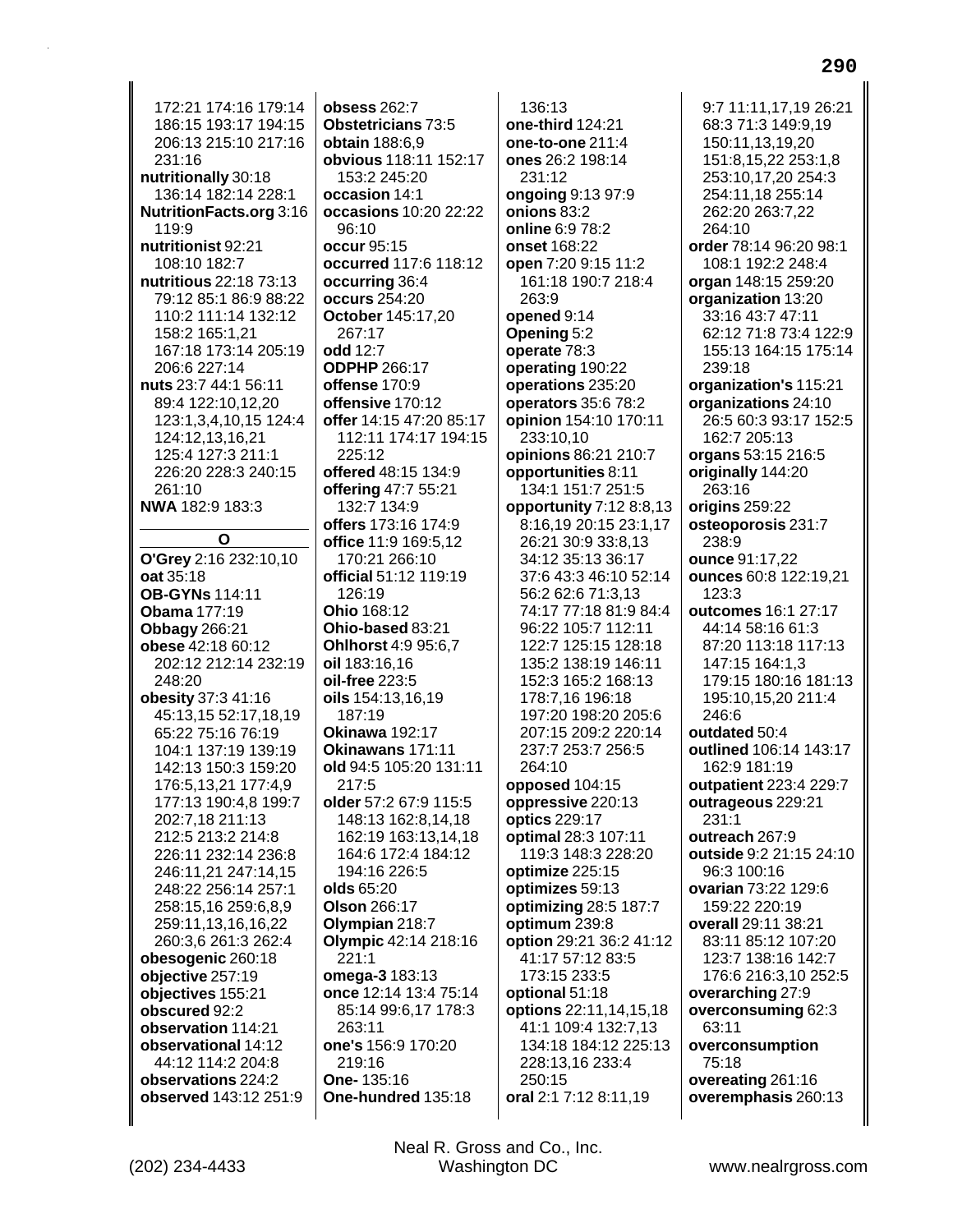172:21 174:16 179:14 186:15 193:17 194:15 206:13 215:10 217:16 231:16 nutritionally 30:18 136:14 182:14 228:1 NutritionFacts.org 3:16 119:9 nutritionist 92:21 108:10 182:7 nutritious 22:18 73:13 79:12 85:1 86:9 88:22 110:2 111:14 132:12 158:2 165:1.21 167:18 173:14 205:19 206:6 227:14 nuts 23:7 44:1 56:11 89:4 122:10,12,20 123:1,3,4,10,15 124:4 124:12,13,16,21 125:4 127:3 211:1 226:20 228:3 240:15 261:10 NWA 182:9 183:3  $\mathbf{o}$ O'Grey 2:16 232:10,10 oat 35:18 **OB-GYNs 114:11 Obama** 177:19 **Obbagy** 266:21 obese 42:18 60:12 202:12 212:14 232:19 248:20 obesity 37:3 41:16 45:13,15 52:17,18,19 65:22 75:16 76:19 104:1 137:19 139:19 142:13 150:3 159:20 176:5,13,21 177:4,9 177:13 190:4,8 199:7 202:7,18 211:13 212:5 213:2 214:8 226:11 232:14 236:8 246:11,21 247:14,15 248:22 256:14 257:1 258:15,16 259:6,8,9 259:11,13,16,16,22 260:3,6 261:3 262:4 obesogenic 260:18 objective 257:19 objectives 155:21 obscured 92:2 observation 114:21 observational 14:12 44:12 114:2 204:8 observations 224:2 observed 143:12 251:9

obsess 262:7 **Obstetricians 73:5 obtain** 188:6,9 obvious 118:11 152:17 153:2 245:20 occasion 14:1 occasions 10:20 22:22 96:10 occur 95:15 occurred 117:6 118:12 occurring 36:4 occurs 254:20 **October 145:17,20** 267:17 odd  $12.7$ **ODPHP 266:17** offense 170:9 offensive 170:12 offer 14:15 47:20 85:17 112:11 174:17 194:15 225:12 offered 48:15 134:9 offering 47:7 55:21 132:7 134:9 offers 173:16 174:9 office 11:9 169:5.12 170:21 266:10 official 51:12 119:19 126:19 Ohio 168:12 Ohio-based 83:21 **Ohlhorst 4:9 95:6.7** oil 183:16,16 **oil-free** 223:5 oils 154:13,16,19 187:19 **Okinawa 192:17** Okinawans 171:11 old 94:5 105:20 131:11  $217:5$ older 57:2 67:9 115:5 148:13 162:8,14,18 162:19 163:13,14,18 164:6 172:4 184:12 194:16 226:5 olds 65:20 Olson 266:17 Olympian 218:7 Olympic 42:14 218:16  $221:1$ omega-3 183:13 once 12:14 13:4 75:14 85:14 99:6,17 178:3 263:11 one's 156:9 170:20 219:16 One-135:16 One-hundred 135:18

136:13 one-third 124:21 one-to-one 211:4 ones 26:2 198:14 231:12 ongoing 9:13 97:9 onions 83:2 online 6:9 78:2 onset 168:22 open 7:20 9:15 11:2 161:18 190:7 218:4 263:9 opened 9:14 Opening 5:2 operate 78:3 operating 190:22 operations 235:20 operators 35:6 78:2 opinion 154:10 170:11 233:10,10 opinions 86:21 210:7 opportunities 8:11 134:1 151:7 251:5 opportunity 7:12 8:8,13 8:16,19 20:15 23:1,17 26:21 30:9 33:8.13 34:12 35:13 36:17 37:6 43:3 46:10 52:14 56:2 62:6 71:3,13 74:17 77:18 81:9 84:4 96:22 105:7 112:11 122.7 125.15 128.18 135:2 138:19 146:11 152:3 165:2 168:13 178:7,16 196:18 197:20 198:20 205:6 207:15 209:2 220:14 237:7 253:7 256:5 264:10 opposed 104:15 oppressive 220:13 optics 229:17 optimal 28:3 107:11 119:3 148:3 228:20 optimize 225:15 optimizes 59:13 optimizing 28:5 187:7 optimum 239:8 option 29:21 36:2 41:12 41:17 57:12 83:5 173:15 233:5 optional 51:18 options 22:11,14,15,18 41:1 109:4 132:7,13 134:18 184:12 225:13 228:13,16 233:4 250:15 oral 2:1 7:12 8:11,19

9:7 11:11,17,19 26:21 68:3 71:3 149:9,19 150:11,13,19,20 151:8,15,22 253:1,8 253:10.17,20 254:3 254:11,18 255:14 262:20 263:7,22 264:10 order 78:14 96:20 98:1 108:1 192:2 248:4 organ 148:15 259:20 organization 13:20 33:16 43:7 47:11 62:12 71:8 73:4 122:9 155:13 164:15 175:14 239:18 organization's 115:21 organizations 24:10 26:5 60:3 93:17 152:5 162:7 205:13 organs 53:15 216:5 originally 144:20 263:16 origins 259:22 osteoporosis 231:7 238:9 ounce 91:17.22 ounces 60:8 122:19,21  $123:3$ outcomes 16:1 27:17 44:14 58:16 61:3 87:20 113:18 117:13 147:15 164:1.3 179:15 180:16 181:13 195:10,15,20 211:4 246:6 outdated 50:4 outlined 106:14 143:17 162:9 181:19 outpatient 223:4 229:7 outrageous 229:21  $231:1$ outreach 267:9 outside 9:2 21:15 24:10 96:3 100:16 ovarian 73:22 129:6 159:22 220:19 overall 29:11 38:21 83:11 85:12 107:20 123:7 138:16 142:7 176:6 216:3,10 252:5 overarching 27:9 overconsuming 62:3 63:11 overconsumption 75:18 overeating 261:16 overemphasis 260:13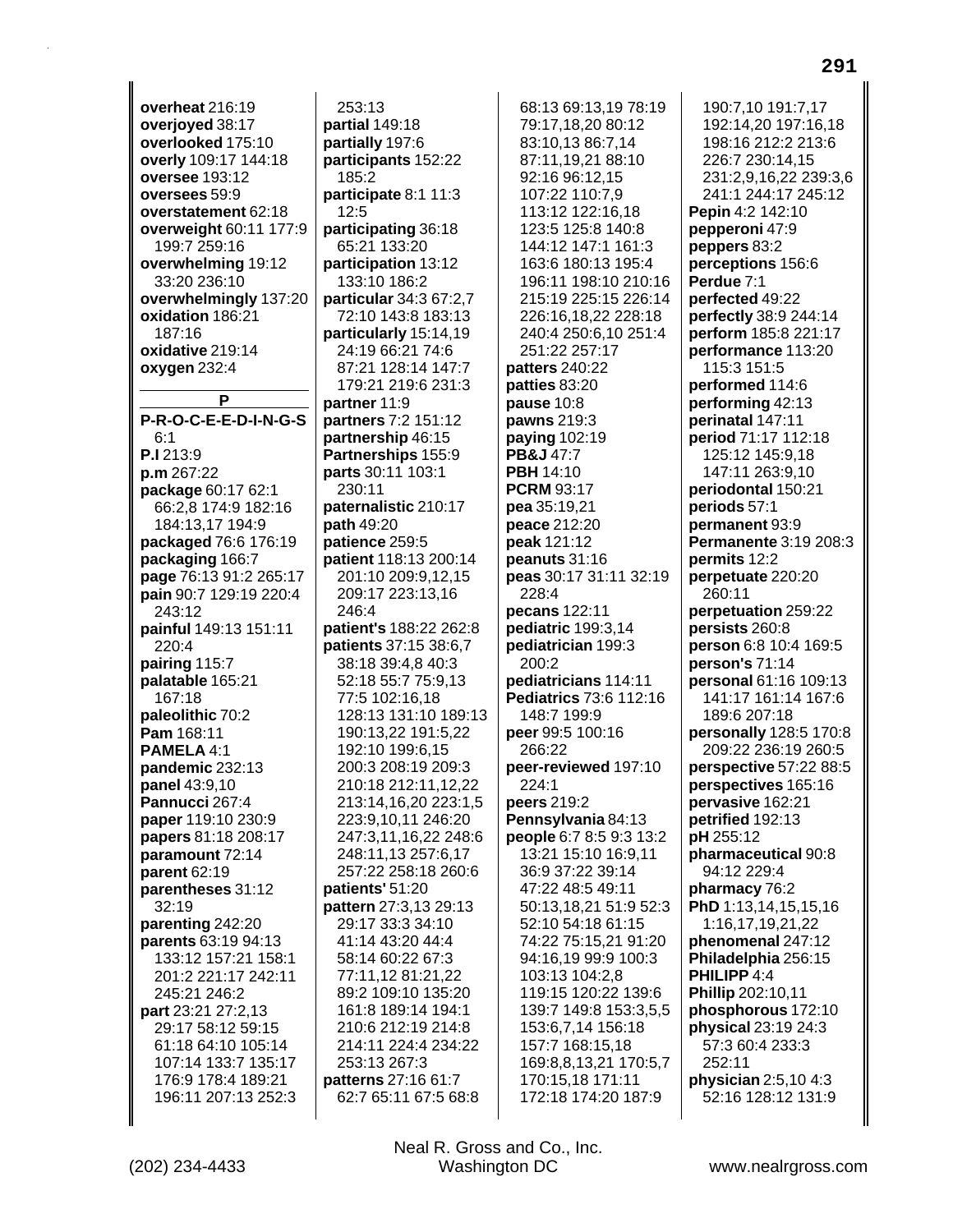**overheat** 216:19 **overjoyed** 38:17 **overlooked** 175:10 **overly** 109:17 144:18 **oversee** 193:12 **oversees** 59:9 **overstatement** 62:18 **overweight** 60:11 177:9 199:7 259:16 **overwhelming** 19:12 33:20 236:10 **overwhelmingly** 137:20 **oxidation** 186:21 187:16 **oxidative** 219:14 **oxygen** 232:4 **P P-R-O-C-E-E-D-I-N-G-S** 6:1 **P.I** 213:9 **p.m** 267:22 **package** 60:17 62:1 66:2,8 174:9 182:16 184:13,17 194:9 **packaged** 76:6 176:19 **packaging** 166:7 **page** 76:13 91:2 265:17 **pain** 90:7 129:19 220:4 243:12 **painful** 149:13 151:11 220:4 **pairing** 115:7 **palatable** 165:21 167:18 **paleolithic** 70:2 **Pam** 168:11 **PAMELA** 4:1 **pandemic** 232:13 **panel** 43:9,10 **Pannucci** 267:4 **paper** 119:10 230:9 **papers** 81:18 208:17 **paramount** 72:14 **parent** 62:19 **parentheses** 31:12 32:19 **parenting** 242:20 **parents** 63:19 94:13 133:12 157:21 158:1 201:2 221:17 242:11 245:21 246:2 **part** 23:21 27:2,13 29:17 58:12 59:15 61:18 64:10 105:14 107:14 133:7 135:17 176:9 178:4 189:21 196:11 207:13 252:3

253:13 **partial** 149:18 **partially** 197:6 **participants** 152:22 185:2 **participate** 8:1 11:3 12:5 **participating** 36:18 65:21 133:20 **participation** 13:12 133:10 186:2 **particular** 34:3 67:2,7 72:10 143:8 183:13 **particularly** 15:14,19 24:19 66:21 74:6 87:21 128:14 147:7 179:21 219:6 231:3 **partner** 11:9 **partners** 7:2 151:12 **partnership** 46:15 **Partnerships** 155:9 **parts** 30:11 103:1 230:11 **paternalistic** 210:17 **path** 49:20 **patience** 259:5 **patient** 118:13 200:14 201:10 209:9,12,15 209:17 223:13,16 246:4 **patient's** 188:22 262:8 **patients** 37:15 38:6,7 38:18 39:4,8 40:3 52:18 55:7 75:9,13 77:5 102:16,18 128:13 131:10 189:13 190:13,22 191:5,22 192:10 199:6,15 200:3 208:19 209:3 210:18 212:11,12,22 213:14,16,20 223:1,5 223:9,10,11 246:20 247:3,11,16,22 248:6 248:11,13 257:6,17 257:22 258:18 260:6 **patients'** 51:20 **pattern** 27:3,13 29:13 29:17 33:3 34:10 41:14 43:20 44:4 58:14 60:22 67:3 77:11,12 81:21,22 89:2 109:10 135:20 161:8 189:14 194:1 210:6 212:19 214:8 214:11 224:4 234:22 253:13 267:3 **patterns** 27:16 61:7 62:7 65:11 67:5 68:8

68:13 69:13,19 78:19 79:17,18,20 80:12 83:10,13 86:7,14 87:11,19,21 88:10 92:16 96:12,15 107:22 110:7,9 113:12 122:16,18 123:5 125:8 140:8 144:12 147:1 161:3 163:6 180:13 195:4 196:11 198:10 210:16 215:19 225:15 226:14 226:16,18,22 228:18 240:4 250:6,10 251:4 251:22 257:17 **patters** 240:22 **patties** 83:20 **pause** 10:8 **pawns** 219:3 **paying** 102:19 **PB&J** 47:7 **PBH** 14:10 **PCRM** 93:17 **pea** 35:19,21 **peace** 212:20 **peak** 121:12 **peanuts** 31:16 **peas** 30:17 31:11 32:19 228:4 **pecans** 122:11 **pediatric** 199:3,14 **pediatrician** 199:3  $200.2$ **pediatricians** 114:11 **Pediatrics** 73:6 112:16 148:7 199:9 **peer** 99:5 100:16 266:22 **peer-reviewed** 197:10 224:1 **peers** 219:2 **Pennsylvania** 84:13 **people** 6:7 8:5 9:3 13:2 13:21 15:10 16:9,11 36:9 37:22 39:14 47:22 48:5 49:11 50:13,18,21 51:9 52:3 52:10 54:18 61:15 74:22 75:15,21 91:20 94:16,19 99:9 100:3 103:13 104:2,8 119:15 120:22 139:6 139:7 149:8 153:3,5,5 153:6,7,14 156:18 157:7 168:15,18 169:8,8,13,21 170:5,7 170:15,18 171:11 172:18 174:20 187:9

190:7,10 191:7,17 192:14,20 197:16,18 198:16 212:2 213:6 226:7 230:14,15 231:2,9,16,22 239:3,6 241:1 244:17 245:12 **Pepin** 4:2 142:10 **pepperoni** 47:9 **peppers** 83:2 **perceptions** 156:6 **Perdue** 7:1 **perfected** 49:22 **perfectly** 38:9 244:14 **perform** 185:8 221:17 **performance** 113:20 115:3 151:5 **performed** 114:6 **performing** 42:13 **perinatal** 147:11 **period** 71:17 112:18 125:12 145:9,18 147:11 263:9,10 **periodontal** 150:21 **periods** 57:1 **permanent** 93:9 **Permanente** 3:19 208:3 **permits** 12:2 **perpetuate** 220:20 260:11 **perpetuation** 259:22 **persists** 260:8 **person** 6:8 10:4 169:5 **person's** 71:14 **personal** 61:16 109:13 141:17 161:14 167:6 189:6 207:18 **personally** 128:5 170:8 209:22 236:19 260:5 **perspective** 57:22 88:5 **perspectives** 165:16 **pervasive** 162:21 **petrified** 192:13 **pH** 255:12 **pharmaceutical** 90:8 94:12 229:4 **pharmacy** 76:2 **PhD** 1:13,14,15,15,16 1:16,17,19,21,22 **phenomenal** 247:12 **Philadelphia** 256:15 **PHILIPP** 4:4 **Phillip** 202:10,11 **phosphorous** 172:10 **physical** 23:19 24:3 57:3 60:4 233:3 252:11 **physician** 2:5,10 4:3 52:16 128:12 131:9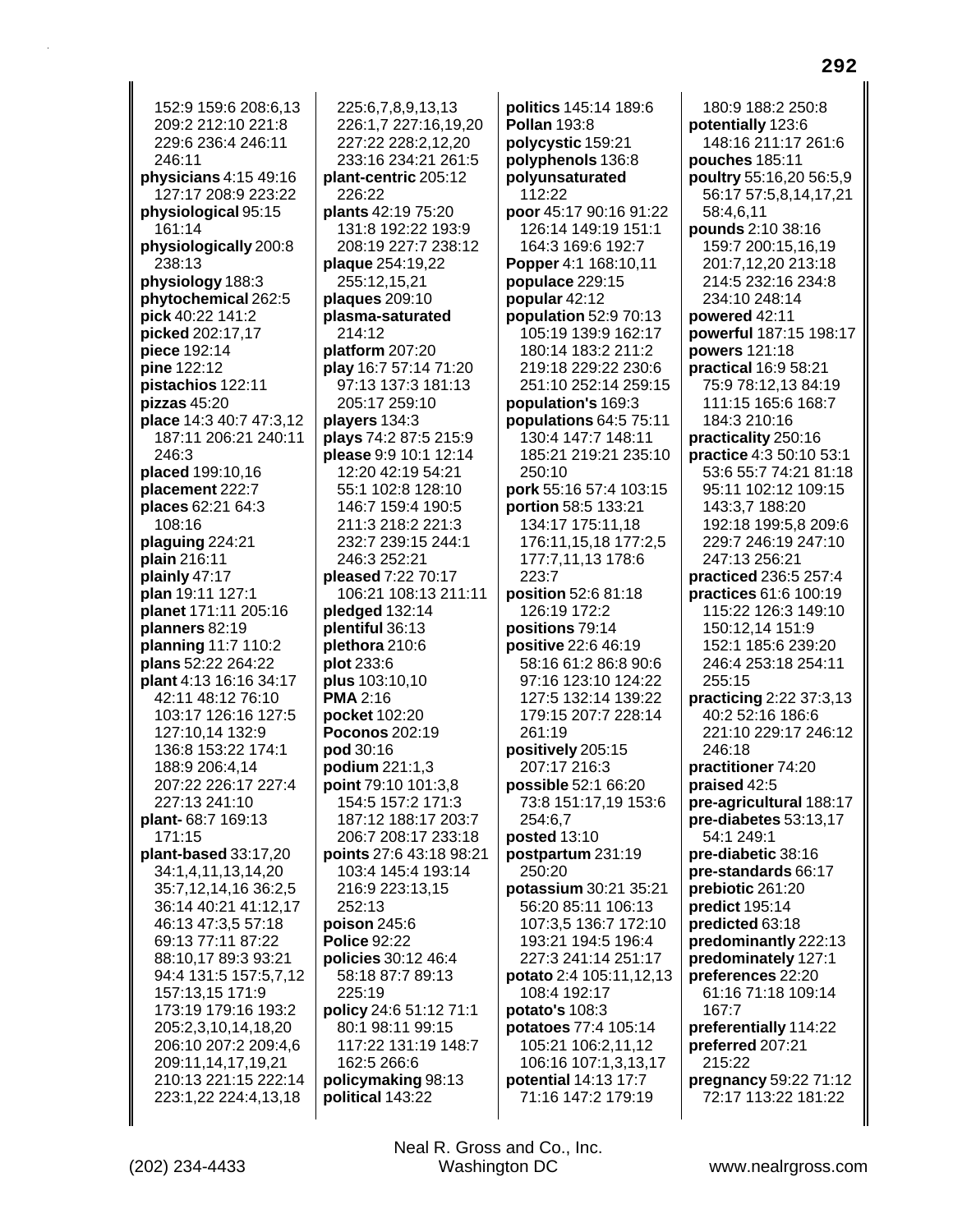152:9 159:6 208:6,13 209:2 212:10 221:8 229:6 236:4 246:11 246:11 **physicians** 4:15 49:16 127:17 208:9 223:22 **physiological** 95:15 161:14 **physiologically** 200:8 238:13 **physiology** 188:3 **phytochemical** 262:5 **pick** 40:22 141:2 **picked** 202:17,17 **piece** 192:14 **pine** 122:12 **pistachios** 122:11 **pizzas** 45:20 **place** 14:3 40:7 47:3,12 187:11 206:21 240:11 246:3 **placed** 199:10,16 **placement** 222:7 **places** 62:21 64:3 108:16 **plaguing** 224:21 **plain** 216:11 **plainly** 47:17 **plan** 19:11 127:1 **planet** 171:11 205:16 **planners** 82:19 **planning** 11:7 110:2 **plans** 52:22 264:22 **plant** 4:13 16:16 34:17 42:11 48:12 76:10 103:17 126:16 127:5 127:10,14 132:9 136:8 153:22 174:1 188:9 206:4,14 207:22 226:17 227:4 227:13 241:10 **plant-** 68:7 169:13 171:15 **plant-based** 33:17,20 34:1,4,11,13,14,20 35:7,12,14,16 36:2,5 36:14 40:21 41:12,17 46:13 47:3,5 57:18 69:13 77:11 87:22 88:10,17 89:3 93:21 94:4 131:5 157:5,7,12 157:13,15 171:9 173:19 179:16 193:2 205:2,3,10,14,18,20 206:10 207:2 209:4,6 209:11,14,17,19,21 210:13 221:15 222:14 223:1,22 224:4,13,18

225:6,7,8,9,13,13 226:1,7 227:16,19,20 227:22 228:2,12,20 233:16 234:21 261:5 **plant-centric** 205:12 226:22 **plants** 42:19 75:20 131:8 192:22 193:9 208:19 227:7 238:12 **plaque** 254:19,22 255:12,15,21 **plaques** 209:10 **plasma-saturated** 214:12 **platform** 207:20 **play** 16:7 57:14 71:20 97:13 137:3 181:13 205:17 259:10 **players** 134:3 **plays** 74:2 87:5 215:9 **please** 9:9 10:1 12:14 12:20 42:19 54:21 55:1 102:8 128:10 146:7 159:4 190:5 211:3 218:2 221:3 232:7 239:15 244:1 246:3 252:21 **pleased** 7:22 70:17 106:21 108:13 211:11 **pledged** 132:14 **plentiful** 36:13 **plethora** 210:6 **plot** 233:6 **plus** 103:10,10 **PMA** 2:16 **pocket** 102:20 **Poconos** 202:19 **pod** 30:16 **podium** 221:1,3 **point** 79:10 101:3,8 154:5 157:2 171:3 187:12 188:17 203:7 206:7 208:17 233:18 **points** 27:6 43:18 98:21 103:4 145:4 193:14 216:9 223:13,15 252:13 **poison** 245:6 **Police** 92:22 **policies** 30:12 46:4 58:18 87:7 89:13 225:19 **policy** 24:6 51:12 71:1 80:1 98:11 99:15 117:22 131:19 148:7 162:5 266:6 **policymaking** 98:13 **political** 143:22

**politics** 145:14 189:6 **Pollan** 193:8 **polycystic** 159:21 **polyphenols** 136:8 **polyunsaturated** 112:22 **poor** 45:17 90:16 91:22 126:14 149:19 151:1 164:3 169:6 192:7 **Popper** 4:1 168:10,11 **populace** 229:15 **popular** 42:12 **population** 52:9 70:13 105:19 139:9 162:17 180:14 183:2 211:2 219:18 229:22 230:6 251:10 252:14 259:15 **population's** 169:3 **populations** 64:5 75:11 130:4 147:7 148:11 185:21 219:21 235:10 250:10 **pork** 55:16 57:4 103:15 **portion** 58:5 133:21 134:17 175:11,18 176:11,15,18 177:2,5 177:7,11,13 178:6 223:7 **position** 52:6 81:18 126:19 172:2 **positions** 79:14 **positive** 22:6 46:19 58:16 61:2 86:8 90:6 97:16 123:10 124:22 127:5 132:14 139:22 179:15 207:7 228:14 261:19 **positively** 205:15 207:17 216:3 **possible** 52:1 66:20 73:8 151:17,19 153:6 254:6,7 **posted** 13:10 **postpartum** 231:19 250:20 **potassium** 30:21 35:21 56:20 85:11 106:13 107:3,5 136:7 172:10 193:21 194:5 196:4 227:3 241:14 251:17 **potato** 2:4 105:11,12,13 108:4 192:17 **potato's** 108:3 **potatoes** 77:4 105:14 105:21 106:2,11,12 106:16 107:1,3,13,17 **potential** 14:13 17:7 71:16 147:2 179:19

180:9 188:2 250:8 **potentially** 123:6 148:16 211:17 261:6 **pouches** 185:11 **poultry** 55:16,20 56:5,9 56:17 57:5,8,14,17,21 58:4,6,11 **pounds** 2:10 38:16 159:7 200:15,16,19 201:7,12,20 213:18 214:5 232:16 234:8 234:10 248:14 **powered** 42:11 **powerful** 187:15 198:17 **powers** 121:18 **practical** 16:9 58:21 75:9 78:12,13 84:19 111:15 165:6 168:7 184:3 210:16 **practicality** 250:16 **practice** 4:3 50:10 53:1 53:6 55:7 74:21 81:18 95:11 102:12 109:15 143:3,7 188:20 192:18 199:5,8 209:6 229:7 246:19 247:10 247:13 256:21 **practiced** 236:5 257:4 **practices** 61:6 100:19 115:22 126:3 149:10 150:12,14 151:9 152:1 185:6 239:20 246:4 253:18 254:11 255:15 **practicing** 2:22 37:3,13 40:2 52:16 186:6 221:10 229:17 246:12 246:18 **practitioner** 74:20 **praised** 42:5 **pre-agricultural** 188:17 **pre-diabetes** 53:13,17 54:1 249:1 **pre-diabetic** 38:16 **pre-standards** 66:17 **prebiotic** 261:20 **predict** 195:14 **predicted** 63:18 **predominantly** 222:13 **predominately** 127:1 **preferences** 22:20 61:16 71:18 109:14 167:7 **preferentially** 114:22 **preferred** 207:21 215:22 **pregnancy** 59:22 71:12 72:17 113:22 181:22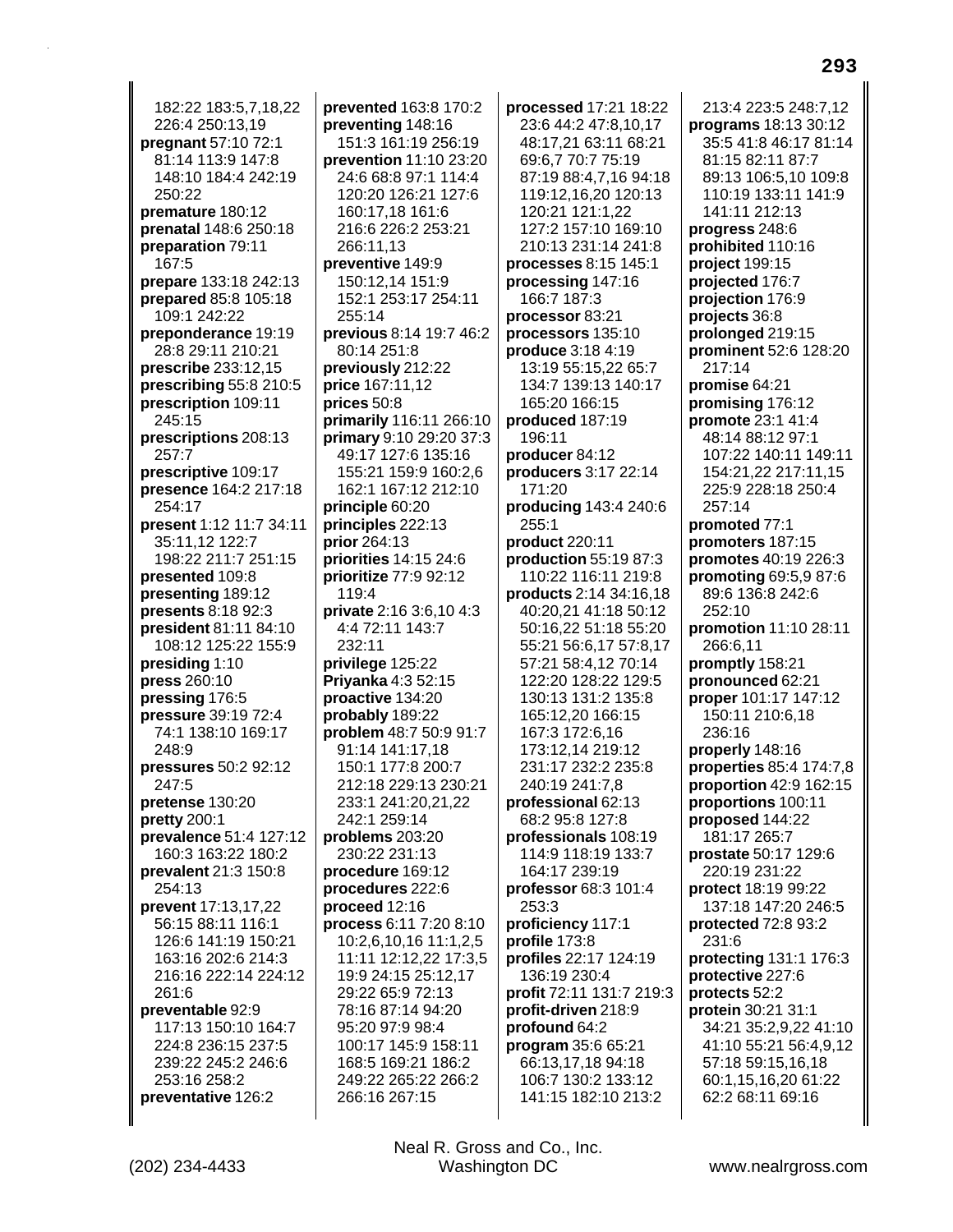182:22 183:5.7.18.22 226:4 250:13,19 pregnant 57:10 72:1 81:14 113:9 147:8 148:10 184:4 242:19 250:22 premature 180:12 prenatal 148:6 250:18 preparation 79:11 167:5 prepare 133:18 242:13 prepared 85:8 105:18 109:1 242:22 preponderance 19:19 28:8 29:11 210:21 prescribe 233:12,15 prescribing 55:8 210:5 prescription 109:11 245:15 prescriptions 208:13 257:7 prescriptive 109:17 presence 164:2 217:18 254:17 present 1:12 11:7 34:11 35:11.12 122:7 198:22 211:7 251:15 presented 109:8 presenting 189:12 presents 8:18 92:3 president 81:11 84:10 108:12 125:22 155:9 presiding 1:10 **press** 260:10 pressing 176:5 pressure 39:19 72:4 74:1 138:10 169:17 248:9 pressures 50:2 92:12 247:5 pretense 130:20 pretty 200:1 prevalence 51:4 127:12 160:3 163:22 180:2 prevalent 21:3 150:8 254:13 prevent 17:13,17,22 56:15 88:11 116:1 126:6 141:19 150:21 163:16 202:6 214:3 216:16 222:14 224:12 261:6 preventable 92:9 117:13 150:10 164:7 224:8 236:15 237:5 239:22 245:2 246:6 253:16 258:2 preventative 126:2

prevented 163:8 170:2 preventing 148:16 151:3 161:19 256:19 prevention 11:10 23:20 24:6 68:8 97:1 114:4 120:20 126:21 127:6 160:17,18 161:6 216:6 226:2 253:21 266:11.13 preventive 149:9 150:12,14 151:9 152:1 253:17 254:11 255:14 previous 8:14 19:7 46:2 80:14 251:8 previously 212:22 price 167:11,12 prices 50:8 primarily 116:11 266:10 **primary** 9:10 29:20 37:3 49:17 127:6 135:16 155:21 159:9 160:2,6 162:1 167:12 212:10 principle 60:20 principles 222:13 **prior** 264:13 **priorities 14:15 24:6** prioritize 77:9 92:12 119:4 private 2:16 3:6.10 4:3 4:4 72:11 143:7  $232:11$ privilege 125:22 **Priyanka** 4:3 52:15 **proactive** 134:20 probably 189:22 problem 48:7 50:9 91:7 91:14 141:17,18 150:1 177:8 200:7 212:18 229:13 230:21 233:1 241:20,21,22 242:1 259:14 problems 203:20 230:22 231:13 procedure 169:12 procedures 222:6 proceed 12:16 process 6:11 7:20 8:10 10:2,6,10,16 11:1,2,5 11:11 12:12,22 17:3,5 19:9 24:15 25:12,17 29:22 65:9 72:13 78:16 87:14 94:20 95:20 97:9 98:4 100:17 145:9 158:11 168:5 169:21 186:2 249:22 265:22 266:2 266:16 267:15

processed 17:21 18:22 23:6 44:2 47:8,10,17 48:17,21 63:11 68:21 69:6,7 70:7 75:19 87:19 88:4.7.16 94:18 119:12,16,20 120:13 120:21 121:1,22 127:2 157:10 169:10 210:13 231:14 241:8 processes 8:15 145:1 processing 147:16 166:7 187:3 processor 83:21 processors 135:10 produce 3:18 4:19 13:19 55:15,22 65:7 134:7 139:13 140:17 165:20 166:15 produced 187:19 196:11 producer 84:12 producers 3:17 22:14 171:20 producing 143:4 240:6  $255:1$ product 220:11 **production 55:19 87:3** 110:22 116:11 219:8 **products** 2:14 34:16,18 40:20,21 41:18 50:12 50:16.22 51:18 55:20 55:21 56:6,17 57:8,17 57:21 58:4,12 70:14 122:20 128:22 129:5 130:13 131:2 135:8 165:12,20 166:15 167:3 172:6,16 173:12,14 219:12 231:17 232:2 235:8 240:19 241:7.8 professional 62:13 68:2 95:8 127:8 professionals 108:19 114:9 118:19 133:7 164:17 239:19 professor 68:3 101:4 253:3 proficiency 117:1 profile 173:8 profiles 22:17 124:19 136:19 230:4 profit 72:11 131:7 219:3 profit-driven 218:9 profound 64:2 program 35:6 65:21 66:13,17,18 94:18 106:7 130:2 133:12 141:15 182:10 213:2

213:4 223:5 248:7 12 programs 18:13 30:12 35:5 41:8 46:17 81:14 81:15 82:11 87:7 89:13 106:5.10 109:8 110:19 133:11 141:9 141:11 212:13 progress 248:6 prohibited 110:16 project 199:15 projected 176:7 projection 176:9 projects 36:8 prolonged 219:15 prominent 52:6 128:20  $217:14$ promise 64:21 promising 176:12 promote 23:1 41:4 48:14 88:12 97:1 107:22 140:11 149:11 154:21,22 217:11,15 225:9 228:18 250:4 257:14 promoted 77:1 promoters 187:15 promotes 40:19 226:3 promoting 69:5,9 87:6 89:6 136:8 242:6 252:10 promotion 11:10 28:11 266:6.11 promptly 158:21 pronounced 62:21 proper 101:17 147:12 150:11 210:6,18 236:16 properly 148:16 properties 85:4 174:7,8 proportion 42:9 162:15 proportions 100:11 proposed 144:22 181:17 265:7 prostate 50:17 129:6 220:19 231:22 protect 18:19 99:22 137:18 147:20 246:5 protected 72:8 93:2 231:6 protecting 131:1 176:3 protective 227:6 protects 52:2 protein 30:21 31:1 34:21 35:2,9,22 41:10 41:10 55:21 56:4,9,12 57:18 59:15,16,18 60:1.15.16.20 61:22 62:2 68:11 69:16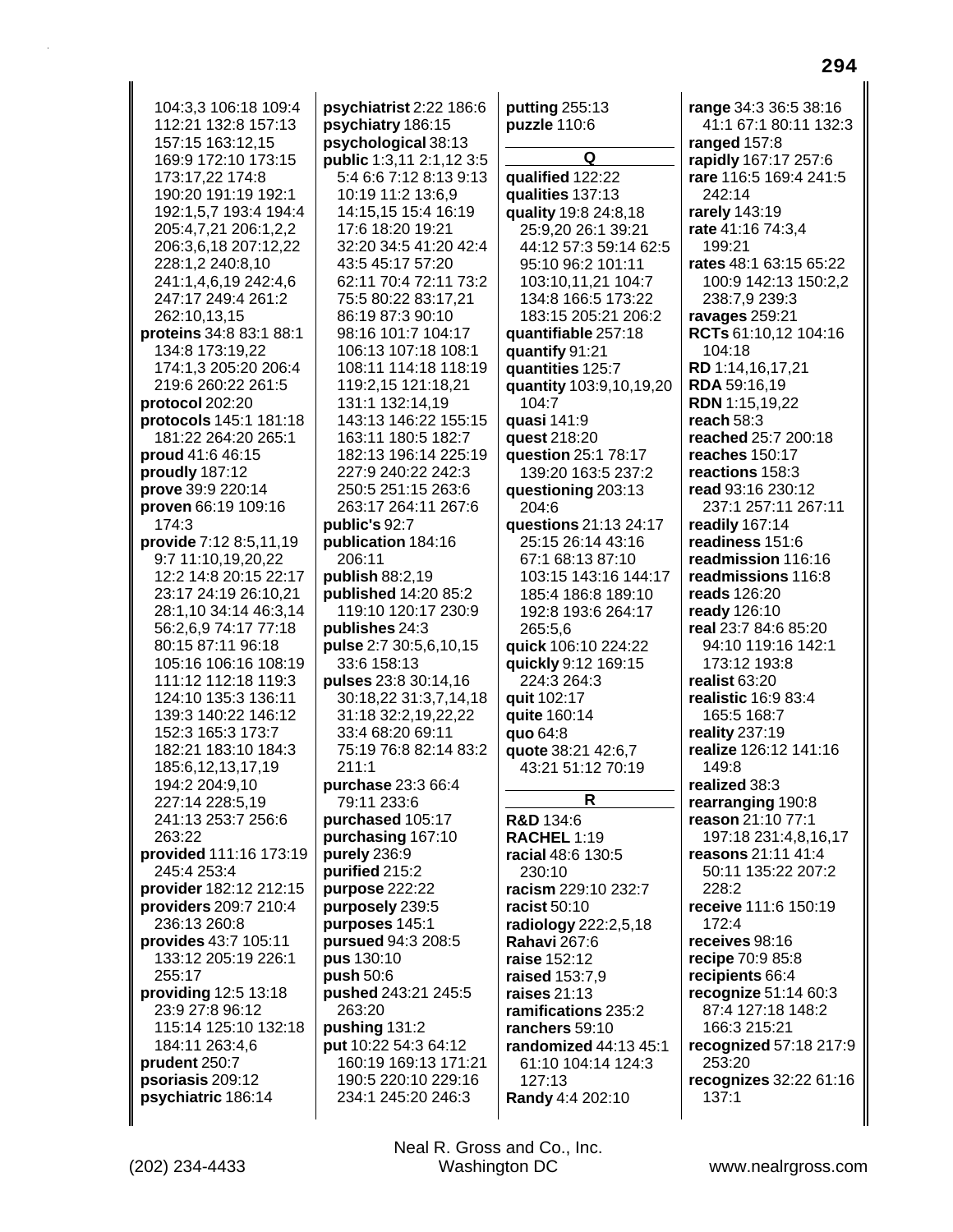104:3.3 106:18 109:4 112:21 132:8 157:13 157:15 163:12,15 169:9 172:10 173:15 173:17.22 174:8 190:20 191:19 192:1 192:1,5,7 193:4 194:4 205:4,7,21 206:1,2,2 206:3,6,18 207:12,22 228:1,2 240:8,10 241:1,4,6,19 242:4,6 247:17 249:4 261:2 262:10,13,15 proteins 34:8 83:1 88:1 134:8 173:19,22 174:1,3 205:20 206:4 219:6 260:22 261:5 protocol 202:20 protocols 145:1 181:18 181:22 264:20 265:1 proud 41:6 46:15 proudly 187:12 prove 39:9 220:14 proven 66:19 109:16 174:3 provide 7:12 8:5.11.19 9:7 11:10,19,20,22 12:2 14:8 20:15 22:17 23:17 24:19 26:10,21 28:1,10 34:14 46:3,14 56:2,6,9 74:17 77:18 80:15 87:11 96:18 105:16 106:16 108:19 111:12 112:18 119:3 124:10 135:3 136:11 139:3 140:22 146:12 152:3 165:3 173:7 182:21 183:10 184:3 185:6,12,13,17,19 194:2 204:9,10 227:14 228:5,19 241:13 253:7 256:6 263:22 provided 111:16 173:19 245:4 253:4 provider 182:12 212:15 providers 209:7 210:4 236:13 260:8 provides 43:7 105:11 133:12 205:19 226:1 255:17 providing 12:5 13:18 23:9 27:8 96:12 115:14 125:10 132:18 184:11 263:4,6 prudent 250:7 psoriasis 209:12 psychiatric 186:14

psychiatrist 2:22 186:6 psychiatry 186:15 psychological 38:13 **public** 1:3,11 2:1,12 3:5 5:4 6:6 7:12 8:13 9:13 10:19 11:2 13:6.9 14:15.15 15:4 16:19 17:6 18:20 19:21 32:20 34:5 41:20 42:4 43:5 45:17 57:20 62:11 70:4 72:11 73:2 75:5 80:22 83:17,21 86:19 87:3 90:10 98:16 101:7 104:17 106:13 107:18 108:1 108:11 114:18 118:19 119:2,15 121:18,21 131:1 132:14,19 143:13 146:22 155:15 163:11 180:5 182:7 182:13 196:14 225:19 227:9 240:22 242:3 250:5 251:15 263:6 263:17 264:11 267:6 public's  $92:7$ publication 184:16 206:11 **publish 88:2,19 published** 14:20 85:2 119:10 120:17 230:9 publishes 24:3 pulse 2:7 30:5,6,10,15 33:6 158:13 **pulses** 23:8 30:14,16 30:18,22 31:3,7,14,18 31:18 32:2,19,22,22 33:4 68:20 69:11 75:19 76:8 82:14 83:2  $211:1$ purchase 23:3 66:4 79:11 233:6 purchased 105:17 purchasing 167:10 purely 236:9 purified 215:2 purpose 222:22 purposely 239:5 purposes 145:1 pursued 94:3 208:5 pus 130:10 push  $50:6$ pushed 243:21 245:5 263:20 pushing 131:2 put 10:22 54:3 64:12 160:19 169:13 171:21 190:5 220:10 229:16 234:1 245:20 246:3

putting  $255:13$ puzzle 110:6 Q qualified 122:22 qualities 137:13 quality 19:8 24:8,18 25:9,20 26:1 39:21 44:12 57:3 59:14 62:5 95:10 96:2 101:11 103:10,11,21 104:7 134:8 166:5 173:22 183:15 205:21 206:2 quantifiable 257:18 quantify 91:21 quantities 125:7 quantity 103:9,10,19,20 104:7 quasi 141:9 quest 218:20 question 25:1 78:17 139:20 163:5 237:2 questioning 203:13 204:6 questions 21:13 24:17 25:15 26:14 43:16 67:1 68:13 87:10 103:15 143:16 144:17 185:4 186:8 189:10 192:8 193:6 264:17 265:5.6 quick 106:10 224:22 quickly 9:12 169:15 224:3 264:3 auit 102:17 quite 160:14 quo 64:8 quote 38:21 42:6,7 43:21 51:12 70:19 R **R&D** 134:6 **RACHEL 1:19** racial 48:6 130:5  $230:10$ racism 229:10 232:7 racist 50:10 radiology 222:2,5,18 **Rahavi 267:6** raise 152:12 raised 153:7,9 raises 21:13 ramifications 235:2 ranchers 59:10 randomized 44:13 45:1 61:10 104:14 124:3 127:13 Randy 4:4 202:10

range 34:3 36:5 38:16 41:1 67:1 80:11 132:3 ranged 157:8 rapidly 167:17 257:6 rare 116:5 169:4 241:5 242:14 rarely 143:19 rate 41:16 74:3,4 199:21 rates 48:1 63:15 65:22 100:9 142:13 150:2,2 238:7,9 239:3 ravages 259:21 RCTs 61:10,12 104:16 104:18 RD 1:14,16,17,21 RDA 59:16,19 RDN 1:15,19,22 reach  $58:3$ reached 25:7 200:18 reaches 150:17 reactions 158:3 read 93:16 230:12 237:1 257:11 267:11 readily 167:14 readiness 151:6 readmission 116:16 readmissions 116:8 reads 126:20 ready 126:10 real 23:7 84:6 85:20 94:10 119:16 142:1 173:12 193:8 realist  $63:20$ realistic 16:9 83:4 165:5 168:7 reality 237:19 realize 126:12 141:16 149:8 realized 38:3 rearranging 190:8 reason 21:10 77:1 197:18 231:4,8,16,17 reasons 21:11 41:4 50:11 135:22 207:2 228:2 receive 111:6 150:19 172:4 receives 98:16 recipe 70:9 85:8 recipients 66:4 recognize 51:14 60:3 87:4 127:18 148:2 166:3 215:21 recognized 57:18 217:9 253:20 recognizes 32:22 61:16  $137:1$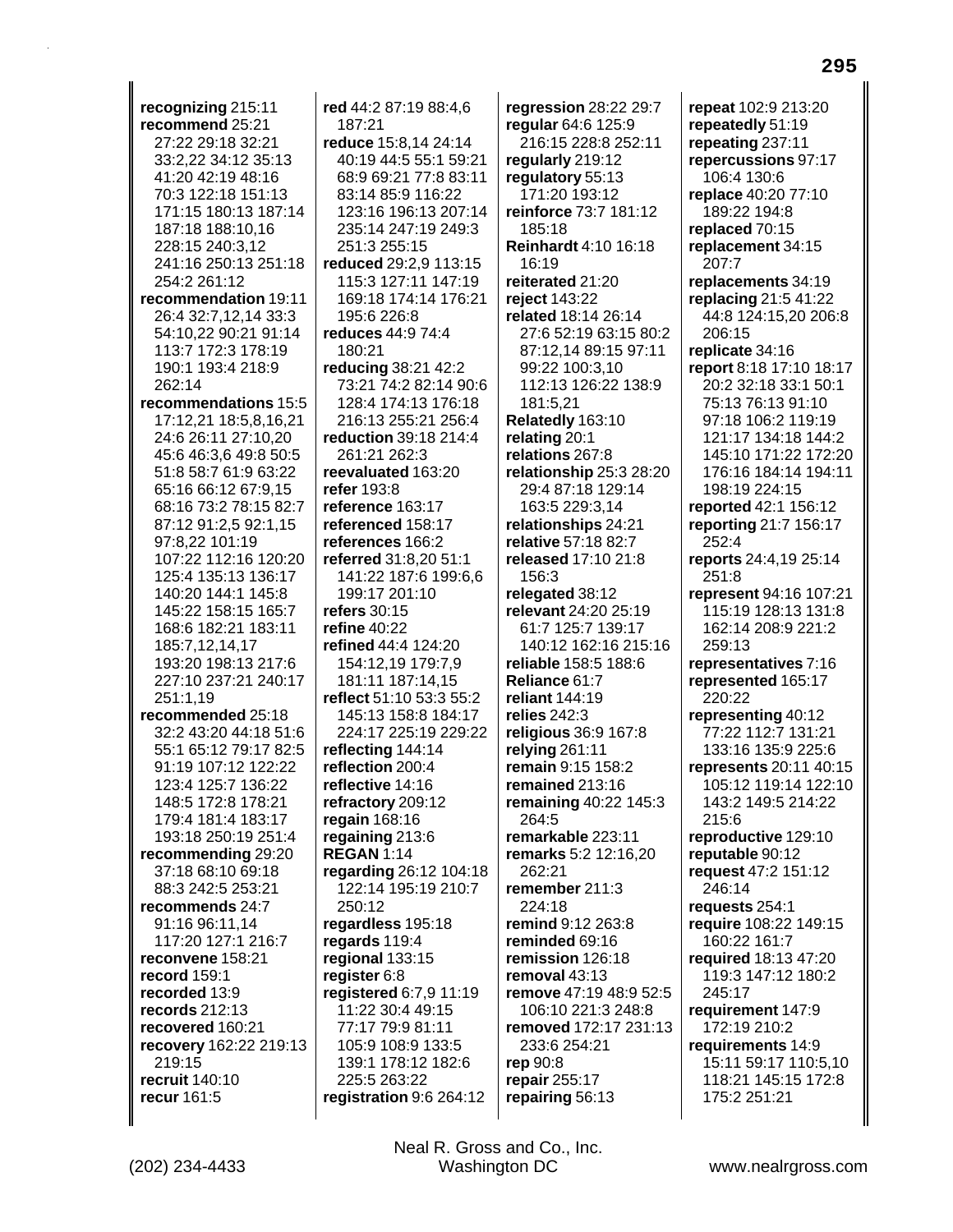**recognizing** 215:11 **recommend** 25:21 27:22 29:18 32:21 33:2,22 34:12 35:13 41:20 42:19 48:16 70:3 122:18 151:13 171:15 180:13 187:14 187:18 188:10,16 228:15 240:3,12 241:16 250:13 251:18 254:2 261:12 **recommendation** 19:11 26:4 32:7,12,14 33:3 54:10,22 90:21 91:14 113:7 172:3 178:19 190:1 193:4 218:9 262:14 **recommendations** 15:5 17:12,21 18:5,8,16,21 24:6 26:11 27:10,20 45:6 46:3,6 49:8 50:5 51:8 58:7 61:9 63:22 65:16 66:12 67:9,15 68:16 73:2 78:15 82:7 87:12 91:2,5 92:1,15 97:8,22 101:19 107:22 112:16 120:20 125:4 135:13 136:17 140:20 144:1 145:8 145:22 158:15 165:7 168:6 182:21 183:11 185:7,12,14,17 193:20 198:13 217:6 227:10 237:21 240:17 251:1,19 **recommended** 25:18 32:2 43:20 44:18 51:6 55:1 65:12 79:17 82:5 91:19 107:12 122:22 123:4 125:7 136:22 148:5 172:8 178:21 179:4 181:4 183:17 193:18 250:19 251:4 **recommending** 29:20 37:18 68:10 69:18 88:3 242:5 253:21 **recommends** 24:7 91:16 96:11,14 117:20 127:1 216:7 **reconvene** 158:21 **record** 159:1 **recorded** 13:9 **records** 212:13 **recovered** 160:21 **recovery** 162:22 219:13 219:15 **recruit** 140:10 **recur** 161:5

**red** 44:2 87:19 88:4,6 187:21 **reduce** 15:8,14 24:14 40:19 44:5 55:1 59:21 68:9 69:21 77:8 83:11 83:14 85:9 116:22 123:16 196:13 207:14 235:14 247:19 249:3 251:3 255:15 **reduced** 29:2,9 113:15 115:3 127:11 147:19 169:18 174:14 176:21 195:6 226:8 **reduces** 44:9 74:4 180:21 **reducing** 38:21 42:2 73:21 74:2 82:14 90:6 128:4 174:13 176:18 216:13 255:21 256:4 **reduction** 39:18 214:4 261:21 262:3 **reevaluated** 163:20 **refer** 193:8 **reference** 163:17 **referenced** 158:17 **references** 166:2 **referred** 31:8,20 51:1 141:22 187:6 199:6,6 199:17 201:10 **refers** 30:15 **refine** 40:22 **refined** 44:4 124:20 154:12,19 179:7,9 181:11 187:14,15 **reflect** 51:10 53:3 55:2 145:13 158:8 184:17 224:17 225:19 229:22 **reflecting** 144:14 **reflection** 200:4 **reflective** 14:16 **refractory** 209:12 **regain** 168:16 **regaining** 213:6 **REGAN** 1:14 **regarding** 26:12 104:18 122:14 195:19 210:7 250:12 **regardless** 195:18 **regards** 119:4 **regional** 133:15 **register** 6:8 **registered** 6:7,9 11:19 11:22 30:4 49:15 77:17 79:9 81:11 105:9 108:9 133:5 139:1 178:12 182:6 225:5 263:22 **registration** 9:6 264:12

**regression** 28:22 29:7 **regular** 64:6 125:9 216:15 228:8 252:11 **regularly** 219:12 **regulatory** 55:13 171:20 193:12 **reinforce** 73:7 181:12 185:18 **Reinhardt** 4:10 16:18 16:19 **reiterated** 21:20 **reject** 143:22 **related** 18:14 26:14 27:6 52:19 63:15 80:2 87:12,14 89:15 97:11 99:22 100:3,10 112:13 126:22 138:9 181:5,21 **Relatedly** 163:10 **relating** 20:1 **relations** 267:8 **relationship** 25:3 28:20 29:4 87:18 129:14 163:5 229:3,14 **relationships** 24:21 **relative** 57:18 82:7 **released** 17:10 21:8 156:3 **relegated** 38:12 **relevant** 24:20 25:19 61:7 125:7 139:17 140:12 162:16 215:16 **reliable** 158:5 188:6 **Reliance** 61:7 **reliant** 144:19 **relies** 242:3 **religious** 36:9 167:8 **relying** 261:11 **remain** 9:15 158:2 **remained** 213:16 **remaining** 40:22 145:3 264:5 **remarkable** 223:11 **remarks** 5:2 12:16,20 262:21 **remember** 211:3 224:18 **remind** 9:12 263:8 **reminded** 69:16 **remission** 126:18 **removal** 43:13 **remove** 47:19 48:9 52:5 106:10 221:3 248:8 **removed** 172:17 231:13 233:6 254:21 **rep** 90:8 **repair** 255:17 **repairing** 56:13

**repeat** 102:9 213:20 **repeatedly** 51:19 **repeating** 237:11 **repercussions** 97:17 106:4 130:6 **replace** 40:20 77:10 189:22 194:8 **replaced** 70:15 **replacement** 34:15 207:7 **replacements** 34:19 **replacing** 21:5 41:22 44:8 124:15,20 206:8 206:15 **replicate** 34:16 **report** 8:18 17:10 18:17 20:2 32:18 33:1 50:1 75:13 76:13 91:10 97:18 106:2 119:19 121:17 134:18 144:2 145:10 171:22 172:20 176:16 184:14 194:11 198:19 224:15 **reported** 42:1 156:12 **reporting** 21:7 156:17 252:4 **reports** 24:4,19 25:14 251:8 **represent** 94:16 107:21 115:19 128:13 131:8 162:14 208:9 221:2 259:13 **representatives** 7:16 **represented** 165:17 220:22 **representing** 40:12 77:22 112:7 131:21 133:16 135:9 225:6 **represents** 20:11 40:15 105:12 119:14 122:10 143:2 149:5 214:22 215:6 **reproductive** 129:10 **reputable** 90:12 **request** 47:2 151:12 246:14 **requests** 254:1 **require** 108:22 149:15 160:22 161:7 **required** 18:13 47:20 119:3 147:12 180:2 245:17 **requirement** 147:9 172:19 210:2 **requirements** 14:9 15:11 59:17 110:5,10 118:21 145:15 172:8 175:2 251:21

(202) 234-4433 Washington DC www.nealrgross.com Neal R. Gross and Co., Inc.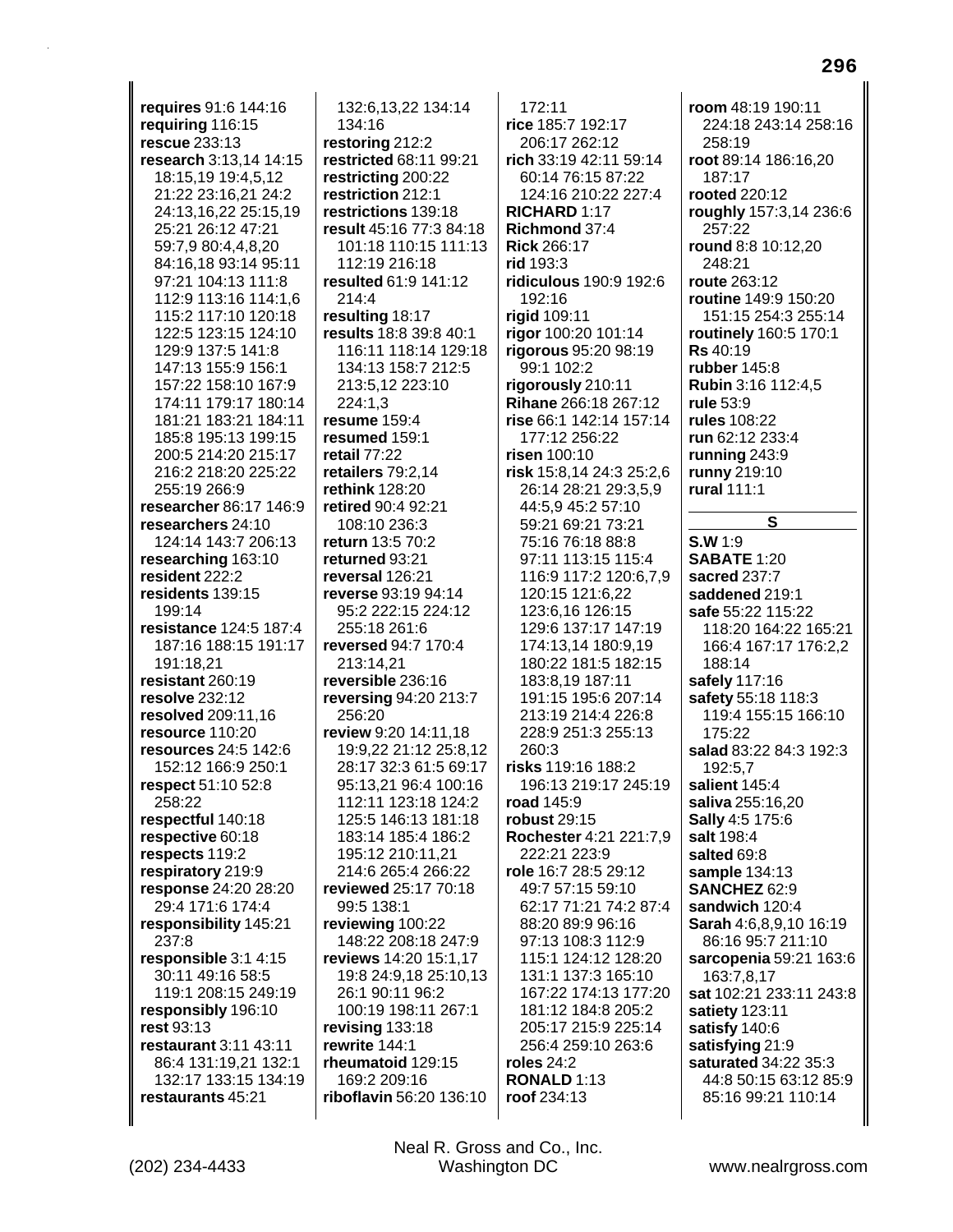**requires** 91:6 144:16 **requiring** 116:15 **rescue** 233:13 **research** 3:13,14 14:15 18:15,19 19:4,5,12 21:22 23:16,21 24:2 24:13,16,22 25:15,19 25:21 26:12 47:21 59:7,9 80:4,4,8,20 84:16,18 93:14 95:11 97:21 104:13 111:8 112:9 113:16 114:1,6 115:2 117:10 120:18 122:5 123:15 124:10 129:9 137:5 141:8 147:13 155:9 156:1 157:22 158:10 167:9 174:11 179:17 180:14 181:21 183:21 184:11 185:8 195:13 199:15 200:5 214:20 215:17 216:2 218:20 225:22 255:19 266:9 **researcher** 86:17 146:9 **researchers** 24:10 124:14 143:7 206:13 **researching** 163:10 **resident** 222:2 **residents** 139:15 199:14 **resistance** 124:5 187:4 187:16 188:15 191:17 191:18,21 **resistant** 260:19 **resolve** 232:12 **resolved** 209:11,16 **resource** 110:20 **resources** 24:5 142:6 152:12 166:9 250:1 **respect** 51:10 52:8 258:22 **respectful** 140:18 **respective** 60:18 **respects** 119:2 **respiratory** 219:9 **response** 24:20 28:20 29:4 171:6 174:4 **responsibility** 145:21 237:8 **responsible** 3:1 4:15 30:11 49:16 58:5 119:1 208:15 249:19 **responsibly** 196:10 **rest** 93:13 **restaurant** 3:11 43:11 86:4 131:19,21 132:1 132:17 133:15 134:19 **restaurants** 45:21

132:6,13,22 134:14 134:16 **restoring** 212:2 **restricted** 68:11 99:21 **restricting** 200:22 **restriction** 212:1 **restrictions** 139:18 **result** 45:16 77:3 84:18 101:18 110:15 111:13 112:19 216:18 **resulted** 61:9 141:12 214:4 **resulting** 18:17 **results** 18:8 39:8 40:1 116:11 118:14 129:18 134:13 158:7 212:5 213:5,12 223:10 224:1,3 **resume** 159:4 **resumed** 159:1 **retail** 77:22 **retailers** 79:2,14 **rethink** 128:20 **retired** 90:4 92:21 108:10 236:3 **return** 13:5 70:2 **returned** 93:21 **reversal** 126:21 **reverse** 93:19 94:14 95:2 222:15 224:12 255:18 261:6 **reversed** 94:7 170:4 213:14,21 **reversible** 236:16 **reversing** 94:20 213:7 256:20 **review** 9:20 14:11,18 19:9,22 21:12 25:8,12 28:17 32:3 61:5 69:17 95:13,21 96:4 100:16 112:11 123:18 124:2 125:5 146:13 181:18 183:14 185:4 186:2 195:12 210:11,21 214:6 265:4 266:22 **reviewed** 25:17 70:18 99:5 138:1 **reviewing** 100:22 148:22 208:18 247:9 **reviews** 14:20 15:1,17 19:8 24:9,18 25:10,13 26:1 90:11 96:2 100:19 198:11 267:1 **revising** 133:18 **rewrite** 144:1 **rheumatoid** 129:15 169:2 209:16 **riboflavin** 56:20 136:10

172:11 **rice** 185:7 192:17 206:17 262:12 **rich** 33:19 42:11 59:14 60:14 76:15 87:22 124:16 210:22 227:4 **RICHARD** 1:17 **Richmond** 37:4 **Rick** 266:17 **rid** 193:3 **ridiculous** 190:9 192:6 192:16 **rigid** 109:11 **rigor** 100:20 101:14 **rigorous** 95:20 98:19 99:1 102:2 **rigorously** 210:11 **Rihane** 266:18 267:12 **rise** 66:1 142:14 157:14 177:12 256:22 **risen** 100:10 **risk** 15:8,14 24:3 25:2,6 26:14 28:21 29:3,5,9 44:5,9 45:2 57:10 59:21 69:21 73:21 75:16 76:18 88:8 97:11 113:15 115:4 116:9 117:2 120:6,7,9 120:15 121:6,22 123:6,16 126:15 129:6 137:17 147:19 174:13,14 180:9,19 180:22 181:5 182:15 183:8,19 187:11 191:15 195:6 207:14 213:19 214:4 226:8 228:9 251:3 255:13 260:3 **risks** 119:16 188:2 196:13 219:17 245:19 **road** 145:9 **robust** 29:15 **Rochester** 4:21 221:7,9 222:21 223:9 **role** 16:7 28:5 29:12 49:7 57:15 59:10 62:17 71:21 74:2 87:4 88:20 89:9 96:16 97:13 108:3 112:9 115:1 124:12 128:20 131:1 137:3 165:10 167:22 174:13 177:20 181:12 184:8 205:2 205:17 215:9 225:14 256:4 259:10 263:6 **roles** 24:2 **RONALD** 1:13 **roof** 234:13

**room** 48:19 190:11 224:18 243:14 258:16 258:19 **root** 89:14 186:16,20 187:17 **rooted** 220:12 **roughly** 157:3,14 236:6 257:22 **round** 8:8 10:12,20 248:21 **route** 263:12 **routine** 149:9 150:20 151:15 254:3 255:14 **routinely** 160:5 170:1 **Rs** 40:19 **rubber** 145:8 **Rubin** 3:16 112:4,5 **rule** 53:9 **rules** 108:22 **run** 62:12 233:4 **running** 243:9 **runny** 219:10 **rural** 111:1 **S S.W** 1:9 **SABATE** 1:20 **sacred** 237:7 **saddened** 219:1 **safe** 55:22 115:22 118:20 164:22 165:21 166:4 167:17 176:2,2 188:14 **safely** 117:16 **safety** 55:18 118:3 119:4 155:15 166:10 175:22 **salad** 83:22 84:3 192:3 192:5,7 **salient** 145:4 **saliva** 255:16,20 **Sally** 4:5 175:6 **salt** 198:4 **salted** 69:8 **sample** 134:13 **SANCHEZ** 62:9 **sandwich** 120:4 **Sarah** 4:6,8,9,10 16:19 86:16 95:7 211:10 **sarcopenia** 59:21 163:6 163:7,8,17 **sat** 102:21 233:11 243:8 **satiety** 123:11 **satisfy** 140:6 **satisfying** 21:9 **saturated** 34:22 35:3 44:8 50:15 63:12 85:9 85:16 99:21 110:14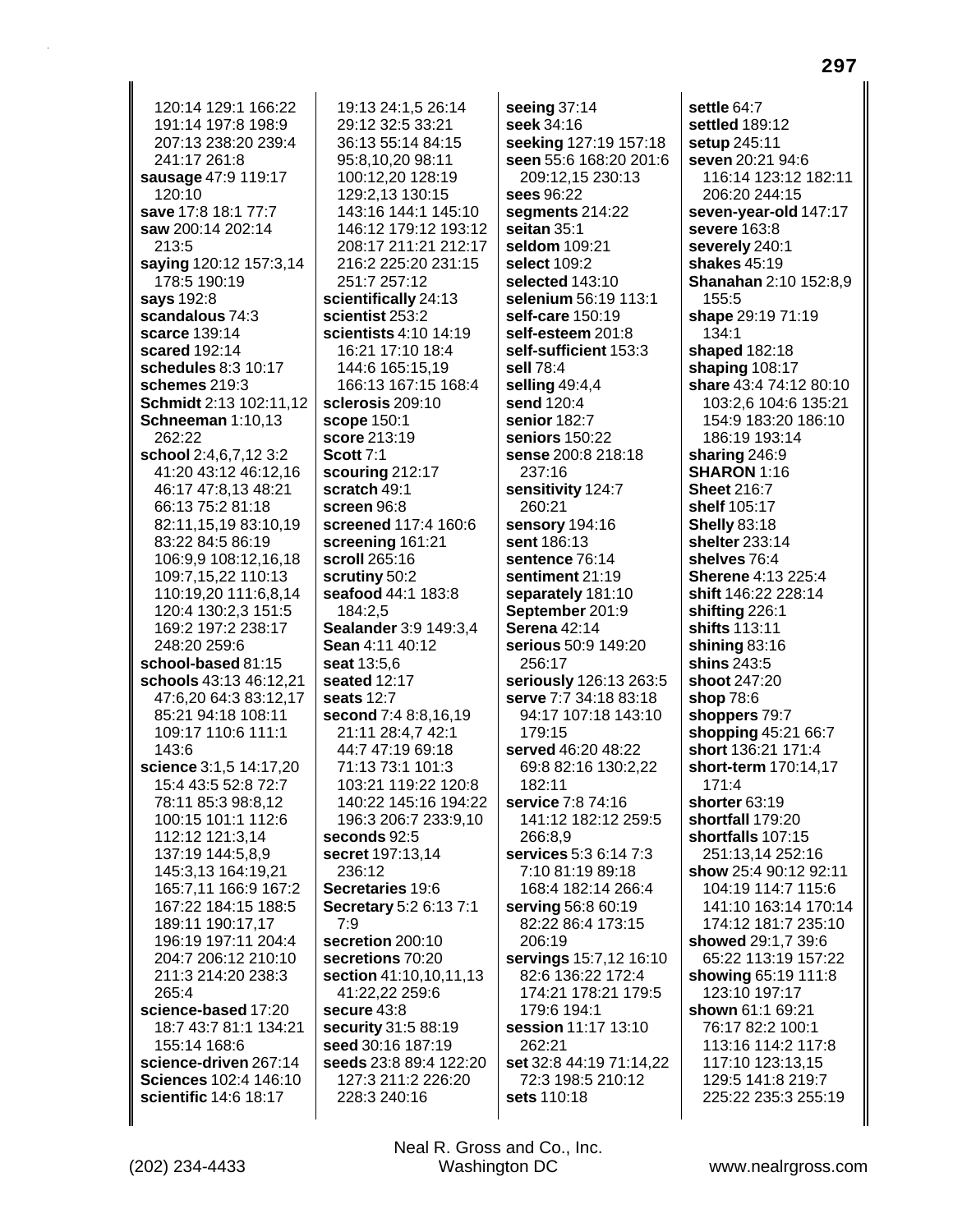120:14 129:1 166:22 191:14 197:8 198:9 207:13 238:20 239:4 241:17 261:8 sausage 47:9 119:17 120:10 save 17:8 18:1 77:7 saw 200:14 202:14 213:5 saying 120:12 157:3,14 178:5 190:19 says 192:8 scandalous 74:3 scarce 139:14 scared 192:14 schedules 8:3 10:17 schemes 219:3 Schmidt 2:13 102:11,12 Schneeman 1:10,13 262:22 school 2:4,6,7,12 3:2 41:20 43:12 46:12.16 46:17 47:8.13 48:21 66:13 75:2 81:18 82:11,15,19 83:10,19 83:22 84:5 86:19 106:9.9 108:12.16.18 109:7,15,22 110:13 110:19,20 111:6,8,14 120:4 130:2.3 151:5 169:2 197:2 238:17 248:20 259:6 school-based 81:15 schools 43:13 46:12.21 47:6.20 64:3 83:12.17 85:21 94:18 108:11 109:17 110:6 111:1 143:6 science 3:1,5 14:17,20 15:4 43:5 52:8 72:7 78:11 85:3 98:8.12 100:15 101:1 112:6 112:12 121:3,14 137:19 144:5,8,9 145:3,13 164:19,21 165:7,11 166:9 167:2 167:22 184:15 188:5 189:11 190:17,17 196:19 197:11 204:4 204:7 206:12 210:10 211:3 214:20 238:3 265:4 science-based 17:20 18:7 43:7 81:1 134:21 155:14 168:6 science-driven 267:14 Sciences 102:4 146:10 scientific 14:6 18:17

19:13 24:1.5 26:14 29:12 32:5 33:21 36:13 55:14 84:15 95:8,10,20 98:11 100:12.20 128:19 129:2,13 130:15 143:16 144:1 145:10 146:12 179:12 193:12 208:17 211:21 212:17 216:2 225:20 231:15 251:7 257:12 scientifically 24:13 scientist 253:2 scientists 4:10 14:19 16:21 17:10 18:4 144:6 165:15,19 166:13 167:15 168:4 sclerosis 209:10 scope 150:1 **score** 213:19 **Scott 7:1** scouring 212:17 scratch 49:1 screen 96:8 screened 117:4 160:6 screening 161:21 scroll 265:16 scrutiny 50:2 seafood 44:1 183:8 184:2.5 Sealander 3:9 149:3.4 Sean 4:11 40:12 seat 13:5.6 seated 12:17 seats 12:7 second 7:4 8:8,16,19 21:11 28:4,7 42:1 44:7 47:19 69:18 71:13 73:1 101:3 103:21 119:22 120:8 140:22 145:16 194:22 196:3 206:7 233:9,10 seconds 92:5 secret 197:13.14 236:12 Secretaries 19:6 Secretary 5:2 6:13 7:1  $7:9$ secretion 200:10 secretions 70:20 section 41:10,10,11,13 41:22,22 259:6 secure 43:8 security 31:5 88:19 seed 30:16 187:19 seeds 23:8 89:4 122:20 127:3 211:2 226:20 228:3 240:16

seeing  $37:14$ seek 34:16 seeking 127:19 157:18 seen 55:6 168:20 201:6 209:12.15 230:13 sees 96:22 segments 214:22 seitan  $35:1$ seldom 109:21 select 109:2 selected 143:10 selenium 56:19 113:1 self-care 150:19 self-esteem 201:8 self-sufficient 153:3 sell 78:4 selling  $49:4,4$ send 120:4 senior 182:7 seniors 150:22 sense 200:8 218:18 237:16 sensitivity 124:7 260:21 sensory 194:16 sent 186:13 sentence 76:14 sentiment 21:19 separately 181:10 September 201:9 Serena 42:14 serious 50:9 149:20 256:17 seriously 126:13 263:5 serve 7:7 34:18 83:18 94:17 107:18 143:10 179:15 served 46:20 48:22 69:8 82:16 130:2,22  $182.11$ service 7:8 74:16 141:12 182:12 259:5 266:8.9 services 5:3 6:14 7:3 7:10 81:19 89:18 168:4 182:14 266:4 serving 56:8 60:19 82:22 86:4 173:15 206:19 servings 15:7,12 16:10 82:6 136:22 172:4 174:21 178:21 179:5 179:6 194:1 session 11:17 13:10 262:21 set 32:8 44:19 71:14,22 72:3 198:5 210:12 sets 110:18

settle 64:7 settled 189:12 setup 245:11 seven 20:21 94:6 116:14 123:12 182:11 206:20 244:15 seven-year-old 147:17 severe 163:8 severely 240:1 shakes 45:19 **Shanahan** 2:10 152:8,9 155:5 shape 29:19 71:19  $134:1$ shaped 182:18 shaping 108:17 share 43:4 74:12 80:10 103:2,6 104:6 135:21 154:9 183:20 186:10 186:19 193:14 sharing 246:9 **SHARON 1:16 Sheet 216:7** shelf 105:17 **Shelly 83:18** shelter 233:14 shelves 76:4 **Sherene 4:13 225:4** shift 146:22 228:14 shifting 226:1 shifts 113:11 shining  $83:16$ shins 243:5 shoot 247:20 shop 78:6 shoppers 79:7 shopping 45:21 66:7 short 136:21 171:4 short-term 170:14,17  $171 - 4$ shorter 63:19 shortfall 179:20 shortfalls 107:15 251:13,14 252:16 show 25:4 90:12 92:11 104:19 114:7 115:6 141:10 163:14 170:14 174:12 181:7 235:10 showed 29:1.7 39:6 65:22 113:19 157:22 showing 65:19 111:8 123:10 197:17 shown 61:1 69:21 76:17 82:2 100:1 113:16 114:2 117:8 117:10 123:13,15 129:5 141:8 219:7 225:22 235:3 255:19

Neal R. Gross and Co., Inc.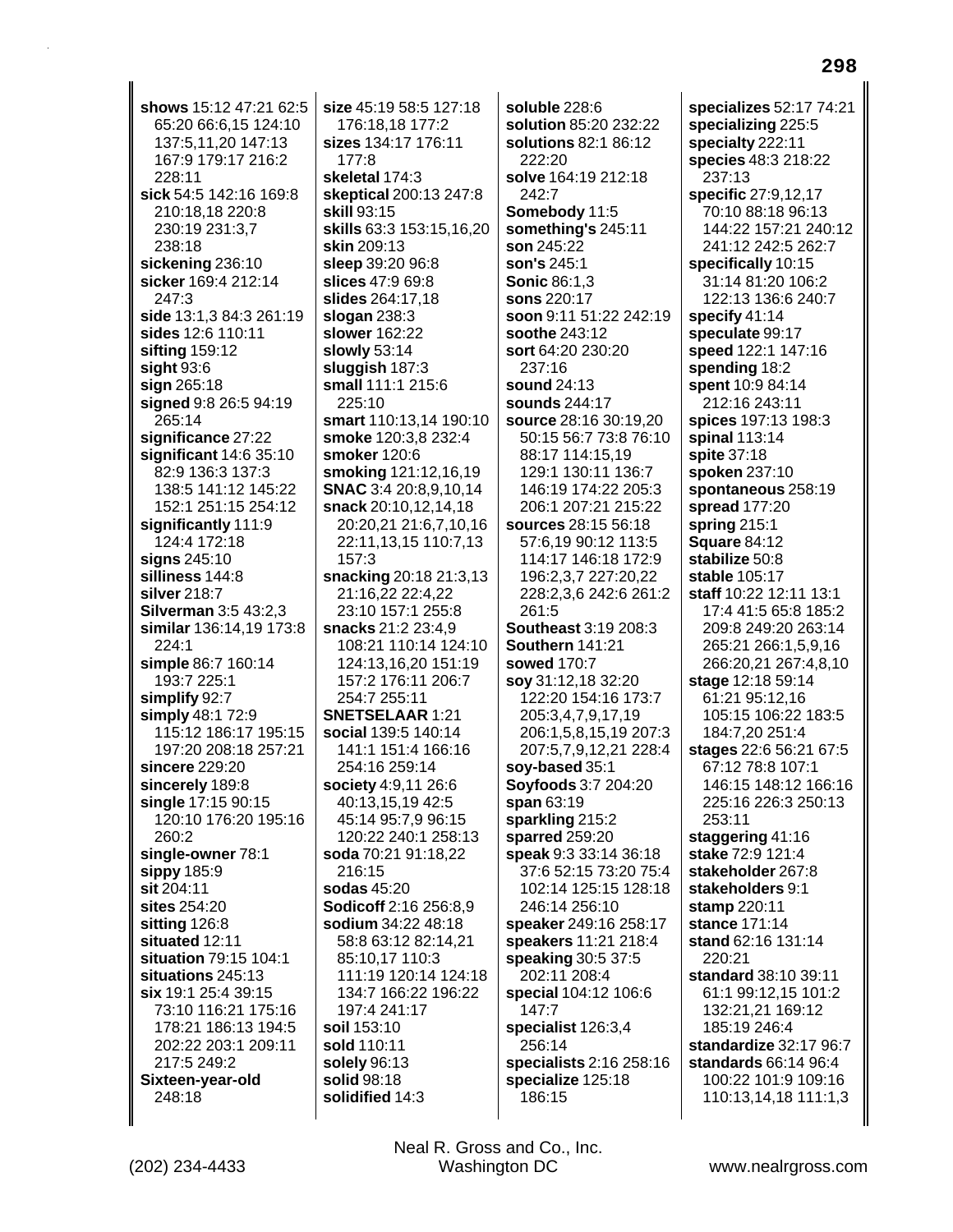| shows 15:12 47:21 62:5<br>size 45:19 58:5 127:18<br>soluble 228:6<br>specializes 52:17 74:21<br>65:20 66:6,15 124:10<br>solution 85:20 232:22<br>specializing 225:5<br>176:18,18 177:2<br>sizes 134:17 176:11<br>specialty 222:11<br>137:5,11,20 147:13<br>solutions 82:1 86:12<br>222:20<br>167:9 179:17 216:2<br>177:8<br>species 48:3 218:22<br>228:11<br>solve 164:19 212:18<br>237:13<br>skeletal 174:3<br>sick 54:5 142:16 169:8<br>242:7<br>specific 27:9,12,17<br>skeptical 200:13 247:8<br>70:10 88:18 96:13<br>210:18,18 220:8<br>Somebody 11:5<br><b>skill 93:15</b><br>skills 63:3 153:15,16,20<br>144:22 157:21 240:12<br>230:19 231:3,7<br>something's 245:11<br>238:18<br>skin 209:13<br>son 245:22<br>241:12 242:5 262:7<br>sickening 236:10<br>son's 245:1<br>sleep 39:20 96:8<br>specifically 10:15<br>sicker 169:4 212:14<br>31:14 81:20 106:2<br>slices 47:9 69:8<br><b>Sonic 86:1,3</b><br>247:3<br>slides 264:17,18<br>sons 220:17<br>122:13 136:6 240:7<br>side 13:1,3 84:3 261:19<br>soon 9:11 51:22 242:19<br>slogan $238:3$<br>specify 41:14<br>sides 12:6 110:11<br><b>slower</b> 162:22<br>soothe 243:12<br>speculate 99:17<br>slowly 53:14<br>speed 122:1 147:16<br>sifting 159:12<br>sort 64:20 230:20<br>sight $93:6$<br>sluggish 187:3<br>237:16<br>spending 18:2<br>spent 10:9 84:14<br>sign 265:18<br>small 111:1 215:6<br>sound 24:13<br>signed 9:8 26:5 94:19<br>225:10<br>212:16 243:11<br>sounds 244:17<br>265:14<br>spices 197:13 198:3<br>smart 110:13,14 190:10<br>source 28:16 30:19,20<br>significance 27:22<br>smoke 120:3,8 232:4<br>50:15 56:7 73:8 76:10<br>spinal 113:14<br>significant 14:6 35:10<br>smoker 120:6<br>88:17 114:15,19<br>spite 37:18<br>82:9 136:3 137:3<br>smoking 121:12,16,19<br>129:1 130:11 136:7<br>spoken 237:10<br><b>SNAC</b> 3:4 20:8,9,10,14<br>138:5 141:12 145:22<br>146:19 174:22 205:3<br>spontaneous 258:19<br>152:1 251:15 254:12<br>snack 20:10,12,14,18<br>206:1 207:21 215:22<br>spread 177:20<br>significantly 111:9<br>20:20,21 21:6,7,10,16<br>sources 28:15 56:18<br>spring 215:1<br>124:4 172:18<br><b>Square 84:12</b><br>22:11,13,15 110:7,13<br>57:6,19 90:12 113:5<br>stabilize 50:8<br>signs 245:10<br>157:3<br>114:17 146:18 172:9<br>snacking 20:18 21:3,13<br>silliness 144:8<br>196:2,3,7 227:20,22<br>stable 105:17<br>21:16,22 22:4,22<br>228:2,3,6 242:6 261:2<br>silver 218:7<br>staff 10:22 12:11 13:1<br>23:10 157:1 255:8<br>261:5<br>17:4 41:5 65:8 185:2<br><b>Silverman 3:5 43:2,3</b><br><b>Southeast 3:19 208:3</b><br>similar 136:14,19 173:8<br>snacks 21:2 23:4,9<br>209:8 249:20 263:14<br>224:1<br>108:21 110:14 124:10<br>Southern 141:21<br>265:21 266:1,5,9,16<br>simple 86:7 160:14<br>124:13,16,20 151:19<br><b>sowed 170:7</b><br>266:20,21 267:4,8,10<br>193:7 225:1<br>157:2 176:11 206:7<br>stage 12:18 59:14<br>soy 31:12,18 32:20<br>254:7 255:11<br>61:21 95:12,16<br>simplify 92:7<br>122:20 154:16 173:7<br>simply 48:1 72:9<br><b>SNETSELAAR 1:21</b><br>205:3,4,7,9,17,19<br>105:15 106:22 183:5<br>115:12 186:17 195:15<br>social 139:5 140:14<br>184:7,20 251:4<br>206:1,5,8,15,19 207:3<br>197:20 208:18 257:21<br>141:1 151:4 166:16<br>stages 22:6 56:21 67:5<br>207:5,7,9,12,21 228:4<br>sincere 229:20<br>254:16 259:14<br>soy-based 35:1<br>67:12 78:8 107:1<br>sincerely 189:8<br>society 4:9,11 26:6<br><b>Soyfoods 3:7 204:20</b><br>146:15 148:12 166:16<br>single 17:15 90:15<br>40:13,15,19 42:5<br>span 63:19<br>225:16 226:3 250:13<br>120:10 176:20 195:16<br>sparkling 215:2<br>45:14 95:7,9 96:15<br>253:11<br>sparred 259:20<br>staggering 41:16<br>260:2<br>120:22 240:1 258:13<br>single-owner 78:1<br>speak 9:3 33:14 36:18<br>soda 70:21 91:18,22<br>stake 72:9 121:4<br>sippy 185:9<br>216:15<br>37:6 52:15 73:20 75:4<br>stakeholder 267:8<br>sodas 45:20<br>stakeholders 9:1<br>sit 204:11<br>102:14 125:15 128:18<br>sites 254:20<br>Sodicoff 2:16 256:8,9<br>stamp 220:11<br>246:14 256:10<br>sitting 126:8<br>sodium 34:22 48:18<br>stance 171:14<br>speaker 249:16 258:17<br>situated 12:11<br>stand 62:16 131:14<br>58:8 63:12 82:14,21<br>speakers 11:21 218:4<br>situation 79:15 104:1<br>85:10,17 110:3<br>speaking 30:5 37:5<br>220:21<br>situations 245:13<br>202:11 208:4<br>111:19 120:14 124:18<br>standard 38:10 39:11<br>six 19:1 25:4 39:15<br>134:7 166:22 196:22<br>special 104:12 106:6<br>61:1 99:12,15 101:2<br>73:10 116:21 175:16<br>197:4 241:17<br>147:7<br>132:21,21 169:12<br>178:21 186:13 194:5<br>soil 153:10<br>specialist 126:3,4<br>185:19 246:4<br>202:22 203:1 209:11<br>256:14<br>standardize 32:17 96:7<br>sold 110:11<br>217:5 249:2<br>specialists 2:16 258:16<br>standards 66:14 96:4<br>solely 96:13<br>specialize 125:18<br>solid 98:18<br>100:22 101:9 109:16<br>Sixteen-year-old<br>solidified 14:3<br>186:15<br>248:18<br>110:13,14,18 111:1,3 |  |  |
|-----------------------------------------------------------------------------------------------------------------------------------------------------------------------------------------------------------------------------------------------------------------------------------------------------------------------------------------------------------------------------------------------------------------------------------------------------------------------------------------------------------------------------------------------------------------------------------------------------------------------------------------------------------------------------------------------------------------------------------------------------------------------------------------------------------------------------------------------------------------------------------------------------------------------------------------------------------------------------------------------------------------------------------------------------------------------------------------------------------------------------------------------------------------------------------------------------------------------------------------------------------------------------------------------------------------------------------------------------------------------------------------------------------------------------------------------------------------------------------------------------------------------------------------------------------------------------------------------------------------------------------------------------------------------------------------------------------------------------------------------------------------------------------------------------------------------------------------------------------------------------------------------------------------------------------------------------------------------------------------------------------------------------------------------------------------------------------------------------------------------------------------------------------------------------------------------------------------------------------------------------------------------------------------------------------------------------------------------------------------------------------------------------------------------------------------------------------------------------------------------------------------------------------------------------------------------------------------------------------------------------------------------------------------------------------------------------------------------------------------------------------------------------------------------------------------------------------------------------------------------------------------------------------------------------------------------------------------------------------------------------------------------------------------------------------------------------------------------------------------------------------------------------------------------------------------------------------------------------------------------------------------------------------------------------------------------------------------------------------------------------------------------------------------------------------------------------------------------------------------------------------------------------------------------------------------------------------------------------------------------------------------------------------------------------------------------------------------------------------------------------------------------------------------------------------------------------------------------------------------------------------------------------------------------------------------------------------------------------------------------------------------------------------------------------------------------------------------------------------------------------------------------------------------------------------------------------------------------------------------------------------------------------------------------------------------------------------------------------------------------------------------------------------------------------------------------------------------------------------------------------------------------------------------------------------------------------------------------------------------------------------------------------------------------------------------------------------------------------------------------------------------------------------------------------------------------------------------------------------|--|--|
|                                                                                                                                                                                                                                                                                                                                                                                                                                                                                                                                                                                                                                                                                                                                                                                                                                                                                                                                                                                                                                                                                                                                                                                                                                                                                                                                                                                                                                                                                                                                                                                                                                                                                                                                                                                                                                                                                                                                                                                                                                                                                                                                                                                                                                                                                                                                                                                                                                                                                                                                                                                                                                                                                                                                                                                                                                                                                                                                                                                                                                                                                                                                                                                                                                                                                                                                                                                                                                                                                                                                                                                                                                                                                                                                                                                                                                                                                                                                                                                                                                                                                                                                                                                                                                                                                                                                                                                                                                                                                                                                                                                                                                                                                                                                                                                                                                                           |  |  |
|                                                                                                                                                                                                                                                                                                                                                                                                                                                                                                                                                                                                                                                                                                                                                                                                                                                                                                                                                                                                                                                                                                                                                                                                                                                                                                                                                                                                                                                                                                                                                                                                                                                                                                                                                                                                                                                                                                                                                                                                                                                                                                                                                                                                                                                                                                                                                                                                                                                                                                                                                                                                                                                                                                                                                                                                                                                                                                                                                                                                                                                                                                                                                                                                                                                                                                                                                                                                                                                                                                                                                                                                                                                                                                                                                                                                                                                                                                                                                                                                                                                                                                                                                                                                                                                                                                                                                                                                                                                                                                                                                                                                                                                                                                                                                                                                                                                           |  |  |
|                                                                                                                                                                                                                                                                                                                                                                                                                                                                                                                                                                                                                                                                                                                                                                                                                                                                                                                                                                                                                                                                                                                                                                                                                                                                                                                                                                                                                                                                                                                                                                                                                                                                                                                                                                                                                                                                                                                                                                                                                                                                                                                                                                                                                                                                                                                                                                                                                                                                                                                                                                                                                                                                                                                                                                                                                                                                                                                                                                                                                                                                                                                                                                                                                                                                                                                                                                                                                                                                                                                                                                                                                                                                                                                                                                                                                                                                                                                                                                                                                                                                                                                                                                                                                                                                                                                                                                                                                                                                                                                                                                                                                                                                                                                                                                                                                                                           |  |  |
|                                                                                                                                                                                                                                                                                                                                                                                                                                                                                                                                                                                                                                                                                                                                                                                                                                                                                                                                                                                                                                                                                                                                                                                                                                                                                                                                                                                                                                                                                                                                                                                                                                                                                                                                                                                                                                                                                                                                                                                                                                                                                                                                                                                                                                                                                                                                                                                                                                                                                                                                                                                                                                                                                                                                                                                                                                                                                                                                                                                                                                                                                                                                                                                                                                                                                                                                                                                                                                                                                                                                                                                                                                                                                                                                                                                                                                                                                                                                                                                                                                                                                                                                                                                                                                                                                                                                                                                                                                                                                                                                                                                                                                                                                                                                                                                                                                                           |  |  |
|                                                                                                                                                                                                                                                                                                                                                                                                                                                                                                                                                                                                                                                                                                                                                                                                                                                                                                                                                                                                                                                                                                                                                                                                                                                                                                                                                                                                                                                                                                                                                                                                                                                                                                                                                                                                                                                                                                                                                                                                                                                                                                                                                                                                                                                                                                                                                                                                                                                                                                                                                                                                                                                                                                                                                                                                                                                                                                                                                                                                                                                                                                                                                                                                                                                                                                                                                                                                                                                                                                                                                                                                                                                                                                                                                                                                                                                                                                                                                                                                                                                                                                                                                                                                                                                                                                                                                                                                                                                                                                                                                                                                                                                                                                                                                                                                                                                           |  |  |
|                                                                                                                                                                                                                                                                                                                                                                                                                                                                                                                                                                                                                                                                                                                                                                                                                                                                                                                                                                                                                                                                                                                                                                                                                                                                                                                                                                                                                                                                                                                                                                                                                                                                                                                                                                                                                                                                                                                                                                                                                                                                                                                                                                                                                                                                                                                                                                                                                                                                                                                                                                                                                                                                                                                                                                                                                                                                                                                                                                                                                                                                                                                                                                                                                                                                                                                                                                                                                                                                                                                                                                                                                                                                                                                                                                                                                                                                                                                                                                                                                                                                                                                                                                                                                                                                                                                                                                                                                                                                                                                                                                                                                                                                                                                                                                                                                                                           |  |  |
|                                                                                                                                                                                                                                                                                                                                                                                                                                                                                                                                                                                                                                                                                                                                                                                                                                                                                                                                                                                                                                                                                                                                                                                                                                                                                                                                                                                                                                                                                                                                                                                                                                                                                                                                                                                                                                                                                                                                                                                                                                                                                                                                                                                                                                                                                                                                                                                                                                                                                                                                                                                                                                                                                                                                                                                                                                                                                                                                                                                                                                                                                                                                                                                                                                                                                                                                                                                                                                                                                                                                                                                                                                                                                                                                                                                                                                                                                                                                                                                                                                                                                                                                                                                                                                                                                                                                                                                                                                                                                                                                                                                                                                                                                                                                                                                                                                                           |  |  |
|                                                                                                                                                                                                                                                                                                                                                                                                                                                                                                                                                                                                                                                                                                                                                                                                                                                                                                                                                                                                                                                                                                                                                                                                                                                                                                                                                                                                                                                                                                                                                                                                                                                                                                                                                                                                                                                                                                                                                                                                                                                                                                                                                                                                                                                                                                                                                                                                                                                                                                                                                                                                                                                                                                                                                                                                                                                                                                                                                                                                                                                                                                                                                                                                                                                                                                                                                                                                                                                                                                                                                                                                                                                                                                                                                                                                                                                                                                                                                                                                                                                                                                                                                                                                                                                                                                                                                                                                                                                                                                                                                                                                                                                                                                                                                                                                                                                           |  |  |
|                                                                                                                                                                                                                                                                                                                                                                                                                                                                                                                                                                                                                                                                                                                                                                                                                                                                                                                                                                                                                                                                                                                                                                                                                                                                                                                                                                                                                                                                                                                                                                                                                                                                                                                                                                                                                                                                                                                                                                                                                                                                                                                                                                                                                                                                                                                                                                                                                                                                                                                                                                                                                                                                                                                                                                                                                                                                                                                                                                                                                                                                                                                                                                                                                                                                                                                                                                                                                                                                                                                                                                                                                                                                                                                                                                                                                                                                                                                                                                                                                                                                                                                                                                                                                                                                                                                                                                                                                                                                                                                                                                                                                                                                                                                                                                                                                                                           |  |  |
|                                                                                                                                                                                                                                                                                                                                                                                                                                                                                                                                                                                                                                                                                                                                                                                                                                                                                                                                                                                                                                                                                                                                                                                                                                                                                                                                                                                                                                                                                                                                                                                                                                                                                                                                                                                                                                                                                                                                                                                                                                                                                                                                                                                                                                                                                                                                                                                                                                                                                                                                                                                                                                                                                                                                                                                                                                                                                                                                                                                                                                                                                                                                                                                                                                                                                                                                                                                                                                                                                                                                                                                                                                                                                                                                                                                                                                                                                                                                                                                                                                                                                                                                                                                                                                                                                                                                                                                                                                                                                                                                                                                                                                                                                                                                                                                                                                                           |  |  |
|                                                                                                                                                                                                                                                                                                                                                                                                                                                                                                                                                                                                                                                                                                                                                                                                                                                                                                                                                                                                                                                                                                                                                                                                                                                                                                                                                                                                                                                                                                                                                                                                                                                                                                                                                                                                                                                                                                                                                                                                                                                                                                                                                                                                                                                                                                                                                                                                                                                                                                                                                                                                                                                                                                                                                                                                                                                                                                                                                                                                                                                                                                                                                                                                                                                                                                                                                                                                                                                                                                                                                                                                                                                                                                                                                                                                                                                                                                                                                                                                                                                                                                                                                                                                                                                                                                                                                                                                                                                                                                                                                                                                                                                                                                                                                                                                                                                           |  |  |
|                                                                                                                                                                                                                                                                                                                                                                                                                                                                                                                                                                                                                                                                                                                                                                                                                                                                                                                                                                                                                                                                                                                                                                                                                                                                                                                                                                                                                                                                                                                                                                                                                                                                                                                                                                                                                                                                                                                                                                                                                                                                                                                                                                                                                                                                                                                                                                                                                                                                                                                                                                                                                                                                                                                                                                                                                                                                                                                                                                                                                                                                                                                                                                                                                                                                                                                                                                                                                                                                                                                                                                                                                                                                                                                                                                                                                                                                                                                                                                                                                                                                                                                                                                                                                                                                                                                                                                                                                                                                                                                                                                                                                                                                                                                                                                                                                                                           |  |  |
|                                                                                                                                                                                                                                                                                                                                                                                                                                                                                                                                                                                                                                                                                                                                                                                                                                                                                                                                                                                                                                                                                                                                                                                                                                                                                                                                                                                                                                                                                                                                                                                                                                                                                                                                                                                                                                                                                                                                                                                                                                                                                                                                                                                                                                                                                                                                                                                                                                                                                                                                                                                                                                                                                                                                                                                                                                                                                                                                                                                                                                                                                                                                                                                                                                                                                                                                                                                                                                                                                                                                                                                                                                                                                                                                                                                                                                                                                                                                                                                                                                                                                                                                                                                                                                                                                                                                                                                                                                                                                                                                                                                                                                                                                                                                                                                                                                                           |  |  |
|                                                                                                                                                                                                                                                                                                                                                                                                                                                                                                                                                                                                                                                                                                                                                                                                                                                                                                                                                                                                                                                                                                                                                                                                                                                                                                                                                                                                                                                                                                                                                                                                                                                                                                                                                                                                                                                                                                                                                                                                                                                                                                                                                                                                                                                                                                                                                                                                                                                                                                                                                                                                                                                                                                                                                                                                                                                                                                                                                                                                                                                                                                                                                                                                                                                                                                                                                                                                                                                                                                                                                                                                                                                                                                                                                                                                                                                                                                                                                                                                                                                                                                                                                                                                                                                                                                                                                                                                                                                                                                                                                                                                                                                                                                                                                                                                                                                           |  |  |
|                                                                                                                                                                                                                                                                                                                                                                                                                                                                                                                                                                                                                                                                                                                                                                                                                                                                                                                                                                                                                                                                                                                                                                                                                                                                                                                                                                                                                                                                                                                                                                                                                                                                                                                                                                                                                                                                                                                                                                                                                                                                                                                                                                                                                                                                                                                                                                                                                                                                                                                                                                                                                                                                                                                                                                                                                                                                                                                                                                                                                                                                                                                                                                                                                                                                                                                                                                                                                                                                                                                                                                                                                                                                                                                                                                                                                                                                                                                                                                                                                                                                                                                                                                                                                                                                                                                                                                                                                                                                                                                                                                                                                                                                                                                                                                                                                                                           |  |  |
|                                                                                                                                                                                                                                                                                                                                                                                                                                                                                                                                                                                                                                                                                                                                                                                                                                                                                                                                                                                                                                                                                                                                                                                                                                                                                                                                                                                                                                                                                                                                                                                                                                                                                                                                                                                                                                                                                                                                                                                                                                                                                                                                                                                                                                                                                                                                                                                                                                                                                                                                                                                                                                                                                                                                                                                                                                                                                                                                                                                                                                                                                                                                                                                                                                                                                                                                                                                                                                                                                                                                                                                                                                                                                                                                                                                                                                                                                                                                                                                                                                                                                                                                                                                                                                                                                                                                                                                                                                                                                                                                                                                                                                                                                                                                                                                                                                                           |  |  |
|                                                                                                                                                                                                                                                                                                                                                                                                                                                                                                                                                                                                                                                                                                                                                                                                                                                                                                                                                                                                                                                                                                                                                                                                                                                                                                                                                                                                                                                                                                                                                                                                                                                                                                                                                                                                                                                                                                                                                                                                                                                                                                                                                                                                                                                                                                                                                                                                                                                                                                                                                                                                                                                                                                                                                                                                                                                                                                                                                                                                                                                                                                                                                                                                                                                                                                                                                                                                                                                                                                                                                                                                                                                                                                                                                                                                                                                                                                                                                                                                                                                                                                                                                                                                                                                                                                                                                                                                                                                                                                                                                                                                                                                                                                                                                                                                                                                           |  |  |
|                                                                                                                                                                                                                                                                                                                                                                                                                                                                                                                                                                                                                                                                                                                                                                                                                                                                                                                                                                                                                                                                                                                                                                                                                                                                                                                                                                                                                                                                                                                                                                                                                                                                                                                                                                                                                                                                                                                                                                                                                                                                                                                                                                                                                                                                                                                                                                                                                                                                                                                                                                                                                                                                                                                                                                                                                                                                                                                                                                                                                                                                                                                                                                                                                                                                                                                                                                                                                                                                                                                                                                                                                                                                                                                                                                                                                                                                                                                                                                                                                                                                                                                                                                                                                                                                                                                                                                                                                                                                                                                                                                                                                                                                                                                                                                                                                                                           |  |  |
|                                                                                                                                                                                                                                                                                                                                                                                                                                                                                                                                                                                                                                                                                                                                                                                                                                                                                                                                                                                                                                                                                                                                                                                                                                                                                                                                                                                                                                                                                                                                                                                                                                                                                                                                                                                                                                                                                                                                                                                                                                                                                                                                                                                                                                                                                                                                                                                                                                                                                                                                                                                                                                                                                                                                                                                                                                                                                                                                                                                                                                                                                                                                                                                                                                                                                                                                                                                                                                                                                                                                                                                                                                                                                                                                                                                                                                                                                                                                                                                                                                                                                                                                                                                                                                                                                                                                                                                                                                                                                                                                                                                                                                                                                                                                                                                                                                                           |  |  |
|                                                                                                                                                                                                                                                                                                                                                                                                                                                                                                                                                                                                                                                                                                                                                                                                                                                                                                                                                                                                                                                                                                                                                                                                                                                                                                                                                                                                                                                                                                                                                                                                                                                                                                                                                                                                                                                                                                                                                                                                                                                                                                                                                                                                                                                                                                                                                                                                                                                                                                                                                                                                                                                                                                                                                                                                                                                                                                                                                                                                                                                                                                                                                                                                                                                                                                                                                                                                                                                                                                                                                                                                                                                                                                                                                                                                                                                                                                                                                                                                                                                                                                                                                                                                                                                                                                                                                                                                                                                                                                                                                                                                                                                                                                                                                                                                                                                           |  |  |
|                                                                                                                                                                                                                                                                                                                                                                                                                                                                                                                                                                                                                                                                                                                                                                                                                                                                                                                                                                                                                                                                                                                                                                                                                                                                                                                                                                                                                                                                                                                                                                                                                                                                                                                                                                                                                                                                                                                                                                                                                                                                                                                                                                                                                                                                                                                                                                                                                                                                                                                                                                                                                                                                                                                                                                                                                                                                                                                                                                                                                                                                                                                                                                                                                                                                                                                                                                                                                                                                                                                                                                                                                                                                                                                                                                                                                                                                                                                                                                                                                                                                                                                                                                                                                                                                                                                                                                                                                                                                                                                                                                                                                                                                                                                                                                                                                                                           |  |  |
|                                                                                                                                                                                                                                                                                                                                                                                                                                                                                                                                                                                                                                                                                                                                                                                                                                                                                                                                                                                                                                                                                                                                                                                                                                                                                                                                                                                                                                                                                                                                                                                                                                                                                                                                                                                                                                                                                                                                                                                                                                                                                                                                                                                                                                                                                                                                                                                                                                                                                                                                                                                                                                                                                                                                                                                                                                                                                                                                                                                                                                                                                                                                                                                                                                                                                                                                                                                                                                                                                                                                                                                                                                                                                                                                                                                                                                                                                                                                                                                                                                                                                                                                                                                                                                                                                                                                                                                                                                                                                                                                                                                                                                                                                                                                                                                                                                                           |  |  |
|                                                                                                                                                                                                                                                                                                                                                                                                                                                                                                                                                                                                                                                                                                                                                                                                                                                                                                                                                                                                                                                                                                                                                                                                                                                                                                                                                                                                                                                                                                                                                                                                                                                                                                                                                                                                                                                                                                                                                                                                                                                                                                                                                                                                                                                                                                                                                                                                                                                                                                                                                                                                                                                                                                                                                                                                                                                                                                                                                                                                                                                                                                                                                                                                                                                                                                                                                                                                                                                                                                                                                                                                                                                                                                                                                                                                                                                                                                                                                                                                                                                                                                                                                                                                                                                                                                                                                                                                                                                                                                                                                                                                                                                                                                                                                                                                                                                           |  |  |
|                                                                                                                                                                                                                                                                                                                                                                                                                                                                                                                                                                                                                                                                                                                                                                                                                                                                                                                                                                                                                                                                                                                                                                                                                                                                                                                                                                                                                                                                                                                                                                                                                                                                                                                                                                                                                                                                                                                                                                                                                                                                                                                                                                                                                                                                                                                                                                                                                                                                                                                                                                                                                                                                                                                                                                                                                                                                                                                                                                                                                                                                                                                                                                                                                                                                                                                                                                                                                                                                                                                                                                                                                                                                                                                                                                                                                                                                                                                                                                                                                                                                                                                                                                                                                                                                                                                                                                                                                                                                                                                                                                                                                                                                                                                                                                                                                                                           |  |  |
|                                                                                                                                                                                                                                                                                                                                                                                                                                                                                                                                                                                                                                                                                                                                                                                                                                                                                                                                                                                                                                                                                                                                                                                                                                                                                                                                                                                                                                                                                                                                                                                                                                                                                                                                                                                                                                                                                                                                                                                                                                                                                                                                                                                                                                                                                                                                                                                                                                                                                                                                                                                                                                                                                                                                                                                                                                                                                                                                                                                                                                                                                                                                                                                                                                                                                                                                                                                                                                                                                                                                                                                                                                                                                                                                                                                                                                                                                                                                                                                                                                                                                                                                                                                                                                                                                                                                                                                                                                                                                                                                                                                                                                                                                                                                                                                                                                                           |  |  |
|                                                                                                                                                                                                                                                                                                                                                                                                                                                                                                                                                                                                                                                                                                                                                                                                                                                                                                                                                                                                                                                                                                                                                                                                                                                                                                                                                                                                                                                                                                                                                                                                                                                                                                                                                                                                                                                                                                                                                                                                                                                                                                                                                                                                                                                                                                                                                                                                                                                                                                                                                                                                                                                                                                                                                                                                                                                                                                                                                                                                                                                                                                                                                                                                                                                                                                                                                                                                                                                                                                                                                                                                                                                                                                                                                                                                                                                                                                                                                                                                                                                                                                                                                                                                                                                                                                                                                                                                                                                                                                                                                                                                                                                                                                                                                                                                                                                           |  |  |
|                                                                                                                                                                                                                                                                                                                                                                                                                                                                                                                                                                                                                                                                                                                                                                                                                                                                                                                                                                                                                                                                                                                                                                                                                                                                                                                                                                                                                                                                                                                                                                                                                                                                                                                                                                                                                                                                                                                                                                                                                                                                                                                                                                                                                                                                                                                                                                                                                                                                                                                                                                                                                                                                                                                                                                                                                                                                                                                                                                                                                                                                                                                                                                                                                                                                                                                                                                                                                                                                                                                                                                                                                                                                                                                                                                                                                                                                                                                                                                                                                                                                                                                                                                                                                                                                                                                                                                                                                                                                                                                                                                                                                                                                                                                                                                                                                                                           |  |  |
|                                                                                                                                                                                                                                                                                                                                                                                                                                                                                                                                                                                                                                                                                                                                                                                                                                                                                                                                                                                                                                                                                                                                                                                                                                                                                                                                                                                                                                                                                                                                                                                                                                                                                                                                                                                                                                                                                                                                                                                                                                                                                                                                                                                                                                                                                                                                                                                                                                                                                                                                                                                                                                                                                                                                                                                                                                                                                                                                                                                                                                                                                                                                                                                                                                                                                                                                                                                                                                                                                                                                                                                                                                                                                                                                                                                                                                                                                                                                                                                                                                                                                                                                                                                                                                                                                                                                                                                                                                                                                                                                                                                                                                                                                                                                                                                                                                                           |  |  |
|                                                                                                                                                                                                                                                                                                                                                                                                                                                                                                                                                                                                                                                                                                                                                                                                                                                                                                                                                                                                                                                                                                                                                                                                                                                                                                                                                                                                                                                                                                                                                                                                                                                                                                                                                                                                                                                                                                                                                                                                                                                                                                                                                                                                                                                                                                                                                                                                                                                                                                                                                                                                                                                                                                                                                                                                                                                                                                                                                                                                                                                                                                                                                                                                                                                                                                                                                                                                                                                                                                                                                                                                                                                                                                                                                                                                                                                                                                                                                                                                                                                                                                                                                                                                                                                                                                                                                                                                                                                                                                                                                                                                                                                                                                                                                                                                                                                           |  |  |
|                                                                                                                                                                                                                                                                                                                                                                                                                                                                                                                                                                                                                                                                                                                                                                                                                                                                                                                                                                                                                                                                                                                                                                                                                                                                                                                                                                                                                                                                                                                                                                                                                                                                                                                                                                                                                                                                                                                                                                                                                                                                                                                                                                                                                                                                                                                                                                                                                                                                                                                                                                                                                                                                                                                                                                                                                                                                                                                                                                                                                                                                                                                                                                                                                                                                                                                                                                                                                                                                                                                                                                                                                                                                                                                                                                                                                                                                                                                                                                                                                                                                                                                                                                                                                                                                                                                                                                                                                                                                                                                                                                                                                                                                                                                                                                                                                                                           |  |  |
|                                                                                                                                                                                                                                                                                                                                                                                                                                                                                                                                                                                                                                                                                                                                                                                                                                                                                                                                                                                                                                                                                                                                                                                                                                                                                                                                                                                                                                                                                                                                                                                                                                                                                                                                                                                                                                                                                                                                                                                                                                                                                                                                                                                                                                                                                                                                                                                                                                                                                                                                                                                                                                                                                                                                                                                                                                                                                                                                                                                                                                                                                                                                                                                                                                                                                                                                                                                                                                                                                                                                                                                                                                                                                                                                                                                                                                                                                                                                                                                                                                                                                                                                                                                                                                                                                                                                                                                                                                                                                                                                                                                                                                                                                                                                                                                                                                                           |  |  |
|                                                                                                                                                                                                                                                                                                                                                                                                                                                                                                                                                                                                                                                                                                                                                                                                                                                                                                                                                                                                                                                                                                                                                                                                                                                                                                                                                                                                                                                                                                                                                                                                                                                                                                                                                                                                                                                                                                                                                                                                                                                                                                                                                                                                                                                                                                                                                                                                                                                                                                                                                                                                                                                                                                                                                                                                                                                                                                                                                                                                                                                                                                                                                                                                                                                                                                                                                                                                                                                                                                                                                                                                                                                                                                                                                                                                                                                                                                                                                                                                                                                                                                                                                                                                                                                                                                                                                                                                                                                                                                                                                                                                                                                                                                                                                                                                                                                           |  |  |
|                                                                                                                                                                                                                                                                                                                                                                                                                                                                                                                                                                                                                                                                                                                                                                                                                                                                                                                                                                                                                                                                                                                                                                                                                                                                                                                                                                                                                                                                                                                                                                                                                                                                                                                                                                                                                                                                                                                                                                                                                                                                                                                                                                                                                                                                                                                                                                                                                                                                                                                                                                                                                                                                                                                                                                                                                                                                                                                                                                                                                                                                                                                                                                                                                                                                                                                                                                                                                                                                                                                                                                                                                                                                                                                                                                                                                                                                                                                                                                                                                                                                                                                                                                                                                                                                                                                                                                                                                                                                                                                                                                                                                                                                                                                                                                                                                                                           |  |  |
|                                                                                                                                                                                                                                                                                                                                                                                                                                                                                                                                                                                                                                                                                                                                                                                                                                                                                                                                                                                                                                                                                                                                                                                                                                                                                                                                                                                                                                                                                                                                                                                                                                                                                                                                                                                                                                                                                                                                                                                                                                                                                                                                                                                                                                                                                                                                                                                                                                                                                                                                                                                                                                                                                                                                                                                                                                                                                                                                                                                                                                                                                                                                                                                                                                                                                                                                                                                                                                                                                                                                                                                                                                                                                                                                                                                                                                                                                                                                                                                                                                                                                                                                                                                                                                                                                                                                                                                                                                                                                                                                                                                                                                                                                                                                                                                                                                                           |  |  |
|                                                                                                                                                                                                                                                                                                                                                                                                                                                                                                                                                                                                                                                                                                                                                                                                                                                                                                                                                                                                                                                                                                                                                                                                                                                                                                                                                                                                                                                                                                                                                                                                                                                                                                                                                                                                                                                                                                                                                                                                                                                                                                                                                                                                                                                                                                                                                                                                                                                                                                                                                                                                                                                                                                                                                                                                                                                                                                                                                                                                                                                                                                                                                                                                                                                                                                                                                                                                                                                                                                                                                                                                                                                                                                                                                                                                                                                                                                                                                                                                                                                                                                                                                                                                                                                                                                                                                                                                                                                                                                                                                                                                                                                                                                                                                                                                                                                           |  |  |
|                                                                                                                                                                                                                                                                                                                                                                                                                                                                                                                                                                                                                                                                                                                                                                                                                                                                                                                                                                                                                                                                                                                                                                                                                                                                                                                                                                                                                                                                                                                                                                                                                                                                                                                                                                                                                                                                                                                                                                                                                                                                                                                                                                                                                                                                                                                                                                                                                                                                                                                                                                                                                                                                                                                                                                                                                                                                                                                                                                                                                                                                                                                                                                                                                                                                                                                                                                                                                                                                                                                                                                                                                                                                                                                                                                                                                                                                                                                                                                                                                                                                                                                                                                                                                                                                                                                                                                                                                                                                                                                                                                                                                                                                                                                                                                                                                                                           |  |  |
|                                                                                                                                                                                                                                                                                                                                                                                                                                                                                                                                                                                                                                                                                                                                                                                                                                                                                                                                                                                                                                                                                                                                                                                                                                                                                                                                                                                                                                                                                                                                                                                                                                                                                                                                                                                                                                                                                                                                                                                                                                                                                                                                                                                                                                                                                                                                                                                                                                                                                                                                                                                                                                                                                                                                                                                                                                                                                                                                                                                                                                                                                                                                                                                                                                                                                                                                                                                                                                                                                                                                                                                                                                                                                                                                                                                                                                                                                                                                                                                                                                                                                                                                                                                                                                                                                                                                                                                                                                                                                                                                                                                                                                                                                                                                                                                                                                                           |  |  |
|                                                                                                                                                                                                                                                                                                                                                                                                                                                                                                                                                                                                                                                                                                                                                                                                                                                                                                                                                                                                                                                                                                                                                                                                                                                                                                                                                                                                                                                                                                                                                                                                                                                                                                                                                                                                                                                                                                                                                                                                                                                                                                                                                                                                                                                                                                                                                                                                                                                                                                                                                                                                                                                                                                                                                                                                                                                                                                                                                                                                                                                                                                                                                                                                                                                                                                                                                                                                                                                                                                                                                                                                                                                                                                                                                                                                                                                                                                                                                                                                                                                                                                                                                                                                                                                                                                                                                                                                                                                                                                                                                                                                                                                                                                                                                                                                                                                           |  |  |
|                                                                                                                                                                                                                                                                                                                                                                                                                                                                                                                                                                                                                                                                                                                                                                                                                                                                                                                                                                                                                                                                                                                                                                                                                                                                                                                                                                                                                                                                                                                                                                                                                                                                                                                                                                                                                                                                                                                                                                                                                                                                                                                                                                                                                                                                                                                                                                                                                                                                                                                                                                                                                                                                                                                                                                                                                                                                                                                                                                                                                                                                                                                                                                                                                                                                                                                                                                                                                                                                                                                                                                                                                                                                                                                                                                                                                                                                                                                                                                                                                                                                                                                                                                                                                                                                                                                                                                                                                                                                                                                                                                                                                                                                                                                                                                                                                                                           |  |  |
|                                                                                                                                                                                                                                                                                                                                                                                                                                                                                                                                                                                                                                                                                                                                                                                                                                                                                                                                                                                                                                                                                                                                                                                                                                                                                                                                                                                                                                                                                                                                                                                                                                                                                                                                                                                                                                                                                                                                                                                                                                                                                                                                                                                                                                                                                                                                                                                                                                                                                                                                                                                                                                                                                                                                                                                                                                                                                                                                                                                                                                                                                                                                                                                                                                                                                                                                                                                                                                                                                                                                                                                                                                                                                                                                                                                                                                                                                                                                                                                                                                                                                                                                                                                                                                                                                                                                                                                                                                                                                                                                                                                                                                                                                                                                                                                                                                                           |  |  |
|                                                                                                                                                                                                                                                                                                                                                                                                                                                                                                                                                                                                                                                                                                                                                                                                                                                                                                                                                                                                                                                                                                                                                                                                                                                                                                                                                                                                                                                                                                                                                                                                                                                                                                                                                                                                                                                                                                                                                                                                                                                                                                                                                                                                                                                                                                                                                                                                                                                                                                                                                                                                                                                                                                                                                                                                                                                                                                                                                                                                                                                                                                                                                                                                                                                                                                                                                                                                                                                                                                                                                                                                                                                                                                                                                                                                                                                                                                                                                                                                                                                                                                                                                                                                                                                                                                                                                                                                                                                                                                                                                                                                                                                                                                                                                                                                                                                           |  |  |
|                                                                                                                                                                                                                                                                                                                                                                                                                                                                                                                                                                                                                                                                                                                                                                                                                                                                                                                                                                                                                                                                                                                                                                                                                                                                                                                                                                                                                                                                                                                                                                                                                                                                                                                                                                                                                                                                                                                                                                                                                                                                                                                                                                                                                                                                                                                                                                                                                                                                                                                                                                                                                                                                                                                                                                                                                                                                                                                                                                                                                                                                                                                                                                                                                                                                                                                                                                                                                                                                                                                                                                                                                                                                                                                                                                                                                                                                                                                                                                                                                                                                                                                                                                                                                                                                                                                                                                                                                                                                                                                                                                                                                                                                                                                                                                                                                                                           |  |  |
|                                                                                                                                                                                                                                                                                                                                                                                                                                                                                                                                                                                                                                                                                                                                                                                                                                                                                                                                                                                                                                                                                                                                                                                                                                                                                                                                                                                                                                                                                                                                                                                                                                                                                                                                                                                                                                                                                                                                                                                                                                                                                                                                                                                                                                                                                                                                                                                                                                                                                                                                                                                                                                                                                                                                                                                                                                                                                                                                                                                                                                                                                                                                                                                                                                                                                                                                                                                                                                                                                                                                                                                                                                                                                                                                                                                                                                                                                                                                                                                                                                                                                                                                                                                                                                                                                                                                                                                                                                                                                                                                                                                                                                                                                                                                                                                                                                                           |  |  |
|                                                                                                                                                                                                                                                                                                                                                                                                                                                                                                                                                                                                                                                                                                                                                                                                                                                                                                                                                                                                                                                                                                                                                                                                                                                                                                                                                                                                                                                                                                                                                                                                                                                                                                                                                                                                                                                                                                                                                                                                                                                                                                                                                                                                                                                                                                                                                                                                                                                                                                                                                                                                                                                                                                                                                                                                                                                                                                                                                                                                                                                                                                                                                                                                                                                                                                                                                                                                                                                                                                                                                                                                                                                                                                                                                                                                                                                                                                                                                                                                                                                                                                                                                                                                                                                                                                                                                                                                                                                                                                                                                                                                                                                                                                                                                                                                                                                           |  |  |
|                                                                                                                                                                                                                                                                                                                                                                                                                                                                                                                                                                                                                                                                                                                                                                                                                                                                                                                                                                                                                                                                                                                                                                                                                                                                                                                                                                                                                                                                                                                                                                                                                                                                                                                                                                                                                                                                                                                                                                                                                                                                                                                                                                                                                                                                                                                                                                                                                                                                                                                                                                                                                                                                                                                                                                                                                                                                                                                                                                                                                                                                                                                                                                                                                                                                                                                                                                                                                                                                                                                                                                                                                                                                                                                                                                                                                                                                                                                                                                                                                                                                                                                                                                                                                                                                                                                                                                                                                                                                                                                                                                                                                                                                                                                                                                                                                                                           |  |  |
|                                                                                                                                                                                                                                                                                                                                                                                                                                                                                                                                                                                                                                                                                                                                                                                                                                                                                                                                                                                                                                                                                                                                                                                                                                                                                                                                                                                                                                                                                                                                                                                                                                                                                                                                                                                                                                                                                                                                                                                                                                                                                                                                                                                                                                                                                                                                                                                                                                                                                                                                                                                                                                                                                                                                                                                                                                                                                                                                                                                                                                                                                                                                                                                                                                                                                                                                                                                                                                                                                                                                                                                                                                                                                                                                                                                                                                                                                                                                                                                                                                                                                                                                                                                                                                                                                                                                                                                                                                                                                                                                                                                                                                                                                                                                                                                                                                                           |  |  |
|                                                                                                                                                                                                                                                                                                                                                                                                                                                                                                                                                                                                                                                                                                                                                                                                                                                                                                                                                                                                                                                                                                                                                                                                                                                                                                                                                                                                                                                                                                                                                                                                                                                                                                                                                                                                                                                                                                                                                                                                                                                                                                                                                                                                                                                                                                                                                                                                                                                                                                                                                                                                                                                                                                                                                                                                                                                                                                                                                                                                                                                                                                                                                                                                                                                                                                                                                                                                                                                                                                                                                                                                                                                                                                                                                                                                                                                                                                                                                                                                                                                                                                                                                                                                                                                                                                                                                                                                                                                                                                                                                                                                                                                                                                                                                                                                                                                           |  |  |
|                                                                                                                                                                                                                                                                                                                                                                                                                                                                                                                                                                                                                                                                                                                                                                                                                                                                                                                                                                                                                                                                                                                                                                                                                                                                                                                                                                                                                                                                                                                                                                                                                                                                                                                                                                                                                                                                                                                                                                                                                                                                                                                                                                                                                                                                                                                                                                                                                                                                                                                                                                                                                                                                                                                                                                                                                                                                                                                                                                                                                                                                                                                                                                                                                                                                                                                                                                                                                                                                                                                                                                                                                                                                                                                                                                                                                                                                                                                                                                                                                                                                                                                                                                                                                                                                                                                                                                                                                                                                                                                                                                                                                                                                                                                                                                                                                                                           |  |  |
|                                                                                                                                                                                                                                                                                                                                                                                                                                                                                                                                                                                                                                                                                                                                                                                                                                                                                                                                                                                                                                                                                                                                                                                                                                                                                                                                                                                                                                                                                                                                                                                                                                                                                                                                                                                                                                                                                                                                                                                                                                                                                                                                                                                                                                                                                                                                                                                                                                                                                                                                                                                                                                                                                                                                                                                                                                                                                                                                                                                                                                                                                                                                                                                                                                                                                                                                                                                                                                                                                                                                                                                                                                                                                                                                                                                                                                                                                                                                                                                                                                                                                                                                                                                                                                                                                                                                                                                                                                                                                                                                                                                                                                                                                                                                                                                                                                                           |  |  |
|                                                                                                                                                                                                                                                                                                                                                                                                                                                                                                                                                                                                                                                                                                                                                                                                                                                                                                                                                                                                                                                                                                                                                                                                                                                                                                                                                                                                                                                                                                                                                                                                                                                                                                                                                                                                                                                                                                                                                                                                                                                                                                                                                                                                                                                                                                                                                                                                                                                                                                                                                                                                                                                                                                                                                                                                                                                                                                                                                                                                                                                                                                                                                                                                                                                                                                                                                                                                                                                                                                                                                                                                                                                                                                                                                                                                                                                                                                                                                                                                                                                                                                                                                                                                                                                                                                                                                                                                                                                                                                                                                                                                                                                                                                                                                                                                                                                           |  |  |
|                                                                                                                                                                                                                                                                                                                                                                                                                                                                                                                                                                                                                                                                                                                                                                                                                                                                                                                                                                                                                                                                                                                                                                                                                                                                                                                                                                                                                                                                                                                                                                                                                                                                                                                                                                                                                                                                                                                                                                                                                                                                                                                                                                                                                                                                                                                                                                                                                                                                                                                                                                                                                                                                                                                                                                                                                                                                                                                                                                                                                                                                                                                                                                                                                                                                                                                                                                                                                                                                                                                                                                                                                                                                                                                                                                                                                                                                                                                                                                                                                                                                                                                                                                                                                                                                                                                                                                                                                                                                                                                                                                                                                                                                                                                                                                                                                                                           |  |  |
|                                                                                                                                                                                                                                                                                                                                                                                                                                                                                                                                                                                                                                                                                                                                                                                                                                                                                                                                                                                                                                                                                                                                                                                                                                                                                                                                                                                                                                                                                                                                                                                                                                                                                                                                                                                                                                                                                                                                                                                                                                                                                                                                                                                                                                                                                                                                                                                                                                                                                                                                                                                                                                                                                                                                                                                                                                                                                                                                                                                                                                                                                                                                                                                                                                                                                                                                                                                                                                                                                                                                                                                                                                                                                                                                                                                                                                                                                                                                                                                                                                                                                                                                                                                                                                                                                                                                                                                                                                                                                                                                                                                                                                                                                                                                                                                                                                                           |  |  |
|                                                                                                                                                                                                                                                                                                                                                                                                                                                                                                                                                                                                                                                                                                                                                                                                                                                                                                                                                                                                                                                                                                                                                                                                                                                                                                                                                                                                                                                                                                                                                                                                                                                                                                                                                                                                                                                                                                                                                                                                                                                                                                                                                                                                                                                                                                                                                                                                                                                                                                                                                                                                                                                                                                                                                                                                                                                                                                                                                                                                                                                                                                                                                                                                                                                                                                                                                                                                                                                                                                                                                                                                                                                                                                                                                                                                                                                                                                                                                                                                                                                                                                                                                                                                                                                                                                                                                                                                                                                                                                                                                                                                                                                                                                                                                                                                                                                           |  |  |
|                                                                                                                                                                                                                                                                                                                                                                                                                                                                                                                                                                                                                                                                                                                                                                                                                                                                                                                                                                                                                                                                                                                                                                                                                                                                                                                                                                                                                                                                                                                                                                                                                                                                                                                                                                                                                                                                                                                                                                                                                                                                                                                                                                                                                                                                                                                                                                                                                                                                                                                                                                                                                                                                                                                                                                                                                                                                                                                                                                                                                                                                                                                                                                                                                                                                                                                                                                                                                                                                                                                                                                                                                                                                                                                                                                                                                                                                                                                                                                                                                                                                                                                                                                                                                                                                                                                                                                                                                                                                                                                                                                                                                                                                                                                                                                                                                                                           |  |  |
|                                                                                                                                                                                                                                                                                                                                                                                                                                                                                                                                                                                                                                                                                                                                                                                                                                                                                                                                                                                                                                                                                                                                                                                                                                                                                                                                                                                                                                                                                                                                                                                                                                                                                                                                                                                                                                                                                                                                                                                                                                                                                                                                                                                                                                                                                                                                                                                                                                                                                                                                                                                                                                                                                                                                                                                                                                                                                                                                                                                                                                                                                                                                                                                                                                                                                                                                                                                                                                                                                                                                                                                                                                                                                                                                                                                                                                                                                                                                                                                                                                                                                                                                                                                                                                                                                                                                                                                                                                                                                                                                                                                                                                                                                                                                                                                                                                                           |  |  |
|                                                                                                                                                                                                                                                                                                                                                                                                                                                                                                                                                                                                                                                                                                                                                                                                                                                                                                                                                                                                                                                                                                                                                                                                                                                                                                                                                                                                                                                                                                                                                                                                                                                                                                                                                                                                                                                                                                                                                                                                                                                                                                                                                                                                                                                                                                                                                                                                                                                                                                                                                                                                                                                                                                                                                                                                                                                                                                                                                                                                                                                                                                                                                                                                                                                                                                                                                                                                                                                                                                                                                                                                                                                                                                                                                                                                                                                                                                                                                                                                                                                                                                                                                                                                                                                                                                                                                                                                                                                                                                                                                                                                                                                                                                                                                                                                                                                           |  |  |
|                                                                                                                                                                                                                                                                                                                                                                                                                                                                                                                                                                                                                                                                                                                                                                                                                                                                                                                                                                                                                                                                                                                                                                                                                                                                                                                                                                                                                                                                                                                                                                                                                                                                                                                                                                                                                                                                                                                                                                                                                                                                                                                                                                                                                                                                                                                                                                                                                                                                                                                                                                                                                                                                                                                                                                                                                                                                                                                                                                                                                                                                                                                                                                                                                                                                                                                                                                                                                                                                                                                                                                                                                                                                                                                                                                                                                                                                                                                                                                                                                                                                                                                                                                                                                                                                                                                                                                                                                                                                                                                                                                                                                                                                                                                                                                                                                                                           |  |  |

(202) 234-4433 Washington DC www.nealrgross.com Neal R. Gross and Co., Inc.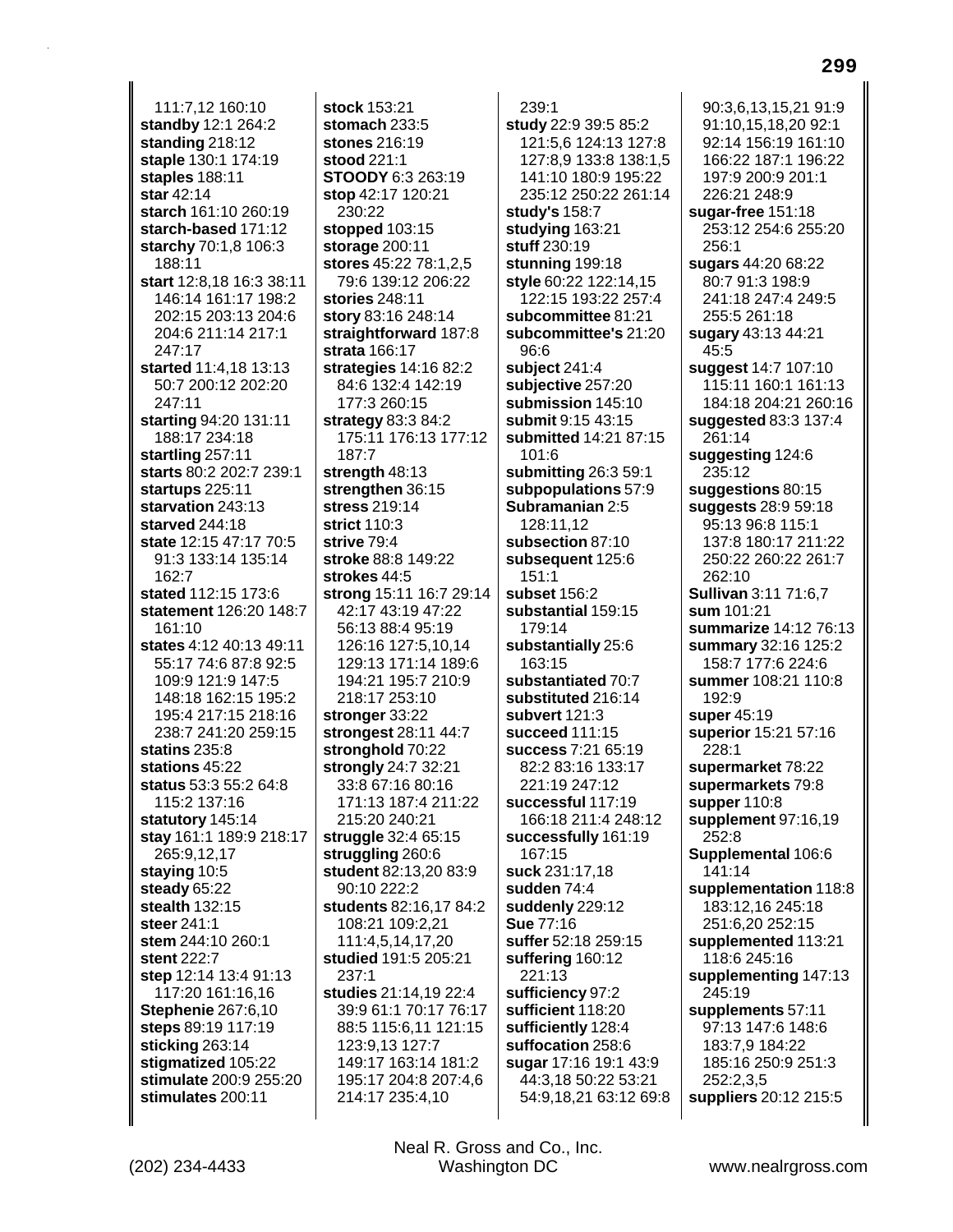111:7,12 160:10 **standby** 12:1 264:2 **standing** 218:12 **staple** 130:1 174:19 **staples** 188:11 **star** 42:14 **starch** 161:10 260:19 **starch-based** 171:12 **starchy** 70:1,8 106:3 188:11 **start** 12:8,18 16:3 38:11 146:14 161:17 198:2 202:15 203:13 204:6 204:6 211:14 217:1 247:17 **started** 11:4,18 13:13 50:7 200:12 202:20 247:11 **starting** 94:20 131:11 188:17 234:18 **startling** 257:11 **starts** 80:2 202:7 239:1 **startups** 225:11 **starvation** 243:13 **starved** 244:18 **state** 12:15 47:17 70:5 91:3 133:14 135:14 162:7 **stated** 112:15 173:6 **statement** 126:20 148:7 161:10 **states** 4:12 40:13 49:11 55:17 74:6 87:8 92:5 109:9 121:9 147:5 148:18 162:15 195:2 195:4 217:15 218:16 238:7 241:20 259:15 **statins** 235:8 **stations** 45:22 **status** 53:3 55:2 64:8 115:2 137:16 **statutory** 145:14 **stay** 161:1 189:9 218:17 265:9,12,17 **staying** 10:5 **steady** 65:22 **stealth** 132:15 **steer** 241:1 **stem** 244:10 260:1 **stent** 222:7 **step** 12:14 13:4 91:13 117:20 161:16,16 **Stephenie** 267:6,10 **steps** 89:19 117:19 **sticking** 263:14 **stigmatized** 105:22 **stimulate** 200:9 255:20 **stimulates** 200:11

**stock** 153:21 **stomach** 233:5 **stones** 216:19 **stood** 221:1 **STOODY** 6:3 263:19 **stop** 42:17 120:21 230:22 **stopped** 103:15 **storage** 200:11 **stores** 45:22 78:1,2,5 79:6 139:12 206:22 **stories** 248:11 **story** 83:16 248:14 **straightforward** 187:8 **strata** 166:17 **strategies** 14:16 82:2 84:6 132:4 142:19 177:3 260:15 **strategy** 83:3 84:2 175:11 176:13 177:12 187:7 **strength** 48:13 **strengthen** 36:15 **stress** 219:14 **strict** 110:3 **strive** 79:4 **stroke** 88:8 149:22 **strokes** 44:5 **strong** 15:11 16:7 29:14 42:17 43:19 47:22 56:13 88:4 95:19 126:16 127:5,10,14 129:13 171:14 189:6 194:21 195:7 210:9 218:17 253:10 **stronger** 33:22 **strongest** 28:11 44:7 **stronghold** 70:22 **strongly** 24:7 32:21 33:8 67:16 80:16 171:13 187:4 211:22 215:20 240:21 **struggle** 32:4 65:15 **struggling** 260:6 **student** 82:13,20 83:9 90:10 222:2 **students** 82:16,17 84:2 108:21 109:2,21 111:4,5,14,17,20 **studied** 191:5 205:21 237:1 **studies** 21:14,19 22:4 39:9 61:1 70:17 76:17 88:5 115:6,11 121:15 123:9,13 127:7 149:17 163:14 181:2 195:17 204:8 207:4,6 214:17 235:4,10

239:1 **study** 22:9 39:5 85:2 121:5,6 124:13 127:8 127:8,9 133:8 138:1,5 141:10 180:9 195:22 235:12 250:22 261:14 **study's** 158:7 **studying** 163:21 **stuff** 230:19 **stunning** 199:18 **style** 60:22 122:14,15 122:15 193:22 257:4 **subcommittee** 81:21 **subcommittee's** 21:20  $96.6$ **subject** 241:4 **subjective** 257:20 **submission** 145:10 **submit** 9:15 43:15 **submitted** 14:21 87:15 101:6 **submitting** 26:3 59:1 **subpopulations** 57:9 **Subramanian** 2:5 128:11,12 **subsection** 87:10 **subsequent** 125:6 151:1 **subset** 156:2 **substantial** 159:15 179:14 **substantially** 25:6 163:15 **substantiated** 70:7 **substituted** 216:14 **subvert** 121:3 **succeed** 111:15 **success** 7:21 65:19 82:2 83:16 133:17 221:19 247:12 **successful** 117:19 166:18 211:4 248:12 **successfully** 161:19 167:15 **suck** 231:17,18 **sudden** 74:4 **suddenly** 229:12 **Sue** 77:16 **suffer** 52:18 259:15 **suffering** 160:12 221:13 **sufficiency** 97:2 **sufficient** 118:20 **sufficiently** 128:4 **suffocation** 258:6 **sugar** 17:16 19:1 43:9 44:3,18 50:22 53:21 54:9,18,21 63:12 69:8

90:3,6,13,15,21 91:9 91:10,15,18,20 92:1 92:14 156:19 161:10 166:22 187:1 196:22 197:9 200:9 201:1 226:21 248:9 **sugar-free** 151:18 253:12 254:6 255:20 256:1 **sugars** 44:20 68:22 80:7 91:3 198:9 241:18 247:4 249:5 255:5 261:18 **sugary** 43:13 44:21 45:5 **suggest** 14:7 107:10 115:11 160:1 161:13 184:18 204:21 260:16 **suggested** 83:3 137:4 261:14 **suggesting** 124:6 235:12 **suggestions** 80:15 **suggests** 28:9 59:18 95:13 96:8 115:1 137:8 180:17 211:22 250:22 260:22 261:7 262:10 **Sullivan** 3:11 71:6,7 **sum** 101:21 **summarize** 14:12 76:13 **summary** 32:16 125:2 158:7 177:6 224:6 **summer** 108:21 110:8 192:9 **super** 45:19 **superior** 15:21 57:16 228:1 **supermarket** 78:22 **supermarkets** 79:8 **supper** 110:8 **supplement** 97:16,19 252:8 **Supplemental** 106:6 141:14 **supplementation** 118:8 183:12,16 245:18 251:6,20 252:15 **supplemented** 113:21 118:6 245:16 **supplementing** 147:13 245:19 **supplements** 57:11 97:13 147:6 148:6 183:7,9 184:22 185:16 250:9 251:3 252:2,3,5 **suppliers** 20:12 215:5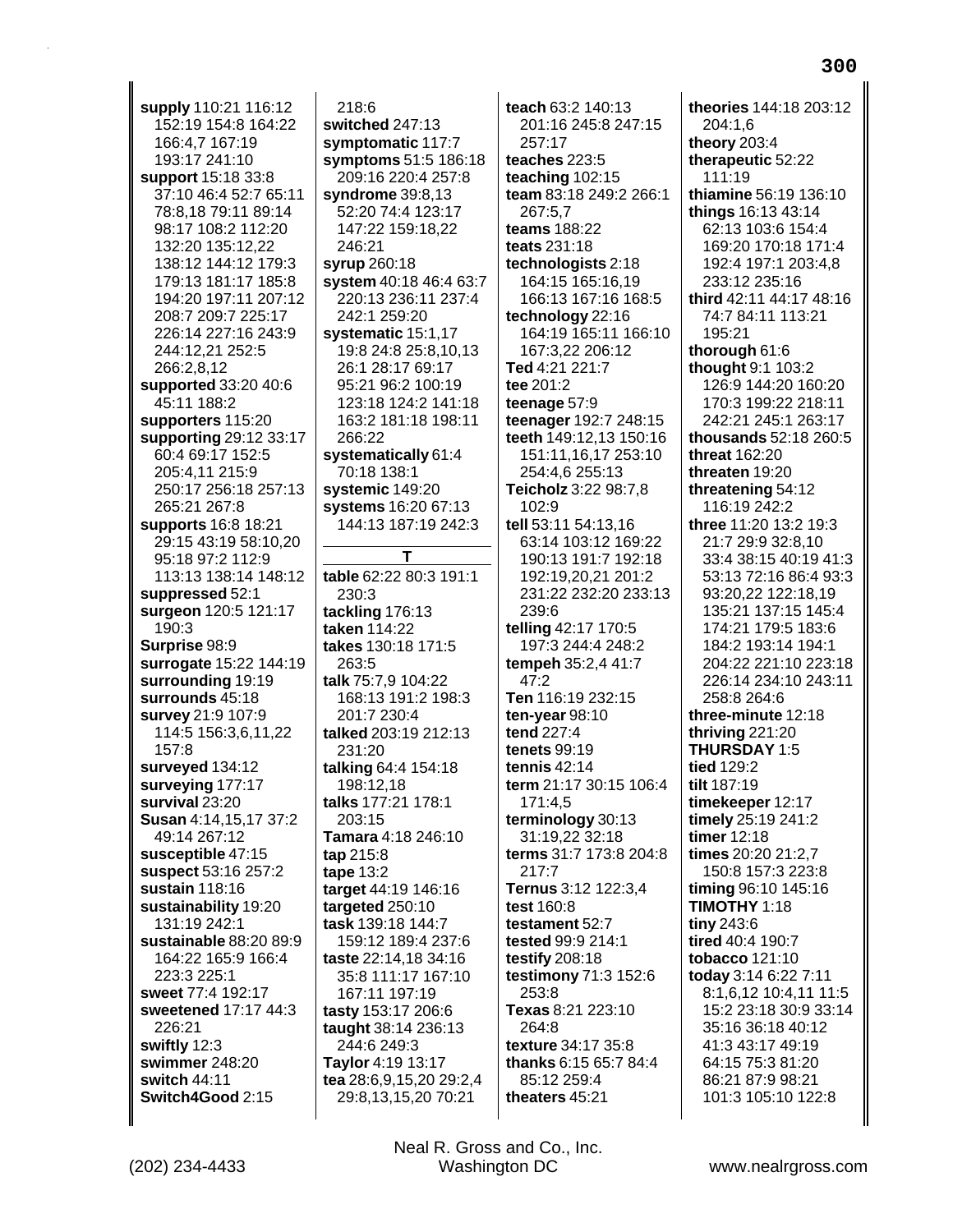**supply** 110:21 116:12 152:19 154:8 164:22 166:4,7 167:19 193:17 241:10 **support** 15:18 33:8 37:10 46:4 52:7 65:11 78:8,18 79:11 89:14 98:17 108:2 112:20 132:20 135:12,22 138:12 144:12 179:3 179:13 181:17 185:8 194:20 197:11 207:12 208:7 209:7 225:17 226:14 227:16 243:9 244:12,21 252:5 266:2,8,12 **supported** 33:20 40:6 45:11 188:2 **supporters** 115:20 **supporting** 29:12 33:17 60:4 69:17 152:5 205:4,11 215:9 250:17 256:18 257:13 265:21 267:8 **supports** 16:8 18:21 29:15 43:19 58:10,20 95:18 97:2 112:9 113:13 138:14 148:12 **suppressed** 52:1 **surgeon** 120:5 121:17 190:3 **Surprise** 98:9 **surrogate** 15:22 144:19 **surrounding** 19:19 **surrounds** 45:18 **survey** 21:9 107:9 114:5 156:3,6,11,22 157:8 **surveyed** 134:12 **surveying** 177:17 **survival** 23:20 **Susan** 4:14,15,17 37:2 49:14 267:12 **susceptible** 47:15 **suspect** 53:16 257:2 **sustain** 118:16 **sustainability** 19:20 131:19 242:1 **sustainable** 88:20 89:9 164:22 165:9 166:4 223:3 225:1 **sweet** 77:4 192:17 **sweetened** 17:17 44:3 226:21 **swiftly** 12:3 **swimmer** 248:20 **switch** 44:11 **Switch4Good** 2:15

218:6 **switched** 247:13 **symptomatic** 117:7 **symptoms** 51:5 186:18 209:16 220:4 257:8 **syndrome** 39:8,13 52:20 74:4 123:17 147:22 159:18,22 246:21 **syrup** 260:18 **system** 40:18 46:4 63:7 220:13 236:11 237:4 242:1 259:20 **systematic** 15:1,17 19:8 24:8 25:8,10,13 26:1 28:17 69:17 95:21 96:2 100:19 123:18 124:2 141:18 163:2 181:18 198:11 266:22 **systematically** 61:4 70:18 138:1 **systemic** 149:20 **systems** 16:20 67:13 144:13 187:19 242:3 **T table** 62:22 80:3 191:1 230:3 **tackling** 176:13 **taken** 114:22 **takes** 130:18 171:5 263:5 **talk** 75:7,9 104:22 168:13 191:2 198:3 201:7 230:4 **talked** 203:19 212:13 231:20 **talking** 64:4 154:18 198:12,18 **talks** 177:21 178:1 203:15 **Tamara** 4:18 246:10 **tap** 215:8 **tape** 13:2 **target** 44:19 146:16 **targeted** 250:10 **task** 139:18 144:7 159:12 189:4 237:6 **taste** 22:14,18 34:16 35:8 111:17 167:10 167:11 197:19 **tasty** 153:17 206:6 **taught** 38:14 236:13 244:6 249:3 **Taylor** 4:19 13:17 **tea** 28:6,9,15,20 29:2,4

**teach** 63:2 140:13 201:16 245:8 247:15 257:17 **teaches** 223:5 **teaching** 102:15 **team** 83:18 249:2 266:1 267:5,7 **teams** 188:22 **teats** 231:18 **technologists** 2:18 164:15 165:16,19 166:13 167:16 168:5 **technology** 22:16 164:19 165:11 166:10 167:3,22 206:12 **Ted** 4:21 221:7 **tee** 201:2 **teenage** 57:9 **teenager** 192:7 248:15 **teeth** 149:12,13 150:16 151:11,16,17 253:10 254:4,6 255:13 **Teicholz** 3:22 98:7,8 102:9 **tell** 53:11 54:13,16 63:14 103:12 169:22 190:13 191:7 192:18 192:19,20,21 201:2 231:22 232:20 233:13 239:6 **telling** 42:17 170:5 197:3 244:4 248:2 **tempeh** 35:2,4 41:7 47:2 **Ten** 116:19 232:15 **ten-year** 98:10 **tend** 227:4 **tenets** 99:19 **tennis** 42:14 **term** 21:17 30:15 106:4 171:4,5 **terminology** 30:13 31:19,22 32:18 **terms** 31:7 173:8 204:8 217:7 **Ternus** 3:12 122:3,4 **test** 160:8 **testament** 52:7 **tested** 99:9 214:1 **testify** 208:18 **testimony** 71:3 152:6 253:8 **Texas** 8:21 223:10 264:8 **texture** 34:17 35:8 **thanks** 6:15 65:7 84:4 85:12 259:4 **theaters** 45:21

**theories** 144:18 203:12 204:1,6 **theory** 203:4 **therapeutic** 52:22 111:19 **thiamine** 56:19 136:10 **things** 16:13 43:14 62:13 103:6 154:4 169:20 170:18 171:4 192:4 197:1 203:4,8 233:12 235:16 **third** 42:11 44:17 48:16 74:7 84:11 113:21 195:21 **thorough** 61:6 **thought** 9:1 103:2 126:9 144:20 160:20 170:3 199:22 218:11 242:21 245:1 263:17 **thousands** 52:18 260:5 **threat** 162:20 **threaten** 19:20 **threatening** 54:12 116:19 242:2 **three** 11:20 13:2 19:3 21:7 29:9 32:8,10 33:4 38:15 40:19 41:3 53:13 72:16 86:4 93:3 93:20,22 122:18,19 135:21 137:15 145:4 174:21 179:5 183:6 184:2 193:14 194:1 204:22 221:10 223:18 226:14 234:10 243:11 258:8 264:6 **three-minute** 12:18 **thriving** 221:20 **THURSDAY** 1:5 **tied** 129:2 **tilt** 187:19 **timekeeper** 12:17 **timely** 25:19 241:2 **timer** 12:18 **times** 20:20 21:2,7 150:8 157:3 223:8 **timing** 96:10 145:16 **TIMOTHY** 1:18 **tiny** 243:6 **tired** 40:4 190:7 **tobacco** 121:10 **today** 3:14 6:22 7:11 8:1,6,12 10:4,11 11:5 15:2 23:18 30:9 33:14 35:16 36:18 40:12 41:3 43:17 49:19 64:15 75:3 81:20 86:21 87:9 98:21 101:3 105:10 122:8

29:8,13,15,20 70:21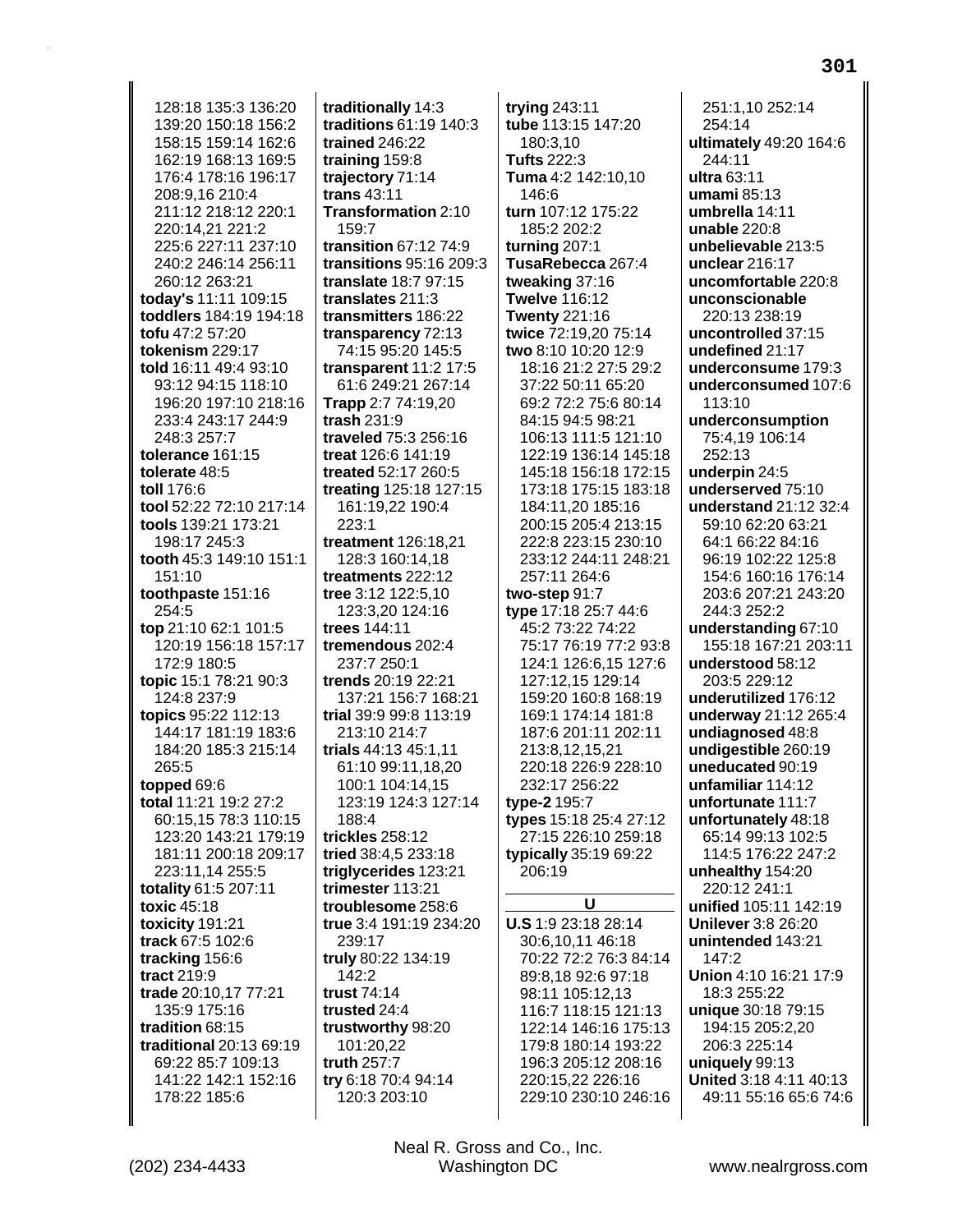128:18 135:3 136:20 139:20 150:18 156:2 158:15 159:14 162:6 162:19 168:13 169:5 176:4 178:16 196:17 208:9.16 210:4 211:12 218:12 220:1 220:14,21 221:2 225:6 227:11 237:10 240:2 246:14 256:11 260:12 263:21 today's 11:11 109:15 toddlers 184:19 194:18 tofu 47:2 57:20 tokenism 229:17 told 16:11 49:4 93:10 93:12 94:15 118:10 196:20 197:10 218:16 233:4 243:17 244:9 248:3 257:7 tolerance 161:15 tolerate 48:5 toll 176:6 tool 52:22 72:10 217:14 tools 139:21 173:21 198:17 245:3 tooth 45:3 149:10 151:1  $151:10$ toothpaste 151:16 254:5 top 21:10 62:1 101:5 120:19 156:18 157:17 172:9 180:5 topic 15:1 78:21 90:3 124:8 237:9 topics 95:22 112:13 144:17 181:19 183:6 184:20 185:3 215:14 265:5 topped 69:6 total 11:21 19:2 27:2 60:15,15 78:3 110:15 123:20 143:21 179:19 181:11 200:18 209:17 223:11,14 255:5 totality 61:5 207:11 toxic 45:18 toxicity 191:21 track 67:5 102:6 tracking 156:6 tract 219:9 trade 20:10,17 77:21 135:9 175:16 tradition 68:15 traditional 20:13 69:19 69:22 85:7 109:13 141:22 142:1 152:16 178:22 185:6

traditionally 14:3 traditions 61:19 140:3 trained 246:22 training 159:8 trajectory 71:14 trans 43:11 Transformation 2:10 159:7 transition 67:12 74:9 transitions 95:16 209:3 translate 18:7 97:15 translates 211:3 transmitters 186:22 transparency 72:13 74:15 95:20 145:5 transparent 11:2 17:5 61:6 249:21 267:14 Trapp 2:7 74:19,20 trash 231:9 traveled 75:3 256:16 treat 126:6 141:19 treated 52:17 260:5 treating 125:18 127:15 161:19,22 190:4  $223:1$ treatment 126:18.21 128:3 160:14.18 treatments 222:12 tree 3:12 122:5,10 123:3.20 124:16 trees 144.11 tremendous 202:4 237:7 250:1 trends 20:19 22:21 137:21 156:7 168:21 trial 39:9 99:8 113:19 213:10 214:7 trials 44:13 45:1,11 61:10 99:11.18.20 100:1 104:14.15 123:19 124:3 127:14 188:4 trickles 258:12 tried 38:4,5 233:18 triglycerides 123:21 trimester 113:21 troublesome 258:6 true 3:4 191:19 234:20 239:17 truly 80:22 134:19 142:2 trust 74:14 trusted 24:4 trustworthy 98:20 101:20,22 truth 257:7 try 6:18 70:4 94:14 120:3 203:10

trying  $243:11$ tube 113:15 147:20 180:3,10 **Tufts 222:3** Tuma 4:2 142:10,10  $146.6$ turn 107:12 175:22 185:2 202:2 turning 207:1 TusaRebecca 267:4 tweaking 37:16 **Twelve 116:12 Twenty 221:16** twice 72:19,20 75:14 two 8:10 10:20 12:9 18:16 21:2 27:5 29:2 37:22 50:11 65:20 69:2 72:2 75:6 80:14 84:15 94:5 98:21 106:13 111:5 121:10 122:19 136:14 145:18 145:18 156:18 172:15 173:18 175:15 183:18 184:11,20 185:16 200:15 205:4 213:15 222:8 223:15 230:10 233:12 244:11 248:21 257:11 264:6 two-step  $91:7$ type 17:18 25:7 44:6 45:2 73:22 74:22 75:17 76:19 77:2 93:8 124:1 126:6,15 127:6 127:12,15 129:14 159:20 160:8 168:19 169:1 174:14 181:8 187:6 201:11 202:11 213:8,12,15,21 220:18 226:9 228:10 232:17 256:22 type-2 195:7 types 15:18 25:4 27:12 27:15 226:10 259:18 typically 35:19 69:22 206:19 U U.S 1:9 23:18 28:14 30:6,10,11 46:18 70:22 72:2 76:3 84:14 89:8,18 92:6 97:18 98:11 105:12,13 116:7 118:15 121:13 122:14 146:16 175:13 179:8 180:14 193:22 196:3 205:12 208:16

251:1.10 252:14 254:14 ultimately 49:20 164:6 244:11 ultra 63:11 umami $85:13$ umbrella 14:11 unable  $220:8$ unbelievable 213:5 unclear 216:17 uncomfortable 220:8 unconscionable 220:13 238:19 uncontrolled 37:15 undefined 21:17 underconsume 179:3 underconsumed 107:6 113:10 underconsumption 75:4,19 106:14 252:13 underpin 24:5 underserved 75:10 understand 21:12 32:4 59:10 62:20 63:21 64:1 66:22 84:16 96:19 102:22 125:8 154:6 160:16 176:14 203:6 207:21 243:20 244:3 252:2 understanding 67:10 155:18 167:21 203:11 understood 58:12 203:5 229:12 underutilized 176:12 underway 21:12 265:4 undiagnosed 48:8 undigestible 260:19 uneducated 90:19 unfamiliar 114:12 unfortunate 111:7 unfortunately 48:18 65:14 99:13 102:5 114:5 176:22 247:2 unhealthy 154:20 220:12 241:1 unified 105:11 142:19 **Unilever 3:8 26:20** unintended 143:21  $147:2$ Union 4:10 16:21 17:9 18:3 255:22 unique 30:18 79:15 194:15 205:2,20 206:3 225:14 uniquely 99:13 United 3:18 4:11 40:13 49:11 55:16 65:6 74:6

Neal R. Gross and Co., Inc. Washington DC

220:15,22 226:16

229:10 230:10 246:16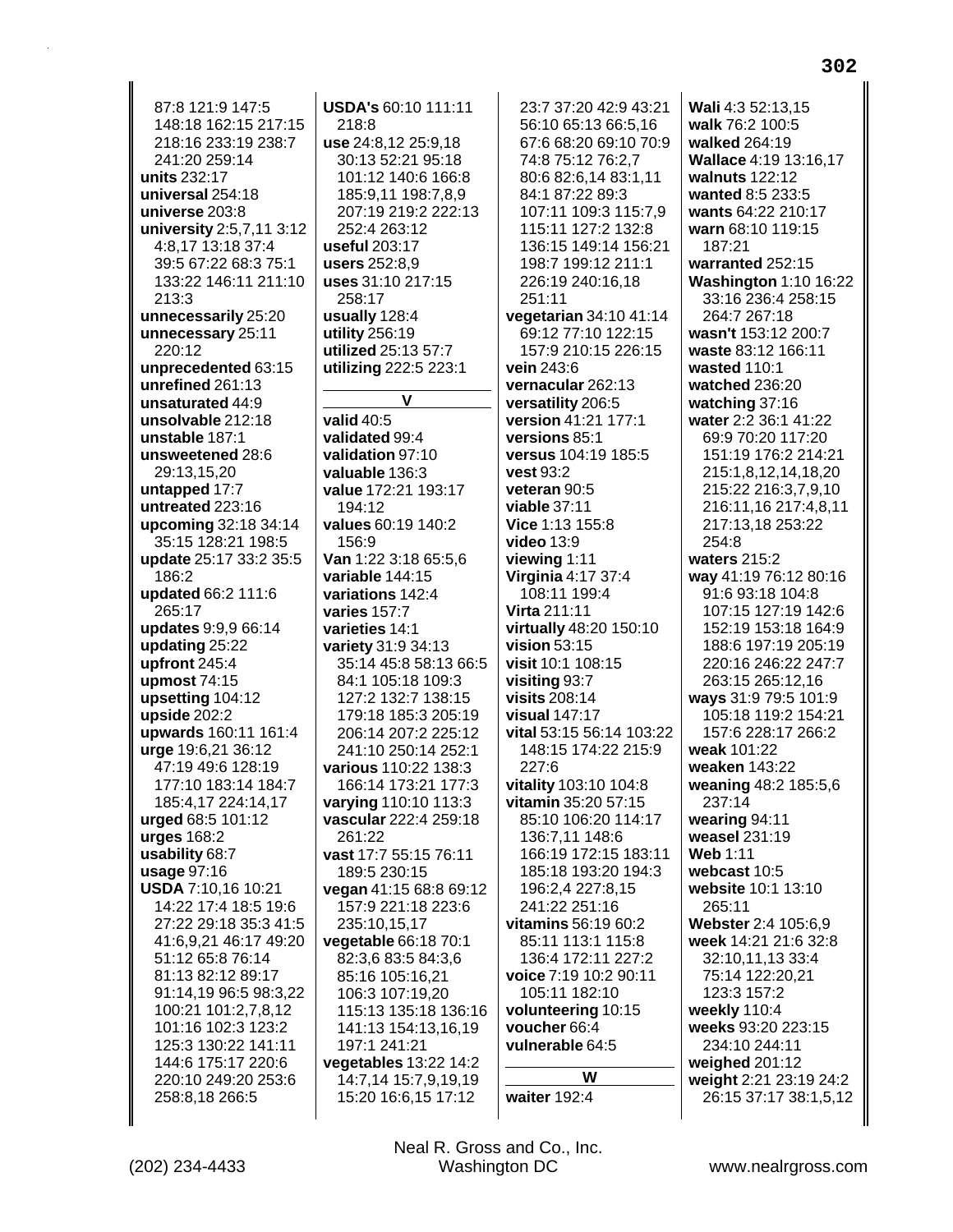87:8 121:9 147:5 148:18 162:15 217:15 218:16 233:19 238:7 241:20 259:14 units 232:17 universal 254:18 universe 203:8 university 2:5,7,11 3:12 4:8,17 13:18 37:4 39:5 67:22 68:3 75:1 133:22 146:11 211:10 213:3 unnecessarily 25:20 unnecessary 25:11 220:12 unprecedented 63:15 unrefined 261:13 unsaturated 44:9 unsolvable 212:18 unstable 187:1 unsweetened 28:6 29:13,15,20 untapped 17:7 untreated 223:16 upcoming 32:18 34:14 35:15 128:21 198:5 update 25:17 33:2 35:5 186:2 updated 66:2 111:6 265:17 updates 9:9.9 66:14 updating 25:22 upfront 245:4 upmost  $74:15$ upsetting 104:12 upside  $202:2$ upwards 160:11 161:4 urge 19:6,21 36:12 47:19 49:6 128:19 177:10 183:14 184:7 185:4,17 224:14,17 urged 68:5 101:12 urges 168:2 usability 68:7 usage 97:16 **USDA 7:10,16 10:21** 14:22 17:4 18:5 19:6 27:22 29:18 35:3 41:5 41:6.9.21 46:17 49:20 51:12 65:8 76:14 81:13 82:12 89:17 91:14,19 96:5 98:3,22 100:21 101:2,7,8,12 101:16 102:3 123:2 125:3 130:22 141:11 144:6 175:17 220:6 220:10 249:20 253:6 258:8,18 266:5

218:8 use 24:8,12 25:9,18 30:13 52:21 95:18 101:12 140:6 166:8 185:9,11 198:7,8,9 207:19 219:2 222:13 252:4 263:12 useful 203:17 users 252:8.9 uses 31:10 217:15 258:17 usually 128:4 utility 256:19 utilized 25:13 57:7 utilizing 222:5 223:1 V valid 40:5 validated 99:4 validation 97:10 valuable 136:3 value 172:21 193:17 194:12 values 60:19 140:2 156:9 Van 1:22 3:18 65:5.6 variable 144:15 variations 142:4 varies 157:7 varieties 14:1 variety 31:9 34:13 35:14 45:8 58:13 66:5 84:1 105:18 109:3 127:2 132:7 138:15 179:18 185:3 205:19 206:14 207:2 225:12 241:10 250:14 252:1 various 110:22 138:3 166:14 173:21 177:3 varying 110:10 113:3 vascular 222:4 259:18 261:22 vast 17:7 55:15 76:11 189:5 230:15 vegan 41:15 68:8 69:12 157:9 221:18 223:6 235:10,15,17 vegetable 66:18 70:1 82:3,6 83:5 84:3,6 85:16 105:16,21 106:3 107:19,20 115:13 135:18 136:16 141:13 154:13,16,19 197:1 241:21 vegetables 13:22 14:2 14:7.14 15:7.9.19.19 15:20 16:6,15 17:12

USDA's 60:10 111:11

23:7 37:20 42:9 43:21 56:10 65:13 66:5,16 67:6 68:20 69:10 70:9 74:8 75:12 76:2,7 80:6 82:6.14 83:1.11 84:1 87:22 89:3 107:11 109:3 115:7,9 115:11 127:2 132:8 136:15 149:14 156:21 198:7 199:12 211:1 226:19 240:16,18 251:11 vegetarian 34:10 41:14 69:12 77:10 122:15 157:9 210:15 226:15 vein 243:6 vernacular 262:13 versatility 206:5 version 41:21 177:1 versions 85:1 versus 104:19 185:5 vest 93:2 veteran 90:5 viable  $37:11$ Vice 1:13 155:8 **video 13:9** viewing 1:11 **Virginia 4:17 37:4** 108:11 199:4 **Virta 211:11** virtually 48:20 150:10 vision  $53:15$ visit 10:1 108:15 visiting 93:7 visits 208:14 visual 147:17 vital 53:15 56:14 103:22 148:15 174:22 215:9  $227:6$ vitality 103:10 104:8 vitamin 35:20 57:15 85:10 106:20 114:17 136:7,11 148:6 166:19 172:15 183:11 185:18 193:20 194:3 196:2,4 227:8,15 241:22 251:16 vitamins 56:19 60:2 85:11 113:1 115:8 136:4 172:11 227:2 voice 7:19 10:2 90:11 105:11 182:10 volunteering 10:15 voucher 66:4 vulnerable 64:5 W waiter 192:4

Wali 4:3 52:13.15 walk 76:2 100:5 walked 264:19 **Wallace 4:19 13:16.17** walnuts 122:12 wanted 8:5 233:5 wants 64:22 210:17 warn 68:10 119:15 187:21 warranted 252:15 **Washington 1:10 16:22** 33:16 236:4 258:15 264:7 267:18 wasn't 153:12 200:7 waste 83:12 166:11 wasted 110:1 watched 236:20 watching 37:16 water 2:2 36:1 41:22 69:9 70:20 117:20 151:19 176:2 214:21 215:1,8,12,14,18,20 215:22 216:3,7,9,10 216:11,16 217:4,8,11 217:13.18 253:22 254:8 waters  $215:2$ way 41:19 76:12 80:16 91:6 93:18 104:8 107:15 127:19 142:6 152:19 153:18 164:9 188:6 197:19 205:19 220:16 246:22 247:7 263:15 265:12,16 ways 31:9 79:5 101:9 105:18 119:2 154:21 157:6 228:17 266:2 weak 101:22 weaken 143:22 weaning 48:2 185:5,6 237:14 wearing 94:11 weasel 231:19 Web 1:11 webcast 10:5 website 10:1 13:10  $265:11$ Webster 2:4 105:6,9 week 14:21 21:6 32:8 32:10,11,13 33:4 75:14 122:20,21 123:3 157:2 weekly 110:4 weeks 93:20 223:15 234:10 244:11 weighed 201:12 weight 2:21 23:19 24:2 26:15 37:17 38:1,5,12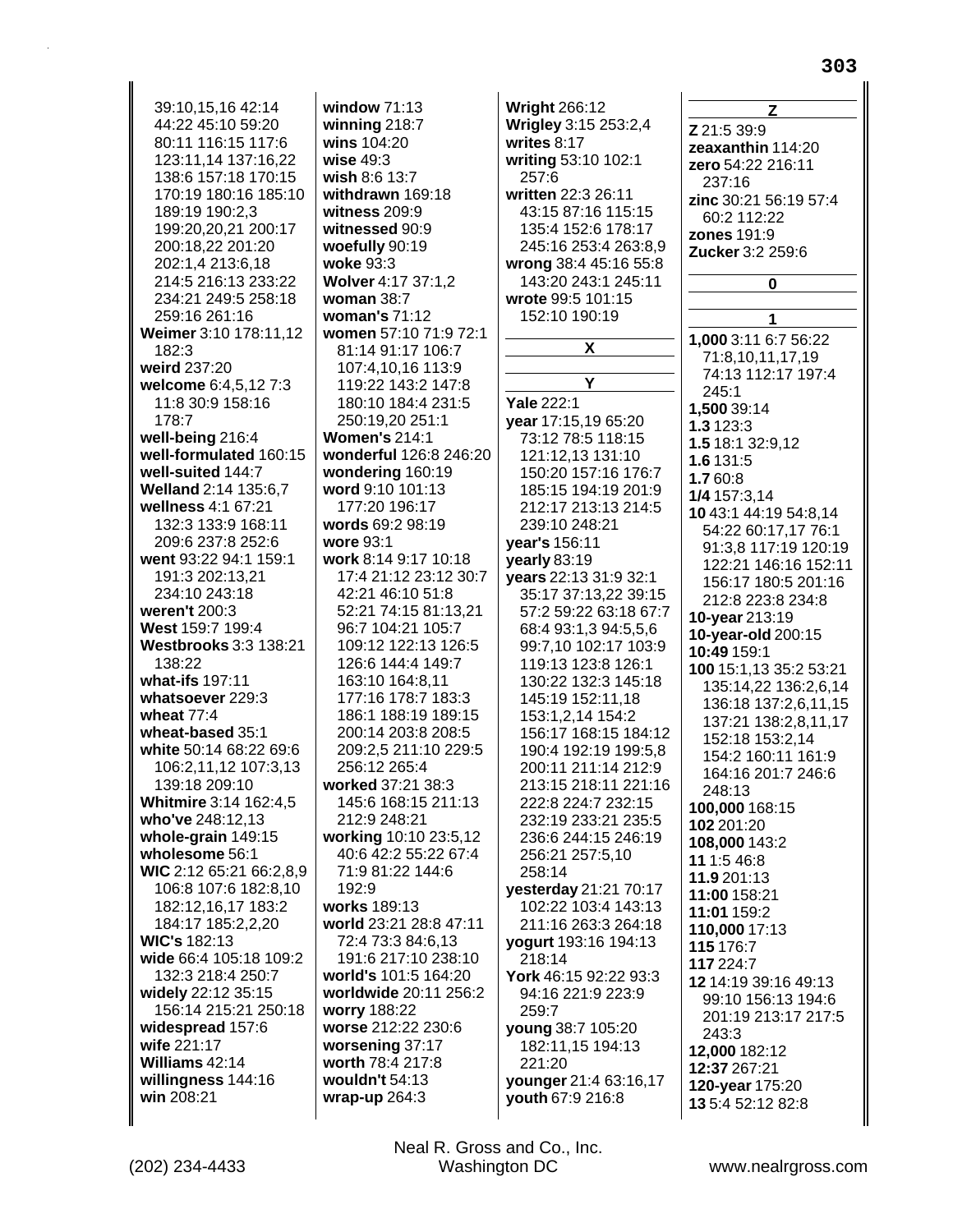39:10.15.16 42:14 44:22 45:10 59:20 80:11 116:15 117:6 123:11.14 137:16.22 138:6 157:18 170:15 170:19 180:16 185:10 189:19 190:2,3 199:20,20,21 200:17 200:18,22 201:20 202:1,4 213:6,18 214:5 216:13 233:22 234:21 249:5 258:18 259:16 261:16 Weimer 3:10 178:11,12  $182.3$ weird 237:20 welcome 6:4,5,12 7:3 11:8 30:9 158:16 178:7 well-being 216:4 well-formulated 160:15 well-suited 144:7 Welland 2:14 135:6,7 wellness 4:1 67:21 132:3 133:9 168:11 209:6 237:8 252:6 went 93:22 94:1 159:1 191:3 202:13,21 234:10 243:18 weren't 200:3 West 159:7 199:4 **Westbrooks 3:3 138:21** 138:22 what-ifs 197:11 whatsoever 229:3 wheat  $77:4$ wheat-based 35:1 white 50:14 68:22 69:6 106:2,11,12 107:3,13 139:18 209:10 Whitmire 3:14 162:4,5 who've 248:12,13 whole-grain 149:15 wholesome 56:1 WIC 2:12 65:21 66:2,8,9 106:8 107:6 182:8,10 182:12,16,17 183:2 184:17 185:2,2,20 **WIC's 182:13** wide 66:4 105:18 109:2 132:3 218:4 250:7 widely 22:12 35:15 156:14 215:21 250:18 widespread 157:6 wife 221:17 Williams 42:14 willingness 144:16 win 208:21

window  $71:13$ winning  $218:7$ wins 104:20 wise  $49:3$ wish 8:6 13:7 withdrawn 169:18 witness  $209:9$ witnessed 90:9 woefully 90:19 woke 93:3 Wolver 4:17 37:1,2 woman  $38:7$ woman's 71:12 women 57:10 71:9 72:1 81:14 91:17 106:7 107:4,10,16 113:9 119:22 143:2 147:8 180:10 184:4 231:5 250:19,20 251:1 **Women's 214:1** wonderful 126:8 246:20 wondering 160:19 word 9:10 101:13 177:20 196:17 words 69:2 98:19 wore 93:1 work 8:14 9:17 10:18 17:4 21:12 23:12 30:7 42:21 46:10 51:8 52:21 74:15 81:13,21 96:7 104:21 105:7 109:12 122:13 126:5 126:6 144:4 149:7 163:10 164:8.11 177:16 178:7 183:3 186:1 188:19 189:15 200:14 203:8 208:5 209:2,5 211:10 229:5 256:12 265:4 worked 37:21 38:3 145:6 168:15 211:13 212:9 248:21 working 10:10 23:5,12 40:6 42:2 55:22 67:4 71:9 81:22 144:6 192:9 works 189:13 world 23:21 28:8 47:11 72:4 73:3 84:6.13 191:6 217:10 238:10 world's 101:5 164:20 worldwide 20:11 256:2 worry 188:22 worse 212:22 230:6 worsening 37:17 worth 78:4 217:8 wouldn't 54:13 wrap-up  $264:3$ 

**Wright 266:12** Wrigley 3:15 253:2,4 writes  $8:17$ writing 53:10 102:1 257:6 written 22:3 26:11 43:15 87:16 115:15 135:4 152:6 178:17 245:16 253:4 263:8.9 wrong 38:4 45:16 55:8 143:20 243:1 245:11 wrote 99:5 101:15 152:10 190:19 X Y Yale 222:1 vear 17:15,19 65:20 73:12 78:5 118:15 121:12,13 131:10 150:20 157:16 176:7 185:15 194:19 201:9 212:17 213:13 214:5 239:10 248:21 year's 156:11 yearly 83:19 vears 22:13 31:9 32:1 35:17 37:13,22 39:15 57:2 59:22 63:18 67:7 68:4 93:1,3 94:5,5,6 99:7,10 102:17 103:9 119:13 123:8 126:1 130:22 132:3 145:18 145:19 152:11,18 153:1,2,14 154:2 156:17 168:15 184:12 190:4 192:19 199:5,8 200:11 211:14 212:9 213:15 218:11 221:16 222:8 224:7 232:15 232:19 233:21 235:5 236:6 244:15 246:19 256:21 257:5,10 258:14 yesterday 21:21 70:17 102:22 103:4 143:13 211:16 263:3 264:18 yogurt 193:16 194:13 218:14 York 46:15 92:22 93:3 94:16 221:9 223:9 259:7 young 38:7 105:20 182:11,15 194:13 221:20 younger 21:4 63:16,17 youth 67:9 216:8

Z Z 21:5 39:9 zeaxanthin 114:20 zero 54:22 216:11 237:16 zinc 30:21 56:19 57:4 60:2 112:22 zones  $191:9$ Zucker 3:2 259:6  $\Omega$ 1 1,000 3:11 6:7 56:22 71:8,10,11,17,19 74:13 112:17 197:4  $245:1$ 1.500 39:14 1.3 123:3 1.5 18:1 32:9.12 1.6 131:5 1.7 60:8 1/4 157:3,14 10 43:1 44:19 54:8.14 54:22 60:17,17 76:1 91:3,8 117:19 120:19 122:21 146:16 152:11 156:17 180:5 201:16 212:8 223:8 234:8 10-year 213:19 10-year-old 200:15 10:49 159:1 100 15:1.13 35:2 53:21 135:14,22 136:2,6,14 136:18 137:2,6,11,15 137:21 138:2,8,11,17 152:18 153:2.14 154:2 160:11 161:9 164:16 201:7 246:6 248:13 100.000 168:15 102 201:20 108,000 143:2 11 1:5 46:8 11.9 201:13 11:00 158:21 11:01 159:2 110,000 17:13 115 176:7 117 224:7 12 14:19 39:16 49:13 99:10 156:13 194:6 201:19 213:17 217:5 243:3 12.000 182:12 12:37 267:21 120-year 175:20 13 5:4 52:12 82:8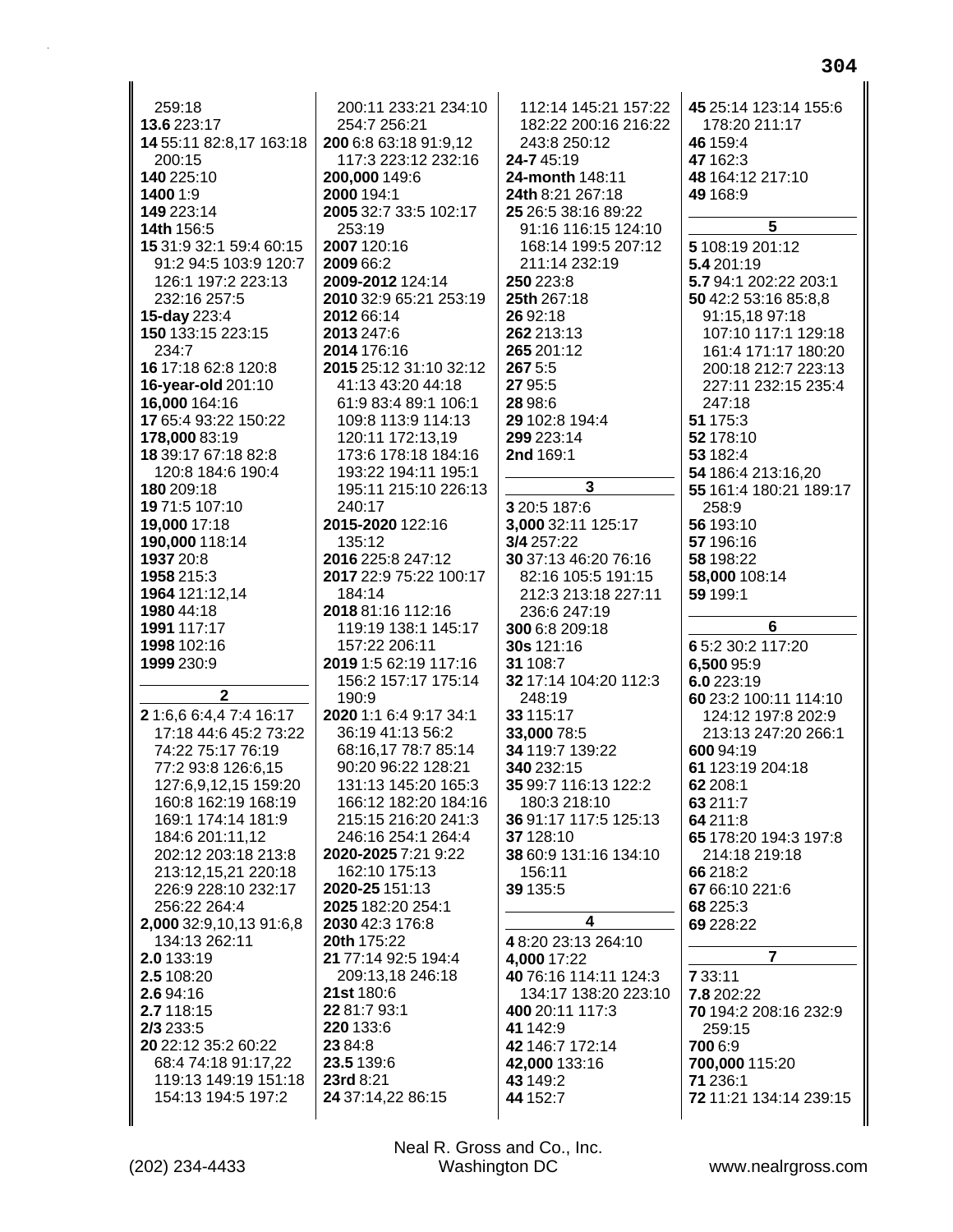| 259:18                  | 200:11 233:21 234:10   | 112:14 145:21 157:22  | 45 25:14 123:14 155:6  |
|-------------------------|------------------------|-----------------------|------------------------|
| 13.6 223:17             | 254:7 256:21           | 182:22 200:16 216:22  | 178:20 211:17          |
| 14 55:11 82:8,17 163:18 | 200 6:8 63:18 91:9,12  | 243:8 250:12          | 46 159:4               |
| 200:15                  | 117:3 223:12 232:16    | 24-745:19             | 47 162:3               |
| 140 225:10              | 200,000 149:6          | 24-month 148:11       | 48 164:12 217:10       |
| 1400 1:9                | 2000 194:1             | 24th 8:21 267:18      | 49 168:9               |
| 149 223:14              | 2005 32:7 33:5 102:17  | 25 26:5 38:16 89:22   |                        |
| 14th 156:5              | 253:19                 | 91:16 116:15 124:10   | 5                      |
| 15 31:9 32:1 59:4 60:15 | 2007 120:16            | 168:14 199:5 207:12   | 5 108:19 201:12        |
| 91:2 94:5 103:9 120:7   | 2009 66:2              | 211:14 232:19         | 5.4 201:19             |
| 126:1 197:2 223:13      | 2009-2012 124:14       | 250 223:8             | 5.7 94:1 202:22 203:1  |
| 232:16 257:5            | 2010 32:9 65:21 253:19 | 25th 267:18           | 50 42:2 53:16 85:8,8   |
| 15-day 223:4            | 2012 66:14             | 26 92:18              | 91:15,18 97:18         |
| 150 133:15 223:15       | 2013 247:6             | 262 213:13            | 107:10 117:1 129:18    |
| 234:7                   | 2014 176:16            | 265 201:12            | 161:4 171:17 180:20    |
| 16 17:18 62:8 120:8     | 2015 25:12 31:10 32:12 | 267 5:5               | 200:18 212:7 223:13    |
| 16-year-old 201:10      | 41:13 43:20 44:18      | 27 95:5               | 227:11 232:15 235:4    |
| 16,000 164:16           | 61:9 83:4 89:1 106:1   | 28 98:6               | 247:18                 |
| 17 65:4 93:22 150:22    | 109:8 113:9 114:13     | 29 102:8 194:4        | 51 175:3               |
| 178,000 83:19           | 120:11 172:13,19       | 299 223:14            | 52 178:10              |
| 18 39:17 67:18 82:8     | 173:6 178:18 184:16    | 2nd 169:1             | 53 182:4               |
| 120:8 184:6 190:4       | 193:22 194:11 195:1    |                       | 54 186:4 213:16,20     |
| 180 209:18              | 195:11 215:10 226:13   | 3                     | 55 161:4 180:21 189:17 |
| 19 71:5 107:10          | 240:17                 | 3 20:5 187:6          | 258:9                  |
| 19,000 17:18            | 2015-2020 122:16       | 3,000 32:11 125:17    | 56 193:10              |
| 190,000 118:14          | 135:12                 | 3/4 257:22            | 57 196:16              |
| 1937 20:8               | 2016 225:8 247:12      | 30 37:13 46:20 76:16  | 58 198:22              |
| 1958 215:3              | 2017 22:9 75:22 100:17 | 82:16 105:5 191:15    | 58,000 108:14          |
| 1964 121:12,14          | 184:14                 | 212:3 213:18 227:11   | 59 199:1               |
| 1980 44:18              | 2018 81:16 112:16      | 236:6 247:19          |                        |
| 1991 117:17             | 119:19 138:1 145:17    | 300 6:8 209:18        | 6                      |
| 1998 102:16             | 157:22 206:11          | <b>30s</b> 121:16     | 6 5:2 30:2 117:20      |
| 1999 230:9              | 2019 1:5 62:19 117:16  | 31 108:7              |                        |
|                         |                        |                       |                        |
|                         |                        |                       | 6,500 95:9             |
|                         | 156:2 157:17 175:14    | 32 17:14 104:20 112:3 | 6.0 223:19             |
| $\mathbf 2$             | 190:9                  | 248:19                | 60 23:2 100:11 114:10  |
| 21:6,6 6:4,4 7:4 16:17  | 2020 1:1 6:4 9:17 34:1 | 33 115:17             | 124:12 197:8 202:9     |
| 17:18 44:6 45:2 73:22   | 36:19 41:13 56:2       | 33,000 78:5           | 213:13 247:20 266:1    |
| 74:22 75:17 76:19       | 68:16,17 78:7 85:14    | 34 119:7 139:22       | 600 94:19              |
| 77:2 93:8 126:6,15      | 90:20 96:22 128:21     | 340 232:15            | 61 123:19 204:18       |
| 127:6,9,12,15 159:20    | 131:13 145:20 165:3    | 35 99:7 116:13 122:2  | 62 208:1               |
| 160:8 162:19 168:19     | 166:12 182:20 184:16   | 180:3 218:10          | 63 211:7               |
| 169:1 174:14 181:9      | 215:15 216:20 241:3    | 36 91:17 117:5 125:13 | 64 211:8               |
| 184:6 201:11,12         | 246:16 254:1 264:4     | 37 128:10             | 65 178:20 194:3 197:8  |
| 202:12 203:18 213:8     | 2020-2025 7:21 9:22    | 38 60:9 131:16 134:10 | 214:18 219:18          |
| 213:12,15,21 220:18     | 162:10 175:13          | 156:11                | 66 218:2               |
| 226:9 228:10 232:17     | 2020-25 151:13         | 39 135:5              | 67 66:10 221:6         |
| 256:22 264:4            | 2025 182:20 254:1      |                       | 68 225:3               |
| 2,000 32:9,10,13 91:6,8 | 2030 42:3 176:8        | 4                     | 69 228:22              |
| 134:13 262:11           | 20th 175:22            | 48:2023:13264:10      |                        |
| 2.0 133:19              | 21 77:14 92:5 194:4    | 4,000 17:22           | $\overline{7}$         |
| 2.5 108:20              | 209:13,18 246:18       | 40 76:16 114:11 124:3 | 7 33:11                |
| 2.6 94:16               | 21st 180:6             | 134:17 138:20 223:10  | 7.8 202:22             |
| 2.7 118:15              | 22 81:7 93:1           | 400 20:11 117:3       | 70 194:2 208:16 232:9  |
| 2/3 233:5               | 220 133:6              | 41 142:9              | 259:15                 |
| 20 22:12 35:2 60:22     | 23 84:8                | 42 146:7 172:14       | 700 6:9                |
| 68:4 74:18 91:17,22     | 23.5 139:6             | 42,000 133:16         | 700,000 115:20         |
| 119:13 149:19 151:18    | 23rd 8:21              | 43 149:2              | 71 236:1               |
| 154:13 194:5 197:2      | 24 37:14,22 86:15      | 44 152:7              | 72 11:21 134:14 239:15 |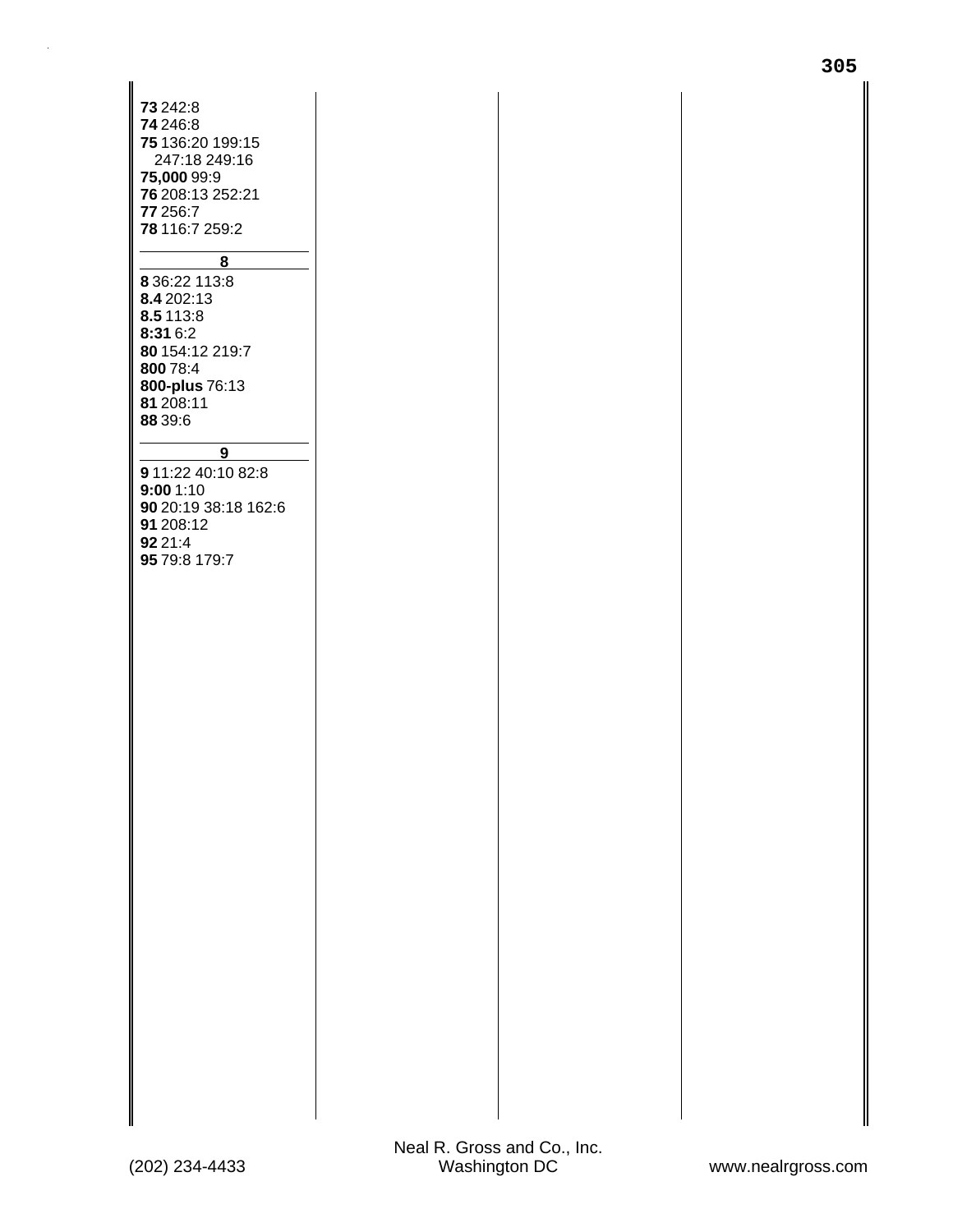| 73 242:8<br>74 246:8<br>75 136:20 199:15<br>247:18 249:16<br><b>75,000</b> 99:9<br>76 208:13 252:21<br>77 256:7<br>78 116:7 259:2<br>8<br>8 36:22 113:8<br>8.4 202:13<br>8.5 113:8<br>8:31 6:2<br>80 154:12 219:7<br>800 78:4<br>800-plus 76:13<br>81 208:11<br>88 39:6<br>$\overline{9}$<br>9 11:22 40:10 82:8<br>9:001:10<br>90 20:19 38:18 162:6<br>91 208:12<br>92 21:4<br>95 79:8 179:7 |  |
|----------------------------------------------------------------------------------------------------------------------------------------------------------------------------------------------------------------------------------------------------------------------------------------------------------------------------------------------------------------------------------------------|--|
|                                                                                                                                                                                                                                                                                                                                                                                              |  |
|                                                                                                                                                                                                                                                                                                                                                                                              |  |
|                                                                                                                                                                                                                                                                                                                                                                                              |  |
|                                                                                                                                                                                                                                                                                                                                                                                              |  |
|                                                                                                                                                                                                                                                                                                                                                                                              |  |
|                                                                                                                                                                                                                                                                                                                                                                                              |  |
|                                                                                                                                                                                                                                                                                                                                                                                              |  |
|                                                                                                                                                                                                                                                                                                                                                                                              |  |
|                                                                                                                                                                                                                                                                                                                                                                                              |  |
|                                                                                                                                                                                                                                                                                                                                                                                              |  |
|                                                                                                                                                                                                                                                                                                                                                                                              |  |
|                                                                                                                                                                                                                                                                                                                                                                                              |  |
|                                                                                                                                                                                                                                                                                                                                                                                              |  |
|                                                                                                                                                                                                                                                                                                                                                                                              |  |
|                                                                                                                                                                                                                                                                                                                                                                                              |  |
|                                                                                                                                                                                                                                                                                                                                                                                              |  |
|                                                                                                                                                                                                                                                                                                                                                                                              |  |
|                                                                                                                                                                                                                                                                                                                                                                                              |  |
|                                                                                                                                                                                                                                                                                                                                                                                              |  |
|                                                                                                                                                                                                                                                                                                                                                                                              |  |
|                                                                                                                                                                                                                                                                                                                                                                                              |  |
|                                                                                                                                                                                                                                                                                                                                                                                              |  |
|                                                                                                                                                                                                                                                                                                                                                                                              |  |
|                                                                                                                                                                                                                                                                                                                                                                                              |  |
|                                                                                                                                                                                                                                                                                                                                                                                              |  |
|                                                                                                                                                                                                                                                                                                                                                                                              |  |
|                                                                                                                                                                                                                                                                                                                                                                                              |  |
|                                                                                                                                                                                                                                                                                                                                                                                              |  |
|                                                                                                                                                                                                                                                                                                                                                                                              |  |
|                                                                                                                                                                                                                                                                                                                                                                                              |  |
|                                                                                                                                                                                                                                                                                                                                                                                              |  |
|                                                                                                                                                                                                                                                                                                                                                                                              |  |
|                                                                                                                                                                                                                                                                                                                                                                                              |  |
|                                                                                                                                                                                                                                                                                                                                                                                              |  |
|                                                                                                                                                                                                                                                                                                                                                                                              |  |
|                                                                                                                                                                                                                                                                                                                                                                                              |  |
|                                                                                                                                                                                                                                                                                                                                                                                              |  |
|                                                                                                                                                                                                                                                                                                                                                                                              |  |
|                                                                                                                                                                                                                                                                                                                                                                                              |  |
|                                                                                                                                                                                                                                                                                                                                                                                              |  |
|                                                                                                                                                                                                                                                                                                                                                                                              |  |
|                                                                                                                                                                                                                                                                                                                                                                                              |  |
|                                                                                                                                                                                                                                                                                                                                                                                              |  |
|                                                                                                                                                                                                                                                                                                                                                                                              |  |
|                                                                                                                                                                                                                                                                                                                                                                                              |  |
|                                                                                                                                                                                                                                                                                                                                                                                              |  |
|                                                                                                                                                                                                                                                                                                                                                                                              |  |
|                                                                                                                                                                                                                                                                                                                                                                                              |  |
|                                                                                                                                                                                                                                                                                                                                                                                              |  |
|                                                                                                                                                                                                                                                                                                                                                                                              |  |
|                                                                                                                                                                                                                                                                                                                                                                                              |  |
|                                                                                                                                                                                                                                                                                                                                                                                              |  |
|                                                                                                                                                                                                                                                                                                                                                                                              |  |